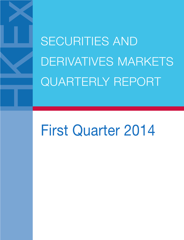SECURITIES AND DERIVATIVES MARKETS QUARTERLY REPORT

# First Quarter 2014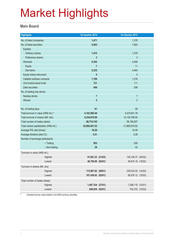#### **Main Board**

| <b>Highlights</b>                       | <b>1st Quarter 2014</b> | 1st Quarter 2013   |  |
|-----------------------------------------|-------------------------|--------------------|--|
| No. of listed companies                 | 1,471                   | 1,378              |  |
| No. of listed securities                | 9,203                   | 7,563              |  |
| <b>Equities</b>                         |                         |                    |  |
| Ordinary shares                         | 1,472                   | 1,379              |  |
| Preference shares                       | 3                       | $\mathfrak{Z}$     |  |
| <b>Warrants</b>                         | 5,342                   | 4,495              |  |
| Equity                                  | $\overline{7}$          | 11                 |  |
| Derivative                              | 5,335                   | 4,484              |  |
| Equity linked instrument                | $\mathbf{0}$            | $\theta$           |  |
| Callable bull/bear contracts            | 1,799                   | 1,276              |  |
| Unit trusts/mutual funds                | 131                     | 111                |  |
| <b>Debt securities</b>                  | 456                     | 299                |  |
| No. of trading only stocks              |                         |                    |  |
| Nasdaq stocks                           | $\overline{7}$          | $\overline{7}$     |  |
| <b>iShares</b>                          | $\overline{2}$          | $\overline{2}$     |  |
|                                         |                         |                    |  |
| No. of trading days                     | 61                      | 59                 |  |
| Total turnover in value (HK\$ mil.) *   | 4,103,585.48            | 4,374,641.78       |  |
| Total turnover in shares (Mil. shs)     | 8,334,978.09            | 10,130,799.94      |  |
| Total number of trades (deals)          | 66,774,745              | 58,156,507         |  |
| Total market capitalisation (HK\$ mil.) | 22,892,041.53           | 21,865,919.62      |  |
| Average P/E ratio (times)               | 10.26                   | 10.49              |  |
| Average dividend yield (%)              | 3.51                    | 3.08               |  |
| Number of exchange participants         | 503                     | 509                |  |
| $-$ Trading                             | 38                      | 42                 |  |
| - Non-trading                           |                         |                    |  |
| Turnover in value (HK\$ mil.)           |                         |                    |  |
| Highest                                 | 91,691.23 (21/03)       | 128,156.37 (04/02) |  |
| Lowest                                  | 48,758.98 (02/01)       | 46,674.18 (15/02)  |  |
| Turnover in shares (Mil. shs)           |                         |                    |  |
| Highest                                 | 172,987.82 (08/01)      | 228,343.05 (14/03) |  |
| Lowest                                  | 107,436.82 (02/01)      | 95,676.12 (15/03)  |  |
| Total number of trades (deals)          |                         |                    |  |
| Highest                                 | 1,487,334 (27/01)       | 1,296,118 (10/01)  |  |
| Lowest                                  | 848,938 (02/01)         | 742,370 (15/02)    |  |

\* Included turnover value traded in non-HKD currency securities.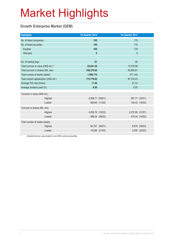### **Growth Enterprise Market (GEM)**

| <b>Highlights</b>                       |         | 1st Quarter 2014 |                | 1st Quarter 2013 |                |
|-----------------------------------------|---------|------------------|----------------|------------------|----------------|
| No. of listed companies                 |         | 195              |                | 179              |                |
| No. of listed securities                |         | 195              |                | 179              |                |
| Equities                                |         | 195              |                | 179              |                |
| Warrants                                |         | $\mathbf{0}$     |                | $\mathbf 0$      |                |
|                                         |         |                  |                |                  |                |
| No. of trading days                     |         | 61               |                | 59               |                |
| Total turnover in value (HK\$ mil.) *   |         | 63,841.30        |                | 12,379.96        |                |
| Total turnover in shares (Mil. shs)     |         | 108,376.84       |                | 55,859.81        |                |
| Total number of trades (deals)          |         | 1,599,170        |                | 371,144          |                |
| Total market capitalisation (HK\$ mil.) |         | 172,776.82       |                | 87,318.43        |                |
| Average P/E ratio (times)               |         | 11.46            |                | 27.43            |                |
| Average dividend yield (%)              |         | 0.50             |                | 0.93             |                |
| Turnover in value (HK\$ mil.)           |         |                  |                |                  |                |
|                                         | Highest | 2,938.71 (09/01) |                |                  | 381.77 (23/01) |
|                                         | Lowest  |                  | 620.60 (11/02) |                  | 125.42 (19/03) |
| Turnover in shares (Mil. shs)           |         |                  |                |                  |                |
|                                         | Highest | 4,095.76 (10/03) |                | 2,270.89 (31/01) |                |
|                                         | Lowest  | 956.04 (06/02)   |                |                  | 419.34 (14/02) |
| Total number of trades (deals)          |         |                  |                |                  |                |
|                                         | Highest |                  | 64,707 (09/01) |                  | 8,979 (08/03)  |
|                                         | Lowest  |                  | 14,556 (31/03) |                  | 3,930 (22/03)  |

Included turnover value traded in non-HKD currency securities.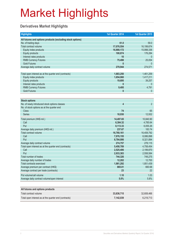### **Derivatives Market Highlights**

| <b>Highlights</b>                                          | <b>1st Quarter 2014</b> | 1st Quarter 2013 |
|------------------------------------------------------------|-------------------------|------------------|
| All futures and options products (excluding stock options) |                         |                  |
| No. of trading days                                        | 61.0                    | 59.0             |
| Total contract volume                                      | 17,076,554              | 16,199,674       |
| Equity index products                                      | 16,900,172              | 15,998,336       |
| <b>Equity products</b>                                     | 100,874                 | 176,284          |
| Interest rates products                                    | 10                      | $\theta$         |
| <b>RMB Currency Futures</b>                                | 75,498                  | 25,054           |
| <b>Gold Futures</b>                                        |                         | $\theta$         |
| Average daily contract volume                              | 279,944                 | 274,571          |
|                                                            |                         |                  |
| Total open interest as at the quarter end (contracts)      | 1,683,250               | 1,461,259        |
| Equity index products                                      | 1,654,060               | 1,417,211        |
| <b>Equity products</b>                                     | 19,695                  | 39,257           |
| Interest rates products                                    | 0                       | $\overline{0}$   |
| <b>RMB Currency Futures</b>                                | 9,495                   | 4,791            |
| <b>Gold Futures</b>                                        | 0                       | $\overline{0}$   |
|                                                            |                         |                  |
| <b>Stock options</b>                                       |                         |                  |
| No. of newly introduced stock options classes              | $\overline{\mathbf{4}}$ | $\overline{2}$   |
| No. of stock options as at the quarter end                 |                         |                  |
| <b>Class</b>                                               | 74                      | 65               |
| <b>Series</b>                                              | 18,930                  | 12,932           |
| Total premium (HK\$ mil.)                                  | 14,497.65               | 10,840.90        |
| Call                                                       | 6,384.32                | 4,785.64         |
| Put                                                        | 8,113.33                | 6,055.26         |
| Average daily premium (HK\$ mil.)                          | 237.67                  | 183.74           |
| Total contract volume                                      | 16,760,161              | 16,408,792       |
| Call                                                       | 7,976,155               | 8,086,898        |
| Put                                                        | 8,784,006               | 8,321,894        |
| Average daily contract volume                              | 274,757                 | 278,115          |
| Total open interest as at the quarter end (contracts)      | 5,458,789               | 4,758,454        |
| Call                                                       | 2,525,406               | 2,199,870        |
| Put                                                        | 2,933,383               | 2,558,584        |
| Total number of trades                                     | 744,326                 | 749,275          |
| Average daily number of trades                             | 12,202                  | 12,700           |
| <b>Total contracts exercised</b>                           | 1,981,292               | 1,851,439        |
| Average premium per contract (HK\$)                        | 865.01                  | 660.68           |
| Average contract per trade (contracts)                     | 23                      | 22               |
| Put volume/call volume                                     | 1.10                    | 1.03             |
| Average daily contract volume/open interest                | 5.0%                    | 5.8%             |
|                                                            |                         |                  |
| All futures and options products                           |                         |                  |
| Total contract volume                                      | 33,836,715              | 32,608,466       |
| Total open interest as at the quarter end (contracts)      | 7,142,039               | 6,219,713        |
|                                                            |                         |                  |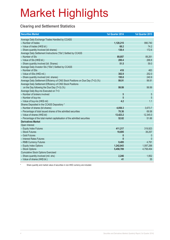### **Clearing and Settlement Statistics**

| <b>Securities Market</b>                                                        | 1st Quarter 2014 | 1st Quarter 2013 |
|---------------------------------------------------------------------------------|------------------|------------------|
| Average Daily Exchange Trades Handled by CCASS                                  |                  |                  |
| - Number of trades                                                              | 1,120,215        | 990,740          |
| - Value of trades (HK\$ bil.)                                                   | 68.2             | 74.2             |
| - Share quantity Involved (bil shares)                                          | 138.4            | 172.6            |
| Average Daily Settlement Instructions ("SIs") Settled by CCASS                  |                  |                  |
| - Number of SIs                                                                 | 89,857           | 89,261           |
| - Value of SIs (HK\$ bil.)                                                      | 200.4            | 268.8            |
| - Share quantity involved (bil. Shares)                                         | 51.5             | 59.0             |
| Average Daily Investor SIs ("ISIs") Settled by CCASS                            |                  |                  |
| - Number of ISIs                                                                | 418              | 463              |
| - Value of ISIs (HK\$ mil.)                                                     | 302.9            | 252.0            |
| - Share quantity involved (mil. shares)                                         | 195.8            | 240.9            |
| Average Daily Settlement Efficiency of CNS Stock Positions on Due Day (T+2) (%) | 99.91            | 99.91            |
| Average Daily Settlement Efficiency of CNS Stock Positions                      |                  |                  |
| on the Day following the Due Day $(T+3)$ (%)                                    | 99.99            | 99.99            |
| Average Daily Buy-ins Executed on T+3                                           |                  |                  |
| - Number of brokers involved                                                    | 5                | 5                |
| - Number of buy-ins                                                             | 5                | 5                |
| - Value of buy-ins (HK\$ mil)                                                   | 4.2              | 1.1              |
| Shares Deposited in the CCASS Depository *                                      |                  |                  |
| - Number of shares (bil shares)                                                 | 4,058.3          | 3,673.7          |
| - Percentage of total issued shares of the admitted securities                  | 70.36            | 69.58            |
| - Value of shares (HK\$ bil)                                                    | 13,423.2         | 12,345.0         |
| - Percentage of the total market capitalisation of the admitted securities      | 52.82            | 51.66            |
| <b>Derivatives Market</b>                                                       |                  |                  |
| Open Interest                                                                   |                  |                  |
| - Equity Index Futures                                                          | 411,217          | 319,923          |
| - Stock Futures                                                                 | 19,695           | 39,257           |
| - Gold Futures                                                                  | $\mathbf{0}$     | $\overline{0}$   |
| - Interest Rates Futures                                                        | $\mathbf{0}$     | $\mathbf{0}$     |
| - RMB Currency Futures                                                          | 9,495            | 4,791            |
| - Equity Index Options                                                          | 1,242,843        | 1,097,288        |
| - Stock Options                                                                 | 5,458,789        | 4,758,454        |
| <b>Cumulative Stock Options Exercised</b>                                       |                  |                  |
| - Share quantity involved (mil. shs)                                            | 2,246            | 1,952            |
| - Value of shares (HK\$ bil.)                                                   | 41               | 35               |

Share quantity and market value of securities in non-HKD currency are included.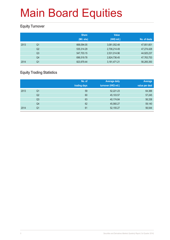### **Equity Turnover**

|      |                | <b>Share</b><br>(Mil. shs) | <b>Value</b><br>(HK\$ mil.) | No. of deals |
|------|----------------|----------------------------|-----------------------------|--------------|
| 2013 | Q1             | 668,094.05                 | 3,081,052.48                | 47,851,601   |
|      | Q <sub>2</sub> | 535,314.29                 | 2,706,214.49                | 47,274,428   |
|      | Q <sub>3</sub> | 547,703.15                 | 2,531,014.96                | 44,925,237   |
|      | Q4             | 696,519.78                 | 2,824,736.45                | 47,763,753   |
| 2014 | Q <sub>1</sub> | 823,979.44                 | 3,181,471.21                | 56,265,350   |

### **Equity Trading Statistics**

|      |                | No. of<br>trading days | <b>Average daily</b><br>turnover (HK\$ mil.) | Average<br>value per deal |
|------|----------------|------------------------|----------------------------------------------|---------------------------|
| 2013 | Q <sub>1</sub> | 59                     | 52,221.23                                    | 64,388                    |
|      | Q2             | 60                     | 45,103.57                                    | 57,245                    |
|      | Q <sub>3</sub> | 63                     | 40,174.84                                    | 56,338                    |
|      | Q4             | 62                     | 45,560.27                                    | 59,140                    |
| 2014 | Q <sub>1</sub> | 61                     | 52, 155.27                                   | 56,544                    |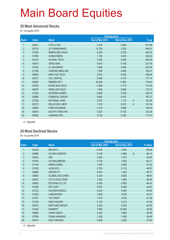#### **20 Most Advanced Stocks**

for 1st quarter 2014

|                |       |                        |                 | <b>Closing price</b> |                          |  |
|----------------|-------|------------------------|-----------------|----------------------|--------------------------|--|
| Rank           | Code  | <b>Stock</b>           | End of Mar 2014 | End of Dec 2013      | $%$ up                   |  |
| 1              | 00241 | CITIC 21CN             | 5.700           | 0.560                | 917.86                   |  |
| $\overline{2}$ | 00776 | <b>JF FURNISHINGS</b>  | 12.780          | 2.200                | 480.91                   |  |
| 3              | 01004 | <b>RISING DEV HOLD</b> | 4.300           | 0.790                | 444.30                   |  |
| 4              | 01060 | <b>CHINAVISION</b>     | 1.740           | 0.400                | 335.00                   |  |
| 5              | 00143 | <b>GLOBAL TECH</b>     | 0.200           | 0.050                | 300.00                   |  |
| $6\phantom{.}$ | 00810 | <b>OPES ASIA</b>       | 0.610           | 0.190                | 221.05                   |  |
| $\overline{7}$ | 01003 | 21 HOLDINGS            | 1.680           | 0.550                | 205.45                   |  |
| $\bf 8$        | 01196 | <b>CHEONG MING INV</b> | 1.300           | 0.460                | 182.61                   |  |
| 9              | 00894 | <b>MAN YUE TECH</b>    | 2.610           | 0.930                | 180.65                   |  |
| 10             | 00727 | <b>VXL CAPITAL</b>     | 0.485           | 0.175                | 177.14                   |  |
| 11             | 00993 | <b>SIMSEN INT'L</b>    | 32.500          | 11.800               | 175.42                   |  |
| 12             | 00295 | <b>KONG SUN HOLD</b>   | 0.480           | 0.175                | 174.29                   |  |
| 13             | 00876 | WING LEE HOLD          | 1.800           | 0.660                | 172.73                   |  |
| 14             | 01228 | <b>SUPERB SUMMIT</b>   | 0.890           | 0.330                | 169.70                   |  |
| 15             | 00996 | <b>CARNIVAL GROUP</b>  | 0.660           | 0.247                | 167.21                   |  |
| 16             | 01236 | <b>NATIONAL AGRI</b>   | 3.070           | 1.170                | $\overline{A}$<br>162.39 |  |
| 17             | 00273 | <b>WILLIE INTL-NEW</b> | 1.510           | 0.610                | $\overline{A}$<br>147.54 |  |
| 18             | 00982 | <b>IONE HOLDINGS</b>   | 0.216           | 0.088                | 145.45                   |  |
| 19             | 00619 | <b>SOUTH CHINA FIN</b> | 0.227           | 0.103                | 120.39                   |  |
| 20             | 00582 | <b>LANDING INTL</b>    | 0.730           | 0.335                | 117.91                   |  |

A Adjusted

#### **20 Most Declined Stocks**

for 1st quarter 2014

|                |       |                        |                 | <b>Closing price</b>    |          |  |
|----------------|-------|------------------------|-----------------|-------------------------|----------|--|
| Rank           | Code  | <b>Stock</b>           | End of Mar 2014 | End of Dec 2013         | % down   |  |
| 1              | 02339 | <b>BWI INT'L</b>       | 0.435           | 3.650                   | $-88.08$ |  |
| $\overline{2}$ | 00986 | CH ENV ENERGY          | 0.138           | 0.996<br>$\overline{A}$ | $-86.14$ |  |
| 3              | 00923 | <b>IWS</b>             | 0.500           | 1.370                   | $-63.50$ |  |
| 4              | 00745 | <b>CH RAILSMEDIA</b>   | 0.730           | 1.830                   | $-60.11$ |  |
| 5              | 01149 | <b>ANXIN-CHINA</b>     | 1.200           | 2.460                   | $-51.22$ |  |
| $6\phantom{.}$ | 01329 | <b>JUDA INTL</b>       | 2.750           | 5.170                   | $-46.81$ |  |
| $\overline{7}$ | 00686 | <b>UNITED PV</b>       | 0.810           | 1.520                   | $-46.71$ |  |
| $\bf 8$        | 00809 | <b>GLOBAL BIO-CHEM</b> | 0.320           | 0.600                   | $-46.67$ |  |
| 9              | 00557 | <b>CITY E-SOLUTION</b> | 1.060           | 1.980                   | $-46.46$ |  |
| 10             | 00065 | DETEAM COLTD           | 0.300           | 0.560                   | $-46.43$ |  |
| 11             | 01009 | <b>INT'L ENT</b>       | 4.670           | 8.440                   | $-44.67$ |  |
| 12             | 02123 | <b>GOLDEN SHIELD</b>   | 0.224           | 0.400                   | $-44.00$ |  |
| 13             | 01262 | <b>LABIXIAOXIN</b>     | 3.000           | 5.200                   | $-42.31$ |  |
| 14             | 01431 | <b>YST DAIRY</b>       | 1.310           | 2.230                   | $-41.26$ |  |
| 15             | 01106 | <b>SINO HAIJING</b>    | 0.125           | 0.212                   | $-41.04$ |  |
| 16             | 00070 | <b>NEPTUNE GROUP</b>   | 0.203           | 0.340                   | $-40.29$ |  |
| 17             | 01025 | <b>WUMART</b>          | 7.560           | 12.600                  | $-40.00$ |  |
| 18             | 00866 | <b>CHINA QINFA</b>     | 0.400           | 0.660                   | $-39.39$ |  |
| 19             | 03788 | <b>CHINA HANKING</b>   | 1.200           | 1.950                   | $-38.46$ |  |
| 20             | 00474 | <b>HAO TIAN DEV</b>    | 0.200           | 0.320                   | $-37.50$ |  |

A Adjusted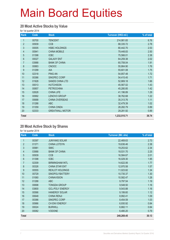#### **20 Most Active Stocks by Value**

for 1st quarter 2014

| Rank           | Code  | <b>Stock</b>           | Turnover (HK\$ mil.) | % of total |
|----------------|-------|------------------------|----------------------|------------|
| 1              | 00700 | <b>TENCENT</b>         | 214,981.65           | 6.76       |
| $\overline{2}$ | 00939 | <b>CCB</b>             | 88,335.72            | 2.78       |
| $\mathfrak{S}$ | 00005 | <b>HSBC HOLDINGS</b>   | 80,442.70            | 2.53       |
| $\overline{4}$ | 00941 | <b>CHINA MOBILE</b>    | 79,448.83            | 2.50       |
| $\overline{5}$ | 01398 | <b>ICBC</b>            | 75,566.01            | 2.38       |
| $6\phantom{a}$ | 00027 | <b>GALAXY ENT</b>      | 64,259.38            | 2.02       |
| $\overline{7}$ | 03988 | <b>BANK OF CHINA</b>   | 60,708.04            | 1.91       |
| 8              | 00883 | <b>CNOOC</b>           | 55,864.90            | 1.76       |
| 9              | 01299 | <b>AIA</b>             | 55,601.08            | 1.75       |
| 10             | 02318 | <b>PING AN</b>         | 54,857.48            | 1.72       |
| 11             | 00386 | SINOPEC CORP           | 54,415.45            | 1.71       |
| 12             | 01928 | <b>SANDS CHINA LTD</b> | 52,869.18            | 1.66       |
| 13             | 00013 | <b>HUTCHISON</b>       | 45,567.02            | 1.43       |
| 14             | 00857 | <b>PETROCHINA</b>      | 45,280.85            | 1.42       |
| 15             | 02628 | <b>CHINA LIFE</b>      | 41,196.89            | 1.29       |
| 16             | 00992 | LENOVO GROUP           | 38,762.68            | 1.22       |
| 17             | 00688 | CHINA OVERSEAS         | 35,313.76            | 1.11       |
| 18             | 01288 | <b>ABC</b>             | 32,479.39            | 1.02       |
| 19             | 01359 | <b>CHINA CINDA</b>     | 28,282.79            | 0.89       |
| 20             | 02333 | <b>GREATWALL MOTOR</b> | 28,281.92            | 0.89       |
| <b>Total</b>   |       |                        | 1,232,515.71         | 38.74      |

#### **20 Most Active Stock by Shares**

for 1st quarter 2014

| Rank           | Code  | <b>Stock</b>           | <b>Turnover (Mil. shs)</b> | % of total |
|----------------|-------|------------------------|----------------------------|------------|
| 1              | 00397 | <b>JUNYANG SOLAR</b>   | 22,469.63                  | 2.73       |
| $\overline{2}$ | 01371 | <b>CHINA LOTSYN</b>    | 19,636.46                  | 2.38       |
| 3              | 00981 | <b>SMIC</b>            | 19,253.62                  | 2.34       |
| $\overline{4}$ | 03988 | <b>BANK OF CHINA</b>   | 18,531.70                  | 2.25       |
| $\overline{5}$ | 00939 | <b>CCB</b>             | 16,584.67                  | 2.01       |
| 6              | 01398 | <b>ICBC</b>            | 16,029.30                  | 1.95       |
| $\overline{7}$ | 02309 | <b>BIRMINGHAM INTL</b> | 14,622.06                  | 1.77       |
| 8              | 00326 | <b>CHINA STAR ENT</b>  | 12,970.58                  | 1.57       |
| 9              | 00555 | <b>REXLOT HOLDINGS</b> | 11,023.82                  | 1.34       |
| 10             | 00729 | <b>SINOPOLYBATTERY</b> | 10,735.37                  | 1.30       |
| 11             | 01060 | <b>CHINAVISION</b>     | 10,582.47                  | 1.28       |
| 12             | 01288 | <b>ABC</b>             | 9,797.54                   | 1.19       |
| 13             | 00698 | <b>TONGDA GROUP</b>    | 9,548.50                   | 1.16       |
| 14             | 03800 | <b>GCL-POLY ENERGY</b> | 9,543.88                   | 1.16       |
| 15             | 00566 | <b>HANERGY SOLAR</b>   | 9,199.60                   | 1.12       |
| 16             | 00648 | <b>CHINA RENJI</b>     | 8,992.41                   | 1.09       |
| 17             | 00386 | SINOPEC CORP           | 8,454.59                   | 1.03       |
| 18             | 00986 | CH ENV ENERGY          | 6,930.92                   | 0.84       |
| 19             | 00024 | <b>BURWILL</b>         | 6,882.11                   | 0.84       |
| 20             | 00082 | <b>VODONE</b>          | 6,480.20                   | 0.79       |
| <b>Total</b>   |       |                        | 248,269.45                 | 30.13      |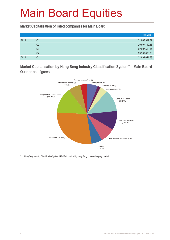**Market Capitalisation of listed companies for Main Board**

|      |                | HK\$ mil.     |
|------|----------------|---------------|
| 2013 | Q1             | 21,865,919.62 |
|      | Q2             | 20,607,719.38 |
|      | Q <sub>3</sub> | 22,697,506.14 |
|      | Q4             | 23,908,803.80 |
| 2014 | Q1             | 22,892,041.53 |

**Market Capitalisation by Hang Seng Industry Classification System\* – Main Board**  Quarter-end figures



Hang Seng Industry Classification System (HSICS) is provided by Hang Seng Indexes Company Limited.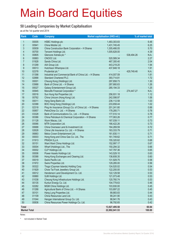#### **50 Leading Companies by Market Capitalisation**

as at the 1st quarter end 2014

| Rank                    | Code           | <b>Company</b>                                                      | Market capitalisation (HK\$ mil.) |            | % of market total |
|-------------------------|----------------|---------------------------------------------------------------------|-----------------------------------|------------|-------------------|
| $\mathbf{1}$            | 00005          | <b>HSBC Holdings plc</b>                                            | 1,483,303.83                      |            | 6.48              |
| $\overline{2}$          | 00941          | China Mobile Ltd.                                                   | 1,431,745.45                      |            | 6.25              |
| 3                       | 00939          | China Construction Bank Corporation - H Shares                      | 1,305,466.05                      |            | 5.70              |
| $\overline{\mathbf{4}}$ | 00700          | Tencent Holdings Ltd.                                               | 1,005,628.00                      |            | 4.39              |
| 5                       | 00805          | Glencore Xstrata plc *                                              |                                   | 538,494.26 | N.A.              |
| $6\phantom{a}$          | 00883          | CNOOC Ltd.                                                          | 520,589.34                        |            | 2.27              |
| $\overline{7}$          | 01928          | Sands China Ltd.                                                    | 467,300.40                        |            | 2.04              |
| 8                       | 01299          | AIA Group Ltd.                                                      | 443,219.20                        |            | 1.94              |
| $\overline{9}$          | 00013          | Hutchison Whampoa Ltd.                                              | 437,848.18                        |            | 1.91              |
| 10                      | 02378          | Prudential plc *                                                    |                                   | 429,749.46 | N.A.              |
| 11                      | 01398          | Industrial and Commercial Bank of China Ltd. - H Shares             | 414,007.59                        |            | 1.81              |
| 12                      | 02888          | <b>Standard Chartered PLC</b>                                       | 393,714.81                        |            | 1.72              |
| 13                      | 00001          | Cheung Kong (Holdings) Ltd.                                         | 297,858.73                        |            | 1.30              |
| 14                      | 03988          | Bank of China Ltd. - H Shares                                       | 287,660.63                        |            | 1.26              |
| 15                      | 00027          | Galaxy Entertainment Group Ltd.                                     | 285, 194. 33                      |            | 1.25              |
| 16                      | 00945          | Manulife Financial Corporation *                                    |                                   | 274,447.27 | N.A.              |
| 17                      | 00016          | Sun Hung Kai Properties Ltd.                                        | 256,931.18                        |            | 1.12              |
| 18                      | 00762          | China Unicom (Hong Kong) Ltd.                                       | 242,598.97                        |            | 1.06              |
| 19                      | 00011          | Hang Seng Bank Ltd.                                                 | 236,112.58                        |            | 1.03              |
| 20                      | 02388          | BOC Hong Kong (Holdings) Ltd.                                       | 233,658.44                        |            | 1.02              |
| 21                      | 02318          | Ping An Insurance (Group) Co. of China Ltd. - H Shares              | 201,241.80                        |            | 0.88              |
| 22                      | 00857          | PetroChina Co. Ltd. - H Shares                                      | 178,285.71                        |            | 0.78              |
| 23                      | 03328          | Bank of Communications Co., Ltd. - H Shares                         | 177,510.14                        |            | 0.78              |
| 24                      | 00386          | China Petroleum & Chemical Corporation - H Shares                   | 177,063.26                        |            | 0.77              |
| 25                      | 01128          | Wynn Macau, Ltd.                                                    | 167,039.11                        |            | 0.73              |
| 26                      | 00066          | MTR Corporation Ltd.                                                | 166,422.26                        |            | 0.73              |
| 27                      | 00688          | China Overseas Land & Investment Ltd.                               | 164,269.59                        |            | 0.72              |
| 28                      | 02628          | China Life Insurance Co. Ltd. - H Shares                            | 163,333.79                        |            | 0.71              |
| 29                      | 06883          | Melco Crown Entertainment Ltd.                                      | 161,830.11                        |            | 0.71              |
| 30                      | 00003          | Hong Kong and China Gas Co. Ltd., The                               | 161,749.62                        |            | 0.71              |
| 31                      | 01913          | PRADA S.p.A.                                                        | 155,320.62                        |            | 0.68              |
| 32<br>33                | 00151          | Want Want China Holdings Ltd.                                       | 152,997.17                        |            | 0.67              |
| 34                      | 00004<br>00002 | Wharf (Holdings) Ltd., The<br>CLP Holdings Ltd.                     | 150,294.32                        |            | 0.66              |
| 35                      | 00006          |                                                                     | 147,797.36                        |            | 0.65              |
| 36                      | 00388          | Power Assets Holdings Ltd.<br>Hong Kong Exchanges and Clearing Ltd. | 143,529.10<br>136,608.35          |            | 0.63<br>0.60      |
| 37                      | 00019          | Swire Pacific Ltd.                                                  | 131,929.75                        |            | 0.58              |
| 38                      | 01972          | Swire Properties Ltd.                                               | 129,285.00                        |            | 0.56              |
| 39                      | 00322          | Tingyi (Cayman Islands) Holding Corp.                               | 124,520.02                        |            | 0.54              |
| 40                      | 01929          | Chow Tai Fook Jewellery Group Ltd.                                  | 122,200.00                        |            | 0.53              |
| 41                      | 00012          | Henderson Land Development Co. Ltd.                                 | 122,129.58                        |            | 0.53              |
| 42                      | 00880          | SJM Holdings Ltd.                                                   | 121,073.48                        |            | 0.53              |
| 43                      | 01038          | Cheung Kong Infrastructure Holdings Ltd.                            | 120,760.74                        |            | 0.53              |
| 44                      | 00135          | Kunlun Energy Co. Ltd.                                              | 104,779.63                        |            | 0.46              |
| 45                      | 02282          | MGM China Holdings Ltd.                                             | 103,930.00                        |            | 0.45              |
| 46                      | 01288          | Agricultural Bank of China Ltd. - H Shares                          | 103,897.22                        |            | 0.45              |
| 47                      | 00101          | Hang Lung Properties Ltd.                                           | 99,883.83                         |            | 0.44              |
| 48                      | 01109          | China Resources Land Ltd.                                           | 99,241.90                         |            | 0.43              |
| 49                      | 01044          | Hengan International Group Co. Ltd.                                 | 98,941.76                         |            | 0.43              |
| 50                      | 00836          | China Resources Power Holdings Co. Ltd.                             | 96,792.65                         |            | 0.42              |
| Total                   |                |                                                                     | 13,927,495.58                     |            | 60.84             |
| <b>Market Total</b>     |                |                                                                     | 22,892,041.53                     |            | 100.00            |

Notes:

\* not included in Market Total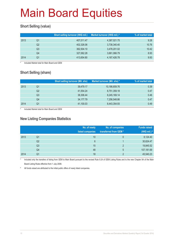### **Short Selling (value)**

|      |    | Short selling turnover (HK\$ mil.) | Market turnover (HK\$ mil.) * | % of market total |
|------|----|------------------------------------|-------------------------------|-------------------|
| 2013 | Q1 | 407,011.47                         | 4,387,021.75                  | 9.28              |
|      | Q2 | 402,326.06                         | 3,738,340.40                  | 10.76             |
|      | Q3 | 362,504.10                         | 3,478,201.02                  | 10.42             |
|      | Q4 | 327,062.28                         | 3,661,066.79                  | 8.93              |
| 2014 | Q1 | 413,654.80                         | 4, 167, 426. 78               | 9.93              |

Included Market total for Main Board and GEM

### **Short Selling (share)**

|      |    | <b>Short selling turnover (Mil. shs)</b> | Market turnover (Mil. shs) * | % of market total |
|------|----|------------------------------------------|------------------------------|-------------------|
| 2013 | Q1 | 39.479.17                                | 10,186,659.76                | 0.39              |
|      | Q2 | 41.554.24                                | 8,751,359.18                 | 0.47              |
|      | Q3 | 38,306.44                                | 8,245,169.14                 | 0.46              |
|      | Q4 | 34,177.79                                | 7,256,548.86                 | 0.47              |
| 2014 | Q1 | 41,100.03                                | 8,443,354.93                 | 0.49              |

Included Market total for Main Board and GEM

#### **New Listing Companies Statistics**

|      |                | No. of newly<br>listed companies | No. of companies<br>transferred from GEM * | <b>Funds raised</b><br>(HK\$ mil.) # |
|------|----------------|----------------------------------|--------------------------------------------|--------------------------------------|
| 2013 | Q1             | 10                               | 0                                          | 8,124.40                             |
|      | Q <sub>2</sub> | 6                                |                                            | 30,624.47                            |
|      | Q3             | 15                               | C                                          | 19,845.52                            |
|      | Q4             | 48                               | 5                                          | 107,181.69                           |
| 2014 | Q1             | 18                               | റ                                          | 45,540.23                            |

Included only the transfers of listing from GEM to Main Board pursuant to the revised Rule 9.24 of GEM Listing Rules and to the new Chapter 9A of the Main Board Listing Rules effective from 1 July 2008.

# All funds raised are attributed to the initial public offers of newly listed companies.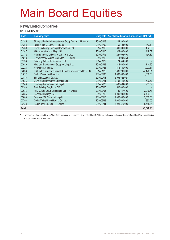#### **Newly Listed Companies**

for 1st quarter 2014

| Code         | <b>Company name</b>                                           |            |               | Listing date No. of issued shares Funds raised (HK\$ mil.) |
|--------------|---------------------------------------------------------------|------------|---------------|------------------------------------------------------------|
| 01385        | Shanghai Fudan Microelectronics Group Co. Ltd. - H Shares *   | 2014/01/08 | 242,330,000   |                                                            |
|              |                                                               |            |               |                                                            |
| 01353        | Fujian Nuogi Co., Ltd. - H Shares                             | 2014/01/09 | 160,794,000   | 342.49                                                     |
| 01439        | China Packaging Holdings Development Ltd.                     | 2014/01/13 | 800,000,000   | 102.00                                                     |
| 01247        | Miko International Holdings Ltd.                              | 2014/01/15 | 824,000,000   | 419.52                                                     |
| 03332        | Nanjing Sinolife United Co. Ltd. - H Shares                   | 2014/01/15 | 227.058.000   | 454.12                                                     |
| 01513        | Livzon Pharmaceutical Group Inc. - H Shares                   | 2014/01/16 | 111,993,354   |                                                            |
| 01738        | Feishang Anthracite Resources Ltd.                            | 2014/01/22 | 124,554,580   |                                                            |
| 02080        | Magnum Entertainment Group Holdings Ltd.                      | 2014/01/23 | 312,600,000   | 144.90                                                     |
| 02226        | Honworld Group Ltd.                                           | 2014/01/28 | 518,750,000   | 1,027.81                                                   |
| 02638        | HK Electric Investments and HK Electric Investments Ltd. - SS | 2014/01/29 | 8,836,200,000 | 24,126.61                                                  |
| 01622        | Redco Properties Group Ltd.                                   | 2014/01/30 | 1,600,000,000 | 1,000.00                                                   |
| 02886        | Binhai Investment Co. Ltd. *                                  | 2014/02/11 | 5,995,522,027 |                                                            |
| 01636        | China Metal Resources Utilization Ltd.                        | 2014/02/21 | 2,105,145,600 | 706.57                                                     |
| 01340        | Huisheng International Holdings Ltd.                          | 2014/02/28 | 402,484,000   | 251.09                                                     |
| 06288        | Fast Retailing Co., Ltd. - DR                                 | 2014/03/05 | 500,000,000   |                                                            |
| 03636        | Poly Culture Group Corporation Ltd. - H Shares                | 2014/03/06 | 89,447,600    | 2,916.77                                                   |
| 02255        | Haichang Holdings Ltd.                                        | 2014/03/13 | 4,000,000,000 | 2,450.00                                                   |
| 02608        | Sunshine 100 China Holdings Ltd.                              | 2014/03/13 | 2,000,000,000 | 2,000.00                                                   |
| 00798        | Optics Valley Union Holding Co. Ltd.                          | 2014/03/28 | 4,000,000,000 | 830.00                                                     |
| 06138        | Harbin Bank Co., Ltd. - H Shares                              | 2014/03/31 | 3,023,570,000 | 8,768.35                                                   |
| <b>Total</b> |                                                               |            |               | 45,540.23                                                  |

Transfers of listing from GEM to Main Board pursuant to the revised Rule 9.24 of the GEM Listing Rules and to the new Chapter 9A of the Main Board Listing Rules effective from 1 July 2008.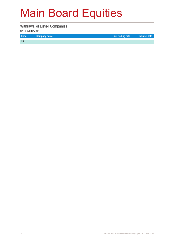#### **Withrawal of Listed Companies**

for 1st quarter 2014

| Code       | Company name | Last trading date | Delisted date |
|------------|--------------|-------------------|---------------|
| <b>NIL</b> |              |                   |               |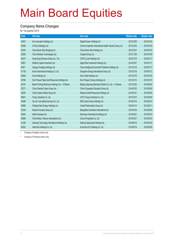#### **Company Name Changes**

for 1st quarter 2014

| Code  | Old name                                           | New name                                                 | <b>Effective date</b> | <b>Adoption date</b> |
|-------|----------------------------------------------------|----------------------------------------------------------|-----------------------|----------------------|
| 00547 | Sun Innovation Holdings Ltd.                       | Digital Domain Holdings Ltd.                             | 2013/12/06            | 2014/01/02           |
| 00286 | G-Prop (Holdings) Ltd.                             | Common Splendor International Health Industry Group Ltd. | 2013/12/03            | 2014/01/03           |
| 00245 | China Seven Star Shopping Ltd.                     | China Seven Star Holdings Ltd.                           | 2013/12/27            | 2014/01/07           |
| 02369 | China Wireless Technologies Ltd.                   | Coolpad Group Ltd.                                       | 2013/11/29            | 2014/01/09           |
| 00207 | Hong Kong Parkview Group Ltd., The                 | COFCO Land Holdings Ltd.                                 | 2013/12/19            | 2014/01/17           |
| 00901 | Radford Capital Investment Ltd.                    | Eagle Ride Investment Holdings Ltd.                      | 2014/01/07            | 2014/01/17           |
| 00871 | Xiangyu Dredging Holdings Ltd.                     | China Dredging Environment Protection Holdings Ltd.      | 2013/12/18            | 2014/01/17           |
| 01159 | Karce International Holdings Co. Ltd.              | Sinogreen Energy International Group Ltd.                | 2013/12/18            | 2014/01/21           |
| 00628 | Dore Holdings Ltd.                                 | Sino Credit Holdings Ltd.                                | 2013/12/16            | 2014/01/22           |
| 00766 | Sino Prosper State Gold Resources Holdings Ltd.    | Sino Prosper (Group) Holdings Ltd.                       | 2013/12/12            | 2014/01/27           |
| 00187 | Beiren Printing Machinery Holdings Ltd. - H Shares | Beijing Jingcheng Machinery Electric Co. Ltd. - H Shares | 2013/12/23            | 2014/02/04           |
| 02371 | China Oriental Culture Group Ltd.                  | China Chuanglian Education Group Ltd.                    | 2014/01/02            | 2014/02/04           |
| 00254 | China Outdoor Media Group Ltd.                     | National United Resources Holdings Ltd.                  | 2014/01/21            | 2014/02/04           |
| 00641 | Fong's Industries Co. Ltd.                         | CHTC Fong's Industries Co. Ltd.                          | 2013/12/10            | 2014/02/04           |
| 02366 | Oin Jia Yuan Media Services Co. Ltd.               | SMI Culture Group Holdings Ltd.                          | 2014/01/16            | 2014/02/10           |
| 00686 | Goldpoly New Energy Holdings Ltd.                  | United Photovoltaics Group Ltd.                          | 2014/01/10            | 2014/02/11           |
| 02339 | Norstar Founders Group Ltd.                        | BeijingWest Industries International Ltd.                | 2014/01/24            | 2014/03/04           |
| 00593 | Allied Overseas Ltd.                               | SkyOcean International Holdings Ltd.                     | 2014/02/21            | 2014/03/19           |
| 00989 | China Motion Telecom International Ltd.            | Ground Properties Co. Ltd.                               | 2014/01/27            | 2014/03/19           |
| 01236 | Qianlong Technology International Holdings Ltd.    | National Agricultural Holdings Ltd.                      | 2014/02/10            | 2014/03/20           |
| 00202 | Interchina Holdings Co. Ltd.                       | EverChina Int'l Holdings Co. Ltd.                        | 2014/03/18            | 2014/03/26           |

\* Change of English name only.

# Change of Chinese name only.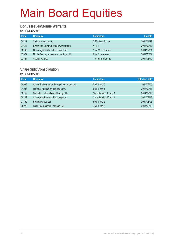#### **Bonus Issues/Bonus Warrants**

for 1st quarter 2014

| Code  | <b>Company</b>                         | <b>Particulars</b>   | Ex-date    |
|-------|----------------------------------------|----------------------|------------|
| 00211 | Styland Holdings Ltd.                  | 2 2015 wts for 10    | 2014/01/29 |
| 01613 | Synertone Communication Corporation    | 4 for 1              | 2014/02/12 |
| 00149 | China Agri-Products Exchange Ltd.      | 1 for 15 rts shares  | 2014/02/21 |
| 02322 | Noble Century Investment Holdings Ltd. | 2 for 1 rts shares   | 2014/03/07 |
| 02324 | Capital VC Ltd.                        | 1 wt for 4 offer shs | 2014/03/19 |

#### **Share Split/Consolidation**

for 1st quarter 2014

| <b>Code</b> | Company                                    | <b>Particulars</b>      | <b>Effective date</b> |
|-------------|--------------------------------------------|-------------------------|-----------------------|
| 00986       | China Environmental Energy Investment Ltd. | Split 1 into 5          | 2014/02/05            |
| 01236       | National Agricultural Holdings Ltd.        | Split 1 into 4          | 2014/02/11            |
| 00152       | Shenzhen International Holdings Ltd.       | Consolidation 10 into 1 | 2014/02/13            |
| 00149       | China Agri-Products Exchange Ltd.          | Consolidation 40 into 1 | 2014/02/18            |
| 01152       | Fornton Group Ltd.                         | Split 1 into 2          | 2014/03/06            |
| 00273       | Willie International Holdings Ltd.         | Split 1 into 5          | 2014/03/13            |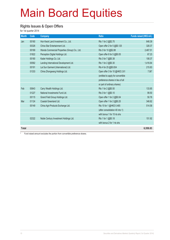#### **Rights Issues & Open Offers**

for 1st quarter 2014

| <b>Month</b> | Code  | <b>Company</b>                                | <b>Ratio</b>                       | Funds raised (HK\$ mil.) |
|--------------|-------|-----------------------------------------------|------------------------------------|--------------------------|
| Jan          | 00160 | Hon Kwok Land Investment Co., Ltd.            | Rts 1 for 2 @\$2.70                | 648.39                   |
|              | 00326 | China Star Entertainment Ltd.                 | Open offer 2 for 5 @\$0.125        | 328.37                   |
|              | 00169 | Wanda Commercial Properties (Group) Co., Ltd. | Rts 3 for 10 @\$2.88               | 2,467.51                 |
|              | 01822 | Perception Digital Holdings Ltd.              | Open offer 6 for 5 @\$0.05         | 67.23                    |
|              | 00180 | Kader Holdings Co. Ltd.                       | Rts 3 for 7 @\$0.38                | 108.37                   |
|              | 00582 | Landing International Development Ltd.        | Rts 1 for 2 @\$0.30                | 1,416.64                 |
|              | 00191 | Lai Sun Garment (International) Ltd.          | Rts 4 for 25 @\$0.834              | 215.83                   |
|              | 01333 | China Zhongwang Holdings Ltd.                 | Open offer 3 for 10 @HKD 2.61      | $7.06*$                  |
|              |       |                                               | (entitled to apply for convertible |                          |
|              |       |                                               | preference shares in lieu of all   |                          |
|              |       |                                               | or part of ordinary shares)        |                          |
| Feb          | 00643 | Carry Wealth Holdings Ltd.                    | Rts 1 for 2 @\$0.50                | 133.85                   |
|              | 01227 | National Investments Fund Ltd.                | Rts 3 for 1 @\$0.10                | 99.50                    |
|              | 00115 | Grand Field Group Holdings Ltd.               | Open offer 1 for 2 @\$0.04         | 50.76                    |
| Mar          | 01124 | Coastal Greenland Ltd.                        | Open offer 1 for 2 @\$0.25         | 348.82                   |
|              | 00149 | China Agri-Products Exchange Ltd.             | Rts 15 for 1 @HKD 0.465            | 514.58                   |
|              |       |                                               | (after consolidation 40 into 1)    |                          |
|              |       |                                               | with bonus 1 for 15 rts shs        |                          |
|              | 02322 | Noble Century Investment Holdings Ltd.        | Rts 1 for 1 @\$0.18                | 151.92                   |
|              |       |                                               | with bonus 2 for 1 rts shs         |                          |
| <b>Total</b> |       |                                               |                                    | 6,558.83                 |

\* Fund raised amount excludes the portion from convertible preference shares.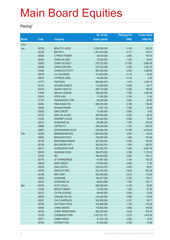#### **Placing\***

|              |       |                        | No. of new    | <b>Placing price</b> | <b>Funds raised</b> |
|--------------|-------|------------------------|---------------|----------------------|---------------------|
| <b>Month</b> | Code  | <b>Company</b>         | shares placed | (HK\$)               | (HK\$ mil.)         |
| 2014         |       |                        |               |                      |                     |
| Jan          | 00706 | <b>BEAUTI C HOLD</b>   | 2,000,000,000 | 0.100                | 200.00              |
|              | 02339 | <b>BWI INT'L</b>       | 1,351,070,395 | 0.117                | 157.81              |
|              | 06828 | C PRINT POWER          | 40,018,000    | 2.600                | 104.05              |
|              | 00204 | CHINA INV DEV          | 70,000,000    | 1.420                | 99.40               |
|              | 02883 | CHINA OILFIELD         | 276,272,000   | 21.300               | 5,884.59            |
|              | 00956 | <b>CHINA SUNTIEN</b>   | 476,725,396   | 3.350                | 1,597.03            |
|              | 01668 | <b>CHINASOUTHCITY</b>  | 680,300,000   | 2.200                | 1,496.66            |
|              | 00479 | <b>CIL HOLDINGS</b>    | 313,820,000   | 0.110                | 34.52               |
|              | 00875 | <b>CYPRESS JADE</b>    | 34,480,000    | 0.145                | 5.00                |
|              | 01777 | <b>FANTASIA</b>        | 863,600,074   | 1.413                | 1,220.18            |
|              | 02123 | <b>GOLDEN SHIELD</b>   | 113,000,000   | 0.290                | 32.77               |
|              | 00419 | <b>JIUHAO HEALTH</b>   | 285,714,285   | 0.350                | 100.00              |
|              | 01680 | <b>MACAU LEGEND</b>    | 188,000,000   | 7.250                | 1,363.00            |
|              | 00810 | <b>OPES ASIA</b>       | 71,832,000    | 0.165                | 11.85               |
|              | 01187 | PEARLRIVER TYRE        | 20,000,000    | 2.500                | 50.00               |
|              | 00364 | PING SHAN TEA          | 600,000,000   | 0.180                | 108.00              |
|              | 00460 | <b>SIHUAN PHARM</b>    | 7,067,103     | 7.550                | 53.36               |
|              | 00628 | <b>SINO CREDIT</b>     | 10,000,000    | 0.650                | 6.50                |
|              | 00702 | SINO OIL & GAS         | 300,000,000   | 0.220                | 66.00               |
|              | 01020 | SINOREF HLDGS          | 200,000,000   | 0.380                | 76.00               |
|              | 02012 | <b>SUNSHINE OIL</b>    | 90,588,235    | 1.700                | 154.00              |
|              | 00686 | <b>UNITED PV</b>       | 480,000,000   | 1.720                | 825.60              |
|              | 00881 | ZHONGSHENG HLDG        | 238,560,162   | 10.799               | 2,576.25            |
| Feb          | 02309 | <b>BIRMINGHAM INTL</b> | 1,260,000,000 | 0.050                | 63.00               |
|              | 00653 | <b>BONJOUR HOLD</b>    | 105,000,000   | 1.560                | 163.80              |
|              | 00159 | <b>BROCKMAN MINING</b> | 487,500,000   | 0.400                | 195.00              |
|              | 00108 | <b>BUILDMORE INT'L</b> | 395,920,914   | 1.000                | 395.92              |
|              | 00317 | <b>GUANGZHOU SHIP</b>  | 387,453,797   | 7.290                | 2,824.54            |
|              | 00816 | <b>HUADIAN FUXIN</b>   | 356,975,520   | 3.300                | 1,178.02            |
|              | 01029 | <b>IRC</b>             | 165,000,000   | 0.940                | 155.10              |
|              | 00776 | <b>JF FURNISHINGS</b>  | 47,867,000    | 3.140                | 150.30              |
|              | 00628 | <b>SINO CREDIT</b>     | 110,000,000   | 0.650                | 71.50               |
|              | 00039 | SINO DISTILL           | 239,032,479   | 0.405                | 96.81               |
|              | 00476 | SINOCOP RES            | 422,300,000   | 0.600                | 253.38              |
|              | 00198 | <b>SMI CORP</b>        | 550,000,000   | 0.210                | 115.50              |
|              | 00509 | <b>SUNSHINE</b>        | 155,077,000   | 0.750                | 116.31              |
|              | 02012 | SUNSHINE OIL           | 90,653,958    | 1.700                | 154.11              |
| Mar          | 00720 | <b>AUTO ITALIA</b>     | 500,000,000   | 0.125                | 62.50               |
|              | 01428 | <b>BRIGHT SMART</b>    | 75,000,000    | 1.300                | 97.50               |
|              | 02312 | CH FIN LEASING         | 88,600,000    | 0.260                | 23.04               |
|              | 00009 | CHEUNG WO IHL          | 214,200,000   | 0.560                | 119.95              |
|              | 00651 | CHI O SHIPBLDG         | 530,000,000   | 0.107                | 56.71               |
|              | 00756 | CHI TIANYI HOLD        | 103,888,000   | 1.120                | 116.35              |
|              | 00904 | <b>CHINA GREEN</b>     | 176,805,000   | 0.600                | 106.08              |
|              | 00182 | <b>CHINA WINDPOWER</b> | 880,000,000   | 0.430                | 378.40              |
|              | 01278 | <b>CHINANEWTOWN</b>    | 5,347,921,071 | 0.270                | 1,443.94            |
|              | 00471 | <b>CMMB VISION</b>     | 61,035,149    | 0.260                | 15.87               |
|              | 00764 | <b>ETERNITY INV</b>    | 91,000,000    | 0.780                | 70.98               |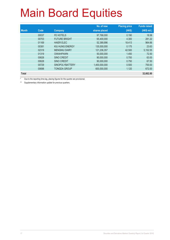|              |       |                        | No. of new    | <b>Placing price</b> | <b>Funds raised</b> |
|--------------|-------|------------------------|---------------|----------------------|---------------------|
| <b>Month</b> | Code  | <b>Company</b>         | shares placed | (HK\$)               | (HK\$ mil.)         |
|              | 00037 | FE HOTELS              | 97,768,000    | 0.190                | 18.58               |
|              | 00703 | <b>FUTURE BRIGHT</b>   | 65,400,000    | 4.300                | 281.22              |
|              | 01169 | <b>HAIER ELEC</b>      | 52,389,996    | 18.413               | 964.66              |
|              | 00381 | KIU HUNG ENERGY        | 135,000,000   | 0.175                | 23.63               |
|              | 02319 | <b>MENGNIU DAIRY</b>   | 121,236,357   | 42.500               | 5,152.55            |
|              | 01319 | <b>OIWAHPAWN</b>       | 50.000.000    | 1.450                | 72.50               |
|              | 00628 | <b>SINO CREDIT</b>     | 90,000,000    | 0.700                | 63.00               |
|              | 00628 | <b>SINO CREDIT</b>     | 90,000,000    | 0.750                | 67.50               |
|              | 00729 | <b>SINOPOLYBATTERY</b> | 1,400,000,000 | 0.500                | 700.00              |
|              | 00698 | <b>TONGDA GROUP</b>    | 600,000,000   | 1.120                | 672.00              |
| <b>Total</b> |       |                        |               |                      | 32,662.80           |

Due to the reporting time-lag, placing figures for the quarter are provisional.

\*\* Supplementary information update for previous quarters.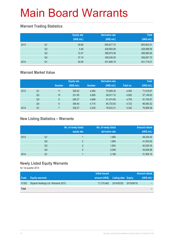### **Warrant Trading Statistics**

|      |                | <b>Equity wts</b><br>(HK\$ mil.) | <b>Derivative wts</b><br>(HK\$ mil.) | <b>Total</b><br>(HK\$ mil.) |
|------|----------------|----------------------------------|--------------------------------------|-----------------------------|
| 2013 | Q <sub>1</sub> | 25.69                            | 605,817.72                           | 605,843.41                  |
|      | Q <sub>2</sub> | 5.48                             | 428,993.08                           | 428,998.56                  |
|      | Q <sub>3</sub> | 12.47                            | 389,973.38                           | 389,985.85                  |
|      | Q4             | 37.19                            | 358,530.50                           | 358,567.70                  |
| 2014 | Q <sub>1</sub> | 30.09                            | 431,689.18                           | 431,719.27                  |

### **Warrant Market Value**

|      |                |               | <b>Equity wts</b> |               | <b>Derivative wts</b> |           | <b>Total</b> |
|------|----------------|---------------|-------------------|---------------|-----------------------|-----------|--------------|
|      |                | <b>Number</b> | (HK\$ mil.)       | <b>Number</b> | (HK\$ mil.)           | Total no. | (HK\$ mil.)  |
| 2013 | Q1             | 11            | 359.52            | 4,484         | 70,659.35             | 4,495     | 71,018.87    |
|      | Q <sub>2</sub> | 10            | 231.90            | 4.895         | 56.917.10             | 4,905     | 57,149.00    |
|      | Q3             | 9             | 280.27            | 4.696         | 91.474.60             | 4.705     | 91,754.87    |
|      | Q4             | 8             | 356.40            | 4.715         | 95,733.93             | 4,723     | 96,090.32    |
| 2014 | Q1             |               | 336.27            | 5,335         | 76,633.31             | 5,342     | 76,969.58    |

### **New Listing Statistics – Warrants**

|      |                | No. of newly listed<br>equity wts | No. of newly listed<br>derivative wts | <b>Amount raised</b><br>(HK\$ mil.) |
|------|----------------|-----------------------------------|---------------------------------------|-------------------------------------|
| 2013 | Q1             |                                   | 1,880                                 | 48,254.00                           |
|      | Q2             | っ                                 | 1,684                                 | 41,005.85                           |
|      | Q <sub>3</sub> | 0                                 | 1,654                                 | 40,026.39                           |
|      | Q4             | 0                                 | 2,046                                 | 45,648.98                           |
| 2014 | Q1             |                                   | 2,188                                 | 51,909.16                           |

#### **Newly Listed Equity Warrants**

for 1st quarter 2014

|              |                                     | Initial issued |                     |            | <b>Amount raised</b> |
|--------------|-------------------------------------|----------------|---------------------|------------|----------------------|
| <b>Code</b>  | <b>Equity warrants</b>              | amount (HK\$)  | Listing date Expiry |            | (HK\$ mil.)          |
| 01352        | Styland Holdings Ltd. Warrants 2015 | 71.315.462     | 2014/02/20          | 2015/08/18 | -                    |
| <b>Total</b> |                                     |                |                     |            | -                    |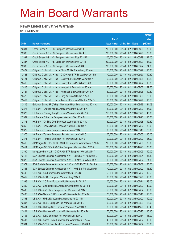#### **Newly Listed Derivative Warrants**

for 1st quarter 2014

|       |                                                               |               |                            | <b>Amount</b> |
|-------|---------------------------------------------------------------|---------------|----------------------------|---------------|
|       |                                                               | No. of        |                            | raised        |
| Code  | <b>Derivative warrants</b>                                    | issue (units) | <b>Listing date Expiry</b> | $(HK$$ mil.)  |
| 12384 | Credit Suisse AG - HSI European Warrants Apr 2014 F           | 200,000,000   | 2014/01/02 2014/04/29      | 30.00         |
| 12386 | Credit Suisse AG - HSI European Warrants Apr 2014 G           | 200,000,000   | 2014/01/02 2014/04/29      | 30.00         |
| 12382 | Credit Suisse AG - HSI European Warrants May 2014 E           | 200,000,000   | 2014/01/02 2014/05/29      | 32.00         |
| 12387 | Credit Suisse AG - HSI European Warrants May 2014 F           | 200,000,000   | 2014/01/02 2014/05/29      | 54.00         |
| 12388 | Credit Suisse AG - HSI European Warrants Jun 2014 C           | 200,000,000   | 2014/01/02 2014/06/27      | 34.00         |
| 12422 | Citigroup Global Mkt H Inc. - China Mobile Eur Wt Aug 2014 A  | 100,000,000   | 2014/01/02 2014/08/22      | 15.00         |
| 12423 | Citigroup Global Mkt H Inc. - CSOP A50 ETF Eu Wts May 2014 B  | 70,000,000    | 2014/01/02 2014/05/27      | 10.50         |
| 12421 | Citigroup Global Mkt H Inc. - Galaxy Ent Euro Wts May 2014 A  | 60,000,000    | 2014/01/02 2014/05/05      | 13.20         |
| 12419 | Citigroup Global Mkt H Inc. - Galaxy Ent Eu Put Wt Apr 14 B   | 60,000,000    | 2014/01/02 2014/04/22      | 10.80         |
| 12418 | Citigroup Global Mkt H Inc. - Henganintl Euro Wts Jul 2014 A  | 50,000,000    | 2014/01/02 2014/07/02      | 27.50         |
| 12424 | Citigroup Global Mkt H Inc. - Hutchison Eu Put Wt May 2014 A  | 60,000,000    | 2014/01/02 2014/05/26      | 10.50         |
| 12420 | Citigroup Global Mkt H Inc. - Ping An Euro Wts Jun 2014 A     | 100,000,000   | 2014/01/02 2014/06/03      | 23.00         |
| 12417 | Citigroup Global Mkt H Inc. - Tencent European Wts Apr 2014 D | 100,000,000   | 2014/01/02 2014/04/29      | 15.50         |
| 12416 | Goldman Sachs SP (Asia) - New World Dev Euro Wts Sep 2014 A   | 80,000,000    | 2014/01/02 2014/09/29      | 24.08         |
| 12374 | HK Bank - Cheung Kong European Warrants Jul 2014 A            | 80,000,000    | 2014/01/02 2014/07/02      | 36.00         |
| 12375 | HK Bank - Cheung Kong European Warrants Mar 2017 A            | 250,000,000   | 2014/01/02 2017/03/28      | 45.00         |
| 12369 | HK Bank - China Life European Warrants Sep 2014 B             | 100,000,000   | 2014/01/02 2014/09/23      | 15.00         |
| 12373 | HK Bank - Ch Ship Cont European Warrants Jul 2014 A           | 50,000,000    | 2014/01/02 2014/07/28      | 12.50         |
| 12368 | HK Bank - Sands China European Warrants Jul 2014 A            | 80,000,000    | 2014/01/02 2014/07/02      | 36.00         |
| 12372 | HK Bank - Tencent European Warrants Jun 2014 D                | 100,000,000   | 2014/01/02 2014/06/10      | 25.00         |
| 12370 | HK Bank - Tencent European Put Warrants Jun 2014 C            | 100,000,000   | 2014/01/02 2014/06/03      | 15.00         |
| 12371 | HK Bank – Tencent European Put Warrants Jul 2014 B            | 100,000,000   | 2014/01/02 2014/07/02      | 25.00         |
| 12415 | J P Morgan SP BV - CSOP A50 ETF European Warrants Jul 2015 B  | 200,000,000   | 2014/01/02 2015/07/06      | 30.00         |
| 12414 | J P Morgan SP BV - A50 China European Warrants Dec 2015 A     | 200,000,000   | 2014/01/02 2015/12/23      | 30.00         |
| 12390 | Macquarie Bank Ltd. - CSOP A50 ETF European Wts Jul 2014 A    | 40,000,000    | 2014/01/02 2014/07/03      | 10.00         |
| 12413 | SGA Societe Generale Acceptance N.V. - CLife Eu Wt Aug 2014 D | 180,000,000   | 2014/01/02 2014/08/04      | 37.80         |
| 12376 | SGA Societe Generale Acceptance N.V. - Ch Mob Eu Wt Jul 14 A  | 100,000,000   | 2014/01/02 2014/07/02      | 21.00         |
| 12379 | SGA Societe Generale Acceptance N.V. - HSBC Eu Wt Jul 2014 A  | 100,000,000   | 2014/01/02 2014/07/02      | 25.00         |
| 12381 | SGA Societe Generale Acceptance N.V. - HWL Eur Put Wt Jul14D  | 70,000,000    | 2014/01/02 2014/07/02      | 15.40         |
| 12405 | UBS AG - AIA European Put Warrants Jul 2014 B                 | 50,000,000    | 2014/01/02 2014/07/02      | 12.50         |
| 12412 | UBS AG - BOCL European Warrants Aug 2014 A                    | 100,000,000   | 2014/01/02 2014/08/26      | 18.00         |
| 12393 | UBS AG - CC Bank European Put Warrants Jul 2014 D             | 100,000,000   | 2014/01/02 2014/07/14      | 28.00         |
| 12392 | UBS AG - China Mobile European Put Warrants Jul 2014 B        | 100,000,000   | 2014/01/02 2014/07/02      | 40.00         |
| 12400 | UBS AG - A50 China European Put Warrants Jul 2014 B           | 50,000,000    | 2014/01/02 2014/07/02      | 15.00         |
| 12408 | UBS AG - Galaxy Ent European Put Warrants Jun 2014 D          | 70,000,000    | 2014/01/02 2014/06/16      | 10.50         |
| 12398 | UBS AG - HKEx European Put Warrants Jul 2014 B                | 40,000,000    | 2014/01/02 2014/07/02      | 10.00         |
| 12397 | UBS AG - HSBC European Put Warrants Jun 2014 C                | 100,000,000   | 2014/01/02 2014/06/09      | 26.00         |
| 12411 | UBS AG - Haitong Sec European Warrants Nov 2014 A             | 80,000,000    | 2014/01/02 2014/11/26      | 18.40         |
| 12404 | UBS AG - Hutchison European Put Warrants Jun 2014 D           | 70,000,000    | 2014/01/02 2014/06/23      | 16.10         |
| 12403 | UBS AG - ICBC European Put Warrants Jul 2014 C                | 60,000,000    | 2014/01/02 2014/07/14      | 15.00         |
| 12407 | UBS AG - Sands China European Put Warrants Jul 2014 A         | 40,000,000    | 2014/01/02 2014/07/02      | 10.00         |
| 12391 | UBS AG - SPDR Gold Trust European Warrants Jul 2014 A         | 100,000,000   | 2014/01/02 2014/07/02      | 60.00         |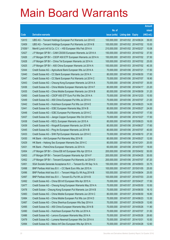|         |                                                               |               |                            |                       | <b>Amount</b> |
|---------|---------------------------------------------------------------|---------------|----------------------------|-----------------------|---------------|
|         |                                                               | No. of        |                            |                       | raised        |
| Code    | <b>Derivative warrants</b>                                    | issue (units) | <b>Listing date Expiry</b> |                       | (HK\$ mil.)   |
| 12410   | UBS AG - Tencent Holdings European Put Warrants Jun 2014 E    | 100,000,000   |                            | 2014/01/02 2014/06/24 | 39.00         |
| 12409   | UBS AG - Tencent Holdings European Put Warrants Jul 2014 B    | 100,000,000   |                            | 2014/01/02 2014/07/02 | 15.00         |
| 21836 # | Merrill Lynch Int'l & Co. C.V. - HSI European Wts Feb 2014 A  | 210,000,000   |                            | 2014/01/02 2014/02/27 | 10.08         |
| 12427   | J P Morgan SP BV - CAM CSI300 European Warrants Jul 2014 A    | 150,000,000   |                            | 2014/01/03 2014/07/02 | 37.50         |
| 12426   | J P Morgan SP BV - CSOP A50 ETF European Warrants Jul 2014 A  | 150,000,000   |                            | 2014/01/03 2014/07/02 | 37.50         |
| 12428   | J P Morgan SP BV - China Tel European Warrants Jul 2014 A     | 100,000,000   |                            | 2014/01/03 2014/07/02 | 25.00         |
| 12425   | J P Morgan SP BV - A50 China European Warrants Jul 2014 A     | 150,000,000   |                            | 2014/01/03 2014/07/02 | 40.35         |
| 12444   | Credit Suisse AG - Agricultural Bank European Wts Jul 2014 A  | 70,000,000    | 2014/01/06 2014/07/21      |                       | 17.50         |
| 12440   | Credit Suisse AG - CC Bank European Warrants Jun 2014 A       | 80,000,000    |                            | 2014/01/06 2014/06/30 | 17.60         |
| 12447   | Credit Suisse AG - CC Bank European Put Warrants Jul 2014 C   | 70,000,000    |                            | 2014/01/06 2014/07/07 | 18.90         |
| 12443   | Credit Suisse AG - Cheung Kong European Warrants Jul 2014 A   | 70,000,000    |                            | 2014/01/06 2014/07/07 | 35.00         |
| 12436   | Credit Suisse AG - China Mobile European Warrants Apr 2014 F  | 80,000,000    |                            | 2014/01/06 2014/04/17 | 23.20         |
| 12435   | Credit Suisse AG - China Mobile European Warrants Jun 2014 B  | 80,000,000    |                            | 2014/01/06 2014/06/09 | 31.20         |
| 12450   | Credit Suisse AG - CSOP A50 ETF Euro Put Wts Dec 2014 A       | 70,000,000    |                            | 2014/01/06 2014/12/23 | 10.50         |
| 12449   | Credit Suisse AG - A50 China European Put Wts Jul 2014 A      | 70,000,000    |                            | 2014/01/06 2014/07/07 | 21.00         |
| 12442   | Credit Suisse AG - Hutchison European Put Wts Jun 2014 E      | 70,000,000    |                            | 2014/01/06 2014/06/23 | 14.00         |
| 12441   | Credit Suisse AG - ICBC European Warrants May 2014 B          | 80,000,000    |                            | 2014/01/06 2014/05/27 | 24.00         |
| 12448   | Credit Suisse AG - ICBC European Put Warrants Jul 2014 C      | 70,000,000    |                            | 2014/01/06 2014/07/07 | 17.50         |
| 12437   | Credit Suisse AG - Jiangxi Copper European Wts Oct 2014 C     | 70,000,000    |                            | 2014/01/06 2014/10/27 | 17.50         |
| 12438   | Credit Suisse AG - KECL European Warrants Jun 2015 A          | 80,000,000    |                            | 2014/01/06 2015/06/23 | 16.00         |
| 12439   | Credit Suisse AG - Kingsoft European Warrants Jun 2014 B      | 80,000,000    |                            | 2014/01/06 2014/06/27 | 17.60         |
| 12445   | Credit Suisse AG - Ping An European Warrants Jul 2014 B       | 80,000,000    |                            | 2014/01/06 2014/07/07 | 40.00         |
| 12433   | Credit Suisse AG - SHK Ppt European Warrants Jun 2014 C       | 70,000,000    |                            | 2014/01/06 2014/06/10 | 27.30         |
| 12430   | HK Bank - AIA European Put Warrants May 2014 B                | 80,000,000    |                            | 2014/01/06 2014/05/27 | 12.00         |
| 12429   | HK Bank - Haitong Sec European Warrants Dec 2014 C            | 80,000,000    | 2014/01/06 2014/12/01      |                       | 20.00         |
| 12431   | HK Bank - PetroChina European Warrants Jul 2014 A             | 60,000,000    | 2014/01/06 2014/07/07      |                       | 18.00         |
| 12454   | J P Morgan SP BV - China EB Int'l European Wts Apr 2015 A     | 200,000,000   |                            | 2014/01/06 2015/04/02 | 50.00         |
| 12453   | J P Morgan SP BV - Tencent European Warrants Apr 2014 F       | 200,000,000   | 2014/01/06 2014/04/25      |                       | 30.00         |
| 12452   | J P Morgan SP BV - Tencent European Put Warrants Jul 2014 D   | 200,000,000   | 2014/01/06 2014/07/07      |                       | 87.20         |
| 12451   | SGA Societe Generale Acceptance N.V. - Tencent Eu Wt Sep 14 A | 150,000,000   | 2014/01/06 2014/09/03      |                       | 33.75         |
| 12498   | BNP Paribas Arbit Issu B.V. - CC Bank Euro Wts Jan 2015 A     | 100,000,000   |                            | 2014/01/07 2015/01/05 | 25.00         |
| 12496   | BNP Paribas Arbit Issu B.V. - Tencent HIdgs Eu Wt Aug 2014 B  | 100,000,000   |                            | 2014/01/07 2014/08/04 | 25.00         |
| 12497   | BNP Paribas Arbit Issu B.V. - Tencent Eu Put Wt Jul 2014 B    | 100,000,000   |                            | 2014/01/07 2014/07/03 | 23.00         |
| 12492   | Credit Suisse AG - China EB Int'l European Wts Apr 2015 A     | 70,000,000    | 2014/01/07 2015/04/27      |                       | 17.50         |
| 12477   | Credit Suisse AG - Cheung Kong European Warrants May 2014 A   | 70,000,000    |                            | 2014/01/07 2014/05/30 | 10.50         |
| 12478   | Credit Suisse - Cheung Kong European Put Warrants Jun 2014 B  | 70,000,000    |                            | 2014/01/07 2014/06/30 | 16.10         |
| 12483   | Credit Suisse AG - China Mobile European Warrants Jun 2014 C  | 80,000,000    |                            | 2014/01/07 2014/06/30 | 16.80         |
| 12484   | Credit Suisse AG - China Mobile European Put Wts Jun 2014 D   | 70,000,000    | 2014/01/07 2014/06/23      |                       | 13.30         |
| 12487   | Credit Suisse AG - China Shenhua European Wts Sep 2014 A      | 70,000,000    |                            | 2014/01/07 2014/09/29 | 12.60         |
| 12495   | Credit Suisse AG - A50 China European Warrants May 2014 B     | 70,000,000    | 2014/01/07 2014/05/26      |                       | 11.90         |
| 12490   | Credit Suisse AG - Hutchison European Put Wts Jul 2014 A      | 70,000,000    | 2014/01/07 2014/07/07      |                       | 31.50         |
| 12486   | Credit Suisse AG - Lenovo European Warrants May 2014 A        | 70,000,000    | 2014/01/07 2014/05/26      |                       | 26.60         |
| 12479   | Credit Suisse AG - Lumena Newmat European Wts Oct 2014 A      | 70,000,000    | 2014/01/07 2014/10/31      |                       | 10.50         |
| 12494   | Credit Suisse AG - Melco Int'l Dev European Wts Apr 2014 A    | 70,000,000    | 2014/01/07 2014/04/28      |                       | 12.60         |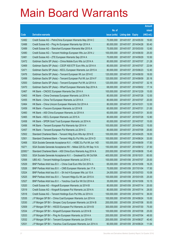|         |                                                                |               |                       |            | <b>Amount</b> |
|---------|----------------------------------------------------------------|---------------|-----------------------|------------|---------------|
|         |                                                                | No. of        |                       |            | raised        |
| Code    | <b>Derivative warrants</b>                                     | issue (units) | Listing date Expiry   |            | (HK\$ mil.)   |
| 12482   | Credit Suisse AG - PetroChina European Warrants May 2014 C     | 70,000,000    | 2014/01/07 2014/05/30 |            | 19.60         |
| 12488   | Credit Suisse AG – Ping An European Warrants Apr 2014 A        | 80,000,000    | 2014/01/07 2014/04/28 |            | 50.40         |
| 12489   | Credit Suisse AG - Stanchart European Warrants Mar 2015 A      | 70,000,000    | 2014/01/07 2015/03/30 |            | 12.60         |
| 12480   | Credit Suisse AG – Tencent Holdings European Wts Jun 2014 J    | 100,000,000   | 2014/01/07 2014/06/30 |            | 25.00         |
| 12481   | Credit Suisse AG - ZTE European Warrants Sep 2014 A            | 70,000,000    | 2014/01/07 2014/09/29 |            | 10.50         |
| 12472   | Goldman Sachs SP (Asia) - China Mobile Euro Wts Jul 2014 A     | 80,000,000    | 2014/01/07 2014/07/07 |            | 21.28         |
| 12469   | Goldman Sachs SP (Asia) - CSOP A50 ETF Euro Wts Jul 2014 A     | 80,000,000    | 2014/01/07 2014/07/07 |            | 22.64         |
| 12471   | Goldman Sachs SP (Asia) – KECL European Warrants Jun 2015 A    | 80,000,000    | 2014/01/07 2015/06/23 |            | 12.40         |
| 12476   | Goldman Sachs SP (Asia) – Tencent European Wt Jun 2014 E       | 120,000,000   | 2014/01/07 2014/06/30 |            | 18.00         |
| 12499   | Goldman Sachs SP (Asia) – Tencent European Put Wt Jun 2014 F   | 120,000,000   | 2014/01/07 2014/06/09 |            | 20.16         |
| 12500   | Goldman Sachs SP (Asia) - Tencent European Put Wt Jul 2014 A   | 120,000,000   | 2014/01/07 2014/07/07 |            | 32.16         |
| 12470   | Goldman Sachs SP (Asia) – Wharf European Warrants Sep 2014 A   | 68,000,000    | 2014/01/07 2014/09/02 |            | 17.14         |
| 12467   | HK Bank - CNOOC European Warrants Dec 2014 A                   | 100,000,000   | 2014/01/07 2014/12/29 |            | 15.00         |
| 12463   | HK Bank – China Overseas European Warrants Jul 2014 A          | 80,000,000    | 2014/01/07 2014/07/28 |            | 12.00         |
| 12455   | HK Bank - China Tel European Warrants Jul 2014 A               | 80,000,000    | 2014/01/07 2014/07/07 |            | 20.00         |
| 12464   | HK Bank - China Unicom European Warrants Oct 2014 A            | 80,000,000    | 2014/01/07 2014/10/31 |            | 12.00         |
| 12459   | HK Bank - Foxconn European Warrants Jul 2014 B                 | 60,000,000    | 2014/01/07 2014/07/31 |            | 21.00         |
| 12460   | HK Bank - A50 China European Warrants Jul 2014 A               | 60,000,000    | 2014/01/07 2014/07/31 |            | 30.00         |
| 12465   | HK Bank - KECL European Warrants Jul 2015 A                    | 80,000,000    | 2014/01/07 2015/07/28 |            | 12.80         |
| 12458   | HK Bank – SPDR Gold Trust European Warrants Jul 2014 A         | 60,000,000    | 2014/01/07 2014/07/07 |            | 15.00         |
| 12456   | HK Bank - Tencent European Put Warrants Apr 2014 H             | 100,000,000   | 2014/01/07 2014/04/22 |            | 15.00         |
| 12457   | HK Bank - Tencent European Put Warrants Jul 2014 C             | 80,000,000    | 2014/01/07 2014/07/09 |            | 25.60         |
| 12502   | Standard Chartered Bank - Tencent Hidg Euro Wts Apr 2014 E     | 100,000,000   | 2014/01/07 2014/04/25 |            | 18.00         |
| 12501   | Standard Chartered Bank - Tencent Hidg Eu Put Wts Jun 2014 D   | 100,000,000   | 2014/01/07 2014/06/24 |            | 33.00         |
| 12468   | SGA Societe Generale Acceptance N.V. - HSBC Eu Put Wt Jun 14D  | 100,000,000   | 2014/01/07 2014/06/09 |            | 17.50         |
| 10271   | SGA Societe Generale Acceptance NV - Nikkei 225 Eu Wt Sep 14 A | 150,000,000   | 2014/01/07 2014/09/12 |            | 37.50         |
| 22083 # | Standard Chartered Bank - A50 China Euro Warrants Aug 2014 A   | 200,000,000   | 2014/01/07 2014/08/08 |            | 15.40         |
| 12503   | SGA Societe Generale Acceptance N.V. - Greatwall Eu Wt Oct16A  | 400,000,000   | 2014/01/08 2016/10/31 |            | 60.00         |
| 12506   | UBS AG - Tencent Holdings European Warrants Jul 2014 C         | 100,000,000   | 2014/01/08 2014/07/07 |            | 25.00         |
| 12529   | BNP Paribas Arbit Issu B.V. - China Coal Euro Wts Oct 2014 A   | 65,000,000    | 2014/01/09 2014/10/06 |            | 16.25         |
| 12526   | BNP Paribas Arbit Issu B.V. - CMS European Warrants Jan 17 A   | 70,000,000    | 2014/01/09 2017/01/04 |            | 17.50         |
| 12524   | BNP Paribas Arbit Issu B.V. - Sh Ind H European Wts Jul 15 A   | 24,000,000    | 2014/01/09 2015/07/03 |            | 10.08         |
| 12525   | BNP Paribas Arbit Issu B.V. - Tencent HIdgs Eu Wt Jan 2015 A   | 100,000,000   | 2014/01/09 2015/01/05 |            | 25.00         |
| 12527   | BNP Paribas Arbit Issu B.V. - Yanzhou Coal Eur Wt Oct 2014 A   | 35,000,000    | 2014/01/09 2014/10/06 |            | 10.15         |
| 12520   | Credit Suisse AG - Kingsoft European Warrants Jul 2014 B       | 80,000,000    | 2014/01/09 2014/07/14 |            | 20.00         |
| 12519   | Credit Suisse AG - Kingsoft European Put Warrants Jul 2014 A   | 80,000,000    | 2014/01/09 2014/07/14 |            | 28.00         |
| 12518   | Credit Suisse AG - Tencent Holdings Euro Put Wts Jul 2014 A    | 100,000,000   | 2014/01/09 2014/07/14 |            | 36.00         |
| 12535   | J P Morgan SP BV - China Coal European Warrants Jun 2014 A     | 100,000,000   | 2014/01/09 2014/06/24 |            | 15.00         |
| 12530   | J P Morgan SP BV - Sinopec Corp European Warrants Jul 2014 B   | 200,000,000   | 2014/01/09 2014/07/08 |            | 50.00         |
| 12509   | J P Morgan SP BV - HSCEI European Put Warrants Jul 2014 B      | 300,000,000   | 2014/01/09 2014/07/30 |            | 75.00         |
| 12534   | J P Morgan SP BV - Kingsoft European Warrants Jul 2014 B       | 100,000,000   | 2014/01/09 2014/07/08 |            | 25.00         |
| 12533   | J P Morgan SP BV - Ping An European Warrants Jul 2014 A        | 200,000,000   | 2014/01/09 2014/07/04 |            | 48.00         |
| 12532   | J P Morgan SP BV - Tencent European Warrants Jun 2014 B        | 200,000,000   | 2014/01/09            | 2014/06/27 | 40.40         |
| 12531   | J P Morgan SP BV - Yanzhou Coal European Warrants Jun 2014 A   | 60,000,000    | 2014/01/09 2014/06/24 |            | 11.64         |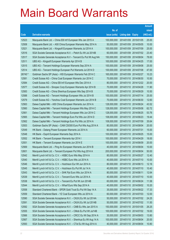|         |                                                                |               |                            |                       | <b>Amount</b> |
|---------|----------------------------------------------------------------|---------------|----------------------------|-----------------------|---------------|
|         |                                                                | No. of        |                            |                       | raised        |
| Code    | <b>Derivative warrants</b>                                     | issue (units) | <b>Listing date Expiry</b> |                       | (HK\$ mil.)   |
| 12523   | Macquarie Bank Ltd. - China EB Int'l European Wts Jan 2015 A   | 100,000,000   |                            | 2014/01/09 2015/01/05 | 25.00         |
| 12508   | Macquarie Bank Ltd. - A50 China European Warrants May 2014 A   | 50,000,000    |                            | 2014/01/09 2014/05/05 | 10.00         |
| 12521   | Macquarie Bank Ltd. - Kingsoft European Warrants Jul 2014 A    | 100,000,000   | 2014/01/09 2014/07/09      |                       | 25.00         |
| 12516   | SGA Societe Generale Acceptance N.V. - Petch Eu Wt Jul 2014B   | 60,000,000    |                            | 2014/01/09 2014/07/02 | 23.40         |
| 12517   | SGA Societe Generale Acceptance N.V - Tencent Eu Put Wt Aug14A | 150,000,000   |                            | 2014/01/09 2014/08/04 | 78.00         |
| 12511   | UBS AG - Kingsoft European Warrants Apr 2014 B                 | 100,000,000   |                            | 2014/01/09 2014/04/25 | 17.00         |
| 12515   | UBS AG - Tencent Holdings European Warrants Sep 2014 A         | 100,000,000   | 2014/01/09 2014/09/08      |                       | 25.00         |
| 12514   | UBS AG - Tencent Holdings European Put Warrants Jul 2014 D     | 100,000,000   |                            | 2014/01/09 2014/07/08 | 47.00         |
| 26745 # | Goldman Sachs SP (Asia) - HSI European Warrants Feb 2014 C     | 165,000,000   |                            | 2014/01/09 2014/02/27 | 10.23         |
| 12581   | Credit Suisse AG - China Coal European Warrants Jun 2014 C     | 70,000,000    |                            | 2014/01/10 2014/06/30 | 10.50         |
| 12584   | Credit Suisse AG - China EB Int'l European Wts Dec 2014 A      | 80,000,000    |                            | 2014/01/10 2014/12/22 | 20.00         |
| 12577   | Credit Suisse AG - Sinopec Corp European Warrants Apr 2014 B   | 70,000,000    | 2014/01/10 2014/04/28      |                       | 11.90         |
| 12583   | Credit Suisse AG - China Shenhua European Wts Sep 2014 B       | 70,000,000    |                            | 2014/01/10 2014/09/29 | 10.50         |
| 12588   | Credit Suisse AG - Tencent Holdings European Wts Jul 2014 B    | 100,000,000   |                            | 2014/01/10 2014/07/14 | 25.00         |
| 12579   | Credit Suisse AG - Yanzhou Coal European Warrants Jun 2014 B   | 70,000,000    |                            | 2014/01/10 2014/06/30 | 12.60         |
| 12563   | Daiwa Capital Mkt - A50 China European Warrants Jun 2014 A     | 128,000,000   | 2014/01/10 2014/06/24      |                       | 43.52         |
| 12560   | Daiwa Capital Mkt - Tencent Holdings European Wts May 2014 C   | 128,000,000   |                            | 2014/01/10 2014/05/08 | 62.72         |
| 12561   | Daiwa Capital Mkt - Tencent Holdings European Wts Jun 2014 C   | 128,000,000   |                            | 2014/01/10 2014/06/25 | 53.76         |
| 12565   | Daiwa Capital Mkt - Tencent Holdings Euro Put Wts Jun 2014 D   | 108,000,000   | 2014/01/10 2014/06/23      |                       | 19.44         |
| 12562   | Daiwa Capital Mkt - Tencent Holdings Euro Put Wts Jul 2014 A   | 108,000,000   |                            | 2014/01/10 2014/07/09 | 35.64         |
| 12553   | Goldman Sachs SP (Asia) - CAM CSI300 Euro Put Wts Aug 2014 A   | 80,000,000    |                            | 2014/01/10 2014/08/04 | 20.00         |
| 12549   | HK Bank - Datang Power European Warrants Jul 2014 A            | 60,000,000    | 2014/01/10 2014/07/31      |                       | 15.00         |
| 12548   | HK Bank - Esprit European Warrants Sep 2014 A                  | 100,000,000   |                            | 2014/01/10 2014/09/25 | 15.00         |
| 12552   | HK Bank - Tencent European Warrants Apr 2014 I                 | 100,000,000   |                            | 2014/01/10 2014/04/29 | 18.00         |
| 12551   | HK Bank - Tencent European Warrants Jun 2014 E                 | 100,000,000   |                            | 2014/01/10 2014/06/09 | 20.00         |
| 12569   | Macquarie Bank Ltd. - Ping An European Warrants Jun 2014 B     | 40,000,000    | 2014/01/10 2014/06/04      |                       | 10.00         |
| 12601   | Macquarie Bank Ltd. – Tencent European Put Wts Aug 2014 A      | 200,000,000   | 2014/01/10 2014/08/04      |                       | 50.00         |
| 12542   | Merrill Lynch Int'l & Co. C.V. - HSBC Euro Wts May 2014 A      | 80,000,000    | 2014/01/10 2014/05/27      |                       | 12.40         |
| 12540   | Merrill Lynch Int'l & Co. C.V. - HSBC Euro Wts Jul 2014 A      | 40,000,000    | 2014/01/10 2014/07/10      |                       | 10.00         |
| 12546   | Merrill Lynch Int'l & Co. C.V. - Hutchison Eur Wt Jun 2014 A   | 80,000,000    |                            | 2014/01/10 2014/06/13 | 12.16         |
| 12545   | Merrill Lynch Int'l & Co. C.V. - Hutchison Eu Put Wt Jul 14 A  | 40,000,000    | 2014/01/10 2014/07/10      |                       | 10.40         |
| 12543   | Merrill Lynch Int'l & Co. C.V. - SHK Ppt Euro Wts Jun 2014 A   | 80,000,000    | 2014/01/10 2014/06/11      |                       | 12.64         |
| 12539   | Merrill Lynch Int'l & Co. C.V. - Tencent Euro Wts Jul 2014 A   | 40,000,000    | 2014/01/10 2014/07/10      |                       | 10.00         |
| 12538   | Merrill Lynch Int'l & Co. C.V. - Tencent Eu Put Wt Jun 2014B   | 60,000,000    | 2014/01/10 2014/06/24      |                       | 11.58         |
| 12544   | Merrill Lynch Int'l & Co. C.V. - Wharf Euro Wts Sep 2014 A     | 40,000,000    | 2014/01/10 2014/09/02      |                       | 10.20         |
| 12558   | Standard Chartered Bank - SPDR Gold Trust Eu Put Wt Sep 14 A   | 35,000,000    |                            | 2014/01/10 2014/09/22 | 17.33         |
| 12559   | Standard Chartered Bank - YZ Coal European Wts Jul 2014 A      | 60,000,000    | 2014/01/10 2014/07/03      |                       | 12.00         |
| 12590   | SGA Societe Generale Acceptance N.V. - CK(H) Eu Wt Jul 2014A   | 50,000,000    |                            | 2014/01/10 2014/07/02 | 24.25         |
| 12591   | SGA Societe Generale Acceptance N.V. - CK(H) Eu Wt Jul 2014B   | 50,000,000    | 2014/01/10 2014/07/02      |                       | 11.50         |
| 12592   | SGA Societe Generale Acceptance N.V. - CMB Eu Wts Jan 2015 A   | 150,000,000   |                            | 2014/01/10 2015/01/05 | 26.25         |
| 12555   | SGA Societe Generale Acceptance N.V. - CMob Eu Put Wt Jul14B   | 100,000,000   | 2014/01/10 2014/07/02      |                       | 19.00         |
| 12566   | SGA Societe Generale Acceptance N.V. - CRCC Eu Wt Sep 2014 A   | 30,000,000    | 2014/01/10 2014/09/03      |                       | 13.80         |
| 12567   | SGA Societe Generale Acceptance N.V. - Shenhua Eu Wt Aug 14 A  | 100,000,000   | 2014/01/10 2014/08/04      |                       | 20.00         |
| 12593   | SGA Societe Generale Acceptance N.V. - CTel Eu Wt Aug 2014 A   | 40,000,000    | 2014/01/10 2014/08/04      |                       | 10.80         |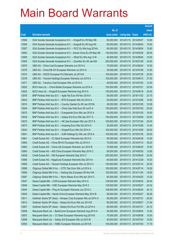|       |                                                                |               |                            | <b>Amount</b> |
|-------|----------------------------------------------------------------|---------------|----------------------------|---------------|
|       |                                                                | No. of        |                            | raised        |
| Code  | <b>Derivative warrants</b>                                     | issue (units) | <b>Listing date Expiry</b> | (HK\$ mil.)   |
| 12568 | SGA Societe Generale Acceptance N.V. - Kingsoft Eu Wt May14B   | 60,000,000    | 2014/01/10 2014/05/07      | 10.80         |
| 12556 | SGA Societe Generale Acceptance N.V. - Kingsoft Eu Wt Aug14A   | 60,000,000    | 2014/01/10 2014/08/04      | 15.00         |
| 12557 | SGA Societe Generale Acceptance N.V. - PICC Eu Wts Aug 2014A   | 60,000,000    | 2014/01/10 2014/08/04      | 10.80         |
| 12602 | SGA Societe Generale Acceptance N.V - Sands China Eu Wt May14E | 100,000,000   | 2014/01/10 2014/05/28      | 28.00         |
| 12595 | SGA Societe Generale Acceptance N.V. - Wharf Eu Wts Aug 14 B   | 40,000,000    | 2014/01/10 2014/08/04      | 10.00         |
| 12554 | SGA Societe Generale Acceptance N.V. - Zoomlion Eu Wt Jan16A   | 200,000,000   | 2014/01/10 2016/01/06      | 34.00         |
| 12570 | UBS AG - China Coal European Warrants Jun 2014 A               | 70,000,000    | 2014/01/10 2014/06/24      | 10.50         |
| 12575 | UBS AG - China EB Int'l European Warrants Jul 2014 A           | 30,000,000    | 2014/01/10 2014/07/09      | 13.50         |
| 12573 | UBS AG - HSCEI European Put Warrants Jul 2014 B                | 100,000,000   | 2014/01/10 2014/07/30      | 25.00         |
| 12576 | UBS AG - Tencent Holdings European Warrants Jun 2015 A         | 100,000,000   | 2014/01/10 2015/06/15      | 37.00         |
| 12571 | UBS AG - Yanzhou Coal European Wts Jul 2014 A                  | 40,000,000    | 2014/01/10 2014/07/02      | 12.00         |
| 12625 | BOCI Asia Ltd. - China Mobile European Warrants Jul 2014 A     | 100,000,000   | 2014/01/13 2014/07/21      | 25.00         |
| 12624 | BOCI Asia Ltd. - Kingsoft European Warrants Aug 2014 A         | 100,000,000   | 2014/01/13 2014/08/18      | 25.00         |
| 12676 | BNP Paribas Arbit Issu B.V. - Agile Ppt Euro Wt Nov 2018 A     | 95,000,000    | 2014/01/13 2018/11/02      | 23.75         |
| 12642 | BNP Paribas Arbit Issu B.V. - BYD European Wts Oct 2014 A      | 50,000,000    | 2014/01/13 2014/10/06      | 14.50         |
| 12674 | BNP Paribas Arbit Issu B.V. - Country Garden Eu Wt Jan 2015A   | 36,000,000    | 2014/01/13 2015/01/05      | 10.08         |
| 12640 | BNP Paribas Arbit Issu B.V. - China Gas Hold Euro Wt Jul15 A   | 100,000,000   | 2014/01/13 2015/07/03      | 25.00         |
| 12675 | BNP Paribas Arbit Issu B.V. - Evergrande Euro Wts Jan 2015 A   | 55,000,000    | 2014/01/13 2015/01/05      | 16.50         |
| 12639 | BNP Paribas Arbit Issu B.V. - Galaxy Ent Euro Wts Apr 2017 A   | 100,000,000   | 2014/01/13 2017/04/06      | 25.00         |
| 12672 | BNP Paribas Arbit Issu B.V. - HK Gas European Wts Jan 2017 A   | 100,000,000   | 2014/01/13 2017/01/04      | 25.00         |
| 12673 | BNP Paribas Arbit Issu B.V. - Huaneng Euro Wts Oct 2014 A      | 29,000,000    | 2014/01/13 2014/10/06      | 10.44         |
| 12643 | BNP Paribas Arbit Issu B.V. - Kingsoft Euro Wts Oct 2014 A     | 100,000,000   | 2014/01/13 2014/10/06      | 25.00         |
| 12641 | BNP Paribas Arbit Issu B.V. - SJM Holdings Eu Wts Jan 2015 A   | 100,000,000   | 2014/01/13 2015/01/05      | 29.00         |
| 12661 | Credit Suisse AG - CC Bank European Warrants Apr 2014 D        | 80,000,000    | 2014/01/13 2014/04/28      | 12.00         |
| 12664 | Credit Suisse AG - China EB Int'l European Wts Jul 2014 A      | 70,000,000    | 2014/01/13 2014/07/14      | 39.20         |
| 12663 | Credit Suisse AG - China Life European Warrants Jun 2014 B     | 70,000,000    | 2014/01/13 2014/06/30      | 10.50         |
| 12660 | Credit Suisse AG - A50 China European Warrants May 2014 C      | 80,000,000    | 2014/01/13 2014/05/30      | 12.80         |
| 12638 | Credit Suisse AG - HSI European Warrants Sep 2014 C            | 200,000,000   | 2014/01/13 2014/09/29      | 30.00         |
| 12666 | Credit Suisse AG - NagaCorp European Warrants Dec 2014 A       | 60,000,000    | 2014/01/13 2014/12/29      | 15.00         |
| 12665 | Credit Suisse AG - Tencent Holdings European Wts Jul 2014 C    | 100,000,000   | 2014/01/13 2014/07/14      | 25.00         |
| 12689 | Citigroup Global Mkt H Inc. - CITIC Sec Euro Wts Jul 2014 A    | 100,000,000   | 2014/01/13 2014/07/14      | 19.00         |
| 12690 | Citigroup Global Mkt H Inc. - Haitong Sec European Wt Nov14A   | 100,000,000   | 2014/01/13 2014/11/24      | 18.50         |
| 12687 | Citigroup Global Mkt H Inc. - Wynn Macau Euro Wts Apr 2014 C   | 60,000,000    | 2014/01/13 2014/04/25      | 10.20         |
| 12647 | Daiwa Capital Mkt - CCB European Warrants May 2014 A           | 128,000,000   | 2014/01/13 2014/05/02      | 29.44         |
| 12646 | Daiwa Capital Mkt - ICBC European Warrants May 2014 C          | 128,000,000   | 2014/01/13 2014/05/27      | 24.32         |
| 12644 | Daiwa Capital Mkt - Ping An European Warrants Jun 2014 C       | 108,000,000   | 2014/01/13 2014/06/24      | 42.12         |
| 12645 | Daiwa Capital Mkt - Sands China European Warrants May 2014 B   | 98,000,000    | 2014/01/13 2014/05/27      | 36.26         |
| 12611 | Goldman Sachs SP (Asia) - Sinopec Corp European Wts Jul 2014 A | 80,000,000    | 2014/01/13 2014/07/31      | 20.00         |
| 12612 | Goldman Sachs SP (Asia) - Galaxy Ent Euro Wts Jun 2014 B       | 80,000,000    | 2014/01/13 2014/06/27      | 21.84         |
| 12607 | Goldman Sachs SP (Asia) - Galaxy Ent Euro Put Wts Jul 2014 A   | 80,000,000    | 2014/01/13 2014/07/31      | 24.72         |
| 12658 | Macquarie Bank Ltd. - BankComm European Warrants Aug 2014 A    | 50,000,000    | 2014/01/13 2014/08/04      | 12.50         |
| 12657 | Macquarie Bank Ltd. - CC Bank European Warrants Aug 2014 B     | 70,000,000    | 2014/01/13 2014/08/08      | 10.50         |
| 12656 | Macquarie Bank Ltd. - Galaxy Ent European Wts Jul 2014 B       | 40,000,000    | 2014/01/13 2014/07/03      | 10.00         |
| 12654 | Macquarie Bank Ltd. - HSBC European Warrants Jul 2014 B        | 100,000,000   | 2014/01/13 2014/07/03      | 17.70         |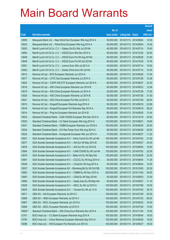|         |                                                                |               |                            |                       | <b>Amount</b> |
|---------|----------------------------------------------------------------|---------------|----------------------------|-----------------------|---------------|
|         |                                                                | No. of        |                            |                       | raised        |
| Code    | <b>Derivative warrants</b>                                     | issue (units) | <b>Listing date Expiry</b> |                       | (HK\$ mil.)   |
| 12659   | Macquarie Bank Ltd. - New World Dev European Wts Aug 2014 A    | 50,000,000    |                            | 2014/01/13 2014/08/04 | 12.50         |
| 12623   | Macquarie Bank Ltd. - PetroChina European Wts Aug 2014 A       | 40,000,000    |                            | 2014/01/13 2014/08/04 | 13.48         |
| 12653   | Merrill Lynch Int'l & Co. C.V. - Galaxy Ent Eu Wts Jul 2014A   | 40,000,000    | 2014/01/13 2014/07/14      |                       | 15.40         |
| 12650   | Merrill Lynch Int'l & Co. C.V. - HSCEI Euro Wts Dec 2014 A     | 80,000,000    |                            | 2014/01/13 2014/12/30 | 20.00         |
| 12648   | Merrill Lynch Int'l & Co. C.V. - HSCEI Euro Put Wt Aug 2014A   | 80,000,000    |                            | 2014/01/13 2014/08/28 | 21.60         |
| 12649   | Merrill Lynch Int'l & Co. C.V. - HSCEI Euro Put Wt Oct 2014A   | 80,000,000    |                            | 2014/01/13 2014/10/30 | 15.76         |
| 12651   | Merrill Lynch Int'l & Co. C.V. - Lenovo Euro Wts Jul 2014 A    | 40,000,000    | 2014/01/13 2014/07/14      |                       | 19.00         |
| 12652   | Merrill Lynch Int'l & Co. C.V. - Sands China Euro Wt Jul14A    | 40,000,000    |                            | 2014/01/13 2014/07/14 | 10.40         |
| 12613   | Nomura Int'l plc - BYD European Warrants Jun 2014 A            | 80,000,000    |                            | 2014/01/13 2014/06/26 | 17.04         |
| 12617   | Nomura Int'l plc - CITIC Sec European Warrants Jul 2014 A      | 80,000,000    |                            | 2014/01/13 2014/07/28 | 12.48         |
| 12622   | Nomura Int'l plc - CSOP A50 ETF European Warrants Jun 2014 A   | 80,000,000    | 2014/01/13 2014/06/27      |                       | 23.20         |
| 12618   | Nomura Int'l plc - A50 China European Warrants Jun 2014 B      | 80,000,000    | 2014/01/13 2014/06/23      |                       | 12.08         |
| 12619   | Nomura Int'l plc - A50 China European Warrants Jul 2014 A      | 50,000,000    |                            | 2014/01/13 2014/07/28 | 17.50         |
| 12620   | Nomura Int'l plc - A50 China European Warrants Jul 2014 B      | 50,000,000    |                            | 2014/01/13 2014/07/28 | 31.50         |
| 12621   | Nomura Int'l plc - A50 China European Put Wts Jul 2014 C       | 50,000,000    | 2014/01/13 2014/07/28      |                       | 28.50         |
| 12615   | Nomura Int'l plc - Kingsoft European Warrants Aug 2014 A       | 80,000,000    | 2014/01/13 2014/08/18      |                       | 22.88         |
| 12616   | Nomura Int'l plc - Kingsoft European Put Warrants Sep 2014 A   | 80,000,000    |                            | 2014/01/13 2014/09/18 | 28.24         |
| 12614   | Nomura Int'l plc - Ping An European Warrants Jun 2014 B        | 80,000,000    |                            | 2014/01/13 2014/06/26 | 13.44         |
| 12633   | Standard Chartered Bank - CAM CSI300 European Wts Dec 2014 A   | 80,000,000    | 2014/01/13 2014/12/19      |                       | 20.00         |
| 12635   | Standard Chartered Bank - CC Bank European Wts Aug 2014 A      | 100,000,000   | 2014/01/13 2014/08/01      |                       | 18.80         |
| 12631   | Standard Chartered Bank - CNBM European Warrants Jun 2016 A    | 150,000,000   |                            | 2014/01/13 2016/06/30 | 25.50         |
| 12634   | Standard Chartered Bank - Chi Res Power Euro Wts Aug 2014 A    | 80,000,000    |                            | 2014/01/13 2014/08/28 | 20.00         |
| 12632   | Standard Chartered Bank - Evergrande European Wts Jun 2014 A   | 70,000,000    | 2014/01/13 2014/06/27      |                       | 11.20         |
| 12627   | SGA Societe Generale Acceptance N.V - Anhui Conch Eu Wt Jul14A | 100,000,000   |                            | 2014/01/13 2014/07/02 | 21.00         |
| 12677   | SGA Societe Generale Acceptance N.V. - AIA Eur Wt May 2014 B   | 100,000,000   | 2014/01/13 2014/05/07      |                       | 34.50         |
| 12678   | SGA Societe Generale Acceptance N.V. - AIA Eur Wt Jun 2014 B   | 100,000,000   | 2014/01/13 2014/06/04      |                       | 15.00         |
| 12684   | SGA Societe Generale Acceptance N.V. - CAM CSI300 Eu Wt Jul14A | 150,000,000   |                            | 2014/01/13 2014/07/02 | 22.50         |
| 12679   | SGA Societe Generale Acceptance N.V - Belle Int'l Eu Wt May15A | 150,000,000   | 2014/01/13 2015/05/06      |                       | 22.50         |
| 12681   | SGA Societe Generale Acceptance N.V. - CCCCL Eu Wt Aug 2014 A  | 30,000,000    | 2014/01/13 2014/08/04      |                       | 11.25         |
| 12628   | SGA Societe Generale Acceptance N.V. - CCoal Eu Wt Aug 2014 A  | 40,000,000    | 2014/01/13 2014/08/04      |                       | 12.00         |
| 12637   | SGA Societe Generale Acceptance NV - Minsheng Bk Eu Wt Oct15B  | 150,000,000   | 2014/01/13 2015/10/05      |                       | 22.50         |
| 12682   | SGA Societe Generale Acceptance N.V. - CNBM Eu Wt Nov 2015 A   | 200,000,000   | 2014/01/13 2015/11/04      |                       | 30.00         |
| 12683   | SGA Societe Generale Acceptance N.V. - CRail Eu Wt Sep 2014A   | 50,000,000    | 2014/01/13 2014/09/03      |                       | 12.50         |
| 12685   | SGA Societe Generale Acceptance N.V. - Geely Auto Eu Wt May14A | 60,000,000    | 2014/01/13 2014/05/07      |                       | 11.10         |
| 12629   | SGA Societe Generale Acceptance N.V. - KECL Eu Wt Jul 2015 A   | 100,000,000   | 2014/01/13 2015/07/06      |                       | 16.00         |
| 12630   | SGA Societe Generale Acceptance N.V. - Tencent Eu Wt Jul 14 G  | 150,000,000   |                            | 2014/01/13 2014/07/02 | 39.75         |
| 12671   | UBS AG - AIA European Warrants Jul 2014 C                      | 100,000,000   | 2014/01/13 2014/07/28      |                       | 25.00         |
| 12669   | UBS AG - HKEx European Warrants Jul 2014 C                     | 100,000,000   | 2014/01/13 2014/07/23      |                       | 60.00         |
| 12667   | UBS AG - KECL European Warrants Jun 2015 A                     | 100,000,000   | 2014/01/13 2015/06/23      |                       | 16.50         |
| 12668   | UBS AG - KECL European Warrants Jul 2015 A                     | 100,000,000   | 2014/01/13 2015/07/28      |                       | 15.00         |
| 19928 # | Standard Chartered Bank - A50 China Euro Warrants Nov 2014 A   | 100,000,000   | 2014/01/13 2014/11/04      |                       | 15.00         |
| 12701   | BOCI Asia Ltd. - CC Bank European Warrants Aug 2014 A          | 100,000,000   | 2014/01/14 2014/08/04      |                       | 18.00         |
| 12700   | BOCI Asia Ltd. - China Shenhua European Warrants Sep 2014 A    | 100,000,000   | 2014/01/14 2014/09/29      |                       | 15.00         |
| 12698   | BOCI Asia Ltd. - HSI European Put Warrants Jun 2014 A          | 100,000,000   | 2014/01/14 2014/06/27      |                       | 18.00         |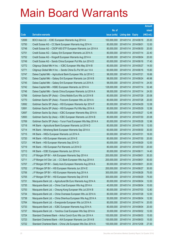|       |                                                                |               |                       |            | <b>Amount</b> |
|-------|----------------------------------------------------------------|---------------|-----------------------|------------|---------------|
|       |                                                                | No. of        |                       |            | raised        |
| Code  | <b>Derivative warrants</b>                                     | issue (units) | Listing date Expiry   |            | (HK\$ mil.)   |
| 12699 | BOCI Asia Ltd. - ICBC European Warrants Aug 2014 A             | 100,000,000   | 2014/01/14 2014/08/18 |            | 25.00         |
| 12750 | Credit Suisse AG - CC Bank European Warrants Aug 2014 A        | 80,000,000    | 2014/01/14 2014/08/01 |            | 12.00         |
| 12748 | Credit Suisse AG - CSOP A50 ETF European Warrants Jun 2014 A   | 80,000,000    | 2014/01/14            | 2014/06/30 | 20.00         |
| 12751 | Credit Suisse AG - Galaxy Ent European Warrants Jul 2014 A     | 80,000,000    | 2014/01/14 2014/07/14 |            | 22.40         |
| 12752 | Credit Suisse AG - Kingsoft European Warrants Aug 2014 A       | 80,000,000    | 2014/01/14 2014/08/04 |            | 20.00         |
| 12749 | Credit Suisse AG - Sands China European Put Wts Jun 2014 D     | 60,000,000    | 2014/01/14 2014/06/16 |            | 17.40         |
| 12772 | Citigroup Global Mkt H Inc. - ICBC European Wts May 2014 B     | 80,000,000    | 2014/01/14 2014/05/27 |            | 14.00         |
| 12771 | Citigroup Global Mkt H Inc. - Sands China Eu Put Wt Jun 14 A   | 60,000,000    | 2014/01/14 2014/06/16 |            | 15.60         |
| 12747 | Daiwa Capital Mkt - Agricultural Bank European Wts Jul 2014 C  | 98,000,000    | 2014/01/14 2014/07/21 |            | 16.66         |
| 12743 | Daiwa Capital Mkt - Galaxy Ent European Warrants Jun 2014 B    | 98,000,000    | 2014/01/14 2014/06/24 |            | 49.98         |
| 12745 | Daiwa Capital Mkt - Galaxy Ent European Warrants Jul 2014 A    | 98,000,000    | 2014/01/14 2014/07/14 |            | 24.50         |
| 12742 | Daiwa Capital Mkt - HSBC European Warrants Jul 2014 A          | 128,000,000   | 2014/01/14 2014/07/14 |            | 52.48         |
| 12746 | Daiwa Capital Mkt - Sands China European Warrants Jul 2014 A   | 98,000,000    | 2014/01/14 2014/07/14 |            | 24.50         |
| 12768 | Goldman Sachs SP (Asia) - China Mobile Euro Wts Jul 2014 B     | 80,000,000    | 2014/01/14 2014/07/29 |            | 20.08         |
| 12770 | Goldman Sachs SP (Asia) - Foxconn European Wts Jul 2014 A      | 80,000,000    | 2014/01/14 2014/07/28 |            | 20.00         |
| 12692 | Goldman Sachs SP (Asia) - HSI European Warrants Apr 2014 F     | 80,000,000    | 2014/01/14 2014/04/29 |            | 12.08         |
| 12691 | Goldman Sachs SP (Asia) – HSI European Put Wts May 2014 A      | 80,000,000    | 2014/01/14 2014/05/29 |            | 12.56         |
| 12697 | Goldman Sachs Sp (Asia) - ICBC European Warrants May 2014 A    | 80,000,000    | 2014/01/14 2014/05/27 |            | 12.48         |
| 12693 | Goldman Sachs Sp (Asia) - ICBC European Warrants Jul 2014 B    | 80,000,000    | 2014/01/14 2014/07/30 |            | 20.08         |
| 12769 | Goldman Sachs SP (Asia) - Yurun Food European Wts May 2014 A   | 80,000,000    | 2014/01/14 2014/05/28 |            | 12.96         |
| 12718 | HK Bank – Agricultural Bank European Warrants Jul 2014 D       | 80,000,000    | 2014/01/14 2014/07/18 |            | 12.00         |
| 12714 | HK Bank - Minsheng Bank European Warrants Sep 2014 A           | 60,000,000    | 2014/01/14 2014/09/30 |            | 30.00         |
| 12715 | HK Bank - HKEx European Warrants Jul 2014 A                    | 60,000,000    | 2014/01/14 2014/07/31 |            | 18.00         |
| 12720 | HK Bank - HSI European Warrants Jul 2014 E                     | 80,000,000    | 2014/01/14 2014/07/30 |            | 20.00         |
| 12721 | HK Bank – HSI European Warrants Sep 2014 D                     | 80,000,000    | 2014/01/14 2014/09/29 |            | 12.00         |
| 12719 | HK Bank - HSI European Put Warrants Jul 2014 D                 | 80,000,000    | 2014/01/14 2014/07/30 |            | 20.00         |
| 12713 | HK Bank – ICBC European Warrants Jun 2014 A                    | 80,000,000    | 2014/01/14 2014/06/11 |            | 14.40         |
| 12712 | J P Morgan SP BV - AIA European Warrants Sep 2014 A            | 200,000,000   | 2014/01/14 2014/09/01 |            | 30.20         |
| 12711 | J P Morgan Int'l Der. Ltd. - CC Bank European Wts Aug 2014 A   | 200,000,000   | 2014/01/14 2014/08/01 |            | 50.00         |
| 12707 | J P Morgan SP BV - Geely Auto European Warrants Aug 2014 A     | 80,000,000    | 2014/01/14 2014/08/01 |            | 20.00         |
| 12702 | J P Morgan SP BV - HSI European Warrants Jun 2014 E            | 200,000,000   | 2014/01/14 2014/06/27 |            | 30.00         |
| 12706 | J P Morgan SP BV - HSI European Warrants Aug 2014 A            | 300,000,000   | 2014/01/14 2014/08/28 |            | 75.00         |
| 12705 | J P Morgan SP BV - HSI European Warrants Sep 2014 B            | 300,000,000   | 2014/01/14 2014/09/29 |            | 75.00         |
| 12731 | Macquarie Bank Ltd. - Agricultural Bk Euro Warrants Aug 2014 A | 80,000,000    | 2014/01/14 2014/08/04 |            | 12.00         |
| 12735 | Macquarie Bank Ltd. - China Coal European Wts Aug 2014 A       | 40,000,000    | 2014/01/14 2014/08/04 |            | 10.00         |
| 12753 | Macquarie Bank Ltd. - Cheung Kong European Wts Jul 2014 B      | 80,000,000    | 2014/01/14 2014/07/03 |            | 12.80         |
| 12734 | Macquarie Bank Ltd. - China Overseas European Wts Jul 2014 A   | 80,000,000    | 2014/01/14 2014/07/28 |            | 12.00         |
| 12738 | Macquarie Bank Ltd. - China Shenhua European Wts Aug 2014 A    | 50,000,000    | 2014/01/14 2014/08/04 |            | 12.50         |
| 12764 | Macquarie Bank Ltd. - Evergrande European Wts Jul 2014 A       | 80,000,000    | 2014/01/14 2014/07/14 |            | 20.00         |
| 12733 | Macquarie Bank Ltd. - ICBC European Warrants Aug 2014 A        | 80,000,000    | 2014/01/14 2014/08/04 |            | 20.00         |
| 12737 | Macquarie Bank Ltd. - Yanzhou Coal European Wts Sep 2014 A     | 30,000,000    | 2014/01/14 2014/09/02 |            | 12.00         |
| 12724 | Standard Chartered Bank - Anhui Conch Euro Wts Jun 2014 A      | 100,000,000   | 2014/01/14 2014/06/03 |            | 15.00         |
| 12723 | Standard Chartered Bank - AIA European Warrants Jun 2014 B     | 100,000,000   | 2014/01/14 2014/06/03 |            | 15.00         |
| 12722 | Standard Chartered Bank - China Life European Wts Dec 2014 A   | 100,000,000   | 2014/01/14 2014/12/08 |            | 27.00         |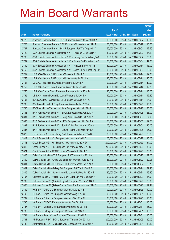|       |                                                                |               |                            | <b>Amount</b> |
|-------|----------------------------------------------------------------|---------------|----------------------------|---------------|
|       |                                                                | No. of        |                            | raised        |
| Code  | <b>Derivative warrants</b>                                     | issue (units) | <b>Listing date Expiry</b> | (HK\$ mil.)   |
| 12725 | Standard Chartered Bank - HSBC European Warrants May 2014 A    | 100,000,000   | 2014/01/14 2014/05/27      | 15.00         |
| 12728 | Standard Chartered Bank – ICBC European Warrants May 2014 A    | 100,000,000   | 2014/01/14 2014/05/27      | 16.50         |
| 12727 | Standard Chartered Bank - SHK P European Put Wts Aug 2014 A    | 50,000,000    | 2014/01/14 2014/08/04      | 12.50         |
| 12729 | SGA Societe Generale Acceptance N.V. - Foxconn Eu Wt Jul14 A   | 40,000,000    | 2014/01/14 2014/07/02      | 16.20         |
| 12760 | SGA Societe Generale Acceptance N.V. - Galaxy Ent Eu Wt Aug14A | 100,000,000   | 2014/01/14 2014/08/04      | 25.00         |
| 12762 | SGA Societe Generale Acceptance N.V. - Galaxy Eu Put Wt Aug14B | 100,000,000   | 2014/01/14 2014/08/04      | 47.00         |
| 12730 | SGA Societe Generale Acceptance N.V. - Kingsoft Eu Wt Jul14B   | 60,000,000    | 2014/01/14 2014/07/14      | 15.00         |
| 12763 | SGA Societe Generale Acceptance N.V - Sands China Eu Wt Sep14A | 100,000,000   | 2014/01/14 2014/09/03      | 25.00         |
| 12759 | UBS AG - Galaxy Ent European Warrants Jul 2014 B               | 40,000,000    | 2014/01/14 2014/07/14      | 12.00         |
| 12758 | UBS AG - Galaxy Ent European Put Warrants Jul 2014 A           | 40,000,000    | 2014/01/14 2014/07/14      | 26.00         |
| 12754 | UBS AG - Hutchison European Warrants Jul 2014 A                | 100,000,000   | 2014/01/14 2014/07/14      | 40.00         |
| 12757 | UBS AG - Sands China European Warrants Jul 2014 C              | 40,000,000    | 2014/01/14 2014/07/14      | 12.80         |
| 12756 | UBS AG - Sands China European Put Warrants Jul 2014 B          | 40,000,000    | 2014/01/14 2014/07/14      | 18.00         |
| 12755 | UBS AG - Wynn Macau European Warrants Jul 2014 A               | 40,000,000    | 2014/01/14 2014/07/14      | 12.40         |
| 12794 | BOCI Asia Ltd. - Agricultural Bk European Wts Aug 2014 A       | 100,000,000   | 2014/01/15 2014/08/11      | 25.00         |
| 12796 | BOCI Asia Ltd. - Li & Fung European Warrants Jan 2015 A        | 100,000,000   | 2014/01/15 2015/01/26      | 15.00         |
| 12795 | BOCI Asia Ltd. – Tencent Holdings European Wts Jul 2014 A      | 100,000,000   | 2014/01/15 2014/07/28      | 25.00         |
| 12838 | BNP Paribas Arbit Issu B.V. - BOCL European Wts Apr 2017 A     | 100,000,000   | 2014/01/15 2017/04/06      | 26.00         |
| 12834 | BNP Paribas Arbit Issu B.V. - Geely Auto Euro Wts Oct 2014 A   | 100,000,000   | 2014/01/15 2014/10/06      | 27.00         |
| 12835 | BNP Paribas Arbit Issu B.V. - HKEx European Wts Oct 2014 A     | 50,000,000    | 2014/01/15 2014/10/06      | 12.50         |
| 12837 | BNP Paribas Arbit Issu B.V. - Sands China Euro Wt Aug 2014 A   | 100,000,000   | 2014/01/15 2014/08/04      | 25.00         |
| 12836 | BNP Paribas Arbit Issu B.V. - Sihuan Pharm Euro Wts Jan15A     | 100,000,000   | 2014/01/15 2015/01/05      | 25.00         |
| 12825 | Credit Suisse AG - Minsheng Bank European Wts Jul 2014 B       | 80,000,000    | 2014/01/15 2014/07/28      | 29.60         |
| 12817 | Credit Suisse AG - HSI European Warrants Jun 2014 D            | 200,000,000   | 2014/01/15 2014/06/27      | 30.00         |
| 12818 | Credit Suisse AG - HSI European Warrants Sep 2014 D            | 200,000,000   | 2014/01/15 2014/09/29      | 34.00         |
| 12819 | Credit Suisse AG - HSI European Put Warrants May 2014 G        | 200,000,000   | 2014/01/15 2014/05/29      | 30.00         |
| 12821 | Credit Suisse AG - ICBC European Warrants Jul 2014 D           | 80,000,000    | 2014/01/15 2014/07/28      | 20.00         |
| 12803 | Daiwa Capital Mkt - CCB European Put Warrants Jun 2014 A       | 128,000,000   | 2014/01/15 2014/06/23      | 32.00         |
| 12802 | Daiwa Capital Mkt - China Life European Warrants Aug 2014 B    | 138,000,000   | 2014/01/15 2014/08/22      | 22.08         |
| 12804 | Daiwa Capital Mkt - CSOP A50 ETF European Wts Oct 2015 A       | 158,000,000   | 2014/01/15 2015/10/02      | 23.70         |
| 12801 | Daiwa Capital Mkt - Galaxy Ent European Put Wts Jul 2014 B     | 80,000,000    | 2014/01/15 2014/07/14      | 22.40         |
| 12805 | Daiwa Capital Mkt - Sands China European Put Wts Jun 2014 B    | 80,000,000    | 2014/01/15 2014/06/24      | 16.80         |
| 12797 | Goldman Sachs SP (Asia) - CM Bank European Wts Dec 2014 A      | 100,000,000   | 2014/01/15 2014/12/29      | 15.00         |
| 12799 | Goldman Sachs SP (Asia) - Kingsoft European Wts Sep 2014 A     | 80,000,000    | 2014/01/15 2014/09/29      | 20.00         |
| 12800 | Goldman Sachs SP (Asia) - Sands China Eur Put Wts Jun 2014 B   | 80,000,000    | 2014/01/15 2014/06/26      | 17.44         |
| 12782 | HK Bank - China Life European Warrants Aug 2014 B              | 100,000,000   | 2014/01/15 2014/08/25      | 19.00         |
| 12790 | HK Bank - China Life European Warrants Aug 2014 C              | 100,000,000   | 2014/01/15 2014/08/01      | 15.00         |
| 12789 | HK Bank - China Life European Warrants Sep 2014 C              | 100,000,000   | 2014/01/15 2014/09/25      | 15.00         |
| 12786 | HK Bank - CNOOC European Warrants Dec 2014 B                   | 100,000,000   | 2014/01/15 2014/12/01      | 15.00         |
| 12787 | HK Bank - Sinopec Corp European Warrants Jul 2014 B            | 60,000,000    | 2014/01/15 2014/07/31      | 15.00         |
| 12783 | HK Bank - Galaxy Ent European Warrants Jul 2014 A              | 60,000,000    | 2014/01/15 2014/07/31      | 19.20         |
| 12784 | HK Bank - Sands China European Warrants Jul 2014 B             | 60,000,000    | 2014/01/15 2014/07/31      | 15.00         |
| 12781 | J P Morgan SP BV - BOCL European Warrants Oct 2014 A           | 200,000,000   | 2014/01/15 2014/10/03      | 50.00         |
| 12780 | J P Morgan SP BV - China Railway European Wts Sep 2014 A       | 40,000,000    | 2014/01/15 2014/09/01      | 10.12         |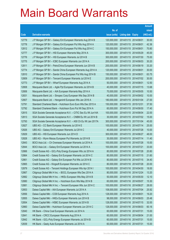|       |                                                               |               |                            | <b>Amount</b> |
|-------|---------------------------------------------------------------|---------------|----------------------------|---------------|
|       |                                                               | No. of        |                            | raised        |
| Code  | <b>Derivative warrants</b>                                    | issue (units) | <b>Listing date Expiry</b> | (HK\$ mil.)   |
| 12779 | J P Morgan SP BV - Galaxy Ent European Warrants Aug 2014 B    | 120,000,000   | 2014/01/15 2014/08/01      | 30.00         |
| 12778 | J P Morgan SP BV - Galaxy Ent European Put Wts Aug 2014 A     | 120,000,000   | 2014/01/15 2014/08/01      | 42.36         |
| 12812 | J P Morgan SP BV - Galaxy Ent European Put Wts Aug 2014 C     | 150,000,000   | 2014/01/15 2014/08/01      | 70.80         |
| 12777 | J P Morgan SP BV - HSI European Warrants May 2014 A           | 300,000,000   | 2014/01/15 2014/05/29      | 45.00         |
| 12776 | J P Morgan SP BV - HSI European Warrants Jul 2014 B           | 300,000,000   | 2014/01/15 2014/07/30      | 75.00         |
| 12775 | J P Morgan SP BV - ICBC European Warrants Jun 2014 A          | 200,000,000   | 2014/01/15 2014/06/03      | 30.20         |
| 12811 | J P Morgan SP BV - PetroChina European Warrants Jun 2014 B    | 200,000,000   | 2014/01/15 2014/06/19      | 33.20         |
| 12774 | J P Morgan SP BV - Sands China European Warrants Aug 2014 A   | 120,000,000   | 2014/01/15 2014/08/01      | 30.00         |
| 12810 | J P Morgan SP BV - Sands China European Put Wts Aug 2014 B    | 150,000,000   | 2014/01/15 2014/08/01      | 63.75         |
| 12809 | J P Morgan SP BV - Tencent European Warrants Jul 2014 E       | 200,000,000   | 2014/01/15 2014/07/02      | 30.00         |
| 12773 | J P Morgan SP BV - Wharf European Warrants Aug 2014 A         | 50,000,000    | 2014/01/15 2014/08/01      | 12.50         |
| 12808 | Macquarie Bank Ltd. - Agile Ppt European Warrants Jul 2014 B  | 40,000,000    | 2014/01/15 2014/07/15      | 13.68         |
| 12806 | Macquarie Bank Ltd. - AIA European Warrants May 2014 A        | 70,000,000    | 2014/01/15 2014/05/05      | 10.50         |
| 12831 | Macquarie Bank Ltd. - Sinopec Corp European Wts Sep 2014 B    | 40,000,000    | 2014/01/15 2014/09/02      | 10.00         |
| 12807 | Macquarie Bank Ltd. - Henganintl European Wts Jan 2016 A      | 180,000,000   | 2014/01/15 2016/01/04      | 27.00         |
| 12791 | Standard Chartered Bank - Hutchison Euro Euro Wts Dec 2015 A  | 150,000,000   | 2014/01/15 2015/12/31      | 37.50         |
| 12792 | Standard Chartered Bank - Hutchison Euro Put Wt Sep 2014 A    | 60,000,000    | 2014/01/15 2014/09/30      | 17.40         |
| 12815 | SGA Societe Generale Acceptance N.V. - CITIC Sec Eu Wt Jun14A | 100,000,000   | 2014/01/15 2014/06/04      | 22.00         |
| 12813 | SGA Societe Generale Acceptance N.V. - CNBM Eu Wt Jul 2014 B  | 30,000,000    | 2014/01/15 2014/07/02      | 15.00         |
| 12793 | SGA Societe Generale Acceptance N.V. - A50 Ch Eu Wt Jan 2017A | 300,000,000   | 2014/01/15 2017/01/04      | 45.00         |
| 12827 | UBS AG – CC Bank European Warrants Jul 2014 E                 | 100,000,000   | 2014/01/15 2014/07/14      | 25.00         |
| 12826 | UBS AG - Galaxy Ent European Warrants Jul 2014 C              | 40,000,000    | 2014/01/15 2014/07/28      | 10.00         |
| 12829 | UBS AG - HSI European Warrants Jun 2014 D                     | 300,000,000   | 2014/01/15 2014/06/27      | 48.00         |
| 12828 | UBS AG - Wynn Macau European Put Warrants Jul 2014 B          | 30,000,000    | 2014/01/15 2014/07/14      | 11.40         |
| 12843 | BOCI Asia Ltd. - Ch Overseas European Warrants Jul 2014 A     | 100,000,000   | 2014/01/16 2014/07/28      | 15.00         |
| 12844 | BOCI Asia Ltd. - Galaxy Ent European Warrants Jul 2014 A      | 100,000,000   | 2014/01/16 2014/07/21      | 33.00         |
| 12866 | Credit Suisse AG – GCL-Poly Energy European Wts Jul 2014 A    | 80,000,000    | 2014/01/16 2014/07/28      | 20.80         |
| 12864 | Credit Suisse AG - Galaxy Ent European Warrants Jul 2014 C    | 80,000,000    | 2014/01/16 2014/07/15      | 21.60         |
| 12861 | Credit Suisse AG - Galaxy Ent European Put Wts Jul 2014 B     | 80,000,000    | 2014/01/16 2014/07/15      | 34.40         |
| 12865 | Credit Suisse AG - Kingsoft European Warrants Jul 2014 C      | 80,000,000    | 2014/01/16 2014/07/28      | 20.00         |
| 12879 | Credit Suisse AG - Tencent Holdings European Wts Apr 2014 I   | 100,000,000   | 2014/01/16 2014/04/30      | 18.00         |
| 12867 | Citigroup Global Mkt H Inc. - BOCL European Wts Dec 2014 A    | 80,000,000    | 2014/01/16 2014/12/24      | 13.20         |
| 12882 | Citigroup Global Mkt H Inc. - HKEx European Wts May 2014 B    | 50,000,000    | 2014/01/16 2014/05/30      | 12.10         |
| 12880 | Citigroup Global Mkt H Inc. - Hutchison Euro Wts May 2014 B   | 60,000,000    | 2014/01/16 2014/05/07      | 15.30         |
| 12881 | Citigroup Global Mkt H Inc. - Tencent European Wts Jun 2014 C | 100,000,000   | 2014/01/16 2014/06/27      | 28.00         |
| 12853 | Daiwa Capital Mkt - AIA European Warrants Jul 2014 A          | 108,000,000   | 2014/01/16 2014/07/04      | 25.92         |
| 12856 | Daiwa Capital Mkt - CCB European Warrants Aug 2014 A          | 128,000,000   | 2014/01/16 2014/08/01      | 19.20         |
| 12855 | Daiwa Capital Mkt - HKEx European Warrants Jun 2014 B         | 98,000,000    | 2014/01/16 2014/06/03      | 25.48         |
| 12854 | Daiwa Capital Mkt - HSBC European Warrants Jul 2014 B         | 128,000,000   | 2014/01/16 2014/07/15      | 32.00         |
| 12860 | Daiwa Capital Mkt - Hutchison European Warrants Jun 2014 C    | 128,000,000   | 2014/01/16 2014/06/03      | 60.16         |
| 12840 | HK Bank - China Coal European Warrants Jul 2014 A             | 60,000,000    | 2014/01/16 2014/07/31      | 15.00         |
| 12841 | HK Bank - CRCC European Warrants Aug 2014 A                   | 60,000,000    | 2014/01/16 2014/08/04      | 21.00         |
| 12842 | HK Bank - GCL-Poly Energy European Warrants Jul 2014 B        | 60,000,000    | 2014/01/16 2014/07/31      | 15.00         |
| 12839 | HK Bank - Geely Auto European Warrants Jul 2014 A             | 60,000,000    | 2014/01/16 2014/07/31      | 15.00         |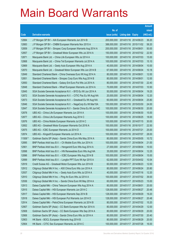|         |                                                                |               |                            |            | <b>Amount</b> |
|---------|----------------------------------------------------------------|---------------|----------------------------|------------|---------------|
|         |                                                                | No. of        |                            |            | raised        |
| Code    | <b>Derivative warrants</b>                                     | issue (units) | <b>Listing date Expiry</b> |            | (HK\$ mil.)   |
| 12884   | J P Morgan SP BV - AIA European Warrants Jun 2014 B            | 200,000,000   | 2014/01/16 2014/06/23      |            | 36.20         |
| 12883   | J P Morgan SP BV - CNBM European Warrants Nov 2015 A           | 388,000,000   | 2014/01/16 2015/11/02      |            | 58.20         |
| 12859   | J P Morgan SP BV - Sinopec Corp European Warrants Aug 2014 A   | 200,000,000   | 2014/01/16 2014/08/01      |            | 50.00         |
| 12857   | J P Morgan SP BV - Greatwall Motor European Wts Jul 2014 A     | 150,000,000   | 2014/01/16 2014/07/02      |            | 22.50         |
| 12871   | Macquarie Bank Ltd. - China Life European Wts Jul 2014 A       | 100,000,000   | 2014/01/16 2014/07/03      |            | 15.00         |
| 12868   | Macquarie Bank Ltd. - China Tel European Warrants Jul 2014 A   | 100,000,000   | 2014/01/16 2014/07/03      |            | 15.10         |
| 12869   | Macquarie Bank Ltd. - Geely Auto European Wts Aug 2014 A       | 40,000,000    | 2014/01/16 2014/08/04      |            | 10.00         |
| 12870   | Macquarie Bank Ltd. - Greatwall Motor European Wts Jun 2014 B  | 67,000,000    | 2014/01/16 2014/06/04      |            | 10.18         |
| 12849   | Standard Chartered Bank - China Overseas Euro Wt Aug 2014 A    | 80,000,000    | 2014/01/16 2014/08/01      |            | 12.00         |
| 12851   | Standard Chartered Bank - Sinopec Corp Euro Wts Aug 2014 B     | 80,000,000    | 2014/01/16 2014/08/01      |            | 12.00         |
| 12850   | Standard Chartered Bank - Galaxy Ent Euro Put Wts Jul 2014 A   | 80,000,000    | 2014/01/16 2014/07/30      |            | 22.40         |
| 12848   | Standard Chartered Bank - Wharf European Warrants Jul 2014 A   | 70,000,000    | 2014/01/16 2014/07/03      |            | 10.50         |
| 12845   | SGA Societe Generale Acceptance N.V. - BYD Eu Wt Jun 2014 A    | 50,000,000    | 2014/01/16 2014/06/04      |            | 19.25         |
| 12872   | SGA Societe Generale Acceptance N.V. - CITIC Pac Eu Wt Aug14A  | 20,000,000    | 2014/01/16 2014/08/04      |            | 12.20         |
| 12873   | SGA Societe Generale Acceptance N.V. - Greatwall Eu Wt Aug14A  | 60,000,000    | 2014/01/16 2014/08/04      |            | 25.80         |
| 12846   | SGA Societe Generale Acceptance N.V. - NagaCorp Eu Wt Mar15A   | 150,000,000   | 2014/01/16 2015/03/30      |            | 24.00         |
| 12847   | SGA Societe Generale Acceptance N.V - Sands China Eu Wt Jun14C | 100,000,000   | 2014/01/16 2014/06/30      |            | 20.00         |
| 12878   | UBS AG - China Life European Warrants Jun 2014 A               | 100,000,000   | 2014/01/16 2014/06/30      |            | 15.00         |
| 12877   | UBS AG - China Life European Warrants Aug 2014 C               | 100,000,000   | 2014/01/16 2014/08/25      |            | 18.00         |
| 12876   | UBS AG - China Mobile European Warrants Jul 2014 C             | 100,000,000   | 2014/01/16 2014/07/15      |            | 30.00         |
| 12852   | UBS AG - Greatwall Motor European Warrants Oct 2016 A          | 150,000,000   | 2014/01/16 2016/10/17      |            | 22.50         |
| 12875   | UBS AG - ICBC European Warrants Jul 2014 D                     | 100,000,000   | 2014/01/16 2014/07/21      |            | 25.00         |
| 12874   | UBS AG - Kingsoft European Warrants Jul 2014 A                 | 100,000,000   | 2014/01/16 2014/07/07      |            | 28.00         |
| 11508 # | Goldman Sachs SP (Asia) - Sands China Euro Wts May 2014 A      | 80,000,000    | 2014/01/16 2014/05/05      |            | 10.72         |
| 12895   | BNP Paribas Arbit Issu B.V. - Ch Mobile Euro Wts Jun 2014 A    | 100,000,000   | 2014/01/17 2014/06/04      |            | 21.00         |
| 12901   | BNP Paribas Arbit Issu B.V. - Henganintl Euro Wts Aug 2014 A   | 27,000,000    | 2014/01/17 2014/08/04      |            | 10.53         |
| 12898   | BNP Paribas Arbit Issu B.V. - HN Renewables Euro Wts Aug14A    | 35,000,000    | 2014/01/17 2014/08/04      |            | 12.25         |
| 12896   | BNP Paribas Arbit Issu B.V. - ICBC European Wts Aug 2014 B     | 100,000,000   | 2014/01/17 2014/08/04      |            | 15.00         |
| 12899   | BNP Paribas Arbit Issu B.V. - Longfor PPT Euro Wt Apr 2015 A   | 62,000,000    | 2014/01/17 2015/04/02      |            | 10.54         |
| 12919   | Credit Suisse AG - Greatwall Motor European Wts Jun 2014 B     | 60,000,000    | 2014/01/17 2014/06/23      |            | 12.00         |
| 12912   | Citigroup Global Mkt H Inc. - A50 China Euro Wts Jun 2014 A    | 80,000,000    | 2014/01/17 2014/06/24      |            | 20.80         |
| 12937   | Citigroup Global Mkt H Inc. - Geely Auto Euro Wts Jul 2014 A   | 40,000,000    | 2014/01/17 2014/07/16      |            | 12.20         |
| 12910   | Citigroup Global Mkt H Inc. - Ping An Euro Wts Jul 2014 A      | 100,000,000   | 2014/01/17 2014/07/02      |            | 39.00         |
| 12936   | Citigroup Global Mkt H Inc. - Sands China Euro Wt May 2014 A   | 60,000,000    | 2014/01/17 2014/05/23      |            | 15.00         |
| 12913   | Daiwa Capital Mkt - China Telecom European Wts Aug 2014 A      | 80,000,000    | 2014/01/17 2014/08/01      |            | 20.00         |
| 12915   | Daiwa Capital Mkt - HSI European Warrants Jun 2014 C           | 128,000,000   | 2014/01/17 2014/06/27      |            | 20.48         |
| 12917   | Daiwa Capital Mkt - HSI European Warrants Sep 2014 B           | 128,000,000   | 2014/01/17 2014/09/29      |            | 19.20         |
| 12918   | Daiwa Capital Mkt - HSI European Put Warrants Jun 2014 D       | 128,000,000   | 2014/01/17 2014/06/27      |            | 20.48         |
| 12914   | Daiwa Capital Mkt - PetroChina European Warrants Jul 2014 B    | 80,000,000    | 2014/01/17 2014/07/02      |            | 15.20         |
| 12907   | Goldman Sachs SP (Asia) - CC Bank European Wts Apr 2014 A      | 80,000,000    | 2014/01/17 2014/04/29      |            | 12.00         |
| 12908   | Goldman Sachs SP (Asia) - CC Bank European Wts Sep 2014 A      | 80,000,000    | 2014/01/17                 | 2014/09/29 | 20.00         |
| 12906   | Goldman Sachs SP (Asia) – Sands China Euro Wts Jul 2014 A      | 80,000,000    | 2014/01/17 2014/07/30      |            | 20.40         |
| 12903   | HK Bank - BOCL European Warrants Aug 2014 B                    | 80,000,000    | 2014/01/17                 | 2014/08/29 | 20.00         |
| 12904   | HK Bank - CITIC Sec European Warrants Jul 2014 C               | 100,000,000   | 2014/01/17 2014/07/28      |            | 16.00         |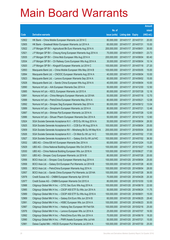|       |                                                                |               |                            |            | <b>Amount</b> |
|-------|----------------------------------------------------------------|---------------|----------------------------|------------|---------------|
|       |                                                                | No. of        |                            |            | raised        |
| Code  | <b>Derivative warrants</b>                                     | issue (units) | <b>Listing date Expiry</b> |            | (HK\$ mil.)   |
| 12902 | HK Bank – China Mobile European Warrants Jul 2014 C            | 80,000,000    | 2014/01/17 2014/07/31      |            | 20.00         |
| 12905 | HK Bank – Greatwall Motor European Warrants Jul 2014 A         | 60,000,000    | 2014/01/17 2014/07/31      |            | 15.00         |
| 12922 | J P Morgan SP BV - Agricultural Bk Euro Warrants Aug 2014 A    | 200,000,000   | 2014/01/17                 | 2014/08/01 | 30.00         |
| 12921 | J P Morgan SP BV - Cheung Kong European Warrants Aug 2014 A    | 70,000,000    | 2014/01/17 2014/08/01      |            | 23.73         |
| 12935 | J P Morgan SP BV - China Mob European Wts Aug 2014 A           | 200,000,000   | 2014/01/17 2014/08/04      |            | 60.40         |
| 12934 | J P Morgan SP BV - Ch Railway Cons European Wts Aug 2014 A     | 30,000,000    | 2014/01/17 2014/08/04      |            | 10.14         |
| 12920 | J P Morgan SP BV - Kingsoft European Warrants Jul 2014 C       | 100,000,000   | 2014/01/17 2014/07/18      |            | 27.20         |
| 12893 | Macquarie Bank Ltd. - China Mobile European Wts May 2014 B     | 100,000,000   | 2014/01/17 2014/05/05      |            | 15.00         |
| 12894 | Macquarie Bank Ltd. - CNOOC European Warrants Aug 2014 A       | 40,000,000    | 2014/01/17 2014/08/04      |            | 10.00         |
| 12923 | Macquarie Bank Ltd. - Lenovo European Warrants Sep 2014 A      | 60,000,000    | 2014/01/17 2014/09/02      |            | 15.00         |
| 12928 | Macquarie Bank Ltd. - Sands China European Wts Aug 2014 A      | 40,000,000    | 2014/01/17 2014/08/04      |            | 10.00         |
| 12890 | Nomura Int'l plc - AIA European Warrants Dec 2014 A            | 50,000,000    | 2014/01/17 2014/12/30      |            | 12.50         |
| 12885 | Nomura Int'l plc - KECL European Warrants Jul 2015 A           | 80,000,000    | 2014/01/17 2015/07/28      |            | 12.16         |
| 12891 | Nomura Int'l plc – China Mengniu European Warrants Jul 2014A   | 50,000,000    | 2014/01/17 2014/07/18      |            | 12.70         |
| 12888 | Nomura Int'l plc - PetroChina European Warrants May 2014 A     | 80,000,000    | 2014/01/17 2014/05/21      |            | 12.08         |
| 12892 | Nomura Int'l plc - Sinopec Seg European Warrants Sep 2014 A    | 80,000,000    | 2014/01/17 2014/09/12      |            | 13.04         |
| 12889 | Nomura Int'l plc - Sinopharm European Warrants Jul 2014 A      | 80,000,000    | 2014/01/17 2014/07/21      |            | 12.48         |
| 12887 | Nomura Int'l plc - Shimao Ppt European Warrants Jul 2014 A     | 80,000,000    | 2014/01/17 2014/07/28      |            | 12.00         |
| 12886 | Nomura Int'l plc - Sihuan Pharm European Warrants Dec 2014 A   | 50,000,000    | 2014/01/17 2014/12/18      |            | 12.60         |
| 12924 | SGA Societe Generale Acceptance N.V. - BYD Eu Wt Aug 2014 A    | 50,000,000    | 2014/01/17 2014/08/04      |            | 26.50         |
| 12925 | SGA Societe Generale Acceptance N.V. - CCB Eur Wt Aug 2014 A   | 100,000,000   | 2014/01/17 2014/08/04      |            | 25.00         |
| 12909 | SGA Societe Generale Acceptance NV – Minsheng Bk Eu Wt May16 A | 200,000,000   | 2014/01/17 2016/05/04      |            | 30.00         |
| 12926 | SGA Societe Generale Acceptance N.V. - Ch Mob Eu Wt Jul 14 C   | 100,000,000   | 2014/01/17 2014/07/02      |            | 17.00         |
| 12927 | SGA Societe Generale Acceptance N.V. - Galaxy Ent Eu Wt Jul14C | 100,000,000   | 2014/01/17 2014/07/02      |            | 36.50         |
| 12932 | UBS AG - China EB Int'l European Warrants Dec 2014 A           | 60,000,000    | 2014/01/17 2014/12/24      |            | 13.20         |
| 12929 | UBS AG - China National Building European Wts Oct 2015 A       | 100.000.000   | 2014/01/17 2015/10/27      |            | 15.00         |
| 12930 | UBS AG – China National Building European Wts Jun 2016 A       | 100,000,000   | 2014/01/17 2016/06/27      |            | 17.00         |
| 12931 | UBS AG – Sinopec Corp European Warrants Jul 2014 B             | 80,000,000    | 2014/01/17 2014/07/28      |            | 20.00         |
| 12956 | BOCI Asia Ltd. - Sinopec Corp European Warrants Aug 2014 A     | 100,000,000   | 2014/01/20 2014/08/04      |            | 25.00         |
| 12958 | BOCI Asia Ltd. - Galaxy Ent European Put Warrants Jul 2014 B   | 100,000,000   | 2014/01/20 2014/07/28      |            | 40.00         |
| 12955 | BOCI Asia Ltd. - PetroChina European Warrants Aug 2014 A       | 100,000,000   | 2014/01/20 2014/08/04      |            | 28.00         |
| 12957 | BOCI Asia Ltd. - Sands China European Put Warrants Jul 2014A   | 100,000,000   | 2014/01/20 2014/07/28      |            | 36.00         |
| 12978 | Credit Suisse AG - CNBM European Warrants Apr 2014 B           | 70,000,000    | 2014/01/20 2014/04/28      |            | 20.30         |
| 12977 | Credit Suisse AG - CNBM European Warrants Oct 2015 A           | 80,000,000    | 2014/01/20 2015/10/30      |            | 12.00         |
| 12988 | Citigroup Global Mkt H Inc. - CITIC Sec Euro Wts Aug 2014 A    | 100,000,000   | 2014/01/20 2014/08/19      |            | 22.00         |
| 12985 | Citigroup Global Mkt H Inc. - CSOP A50 ETF Eu Wts Jun 2014 A   | 50,000,000    | 2014/01/20 2014/06/24      |            | 11.75         |
| 12989 | Citigroup Global Mkt H Inc. - CSOP A50 ETF Eu Wts Aug 2016 A   | 100,000,000   | 2014/01/20 2016/08/01      |            | 15.00         |
| 12969 | Citigroup Global Mkt H Inc. - Galaxy Ent Euro Wts Jun 2014 B   | 60,000,000    | 2014/01/20 2014/06/25      |            | 29.40         |
| 12991 | Citigroup Global Mkt H Inc. - HSBC European Wts Jun 2014 A     | 100,000,000   | 2014/01/20 2014/06/23      |            | 30.00         |
| 12987 | Citigroup Global Mkt H Inc. - Haitong Sec European Wt Feb15A   | 100,000,000   | 2014/01/20 2015/02/16      |            | 25.00         |
| 12976 | Citigroup Global Mkt H Inc. - Lenovo European Wts Jul 2014 A   | 25,000,000    | 2014/01/20 2014/07/07      |            | 16.50         |
| 12992 | Citigroup Global Mkt H Inc. - PetroChina Euro Wts Jun 2014 A   | 70,000,000    | 2014/01/20 2014/06/19      |            | 18.20         |
| 12990 | Citigroup Global Mkt H Inc. - PWR Assets European Wts Jul14A   | 50,000,000    | 2014/01/20 2014/07/21      |            | 15.00         |
| 12981 | Daiwa Capital Mkt - HSCEI European Put Warrants Jul 2014 A     | 100,000,000   | 2014/01/20 2014/07/30      |            | 25.00         |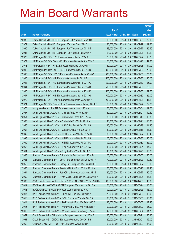|       |                                                              |               |                            |            | <b>Amount</b> |
|-------|--------------------------------------------------------------|---------------|----------------------------|------------|---------------|
|       |                                                              | No. of        |                            |            | raised        |
| Code  | <b>Derivative warrants</b>                                   | issue (units) | <b>Listing date Expiry</b> |            | (HK\$ mil.)   |
| 12983 | Daiwa Capital Mkt - HSCEI European Put Warrants Sep 2014 B   | 100,000,000   | 2014/01/20 2014/09/29      |            | 32.00         |
| 12979 | Daiwa Capital Mkt – HSI European Warrants Sep 2014 C         | 128,000,000   | 2014/01/20 2014/09/29      |            | 19.20         |
| 12980 | Daiwa Capital Mkt - HSI European Put Warrants Jun 2014 E     | 128,000,000   | 2014/01/20 2014/06/27      |            | 25.60         |
| 12984 | Daiwa Capital Mkt - HSI European Put Warrants Feb 2015 A     | 128,000,000   | 2014/01/20 2015/02/26      |            | 19.20         |
| 12975 | J P Morgan SP BV - BYD European Warrants Jun 2014 A          | 70,000,000    | 2014/01/20 2014/06/27      |            | 18.76         |
| 12974 | J P Morgan SP BV - Galaxy Ent European Warrants Apr 2014 F   | 150,000,000   | 2014/01/20 2014/04/28      |            | 47.85         |
| 12973 | J P Morgan SP BV - HKEx European Warrants May 2014 A         | 80,000,000    | 2014/01/20 2014/05/28      |            | 14.00         |
| 12949 | J P Morgan Int'l Der. Ltd. - HSCEI European Wts Jul 2014 D   | 300,000,000   | 2014/01/20 2014/07/30      |            | 75.00         |
| 12948 | J P Morgan SP BV - HSCEI European Put Warrants Jul 2014 C    | 300,000,000   | 2014/01/20 2014/07/30      |            | 75.00         |
| 12945 | J P Morgan SP BV - HSI European Warrants Jul 2014 E          | 500,000,000   | 2014/01/20 2014/07/30      |            | 125.00        |
| 12943 | J P Morgan SP BV - HSI European Put Warrants Jul 2014 C      | 500,000,000   | 2014/01/20 2014/07/30      |            | 125.00        |
| 12944 | J P Morgan SP BV - HSI European Put Warrants Jul 2014 D      | 500,000,000   | 2014/01/20 2014/07/30      |            | 129.50        |
| 12946 | J P Morgan SP BV - HSI European Put Warrants Jul 2014 F      | 500,000,000   | 2014/01/20 2014/07/30      |            | 127.50        |
| 12947 | J P Morgan SP BV - HSI European Put Warrants Jul 2014 G      | 500,000,000   | 2014/01/20 2014/07/30      |            | 125.00        |
| 12972 | J P Morgan SP BV - Ping An European Warrants May 2014 A      | 200,000,000   | 2014/01/20 2014/05/28      |            | 41.20         |
| 12971 | J P Morgan SP BV - Sands China European Warrants May 2014 C  | 150,000,000   | 2014/01/20 2014/05/27      |            | 29.25         |
| 12970 | Macquarie Bank Ltd. - AIA European Warrants Aug 2014 A       | 50,000,000    | 2014/01/20 2014/08/04      |            | 12.50         |
| 12967 | Merrill Lynch Int'l & Co. C.V. - China Life Eu Wt Aug 2014 A | 80,000,000    | 2014/01/20 2014/08/01      |            | 12.40         |
| 12954 | Merrill Lynch Int'l & Co. C.V. - Ch Mobile Eur Wt Jun 2014 A | 80,000,000    | 2014/01/20 2014/06/19      |            | 12.32         |
| 12953 | Merrill Lynch Int'l & Co. C.V. - Ch Mobile Eur Wt Jul 2014 A | 40,000,000    | 2014/01/20 2014/07/21      |            | 10.80         |
| 12950 | Merrill Lynch Int'l & Co. C.V. - A50 China Eur Wt Oct 2014 B | 40,000,000    | 2014/01/20 2014/10/28      |            | 11.40         |
| 12968 | Merrill Lynch Int'l & Co. C.V. - Galaxy Ent Eu Wts Jun 2014A | 50,000,000    | 2014/01/20 2014/06/16      |            | 11.60         |
| 12942 | Merrill Lynch Int'l & Co. C.V. - HSI European Wts Jun 2014 D | 100,000,000   | 2014/01/20 2014/06/27      |            | 16.40         |
| 12938 | Merrill Lynch Int'l & Co. C.V. - HSI European Wts Jul 2014 B | 100,000,000   | 2014/01/20 2014/07/30      |            | 25.00         |
| 12939 | Merrill Lynch Int'l & Co. C.V. - HSI European Wts Jul 2014 C | 100,000,000   | 2014/01/20 2014/07/30      |            | 25.00         |
| 12966 | Merrill Lynch Int'l & Co. C.V. - Ping An Euro Wts Jun 2014 A | 40.000.000    | 2014/01/20 2014/06/24      |            | 14.60         |
| 12951 | Merrill Lynch Int'l & Co. C.V. - Ping An Euro Wts Jul 2014 B | 40,000,000    | 2014/01/20 2014/07/21      |            | 10.60         |
| 12963 | Standard Chartered Bank - China Mobile Euro Wts Aug 2014 B   | 100,000,000   | 2014/01/20 2014/08/05      |            | 25.00         |
| 12961 | Standard Chartered Bank - Geely Auto European Wts Jun 2014 A | 70,000,000    | 2014/01/20 2014/06/23      |            | 10.50         |
| 12959 | Standard Chartered Bank - Galaxy Ent European Wts Jun 2014 D | 80,000,000    | 2014/01/20 2014/06/27      |            | 20.00         |
| 12960 | Standard Chartered Bank - Greatwall Motor Euro Wt Jun 2014 A | 60,000,000    | 2014/01/20 2014/06/23      |            | 11.40         |
| 12964 | Standard Chartered Bank - PetroChina European Wts Jun 2014 B | 80,000,000    | 2014/01/20 2014/06/27      |            | 20.00         |
| 12962 | Standard Chartered Bank - Wynn Macau European Wts Jun 2014 A | 60,000,000    | 2014/01/20 2014/06/25      |            | 17.10         |
| 12965 | SGA Societe Generale Acceptance N.V. - CNOOC Eu Wt Dec 2014B | 300,000,000   | 2014/01/20 2014/12/03      |            | 45.00         |
| 13012 | BOCI Asia Ltd. - CSOP A50 ETFEuropean Warrants Jun 2015 A    | 100,000,000   | 2014/01/21                 | 2015/06/24 | 15.00         |
| 13013 | BOCI Asia Ltd. - Lenovo European Warrants Mar 2015 A         | 100,000,000   | 2014/01/21 2015/03/23      |            | 16.00         |
| 13017 | BNP Paribas Arbit Issu B.V. - China Tel Euro Wts Jul 2014 A  | 75,000,000    | 2014/01/21                 | 2014/07/03 | 12.00         |
| 13016 | BNP Paribas Arbit Issu B.V. - OOIL European Wts Mar 2015 A   | 23,000,000    | 2014/01/21 2015/03/03      |            | 10.35         |
| 13014 | BNP Paribas Arbit Issu B.V. - PWR Assets Euro Wts Feb 2015 A | 48,000,000    | 2014/01/21                 | 2015/02/03 | 12.48         |
| 13015 | BNP Paribas Arbit Issu B.V. - Want Want Ch Eu Wts Aug 2016 A | 100,000,000   | 2014/01/21                 | 2016/08/02 | 25.00         |
| 13018 | BNP Paribas Arbit Issu B.V. - Weichai Power Eu Wt Aug 2014 A | 42,000,000    | 2014/01/21                 | 2014/08/04 | 11.76         |
| 13052 | Credit Suisse AG - China Mobile European Warrants Jul 2014 B | 80,000,000    | 2014/01/21 2014/07/21      |            | 20.80         |
| 13051 | Credit Suisse AG - CNOOC European Warrants Dec 2014 B        | 80,000,000    | 2014/01/21                 | 2014/12/01 | 12.00         |
| 13060 | Citigroup Global Mkt H Inc. - AIA European Wts Jun 2014 A    | 100,000,000   | 2014/01/21                 | 2014/06/23 | 16.00         |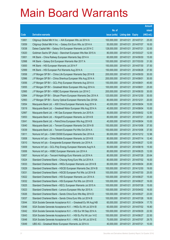|       |                                                               |               |                            |                       | <b>Amount</b> |
|-------|---------------------------------------------------------------|---------------|----------------------------|-----------------------|---------------|
|       |                                                               | No. of        |                            |                       | raised        |
| Code  | <b>Derivative warrants</b>                                    | issue (units) | <b>Listing date Expiry</b> |                       | (HK\$ mil.)   |
| 13061 | Citigroup Global Mkt H Inc. - AIA European Wts Jul 2014 A     | 100,000,000   | 2014/01/21                 | 2014/07/21            | 25.00         |
| 13059 | Citigroup Global Mkt H Inc. - Galaxy Ent Euro Wts Jul 2014 A  | 50,000,000    | 2014/01/21                 | 2014/07/07            | 16.00         |
| 13038 | Daiwa Capital Mkt - Galaxy Ent European Warrants Jul 2014 C   | 128,000,000   | 2014/01/21                 | 2014/07/21            | 32.00         |
| 13020 | Goldman Sachs SP (Asia) - Stanchart European Wts Mar 2015 A   | 80,000,000    | 2014/01/21                 | 2015/03/27            | 12.00         |
| 13001 | HK Bank - China Railway European Warrants Sep 2014 A          | 60,000,000    | 2014/01/21                 | 2014/09/30            | 15.00         |
| 12998 | HK Bank - Galaxy Ent European Warrants Mar 2017 A             | 150,000,000   | 2014/01/21                 | 2017/03/30            | 31.50         |
| 13000 | HK Bank - HSI European Warrants Jul 2014 F                    | 150,000,000   | 2014/01/21                 | 2014/07/30            | 37.50         |
| 12999 | HK Bank - HSI European Put Warrants Aug 2014 A                | 150,000,000   | 2014/01/21                 | 2014/08/28            | 37.50         |
| 13058 | J P Morgan SP BV - China Life European Warrants Sep 2014 B    | 200,000,000   | 2014/01/21                 | 2014/09/30            | 30.00         |
| 12996 | J P Morgan SP BV - China Shenhua European Wts Aug 2014 A      | 200,000,000   | 2014/01/21                 | 2014/08/01            | 30.00         |
| 13056 | J P Morgan SP BV - GCL-Poly European Warrants Aug 2014 A      | 150,000,000   | 2014/01/21                 | 2014/08/01            | 45.60         |
| 13055 | J P Morgan SP BV - Greatwall Motor European Wts Aug 2014 A    | 100,000,000   | 2014/01/21                 | 2014/08/01            | 25.00         |
| 12995 | J P Morgan SP BV - HSBC European Warrants Jun 2014 C          | 200,000,000   | 2014/01/21                 | 2014/06/30            | 30.00         |
| 12994 | J P Morgan SP BV - Sihuan Pharm European Warrants Dec 2014 A  | 120,000,000   |                            | 2014/01/21 2014/12/30 | 30.00         |
| 12993 | J P Morgan SP BV - Sunny Optical European Warrants Dec 2015A  | 80,000,000    | 2014/01/21                 | 2015/12/31            | 20.00         |
| 13054 | Macquarie Bank Ltd. - A50 China European Warrants Aug 2014 A  | 40,000,000    | 2014/01/21                 | 2014/08/04            | 10.00         |
| 13019 | Macquarie Bank Ltd. - Greatwall Motor European Wts Aug 2014 A | 40,000,000    | 2014/01/21                 | 2014/08/04            | 10.00         |
| 12997 | Macquarie Bank Ltd. - HK Gas European Warrants Jun 2015 A     | 50,000,000    | 2014/01/21                 | 2015/06/02            | 12.50         |
| 13053 | Macquarie Bank Ltd. - Kingsoft European Warrants Jul 2014 B   | 80,000,000    | 2014/01/21                 | 2014/07/21            | 20.00         |
| 13041 | Macquarie Bank Ltd. - PetroChina European Wts Aug 2014 B      | 40,000,000    | 2014/01/21                 | 2014/08/04            | 10.00         |
| 13040 | Macquarie Bank Ltd. - Tencent European Warrants Oct 2014 B    | 150,000,000   | 2014/01/21                 | 2014/10/06            | 37.50         |
| 13039 | Macquarie Bank Ltd. - Tencent European Put Wts Oct 2014 A     | 150,000,000   | 2014/01/21                 | 2014/10/06            | 37.50         |
| 13011 | Nomura Int'l plc - CAM CSI300 European Warrants Dec 2014 A    | 80,000,000    | 2014/01/21                 | 2014/12/12            | 12.96         |
| 13008 | Nomura Int'l plc - China Mobile European Warrants Jul 2014 B  | 80,000,000    |                            | 2014/01/21 2014/07/14 | 12.40         |
| 13010 | Nomura Int'l plc - Evergrande European Warrants Jun 2014 A    | 80,000,000    | 2014/01/21                 | 2014/06/27            | 12.00         |
| 13009 | Nomura Int'l plc - GCL-Poly Energy European Warrants Aug14 A  | 50,000,000    | 2014/01/21                 | 2014/08/18            | 15.50         |
| 13006 | Nomura Int'l plc - HSBC European Warrants Jun 2014 A          | 80,000,000    | 2014/01/21                 | 2014/06/25            | 12.00         |
| 13007 | Nomura Int'l plc - Tencent Holdings Euro Warrants Jul 2014 A  | 80,000,000    |                            | 2014/01/21 2014/07/28 | 20.64         |
| 13024 | Standard Chartered Bank - Cheung Kong Euro Wts Jul 2014 A     | 80,000,000    | 2014/01/21                 | 2014/07/02            | 16.00         |
| 13033 | Standard Chartered Bank - HKEx European Warrants Jun 2014 B   | 80,000,000    | 2014/01/21                 | 2014/06/04            | 20.80         |
| 13029 | Standard Chartered Bank - HSCEI European Warrants Dec 2014 B  | 100,000,000   | 2014/01/21                 | 2014/12/30            | 19.00         |
| 13031 | Standard Chartered Bank - HSCEI European Put Wts Jul 2014 B   | 100,000,000   | 2014/01/21                 | 2014/07/30            | 25.00         |
| 13022 | Standard Chartered Bank - HSI European Warrants Jun 2014 A    | 100,000,000   | 2014/01/21                 | 2014/06/27            | 15.00         |
| 13032 | Standard Chartered Bank - HSI European Put Wts Jun 2014 B     | 100,000,000   | 2014/01/21                 | 2014/06/27            | 16.00         |
| 13025 | Standard Chartered Bank - KECL European Warrants Jul 2015 A   | 100,000,000   | 2014/01/21                 | 2015/07/28            | 15.00         |
| 13023 | Standard Chartered Bank - Lenovo European Wts Apr 2015 A      | 100,000,000   | 2014/01/21                 | 2015/04/02            | 16.00         |
| 13026 | Standard Chartered Bank - Sands China Euro Wts May 2014 D     | 100,000,000   | 2014/01/21                 | 2014/05/27            | 23.00         |
| 13037 | Standard Chartered Bank - Sands China Euro Wts Jul 2014 B     | 100,000,000   | 2014/01/21                 | 2014/07/28            | 18.00         |
| 13044 | SGA Societe Generale Acceptance N.V. - Greatwall Eu Wt Aug14B | 60,000,000    | 2014/01/21                 | 2014/08/04            | 17.70         |
| 13046 | SGA Societe Generale Acceptance N.V. - HKEx Eu Wt Jul 2014 B  | 60,000,000    | 2014/01/21                 | 2014/07/02            | 16.80         |
| 13042 | SGA Societe Generale Acceptance N.V. - HSI Eur Wt Sep 2014 A  | 150,000,000   | 2014/01/21                 | 2014/09/29            | 22.50         |
| 13043 | SGA Societe Generale Acceptance N.V. - HSI Eu Put Wt Jun 14 E | 150,000,000   | 2014/01/21                 | 2014/06/27            | 22.50         |
| 13048 | SGA Societe Generale Acceptance N.V. - HWL Eur Wt Jul 2014 E  | 70,000,000    | 2014/01/21                 | 2014/07/07            | 29.75         |
| 13049 | UBS AG - Greatwall Motor European Warrants Jul 2014 A         | 40,000,000    | 2014/01/21 2014/07/21      |                       | 10.00         |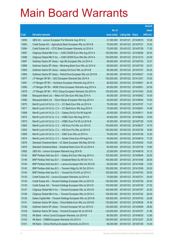|       |                                                               |               |                            |                       | <b>Amount</b> |
|-------|---------------------------------------------------------------|---------------|----------------------------|-----------------------|---------------|
|       |                                                               | No. of        |                            |                       | raised        |
| Code  | <b>Derivative warrants</b>                                    | issue (units) | <b>Listing date Expiry</b> |                       | (HK\$ mil.)   |
| 13050 | UBS AG - Lenovo European Put Warrants Aug 2014 A              | 21,000,000    |                            | 2014/01/21 2014/08/18 | 10.08         |
| 13083 | Credit Suisse AG - Agricultural Bank European Wts Jul 2014 B  | 70,000,000    | 2014/01/22 2014/07/21      |                       | 10.50         |
| 13084 | Credit Suisse AG - CITIC Bank European Warrants Jul 2014 A    | 70,000,000    |                            | 2014/01/22 2014/07/28 | 17.50         |
| 13087 | Citigroup Global Mkt H Inc. - CAM CSI300 Euro Wts Aug 2014 A  | 100,000,000   |                            | 2014/01/22 2014/08/28 | 25.00         |
| 13088 | Citigroup Global Mkt H Inc. - CAM CSI300 Euro Wts Dec 2014 A  | 100,000,000   |                            | 2014/01/22 2014/12/12 | 22.00         |
| 13067 | Goldman Sachs SP (Asia) - Agri Bk European Wts Jul 2014 A     | 68,000,000    |                            | 2014/01/22 2014/07/25 | 10.27         |
| 13066 | Goldman Sachs SP (Asia) - Minsheng Bank Euro Wts Jul 2014 A   | 68,000,000    |                            | 2014/01/22 2014/07/30 | 24.07         |
| 13064 | Goldman Sachs SP (Asia) - Galaxy Ent Euro Wts Jul 2014 B      | 80,000,000    |                            | 2014/01/22 2014/07/07 | 20.24         |
| 13065 | Goldman Sachs SP (Asia) - PetroChina European Wts Jun 2014 B  | 80,000,000    |                            | 2014/01/22 2014/06/27 | 12.00         |
| 13077 | J P Morgan SP BV - GAC European Warrants Dec 2014 A           | 100,000,000   |                            | 2014/01/22 2014/12/01 | 15.00         |
| 13081 | J P Morgan SP BV - Hutchison European Warrants Aug 2014 A     | 80,000,000    | 2014/01/22 2014/08/01      |                       | 40.16         |
| 13080 | J P Morgan SP BV - MGM China European Warrants Aug 2014 A     | 80,000,000    | 2014/01/22 2014/08/01      |                       | 20.00         |
| 13079 | J P Morgan SP BV - PICC Group European Warrants Oct 2014 A    | 100,000,000   |                            | 2014/01/22 2014/10/03 | 25.00         |
| 13086 | Macquarie Bank Ltd. - Melco Int'l Dev Euro Wts Sep 2014 A     | 40,000,000    |                            | 2014/01/22 2014/09/02 | 10.00         |
| 13085 | Macquarie Bank Ltd. - Wynn Macau European Wts Aug 2014 A      | 40,000,000    |                            | 2014/01/22 2014/08/04 | 10.00         |
| 13070 | Merrill Lynch Int'l & Co. C.V. - CC Bank Euro Wts Jul 2014 A  | 70,000,000    |                            | 2014/01/22 2014/07/07 | 11.41         |
| 13071 | Merrill Lynch Int'l & Co. C.V. - CC Bank Euro Wts Aug 2014 A  | 70,000,000    | 2014/01/22 2014/08/01      |                       | 10.99         |
| 13068 | Merrill Lynch Int'l & Co. C.V. - Galaxy Ent Eu Put Wt Aug14A  | 40,000,000    | 2014/01/22 2014/08/11      |                       | 16.40         |
| 13072 | Merrill Lynch Int'l & Co. C.V. - HSBC Euro Wts Aug 2014 A     | 40,000,000    |                            | 2014/01/22 2014/08/04 | 10.00         |
| 13073 | Merrill Lynch Int'l & Co. C.V. - HSBC Euro Put Wt Jul 2014 B  | 40,000,000    |                            | 2014/01/22 2014/07/28 | 10.00         |
| 13062 | Merrill Lynch Int'l & Co. C.V. - HSI Euro Put Wts Jun 2014 E  | 100,000,000   |                            | 2014/01/22 2014/06/27 | 15.70         |
| 13063 | Merrill Lynch Int'l & Co. C.V. - HSI Euro Put Wts Jul 2014 D  | 100,000,000   |                            | 2014/01/22 2014/07/30 | 16.60         |
| 13069 | Merrill Lynch Int'l & Co. C.V. - ICBC Euro Wts Jul 2014 A     | 70,000,000    |                            | 2014/01/22 2014/07/28 | 10.50         |
| 13074 | Merrill Lynch Int'l & Co. C.V. - Sands China Euro Wt Aug14 A  | 40,000,000    |                            | 2014/01/22 2014/08/18 | 17.20         |
| 13076 | Standard Chartered Bank - CC Bank European Wts May 2014 B     | 100,000,000   |                            | 2014/01/22 2014/05/05 | 15.00         |
| 13075 | Standard Chartered Bank - Greatwall Motor Euro Wt Jul 2014 A  | 60,000,000    |                            | 2014/01/22 2014/07/30 | 15.60         |
| 13082 | UBS AG - Lenovo European Warrants Aug 2014 B                  | 22,000,000    | 2014/01/22 2014/08/18      |                       | 10.12         |
| 13142 | BNP Paribas Arbit Issu B.V. - Galaxy Ent Euro Wts Aug 2014 A  | 100,000,000   | 2014/01/23 2014/08/04      |                       | 25.00         |
| 13146 | BNP Paribas Arbit Issu B.V. - Greatwall Motor Eu Wt Oct 14 A  | 100,000,000   |                            | 2014/01/23 2014/10/06 | 28.00         |
| 13145 | BNP Paribas Arbit Issu B.V. - Lenovo European Wts Oct 2014 B  | 50,000,000    |                            | 2014/01/23 2014/10/06 | 13.50         |
| 13143 | BNP Paribas Arbit Issu B.V. - Tencent HIdgs Eu Wt Oct 2014 A  | 100,000,000   |                            | 2014/01/23 2014/10/06 | 25.00         |
| 13144 | BNP Paribas Arbit Issu B.V. - Tencent Eu Put Wt Jul 2014 C    | 100,000,000   |                            | 2014/01/23 2014/07/03 | 30.00         |
| 13133 | Credit Suisse AG - Lenovo European Warrants Jul 2014 A        | 70,000,000    | 2014/01/23 2014/07/31      |                       | 29.40         |
| 13134 | Credit Suisse AG - Tencent Holdings European Wts Jul 2014 D   | 100,000,000   | 2014/01/23 2014/07/28      |                       | 25.00         |
| 13135 | Credit Suisse AG - Tencent Holdings European Wts Jul 2014 E   | 100,000,000   |                            | 2014/01/23 2014/07/28 | 27.00         |
| 13147 | Citigroup Global Mkt H Inc. - Tencent European Wts Jul 2014 B | 100,000,000   |                            | 2014/01/23 2014/07/07 | 22.00         |
| 13148 | Citigroup Global Mkt H Inc. - Tencent European Wts Jul 2014 C | 100,000,000   |                            | 2014/01/23 2014/07/22 | 26.00         |
| 13130 | Daiwa Capital Mkt - Tencent Holdings European Wts Jul 2014 B  | 108,000,000   |                            | 2014/01/23 2014/07/02 | 22.68         |
| 13131 | Goldman Sachs SP (Asia) - China Mobile Euro Wts Jun 2014 B    | 120,000,000   |                            | 2014/01/23 2014/06/26 | 18.36         |
| 13126 | Goldman Sachs SP (Asia) - Tencent European Wt Jun 2014 G      | 120,000,000   |                            | 2014/01/23 2014/06/09 | 28.80         |
| 13129 | Goldman Sachs SP (Asia) - Tencent European Wt Jul 2014 B      | 120,000,000   |                            | 2014/01/23 2014/07/07 | 21.96         |
| 13102 | HK Bank - Anhui Conch European Warrants Jun 2014 B            | 80,000,000    | 2014/01/23 2014/06/30      |                       | 12.80         |
| 13103 | HK Bank - CNBM European Warrants Oct 2015 A                   | 150,000,000   |                            | 2014/01/23 2015/10/27 | 22.50         |
| 13101 | HK Bank - China Shenhua European Warrants Jul 2014 A          | 80,000,000    |                            | 2014/01/23 2014/07/28 | 14.40         |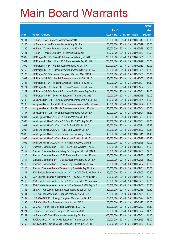|         |                                                                |               |                            |                       | <b>Amount</b> |
|---------|----------------------------------------------------------------|---------------|----------------------------|-----------------------|---------------|
|         |                                                                | No. of        |                            |                       | raised        |
| Code    | <b>Derivative warrants</b>                                     | issue (units) | <b>Listing date Expiry</b> |                       | (HK\$ mil.)   |
| 13104   | HK Bank – HWL European Warrants Jun 2014 D                     | 80,000,000    | 2014/01/23 2014/06/16      |                       | 16.00         |
| 13105   | HK Bank - Lenovo European Warrants Aug 2014 A                  | 60,000,000    | 2014/01/23 2014/08/29      |                       | 18.00         |
| 13120   | HK Bank - Tencent European Warrants Jul 2014 D                 | 80,000,000    | 2014/01/23 2014/07/28      |                       | 20.00         |
| 13121   | HK Bank - Tencent European Put Warrants Jun 2014 F             | 80,000,000    | 2014/01/23 2014/06/30      |                       | 28.00         |
| 13092   | J P Morgan SP BV - China Mob European Wts Aug 2014 B           | 200,000,000   | 2014/01/23 2014/08/01      |                       | 50.20         |
| 13091   | J P Morgan Int'l Der. Ltd. - HSCEI European Wts Sep 2014 B     | 200,000,000   | 2014/01/23 2014/09/29      |                       | 50.00         |
| 13090   | J P Morgan SP BV - HSI European Warrants Jul 2014 H            | 200,000,000   | 2014/01/23 2014/07/30      |                       | 50.00         |
| 13150   | J P Morgan SP BV - Huaneng Power European Wts Aug 2014 A       | 35,000,000    | 2014/01/23 2014/08/01      |                       | 10.33         |
| 13125   | J P Morgan SP BV - Lenovo European Warrants Mar 2015 A         | 150,000,000   | 2014/01/23 2015/03/30      |                       | 25.95         |
| 13089   | J P Morgan SP BV - Link Reit European Warrants Oct 2014 A      | 80,000,000    | 2014/01/23 2014/10/03      |                       | 13.12         |
| 13123   | J P Morgan SP BV - Tencent European Warrants Aug 2014 B        | 150,000,000   | 2014/01/23 2014/08/01      |                       | 37.50         |
| 13124   | J P Morgan SP BV - Tencent European Warrants Jan 2015 A        | 150,000,000   | 2014/01/23 2015/01/02      |                       | 22.50         |
| 13122   | J P Morgan SP BV - Tencent European Put Warrants Aug 2014 A    | 100,000,000   | 2014/01/23 2014/08/01      |                       | 44.00         |
| 13149   | J P Morgan SP BV - Zoomlion European Warrants Dec 2015 A       | 100,000,000   | 2014/01/23 2015/12/28      |                       | 15.00         |
| 13109   | Macquarie Bank Ltd. - Chinares Cement European Wt Aug 2014 A   | 40,000,000    | 2014/01/23 2014/08/04      |                       | 10.00         |
| 13106   | Macquarie Bank Ltd. - MGM China European Warrants Sep 2014 A   | 40,000,000    | 2014/01/23 2014/09/02      |                       | 10.00         |
| 13108   | Macquarie Bank Ltd. - Ping An European Warrants Aug 2014 A     | 40,000,000    | 2014/01/23 2014/08/04      |                       | 10.00         |
| 13107   | Macquarie Bank Ltd. - Wharf European Warrants Aug 2014 A       | 80,000,000    | 2014/01/23 2014/08/04      |                       | 13.20         |
| 13094   | Merrill Lynch Int'l & Co. C.V. - AIA Euro Wts Aug 2014 A       | 80,000,000    | 2014/01/23 2014/08/26      |                       | 12.08         |
| 13096   | Merrill Lynch Int'l & Co. C.V. - CC Bank Eu Put Wt Aug 2014B   | 40,000,000    | 2014/01/23 2014/08/01      |                       | 14.60         |
| 13097   | Merrill Lynch Int'l & Co. C.V. - Ch Life Eur Put Wt Jun 14 A   | 80,000,000    |                            | 2014/01/23 2014/06/24 | 12.32         |
| 13098   | Merrill Lynch Int'l & Co. C.V. - ICBC Euro Wts May 2014 A      | 80,000,000    | 2014/01/23 2014/05/27      |                       | 12.88         |
| 13099   | Merrill Lynch Int'l & Co. C.V. - Lenovo Euro Wts Aug 2014 A    | 40,000,000    | 2014/01/23 2014/08/11      |                       | 11.40         |
| 13093   | Merrill Lynch Int'l & Co. C.V. - PetroChina Eu Wt Jul 2014 A   | 40,000,000    | 2014/01/23 2014/07/28      |                       | 10.20         |
| 13095   | Merrill Lynch Int'l & Co. C.V. - Ping An Euro Put Wts May14B   | 40,000,000    | 2014/01/23 2014/05/26      |                       | 10.00         |
| 13110   | Standard Chartered Bank - CITIC Pacific Euro Wts Dec 2015 A    | 100,000,000   | 2014/01/23 2015/12/30      |                       | 15.00         |
| 13112   | Standard Chartered Bank – Galaxy Ent European Wts Jul 2017 A   | 150,000,000   | 2014/01/23 2017/07/31      |                       | 37.50         |
| 13113   | Standard Chartered Bank - HSBC European Put Wts Sep 2014 A     | 80,000,000    | 2014/01/23 2014/09/30      |                       | 20.00         |
| 13114   | Standard Chartered Bank - ICBC European Warrants Jul 2014 A    | 100,000,000   | 2014/01/23 2014/07/28      |                       | 15.00         |
| 13115   | Standard Chartered Bank - Tencent Hldg Euro Wts Jul 2014 A     | 100,000,000   | 2014/01/23 2014/07/07      |                       | 18.00         |
| 13116   | Standard Chartered Bank - Tencent Hidg Euro Wts Sep 2014 A     | 100,000,000   | 2014/01/23 2014/09/01      |                       | 20.00         |
| 13117   | SGA Societe Generale Acceptance N.V - Chi COSCO Eu Wt Sep 14 A | 40,000,000    | 2014/01/23 2014/09/03      |                       | 10.60         |
| 13132   | SGA Societe Generale Acceptance N.V. - ICBC Eu Wt Aug 2014 C   | 100,000,000   | 2014/01/23 2014/08/04      |                       | 18.00         |
| 13118   | SGA Societe Generale Acceptance N.V. - Lenovo Eu Wt Sep 14 A   | 30,000,000    | 2014/01/23 2014/09/03      |                       | 10.35         |
| 13119   | SGA Societe Generale Acceptance N.V. - Tencent Eu Wt Sep 14 B  | 150,000,000   | 2014/01/23 2014/09/03      |                       | 26.25         |
| 13136   | UBS AG - Agricultural Bank European Warrants Sep 2014 A        | 50,000,000    | 2014/01/23 2014/09/15      |                       | 12.50         |
| 13141   | UBS AG - Minsheng Bank European Warrants Apr 2016 A            | 70,000,000    | 2014/01/23 2016/04/21      |                       | 10.50         |
| 13139   | UBS AG - GCL-Poly Energy European Warrants Jun 2014 B          | 60,000,000    | 2014/01/23 2014/06/24      |                       | 19.80         |
| 13138   | UBS AG - Li & Fung European Warrants Jan 2015 A                | 100,000,000   | 2014/01/23 2015/01/22      |                       | 15.00         |
| 13140   | UBS AG - Yurun Food European Warrants Jul 2014 A               | 50,000,000    | 2014/01/23 2014/07/22      |                       | 17.50         |
| 16774 # | HK Bank - China Mobile European Warrants Jun 2015              | 180,000,000   | 2014/01/23 2015/06/22      |                       | 14.76         |
| 27149 # | HK Bank - A50 China European Warrants Aug 2014 A               | 300,000,000   | 2014/01/23 2014/08/01      |                       | 14.10         |
| 13168   | BOCI Asia Ltd. - China Mobile European Warrants Jun 2014 A     | 100,000,000   | 2014/01/24 2014/06/23      |                       | 18.00         |
| 13169   | BOCI Asia Ltd. - China Mobile European Put Wts Jun 2014 B      | 100,000,000   | 2014/01/24 2014/06/30      |                       | 19.00         |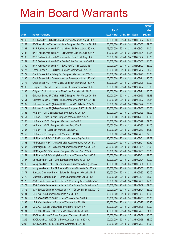|                |                                                                                                       |                           |                            |                       | <b>Amount</b>  |
|----------------|-------------------------------------------------------------------------------------------------------|---------------------------|----------------------------|-----------------------|----------------|
|                |                                                                                                       | No. of                    |                            |                       | raised         |
| Code           | <b>Derivative warrants</b>                                                                            | issue (units)             | <b>Listing date Expiry</b> |                       | (HK\$ mil.)    |
| 13166          | BOCI Asia Ltd. - SJM Holdings European Warrants Aug 2014 A                                            | 100,000,000               | 2014/01/24 2014/08/27      |                       | 17.00          |
| 13167          | BOCI Asia Ltd. - Tencent Holdings European Put Wts Jun 2014 B                                         | 100,000,000               | 2014/01/24 2014/06/30      |                       | 27.00          |
| 13191          | BNP Paribas Arbit Issu B.V. - Minsheng Bk Euro Wt Aug 2014 A                                          | 78,000,000                | 2014/01/24 2014/08/04      |                       | 14.04          |
| 13188          | BNP Paribas Arbit Issu B.V. - CR Cement Euro Wts Aug 2014 A                                           | 19,000,000                | 2014/01/24 2014/08/04      |                       | 10.26          |
| 13190          | BNP Paribas Arbit Issu B.V. - Melco Int'l Dev Eu Wt Aug 14 A                                          | 75,000,000                |                            | 2014/01/24 2014/08/04 | 18.75          |
| 13189          | BNP Paribas Arbit Issu B.V. - Sands China Euro Wt Jun 2014 A                                          | 100,000,000               | 2014/01/24 2014/06/30      |                       | 18.00          |
| 13192          | BNP Paribas Arbit Issu B.V. - Swrie Pacific A Eu Wt Aug 16 A                                          | 100,000,000               |                            | 2014/01/24 2016/08/02 | 25.00          |
| 13177          | Credit Suisse AG - CC Bank European Warrants Jul 2014 D                                               | 80,000,000                | 2014/01/24 2014/07/07      |                       | 21.60          |
| 13179          | Credit Suisse AG - Galaxy Ent European Warrants Jul 2014 D                                            | 80,000,000                | 2014/01/24 2014/07/28      |                       | 20.00          |
| 13180          | Credit Suisse AG - Tencent Holdings European Wts Aug 2014 C                                           | 100,000,000               | 2014/01/24 2014/08/11      |                       | 25.00          |
| 13178          | Credit Suisse AG - Wynn Macau European Warrants Jul 2014 A                                            | 80,000,000                | 2014/01/24 2014/07/28      |                       | 20.00          |
| 13195          | Citigroup Global Mkt H Inc. - Fosun Intl European Wts Apr15A                                          | 80,000,000                | 2014/01/24 2015/04/27      |                       | 20.00          |
| 13193          | Citigroup Global Mkt H Inc. - A50 China Euro Wts Jul 2014 B                                           | 80,000,000                | 2014/01/24 2014/07/21      |                       | 36.00          |
| 13173          | Goldman Sachs SP (Asia) – HSBC European Put Wts Jun 2014 B                                            | 120,000,000               | 2014/01/24 2014/06/27      |                       | 18.48          |
| 13161          | Goldman Sachs SP (Asia) - HSI European Warrants Jun 2014 B                                            | 150,000,000               | 2014/01/24 2014/06/27      |                       | 24.15          |
| 13162          | Goldman Sachs SP (Asia) – HSI European Put Wts Jun 2014 C                                             | 150,000,000               | 2014/01/24 2014/06/27      |                       | 25.05          |
| 13172          | Goldman Sachs SP (Asia) – Tencent European Put Wt Jul 2014 C                                          | 120,000,000               |                            | 2014/01/24 2014/07/30 | 36.00          |
| 13155          | HK Bank - CITIC Bank European Warrants Jul 2014 A                                                     | 60,000,000                | 2014/01/24 2014/07/23      |                       | 15.00          |
| 13154          | HK Bank - China Unicom European Warrants Dec 2014 A                                                   | 100,000,000               | 2014/01/24 2014/12/23      |                       | 15.00          |
| 13158          | HK Bank – HSCEI European Warrants Jun 2014 G                                                          | 150,000,000               | 2014/01/24 2014/06/27      |                       | 27.00          |
| 13160          | HK Bank - HSCEI European Warrants Dec 2014 B                                                          | 150,000,000               |                            | 2014/01/24 2014/12/30 | 24.00          |
| 13156          | HK Bank - HSI European Warrants Jul 2014 G                                                            | 150,000,000               | 2014/01/24 2014/07/30      |                       | 37.50          |
| 13157<br>13153 | HK Bank - HSI European Put Warrants Jul 2014 H<br>J P Morgan SP BV - CGS European Warrants Aug 2014 A | 150,000,000               | 2014/01/24 2014/08/01      | 2014/01/24 2014/07/30 | 37.50<br>12.52 |
| 13198          | J P Morgan SP BV - Galaxy Ent European Warrants Aug 2014 D                                            | 40,000,000<br>100,000,000 | 2014/01/24 2014/08/01      |                       | 32.50          |
| 13197          | J P Morgan SP BV - Galaxy Ent European Warrants Aug 2016 A                                            | 500,000,000               | 2014/01/24 2016/08/01      |                       | 125.00         |
| 13152          | J P Morgan SP BV - Lenovo European Warrants Sep 2014 A                                                | 100,000,000               | 2014/01/24 2014/09/01      |                       | 25.00          |
| 13151          | J P Morgan SP BV - Xinyi Glass European Warrants Dec 2016 A                                           | 150,000,000               | 2014/01/24 2016/12/01      |                       | 22.50          |
| 13187          | Macquarie Bank Ltd. - CMS European Warrants Jul 2014 A                                                | 40,000,000                | 2014/01/24 2014/07/24      |                       | 10.00          |
| 13163          | Macquarie Bank Ltd. - HN Renewables European Wts Aug 2014 A                                           | 40,000,000                | 2014/01/24 2014/08/04      |                       | 10.00          |
| 13186          | Macquarie Bank Ltd. - Sh Pharma European Warrants Oct 2014 A                                          | 80,000,000                | 2014/01/24 2014/10/06      |                       | 20.00          |
| 13171          | Standard Chartered Bank - Galaxy Ent European Wts Jul 2014 B                                          | 80,000,000                | 2014/01/24 2014/07/30      |                       | 20.00          |
| 13170          | Standard Chartered Bank - Lenovo European Wts Sep 2014 A                                              | 60,000,000                | 2014/01/24 2014/09/01      |                       | 21.00          |
| 13176          | SGA Societe Generale Acceptance N.V. - Geely Auto Eu Wt Jul14B                                        | 60,000,000                | 2014/01/24 2014/07/09      |                       | 12.00          |
| 13174          | SGA Societe Generale Acceptance N.V. - Galaxy Ent Eu Wt Jul14D                                        | 100,000,000               | 2014/01/24 2014/07/09      |                       | 27.50          |
| 13175          | SGA Societe Generale Acceptance N.V. - Galaxy Ent Eu Wt Aug14C                                        | 100,000,000               | 2014/01/24 2014/08/04      |                       | 25.00          |
| 13181          | UBS AG - AIA European Warrants Aug 2014 A                                                             | 100,000,000               | 2014/01/24 2014/08/26      |                       | 19.00          |
| 13182          | UBS AG - CAM CSI300 European Warrants Dec 2014 A                                                      | 100,000,000               | 2014/01/24 2014/12/31      |                       | 25.00          |
| 13183          | UBS AG - Geely Auto European Warrants Jun 2014 B                                                      | 40,000,000                | 2014/01/24 2014/06/23      |                       | 10.40          |
| 13185          | UBS AG - Galaxy Ent European Warrants Aug 2014 A                                                      | 40,000,000                | 2014/01/24 2014/08/08      |                       | 10.00          |
| 13184          | UBS AG - Galaxy Ent European Put Warrants Jul 2014 D                                                  | 40,000,000                | 2014/01/24 2014/07/23      |                       | 24.00          |
| 13204          | BOCI Asia Ltd. - CC Bank European Warrants Jul 2014 A                                                 | 100,000,000               | 2014/01/27 2014/07/07      |                       | 18.00          |
| 13206          | BOCI Asia Ltd. - A50 China European Warrants Jul 2014 A                                               | 100,000,000               | 2014/01/27 2014/07/28      |                       | 23.00          |
| 13203          | BOCI Asia Ltd. - ICBC European Warrants Jul 2014 B                                                    | 100,000,000               | 2014/01/27 2014/07/23      |                       | 18.00          |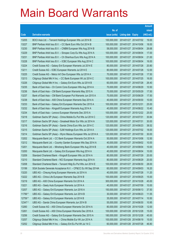|         |                                                              |               |                            | <b>Amount</b> |
|---------|--------------------------------------------------------------|---------------|----------------------------|---------------|
|         |                                                              | No. of        |                            | raised        |
| Code    | <b>Derivative warrants</b>                                   | issue (units) | <b>Listing date Expiry</b> | (HK\$ mil.)   |
| 13205   | BOCI Asia Ltd. - Tencent Holdings European Wts Jul 2014 B    | 100,000,000   | 2014/01/27 2014/07/02      | 19.00         |
| 13227   | BNP Paribas Arbit Issu B.V. - CC Bank Euro Wts Oct 2014 B    | 100,000,000   | 2014/01/27 2014/10/06      | 18.00         |
| 13230   | BNP Paribas Arbit Issu B.V. - CNBM European Wts Aug 2014 B   | 58,000,000    | 2014/01/27 2014/08/04      | 26.68         |
| 13229   | BNP Paribas Arbit Issu B.V. - Sinopec Corp Eu Wts Aug 2014 A | 100,000,000   | 2014/01/27 2014/08/04      | 17.00         |
| 13231   | BNP Paribas Arbit Issu B.V. - Ch Shenhua Euro Wts Aug 2014 A | 100,000,000   | 2014/01/27 2014/08/04      | 21.00         |
| 13228   | BNP Paribas Arbit Issu B.V. - ICBC European Wts Aug 2014 C   | 100,000,000   | 2014/01/27 2014/08/04      | 16.00         |
| 13224   | Credit Suisse AG - Galaxy Ent European Warrants Jul 2014 E   | 80,000,000    | 2014/01/27 2014/07/28      | 20.80         |
| 13211   | Credit Suisse AG - ICBC European Warrants Jul 2014 E         | 80,000,000    | 2014/01/27 2014/07/28      | 12.00         |
| 13225   | Credit Suisse AG - Melco Int'l Dev European Wts Jul 2014 A   | 70,000,000    | 2014/01/27 2014/07/28      | 17.50         |
| 13213   | Citigroup Global Mkt H Inc. - CC Bank European Wt Jul 2014 C | 100,000,000   | 2014/01/27 2014/07/25      | 16.00         |
| 13226   | Citigroup Global Mkt H Inc. - Galaxy Ent Euro Wts Jul 2014 B | 60,000,000    | 2014/01/27 2014/07/28      | 26.40         |
| 13235   | Bank of East Asia - Ch Comm Cons European Wts Aug 2014 A     | 70,000,000    | 2014/01/27 2014/08/29      | 10.50         |
| 13236   | Bank of East Asia - CM Bank European Warrants May 2015 A     | 70,000,000    | 2014/01/27 2015/05/29      | 17.50         |
| 13237   | Bank of East Asia - CM Bank European Put Warrants Jun 2015 A | 70,000,000    | 2014/01/27 2015/06/29      | 17.50         |
| 13238   | Bank of East Asia - A50 China European Warrants Sep 2014 A   | 40,000,000    | 2014/01/27 2014/09/30      | 10.00         |
| 13233   | Bank of East Asia - Galaxy Ent European Warrants Dec 2015 A  | 100,000,000   | 2014/01/27 2015/12/31      | 25.00         |
| 13232   | Bank of East Asia – Kingsoft European Warrants Aug 2014 A    | 40,000,000    | 2014/01/27 2014/08/22      | 10.40         |
| 13234   | Bank of East Asia - Lenovo European Warrants Dec 2015 A      | 100,000,000   | 2014/01/27 2015/12/22      | 25.00         |
| 13218   | Goldman Sachs SP (Asia) - China Mobile Eu Put Wts Jul 2014 C | 120,000,000   | 2014/01/27 2014/07/31      | 30.84         |
| 13217   | Goldman Sachs SP (Asia) – Greatwall Motor Eur Wts Jul 2014 A | 120,000,000   | 2014/01/27 2014/07/31      | 30.00         |
| 13216   | Goldman Sachs SP (Asia) – Sands China Euro Wts Jun 2014 C    | 120,000,000   | 2014/01/27 2014/06/23      | 38.52         |
| 13215   | Goldman Sachs SP (Asia) - SJM Holdings Euro Wts Jul 2014 A   | 120,000,000   | 2014/01/27 2014/07/02      | 18.00         |
| 13214   | Goldman Sachs SP (Asia) - Wynn Macau European Wts Jul 2014 A | 120,000,000   | 2014/01/27 2014/07/30      | 30.00         |
| 13202   | Macquarie Bank Ltd. – CC Bank European Warrants Oct 2014 A   | 50,000,000    | 2014/01/27 2014/10/06      | 12.50         |
| 13212   | Macquarie Bank Ltd. - Country Garden European Wts Sep 2014 A | 40,000,000    | 2014/01/27 2014/09/02      | 10.00         |
| 13201   | Macquarie Bank Ltd. - Minsheng Bank European Wts Aug 2014 B  | 40,000,000    | 2014/01/27 2014/08/04      | 10.00         |
| 13200   | Macquarie Bank Ltd. - Galaxy Ent European Wts Aug 2014 A     | 40,000,000    | 2014/01/27 2014/08/04      | 10.00         |
| 13209   | Standard Chartered Bank - Kingsoft European Wts Jul 2014 A   | 80,000,000    | 2014/01/27 2014/07/29      | 20.00         |
| 13210   | Standard Chartered Bank - NCI European Warrants Aug 2014 A   | 80,000,000    | 2014/01/27 2014/08/29      | 20.00         |
| 13208   | Standard Chartered Bank - Tencent Hidg Eu Put Wts Jun 2014 E | 100,000,000   | 2014/01/27 2014/06/30      | 28.00         |
| 13199   | SGA Societe Generale Acceptance N.V. - CP&CC Eu Wt Sep 2014A | 60,000,000    | 2014/01/27 2014/09/03      | 16.20         |
| 13220   | UBS AG - Cheung Kong European Warrants Jul 2014 A            | 40,000,000    | 2014/01/27 2014/07/28      | 11.20         |
| 13222   | UBS AG - China Life European Warrants Sep 2014 B             | 100,000,000   | 2014/01/27 2014/09/25      | 15.00         |
| 13219   | UBS AG - A50 China European Warrants Oct 2014 A              | 300,000,000   | 2014/01/27 2014/10/28      | 45.00         |
| 13221   | UBS AG - Geely Auto European Warrants Jul 2014 A             | 40,000,000    | 2014/01/27 2014/07/09      | 10.00         |
| 13207   | UBS AG - Galaxy Ent European Warrants Jun 2016 A             | 150,000,000   | 2014/01/27 2016/06/13      | 37.50         |
| 11799 # | UBS AG - Galaxy Ent European Warrants Jun 2014 B             | 30,000,000    | 2014/01/27 2014/06/23      | 11.55         |
| 12759 # | UBS AG - Galaxy Ent European Warrants Jul 2014 B             | 35,000,000    | 2014/01/27 2014/07/14      | 10.50         |
| 12347 # | UBS AG - Sands China European Warrants Jun 2014 B            | 55,000,000    | 2014/01/27 2014/06/30      | 10.95         |
| 13260   | Credit Suisse AG - A50 China European Warrants Oct 2014 A    | 80,000,000    | 2014/01/28 2014/10/28      | 12.00         |
| 13261   | Credit Suisse AG - A50 China European Warrants Dec 2016 A    | 100,000,000   | 2014/01/28 2016/12/28      | 15.00         |
| 13256   | Credit Suisse AG - Galaxy Ent European Warrants Dec 2015 A   | 180,000,000   | 2014/01/28 2015/12/28      | 45.00         |
| 13257   | Citigroup Global Mkt H Inc. - China Mobile Eur Wt Jun 2014 A | 100,000,000   | 2014/01/28 2014/06/19      | 15.00         |
| 13252   | Citigroup Global Mkt H Inc. - Galaxy Ent Eu Put Wt Jul 14 C  | 60,000,000    | 2014/01/28 2014/07/28      | 46.80         |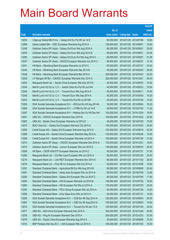|       |                                                                |               |                            |            | <b>Amount</b> |
|-------|----------------------------------------------------------------|---------------|----------------------------|------------|---------------|
|       |                                                                | No. of        |                            |            | raised        |
| Code  | <b>Derivative warrants</b>                                     | issue (units) | <b>Listing date Expiry</b> |            | (HK\$ mil.)   |
| 13254 | Citigroup Global Mkt H Inc. - Galaxy Ent Eu Put Wt Jul 14 D    | 60,000,000    | 2014/01/28 2014/07/08      |            | 16.80         |
| 13268 | Daiwa Capital Mkt - ICBC European Warrants Aug 2014 A          | 128,000,000   | 2014/01/28 2014/08/01      |            | 19.20         |
| 13248 | Goldman Sachs SP (Asia) - Galaxy Ent Euro Wts Aug 2014 A       | 80,000,000    | 2014/01/28 2014/08/01      |            | 20.00         |
| 13249 | Goldman Sachs SP (Asia) - Galaxy Ent Euro Wts Aug 2014 B       | 80,000,000    | 2014/01/28 2014/08/01      |            | 20.08         |
| 13250 | Goldman Sachs SP (Asia) – Galaxy Ent Euro Put Wts Aug 2014 C   | 80,000,000    | 2014/01/28 2014/08/01      |            | 31.28         |
| 13247 | Goldman Sachs SP (Asia) - HSCEI European Warrants Jun 2014 C   | 80,000,000    | 2014/01/28 2014/06/27      |            | 12.16         |
| 13241 | HK Bank - Minsheng Bank European Warrants Jul 2014 C           | 60,000,000    | 2014/01/28 2014/07/31      |            | 24.00         |
| 13242 | HK Bank – Minsheng Bank European Warrants Sep 2014 B           | 50,000,000    | 2014/01/28 2014/09/30      |            | 30.00         |
| 13239 | HK Bank – Minsheng Bank European Warrants Mar 2016 A           | 200,000,000   | 2014/01/28 2016/03/02      |            | 32.00         |
| 13259 | J P Morgan SP BV - CNOOC European Warrants Dec 2014 A          | 300,000,000   | 2014/01/28 2014/12/01      |            | 45.00         |
| 13255 | Macquarie Bank Ltd. - Sands China European Wts Sep 2014 A      | 40,000,000    | 2014/01/28 2014/09/02      |            | 10.00         |
| 13244 | Merrill Lynch Int'l & Co. C.V. - Sands China Eu Put Wt Jun14A  | 40,000,000    | 2014/01/28 2014/06/23      |            | 10.00         |
| 13246 | Merrill Lynch Int'l & Co. C.V. - Tencent Euro Wts Aug 2014 A   | 40,000,000    | 2014/01/28 2014/08/11      |            | 10.40         |
| 13245 | Merrill Lynch Int'l & Co. C.V. - Tencent Euro Wts Sep 2014 A   | 40,000,000    | 2014/01/28 2014/09/30      |            | 10.20         |
| 13243 | Merrill Lynch Int'l & Co. C.V. - Tencent Eu Put Wt Jul 2014B   | 40,000,000    | 2014/01/28 2014/07/28      |            | 13.40         |
| 13265 | SGA Societe Generale Acceptance N.V. - BOCom Eu Wt Aug 2014A   | 34,000,000    | 2014/01/28 2014/08/04      |            | 10.20         |
| 13266 | SGA Societe Generale Acceptance N.V. - CITBK Eu Wt Jul 14 B    | 40,000,000    | 2014/01/28 2014/07/02      |            | 11.20         |
| 13267 | SGA Societe Generale Acceptance N.V - Haitong Sec Eu Wt Dec14A | 100,000,000   | 2014/01/28 2014/12/29      |            | 19.00         |
| 13251 | UBS AG - CNOOC European Warrants Dec 2014 B                    | 100,000,000   | 2014/01/28 2014/12/22      |            | 25.00         |
| 13262 | UBS AG - Sands China European Warrants Jul 2014 D              | 40,000,000    | 2014/01/28 2014/07/28      |            | 10.00         |
| 13275 | BOCI Asia Ltd. - Galaxy Ent European Warrants Oct 2015 A       | 100,000,000   | 2014/01/29 2015/10/30      |            | 25.00         |
| 13290 | Credit Suisse AG - Galaxy Ent European Warrants Aug 2014 A     | 100,000,000   | 2014/01/29 2014/08/18      |            | 42.00         |
| 13289 | Credit Suisse AG - Sands China European Warrants May 2014 A    | 100,000,000   | 2014/01/29 2014/05/26      |            | 19.00         |
| 13288 | Credit Suisse AG - Sands China European Warrants Jul 2014 A    | 100,000,000   | 2014/01/29 2014/07/28      |            | 21.00         |
| 13273 | Goldman Sachs SP (Asia) – CNOOC European Warrants Dec 2014 A   | 120,000,000   | 2014/01/29 2014/12/01      |            | 18.00         |
| 13270 | Goldman Sachs SP (Asia) - Lenovo European Wts Jun 2015 A       | 100,000,000   | 2014/01/29 2015/06/30      |            | 25.00         |
| 13269 | HK Bank - CSOP A50 ETF European Warrants Jul 2014 C            | 60,000,000    | 2014/01/29 2014/07/31      |            | 21.00         |
| 13280 | Macquarie Bank Ltd. - Chi Res Land European Wts Jan 2015 A     | 80,000,000    | 2014/01/29 2015/01/05      |            | 20.00         |
| 13274 | Macquarie Bank Ltd. - Link REIT European Warrants Nov 2014 A   | 80,000,000    | 2014/01/29 2014/11/03      |            | 20.00         |
| 13279 | Macquarie Bank Ltd. - Poly HK Inv European Wts Oct 2014 A      | 40,000,000    | 2014/01/29 2014/10/06      |            | 10.00         |
| 13291 | Standard Chartered Bank - Agricultural Bk Eur Wts Aug 2014 B   | 80,000,000    | 2014/01/29 2014/08/08      |            | 22.40         |
| 13281 | Standard Chartered Bank - Geely Auto European Wts Jul 2014 A   | 60,000,000    | 2014/01/29 2014/07/09      |            | 13.80         |
| 13292 | Standard Chartered Bank - Galaxy Ent European Wts Jul 2014 C   | 80,000,000    | 2014/01/29                 | 2014/07/08 | 17.60         |
| 13284 | Standard Chartered Bank - HSI European Warrants Jul 2014 B     | 100,000,000   | 2014/01/29 2014/07/30      |            | 18.00         |
| 13283 | Standard Chartered Bank - HSI European Put Wts Jul 2014 A      | 100,000,000   | 2014/01/29 2014/07/30      |            | 25.00         |
| 13282 | Standard Chartered Bank - PICC Group European Wts Jul 2014 A   | 60,000,000    | 2014/01/29 2014/07/28      |            | 15.00         |
| 13285 | Standard Chartered Bank - Xinyi Glass Euro Wts Jul 2014 A      | 60,000,000    | 2014/01/29 2014/07/31      |            | 15.00         |
| 13286 | SGA Societe Generale Acceptance N.V. - CCB Eur Wt Sep 2014 A   | 100,000,000   | 2014/01/29 2014/09/03      |            | 25.00         |
| 13287 | SGA Societe Generale Acceptance N.V. - ICBC Eu Wt Aug 2014 D   | 100,000,000   | 2014/01/29 2014/08/25      |            | 15.00         |
| 13272 | SGA Societe Generale Acceptance N.V. - Tencent Eu Wt Jan 15 A  | 150,000,000   | 2014/01/29 2015/01/05      |            | 22.50         |
| 13277 | UBS AG - A50 China European Warrants Dec 2016 A                | 300,000,000   | 2014/01/29                 | 2016/12/28 | 45.00         |
| 13276 | UBS AG - Ping An European Warrants Dec 2015 A                  | 200,000,000   | 2014/01/29 2015/12/23      |            | 32.00         |
| 13278 | UBS AG - Sands China European Warrants Aug 2014 A              | 40,000,000    | 2014/01/29 2014/08/08      |            | 15.20         |
| 13310 | BNP Paribas Arbit Issu B.V. - AIA European Wts Jul 2014 A      | 100,000,000   | 2014/01/30 2014/07/03      |            | 19.00         |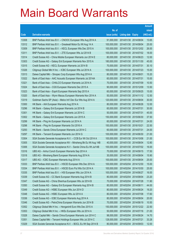|       |                                                                |               |                            |            | <b>Amount</b> |
|-------|----------------------------------------------------------------|---------------|----------------------------|------------|---------------|
|       |                                                                | No. of        |                            |            | raised        |
| Code  | <b>Derivative warrants</b>                                     | issue (units) | <b>Listing date Expiry</b> |            | (HK\$ mil.)   |
| 13308 | BNP Paribas Arbit Issu B.V. - CNOOC European Wts Aug 2014 A    | 91,000,000    | 2014/01/30 2014/08/04      |            | 13.65         |
| 13312 | BNP Paribas Arbit Issu B.V. - Greatwall Motor Eu Wt Aug 14 A   | 100,000,000   | 2014/01/30 2014/08/04      |            | 25.00         |
| 13309 | BNP Paribas Arbit Issu B.V. - KECL European Wts Dec 2015 A     | 100,000,000   | 2014/01/30 2015/12/02      |            | 26.00         |
| 13311 | BNP Paribas Arbit Issu B.V. - ZTE European Wts Jul 2014 B      | 100,000,000   | 2014/01/30 2014/07/02      |            | 18.00         |
| 13314 | Credit Suisse AG - China Mobile European Warrants Jun 2014 E   | 80,000,000    | 2014/01/30 2014/06/23      |            | 12.00         |
| 13303 | Credit Suisse AG - Galaxy Ent European Warrants Nov 2015 A     | 180,000,000   | 2014/01/30 2015/11/30      |            | 45.00         |
| 13315 | Credit Suisse AG - KECL European Warrants Jul 2014 B           | 70,000,000    | 2014/01/30 2014/07/31      |            | 30.10         |
| 13326 | Citigroup Global Mkt H Inc. - ICBC European Wts Jul 2014 A     | 100,000,000   | 2014/01/30 2014/07/23      |            | 15.00         |
| 13313 | Daiwa Capital Mkt - Sinopec Corp European Wts Aug 2014 A       | 80,000,000    | 2014/01/30 2014/08/01      |            | 15.20         |
| 13322 | Bank of East Asia - AAC Acoustic European Warrants Jul 2014A   | 60,000,000    | 2014/01/30 2014/07/31      |            | 15.00         |
| 13321 | Bank of East Asia - CHALCO European Warrants Jul 2014 A        | 70,000,000    | 2014/01/30 2014/07/09      |            | 10.50         |
| 13324 | Bank of East Asia - CGS European Warrants Dec 2015 A           | 90,000,000    | 2014/01/30 2015/12/09      |            | 13.50         |
| 13323 | Bank of East Asia - Esprit European Warrants Sep 2015 A        | 60,000,000    | 2014/01/30 2015/09/25      |            | 15.00         |
| 13320 | Bank of East Asia - Wynn Macau European Warrants Nov 2014 A    | 50,000,000    | 2014/01/30 2014/11/12      |            | 12.50         |
| 13319 | Goldman Sachs SP (Asia) - Melco Int'l Dev Eur Wts Aug 2014 A   | 120,000,000   | 2014/01/30 2014/08/04      |            | 30.00         |
| 13300 | HK Bank - AIA European Warrants Aug 2014 A                     | 80,000,000    | 2014/01/30 2014/08/26      |            | 12.00         |
| 13296 | HK Bank - Galaxy Ent European Warrants Jul 2014 B              | 60,000,000    | 2014/01/30 2014/07/31      |            | 30.00         |
| 13301 | HK Bank - Galaxy Ent European Warrants Jul 2014 C              | 50,000,000    | 2014/01/30 2014/07/31      |            | 45.00         |
| 13302 | HK Bank - Galaxy Ent European Warrants Jun 2015 A              | 150,000,000   | 2014/01/30 2015/06/30      |            | 37.50         |
| 13299 | HK Bank - Ping An European Warrants Jul 2014 A                 | 60,000,000    | 2014/01/30 2014/07/31      |            | 24.00         |
| 13298 | HK Bank - Ping An European Warrants Oct 2016 A                 | 150,000,000   | 2014/01/30 2016/10/21      |            | 22.50         |
| 13293 | HK Bank - Sands China European Warrants Jul 2014 C             | 60,000,000    | 2014/01/30 2014/07/31      |            | 24.00         |
| 13297 | HK Bank - Tencent European Warrants Jun 2014 G                 | 100,000,000   | 2014/01/30 2014/06/30      |            | 21.00         |
| 13304 | SGA Societe Generale Acceptance N.V. - CCB Eur Wt Oct 2014 A   | 100,000,000   | 2014/01/30 2014/10/06      |            | 21.00         |
| 13305 | SGA Societe Generale Acceptance NV - Minsheng Bk Eu Wt Aug 14B | 40,000,000    | 2014/01/30 2014/08/04      |            | 12.80         |
| 13306 | SGA Societe Generale Acceptance N.V - Sands China Eu Wt Jul14B | 100,000,000   | 2014/01/30 2014/07/02      |            | 16.00         |
| 13316 | UBS AG - Anhui Conch European Warrants Sep 2014 A              | 70,000,000    | 2014/01/30 2014/09/15      |            | 17.50         |
| 13318 | UBS AG - Minsheng Bank European Warrants Aug 2014 A            | 30,000,000    | 2014/01/30 2014/08/04      |            | 15.90         |
| 13317 | UBS AG - ICBC European Warrants Aug 2014 A                     | 100,000,000   | 2014/01/30 2014/08/04      |            | 25.00         |
| 13333 | BNP Paribas Arbit Issu B.V. - HSCEI European Wts Dec 2014 A    | 100,000,000   | 2014/02/04 2014/12/30      |            | 15.00         |
| 13334 | BNP Paribas Arbit Issu B.V. - HSCEI Euro Put Wts Oct 2014 A    | 100,000,000   | 2014/02/04                 | 2014/10/30 | 25.00         |
| 13335 | BNP Paribas Arbit Issu B.V. - HSI European Wts Jun 2014 A      | 100,000,000   | 2014/02/04                 | 2014/06/27 | 16.00         |
| 13339 | Credit Suisse AG - CC Bank European Warrants Aug 2014 B        | 80,000,000    | 2014/02/04                 | 2014/08/04 | 23.20         |
| 13347 | Credit Suisse AG - China Shenhua European Wts Jul 2014 B       | 70,000,000    | 2014/02/04                 | 2014/07/28 | 11.90         |
| 13350 | Credit Suisse AG - Galaxy Ent European Warrants Aug 2014 B     | 80,000,000    | 2014/02/04                 | 2014/08/11 | 44.00         |
| 13349 | Credit Suisse AG - HSBC European Wts Jun 2014 D                | 80,000,000    | 2014/02/04                 | 2014/06/24 | 19.20         |
| 13348 | Credit Suisse AG - HSBC European Wts Jul 2014 A                | 80,000,000    | 2014/02/04                 | 2014/07/08 | 17.60         |
| 13336 | Credit Suisse AG - ICBC European Warrants Aug 2014 A           | 80,000,000    | 2014/02/04                 | 2014/08/04 | 20.00         |
| 13346 | Credit Suisse AG - PetroChina European Warrants Jun 2014 B     | 70,000,000    | 2014/02/04                 | 2014/06/19 | 10.50         |
| 13352 | Citigroup Global Mkt H Inc. - Henganintl Euro Wts Dec 2015 A   | 150,000,000   | 2014/02/04                 | 2015/12/22 | 22.50         |
| 13353 | Citigroup Global Mkt H Inc. - HKEx European Wts Jul 2014 A     | 50,000,000    | 2014/02/04                 | 2014/07/16 | 21.00         |
| 13328 | Daiwa Capital Mkt - Sands China European Warrants Jun 2014 C   | 98,000,000    | 2014/02/04                 | 2014/06/24 | 14.70         |
| 13351 | Daiwa Capital Mkt - Tencent Holdings European Wts Jul 2014 C   | 128,000,000   | 2014/02/04                 | 2014/07/21 | 33.28         |
| 13329 | SGA Societe Generale Acceptance N.V. - BOCL Eu Wt Sep 2014 B   | 80,000,000    | 2014/02/04 2014/09/03      |            | 12.00         |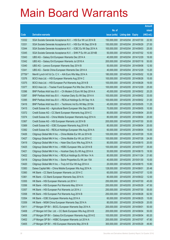|         |                                                              |               |                       |                       | <b>Amount</b> |
|---------|--------------------------------------------------------------|---------------|-----------------------|-----------------------|---------------|
|         |                                                              | No. of        |                       |                       | raised        |
| Code    | <b>Derivative warrants</b>                                   | issue (units) | Listing date          | <b>Expiry</b>         | (HK\$ mil.)   |
| 13332   | SGA Societe Generale Acceptance N.V. - HSI Eur Wt Jul 2014 B | 150,000,000   |                       | 2014/02/04 2014/07/30 | 22.50         |
| 13331   | SGA Societe Generale Acceptance N.V. - HSI Eur Wt Sep 2014 B | 150,000,000   |                       | 2014/02/04 2014/09/29 | 27.00         |
| 13344   | SGA Societe Generale Acceptance N.V. - ICBC Eu Wt Sep 2014 A | 100,000,000   | 2014/02/04            | 2014/09/03            | 25.00         |
| 13345   | SGA Societe Generale Acceptance N.V. - SHK P Eu Wt Jul 2014B | 50,000,000    |                       | 2014/02/04 2014/07/02 | 10.50         |
| 13343   | UBS AG - Galaxy Ent European Warrants Dec 2014 A             | 40,000,000    |                       | 2014/02/04 2014/12/29 | 16.00         |
| 13342   | UBS AG - Galaxy Ent European Warrants Jul 2016 A             | 200,000,000   |                       | 2014/02/04 2016/07/18 | 50.00         |
| 13340   | UBS AG - Lenovo European Warrants Sep 2014 B                 | 50,000,000    |                       | 2014/02/04 2014/09/08 | 12.50         |
| 13341   | UBS AG - Sands China European Warrants Dec 2014 A            | 40,000,000    |                       | 2014/02/04 2014/12/29 | 13.20         |
| 27759 # | Merrill Lynch Int'l & Co. C.V. - AIA Euro Wts May 2014 A     | 180,000,000   |                       | 2014/02/04 2014/05/02 | 10.26         |
| 13376   | BOCI Asia Ltd. - HSI European Warrants Aug 2014 C            | 100,000,000   |                       | 2014/02/05 2014/08/28 | 15.00         |
| 13375   | BOCI Asia Ltd. - HSI European Put Warrants Aug 2014 B        | 100,000,000   |                       | 2014/02/05 2014/08/28 | 19.00         |
| 13377   | BOCI Asia Ltd. - Tracker Fund European Put Wts Dec 2014 A    | 100,000,000   |                       | 2014/02/05 2014/12/29 | 25.00         |
| 13396   | BNP Paribas Arbit Issu B.V. - Ch Modern D Euro Wt Sep 2014 A | 45,000,000    |                       | 2014/02/05 2014/09/02 | 20.25         |
| 13397   | BNP Paribas Arbit Issu B.V. - Huishan Dairy Eu Wt Sep 2014 A | 100,000,000   |                       | 2014/02/05 2014/09/02 | 33.00         |
| 13395   | BNP Paribas Arbit Issu B.V. - REXLot Holdings Eu Wt Sep 14 A | 100,000,000   |                       | 2014/02/05 2014/09/02 | 31.00         |
| 13416   | BNP Paribas Arbit Issu B.V. - Techtronic Ind Eu Wt May 2015A | 45,000,000    |                       | 2014/02/05 2015/05/05 | 11.25         |
| 13415   | Credit Suisse AG - Agricultural Bank European Wts Sep 2014 B | 70,000,000    |                       | 2014/02/05 2014/09/05 | 10.50         |
| 13372   | Credit Suisse AG - CC Bank European Warrants Aug 2014 C      | 80,000,000    | 2014/02/05 2014/08/04 |                       | 20.00         |
| 13374   | Credit Suisse AG - China Mobile European Warrants Aug 2014 A | 80,000,000    |                       | 2014/02/05 2014/08/04 | 20.00         |
| 13367   | Credit Suisse AG - HSI European Warrants Jul 2014 B          | 200,000,000   |                       | 2014/02/05 2014/07/30 | 30.00         |
| 13369   | Credit Suisse AG - ICBC European Warrants Aug 2014 B         | 80,000,000    |                       | 2014/02/05 2014/08/04 | 20.00         |
| 13382   | Credit Suisse AG - REXLot Holdings European Wts Aug 2014 A   | 60,000,000    |                       | 2014/02/05 2014/08/04 | 15.00         |
| 13426   | Citigroup Global Mkt H Inc. - China Mobile Eur Wt Jul 2014 B | 100,000,000   |                       | 2014/02/05 2014/07/29 | 15.00         |
| 13427   | Citigroup Global Mkt H Inc. - China Mobile Eur Wt Jul 2014 C | 100,000,000   | 2014/02/05 2014/07/28 |                       | 24.00         |
| 13419   | Citigroup Global Mkt H Inc. - Haier Elec Euro Wts Aug 2014 A | 80,000,000    |                       | 2014/02/05 2014/08/15 | 20.00         |
| 13425   | Citigroup Global Mkt H Inc. - HSBC European Wts Jul 2014 B   | 100,000,000   | 2014/02/05 2014/07/07 |                       | 35.00         |
| 13421   | Citigroup Global Mkt H Inc. – Huishan Dairy Eu Wt Aug 2014 A | 50,000,000    |                       | 2014/02/05 2014/08/15 | 18.50         |
| 13422   | Citigroup Global Mkt H Inc. - REXLot Holdings Eu Wt Nov 14 A | 80,000,000    | 2014/02/05 2014/11/24 |                       | 21.60         |
| 13418   | Citigroup Global Mkt H Inc. - Swire Properties Eu Wt Jan 15A | 40,000,000    |                       | 2014/02/05 2015/01/30 | 10.00         |
| 13420   | Citigroup Global Mkt H Inc. - Truly Int'l Eur Wt Aug 2014 A  | 20,000,000    |                       | 2014/02/05 2014/08/15 | 10.80         |
| 13383   | Daiwa Capital Mkt - China Mobile European Wts Aug 2014 A     | 128,000,000   | 2014/02/05 2014/08/01 |                       | 20.48         |
| 13360   | HK Bank - CC Bank European Warrants Jul 2014 C               | 60,000,000    |                       | 2014/02/05 2014/07/07 | 12.00         |
| 13361   | HK Bank - CC Bank European Warrants Sep 2014 A               | 80,000,000    |                       | 2014/02/05 2014/09/22 | 12.00         |
| 13355   | HK Bank - HSI European Warrants Jul 2014 I                   | 250,000,000   |                       | 2014/02/05 2014/07/30 | 45.00         |
| 13356   | HK Bank - HSI European Put Warrants May 2014 H               | 250,000,000   |                       | 2014/02/05 2014/05/29 | 47.50         |
| 13357   | HK Bank - HSI European Put Warrants Jul 2014 J               | 250,000,000   |                       | 2014/02/05 2014/07/30 | 55.00         |
| 13358   | HK Bank - HSI European Put Warrants Aug 2014 B               | 250,000,000   | 2014/02/05 2014/08/28 |                       | 62.50         |
| 13354   | HK Bank - ICBC European Warrants Aug 2014 A                  | 60,000,000    |                       | 2014/02/05 2014/08/25 | 15.00         |
| 13359   | HK Bank - MGM China European Warrants Sep 2014 A             | 80,000,000    |                       | 2014/02/05 2014/09/29 | 20.00         |
| 13411   | J P Morgan SP BV - BOCL European Warrants Sep 2014 A         | 200,000,000   | 2014/02/05 2014/09/01 |                       | 50.00         |
| 13408   | J P Morgan Int'l Der. Ltd. - CC Bank European Wts Aug 2014 B | 200,000,000   |                       | 2014/02/05 2014/08/04 | 50.00         |
| 13406   | J P Morgan SP BV - Galaxy Ent European Warrants Aug 2014 E   | 100,000,000   |                       | 2014/02/05 2014/08/04 | 60.20         |
| 13402   | J P Morgan SP BV - HSBC European Warrants Jul 2014 A         | 200,000,000   |                       | 2014/02/05 2014/07/07 | 47.80         |
| 13405   | J P Morgan SP BV - HSI European Warrants May 2014 B          | 300,000,000   | 2014/02/05 2014/05/29 |                       | 49.80         |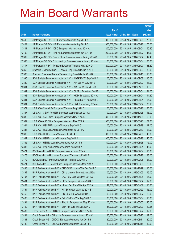|       |                                                              |               |                            | <b>Amount</b> |
|-------|--------------------------------------------------------------|---------------|----------------------------|---------------|
|       |                                                              | No. of        |                            | raised        |
| Code  | <b>Derivative warrants</b>                                   | issue (units) | <b>Listing date Expiry</b> | (HK\$ mil.)   |
| 13403 | J P Morgan SP BV - HSI European Warrants Aug 2014 B          | 300,000,000   | 2014/02/05 2014/08/28      | 75.00         |
| 13404 | J P Morgan SP BV - HSI European Warrants Aug 2014 C          | 300,000,000   | 2014/02/05 2014/08/28      | 75.00         |
| 13401 | J P Morgan SP BV - ICBC European Warrants Aug 2014 A         | 200,000,000   | 2014/02/05 2014/08/04      | 50.20         |
| 13400 | J P Morgan SP BV - Ping An European Warrants Jun 2014 D      | 200,000,000   | 2014/02/05 2014/06/27      | 44.60         |
| 13399 | J P Morgan SP BV - Sands China European Warrants Aug 2014 C  | 150,000,000   | 2014/02/05 2014/08/04      | 47.40         |
| 13398 | J P Morgan SP BV - SJM Holdings European Warrants Aug 2014 A | 100,000,000   | 2014/02/05 2014/08/04      | 25.00         |
| 13417 | J P Morgan SP BV - Tencent European Warrants May 2014 D      | 200,000,000   | 2014/02/05 2014/05/07      | 38.20         |
| 13365 | Standard Chartered Bank – Tencent Hidg Euro Wts Jun 2014 F   | 100,000,000   | 2014/02/05 2014/06/23      | 35.00         |
| 13366 | Standard Chartered Bank – Tencent Hidg Euro Wts Jul 2014 B   | 100,000,000   | 2014/02/05 2014/07/15      | 18.00         |
| 13390 | SGA Societe Generale Acceptance N.V. - AGBK Eu Wt Sep 2014 A | 100,000,000   | 2014/02/05 2014/09/08      | 15.00         |
| 13380 | SGA Societe Generale Acceptance N.V. - AIA Eur Wt Jul 2014 B | 100,000,000   | 2014/02/05 2014/07/02      | 18.00         |
| 13391 | SGA Societe Generale Acceptance N.V. - AIA Eur Wt Jan 2015 B | 100,000,000   | 2014/02/05 2015/01/05      | 15.50         |
| 13392 | SGA Societe Generale Acceptance N.V. - Ch Mob Eu Wt Aug2014B | 100,000,000   | 2014/02/05 2014/08/04      | 21.00         |
| 13393 | SGA Societe Generale Acceptance N.V. - HKEx Eu Wt Aug 2014 A | 40,000,000    | 2014/02/05 2014/08/04      | 14.20         |
| 13381 | SGA Societe Generale Acceptance N.V. - HSBC Eu Wt Aug 2014 C | 100,000,000   | 2014/02/05 2014/08/04      | 25.00         |
| 13394 | SGA Societe Generale Acceptance N.V. - HWL Eur Wt Aug 2014 A | 70,000,000    | 2014/02/05 2014/08/04      | 30.10         |
| 13379 | UBS AG - China Life European Warrants Aug 2014 D             | 100,000,000   | 2014/02/05 2014/08/18      | 25.00         |
| 13387 | UBS AG - CSOP A50 ETF European Warrants Dec 2015 A           | 100,000,000   | 2014/02/05 2015/12/28      | 15.00         |
| 13388 | UBS AG - A50 China European Warrants Nov 2015 A              | 300,000,000   | 2014/02/05 2015/11/25      | 60.00         |
| 13389 | UBS AG - A50 China European Warrants Mar 2016 A              | 300,000,000   | 2014/02/05 2016/03/23      | 51.00         |
| 13364 | UBS AG - HSCEI European Warrants Sep 2014 C                  | 100,000,000   | 2014/02/05 2014/09/29      | 17.00         |
| 13384 | UBS AG - HSCEI European Put Warrants Jul 2014 C              | 100,000,000   | 2014/02/05 2014/07/30      | 23.00         |
| 13363 | UBS AG - HSI European Warrants Jul 2014 C                    | 300,000,000   | 2014/02/05 2014/07/30      | 45.00         |
| 13362 | UBS AG - HSI European Warrants Aug 2014 A                    | 300,000,000   | 2014/02/05 2014/08/28      | 45.00         |
| 13385 | UBS AG - HSI European Put Warrants Aug 2014 B                | 300,000,000   | 2014/02/05 2014/08/28      | 75.00         |
| 13386 | UBS AG - Ping An European Warrants Aug 2014 A                | 100,000,000   | 2014/02/05 2014/08/04      | 45.00         |
| 13474 | BOCI Asia Ltd. - HSBC European Warrants Jul 2014 A           | 100,000,000   | 2014/02/06 2014/07/04      | 15.00         |
| 13473 | BOCI Asia Ltd. - Hutchison European Warrants Jul 2014 A      | 100,000,000   | 2014/02/06 2014/07/28      | 33.00         |
| 13472 | BOCI Asia Ltd. - Ping An European Warrants Jul 2014 C        | 100,000,000   | 2014/02/06 2014/07/08      | 21.00         |
| 13471 | BOCI Asia Ltd. - Tracker Fund European Warrants Mar 2015 A   | 100,000,000   | 2014/02/06 2015/03/30      | 25.00         |
| 13493 | BNP Paribas Arbit Issu B.V. - CNOOC European Wts Dec 2014 C  | 100,000,000   | 2014/02/06 2014/12/29      | 15.00         |
| 13492 | BNP Paribas Arbit Issu B.V. - China Unicom Euro Wt Jan 2015A | 100,000,000   | 2014/02/06 2015/01/05      | 15.00         |
| 13495 | BNP Paribas Arbit Issu B.V. - GCL-Poly Euro Wts May 2014 A   | 100,000,000   | 2014/02/06 2014/05/05      | 24.00         |
| 13491 | BNP Paribas Arbit Issu B.V. - HKEx European Wts Jun 2014 B   | 50,000,000    | 2014/02/06 2014/06/04      | 12.00         |
| 13467 | BNP Paribas Arbit Issu B.V. - HLand Dev Euro Wts Apr 2015 A  | 41,000,000    | 2014/02/06 2015/04/02      | 10.25         |
| 13464 | BNP Paribas Arbit Issu B.V. - HSI European Wts Sep 2014 B    | 100,000,000   | 2014/02/06 2014/09/29      | 15.00         |
| 13465 | BNP Paribas Arbit Issu B.V. - HSI Euro Put Wts Jun 2014 B    | 100,000,000   | 2014/02/06 2014/06/27      | 20.00         |
| 13468 | BNP Paribas Arbit Issu B.V. - PetroCh Euro Wts Aug 2014 B    | 100,000,000   | 2014/02/06 2014/08/04      | 18.00         |
| 13494 | BNP Paribas Arbit Issu B.V. - Ping An European Wt May 2014 A | 100,000,000   | 2014/02/06 2014/05/05      | 20.00         |
| 13490 | BNP Paribas Arbit Issu B.V. - SHK Ppt Euro Wts Jul 2014 C    | 57,000,000    | 2014/02/06 2014/07/03      | 10.26         |
| 13487 | Credit Suisse AG - CC Bank European Warrants Sep 2014 B      | 80,000,000    | 2014/02/06 2014/09/22      | 12.00         |
| 13484 | Credit Suisse AG - China Life European Warrants Aug 2014 C   | 80,000,000    | 2014/02/06 2014/08/25      | 12.00         |
| 13481 | Credit Suisse AG - CNOOC European Warrants Aug 2014 B        | 80,000,000    | 2014/02/06 2014/08/11      | 20.00         |
| 13480 | Credit Suisse AG - CNOOC European Warrants Dec 2014 C        | 80,000,000    | 2014/02/06 2014/12/15      | 12.00         |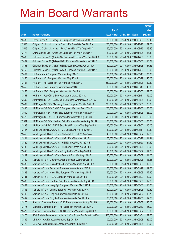|       |                                                                |               |                            | <b>Amount</b> |
|-------|----------------------------------------------------------------|---------------|----------------------------|---------------|
|       |                                                                | No. of        |                            | raised        |
| Code  | <b>Derivative warrants</b>                                     | issue (units) | <b>Listing date Expiry</b> | (HK\$ mil.)   |
| 13488 | Credit Suisse AG - Galaxy Ent European Warrants Jun 2016 A     | 180,000,000   | 2014/02/06 2016/06/06      | 32.40         |
| 13503 | Citigroup Global Mkt H Inc. - Galaxy Ent Euro Wts Dec 2015 A   | 200,000,000   | 2014/02/06 2015/12/18      | 37.00         |
| 13506 | Citigroup Global Mkt H Inc. - PetroChina Euro Wts Aug 2014 A   | 60,000,000    | 2014/02/06 2014/08/15      | 19.80         |
| 13478 | Daiwa Capital Mkt - China Life European Put Wts Nov 2014 A     | 80,000,000    | 2014/02/06 2014/11/25      | 14.40         |
| 13460 | Goldman Sachs SP (Asia) - Ch Overseas European Wts Dec 2014 A  | 80,000,000    | 2014/02/06 2014/12/30      | 20.00         |
| 13459 | Goldman Sachs SP (Asia) - HKEx European Warrants May 2014 B    | 80,000,000    | 2014/02/06 2014/05/30      | 13.04         |
| 13461 | Goldman Sachs SP (Asia) - HSI European Put Wts Aug 2014 A      | 150,000,000   | 2014/02/06 2014/08/28      | 37.65         |
| 13458 | Goldman Sachs SP (Asia) - Wharf European Warrants Dec 2014 A   | 80,000,000    | 2014/02/06 2014/12/30      | 20.00         |
| 13457 | HK Bank - AIA European Warrants Aug 2014 B                     | 100,000,000   | 2014/02/06 2014/08/11      | 25.00         |
| 13455 | HK Bank - HSI European Warrants May 2014 I                     | 250,000,000   | 2014/02/06 2014/05/29      | 40.00         |
| 13454 | HK Bank - HSI European Put Warrants Aug 2014 C                 | 250,000,000   | 2014/02/06 2014/08/28      | 62.50         |
| 13452 | HK Bank - HWL European Warrants Jun 2014 E                     | 100,000,000   | 2014/02/06 2014/06/16      | 40.00         |
| 13453 | HK Bank - KECL European Warrants Oct 2014 A                    | 100,000,000   | 2014/02/06 2014/10/06      | 22.00         |
| 13451 | HK Bank - PetroChina European Warrants Aug 2014 A              | 60,000,000    | 2014/02/06 2014/08/11      | 15.00         |
| 13502 | J P Morgan SP BV - BankComm European Warrants Aug 2014 A       | 40,000,000    | 2014/02/06 2014/08/05      | 10.00         |
| 13497 | J P Morgan SP BV - Minsheng Bank European Wts Mar 2016 A       | 200,000,000   | 2014/02/06 2016/03/01      | 30.00         |
| 13496 | J P Morgan SP BV - CNOOC European Warrants Dec 2014 B          | 200,000,000   | 2014/02/06 2014/12/30      | 30.00         |
| 13500 | J P Morgan SP BV - Haier Elec European Warrants Aug 2014 A     | 100,000,000   | 2014/02/06 2014/08/05      | 25.00         |
| 13428 | J P Morgan SP BV - HSI European Put Warrants Aug 2014 D        | 500,000,000   | 2014/02/06 2014/08/28      | 125.00        |
| 13501 | J P Morgan SP BV - Huishan Dairy European Warrants Aug 2014A   | 100,000,000   | 2014/02/06 2014/08/05      | 25.00         |
| 13498 | J P Morgan SP BV - SPDR Gold Trust European Wts Sep 2014 A     | 40,000,000    | 2014/02/06 2014/09/02      | 10.00         |
| 13447 | Merrill Lynch Int'l & Co. C.V. - CC Bank Euro Wts Aug 2014 C   | 40,000,000    | 2014/02/06 2014/08/11      | 10.40         |
| 13450 | Merrill Lynch Int'l & Co. C.V. - Ch Mobile Eu Put Wt Aug 14 A  | 40,000,000    | 2014/02/06 2014/08/07      | 12.60         |
| 13444 | Merrill Lynch Int'l & Co. C.V. - HKEx Euro Wts May 2014 B      | 70,000,000    | 2014/02/06 2014/05/27      | 11.41         |
| 13429 | Merrill Lynch Int'l & Co. C.V. - HSI Euro Put Wts Jun 2014 F   | 100,000,000   | 2014/02/06 2014/06/27      | 24.40         |
| 13430 | Merrill Lynch Int'l & Co. C.V. - HSI Euro Put Wts Aug 2014 B   | 100,000,000   | 2014/02/06 2014/08/28      | 28.00         |
| 13448 | Merrill Lynch Int'l & Co. C.V. - Ping An Euro Wts Aug 2014 A   | 40,000,000    | 2014/02/06 2014/08/07      | 14.60         |
| 13449 | Merrill Lynch Int'l & Co. C.V. - Tencent Euro Wts Aug 2014 B   | 40,000,000    | 2014/02/06 2014/08/07      | 11.00         |
| 13439 | Nomura Int'l plc - Country Garden European Warrants Oct 14A    | 50,000,000    | 2014/02/06 2014/10/28      | 13.65         |
| 13435 | Nomura Int'l plc - China Mobile European Warrants Aug 2014 A   | 50,000,000    | 2014/02/06 2014/08/06      | 12.65         |
| 13432 | Nomura Int'l plc - Fosun Intl European Warrants Apr 2015 A     | 50,000,000    | 2014/02/06 2015/04/27      | 12.50         |
| 13438 | Nomura Int'l plc - Haier Elec European Warrants Aug 2014 B     | 50,000,000    | 2014/02/06 2014/08/08      | 12.90         |
| 13431 | Nomura Int'l plc - HSBC European Warrants Jun 2014 B           | 80,000,000    | 2014/02/06 2014/06/23      | 12.00         |
| 13463 | Nomura Int'l plc - Huishan Dairy European Warrants Aug 2014A   | 50,000,000    | 2014/02/06 2014/08/08      | 12.60         |
| 13434 | Nomura Int'l plc - Kerry Ppt European Warrants Mar 2015 A      | 50,000,000    | 2014/02/06 2015/03/30      | 13.00         |
| 13436 | Nomura Int'l plc - Lenovo European Warrants Aug 2014 A         | 50,000,000    | 2014/02/06 2014/08/06      | 12.60         |
| 13443 | Nomura Int'l plc - Ping An European Warrants Jul 2014 A        | 80,000,000    | 2014/02/06 2014/07/02      | 13.76         |
| 13442 | Nomura Int'l plc - Ping An European Warrants Dec 2014 A        | 50,000,000    | 2014/02/06 2014/12/30      | 12.50         |
| 13476 | Standard Chartered Bank - HSBC European Warrants Aug 2014 B    | 80,000,000    | 2014/02/06 2014/08/08      | 20.00         |
| 13475 | Standard Chartered Bank - HSI European Warrants Jul 2014 C     | 100,000,000   | 2014/02/06 2014/07/30      | 15.00         |
| 13477 | Standard Chartered Bank - ICBC European Warrants Sep 2014 A    | 100,000,000   | 2014/02/06 2014/09/02      | 25.00         |
| 13470 | SGA Societe Generale Acceptance N.V. - Galaxy Ent Eu Wt Jan16A | 500,000,000   | 2014/02/06 2016/01/04      | 82.50         |
| 13489 | UBS AG - AIA European Warrants Sep 2014 A                      | 100,000,000   | 2014/02/06 2014/09/08      | 25.00         |
| 13479 | UBS AG - China Mobile European Warrants Aug 2014 A             | 100,000,000   | 2014/02/06 2014/08/05      | 28.00         |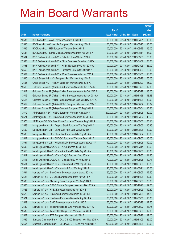|       |                                                              |               |                            | <b>Amount</b> |
|-------|--------------------------------------------------------------|---------------|----------------------------|---------------|
|       |                                                              | No. of        |                            | raised        |
| Code  | <b>Derivative warrants</b>                                   | issue (units) | <b>Listing date Expiry</b> | (HK\$ mil.)   |
| 13537 | BOCI Asia Ltd. - AIA European Warrants Jul 2014 B            | 100,000,000   | 2014/02/07 2014/07/21      | 16.00         |
| 13536 | BOCI Asia Ltd. - China Life European Warrants Aug 2014 A     | 100,000,000   | 2014/02/07 2014/08/25      | 15.00         |
| 13535 | BOCI Asia Ltd. - HSI European Warrants Sep 2014 B            | 100,000,000   | 2014/02/07 2014/09/29      | 15.00         |
| 13538 | BOCI Asia Ltd. - Sands China European Warrants Aug 2014 A    | 100,000,000   | 2014/02/07 2014/08/11      | 34.00         |
| 13564 | BNP Paribas Arbit Issu B.V. - Belle Int'l Euro Wt Jan 2016 A | 100,000,000   | 2014/02/07 2016/01/05      | 25.00         |
| 13563 | BNP Paribas Arbit Issu B.V. - China Overseas Eu Wt Apr 2015A | 100,000,000   | 2014/02/07 2015/04/02      | 28.00         |
| 13558 | BNP Paribas Arbit Issu B.V. - HSBC European Wts Jan 2015 A   | 100,000,000   | 2014/02/07 2015/01/05      | 25.00         |
| 13562 | BNP Paribas Arbit Issu B.V. - Hutchison Euro Wts Oct 2014 A  | 80,000,000    | 2014/02/07 2014/10/06      | 20.00         |
| 13557 | BNP Paribas Arbit Issu B.V. - Wharf European Wts Jan 2015 A  | 65,000,000    | 2014/02/07 2015/01/05      | 16.25         |
| 13545 | Credit Suisse AG - HSI European Put Warrants Aug 2014 B      | 200,000,000   | 2014/02/07 2014/08/28      | 50.00         |
| 13556 | Credit Suisse AG - Ping An European Warrants Dec 2015 A      | 100,000,000   | 2014/02/07 2015/12/23      | 15.00         |
| 13518 | Goldman Sachs SP (Asia) - AIA European Warrants Jun 2014 B   | 80,000,000    | 2014/02/07 2014/06/23      | 12.00         |
| 13517 | Goldman Sachs SP (Asia) - CNBM European Warrants Oct 2015 A  | 120,000,000   | 2014/02/07 2015/10/27      | 18.00         |
| 13516 | Goldman Sachs SP (Asia) - CNBM European Warrants Nov 2016 A  | 120,000,000   | 2014/02/07 2016/11/28      | 18.48         |
| 13515 | Goldman Sachs SP (Asia) - China Shenhua Euro Wts Nov 2014 A  | 120,000,000   | 2014/02/07 2014/11/28      | 30.00         |
| 13519 | Goldman Sachs SP (Asia) – HSBC European Warrants Jul 2014 B  | 80,000,000    | 2014/02/07 2014/07/07      | 16.32         |
| 13565 | Goldman Sachs SP (Asia) – Tencent European Wt Aug 2014 A     | 100,000,000   | 2014/02/07 2014/08/04      | 15.20         |
| 13572 | J P Morgan SP BV - HSBC European Warrants Aug 2014 A         | 200,000,000   | 2014/02/07 2014/08/06      | 50.00         |
| 13571 | J P Morgan SP BV - Hutchison European Warrants Jul 2014 A    | 100,000,000   | 2014/02/07 2014/07/02      | 43.50         |
| 13570 | J P Morgan SP BV – PetroChina European Warrants Aug 2014 A   | 100,000,000   | 2014/02/07 2014/08/06      | 25.10         |
| 13553 | Macquarie Bank Ltd. - Angang Steel European Wts Aug 2014 A   | 40,000,000    | 2014/02/07 2014/08/06      | 10.96         |
| 13552 | Macquarie Bank Ltd. - China Gas Hold Euro Wts Jun 2015 A     | 60,000,000    | 2014/02/07 2015/06/26      | 10.92         |
| 13508 | Macquarie Bank Ltd. - China Life European Wts Sep 2014 A     | 40,000,000    | 2014/02/07 2014/09/02      | 10.00         |
| 13507 | Macquarie Bank Ltd. - CNOOC European Warrants Sep 2014 A     | 40,000,000    | 2014/02/07 2014/09/02      | 10.00         |
| 13554 | Macquarie Bank Ltd. - Huishan Dairy European Warrants Aug14A | 40,000,000    | 2014/02/07 2014/08/06      | 10.00         |
| 13509 | Merrill Lynch Int'l & Co. C.V. - AIA Euro Wts Jul 2014 A     | 70,000,000    | 2014/02/07 2014/07/14      | 10.50         |
| 13510 | Merrill Lynch Int'l & Co. C.V. - AIA Euro Put Wts Sep 2014 A | 40,000,000    | 2014/02/07 2014/09/30      | 10.00         |
| 13511 | Merrill Lynch Int'l & Co. C.V. - CK(H) Euro Wts Sep 2014 A   | 40,000,000    | 2014/02/07 2014/09/30      | 11.80         |
| 13513 | Merrill Lynch Int'l & Co. C.V. - China Life Eu Wt Aug 2014 B | 70,000,000    | 2014/02/07 2014/08/25      | 10.71         |
| 13514 | Merrill Lynch Int'l & Co. C.V. - Hutchison Eur Wt Sep 2014 A | 40,000,000    | 2014/02/07 2014/09/30      | 15.80         |
| 13512 | Merrill Lynch Int'l & Co. C.V. - Wharf Euro Wts Aug 2014 A   | 40,000,000    | 2014/02/07 2014/08/11      | 10.00         |
| 13534 | Nomura Int'l plc - BankComm European Warrants Aug 2014 A     | 50,000,000    | 2014/02/07 2014/08/07      | 12.50         |
| 13528 | Nomura Int'l plc - CC Bank European Warrants Nov 2014 A      | 50,000,000    | 2014/02/07 2014/11/28      | 12.50         |
| 13533 | Nomura Int'l plc - Minsheng Bank European Wts Aug 2014 A     | 50,000,000    | 2014/02/07 2014/08/08      | 30.30         |
| 13555 | Nomura Int'l plc - CSPC Pharma European Warrants Dec 2016 A  | 50,000,000    | 2014/02/07 2016/12/28      | 12.65         |
| 13526 | Nomura Int'l plc - HKEx European Warrants Jun 2014 B         | 80,000,000    | 2014/02/07 2014/06/03      | 12.80         |
| 13520 | Nomura Int'l plc - Hutchison European Warrants Jul 2014 A    | 50,000,000    | 2014/02/07 2014/07/25      | 14.20         |
| 13521 | Nomura Int'l plc - Hutchison European Warrants Aug 2014 A    | 50,000,000    | 2014/02/07 2014/08/08      | 13.00         |
| 13529 | Nomura Int'l plc - SMIC European Warrants Oct 2015 A         | 50,000,000    | 2014/02/07 2015/10/28      | 12.50         |
| 13530 | Nomura Int'l plc - Tencent Holdings Euro Warrants May 2014 A | 80,000,000    | 2014/02/07 2014/05/07      | 13.76         |
| 13532 | Nomura Int'l plc - Tencent Holdings Euro Warrants Jun 2014 B | 80,000,000    | 2014/02/07 2014/06/30      | 12.00         |
| 13527 | Nomura Int'l plc - ZTE European Warrants Jul 2014 B          | 80,000,000    | 2014/02/07 2014/07/28      | 12.00         |
| 13569 | Standard Chartered Bank - CAM CSI300 European Wts Nov 2015 A | 100,000,000   | 2014/02/07 2015/11/03      | 25.00         |
| 13567 | Standard Chartered Bank - CSOP A50 ETF Euro Wts Aug 2018 A   | 200,000,000   | 2014/02/07 2018/08/08      | 50.00         |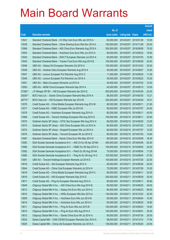|         |                                                               |               |                            |            | <b>Amount</b> |
|---------|---------------------------------------------------------------|---------------|----------------------------|------------|---------------|
|         |                                                               | No. of        |                            |            | raised        |
| Code    | <b>Derivative warrants</b>                                    | issue (units) | <b>Listing date Expiry</b> |            | (HK\$ mil.)   |
| 13541   | Standard Chartered Bank – Ch Ship Cont Euro Wts Jan 2015 A    | 60,000,000    | 2014/02/07 2015/01/29      |            | 15.00         |
| 13539   | Standard Chartered Bank - China Shenhua Euro Wts Nov 2014 A   | 100,000,000   | 2014/02/07 2014/11/28      |            | 25.00         |
| 13566   | Standard Chartered Bank - A50 China Euro Warrants Aug 2018 A  | 300,000,000   | 2014/02/07 2018/08/08      |            | 75.00         |
| 13544   | Standard Chartered Bank - Hutchison Euro Euro Wts Jun 2014 A  | 80,000,000    | 2014/02/07 2014/06/23      |            | 16.80         |
| 13540   | Standard Chartered Bank - SHK P European Warrants Jul 2014 A  | 60,000,000    | 2014/02/07 2014/07/03      |            | 10.80         |
| 13543   | Standard Chartered Bank - Tracker Fund Euro Wts Aug 2014 B    | 100,000,000   | 2014/02/07 2014/08/28      |            | 25.00         |
| 13546   | UBS AG - Galaxy Ent European Warrants Oct 2015 A              | 150,000,000   | 2014/02/07 2015/10/23      |            | 25.50         |
| 13549   | UBS AG - Huishan Dairy European Warrants Aug 2014 A           | 40,000,000    | 2014/02/07 2014/08/07      |            | 10.00         |
| 13547   | UBS AG - Lenovo European Put Warrants Aug 2014 C              | 11,000,000    | 2014/02/07 2014/08/25      |            | 11.00         |
| 13548   | UBS AG - Lenovo European Put Warrants Jun 2015 A              | 40,000,000    | 2014/02/07 2015/06/22      |            | 10.00         |
| 13551   | UBS AG - Melco European Warrants Jul 2014 A                   | 40,000,000    | 2014/02/07 2014/07/03      |            | 10.00         |
| 13550   | UBS AG - MGM China European Warrants Sep 2014 A               | 40,000,000    | 2014/02/07 2014/09/15      |            | 10.00         |
| 27290 # | J P Morgan SP BV - HSI European Warrants Apr 2014 E           | 500,000,000   | 2014/02/07 2014/04/29      |            | 22.50         |
| 28250 # | BOCI Asia Ltd. - Sands China European Warrants May 2014 A     | 88,000,000    | 2014/02/07 2014/05/30      |            | 10.21         |
| 28770 # | BOCI Asia Ltd. - HSI European Warrants Apr 2014 B             | 345,000,000   | 2014/02/07 2014/04/29      |            | 10.01         |
| 13579   | Credit Suisse AG - China Mobile European Warrants Aug 2014 B  | 80,000,000    | 2014/02/10 2014/08/11      |            | 21.60         |
| 13577   | Credit Suisse AG - HSBC European Wts Jul 2014 B               | 80,000,000    | 2014/02/10 2014/07/07      |            | 24.00         |
| 13578   | Credit Suisse AG - Hutchison European Warrants Aug 2014 A     | 80,000,000    | 2014/02/10 2014/08/11      |            | 40.00         |
| 13588   | Credit Suisse AG - Tencent Holdings European Wts Aug 2014 D   | 100,000,000   | 2014/02/10 2014/08/11      |            | 25.00         |
| 13575   | Goldman Sachs SP (Asia) - CITIC Sec European Wts Aug 2014 A   | 80,000,000    | 2014/02/10 2014/08/25      |            | 12.00         |
| 13573   | Goldman Sachs SP (Asia) – A50 China European Wts Jul 2014 A   | 80,000,000    | 2014/02/10 2014/07/02      |            | 12.00         |
| 13574   | Goldman Sachs SP (Asia) - Kingsoft European Wts Jul 2014 A    | 80,000,000    | 2014/02/10 2014/07/07      |            | 12.00         |
| 13576   | Goldman Sachs SP (Asia) - Tencent European Wt Jul 2014 D      | 80,000,000    | 2014/02/10 2014/07/25      |            | 13.84         |
| 13587   | Standard Chartered Bank - Sands China Euro Wts May 2014 E     | 80,000,000    | 2014/02/10 2014/05/09      |            | 18.40         |
| 13583   | SGA Societe Generale Acceptance N.V. - A50 Ch Eu Wt Apr 2016A | 400,000,000   | 2014/02/10 2016/04/06      |            | 62.00         |
| 13586   | SGA Societe Generale Acceptance N.V. - HSBC Eu Wt Sep 2014 A  | 100,000,000   | 2014/02/10 2014/09/03      |            | 34.00         |
| 13582   | SGA Societe Generale Acceptance N.V. - Petch Eu Wt Aug 2014A  | 70,000,000    | 2014/02/10 2014/08/04      |            | 11.55         |
| 13585   | SGA Societe Generale Acceptance N.V. - Ping An Eu Wt Aug 14 C | 100,000,000   | 2014/02/10 2014/08/04      |            | 47.50         |
| 13581   | UBS AG - Tencent Holdings European Warrants Jul 2014 E        | 100,000,000   | 2014/02/10 2014/07/25      |            | 22.00         |
| 13619   | Credit Suisse AG - AIA European Warrants Aug 2014 A           | 80,000,000    | 2014/02/11                 | 2014/08/29 | 20.00         |
| 13644   | Credit Suisse AG - China Coal European Warrants Jul 2014 A    | 70,000,000    | 2014/02/11                 | 2014/07/28 | 10.50         |
| 13618   | Credit Suisse AG - China Mobile European Warrants Aug 2014 C  | 80,000,000    | 2014/02/11                 | 2014/08/11 | 32.00         |
| 13616   | Credit Suisse AG - HSI European Warrants Sep 2014 E           | 200,000,000   | 2014/02/11                 | 2014/09/29 | 30.00         |
| 13617   | Credit Suisse AG - Ping An European Warrants Aug 2014 A       | 80,000,000    | 2014/02/11                 | 2014/08/11 | 28.80         |
| 13649   | Citigroup Global Mkt H Inc. - A50 China Euro Wts Aug 2014 B   | 80,000,000    | 2014/02/11                 | 2014/08/25 | 48.00         |
| 13613   | Citigroup Global Mkt H Inc. - Galaxy Ent Euro Wts Jun 2014 C  | 80,000,000    | 2014/02/11                 | 2014/06/23 | 68.00         |
| 13615   | Citigroup Global Mkt H Inc. - HKEx European Wts Dec 2015 A    | 150,000,000   | 2014/02/11                 | 2015/12/23 | 22.50         |
| 13609   | Citigroup Global Mkt H Inc. - Hutchison Euro Wts Jun 2014 B   | 65,000,000    | 2014/02/11                 | 2014/06/04 | 10.40         |
| 13614   | Citigroup Global Mkt H Inc. - Hutchison Euro Wts Jun 2014 C   | 60,000,000    | 2014/02/11                 | 2014/06/20 | 18.60         |
| 13611   | Citigroup Global Mkt H Inc. - Ping An Euro Wts Jun 2014 B     | 100,000,000   | 2014/02/11                 | 2014/06/24 | 19.00         |
| 13610   | Citigroup Global Mkt H Inc. - Ping An Euro Wts Aug 2014 A     | 100,000,000   | 2014/02/11                 | 2014/08/01 | 35.00         |
| 13612   | Citigroup Global Mkt H Inc. - Sands China Euro Wt Jul 2014 A  | 80,000,000    | 2014/02/11                 | 2014/07/24 | 28.00         |
| 13632   | Daiwa Capital Mkt - CAM CSI300 European Warrants Dec 2014 A   | 98,000,000    | 2014/02/11                 | 2014/12/12 | 17.64         |
| 13629   | Daiwa Capital Mkt - China Life European Warrants Jun 2014 A   | 138,000,000   | 2014/02/11                 | 2014/06/20 | 24.84         |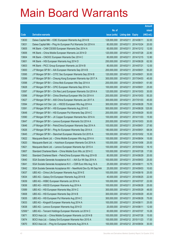|         |                                                                |               |                            |            | <b>Amount</b> |
|---------|----------------------------------------------------------------|---------------|----------------------------|------------|---------------|
|         |                                                                | No. of        |                            |            | raised        |
| Code    | <b>Derivative warrants</b>                                     | issue (units) | <b>Listing date Expiry</b> |            | (HK\$ mil.)   |
| 13630   | Daiwa Capital Mkt - ICBC European Warrants Aug 2014 B          | 128,000,000   | 2014/02/11                 | 2014/08/11 | 32.00         |
| 13631   | Daiwa Capital Mkt - Ping An European Put Warrants Oct 2014 A   | 80,000,000    | 2014/02/11                 | 2014/10/24 | 20.00         |
| 13605   | HK Bank – CAM CSI300 European Warrants Dec 2014 A              | 60,000,000    | 2014/02/11                 | 2014/12/12 | 12.00         |
| 13606   | HK Bank – China Mobile European Warrants Jul 2014 D            | 120,000,000   | 2014/02/11                 | 2014/07/28 | 22.80         |
| 13604   | HK Bank - CNOOC European Warrants Dec 2014 C                   | 80,000,000    | 2014/02/11                 | 2014/12/15 | 12.80         |
| 13601   | HK Bank - HSI European Warrants Aug 2014 D                     | 250,000,000   | 2014/02/11                 | 2014/08/28 | 62.50         |
| 13603   | HK Bank - PICC Group European Warrants Jul 2014 B              | 80,000,000    | 2014/02/11                 | 2014/07/21 | 12.00         |
| 13600   | J P Morgan SP BV - AIA European Warrants Sep 2014 B            | 200,000,000   | 2014/02/11                 | 2014/09/01 | 50.20         |
| 13595   | J P Morgan SP BV - CITIC Sec European Warrants Sep 2014 B      | 120,000,000   | 2014/02/11                 | 2014/09/01 | 30.00         |
| 13599   | J P Morgan SP BV - Cheung Kong European Warrants Apr 2017 A    | 300,000,000   | 2014/02/11                 | 2017/04/03 | 45.00         |
| 13598   | J P Morgan SP BV - China Mob European Wts Sep 2014 A           | 200,000,000   | 2014/02/11                 | 2014/09/01 | 61.60         |
| 13628   | J P Morgan SP BV - CPIC European Warrants Sep 2014 A           | 100,000,000   | 2014/02/11                 | 2014/09/01 | 25.00         |
| 13597   | J P Morgan SP BV - Chi Res Land European Warrants Oct 2014 A   | 120,000,000   | 2014/02/11                 | 2014/10/03 | 30.00         |
| 13596   | J P Morgan SP BV - China Shenhua European Wts Oct 2014 A       | 200,000,000   | 2014/02/11                 | 2014/10/03 | 50.20         |
| 13627   | J P Morgan SP BV - A50 China European Warrants Jan 2017 A      | 300,000,000   | 2014/02/11                 | 2017/01/03 | 45.00         |
| 13594   | J P Morgan Int'l Der. Ltd. - HSCEI European Wts Aug 2014 A     | 300,000,000   | 2014/02/11                 | 2014/08/28 | 75.00         |
| 13591   | J P Morgan SP BV - HSI European Warrants Aug 2014 E            | 500,000,000   | 2014/02/11                 | 2014/08/28 | 125.00        |
| 13648   | J P Morgan SP BV - HSI European Put Warrants Sep 2014 C        | 200,000,000   | 2014/02/11                 | 2014/09/29 | 50.00         |
| 13590   | J P Morgan SP BV – JX Copper European Warrants Nov 2014 A      | 100,000,000   | 2014/02/11                 | 2014/11/03 | 15.50         |
| 13647   | J P Morgan SP BV - Lenovo European Warrants Oct 2014 A         | 200,000,000   | 2014/02/11                 | 2014/10/03 | 30.00         |
| 13646   | J P Morgan SP BV - PetroChina European Warrants Sep 2014 A     | 100,000,000   | 2014/02/11                 | 2014/09/01 | 27.60         |
| 13626   | J P Morgan SP BV - Ping An European Warrants Sep 2014 A        | 180,000,000   | 2014/02/11                 | 2014/09/01 | 68.04         |
| 13645   | J P Morgan SP BV - Stanchart European Warrants Oct 2015 A      | 100,000,000   | 2014/02/11                 | 2015/10/02 | 15.30         |
| 13622   | Macquarie Bank Ltd. - China Mobile European Wts Aug 2014 A     | 100,000,000   | 2014/02/11                 | 2014/08/04 | 15.00         |
| 13620   | Macquarie Bank Ltd. - Hutchison European Warrants Oct 2014 A   | 100,000,000   | 2014/02/11                 | 2014/10/06 | 25.00         |
| 13621   | Macquarie Bank Ltd. - Lenovo European Warrants Apr 2015 A      | 100,000,000   | 2014/02/11                 | 2015/04/02 | 16.10         |
| 13607   | Standard Chartered Bank – China Mobile Euro Wts Jul 2014 C     | 100,000,000   | 2014/02/11 2014/07/28      |            | 17.00         |
| 13643   | Standard Chartered Bank - PetroChina European Wts Aug 2014 B   | 80,000,000    | 2014/02/11 2014/08/29      |            | 20.00         |
| 13640   | SGA Societe Generale Acceptance N.V. - AIA Eur Wt Sep 2014 A   | 100,000,000   | 2014/02/11                 | 2014/09/03 | 25.00         |
| 13641   | SGA Societe Generale Acceptance N.V. - CSR Euro Wts Aug 14 A   | 25,000,000    | 2014/02/11                 | 2014/08/11 | 10.75         |
| 13642   | SGA Societe Generale Acceptance NV - NewWorld Dev Eu Wt Sep14A | 25,000,000    | 2014/02/11                 | 2014/09/03 | 10.63         |
| 13637   | UBS AG - China Life European Warrants Aug 2014 E               | 100,000,000   | 2014/02/11                 | 2014/08/18 | 25.00         |
| 13634   | UBS AG - Galaxy Ent European Warrants Aug 2014 B               | 40,000,000    | 2014/02/11                 | 2014/08/25 | 22.00         |
| 13639   | UBS AG - HSBC European Warrants Jul 2014 A                     | 100,000,000   | 2014/02/11                 | 2014/07/07 | 22.00         |
| 13636   | UBS AG - HSCEI European Warrants Aug 2014 A                    | 100,000,000   | 2014/02/11                 | 2014/08/28 | 25.00         |
| 13589   | UBS AG - HSI European Warrants May 2014 C                      | 300,000,000   | 2014/02/11                 | 2014/05/29 | 48.00         |
| 13608   | UBS AG - HSI European Warrants Sep 2014 B                      | 300,000,000   | 2014/02/11                 | 2014/09/29 | 45.00         |
| 13635   | UBS AG - HSI European Put Warrants Aug 2014 C                  | 300,000,000   | 2014/02/11                 | 2014/08/28 | 75.00         |
| 13633   | UBS AG - Kingsoft European Warrants Aug 2014 A                 | 100,000,000   | 2014/02/11                 | 2014/08/11 | 25.00         |
| 13638   | UBS AG - Lenovo European Warrants Aug 2014 D                   | 20,000,000    | 2014/02/11                 | 2014/08/11 | 12.00         |
| 12506 # | UBS AG - Tencent Holdings European Warrants Jul 2014 C         | 60,000,000    | 2014/02/11                 | 2014/07/07 | 10.26         |
| 13671   | BOCI Asia Ltd. - China Mobile European Warrants Jul 2014 B     | 100,000,000   | 2014/02/12 2014/07/28      |            | 15.00         |
| 13674   | BOCI Asia Ltd. - Galaxy Ent European Warrants Nov 2015 A       | 100,000,000   | 2014/02/12 2015/11/23      |            | 17.00         |
| 13670   | BOCI Asia Ltd. - Ping An European Warrants Aug 2014 A          | 100,000,000   | 2014/02/12 2014/08/04      |            | 30.00         |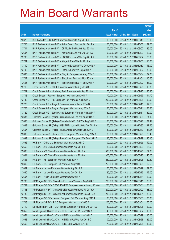|       |                                                              |               |                            | <b>Amount</b> |
|-------|--------------------------------------------------------------|---------------|----------------------------|---------------|
|       |                                                              | No. of        |                            | raised        |
| Code  | <b>Derivative warrants</b>                                   | issue (units) | <b>Listing date Expiry</b> | (HK\$ mil.)   |
| 13676 | BOCI Asia Ltd. - SHK Ppt European Warrants Aug 2014 A        | 100,000,000   | 2014/02/12 2014/08/18      | 25.00         |
| 13706 | BNP Paribas Arbit Issu B.V. - Anhui Conch Euro Wt Oct 2014 A | 100,000,000   | 2014/02/12 2014/10/06      | 29.00         |
| 13704 | BNP Paribas Arbit Issu B.V. - Ch Mobile Eu Put Wt Sep 2014 A | 100,000,000   | 2014/02/12 2014/09/02      | 25.00         |
| 13697 | BNP Paribas Arbit Issu B.V. - A50 China Euro Wts Oct 2014 A  | 100,000,000   | 2014/02/12 2014/10/03      | 20.00         |
| 13703 | BNP Paribas Arbit Issu B.V. - HSBC European Wts Sep 2014 A   | 100,000,000   | 2014/02/12 2014/09/02      | 25.00         |
| 13701 | BNP Paribas Arbit Issu B.V. - Kingsoft Euro Wts Jul 2014 A   | 100,000,000   | 2014/02/12 2014/07/03      | 16.00         |
| 13700 | BNP Paribas Arbit Issu B.V. - Lenovo European Wts Dec 2015 A | 100,000,000   | 2014/02/12 2015/12/30      | 16.00         |
| 13705 | BNP Paribas Arbit Issu B.V. - PetroCh Euro Wts Sep 2014 A    | 100,000,000   | 2014/02/12 2014/09/02      | 35.00         |
| 13695 | BNP Paribas Arbit Issu B.V. - Ping An European Wt Aug 2014 B | 100,000,000   | 2014/02/12 2014/08/04      | 22.00         |
| 13707 | BNP Paribas Arbit Issu B.V. - Sinopharm Euro Wts Nov 2014 A  | 60,000,000    | 2014/02/12 2014/11/04      | 15.60         |
| 13696 | BNP Paribas Arbit Issu B.V. - Tencent HIdgs Eu Wt Sep 2014 A | 100,000,000   | 2014/02/12 2014/09/02      | 31.00         |
| 13715 | Credit Suisse AG - BOCL European Warrants Aug 2014 B         | 70,000,000    | 2014/02/12 2014/08/25      | 13.30         |
| 13721 | Credit Suisse AG - Minsheng Bank European Wts Sep 2014 A     | 70,000,000    | 2014/02/12 2014/09/15      | 20.30         |
| 13718 | Credit Suisse - Foxconn European Warrants Jun 2014 A         | 70,000,000    | 2014/02/12 2014/06/23      | 14.70         |
| 13730 | Credit Suisse AG - HSI European Put Warrants Aug 2014 C      | 200,000,000   | 2014/02/12 2014/08/28      | 50.00         |
| 13720 | Credit Suisse AG - Kingsoft European Warrants Jul 2014 D     | 70,000,000    | 2014/02/12 2014/07/11      | 17.50         |
| 13723 | Credit Suisse AG - Ping An European Warrants Aug 2014 B      | 80,000,000    | 2014/02/12 2014/08/11      | 28.80         |
| 13722 | Credit Suisse AG - Sands China European Warrants Aug 2014 A  | 80,000,000    | 2014/02/12 2014/08/11      | 32.00         |
| 13687 | Goldman Sachs SP (Asia) - China Mobile Euro Wts Aug 2014 A   | 80,000,000    | 2014/02/12 2014/08/28      | 21.12         |
| 13688 | Goldman Sachs SP (Asia) - China Mobile Eu Put Wts Aug 2014 B | 80,000,000    | 2014/02/12 2014/08/28      | 21.44         |
| 13669 | Goldman Sachs SP (Asia) – HSCEI European Put Wts Dec 2014 A  | 150,000,000   | 2014/02/12 2014/12/30      | 37.65         |
| 13667 | Goldman Sachs SP (Asia) - HSI European Put Wts Oct 2014 B    | 150,000,000   | 2014/02/12 2014/10/30      | 38.25         |
| 13690 | Goldman Sachs Sp (Asia) - ICBC European Warrants Aug 2014 A  | 80,000,000    | 2014/02/12 2014/08/28      | 20.40         |
| 13689 | Goldman Sachs SP (Asia) - PetroChina European Wts Sep 2014 A | 80,000,000    | 2014/02/12 2014/09/29      | 20.16         |
| 13656 | HK Bank - China Life European Warrants Jun 2014 C            | 100,000,000   | 2014/02/12 2014/06/25      | 19.00         |
| 13659 | HK Bank - A50 China European Warrants Aug 2014 B             | 80,000,000    | 2014/02/12 2014/08/29      | 25.60         |
| 13666 | HK Bank - A50 China European Warrants Nov 2015 A             | 300,000,000   | 2014/02/12 2015/11/25      | 54.00         |
| 13664 | HK Bank - A50 China European Warrants Mar 2016 A             | 300,000,000   | 2014/02/12 2016/03/23      | 45.00         |
| 13663 | HK Bank - HSI European Warrants Aug 2014 F                   | 250,000,000   | 2014/02/12 2014/08/28      | 62.50         |
| 13662 | HK Bank - HSI European Put Warrants Aug 2014 E               | 250,000,000   | 2014/02/12 2014/08/28      | 62.50         |
| 13661 | HK Bank - Lenovo European Warrants Aug 2014 B                | 50,000,000    | 2014/02/12 2014/08/29      | 27.50         |
| 13660 | HK Bank - Lenovo European Warrants Dec 2015 A                | 80,000,000    | 2014/02/12 2015/12/15      | 12.00         |
| 13657 | HK Bank - Wharf European Warrants Oct 2014 A                 | 80,000,000    | 2014/02/12 2014/10/31      | 20.00         |
| 13735 | J P Morgan SP BV - China Life European Warrants Aug 2014 B   | 200,000,000   | 2014/02/12 2014/08/11      | 30.00         |
| 13734 | J P Morgan SP BV - CSOP A50 ETF European Warrants Aug 2016 A | 200,000,000   | 2014/02/12 2016/08/01      | 30.00         |
| 13733 | J P Morgan SP BV - Galaxy Ent European Warrants Jul 2015 A   | 200,000,000   | 2014/02/12 2015/07/02      | 33.00         |
| 13732 | J P Morgan SP BV - Galaxy Ent European Warrants Dec 2015 A   | 200,000,000   | 2014/02/12 2015/12/01      | 30.00         |
| 13709 | J P Morgan SP BV - Lenovo European Put Warrants Aug 2015 A   | 100,000,000   | 2014/02/12 2015/08/03      | 25.00         |
| 13708 | J P Morgan SP BV - PICC European Warrants Jan 2016 A         | 200,000,000   | 2014/02/12 2016/01/04      | 50.00         |
| 13710 | Macquarie Bank Ltd. - CSR Times European Warrants Oct 2014 A | 80,000,000    | 2014/02/12 2014/10/06      | 20.00         |
| 13652 | Merrill Lynch Int'l & Co. C.V. - HSBC Euro Put Wt Sep 2014 A | 40,000,000    | 2014/02/12 2014/09/02      | 10.00         |
| 13654 | Merrill Lynch Int'l & Co. C.V. - HSI European Wts May 2014 D | 100,000,000   | 2014/02/12 2014/05/29      | 15.00         |
| 13653 | Merrill Lynch Int'l & Co. C.V. - HSI Euro Put Wts Aug 2014 C | 100,000,000   | 2014/02/12 2014/08/28      | 25.00         |
| 13650 | Merrill Lynch Int'l & Co. C.V. - ICBC Euro Wts Jul 2014 B    | 70,000,000    | 2014/02/12 2014/07/28      | 10.50         |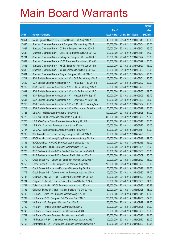|         |                                                                |               |                            | <b>Amount</b> |
|---------|----------------------------------------------------------------|---------------|----------------------------|---------------|
|         |                                                                | No. of        |                            | raised        |
| Code    | <b>Derivative warrants</b>                                     | issue (units) | <b>Listing date Expiry</b> | (HK\$ mil.)   |
| 13651   | Merrill Lynch Int'l & Co. C.V. - PetroChina Eu Wt Aug 2014 A   | 40,000,000    | 2014/02/12 2014/08/15      | 10.00         |
| 13683   | Standard Chartered Bank - AIA European Warrants Aug 2014 A     | 100,000,000   | 2014/02/12 2014/08/04      | 15.00         |
| 13682   | Standard Chartered Bank - CC Bank European Wts Aug 2014 B      | 100,000,000   | 2014/02/12 2014/08/04      | 16.00         |
| 13680   | Standard Chartered Bank - CITIC Sec European Wts Aug 2014 A    | 100.000.000   | 2014/02/12 2014/08/11      | 25.00         |
| 13731   | Standard Chartered Bank - Galaxy Ent European Wts Jun 2014 E   | 100,000,000   | 2014/02/12 2014/06/27      | 25.00         |
| 13684   | Standard Chartered Bank - HSBC European Put Wts Aug 2014 C     | 100,000,000   | 2014/02/12 2014/08/29      | 25.00         |
| 13686   | Standard Chartered Bank - HSCEI European Put Wts Jun 2014 B    | 100,000,000   | 2014/02/12 2014/06/27      | 15.00         |
| 13685   | Standard Chartered Bank - ICBC European Put Wts Aug 2014 A     | 100,000,000   | 2014/02/12 2014/08/29      | 25.00         |
| 13681   | Standard Chartered Bank - Ping An European Wts Jul 2014 B      | 100,000,000   | 2014/02/12 2014/07/04      | 15.00         |
| 13711   | SGA Societe Generale Acceptance N.V. - CCB Eur Wt Aug 2014 B   | 100,000,000   | 2014/02/12 2014/08/04      | 25.50         |
| 13692   | SGA Societe Generale Acceptance N.V. - HSBC Eu Wt Jul 2014 B   | 100,000,000   | 2014/02/12 2014/07/07      | 22.00         |
| 13712   | SGA Societe Generale Acceptance N.V. - HSI Eur Wt Aug 2014 A   | 150,000,000   | 2014/02/12 2014/08/28      | 23.25         |
| 13691   | SGA Societe Generale Acceptance N.V. - HSI Eu Put Wt Jul 14 C  | 150,000,000   | 2014/02/12 2014/07/30      | 39.75         |
| 13693   | SGA Societe Generale Acceptance N.V. - Kingsoft Eu Wt Sep14A   | 60,000,000    | 2014/02/12 2014/09/03      | 26.70         |
| 13694   | SGA Societe Generale Acceptance N.V. - Lenovo Eu Wt Sep 14 B   | 30,000,000    | 2014/02/12 2014/09/03      | 21.00         |
| 13713   | SGA Societe Generale Acceptance N.V. - SJM Hold Eu Wt Aug14A   | 80,000,000    | 2014/02/12 2014/08/04      | 16.00         |
| 13714   | SGA Societe Generale Acceptance N.V. - Wynn Macau Eu Wt Aug14A | 100,000,000   | 2014/02/12 2014/08/27      | 26.50         |
| 13726   | UBS AG - HSI European Warrants Aug 2014 E                      | 300,000,000   | 2014/02/12 2014/08/28      | 54.00         |
| 13725   | UBS AG - HSI European Put Warrants Aug 2014 D                  | 300,000,000   | 2014/02/12 2014/08/28      | 75.00         |
| 13728   | UBS AG - Sands China European Warrants Aug 2014 B              | 40,000,000    | 2014/02/12 2014/08/18      | 28.00         |
| 13729   | UBS AG - Stanchart European Warrants Jul 2015 A                | 100,000,000   | 2014/02/12 2015/07/20      | 16.00         |
| 13727   | UBS AG - Wynn Macau European Warrants Aug 2014 A               | 50,000,000    | 2014/02/12 2014/08/11      | 19.00         |
| 12795 # | BOCI Asia Ltd. - Tencent Holdings European Wts Jul 2014 A      | 100,000,000   | 2014/02/12 2014/07/28      | 28.50         |
| 13745   | BOCI Asia Ltd. - Cheung Kong European Warrants Aug 2014 A      | 100,000,000   | 2014/02/13 2014/08/18      | 27.00         |
| 13746   | BOCI Asia Ltd. - CNOOC European Warrants Dec 2014 A            | 100,000,000   | 2014/02/13 2014/12/15      | 15.00         |
| 13744   | BOCI Asia Ltd. - HSBC European Warrants Sep 2014 A             | 100,000,000   | 2014/02/13 2014/09/01      | 25.00         |
| 13775   | BNP Paribas Arbit Issu B.V. – Sands China Euro Wt Jan 2019 A   | 100,000,000   | 2014/02/13 2019/01/03      | 25.00         |
| 13774   | BNP Paribas Arbit Issu B.V. - Tencent Eu Put Wt Jun 2014 B     | 100,000,000   | 2014/02/13 2014/06/09      | 20.00         |
| 13770   | Credit Suisse AG - Galaxy Ent European Warrants Jun 2015 A     | 100,000,000   | 2014/02/13 2015/06/29      | 16.00         |
| 13753   | Credit Suisse AG - HSI European Put Warrants Aug 2014 D        | 200,000,000   | 2014/02/13 2014/08/28      | 50.00         |
| 13773   | Credit Suisse AG - Lenovo European Warrants Aug 2014 A         | 70,000,000    | 2014/02/13 2014/08/12      | 31.50         |
| 13772   | Credit Suisse AG - Tencent Holdings European Wts Jun 2014 K    | 100,000,000   | 2014/02/13 2014/06/30      | 17.00         |
| 13783   | Citigroup Global Mkt H Inc. - Galaxy Ent Euro Wts Nov 2015 A   | 150,000,000   | 2014/02/13 2015/11/23      | 25.50         |
| 13784   | Citigroup Global Mkt H Inc. - Galaxy Ent Euro Wts Jun 2016 A   | 150,000,000   | 2014/02/13 2016/06/03      | 24.00         |
| 13767   | Daiwa Capital Mkt - BOCL European Warrants Aug 2014 C          | 128,000,000   | 2014/02/13 2014/08/25      | 20.48         |
| 13765   | Goldman Sachs SP (Asia) - Galaxy Ent Euro Wts Oct 2015 A       | 120,000,000   | 2014/02/13 2015/10/28      | 18.00         |
| 13743   | HK Bank - China Life European Warrants Aug 2014 D              | 100,000,000   | 2014/02/13 2014/08/11      | 15.00         |
| 13737   | HK Bank - HSCEI European Put Warrants Dec 2014 C               | 250,000,000   | 2014/02/13 2014/12/30      | 62.50         |
| 13739   | HK Bank - HSI European Warrants Sep 2014 E                     | 250,000,000   | 2014/02/13 2014/09/29      | 37.50         |
| 13742   | HK Bank - Tencent European Warrants Jun 2014 J                 | 120,000,000   | 2014/02/13 2014/06/25      | 24.00         |
| 13740   | HK Bank - Tencent European Put Warrants Jun 2014 H             | 120,000,000   | 2014/02/13 2014/06/30      | 30.00         |
| 13741   | HK Bank - Tencent European Put Warrants Jun 2014 I             | 120,000,000   | 2014/02/13 2014/06/16      | 21.60         |
| 13764   | J P Morgan SP BV - China Gas Hold European Wts Jun 2015 A      | 100,000,000   | 2014/02/13 2015/06/12      | 25.00         |
| 13763   | J P Morgan SP BV - Evergrande European Warrants Oct 2014 A     | 40,000,000    | 2014/02/13 2014/10/03      | 10.04         |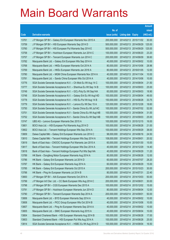|       |                                                                |               |                            |                       | <b>Amount</b> |
|-------|----------------------------------------------------------------|---------------|----------------------------|-----------------------|---------------|
|       |                                                                | No. of        |                            |                       | raised        |
| Code  | <b>Derivative warrants</b>                                     | issue (units) | <b>Listing date Expiry</b> |                       | (HK\$ mil.)   |
| 13761 | J P Morgan SP BV - Galaxy Ent European Warrants Nov 2015 A     | 200,000,000   |                            | 2014/02/13 2015/11/02 | 30.00         |
| 13759 | J P Morgan SP BV - HSI European Warrants Sep 2014 D            | 500,000,000   |                            | 2014/02/13 2014/09/29 | 125.00        |
| 13760 | J P Morgan SP BV - HSI European Put Warrants Sep 2014 E        | 500,000,000   |                            | 2014/02/13 2014/09/29 | 125.00        |
| 13758 | J P Morgan SP BV - Hutchison European Warrants Jun 2014 C      | 100.000.000   | 2014/02/13 2014/06/20      |                       | 23.20         |
| 13757 | J P Morgan SP BV - Tencent European Warrants Jun 2014 C        | 200,000,000   |                            | 2014/02/13 2014/06/09 | 36.60         |
| 13782 | Macquarie Bank Ltd. - Galaxy Ent European Wts Sep 2014 A       | 40,000,000    |                            | 2014/02/13 2014/09/02 | 10.00         |
| 13768 | Macquarie Bank Ltd. - HKEx European Warrants Oct 2014 A        | 80,000,000    |                            | 2014/02/13 2014/10/06 | 28.96         |
| 13769 | Macquarie Bank Ltd. - HKEx European Warrants Jan 2016 A        | 80,000,000    |                            | 2014/02/13 2016/01/05 | 12.00         |
| 13780 | Macquarie Bank Ltd. - MGM China European Warrants Nov 2014 A   | 40,000,000    |                            | 2014/02/13 2014/11/04 | 10.00         |
| 13781 | Macquarie Bank Ltd. - Sands China European Wts Oct 2014 A      | 40,000,000    |                            | 2014/02/13 2014/10/06 | 10.00         |
| 13776 | SGA Societe Generale Acceptance N.V. - Ch Mob Eu Wt Aug 14 C   | 100,000,000   |                            | 2014/02/13 2014/08/04 | 21.50         |
| 13777 | SGA Societe Generale Acceptance N.V. - Shenhua Eu Wt Sep 14 B  | 100,000,000   |                            | 2014/02/13 2014/09/03 | 25.00         |
| 13749 | SGA Societe Generale Acceptance N.V. - GCL-Poly Eu Wt Sep14A   | 60,000,000    |                            | 2014/02/13 2014/09/03 | 18.90         |
| 13748 | SGA Societe Generale Acceptance N.V. - Galaxy Ent Eu Wt Aug14D | 100,000,000   |                            | 2014/02/13 2014/08/04 | 49.00         |
| 13778 | SGA Societe Generale Acceptance N.V. - HSI Eu Put Wt Aug 14 B  | 150,000,000   |                            | 2014/02/13 2014/08/28 | 33.75         |
| 13779 | SGA Societe Generale Acceptance N.V. - Lenovo Eu Wt Dec 15 A   | 120,000,000   |                            | 2014/02/13 2015/12/28 | 18.60         |
| 13750 | SGA Societe Generale Acceptance N.V - Sands China Eu Wt Jul14C | 100,000,000   |                            | 2014/02/13 2014/07/02 | 52.00         |
| 13751 | SGA Societe Generale Acceptance N.V - Sands China Eu Wt Aug14B | 100,000,000   |                            | 2014/02/13 2014/08/04 | 31.00         |
| 13752 | SGA Societe Generale Acceptance N.V - Sands China Eu Wt Sep14B | 100,000,000   |                            | 2014/02/13 2014/09/03 | 25.00         |
| 13747 | UBS AG - Lenovo European Warrants Dec 2015 A                   | 100,000,000   |                            | 2014/02/13 2015/12/15 | 16.00         |
| 13801 | BOCI Asia Ltd. - HSI European Put Warrants Aug 2014 D          | 100,000,000   |                            | 2014/02/14 2014/08/28 | 21.00         |
| 13802 | BOCI Asia Ltd. - Tencent Holdings European Wts Sep 2014 A      | 100,000,000   |                            | 2014/02/14 2014/09/29 | 38.00         |
| 13809 | Daiwa Capital Mkt - Galaxy Ent European Warrants Jun 2014 C    | 98,000,000    | 2014/02/14                 | 2014/06/16            | 24.50         |
| 13810 | Daiwa Capital Mkt - Tencent Holdings European Wts Sep 2014 A   | 108,000,000   | 2014/02/14 2014/09/01      |                       | 20.52         |
| 13819 | Bank of East Asia - CNOOC European Put Warrants Jan 2015 A     | 60,000,000    |                            | 2014/02/14 2015/01/30 | 15.00         |
| 13817 | Bank of East Asia – Tencent Holdings European Wts Dec 2014 A   | 40.000.000    |                            | 2014/02/14 2014/12/29 | 14.40         |
| 13818 | Bank of East Asia - Tencent Holdings European Put Wts Sep14A   | 40,000,000    | 2014/02/14 2014/09/29      |                       | 11.20         |
| 13789 | HK Bank - Dongfeng Motor European Warrants Aug 2014 A          | 80,000,000    | 2014/02/14 2014/08/26      |                       | 12.00         |
| 13786 | HK Bank - Galaxy Ent European Warrants Jul 2014 D              | 60,000,000    |                            | 2014/02/14 2014/07/07 | 28.20         |
| 13787 | HK Bank - Galaxy Ent European Warrants Aug 2014 A              | 60,000,000    | 2014/02/14 2014/08/29      |                       | 15.00         |
| 13785 | HK Bank - Galaxy Ent European Warrants Oct 2015 A              | 200,000,000   |                            | 2014/02/14 2015/10/23 | 30.00         |
| 13788 | HK Bank - Ping An European Warrants Jul 2014 B                 | 80,000,000    | 2014/02/14 2014/07/31      |                       | 22.40         |
| 13800 | J P Morgan SP BV - AIA European Warrants Oct 2014 A            | 200,000,000   | 2014/02/14                 | 2014/10/03            | 50.00         |
| 13799 | J P Morgan Int'l Der. Ltd. - CC Bank European Wts Aug 2014 C   | 200,000,000   | 2014/02/14 2014/08/01      |                       | 30.00         |
| 13798 | J P Morgan SP BV - CGS European Warrants Dec 2015 A            | 100,000,000   | 2014/02/14                 | 2015/12/02            | 15.00         |
| 13791 | J P Morgan SP BV - Hutchison European Warrants Jun 2014 D      | 80,000,000    |                            | 2014/02/14 2014/06/04 | 12.00         |
| 13790 | J P Morgan SP BV - Tencent European Warrants Sep 2014 A        | 200,000,000   | 2014/02/14                 | 2014/09/01            | 50.00         |
| 13806 | Macquarie Bank Ltd. - BYD European Warrants Sep 2014 A         | 40,000,000    |                            | 2014/02/14 2014/09/02 | 10.00         |
| 13808 | Macquarie Bank Ltd. - PICC Group European Wts Oct 2014 B       | 40,000,000    | 2014/02/14                 | 2014/10/06            | 10.00         |
| 13807 | Macquarie Bank Ltd. - Ping An European Warrants Sep 2014 A     | 40,000,000    |                            | 2014/02/14 2014/09/02 | 10.00         |
| 13805 | Macquarie Bank Ltd. - SMIC European Warrants Aug 2015 A        | 40,000,000    | 2014/02/14                 | 2015/08/04            | 10.00         |
| 13804 | Standard Chartered Bank - HSI European Warrants Aug 2014 B     | 100,000,000   | 2014/02/14 2014/08/28      |                       | 17.00         |
| 13803 | Standard Chartered Bank - HSI European Put Wts Aug 2014 A      | 100,000,000   |                            | 2014/02/14 2014/08/28 | 25.00         |
| 13814 | SGA Societe Generale Acceptance N.V. - HSBC Eu Wt Aug 2014 D   | 100,000,000   |                            | 2014/02/14 2014/08/04 | 16.50         |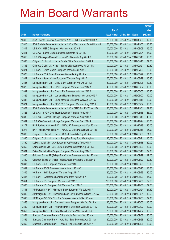|       |                                                                |               |                            |                       | <b>Amount</b> |
|-------|----------------------------------------------------------------|---------------|----------------------------|-----------------------|---------------|
|       |                                                                | No. of        |                            |                       | raised        |
| Code  | <b>Derivative warrants</b>                                     | issue (units) | <b>Listing date Expiry</b> |                       | (HK\$ mil.)   |
| 13815 | SGA Societe Generale Acceptance N.V. - HWL Eur Wt Oct 2014 A   | 70,000,000    |                            | 2014/02/14 2014/10/06 | 12.95         |
| 13816 | SGA Societe Generale Acceptance N.V. - Wynn Macau Eu Wt Nov14A | 50,000,000    |                            | 2014/02/14 2014/11/05 | 10.25         |
| 13812 | UBS AG - HSBC European Warrants Aug 2014 B                     | 100,000,000   | 2014/02/14                 | 2014/08/08            | 15.00         |
| 13811 | UBS AG - Sands China European Warrants Jul 2014 E              | 40,000,000    |                            | 2014/02/14 2014/07/24 | 16.00         |
| 13813 | UBS AG - Wynn Macau European Put Warrants Aug 2014 B           | 35,000,000    |                            | 2014/02/14 2014/08/13 | 10.85         |
| 13838 | Citigroup Global Mkt H Inc. - Sands China Euro Wt Apr 2017 A   | 150,000,000   |                            | 2014/02/17 2017/04/10 | 37.50         |
| 13836 | Citigroup Global Mkt H Inc. - Tencent European Wts Jul 2014 D  | 100,000,000   | 2014/02/17                 | 2014/07/21            | 20.50         |
| 13821 | HK Bank - China Mobile European Warrants Jul 2014 E            | 100,000,000   | 2014/02/17 2014/07/29      |                       | 23.00         |
| 13826 | HK Bank - CSR Times European Warrants Aug 2014 A               | 60,000,000    |                            | 2014/02/17 2014/08/29 | 15.00         |
| 13822 | HK Bank - Sands China European Warrants Aug 2014 A             | 60,000,000    |                            | 2014/02/17 2014/08/29 | 16.80         |
| 13835 | Macquarie Bank Ltd. - CITIC Bank European Wts Oct 2014 A       | 50,000,000    | 2014/02/17                 | 2014/10/06            | 12.50         |
| 13823 | Macquarie Bank Ltd. - CPIC European Warrants Sep 2014 A        | 40,000,000    | 2014/02/17 2014/09/02      |                       | 10.00         |
| 13832 | Macquarie Bank Ltd. - Galaxy Ent European Wts Jun 2016 A       | 60,000,000    |                            | 2014/02/17 2016/06/03 | 10.20         |
| 13825 | Macquarie Bank Ltd. - Lumena Newmat European Wts Jun 2015 A    | 40,000,000    |                            | 2014/02/17 2015/06/02 | 10.00         |
| 13833 | Macquarie Bank Ltd. - China Mengniu European Wts Aug 2014 A    | 80,000,000    | 2014/02/17                 | 2014/08/18            | 20.00         |
| 13824 | Macquarie Bank Ltd. - PICC P&C European Warrants Aug 2015 A    | 40,000,000    |                            | 2014/02/17 2015/08/04 | 10.00         |
| 13827 | SGA Societe Generale Acceptance N.V. - CITIC Pac Eu Wt Nov17A  | 120,000,000   | 2014/02/17 2017/11/01      |                       | 22.20         |
| 13828 | UBS AG - SPDR Gold Trust European Warrants Aug 2014 A          | 100,000,000   | 2014/02/17 2014/08/18      |                       | 45.00         |
| 13830 | UBS AG - Tencent Holdings European Warrants Aug 2014 A         | 100,000,000   | 2014/02/17                 | 2014/08/18            | 40.00         |
| 13831 | UBS AG - Tencent Holdings European Warrants Dec 2014 A         | 100,000,000   | 2014/02/17 2014/12/24      |                       | 16.00         |
| 10272 | BNP Paribas Arbit Issu B.V. - AUD/USD European Wts Dec 2014 A  | 100,000,000   |                            | 2014/02/18 2014/12/18 | 25.00         |
| 10273 | BNP Paribas Arbit Issu B.V. - AUD/USD Euro Put Wts Dec 2014 B  | 100,000,000   |                            | 2014/02/18 2014/12/18 | 25.00         |
| 13865 | Citigroup Global Mkt H Inc. - HS Bank Euro Wts Sep 2014 A      | 50,000,000    | 2014/02/18 2014/09/08      |                       | 21.00         |
| 13866 | Citigroup Global Mkt H Inc. - Tong Ren Tang Euro Wts Aug14A    | 40,000,000    | 2014/02/18 2014/08/21      |                       | 10.00         |
| 13860 | Daiwa Capital Mkt - AIA European Put Warrants Aug 2014 A       | 80,000,000    | 2014/02/18 2014/08/18      |                       | 20.00         |
| 13862 | Daiwa Capital Mkt - A50 China European Warrants Aug 2014 A     | 128,000,000   | 2014/02/18 2014/08/20      |                       | 32.00         |
| 13861 | Daiwa Capital Mkt – Ping An European Warrants Aug 2014 B       | 128,000,000   | 2014/02/18 2014/08/18      |                       | 32.00         |
| 13840 | Goldman Sachs SP (Asia) - BankComm European Wts Sep 2014 A     | 68,000,000    | 2014/02/18 2014/09/29      |                       | 17.00         |
| 13839 | Goldman Sachs SP (Asia) - HSI European Warrants May 2014 B     | 150,000,000   | 2014/02/18 2014/05/29      |                       | 22.50         |
| 13847 | HK Bank - AIA European Warrants Sep 2014 B                     | 80,000,000    | 2014/02/18 2014/09/29      |                       | 20.00         |
| 13849 | HK Bank - BOCL European Warrants Aug 2014 C                    | 80,000,000    | 2014/02/18 2014/08/25      |                       | 13.60         |
| 13845 | HK Bank - BYD European Warrants Aug 2014 A                     | 80,000,000    | 2014/02/18 2014/08/29      |                       | 20.00         |
| 13846 | HK Bank - Evergrande European Warrants Aug 2014 A              | 60,000,000    | 2014/02/18 2014/08/29      |                       | 15.00         |
| 13851 | HK Bank - HSI European Warrants Jul 2015 B                     | 250,000,000   | 2014/02/18 2015/07/30      |                       | 62.50         |
| 13850 | HK Bank - HSI European Put Warrants Dec 2014 C                 | 250,000,000   | 2014/02/18 2014/12/30      |                       | 62.50         |
| 13841 | J P Morgan SP BV - Minsheng Bank European Wts Jul 2014 A       | 60,000,000    | 2014/02/18 2014/07/24      |                       | 21.42         |
| 13842 | J P Morgan SP BV - Henderson Land Dev European Wt Sep 2014 A   | 50,000,000    | 2014/02/18 2014/09/01      |                       | 12.50         |
| 13843 | J P Morgan SP BV - SHK Ppt European Warrants Sep 2014 A        | 60,000,000    | 2014/02/18 2014/09/01      |                       | 22.80         |
| 13858 | Macquarie Bank Ltd. - Greatwall Motor European Wts Oct 2014 A  | 40,000,000    | 2014/02/18 2014/10/06      |                       | 10.00         |
| 13859 | Macquarie Bank Ltd. - Huaneng Power European Wts Sep 2014 A    | 40,000,000    |                            | 2014/02/18 2014/09/02 | 10.00         |
| 13857 | Macquarie Bank Ltd. - Xinyi Glass European Wts Dec 2016 A      | 70,000,000    |                            | 2014/02/18 2016/12/02 | 10.50         |
| 13854 | Standard Chartered Bank - China Mobile Euro Wts Sep 2014 A     | 100,000,000   | 2014/02/18 2014/09/08      |                       | 25.00         |
| 13855 | Standard Chartered Bank - Hutchison Euro Euro Wts Aug 2014 A   | 80,000,000    | 2014/02/18 2014/08/28      |                       | 20.00         |
| 13852 | Standard Chartered Bank - Tencent Hidg Euro Wts Oct 2014 A     | 100,000,000   | 2014/02/18 2014/10/06      |                       | 29.00         |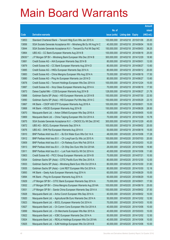|         |                                                                |               |                            |                       | <b>Amount</b> |
|---------|----------------------------------------------------------------|---------------|----------------------------|-----------------------|---------------|
|         |                                                                | No. of        |                            |                       | raised        |
| Code    | <b>Derivative warrants</b>                                     | issue (units) | <b>Listing date Expiry</b> |                       | (HK\$ mil.)   |
| 13853   | Standard Chartered Bank - Tencent Hldg Euro Wts Jan 2015 A     | 100,000,000   |                            | 2014/02/18 2015/01/06 | 25.00         |
| 13856   | SGA Societe Generale Acceptance NV - Minsheng Bk Eu Wt Aug14 C | 40,000,000    |                            | 2014/02/18 2014/08/04 | 18.00         |
| 13844   | SGA Societe Generale Acceptance N.V - Tencent Eu Put Wt Sep14C | 150,000,000   | 2014/02/18 2014/09/03      |                       | 38.25         |
| 13864   | UBS AG - CC Bank European Warrants Aug 2014 B                  | 100,000,000   |                            | 2014/02/18 2014/08/18 | 25.00         |
| 25630 # | J P Morgan SP BV - Minsheng Bank European Wts Dec 2014 B       | 300,000,000   |                            | 2014/02/18 2014/12/29 | 18.90         |
| 13881   | Credit Suisse AG - AIA European Warrants Sep 2014 B            | 80,000,000    | 2014/02/19 2014/09/01      |                       | 12.00         |
| 13879   | Credit Suisse AG - CC Bank European Warrants Aug 2014 D        | 80,000,000    | 2014/02/19 2014/08/27      |                       | 13.60         |
| 13885   | Credit Suisse AG - HKEx European Warrants Sep 2014 A           | 80,000,000    |                            | 2014/02/19 2014/09/12 | 20.00         |
| 13883   | Credit Suisse AG - China Mengniu European Wts Aug 2014 A       | 70,000,000    |                            | 2014/02/19 2014/08/18 | 17.50         |
| 13880   | Credit Suisse AG - Ping An European Warrants Jun 2014 D        | 80,000,000    |                            | 2014/02/19 2014/06/27 | 13.60         |
| 13878   | Credit Suisse AG - Tencent Holdings European Wts Dec 2014 A    | 100,000,000   | 2014/02/19 2014/12/24      |                       | 15.00         |
| 13887   | Credit Suisse AG - Xinyi Glass European Warrants Aug 2014 A    | 70,000,000    |                            | 2014/02/19 2014/08/18 | 17.50         |
| 13873   | Daiwa Capital Mkt - CCB European Warrants Aug 2014 B           | 128,000,000   |                            | 2014/02/19 2014/08/27 | 21.76         |
| 13888   | Goldman Sachs SP (Asia) - HSI European Warrants Jul 2014 B     | 150,000,000   |                            | 2014/02/19 2014/07/30 | 22.50         |
| 13890   | Goldman Sachs SP (Asia) - HSI European Put Wts May 2014 C      | 150,000,000   | 2014/02/19                 | 2014/05/29            | 23.10         |
| 13867   | HK Bank - CSOP A50 ETF European Warrants Aug 2016 A            | 100,000,000   | 2014/02/19 2016/08/01      |                       | 15.00         |
| 13868   | HK Bank - HSCEI European Warrants Aug 2014 B                   | 150,000,000   |                            | 2014/02/19 2014/08/28 | 28.50         |
| 13870   | Macquarie Bank Ltd. - Anton Oilfield European Wts Sep 2016 A   | 40,000,000    |                            | 2014/02/19 2016/09/05 | 10.00         |
| 13869   | Macquarie Bank Ltd. - China Taiping European Wts Oct 2014 A    | 70,000,000    | 2014/02/19 2014/10/28      |                       | 10.78         |
| 13875   | SGA Societe Generale Acceptance N.V. - CNOOC Eu Wt Dec 2014C   | 300,000,000   |                            | 2014/02/19 2014/12/29 | 45.00         |
| 13872   | UBS AG - BOCL European Warrants Sep 2014 A                     | 100,000,000   |                            | 2014/02/19 2014/09/02 | 20.00         |
| 13876   | UBS AG - SHK Ppt European Warrants Aug 2014 A                  | 50,000,000    |                            | 2014/02/19 2014/08/18 | 15.00         |
| 13910   | BNP Paribas Arbit Issu B.V. - BJ Ent Water Euro Wts Oct 14 A   | 48,000,000    |                            | 2014/02/20 2014/10/06 | 17.28         |
| 13912   | BNP Paribas Arbit Issu B.V. - Ch LongYuan Eu Wts Jul 2015 A    | 100,000,000   |                            | 2014/02/20 2015/07/03 | 20.00         |
| 13909   | BNP Paribas Arbit Issu B.V. - Ch Railway Euro Wts Feb 2015 A   | 30,000,000    |                            | 2014/02/20 2015/02/03 | 10.20         |
| 13913   | BNP Paribas Arbit Issu B.V. - Ch Ship Dev Euro Wts Oct 2014A   | 26,000,000    |                            | 2014/02/20 2014/10/06 | 16.90         |
| 13911   | BNP Paribas Arbit Issu B.V. - Luk Fook Hold Eu Wt Oct 2014 A   | 40,000,000    |                            | 2014/02/20 2014/10/06 | 11.60         |
| 13903   | Credit Suisse AG - PICC Group European Warrants Jul 2014 B     | 70,000,000    | 2014/02/20 2014/07/21      |                       | 10.50         |
| 13934   | Goldman Sachs SP (Asia) - CITIC Pacific Euro Wts Dec 2015 A    | 80,000,000    |                            | 2014/02/20 2015/12/30 | 12.00         |
| 13933   | Goldman Sachs SP (Asia) - Minsheng Bank Euro Wts Oct 2014 A    | 80,000,000    |                            | 2014/02/20 2014/10/30 | 31.60         |
| 13935   | Goldman Sachs SP (Asia) - Link REIT European Wts Oct 2014 A    | 80,000,000    |                            | 2014/02/20 2014/10/30 | 12.16         |
| 13893   | HK Bank - Geely Auto European Warrants Aug 2014 A              | 60,000,000    |                            | 2014/02/20 2014/08/29 | 15.00         |
| 13894   | HK Bank - Ping An European Warrants Aug 2014 A                 | 60,000,000    | 2014/02/20                 | 2014/08/29            | 15.00         |
| 13929   | J P Morgan SP BV - CITIC Bank European Warrants Sep 2014 A     | 70,000,000    | 2014/02/20 2014/09/01      |                       | 17.50         |
| 13932   | J P Morgan SP BV - China Mengniu European Warrants Aug 2014A   | 100,000,000   | 2014/02/20 2014/08/19      |                       | 25.00         |
| 13931   | J P Morgan SP BV - Sands China European Warrants Sep 2014 A    | 150,000,000   |                            | 2014/02/20 2014/09/02 | 37.50         |
| 13928   | Macquarie Bank Ltd. - Anhui Conch European Wts Sep 2014 A      | 40,000,000    |                            | 2014/02/20 2014/09/02 | 10.00         |
| 13920   | Macquarie Bank Ltd. - Agricultural Bk Euro Warrants Dec 2014 A | 50,000,000    |                            | 2014/02/20 2014/12/02 | 12.50         |
| 13923   | Macquarie Bank Ltd. - BOCL European Warrants Oct 2014 A        | 70,000,000    | 2014/02/20 2014/10/03      |                       | 10.50         |
| 13927   | Macquarie Bank Ltd. - Ch Comm Cons European Wts Oct 2014 A     | 40,000,000    |                            | 2014/02/20 2014/10/06 | 10.00         |
| 13899   | Macquarie Bank Ltd. - Ch Merchants European Wts Mar 2015 A     | 40,000,000    | 2014/02/20                 | 2015/03/03            | 10.00         |
| 13922   | Macquarie Bank Ltd. - ICBC European Warrants Dec 2014 A        | 50,000,000    |                            | 2014/02/20 2014/12/02 | 12.50         |
| 13924   | Macquarie Bank Ltd. - REXLot Holdings European Wts Oct 2014A   | 40,000,000    | 2014/02/20 2014/10/06      |                       | 10.00         |
| 13925   | Macquarie Bank Ltd. - SJM Holdings European Wts Oct 2014 B     | 40,000,000    | 2014/02/20 2014/10/06      |                       | 10.00         |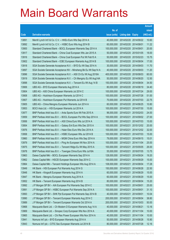|       |                                                                |               |                            |            | <b>Amount</b> |
|-------|----------------------------------------------------------------|---------------|----------------------------|------------|---------------|
|       |                                                                | No. of        |                            |            | raised        |
| Code  | <b>Derivative warrants</b>                                     | issue (units) | <b>Listing date Expiry</b> |            | (HK\$ mil.)   |
| 13891 | Merrill Lynch Int'l & Co. C.V. - HKEx Euro Wts Sep 2014 A      | 40,000,000    | 2014/02/20 2014/09/22      |            | 10.60         |
| 13892 | Merrill Lynch Int'l & Co. C.V. - HSBC Euro Wts Aug 2014 B      | 60,000,000    | 2014/02/20 2014/08/01      |            | 11.22         |
| 13900 | Standard Chartered Bank - BOCL European Warrants Sep 2014 A    | 100,000,000   | 2014/02/20 2014/09/01      |            | 20.00         |
| 13917 | Standard Chartered Bank - China Coal European Wts Jan 2015 A   | 50,000,000    | 2014/02/20 2015/01/05      |            | 18.00         |
| 13916 | Standard Chartered Bank - China Coal European Put Wt Feb15 A   | 50,000,000    | 2014/02/20 2015/02/23      |            | 15.75         |
| 13902 | Standard Chartered Bank - ICBC European Warrants Aug 2014 B    | 100,000,000   | 2014/02/20 2014/08/04      |            | 17.00         |
| 13918 | SGA Societe Generale Acceptance N.V. - BYD Eu Wt Sep 2014 A    | 30,000,000    | 2014/02/20 2014/09/03      |            | 11.70         |
| 13897 | SGA Societe Generale Acceptance NV – Minsheng Bk Eu Wt Sep14 A | 40,000,000    | 2014/02/20 2014/09/03      |            | 11.20         |
| 13896 | SGA Societe Generale Acceptance N.V. - A50 Ch Eu Wt Aug 2016A  | 400,000,000   | 2014/02/20 2016/08/03      |            | 60.00         |
| 13919 | SGA Societe Generale Acceptance N.V. - Ch Mengniu Eu Wt Aug14A | 50,000,000    | 2014/02/20 2014/08/20      |            | 12.50         |
| 13898 | SGA Societe Generale Acceptance N.V. - Tencent Eu Wt Aug 14 B  | 150,000,000   | 2014/02/20 2014/08/04      |            | 34.50         |
| 13906 | UBS AG - BYD European Warrants Aug 2014 A                      | 80,000,000    | 2014/02/20 2014/08/19      |            | 34.40         |
| 13904 | UBS AG - A50 China European Warrants Jul 2014 C                | 100,000,000   | 2014/02/20 2014/07/24      |            | 29.00         |
| 13908 | UBS AG - Hutchison European Warrants Jul 2014 C                | 100,000,000   | 2014/02/20 2014/07/28      |            | 51.00         |
| 13907 | UBS AG - Hutchison European Put Warrants Jul 2014 B            | 70,000,000    | 2014/02/20 2014/07/03      |            | 22.75         |
| 13905 | UBS AG – China Mengniu European Warrants Jun 2014 A            | 60,000,000    | 2014/02/20 2014/06/25      |            | 10.80         |
| 13953 | BOCI Asia Ltd. - HSI European Warrants Jul 2014 A              | 100,000,000   | 2014/02/21                 | 2014/07/30 | 15.00         |
| 13977 | BNP Paribas Arbit Issu B.V. - Anta Sports Euro Wt Feb 2015 A   | 96,000,000    | 2014/02/21                 | 2015/02/03 | 24.00         |
| 13959 | BNP Paribas Arbit Issu B.V. - BOCL European Put Wts Sep 2014 A | 100,000,000   | 2014/02/21                 | 2014/09/02 | 27.00         |
| 13956 | BNP Paribas Arbit Issu B.V. - A50 China Euro Wts Jul 2014 A    | 100,000,000   | 2014/02/21 2014/07/03      |            | 15.00         |
| 13954 | BNP Paribas Arbit Issu B.V. - Galaxy Ent Euro Wts Dec 2015 A   | 100,000,000   | 2014/02/21                 | 2015/12/02 | 20.00         |
| 13976 | BNP Paribas Arbit Issu B.V. - Haier Elec Euro Wts Dec 2014 A   | 100,000,000   | 2014/02/21                 | 2014/12/02 | 32.00         |
| 13958 | BNP Paribas Arbit Issu B.V. - HSBC European Wts Jul 2014 B     | 100,000,000   | 2014/02/21                 | 2014/07/03 | 15.00         |
| 13960 | BNP Paribas Arbit Issu B.V. - MGM China Euro Wts Sep 2014 A    | 79,000,000    | 2014/02/21                 | 2014/09/15 | 15.01         |
| 13979 | BNP Paribas Arbit Issu B.V. - Ping An European Wt Nov 2014 A   | 100,000,000   | 2014/02/21                 | 2014/11/04 | 25.00         |
| 13975 | BNP Paribas Arbit Issu B.V. - Tencent HIdgs Eu Wt May 2015 A   | 100,000,000   | 2014/02/21                 | 2015/05/05 | 26.00         |
| 13978 | BNP Paribas Arbit Issu B.V. – Towngas China Euro Wts Jul16A    | 55,000,000    | 2014/02/21 2016/07/05      |            | 13.75         |
| 13963 | Daiwa Capital Mkt - BOCL European Warrants Sep 2014 A          | 128,000,000   | 2014/02/21 2014/09/24      |            | 19.20         |
| 13962 | Daiwa Capital Mkt - HSCEI European Warrants Sep 2014 C         | 100,000,000   | 2014/02/21                 | 2014/09/29 | 15.00         |
| 13964 | Daiwa Capital Mkt - Tencent Holdings European Wts Aug 2014 A   | 108,000,000   | 2014/02/21 2014/08/04      |            | 17.28         |
| 13949 | HK Bank - HSI European Put Warrants Aug 2014 G                 | 150,000,000   | 2014/02/21                 | 2014/08/28 | 22.50         |
| 13948 | HK Bank - Kingsoft European Warrants Aug 2014 A                | 60,000,000    | 2014/02/21                 | 2014/08/29 | 15.00         |
| 13947 | HK Bank - Mengniu European Warrants Aug 2014 A                 | 60,000,000    | 2014/02/21                 | 2014/08/29 | 15.00         |
| 13952 | HK Bank - Tencent European Warrants Aug 2014 B                 | 80,000,000    | 2014/02/21                 | 2014/08/04 | 15.20         |
| 13992 | J P Morgan SP BV - AIA European Put Warrants Sep 2014 C        | 100,000,000   | 2014/02/21                 | 2014/09/01 | 25.00         |
| 13991 | J P Morgan SP BV - HSBC European Put Warrants Sep 2014 A       | 100,000,000   | 2014/02/21                 | 2014/09/01 | 31.10         |
| 13993 | J P Morgan SP BV - SHK Ppt European Put Warrants Sep 2014 B    | 40,000,000    | 2014/02/21                 | 2014/09/01 | 10.04         |
| 13990 | J P Morgan SP BV - Tencent European Warrants Aug 2014 C        | 200,000,000   | 2014/02/21                 | 2014/08/04 | 38.80         |
| 13989 | J P Morgan SP BV - Tencent European Warrants Oct 2014 A        | 200,000,000   | 2014/02/21                 | 2014/10/03 | 50.00         |
| 13968 | Macquarie Bank Ltd. - Ch Modern D European Warrants Aug 14 A   | 40,000,000    | 2014/02/21                 | 2014/08/21 | 13.16         |
| 13969 | Macquarie Bank Ltd. - Sinopec Corp European Wts Nov 2014 A     | 40,000,000    | 2014/02/21                 | 2014/11/04 | 10.00         |
| 13965 | Macquarie Bank Ltd. - Chi Res Power European Wts Nov 2014 A    | 40,000,000    | 2014/02/21 2014/11/04      |            | 10.00         |
| 13941 | Nomura Int'l plc - BYD European Warrants Aug 2014 A            | 50,000,000    | 2014/02/21                 | 2014/08/28 | 15.90         |
| 13943 | Nomura Int'l plc - CITIC Sec European Warrants Jul 2014 B      | 80,000,000    | 2014/02/21                 | 2014/07/28 | 12.16         |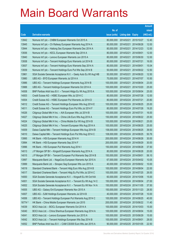|         |                                                                |               |                            |            | <b>Amount</b> |
|---------|----------------------------------------------------------------|---------------|----------------------------|------------|---------------|
|         |                                                                | No. of        |                            |            | raised        |
| Code    | <b>Derivative warrants</b>                                     | issue (units) | <b>Listing date Expiry</b> |            | (HK\$ mil.)   |
| 13942   | Nomura Int'l plc - CNBM European Warrants Oct 2015 A           | 80,000,000    | 2014/02/21                 | 2015/10/27 | 12.40         |
| 13945   | Nomura Int'l plc - Ch Railway European Warrants Aug 2014 A     | 80,000,000    | 2014/02/21                 | 2014/08/28 | 12.00         |
| 13944   | Nomura Int'l plc - Haitong Sec European Warrants Dec 2014 A    | 80,000,000    | 2014/02/21                 | 2014/12/23 | 12.00         |
| 13936   | Nomura Int'l plc - KECL European Warrants Sep 2014 A           | 80,000,000    | 2014/02/21                 | 2014/09/01 | 12.00         |
| 13940   | Nomura Int'l plc - Lenovo European Warrants Jun 2015 A         | 80,000,000    | 2014/02/21                 | 2015/06/30 | 12.00         |
| 13938   | Nomura Int'l plc - Tencent Holdings Euro Warrants Jul 2014 B   | 80,000,000    | 2014/02/21                 | 2014/07/21 | 16.00         |
| 13937   | Nomura Int'l plc - Tencent Holdings Euro Warrants Sep 2014 A   | 80,000,000    | 2014/02/21                 | 2014/09/01 | 15.04         |
| 13939   | Nomura Int'l plc – Tencent Holdings Euro Put Wts Sep 2014 B    | 50,000,000    | 2014/02/21                 | 2014/09/22 | 12.50         |
| 13961   | SGA Societe Generale Acceptance N.V. - Geely Auto Eu Wt Aug14B | 50,000,000    | 2014/02/21                 | 2014/08/20 | 12.50         |
| 13980   | UBS AG - BYD European Warrants Jul 2014 A                      | 70,000,000    | 2014/02/21                 | 2014/07/07 | 10.50         |
| 13986   | UBS AG – Tencent Holdings European Warrants Aug 2014 B         | 100,000,000   | 2014/02/21                 | 2014/08/04 | 23.00         |
| 13988   | UBS AG - Tencent Holdings European Warrants Oct 2014 A         | 100,000,000   | 2014/02/21                 | 2014/10/20 | 25.00         |
| 14008   | BNP Paribas Arbit Issu B.V. - Tencent HIdgs Eu Wt Aug 2015 A   | 100,000,000   | 2014/02/24                 | 2015/08/04 | 25.00         |
| 14003   | Credit Suisse AG - HSBC European Wts Jul 2014 C                | 80,000,000    | 2014/02/24 2014/07/28      |            | 12.00         |
| 14004   | Credit Suisse AG - HSBC European Put Warrants Jul 2014 D       | 80,000,000    | 2014/02/24                 | 2014/07/21 | 20.80         |
| 14012   | Credit Suisse AG – Tencent Holdings European Wts Aug 2014 E    | 100,000,000   | 2014/02/24 2014/08/25      |            | 25.00         |
| 14011   | Credit Suisse AG - Tencent Holdings Euro Put Wts Jul 2014 F    | 80,000,000    | 2014/02/24 2014/07/28      |            | 19.20         |
| 14026   | Citigroup Global Mkt H Inc. - AIA European Wts Jul 2014 B      | 100,000,000   | 2014/02/24 2014/07/31      |            | 16.00         |
| 14027   | Citigroup Global Mkt H Inc. - China Life Euro Wts Aug 2014 A   | 150,000,000   | 2014/02/24                 | 2014/08/22 | 25.50         |
| 14024   | Citigroup Global Mkt H Inc. - China Mobile Eur Wt Aug 2014 B   | 100,000,000   | 2014/02/24 2014/08/21      |            | 25.00         |
| 14025   | Citigroup Global Mkt H Inc. - Tencent European Wts Aug 2014 A  | 100,000,000   | 2014/02/24 2014/08/25      |            | 25.00         |
| 14009   | Daiwa Capital Mkt - Tencent Holdings European Wts Aug 2014 B   | 158,000,000   | 2014/02/24 2014/08/25      |            | 39.50         |
| 14010   | Daiwa Capital Mkt - Tencent Holdings Euro Put Wts Aug 2014 C   | 108,000,000   | 2014/02/24                 | 2014/08/25 | 50.76         |
| 13995   | HK Bank – HSI European Warrants Aug 2014 H                     | 200,000,000   | 2014/02/24 2014/08/28      |            | 30.00         |
| 13994   | HK Bank - HSI European Warrants Sep 2014 F                     | 200,000,000   | 2014/02/24 2014/09/29      |            | 30.00         |
| 13996   | HK Bank - HSI European Put Warrants Aug 2014 I                 | 150,000,000   | 2014/02/24 2014/08/28      |            | 37.50         |
| 14013   | J P Morgan SP BV - Kingsoft European Warrants Aug 2014 A       | 80,000,000    | 2014/02/24 2014/08/28      |            | 20.00         |
| 14015   | J P Morgan SP BV - Tencent European Put Warrants Sep 2014 B    | 150,000,000   | 2014/02/24 2014/09/01      |            | 56.10         |
| 13997   | Macquarie Bank Ltd. - NagaCorp European Warrants Apr 2015 A    | 67,000,000    | 2014/02/24 2015/04/02      |            | 10.05         |
| 13999   | Macquarie Bank Ltd. - Sinopec Seg European Wts Jun 2015 A      | 40,000,000    | 2014/02/24 2015/06/02      |            | 10.00         |
| 14019   | Standard Chartered Bank - Tencent Hldg Euro Wts Aug 2014 B     | 100,000,000   | 2014/02/24 2014/08/04      |            | 22.00         |
| 14017   | Standard Chartered Bank - Tencent Hidg Eu Put Wts Jul 2014 C   | 100,000,000   | 2014/02/24 2014/07/25      |            | 26.00         |
| 14000   | SGA Societe Generale Acceptance N.V. - Kingsoft Eu Wt Oct14A   | 60,000,000    | 2014/02/24 2014/10/06      |            | 15.00         |
| 14001   | SGA Societe Generale Acceptance N.V. - Tencent Eu Wt Aug 14 C  | 150,000,000   | 2014/02/24 2014/08/04      |            | 27.00         |
| 14002   | SGA Societe Generale Acceptance N.V. - Tencent Eu Wt Nov 14 A  | 150,000,000   | 2014/02/24 2014/11/05      |            | 37.50         |
| 14005   | UBS AG - Galaxy Ent European Warrants Nov 2015 A               | 150,000,000   | 2014/02/24 2015/11/23      |            | 28.50         |
| 14007   | UBS AG - SJM Holdings European Warrants Jul 2014 B             | 40,000,000    | 2014/02/24 2014/07/28      |            | 10.00         |
| 14006   | UBS AG - Tencent Holdings European Put Warrants Aug 2014 C     | 100,000,000   | 2014/02/24 2014/08/25      |            | 40.00         |
| 16774 # | HK Bank - China Mobile European Warrants Jun 2015              | 200,000,000   | 2014/02/24 2015/06/22      |            | 11.40         |
| 14039   | BOCI Asia Ltd. - BOCL European Warrants Oct 2014 A             | 100,000,000   | 2014/02/25 2014/10/03      |            | 15.00         |
| 14040   | BOCI Asia Ltd. - China Shenhua European Warrants Aug 2014 A    | 100,000,000   | 2014/02/25 2014/08/04      |            | 15.00         |
| 14041   | BOCI Asia Ltd. - Lenovo European Warrants Jun 2015 A           | 100,000,000   | 2014/02/25 2015/06/29      |            | 15.00         |
| 14042   | BOCI Asia Ltd. - Tencent Holdings European Wts Sep 2014 B      | 100,000,000   | 2014/02/25 2014/09/01      |            | 28.00         |
| 14052   | BNP Paribas Arbit Issu B.V. - CAM CSI300 Euro Wts Jan 2015 A   | 90,000,000    | 2014/02/25 2015/01/05      |            | 22.50         |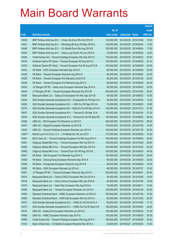|         |                                                                |               |                            |            | <b>Amount</b> |
|---------|----------------------------------------------------------------|---------------|----------------------------|------------|---------------|
|         |                                                                | No. of        |                            |            | raised        |
| Code    | <b>Derivative warrants</b>                                     | issue (units) | <b>Listing date Expiry</b> |            | (HK\$ mil.)   |
| 14049   | BNP Paribas Arbit Issu B.V. - China Life Euro Wts Oct 2014 B   | 100,000,000   | 2014/02/25 2014/10/06      |            | 16.00         |
| 14051   | BNP Paribas Arbit Issu B.V. - Minsheng Bk Euro Wt May 2016 A   | 100,000,000   | 2014/02/25 2016/05/04      |            | 17.00         |
| 14048   | BNP Paribas Arbit Issu B.V. - Ch Mobile Euro Wts Aug 2014 B    | 100,000,000   | 2014/02/25                 | 2014/08/04 | 17.00         |
| 14053   | BNP Paribas Arbit Issu B.V. - Hang Lung Ppt Eu Wt Jun 2015 A   | 76,000,000    | 2014/02/25 2015/06/02      |            | 19.00         |
| 14056   | Credit Suisse AG - Tencent Holdings European Wts Sep 2014 A    | 100,000,000   | 2014/02/25 2014/09/22      |            | 25.00         |
| 14034   | Goldman Sachs SP (Asia) - Tencent European Wt Aug 2014 C       | 100,000,000   | 2014/02/25 2014/08/29      |            | 25.10         |
| 14033   | Goldman Sachs SP (Asia) – Tencent European Put Wt Aug 2014 B   | 100,000,000   | 2014/02/25 2014/08/29      |            | 26.80         |
| 14032   | HK Bank – CPIC European Warrants Sep 2014 A                    | 80,000,000    | 2014/02/25 2014/09/30      |            | 20.00         |
| 14030   | HK Bank - Tencent European Warrants Aug 2014 D                 | 80,000,000    | 2014/02/25 2014/08/04      |            | 20.00         |
| 14028   | HK Bank – Tencent European Put Warrants Jul 2014 E             | 80,000,000    | 2014/02/25 2014/07/25      |            | 20.00         |
| 14029   | HK Bank - Tencent European Put Warrants Aug 2014 C             | 80,000,000    | 2014/02/25 2014/08/29      |            | 30.40         |
| 14043   | J P Morgan SP BV - Geely Auto European Warrants Sep 2014 A     | 80,000,000    | 2014/02/25 2014/09/03      |            | 20.00         |
| 14044   | J P Morgan SP BV - Tencent European Warrants Oct 2014 B        | 200,000,000   | 2014/02/25 2014/10/03      |            | 50.00         |
| 14055   | Macquarie Bank Ltd. - Galaxy Ent European Put Wts Sep 2014 B   | 40,000,000    | 2014/02/25 2014/09/02      |            | 10.00         |
| 14036   | SGA Societe Generale Acceptance N.V – Evergrande Eu Wt Sep14 A | 50,000,000    | 2014/02/25 2014/09/03      |            | 13.25         |
| 14054   | SGA Societe Generale Acceptance N.V. - HWL Eur Wt Sep 2014 A   | 70,000,000    | 2014/02/25 2014/09/03      |            | 19.95         |
| 10274   | SGA Societe Generale Acceptance NV - N225 Eu Put Wt Dec 2014 A | 150,000,000   | 2014/02/25 2014/12/12      |            | 37.50         |
| 14037   | SGA Societe Generale Acceptance N.V. - Tencent Eu Wt Mar 15 A  | 150,000,000   | 2014/02/25 2015/03/04      |            | 37.50         |
| 14038   | SGA Societe Generale Acceptance N.V - Tencent Eu Put Wt Sep14D | 150,000,000   | 2014/02/25 2014/09/03      |            | 84.00         |
| 14046   | UBS AG - HSI European Put Warrants Jul 2014 D                  | 300,000,000   | 2014/02/25 2014/07/30      |            | 69.00         |
| 14047   | UBS AG - Kingsoft European Warrants Jul 2014 B                 | 100,000,000   | 2014/02/25 2014/07/28      |            | 18.00         |
| 14045   | UBS AG - Tencent Holdings European Warrants Jan 2015 A         | 100,000,000   | 2014/02/25 2015/01/30      |            | 25.00         |
| 13957 # | Merrill Lynch Int'l & Co. C.V. - Ch Mobile Eur Wt Jun 2015     | 170,000,000   | 2014/02/25 2015/06/25      |            | 10.20         |
| 14067   | BOCI Asia Ltd. - Tencent Holdings European Put Wts Aug 2014 A  | 100,000,000   | 2014/02/26 2014/08/04      |            | 28.00         |
| 14061   | Citigroup Global Mkt H Inc. - Tencent European Wts Oct 2014 A  | 100,000,000   | 2014/02/26 2014/10/20      |            | 25.00         |
| 14062   | Citigroup Global Mkt H Inc. - Tencent European Wts Dec 2014 A  | 100,000,000   | 2014/02/26 2014/12/22      |            | 25.00         |
| 14065   | Citigroup Global Mkt H Inc. - Tencent Euro Put Wt Aug 2014 B   | 100,000,000   | 2014/02/26 2014/08/25      |            | 45.00         |
| 14057   | HK Bank - AIA European Put Warrants Aug 2014 C                 | 100,000,000   | 2014/02/26 2014/08/29      |            | 25.00         |
| 14058   | HK Bank - Cheung Kong European Warrants Sep 2014 A             | 80,000,000    | 2014/02/26 2014/09/30      |            | 24.00         |
| 14059   | HK Bank - Evergrande European Warrants Aug 2014 B              | 60,000,000    | 2014/02/26 2014/08/29      |            | 15.00         |
| 14060   | HK Bank - HWL European Warrants Jul 2014 A                     | 80,000,000    | 2014/02/26 2014/07/07      |            | 19.20         |
| 14081   | J P Morgan SP BV - Tencent European Warrants Sep 2014 C        | 200,000,000   | 2014/02/26 2014/09/01      |            | 50.00         |
| 14074   | Macquarie Bank Ltd. - China COSCO European Wts Oct 2014 A      | 40,000,000    | 2014/02/26 2014/10/06      |            | 10.00         |
| 14079   | Macquarie Bank Ltd. - China Unicom European Wts Jan 2015 B     | 80,000,000    | 2014/02/26 2015/01/05      |            | 12.00         |
| 14075   | Macquarie Bank Ltd. - Haier Elec European Wts Aug 2014 A       | 70,000,000    | 2014/02/26 2014/08/11      |            | 10.50         |
| 14080   | Macquarie Bank Ltd. - Tencent European Warrants Jan 2015 A     | 100,000,000   | 2014/02/26 2015/01/05      |            | 25.00         |
| 14064   | Standard Chartered Bank - HSBC European Warrants Jul 2014 A    | 100,000,000   | 2014/02/26 2014/07/30      |            | 15.00         |
| 14063   | Standard Chartered Bank - SJM Hold European Wts Oct 2014 A     | 80,000,000    | 2014/02/26 2014/10/30      |            | 20.00         |
| 14072   | SGA Societe Generale Acceptance N.V. - HKEx Eu Wt Oct 2014 A   | 60,000,000    | 2014/02/26 2014/10/06      |            | 17.10         |
| 14073   | SGA Societe Generale Acceptance N.V. - HSBC Eu Put Wt Sep14 B  | 100,000,000   | 2014/02/26 2014/09/03      |            | 26.00         |
| 14070   | UBS AG - Galaxy Ent European Warrants Jun 2015 A               | 150,000,000   | 2014/02/26 2015/06/23      |            | 27.00         |
| 14069   | UBS AG - HSBC European Warrants Sep 2014 A                     | 100,000,000   | 2014/02/26 2014/09/29      |            | 25.00         |
| 14089   | Credit Suisse AG - Tencent Holdings European Wts Aug 2014 F    | 100,000,000   | 2014/02/27 2014/08/29      |            | 25.00         |
| 14102   | Bank of East Asia - Ch Mobile European Warrants Mar 2015 A     | 40,000,000    | 2014/02/27 2015/03/02      |            | 10.00         |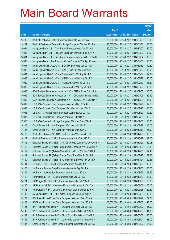|         |                                                                |               |                            |            | <b>Amount</b> |
|---------|----------------------------------------------------------------|---------------|----------------------------|------------|---------------|
|         |                                                                | No. of        |                            |            | raised        |
| Code    | <b>Derivative warrants</b>                                     | issue (units) | <b>Listing date Expiry</b> |            | (HK\$ mil.)   |
| 14100   | Bank of East Asia - HKEx European Warrants Mar 2016 A          | 80,000,000    | 2014/02/27 2016/03/29      |            | 20.00         |
| 14101   | Bank of East Asia – Tencent Holdings European Wts Jan 2015 A   | 40,000,000    | 2014/02/27 2015/01/30      |            | 10.00         |
| 14094   | Macquarie Bank Ltd. - ASM Pacific European Wts Dec 2016 A      | 80,000,000    | 2014/02/27                 | 2016/12/02 | 20.00         |
| 14093   | Macquarie Bank Ltd. - Foxconn European Warrants Sep 2014 A     | 40,000,000    | 2014/02/27 2014/09/02      |            | 10.00         |
| 14091   | Macquarie Bank Ltd. - Sinopharm European Warrants Sep 2014 B   | 70,000,000    | 2014/02/27 2014/09/02      |            | 10.50         |
| 14090   | Macquarie Bank Ltd. - Towngas China European Wts Apr 2016 A    | 40,000,000    | 2014/02/27 2016/04/05      |            | 10.00         |
| 14087   | Merrill Lynch Int'l & Co. C.V. - BOC HK Euro Wts Dec 2014 A    | 70,000,000    | 2014/02/27 2014/12/19      |            | 10.50         |
| 14086   | Merrill Lynch Int'l & Co. C.V. - CK(H) Euro Put Wts Sep 2014 B | 40,000,000    | 2014/02/27 2014/09/29      |            | 10.00         |
| 14084   | Merrill Lynch Int'l & Co. C.V. - Ch Mobile Eur Wt Aug 2014 B   | 60,000,000    | 2014/02/27 2014/08/04      |            | 12.96         |
| 14083   | Merrill Lynch Int'l & Co. C.V. - HSI European Wts Aug 2014 D   | 100,000,000   | 2014/02/27 2014/08/28      |            | 25.00         |
| 14082   | Merrill Lynch Int'l & Co. C.V. - HSI Euro Put Wts Jul 2014 E   | 100,000,000   | 2014/02/27 2014/07/30      |            | 16.80         |
| 14085   | Merrill Lynch Int'l & Co. C.V. - Hutchison Eur Wt Sep 2014 B   | 40,000,000    | 2014/02/27 2014/09/29      |            | 10.00         |
| 14088   | SGA Societe Generale Acceptance N.V. - CITBK Eu Wt Sep 14 A    | 40,000,000    | 2014/02/27 2014/09/03      |            | 10.00         |
| 14095   | SGA Societe Generale Acceptance N.V. - ChiUnicom Eu Wt Jan15A  | 150,000,000   | 2014/02/27 2015/01/05      |            | 22.50         |
| 14092   | SGA Societe Generale Acceptance N.V. - ICBC Eu Wt Dec 2014 A   | 100,000,000   | 2014/02/27 2014/12/03      |            | 15.50         |
| 14099   | UBS AG – Sinopec Corp European Warrants Sep 2014 B             | 50,000,000    | 2014/02/27 2014/09/29      |            | 12.50         |
| 14098   | UBS AG - Sinopec Corp European Put Warrants Jul 2014 C         | 50,000,000    | 2014/02/27 2014/07/28      |            | 15.00         |
| 14096   | UBS AG - Greatwall Motor European Warrants Aug 2014 A          | 30,000,000    | 2014/02/27 2014/08/27      |            | 10.20         |
| 14097   | UBS AG - PetroChina European Warrants Jul 2014 A               | 50,000,000    | 2014/02/27 2014/07/28      |            | 10.50         |
| 12515 # | UBS AG - Tencent Holdings European Warrants Sep 2014 A         | 60,000,000    | 2014/02/27 2014/09/08      |            | 18.30         |
| 14106   | Credit Suisse AG - AIA European Warrants Jul 2014 B            | 100,000,000   | 2014/02/28 2014/07/28      |            | 15.00         |
| 14107   | Credit Suisse AG - AIA European Warrants Dec 2014 C            | 100,000,000   | 2014/02/28 2014/12/19      |            | 15.00         |
| 14116   | Bank of East Asia - CITIC Pacific European Wts Dec 2015 A      | 80,000,000    | 2014/02/28 2015/12/28      |            | 13.20         |
| 14117   | Bank of East Asia – CNBM European Warrants Oct 2015 B          | 80,000,000    | 2014/02/28 2015/10/27      |            | 12.00         |
| 14115   | Goldman Sachs SP (Asia) – CAM CSI300 European Wts Dec 2014 A   | 80,000,000    | 2014/02/28 2014/12/29      |            | 20.08         |
| 14110   | Goldman Sachs SP (Asia) - China Coal European Wts Sep 2014 A   | 80.000.000    | 2014/02/28 2014/09/30      |            | 20.88         |
| 14112   | Goldman Sachs SP (Asia) - China Unicom Euro Wts Dec 2014 A     | 80,000,000    | 2014/02/28 2014/12/31      |            | 12.48         |
| 14111   | Goldman Sachs SP (Asia) - Sands China Euro Wts Jul 2014 B      | 80,000,000    | 2014/02/28 2014/07/28      |            | 32.96         |
| 14109   | Goldman Sachs SP (Asia) - SJM Holdings Euro Wts Nov 2014 A     | 80,000,000    | 2014/02/28 2014/11/24      |            | 22.48         |
| 14104   | HK Bank - CITIC Bank European Warrants Aug 2014 A              | 60,000,000    | 2014/02/28 2014/08/29      |            | 15.00         |
| 14103   | HK Bank - Sinopec Corp European Warrants Sep 2014 A            | 80,000,000    | 2014/02/28 2014/09/30      |            | 20.00         |
| 14105   | HK Bank - Haitong Sec European Warrants Aug 2014 A             | 80,000,000    | 2014/02/28 2014/08/25      |            | 13.60         |
| 14119   | J P Morgan SP BV - Esprit European Wts Dec 2014 A              | 80,000,000    | 2014/02/28 2014/12/30      |            | 13.60         |
| 14121   | J P Morgan SP BV - HKEx European Warrants Oct 2014 A           | 80,000,000    | 2014/02/28 2014/10/03      |            | 20.00         |
| 14120   | J P Morgan SP BV - Hutchison European Warrants Jul 2017 A      | 200,000,000   | 2014/02/28 2017/07/03      |            | 50.00         |
| 14118   | J P Morgan SP BV - Li & Fung European Warrants Mar 2015 A      | 150,000,000   | 2014/02/28 2015/03/26      |            | 22.50         |
| 14108   | Macquarie Bank Ltd. - Sh Electric European Wts Feb 2015 A      | 40,000,000    | 2014/02/28 2015/02/03      |            | 10.00         |
| 14127   | BOCI Asia Ltd. - China Cinda European Warrants Sep 2014 A      | 100,000,000   | 2014/03/03 2014/09/22      |            | 32.00         |
| 14128   | BOCI Asia Ltd. - China Cinda European Warrants Sep 2014 B      | 100,000,000   | 2014/03/03 2014/09/03      |            | 43.00         |
| 14145   | BNP Paribas Arbit Issu B.V. - CC Bank Euro Wts Sep 2014 A      | 100,000,000   | 2014/03/03 2014/09/02      |            | 15.00         |
| 14148   | BNP Paribas Arbit Issu B.V. - China Cinda Eur Wts Oct 2014 A   | 100,000,000   | 2014/03/03 2014/10/06      |            | 41.00         |
| 14147   | BNP Paribas Arbit Issu B.V. - China Cinda Eur Wts May 2017 A   | 100,000,000   | 2014/03/03 2017/05/02      |            | 25.00         |
| 14146   | BNP Paribas Arbit Issu B.V. - Lenovo European Wts Aug 2014 A   | 92,000,000    | 2014/03/03 2014/08/04      |            | 23.00         |
| 14137   | Credit Suisse AG - China Cinda European Warrants Sep 2014 A    | 100,000,000   | 2014/03/03 2014/09/02      |            | 25.00         |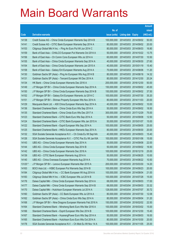|         |                                                               |               |                            |            | <b>Amount</b> |
|---------|---------------------------------------------------------------|---------------|----------------------------|------------|---------------|
|         |                                                               | No. of        |                            |            | raised        |
| Code    | <b>Derivative warrants</b>                                    | issue (units) | <b>Listing date Expiry</b> |            | $(HK$$ mil.)  |
| 14138   | Credit Suisse AG - China Cinda European Warrants Sep 2014 B   | 100,000,000   | 2014/03/03 2014/09/02      |            | 50.00         |
| 14141   | Credit Suisse AG – CITIC Bank European Warrants Sep 2014 A    | 80,000,000    | 2014/03/03 2014/09/02      |            | 20.00         |
| 14153   | Citigroup Global Mkt H Inc. - Ping An Euro Put Wt Jun 2014 C  | 80,000,000    | 2014/03/03 2014/06/03      |            | 16.80         |
| 14159   | Bank of East Asia – CHALCO European Put Warrants Oct 2014 A   | 50,000,000    | 2014/03/03 2014/10/22      |            | 13.75         |
| 14156   | Bank of East Asia – Ch Comm Cons European Wts Jul 2014 A      | 60,000,000    | 2014/03/03 2014/07/30      |            | 10.50         |
| 14155   | Bank of East Asia - China Cinda European Warrants Sep 2014 A  | 40,000,000    | 2014/03/03 2014/09/30      |            | 27.60         |
| 14154   | Bank of East Asia - China Cinda European Warrants Jan 2015 A  | 40,000,000    | 2014/03/03 2015/01/19      |            | 15.40         |
| 14158   | Bank of East Asia - Galaxy Ent European Warrants Aug 2014 A   | 70,000,000    | 2014/03/03 2014/08/06      |            | 11.20         |
| 14130   | Goldman Sachs SP (Asia) - Ping An European Wts Aug 2014 B     | 80,000,000    | 2014/03/03 2014/08/18      |            | 14.32         |
| 14131   | Goldman Sachs SP (Asia) – Tencent European Wt Dec 2014 A      | 80,000,000    | 2014/03/03 2014/12/30      |            | 20.24         |
| 14134   | HK Bank - China Cinda European Warrants Dec 2016 A            | 200,000,000   | 2014/03/03 2016/12/30      |            | 50.00         |
| 14149   | J P Morgan SP BV - China Cinda European Warrants Sep 2014 A   | 150,000,000   | 2014/03/03 2014/09/02      |            | 45.00         |
| 14150   | J P Morgan SP BV - China Cinda European Warrants Sep 2014 B   | 150,000,000   | 2014/03/03 2014/09/02      |            | 37.50         |
| 14152   | J P Morgan SP BV - Galaxy Ent European Warrants Jul 2014 C    | 100,000,000   | 2014/03/03 2014/07/30      |            | 35.20         |
| 14151   | J P Morgan SP BV - Shimao Property European Wts Nov 2014 A    | 80,000,000    | 2014/03/03 2014/11/03      |            | 20.00         |
| 14129   | Macquarie Bank Ltd. - A50 China European Warrants Sep 2014 A  | 40,000,000    | 2014/03/03 2014/09/02      |            | 10.00         |
| 14136   | Standard Chartered Bank – China Cinda Euro Wts Sep 2014 A     | 50,000,000    | 2014/03/03 2014/09/02      |            | 18.50         |
| 14135   | Standard Chartered Bank – China Cinda Euro Wts Dec 2017 A     | 300,000,000   | 2014/03/03 2017/12/29      |            | 75.00         |
| 14123   | Standard Chartered Bank - CITIC Bank Euro Wts Sep 2014 A      | 50,000,000    | 2014/03/03 2014/09/08      |            | 12.50         |
| 14124   | Standard Chartered Bank – CITIC Bank European Wts Jan 2015 A  | 50,000,000    | 2014/03/03 2015/01/07      |            | 15.00         |
| 14122   | Standard Chartered Bank - Esprit European Wts Sep 2014 A      | 100,000,000   | 2014/03/03 2014/09/05      |            | 25.00         |
| 14125   | Standard Chartered Bank - HKEx European Warrants Sep 2014 A   | 80,000,000    | 2014/03/03 2014/09/30      |            | 20.00         |
| 14132   | SGA Societe Generale Acceptance N.V. - Ch Cinda Eu Wt Sep14A  | 40,000,000    | 2014/03/03 2014/09/03      |            | 15.40         |
| 14126   | SGA Societe Generale Acceptance N.V. - CITIC Pac Eu Wt Jan16A | 100,000,000   | 2014/03/03 2016/01/06      |            | 15.00         |
| 14143   | UBS AG - China Cinda European Warrants Sep 2014 A             | 50,000,000    | 2014/03/03 2014/09/08      |            | 22.00         |
| 14144   | UBS AG - China Cinda European Warrants Sep 2014 B             | 50,000,000    | 2014/03/03 2014/09/02      |            | 16.50         |
| 14142   | UBS AG – China Cinda European Warrants Dec 2016 A             | 100,000,000   | 2014/03/03 2016/12/19      |            | 25.00         |
| 14139   | UBS AG - CITIC Bank European Warrants Aug 2014 A              | 50,000,000    | 2014/03/03 2014/08/25      |            | 10.00         |
| 14140   | UBS AG - China Overseas European Warrants Aug 2014 A          | 70,000,000    | 2014/03/03 2014/08/22      |            | 10.50         |
| 13125 # | J P Morgan SP BV - Lenovo European Warrants Mar 2015 A        | 200,000,000   | 2014/03/03 2015/03/30      |            | 14.20         |
| 14163   | BOCI Asia Ltd. - HSBC European Put Warrants Sep 2014 B        | 100,000,000   | 2014/03/04 2014/09/23      |            | 20.00         |
| 14184   | Citigroup Global Mkt H Inc. - CC Bank European Wt Aug 2014 A  | 100,000,000   | 2014/03/04 2014/08/04      |            | 21.00         |
| 14183   | Citigroup Global Mkt H Inc. - ICBC European Wts Jul 2014 B    | 100,000,000   | 2014/03/04                 | 2014/07/28 | 15.00         |
| 14176   | Daiwa Capital Mkt - China Cinda European Warrants Sep 2014 A  | 68,000,000    | 2014/03/04 2014/09/03      |            | 17.00         |
| 14177   | Daiwa Capital Mkt - China Cinda European Warrants Sep 2014 B  | 68,000,000    | 2014/03/04                 | 2014/09/03 | 33.32         |
| 14170   | Daiwa Capital Mkt - Hutchison European Warrants Jul 2014 A    | 128,000,000   | 2014/03/04 2014/07/07      |            | 30.72         |
| 14160   | Goldman Sachs SP (Asia) - CC Bank European Wts Jul 2014 A     | 80,000,000    | 2014/03/04                 | 2014/07/30 | 12.08         |
| 14162   | Goldman Sachs SP (Asia) - China Cinda Euro Wts Sep 2014 A     | 80,000,000    | 2014/03/04 2014/09/04      |            | 31.20         |
| 14168   | J P Morgan SP BV - Nine Dragons European Warrants Feb 2016 A  | 150,000,000   | 2014/03/04                 | 2016/02/02 | 22.50         |
| 14164   | Standard Chartered Bank - Minsheng Bank Euro Wts Mar 2016 A   | 100,000,000   | 2014/03/04 2016/03/02      |            | 15.00         |
| 14166   | Standard Chartered Bank - Esprit European Wts Dec 2014 B      | 100,000,000   | 2014/03/04                 | 2014/12/30 | 15.40         |
| 14167   | Standard Chartered Bank - HuanengPower Euro Wts Sep 2014 A    | 50,000,000    | 2014/03/04 2014/09/03      |            | 16.00         |
| 14165   | Standard Chartered Bank - Hutchison Euro Euro Wts Oct 2014 A  | 80,000,000    | 2014/03/04 2014/10/30      |            | 20.00         |
| 14178   | SGA Societe Generale Acceptance N.V. - Ch Mob Eu Wt Nov 14 A  | 100,000,000   | 2014/03/04 2014/11/05      |            | 25.00         |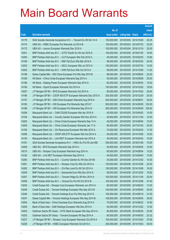|       |                                                               |               |                            |                       | <b>Amount</b> |
|-------|---------------------------------------------------------------|---------------|----------------------------|-----------------------|---------------|
|       |                                                               | No. of        |                            |                       | raised        |
| Code  | <b>Derivative warrants</b>                                    | issue (units) | <b>Listing date Expiry</b> |                       | (HK\$ mil.)   |
| 14179 | SGA Societe Generale Acceptance N.V. - Tencent Eu Wt Oct 14 A | 150,000,000   |                            | 2014/03/04 2014/10/06 | 29.25         |
| 14174 | UBS AG - HSBC European Put Warrants Jul 2014 B                | 100,000,000   |                            | 2014/03/04 2014/07/03 | 32.00         |
| 14172 | UBS AG - Lenovo European Warrants Dec 2016 A                  | 100,000,000   | 2014/03/04                 | 2016/12/19            | 25.00         |
| 14201 | BNP Paribas Arbit Issu B.V. - CITIC Pacific Eu Wt Jan 2016 A  | 100,000,000   |                            | 2014/03/05 2016/01/05 | 18.00         |
| 14200 | BNP Paribas Arbit Issu B.V. - CLP European Wts Feb 2015 A     | 40,000,000    |                            | 2014/03/05 2015/02/03 | 10.80         |
| 14199 | BNP Paribas Arbit Issu B.V. - R&F Ppt Euro Wts Mar 2016 A     | 96,000,000    |                            | 2014/03/05 2016/03/02 | 24.00         |
| 14203 | BNP Paribas Arbit Issu B.V. - KECL European Wts Jul 2015 A    | 100,000,000   |                            | 2014/03/05 2015/07/03 | 15.00         |
| 14202 | BNP Paribas Arbit Issu B.V. - SHK Ppt Euro Wts Oct 2014 A     | 58,000,000    |                            | 2014/03/05 2014/10/06 | 11.02         |
| 14198 | Daiwa Capital Mkt - A50 China European Put Wts Sep 2014 B     | 88,000,000    |                            | 2014/03/05 2014/09/04 | 22.00         |
| 14189 | HK Bank – China Cinda European Warrants Sep 2014 A            | 50,000,000    | 2014/03/05 2014/09/08      |                       | 25.00         |
| 14188 | HK Bank – Datang Power European Warrants Sep 2014 A           | 60,000,000    |                            | 2014/03/05 2014/09/30 | 15.00         |
| 14190 | HK Bank - Esprit European Warrants Oct 2014 A                 | 100,000,000   |                            | 2014/03/05 2014/10/20 | 18.00         |
| 14207 | J P Morgan SP BV - BYD European Warrants Oct 2014 A           | 80,000,000    |                            | 2014/03/05 2014/10/03 | 26.00         |
| 14196 | J P Morgan SP BV - CSOP A50 ETF European Warrants Dec 2015 A  | 200,000,000   | 2014/03/05 2015/12/29      |                       | 30.00         |
| 14197 | J P Morgan SP BV - A50 China European Warrants Aug 2016 A     | 200,000,000   | 2014/03/05 2016/08/01      |                       | 30.00         |
| 14185 | J P Morgan SP BV - HSI European Put Warrants Sep 2014 F       | 500.000.000   |                            | 2014/03/05 2014/09/29 | 125.00        |
| 14186 | J P Morgan SP BV - HSI European Put Warrants Sep 2014 G       | 500,000,000   |                            | 2014/03/05 2014/09/29 | 128.50        |
| 14208 | Macquarie Bank Ltd. - CAM CSI300 European Wts Apr 2015 A      | 40,000,000    |                            | 2014/03/05 2015/04/02 | 10.00         |
| 14194 | Macquarie Bank Ltd. - Country Garden European Wts Nov 2014 A  | 40,000,000    |                            | 2014/03/05 2014/11/04 | 10.00         |
| 14204 | Macquarie Bank Ltd. - China Cinda European Warrants Sep 14 A  | 40,000,000    |                            | 2014/03/05 2014/09/04 | 10.00         |
| 14205 | Macquarie Bank Ltd. - China Cinda European Warrants Jan 17 A  | 80,000,000    |                            | 2014/03/05 2017/01/04 | 20.00         |
| 14195 | Macquarie Bank Ltd. - Chi Resources European Wts Mar 2015 A   | 70,000,000    | 2014/03/05 2015/03/03      |                       | 17.50         |
| 14206 | Macquarie Bank Ltd. - CSOP A50 ETF European Wts Oct 2014 A    | 40,000,000    |                            | 2014/03/05 2014/10/06 | 10.00         |
| 14193 | Macquarie Bank Ltd. - Link REIT European Warrants Apr 2015 A  | 40,000,000    |                            | 2014/03/05 2015/04/02 | 10.00         |
| 14191 | SGA Societe Generale Acceptance N.V. - HKEx Eu Put Wt Jan16B  | 300,000,000   |                            | 2014/03/05 2016/01/06 | 75.00         |
| 14209 | UBS AG - BYD European Warrants Sep 2014 A                     | 40,000,000    | 2014/03/05 2014/09/04      |                       | 10.00         |
| 14210 | UBS AG - Sinopec Corp European Warrants Aug 2014 A            | 60,000,000    | 2014/03/05 2014/08/04      |                       | 10.20         |
| 14192 | UBS AG - Link REIT European Warrants Sep 2014 A               | 40,000,000    | 2014/03/05 2014/09/04      |                       | 10.00         |
| 14260 | BNP Paribas Arbit Issu B.V. - Country Garden Eu Wt Dec 2014A  | 35,000,000    |                            | 2014/03/06 2014/12/02 | 10.50         |
| 14261 | BNP Paribas Arbit Issu B.V. - Sinopec Corp Eu Wts Oct 2014 A  | 100,000,000   | 2014/03/06 2014/10/06      |                       | 25.00         |
| 14262 | BNP Paribas Arbit Issu B.V. - Chi Res Land Eu Wt Oct 2014 A   | 100,000,000   |                            | 2014/03/06 2014/10/06 | 16.00         |
| 14259 | BNP Paribas Arbit Issu B.V. - Samsonite Euro Wts Dec 2014 A   | 58,000,000    |                            | 2014/03/06 2014/12/02 | 16.82         |
| 14257 | BNP Paribas Arbit Issu B.V. - Tencent HIdgs Eu Wt Nov 2014 A  | 100,000,000   |                            | 2014/03/06 2014/11/04 | 25.00         |
| 14258 | BNP Paribas Arbit Issu B.V. - Tencent Eu Put Wt Oct 2014 B    | 100,000,000   | 2014/03/06 2014/10/06      |                       | 47.00         |
| 14245 | Credit Suisse AG - Sinopec Corp European Warrants Jun 2014 A  | 80,000,000    |                            | 2014/03/06 2014/06/30 | 12.00         |
| 14248 | Credit Suisse AG - Tencent Holdings European Wts Sep 2014 B   | 100,000,000   | 2014/03/06 2014/09/05      |                       | 25.00         |
| 14246 | Credit Suisse AG - Tencent Holdings Euro Put Wts Aug 2014 G   | 100,000,000   | 2014/03/06 2014/08/18      |                       | 31.00         |
| 14247 | Daiwa Capital Mkt - Tencent Holdings European Wts Sep 2014 B  | 158,000,000   | 2014/03/06 2014/09/05      |                       | 39.50         |
| 14254 | Bank of East Asia - China Overseas Euro Warrants Aug 2014 A   | 70,000,000    |                            | 2014/03/06 2014/08/22 | 10.50         |
| 14256 | Bank of East Asia - SJM Holdings European Wts Dec 2014 A      | 50,000,000    |                            | 2014/03/06 2014/12/22 | 12.50         |
| 14252 | Goldman Sachs SP (Asia) - CITIC Bank European Wts Sep 2014 A  | 80,000,000    |                            | 2014/03/06 2014/09/30 | 20.56         |
| 14253 | Goldman Sachs SP (Asia) - Tencent European Wt Sep 2014 A      | 80,000,000    |                            | 2014/03/06 2014/09/30 | 20.32         |
| 14227 | J P Morgan SP BV - Sinopec Corp European Warrants Oct 2014 A  | 150,000,000   |                            | 2014/03/06 2014/10/03 | 37.65         |
| 14226 | J P Morgan SP BV - HSBC European Warrants Oct 2014 A          | 200,000,000   | 2014/03/06 2014/10/03      |                       | 50.00         |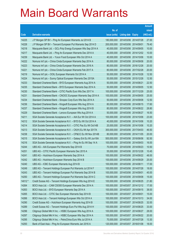|         |                                                                |               |                            | <b>Amount</b> |
|---------|----------------------------------------------------------------|---------------|----------------------------|---------------|
|         |                                                                | No. of        |                            | raised        |
| Code    | <b>Derivative warrants</b>                                     | issue (units) | <b>Listing date Expiry</b> | (HK\$ mil.)   |
| 14225   | J P Morgan SP BV - Ping An European Warrants Jul 2014 B        | 180,000,000   | 2014/03/06 2014/07/28      | 27.00         |
| 14228   | J P Morgan SP BV – Tencent European Put Warrants Sep 2014 D    | 200,000,000   | 2014/03/06 2014/09/01      | 79.40         |
| 14218   | Macquarie Bank Ltd. - GCL-Poly Energy European Wts Sep 2014 A  | 40,000,000    | 2014/03/06 2014/09/05      | 10.00         |
| 14217   | Macquarie Bank Ltd. - Ping An European Warrants Dec 2014 A     | 40,000,000    | 2014/03/06 2014/12/02      | 10.00         |
| 14239   | Macquarie Bank Ltd. - Yurun Food European Wts Oct 2014 A       | 40,000,000    | 2014/03/06 2014/10/06      | 10.00         |
| 14222   | Nomura Int'l plc - China Cinda European Warrants Sep 2014 A    | 80,000,000    | 2014/03/06 2014/09/08      | 20.00         |
| 14223   | Nomura Int'l plc - China Cinda European Warrants Dec 2016 A    | 80,000,000    | 2014/03/06 2016/12/28      | 20.00         |
| 14221   | Nomura Int'l plc – China Cinda European Warrants Feb 2017 A    | 80,000,000    | 2014/03/06 2017/02/28      | 20.00         |
| 14219   | Nomura Int'l plc - OOIL European Warrants Oct 2014 A           | 50,000,000    | 2014/03/06 2014/10/28      | 12.50         |
| 14224   | Nomura Int'l plc - Sunny Optical European Warrants Dec 2015A   | 50,000,000    | 2014/03/06 2015/12/28      | 12.50         |
| 14233   | Standard Chartered Bank - BYD European Warrants Aug 2014 A     | 50,000,000    | 2014/03/06 2014/08/21      | 22.50         |
| 14235   | Standard Chartered Bank – BYD European Warrants Sep 2014 A     | 50.000.000    | 2014/03/06 2014/09/05      | 12.50         |
| 14230   | Standard Chartered Bank - CITIC Pacific Euro Wts Dec 2017 A    | 100,000,000   | 2014/03/06 2017/12/29      | 25.00         |
| 14231   | Standard Chartered Bank - CNOOC European Warrants Sep 2014 A   | 100,000,000   | 2014/03/06 2014/09/05      | 25.00         |
| 14234   | Standard Chartered Bank – Sinopec Corp Euro Wts Sep 2014 A     | 50,000,000    | 2014/03/06 2014/09/08      | 12.50         |
| 14236   | Standard Chartered Bank - Kingsoft European Wts Aug 2014 A     | 80,000,000    | 2014/03/06 2014/08/15      | 17.60         |
| 14237   | Standard Chartered Bank – Kingsoft European Wts Aug 2014 B     | 80,000,000    | 2014/03/06 2014/08/22      | 28.80         |
| 14229   | Standard Chartered Bank – Lenovo European Wts Aug 2014 A       | 50,000,000    | 2014/03/06 2014/08/27      | 16.50         |
| 14211   | SGA Societe Generale Acceptance N.V. - AIA Eur Wt Oct 2014 A   | 100,000,000   | 2014/03/06 2014/10/06      | 23.00         |
| 14212   | SGA Societe Generale Acceptance N.V. - BYD Eu Wt Oct 2014 A    | 40,000,000    | 2014/03/06 2014/10/06      | 10.20         |
| 14214   | SGA Societe Generale Acceptance N.V. - CITIC Pac Eu Wt Oct14B  | 20,000,000    | 2014/03/06 2014/10/06      | 10.20         |
| 14213   | SGA Societe Generale Acceptance N.V. - CK(H) Eu Wt Apr 2017A   | 300,000,000   | 2014/03/06 2017/04/03      | 46.50         |
| 14238   | SGA Societe Generale Acceptance N.V. - CP&CC Eu Wt Nov 2014B   | 80,000,000    | 2014/03/06 2014/11/05      | 20.00         |
| 14215   | SGA Societe Generale Acceptance N.V. - Galaxy Ent Eu Wt Jun16A | 500,000,000   | 2014/03/06 2016/06/06      | 92.50         |
| 14216   | SGA Societe Generale Acceptance N.V. - Ping An Eu Wt Sep 14 A  | 100,000,000   | 2014/03/06 2014/09/03      | 16.00         |
| 14244   | UBS AG - AIA European Put Warrants Sep 2014 B                  | 70,000,000    | 2014/03/06 2014/09/23      | 10.50         |
| 14251   | UBS AG - CITIC Pacific European Warrants Dec 2015 A            | 55,000,000    | 2014/03/06 2015/12/28      | 10.45         |
| 14241   | UBS AG - Hutchison European Warrants Sep 2014 A                | 100,000,000   | 2014/03/06 2014/09/22      | 48.00         |
| 14242   | UBS AG - Hutchison European Warrants Sep 2014 B                | 100,000,000   | 2014/03/06 2014/09/29      | 25.00         |
| 14240   | UBS AG - ICBC European Warrants Aug 2014 B                     | 100,000,000   | 2014/03/06 2014/08/11      | 17.00         |
| 14249   | UBS AG - Tencent Holdings European Put Warrants Jul 2014 F     | 100,000,000   | 2014/03/06 2014/07/28      | 18.00         |
| 14243   | UBS AG - Tencent Holdings European Put Warrants Sep 2014 B     | 100,000,000   | 2014/03/06 2014/09/01      | 45.00         |
| 14250   | UBS AG - Tencent Holdings European Put Warrants Sep 2014 C     | 100,000,000   | 2014/03/06 2014/09/08      | 15.00         |
| 14012 # | Credit Suisse AG - Tencent Holdings European Wts Aug 2014 E    | 100,000,000   | 2014/03/06 2014/08/25      | 21.80         |
| 14264   | BOCI Asia Ltd. - CAM CSI300 European Warrants Dec 2014 A       | 100,000,000   | 2014/03/07 2014/12/12      | 17.00         |
| 14263   | BOCI Asia Ltd. - BYD European Warrants Sep 2014 A              | 100,000,000   | 2014/03/07 2014/09/15      | 38.00         |
| 14265   | BOCI Asia Ltd. - CITIC Sec European Warrants Sep 2014 B        | 100,000,000   | 2014/03/07 2014/09/01      | 15.00         |
| 14266   | BOCI Asia Ltd. - Tencent Holdings European Wts Oct 2014 A      | 100,000,000   | 2014/03/07 2014/10/13      | 34.00         |
| 14290   | Credit Suisse AG - Hutchison European Warrants Aug 2014 B      | 100,000,000   | 2014/03/07 2014/08/25      | 32.00         |
| 14289   | Credit Suisse AG - Tencent Holdings Euro Put Wts Aug 2014 H    | 100,000,000   | 2014/03/07 2014/08/25      | 33.00         |
| 14296   | Citigroup Global Mkt H Inc. - HSBC European Wts Aug 2014 A     | 100,000,000   | 2014/03/07 2014/08/27      | 28.00         |
| 14297   | Citigroup Global Mkt H Inc. - HSBC European Wts Sep 2014 A     | 100,000,000   | 2014/03/07 2014/09/22      | 20.00         |
| 14295   | Citigroup Global Mkt H Inc. - PetroChina Euro Wts Jul 2014 A   | 70,000,000    | 2014/03/07 2014/07/28      | 13.30         |
| 14293   | Bank of East Asia - Ping An European Warrants Jan 2016 A       | 120,000,000   | 2014/03/07 2016/01/08      | 18.00         |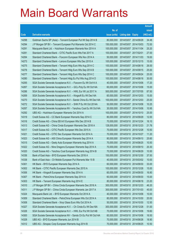|       |                                                                |               |                            |            | <b>Amount</b> |
|-------|----------------------------------------------------------------|---------------|----------------------------|------------|---------------|
|       |                                                                | No. of        |                            |            | raised        |
| Code  | <b>Derivative warrants</b>                                     | issue (units) | <b>Listing date Expiry</b> |            | (HK\$ mil.)   |
| 14298 | Goldman Sachs SP (Asia) – Tencent European Put Wt Sep 2014 B   | 80,000,000    | 2014/03/07                 | 2014/09/29 | 34.48         |
| 14294 | J P Morgan SP BV - Tencent European Put Warrants Oct 2014 C    | 150,000,000   | 2014/03/07 2014/10/03      |            | 72.00         |
| 14291 | Macquarie Bank Ltd. - Hutchison European Warrants Nov 2014 A   | 100,000,000   | 2014/03/07                 | 2014/11/04 | 25.20         |
| 14281 | Standard Chartered Bank - CITIC Pacific Euro Wts Feb 2017 A    | 100,000,000   | 2014/03/07 2017/02/01      |            | 27.00         |
| 14284 | Standard Chartered Bank - Foxconn European Wts Nov 2014 A      | 50,000,000    | 2014/03/07 2014/11/03      |            | 19.00         |
| 14273 | Standard Chartered Bank - Lenovo European Wts Dec 2015 A       | 100,000,000   | 2014/03/07 2015/12/15      |            | 15.00         |
| 14275 | Standard Chartered Bank - Tencent Hidg Euro Wts Aug 2014 C     | 100,000,000   | 2014/03/07                 | 2014/08/18 | 26.00         |
| 14276 | Standard Chartered Bank - Tencent Hidg Euro Wts Sep 2014 B     | 100,000,000   | 2014/03/07 2014/09/15      |            | 25.00         |
| 14277 | Standard Chartered Bank - Tencent Hidg Euro Wts Sep 2014 C     | 100,000,000   | 2014/03/07 2014/09/24      |            | 25.00         |
| 14280 | Standard Chartered Bank - Tencent Hidg Eu Put Wts Aug 2014 D   | 100,000,000   | 2014/03/07 2014/08/18      |            | 30.00         |
| 14285 | SGA Societe Generale Acceptance N.V. - Foxconn Eu Wt Oct14 A   | 40,000,000    | 2014/03/07                 | 2014/10/06 | 17.20         |
| 14267 | SGA Societe Generale Acceptance N.V. - GCL-Poly Eu Wt Oct14A   | 60,000,000    | 2014/03/07 2014/10/06      |            | 15.00         |
| 14286 | SGA Societe Generale Acceptance N.V. - HWL Eur Wt Jul 2017 A   | 500,000,000   | 2014/03/07                 | 2017/07/05 | 87.50         |
| 14269 | SGA Societe Generale Acceptance N.V. - Kingsoft Eu Wt Dec14A   | 60,000,000    | 2014/03/07 2014/12/03      |            | 15.00         |
| 14270 | SGA Societe Generale Acceptance N.V - Sands China Eu Wt Dec14A | 100,000,000   | 2014/03/07                 | 2014/12/03 | 25.00         |
| 14272 | SGA Societe Generale Acceptance N.V. - SHK P Eu Wt Oct 2014A   | 50,000,000    | 2014/03/07 2014/10/06      |            | 10.25         |
| 14287 | SGA Societe Generale Acceptance NV - Yanzhou Coal Eu Wt Oct14A | 30,000,000    | 2014/03/07 2014/10/06      |            | 10.95         |
| 14292 | UBS AG - Hutchison European Warrants Oct 2014 A                | 100,000,000   | 2014/03/07 2014/10/10      |            | 25.00         |
| 14319 | Credit Suisse AG - CC Bank European Warrants Sep 2014 C        | 80,000,000    | 2014/03/10 2014/09/29      |            | 12.00         |
| 14316 | Credit Suisse AG - China EB Int'l European Wts Dec 2014 B      | 70,000,000    | 2014/03/10 2014/12/24      |            | 16.10         |
| 14313 | Credit Suisse AG - China Cinda European Warrants Dec 2016 A    | 128,000,000   | 2014/03/10 2016/12/23      |            | 21.76         |
| 14317 | Credit Suisse AG - CITIC Pacific European Wts Dec 2015 A       | 70,000,000    | 2014/03/10 2015/12/28      |            | 10.50         |
| 14321 | Credit Suisse AG - CITIC Sec European Warrants Oct 2014 A      | 70,000,000    | 2014/03/10 2014/10/27      |            | 11.20         |
| 14323 | Credit Suisse AG - A50 China European Warrants Sep 2014 A      | 80,000,000    | 2014/03/10 2014/09/10      |            | 25.60         |
| 14315 | Credit Suisse AG - Geely Auto European Warrants Aug 2014 A     | 70,000,000    | 2014/03/10 2014/08/25      |            | 10.50         |
| 14322 | Credit Suisse AG - Nine Dragons European Warrants Sep 2014 A   | 70,000,000    | 2014/03/10 2014/09/10      |            | 20.30         |
| 14320 | Credit Suisse AG - Yanzhou Coal European Warrants Aug 2014 B   | 70,000,000    | 2014/03/10 2014/08/29      |            | 10.50         |
| 14336 | Bank of East Asia - BYD European Warrants Dec 2016 A           | 150,000,000   | 2014/03/10 2016/12/30      |            | 37.50         |
| 14338 | Bank of East Asia - Ch Mobile European Put Warrants Mar 15 B   | 40,000,000    | 2014/03/10 2015/03/02      |            | 10.00         |
| 14301 | HK Bank - BYD European Warrants Sep 2014 A                     | 60,000,000    | 2014/03/10 2014/09/30      |            | 33.00         |
| 14302 | HK Bank - CITIC Pacific European Warrants Dec 2015 A           | 100,000,000   | 2014/03/10 2015/12/28      |            | 15.00         |
| 14306 | HK Bank - Kingsoft European Warrants Sep 2014 A                | 60,000,000    | 2014/03/10 2014/09/30      |            | 16.80         |
| 14307 | HK Bank - PetroChina European Warrants Sep 2014 A              | 60,000,000    | 2014/03/10 2014/09/30      |            | 15.00         |
| 14303 | HK Bank - Tencent European Warrants Aug 2014 E                 | 80,000,000    | 2014/03/10 2014/08/18      |            | 23.20         |
| 14310 | J P Morgan SP BV - China Cinda European Warrants Dec 2016 A    | 300,000,000   | 2014/03/10 2016/12/23      |            | 46.20         |
| 14311 | J P Morgan SP BV - China Cinda European Warrants Jan 2017 A    | 300,000,000   | 2014/03/10 2017/01/03      |            | 45.00         |
| 14324 | Macquarie Bank Ltd. - BYD European Warrants Oct 2014 A         | 40,000,000    | 2014/03/10 2014/10/06      |            | 10.00         |
| 14309 | Standard Chartered Bank - PetroChina European Wts Oct 2014 A   | 80,000,000    | 2014/03/10 2014/10/30      |            | 20.00         |
| 14308 | Standard Chartered Bank - Xinyi Glass Euro Wts Oct 2014 A      | 50,000,000    | 2014/03/10 2014/10/30      |            | 12.50         |
| 14327 | SGA Societe Generale Acceptance N.V. - Ch Cinda Eu Wt Dec16A   | 300,000,000   | 2014/03/10 2016/12/28      |            | 51.00         |
| 14326 | SGA Societe Generale Acceptance N.V. - HWL Eur Put Wt Oct14B   | 70,000,000    | 2014/03/10 2014/10/06      |            | 19.60         |
| 14300 | SGA Societe Generale Acceptance NV - Sands Ch Eu Put Wt Oct14A | 60,000,000    | 2014/03/10 2014/10/06      |            | 16.50         |
| 14328 | UBS AG - BYD European Warrants Jun 2014 B                      | 70,000,000    | 2014/03/10 2014/06/26      |            | 18.90         |
| 14312 | UBS AG - Sinopec Corp European Warrants Aug 2014 B             | 70,000,000    | 2014/03/10 2014/08/25      |            | 10.50         |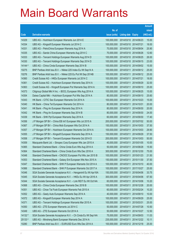|         |                                                                |               |                            |            | <b>Amount</b> |
|---------|----------------------------------------------------------------|---------------|----------------------------|------------|---------------|
|         |                                                                | No. of        |                            |            | raised        |
| Code    | <b>Derivative warrants</b>                                     | issue (units) | <b>Listing date Expiry</b> |            | (HK\$ mil.)   |
| 14329   | UBS AG - Hutchison European Warrants Jun 2014 E                | 100,000,000   | 2014/03/10 2014/06/23      |            | 15.00         |
| 14334   | UBS AG - Kingsoft European Warrants Jul 2014 C                 | 100,000,000   | 2014/03/10 2014/07/21      |            | 18.00         |
| 14331   | UBS AG - PetroChina European Warrants Aug 2014 A               | 70,000,000    | 2014/03/10 2014/08/04      |            | 25.90         |
| 14335   | UBS AG - Sands China European Warrants Aug 2014 C              | 70,000,000    | 2014/03/10 2014/08/26      |            | 12.60         |
| 14333   | UBS AG - Tencent Holdings European Warrants Aug 2014 D         | 100,000,000   | 2014/03/10 2014/08/25      |            | 26.00         |
| 14330   | UBS AG - Tencent Holdings European Warrants Sep 2014 D         | 100,000,000   | 2014/03/10 2014/09/15      |            | 23.00         |
| 14144 # | UBS AG - China Cinda European Warrants Sep 2014 B              | 100,000,000   | 2014/03/10 2014/09/02      |            | 15.00         |
| 10275   | BNP Paribas Arbit Issu B.V. - Nikkei 225 Index Eu Wt Sep14 A   | 100,000,000   | 2014/03/11                 | 2014/09/12 | 25.00         |
| 10276   | BNP Paribas Arbit Issu B.V. - Nikkei 225 Eu Put Wt Sep 2014B   | 100,000,000   | 2014/03/11                 | 2014/09/12 | 25.00         |
| 14360   | Credit Suisse AG - HKEx European Warrants Jul 2014 C           | 100,000,000   | 2014/03/11                 | 2014/07/21 | 18.00         |
| 14361   | Credit Suisse AG - Hutchison European Warrants Sep 2014 A      | 100,000,000   | 2014/03/11                 | 2014/09/29 | 32.00         |
| 14363   | Credit Suisse AG - Kingsoft European Put Warrants Sep 2014 A   | 100,000,000   | 2014/03/11                 | 2014/09/10 | 25.00         |
| 14373   | Citigroup Global Mkt H Inc. - BOCL European Wts Aug 2014 A     | 100,000,000   | 2014/03/11                 | 2014/08/25 | 15.00         |
| 14354   | Daiwa Capital Mkt - Hutchison European Put Wts Sep 2014 A      | 80,000,000    | 2014/03/11                 | 2014/09/10 | 25.60         |
| 14343   | HK Bank - CITIC Sec European Warrants Oct 2014 A               | 100,000,000   | 2014/03/11                 | 2014/10/23 | 15.00         |
| 14340   | HK Bank - China Tel European Warrants Oct 2014 A               | 80,000,000    | 2014/03/11                 | 2014/10/31 | 20.00         |
| 14341   | HK Bank - Ping An European Warrants Sep 2014 A                 | 80,000,000    | 2014/03/11                 | 2014/09/30 | 20.00         |
| 14342   | HK Bank - Ping An European Warrants Sep 2014 B                 | 80,000,000    | 2014/03/11                 | 2014/09/30 | 24.00         |
| 14339   | HK Bank - SHK Ppt European Warrants Sep 2014 A                 | 60,000,000    | 2014/03/11                 | 2014/09/30 | 17.40         |
| 14356   | J P Morgan SP BV - China EB Int'l European Wts Jul 2015 A      | 200,000,000   | 2014/03/11                 | 2015/07/02 | 50.00         |
| 14367   | J P Morgan SP BV - China Mob European Wts Oct 2014 A           | 150,000,000   | 2014/03/11                 | 2014/10/03 | 37.50         |
| 14357   | J P Morgan SP BV - Hutchison European Warrants Oct 2014 A      | 100,000,000   | 2014/03/11                 | 2014/10/03 | 29.90         |
| 14355   | J P Morgan SP BV - Kingsoft European Warrants Sep 2014 A       | 150,000,000   | 2014/03/11                 | 2014/09/29 | 37.50         |
| 14358   | J P Morgan SP BV - Tencent European Warrants Oct 2014 D        | 200,000,000   | 2014/03/11                 | 2014/10/03 | 50.00         |
| 14359   | Macquarie Bank Ltd. - Sinopec Corp European Wts Jan 2015 A     | 40,000,000    | 2014/03/11                 | 2015/01/05 | 10.00         |
| 14365   | Standard Chartered Bank - China Cinda Euro Wts Aug 2014 A      | 50,000,000    | 2014/03/11                 | 2014/08/28 | 15.50         |
| 14364   | Standard Chartered Bank – China Cinda Euro Wts Dec 2016 A      | 300,000,000   | 2014/03/11 2016/12/30      |            | 75.00         |
| 14348   | Standard Chartered Bank - CNOOC European Put Wts Jan 2015 B    | 100,000,000   | 2014/03/11 2015/01/23      |            | 21.50         |
| 14353   | Standard Chartered Bank - Galaxy Ent European Wts Nov 2015 A   | 150,000,000   | 2014/03/11                 | 2015/11/30 | 37.50         |
| 14347   | Standard Chartered Bank - SHK P European Warrants Oct 2014 A   | 100,000,000   | 2014/03/11                 | 2014/10/10 | 40.00         |
| 14366   | Standard Chartered Bank - SHK P European Warrants Oct 2017 A   | 100,000,000   | 2014/03/11                 | 2017/10/27 | 25.00         |
| 14346   | SGA Societe Generale Acceptance N.V. - Henganintl Eu Wt Apr16A | 150,000,000   | 2014/03/11                 | 2016/04/06 | 33.75         |
| 14345   | SGA Societe Generale Acceptance N.V. - HKEx Eu Wt Apr 2016 A   | 300,000,000   | 2014/03/11                 | 2016/04/06 | 67.50         |
| 14344   | SGA Societe Generale Acceptance N.V. - Link REIT Eu Wt Oct14A  | 60,000,000    | 2014/03/11                 | 2014/10/06 | 10.20         |
| 14368   | UBS AG - China Cinda European Warrants Dec 2016 B              | 100,000,000   | 2014/03/11                 | 2016/12/28 | 20.00         |
| 14351   | UBS AG - Chow Tai Fook European Warrants Feb 2015 A            | 60,000,000    | 2014/03/11                 | 2015/02/24 | 10.20         |
| 14352   | UBS AG - Geely Auto European Warrants Sep 2014 A               | 40,000,000    | 2014/03/11                 | 2014/09/10 | 10.00         |
| 14372   | UBS AG - Kingsoft European Warrants Sep 2014 A                 | 100,000,000   | 2014/03/11                 | 2014/09/29 | 25.00         |
| 14371   | UBS AG - Tencent Holdings European Warrants Mar 2015 A         | 100,000,000   | 2014/03/11                 | 2015/03/31 | 25.00         |
| 14350   | UBS AG - ZTE European Warrants Jul 2014 C                      | 50,000,000    | 2014/03/11                 | 2014/07/28 | 10.50         |
| 14349   | UBS AG - ZTE European Warrants Oct 2014 A                      | 50,000,000    | 2014/03/11                 | 2014/10/27 | 12.50         |
| 14132 # | SGA Societe Generale Acceptance N.V. - Ch Cinda Eu Wt Sep14A   | 75,000,000    | 2014/03/11                 | 2014/09/03 | 11.03         |
| 25133#  | UBS AG - Minsheng Bank European Warrants Dec 2014 A            | 235,000,000   | 2014/03/11                 | 2014/12/22 | 10.11         |
| 10280   | BNP Paribas Arbit Issu B.V. - EUR/USD Euro Wts Dec 2014 A      | 100,000,000   | 2014/03/12 2014/12/18      |            | 25.00         |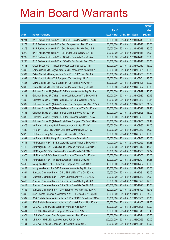|       |                                                                |               |                            | <b>Amount</b> |
|-------|----------------------------------------------------------------|---------------|----------------------------|---------------|
|       |                                                                | No. of        |                            | raised        |
| Code  | <b>Derivative warrants</b>                                     | issue (units) | <b>Listing date Expiry</b> | (HK\$ mil.)   |
| 10281 | BNP Paribas Arbit Issu B.V. - EUR/USD Euro Put Wt Dec 2014 B   | 100,000,000   | 2014/03/12 2014/12/18      | 25.00         |
| 10277 | BNP Paribas Arbit Issu B.V. - Gold European Wts Dec 2014 A     | 100,000,000   | 2014/03/12 2014/12/18      | 25.00         |
| 10278 | BNP Paribas Arbit Issu B.V. - Gold European Put Wts Dec 14 B   | 100,000,000   | 2014/03/12 2014/12/18      | 25.00         |
| 10279 | BNP Paribas Arbit Issu B.V. - Oil Futures Euro Wt Nov 2014 B   | 100,000,000   | 2014/03/12 2014/11/18      | 25.00         |
| 10282 | BNP Paribas Arbit Issu B.V. - USD/YEN Euro Wts Dec 2014 A      | 100,000,000   | 2014/03/12 2014/12/18      | 25.00         |
| 10283 | BNP Paribas Arbit Issu B.V. - USD/YEN Eur Put Wts Dec 2014 B   | 100,000,000   | 2014/03/12 2014/12/18      | 25.00         |
| 14408 | Credit Suisse AG - Kingsoft European Warrants Sep 2014 B       | 60,000,000    | 2014/03/12 2014/09/12      | 15.00         |
| 14396 | Daiwa Capital Mkt - Agricultural Bank European Wts Aug 2014 A  | 108,000,000   | 2014/03/12 2014/08/01      | 16.20         |
| 14397 | Daiwa Capital Mkt - Agricultural Bank Euro Put Wt Nov 2014 A   | 80,000,000    | 2014/03/12 2014/11/03      | 20.00         |
| 14399 | Daiwa Capital Mkt - CCB European Warrants Aug 2014 C           | 108,000,000   | 2014/03/12 2014/08/01      | 23.76         |
| 14395 | Daiwa Capital Mkt - CCB European Put Warrants Nov 2014 A       | 80,000,000    | 2014/03/12 2014/11/28      | 20.00         |
| 14398 | Daiwa Capital Mkt - ICBC European Put Warrants Aug 2014 C      | 80,000,000    | 2014/03/12 2014/08/22      | 16.00         |
| 14387 | Goldman Sachs SP (Asia) - BYD European Warrants Sep 2014 A     | 80,000,000    | 2014/03/12 2014/09/29      | 46.96         |
| 14413 | Goldman Sachs SP (Asia) - China Coal European Wts Sep 2014 B   | 80,000,000    | 2014/03/12 2014/09/30      | 20.16         |
| 14390 | Goldman Sachs SP (Asia) - China EB Int'l Euro Wts Mar 2015 A   | 80,000,000    | 2014/03/12 2015/03/30      | 20.16         |
| 14389 | Goldman Sachs SP (Asia) - Sinopec Corp European Wts Sep 2014 A | 80,000,000    | 2014/03/12 2014/09/30      | 21.52         |
| 14392 | Goldman Sachs SP (Asia) - Geely Auto European Wts Oct 2014 A   | 80,000,000    | 2014/03/12 2014/10/28      | 22.48         |
| 14391 | Goldman Sachs SP (Asia) - Sands China Euro Wts Jun 2014 D      | 80,000,000    | 2014/03/12 2014/06/25      | 18.00         |
| 14388 | Goldman Sachs SP (Asia) - SHK Ppt European Wts Sep 2014 A      | 80,000,000    | 2014/03/12 2014/09/30      | 20.40         |
| 14412 | Goldman Sachs SP (Asia) - Xinyi Glass European Wts Sep 2014A   | 80,000,000    | 2014/03/12 2014/09/30      | 51.44         |
| 14378 | HK Bank - Minsheng Bank European Warrants Sep 2014 C           | 60,000,000    | 2014/03/12 2014/09/30      | 21.00         |
| 14380 | HK Bank - GCL-Poly Energy European Warrants Sep 2014 A         | 60,000,000    | 2014/03/12 2014/09/30      | 15.00         |
| 14379 | HK Bank - Geely Auto European Warrants Sep 2014 A              | 60,000,000    | 2014/03/12 2014/09/30      | 15.00         |
| 14381 | HK Bank - SJM Holdings European Warrants Sep 2014 A            | 100,000,000   | 2014/03/12 2014/09/30      | 25.00         |
| 14411 | J P Morgan SP BV - BJ Ent Water European Warrants Sep 2014 A   | 70,000,000    | 2014/03/12 2014/09/29      | 21.28         |
| 14410 | J P Morgan SP BV - China Cinda European Warrants Sep 2014 C    | 150,000,000   | 2014/03/12 2014/09/12      | 44.55         |
| 14377 | J P Morgan SP BV - Hutchison European Put Wts Oct 2014 B       | 80,000,000    | 2014/03/12 2014/10/03      | 27.92         |
| 14376 | J P Morgan SP BV - PetroChina European Warrants Oct 2014 A     | 100,000,000   | 2014/03/12 2014/10/03      | 25.00         |
| 14375 | J P Morgan SP BV - Tencent European Warrants Dec 2014 A        | 150,000,000   | 2014/03/12 2014/12/01      | 37.65         |
| 14406 | Macquarie Bank Ltd. - China Agri European Wts Dec 2014 A       | 40,000,000    | 2014/03/12 2014/12/02      | 10.00         |
| 14407 | Macquarie Bank Ltd. - CGS European Warrants Sep 2014 A         | 40,000,000    | 2014/03/12 2014/09/12      | 10.00         |
| 14384 | Standard Chartered Bank - China EB Int'l Euro Wts Oct 2014 A   | 100,000,000   | 2014/03/12 2014/10/31      | 25.00         |
| 14383 | Standard Chartered Bank - China EB Int'l Euro Wts Oct 2015 A   | 100,000,000   | 2014/03/12 2015/10/30      | 25.00         |
| 14415 | Standard Chartered Bank - China Cinda Euro Wts Aug 2014 B      | 50,000,000    | 2014/03/12 2014/08/26      | 17.50         |
| 14414 | Standard Chartered Bank - China Cinda Euro Wts Dec 2016 B      | 300,000,000   | 2014/03/12 2016/12/23      | 45.00         |
| 14385 | Standard Chartered Bank - CTel European Warrants Nov 2014 A    | 50,000,000    | 2014/03/12 2014/11/07      | 15.75         |
| 14393 | SGA Societe Generale Acceptance N.V. - Ch Cinda Eu Wt Sep14B   | 100,000,000   | 2014/03/12 2014/09/03      | 24.50         |
| 14382 | SGA Societe Generale Acceptance N.V. - CP&CC Eu Wt Jan 2015A   | 100,000,000   | 2014/03/12 2015/01/05      | 15.00         |
| 14394 | SGA Societe Generale Acceptance N.V. - HWL Eur Wt Nov 2014 A   | 70,000,000    | 2014/03/12 2014/11/05      | 17.50         |
| 14386 | UBS AG - China Cinda European Warrants Aug 2014 A              | 50,000,000    | 2014/03/12 2014/08/26      | 19.00         |
| 14404 | UBS AG - China Cinda European Warrants Sep 2014 C              | 80,000,000    | 2014/03/12 2014/09/15      | 26.40         |
| 14374 | UBS AG - Sinopec Corp European Warrants Dec 2014 A             | 70,000,000    | 2014/03/12 2014/12/24      | 10.50         |
| 14403 | UBS AG - HKEx European Warrants Feb 2016 A                     | 200,000,000   | 2014/03/12 2016/02/29      | 50.00         |
| 14401 | UBS AG - Kingsoft European Put Warrants Sep 2014 B             | 60,000,000    | 2014/03/12 2014/09/11      | 10.02         |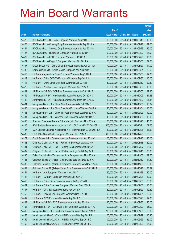|       |                                                                |               |                            |                       | <b>Amount</b> |
|-------|----------------------------------------------------------------|---------------|----------------------------|-----------------------|---------------|
|       |                                                                | No. of        |                            |                       | raised        |
| Code  | <b>Derivative warrants</b>                                     | issue (units) | <b>Listing date Expiry</b> |                       | (HK\$ mil.)   |
| 14423 | BOCI Asia Ltd. - CC Bank European Warrants Aug 2014 B          | 100,000,000   | 2014/03/13 2014/08/18      |                       | 16.00         |
| 14426 | BOCI Asia Ltd. - Cheung Kong European Warrants Sep 2014 A      | 100,000,000   |                            | 2014/03/13 2014/09/22 | 27.00         |
| 14424 | BOCI Asia Ltd. - Sinopec Corp European Warrants Sep 2014 A     | 100,000,000   | 2014/03/13 2014/09/29      |                       | 25.00         |
| 14425 | BOCI Asia Ltd. - Hutchison European Warrants Sep 2014 A        | 100,000,000   |                            | 2014/03/13 2014/09/22 | 27.00         |
| 14422 | BOCI Asia Ltd. - KECL European Warrants Jul 2015 A             | 100,000,000   |                            | 2014/03/13 2015/07/28 | 15.00         |
| 14421 | BOCI Asia Ltd. - Kingsoft European Warrants Oct 2014 A         | 100,000,000   |                            | 2014/03/13 2014/10/06 | 32.00         |
| 14437 | Credit Suisse AG - China Cinda European Warrants Aug 2014 A    | 70,000,000    | 2014/03/13 2014/08/27      |                       | 14.00         |
| 14439 | Daiwa Capital Mkt - China Mobile European Wts Aug 2014 B       | 128,000,000   | 2014/03/13 2014/08/04      |                       | 25.60         |
| 14416 | HK Bank - Agricultural Bank European Warrants Aug 2014 A       | 80,000,000    | 2014/03/13 2014/08/01      |                       | 12.00         |
| 14419 | HK Bank - China COSCO European Warrants Sep 2014 A             | 60,000,000    |                            | 2014/03/13 2014/09/30 | 15.00         |
| 14418 | HK Bank - China Cinda European Warrants Dec 2016 B             | 150,000,000   |                            | 2014/03/13 2016/12/12 | 22.50         |
| 14420 | HK Bank - Yanzhou Coal European Warrants Sep 2014 A            | 60,000,000    | 2014/03/13 2014/09/30      |                       | 18.00         |
| 14441 | J P Morgan SP BV - GCL-Poly European Warrants Oct 2014 A       | 120,000,000   |                            | 2014/03/13 2014/10/03 | 39.36         |
| 14445 | J P Morgan SP BV - Hutchison European Warrants Oct 2014 C      | 80,000,000    |                            | 2014/03/13 2014/10/03 | 21.28         |
| 14443 | J P Morgan SP BV - Hutchison European Warrants Jan 2015 A      | 80,000,000    |                            | 2014/03/13 2015/01/02 | 21.36         |
| 14431 | Macquarie Bank Ltd. - China Coal European Wts Oct 2014 B       | 30,000,000    | 2014/03/13 2014/10/06      |                       | 10.02         |
| 14435 | Macquarie Bank Ltd. - China Shenhua European Wts Nov 2014 A    | 40,000,000    |                            | 2014/03/13 2014/11/04 | 10.00         |
| 14438 | Macquarie Bank Ltd. - Chow Tai Fook European Wts Mar 2015 A    | 40,000,000    |                            | 2014/03/13 2015/03/03 | 10.00         |
| 14434 | Macquarie Bank Ltd. - Yanzhou Coal European Wts Oct 2014 A     | 40,000,000    |                            | 2014/03/13 2014/10/06 | 10.00         |
| 14446 | Standard Chartered Bank - China Mengniu Euro Wts Nov 2014 A    | 100,000,000   |                            | 2014/03/13 2014/11/28 | 45.00         |
| 14440 | SGA Societe Generale Acceptance N.V. - Ch Cinda Eu Wt Dec16B   | 500,000,000   | 2014/03/13 2016/12/21      |                       | 77.50         |
| 14427 | SGA Societe Generale Acceptance NV - Minsheng Bk Eu Wt Oct14 A | 40,000,000    |                            | 2014/03/13 2014/10/06 | 11.60         |
| 14436 | UBS AG - China Cinda European Warrants Dec 2017 A              | 300,000,000   |                            | 2014/03/13 2017/12/20 | 55.50         |
| 14479 | Credit Suisse AG - Tencent Holdings European Wts Sep 2014 C    | 100,000,000   |                            | 2014/03/14 2014/09/15 | 25.00         |
| 14483 | Citigroup Global Mkt H Inc. - Fosun Intl European Wts Aug15A   | 80,000,000    |                            | 2014/03/14 2015/08/18 | 20.00         |
| 14481 | Citigroup Global Mkt H Inc. - Haitong Sec European Wt Jul15A   | 100,000,000   | 2014/03/14 2015/07/27      |                       | 25.00         |
| 14482 | Citigroup Global Mkt H Inc. – REXLot Holdings Eu Wt Sep 14 A   | 80,000,000    |                            | 2014/03/14 2014/09/15 | 20.00         |
| 14480 | Daiwa Capital Mkt - Tencent Holdings European Wts Nov 2014 A   | 158,000,000   | 2014/03/14 2014/11/03      |                       | 39.50         |
| 14486 | Goldman Sachs SP (Asia) - China Cinda Euro Wts Dec 2016 A      | 80,000,000    |                            | 2014/03/14 2016/12/12 | 14.40         |
| 14485 | Goldman Sachs SP (Asia) - Evergrande European Wts Nov 2014 A   | 80,000,000    | 2014/03/14 2014/11/28      |                       | 20.16         |
| 14484 | Goldman Sachs SP (Asia) - Yurun Food European Wts Oct 2014 A   | 80,000,000    | 2014/03/14 2014/10/28      |                       | 38.32         |
| 14454 | HK Bank - AIA European Warrants Nov 2014 A                     | 80,000,000    | 2014/03/14 2014/11/28      |                       | 20.00         |
| 14448 | HK Bank - CC Bank European Warrants Jul 2014 D                 | 80,000,000    | 2014/03/14                 | 2014/07/28            | 12.00         |
| 14450 | HK Bank - China Cinda European Warrants Sep 2014 B             | 80,000,000    | 2014/03/14 2014/09/30      |                       | 28.00         |
| 14451 | HK Bank - China Overseas European Warrants Sep 2014 A          | 100,000,000   | 2014/03/14                 | 2014/09/05            | 15.00         |
| 14447 | HK Bank - CPIC European Warrants Aug 2014 A                    | 80,000,000    |                            | 2014/03/14 2014/08/29 | 12.80         |
| 14456 | HK Bank - Haitong Sec European Warrants Dec 2014 D             | 100,000,000   | 2014/03/14                 | 2014/12/31            | 25.00         |
| 14449 | HK Bank - ICBC European Warrants Aug 2014 B                    | 80,000,000    | 2014/03/14 2014/08/21      |                       | 12.00         |
| 14467 | J P Morgan SP BV - BYD European Warrants Sep 2014 A            | 80,000,000    | 2014/03/14                 | 2014/09/30            | 20.00         |
| 14468 | J P Morgan SP BV - Greatwall Motor European Wts Sep 2014 A     | 100,000,000   | 2014/03/14 2014/09/29      |                       | 25.00         |
| 14466 | Macquarie Bank Ltd. - Hutchison European Warrants Jan 2016 A   | 200,000,000   | 2014/03/14                 | 2016/01/05            | 50.00         |
| 14458 | Merrill Lynch Int'l & Co. C.V. - HSI European Wts Sep 2014 B   | 100,000,000   | 2014/03/14 2014/09/29      |                       | 15.40         |
| 14459 | Merrill Lynch Int'l & Co. C.V. - HSI Euro Put Wts Sep 2014 C   | 100,000,000   | 2014/03/14 2014/09/29      |                       | 25.00         |
| 14460 | Merrill Lynch Int'l & Co. C.V. - HSI Euro Put Wts Sep 2014 D   | 100,000,000   | 2014/03/14 2014/09/29      |                       | 25.00         |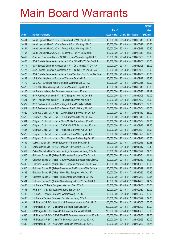|         |                                                                |               |                            |                       | <b>Amount</b> |
|---------|----------------------------------------------------------------|---------------|----------------------------|-----------------------|---------------|
|         |                                                                | No. of        |                            |                       | raised        |
| Code    | <b>Derivative warrants</b>                                     | issue (units) | <b>Listing date Expiry</b> |                       | (HK\$ mil.)   |
| 14461   | Merrill Lynch Int'l & Co. C.V. - Hutchison Eur Wt Sep 2014 C   | 40,000,000    | 2014/03/14                 | 2014/09/15            | 10.40         |
| 14462   | Merrill Lynch Int'l & Co. C.V. - Tencent Euro Wts Aug 2014 C   | 40,000,000    |                            | 2014/03/14 2014/08/22 | 15.20         |
| 14464   | Merrill Lynch Int'l & Co. C.V. - Tencent Euro Wts Aug 2014 D   | 40,000,000    | 2014/03/14                 | 2014/08/18            | 10.40         |
| 14465   | Merrill Lynch Int'l & Co. C.V. - Tencent Eu Put Wt Sep 2014B   | 40,000,000    | 2014/03/14 2014/09/19      |                       | 14.60         |
| 14457   | Standard Chartered Bank - ICBC European Warrants Sep 2014 B    | 100,000,000   |                            | 2014/03/14 2014/09/30 | 25.00         |
| 14455   | SGA Societe Generale Acceptance N.V. - CCoal Eu Wt Dec 2014 A  | 40,000,000    |                            | 2014/03/14 2014/12/03 | 10.00         |
| 14474   | SGA Societe Generale Acceptance N.V. - Ch Cinda Eu Wt Oct14A   | 100,000,000   | 2014/03/14                 | 2014/10/06            | 25.00         |
| 14477   | SGA Societe Generale Acceptance N.V. - ICBC Eu Wt Jan 2015 A   | 100,000,000   |                            | 2014/03/14 2015/01/05 | 25.00         |
| 14478   | SGA Societe Generale Acceptance NV - Yanzhou Coal Eu Wt Dec14A | 40,000,000    |                            | 2014/03/14 2014/12/03 | 10.00         |
| 14469   | UBS AG - Geely Auto European Warrants Sep 2014 B               | 40,000,000    | 2014/03/14 2014/09/17      |                       | 13.20         |
| 14472   | UBS AG - Greatwall Motor European Warrants Sep 2014 A          | 40,000,000    | 2014/03/14                 | 2014/09/15            | 12.00         |
| 14470   | UBS AG – China Mengniu European Warrants Sep 2014 A            | 40,000,000    | 2014/03/14 2014/09/15      |                       | 10.00         |
| 14105 # | HK Bank – Haitong Sec European Warrants Aug 2014 A             | 120,000,000   |                            | 2014/03/14 2014/08/25 | 12.12         |
| 14520   | BNP Paribas Arbit Issu B.V. - BYD European Wts Oct 2014 B      | 60,000,000    |                            | 2014/03/17 2014/10/06 | 15.00         |
| 14521   | BNP Paribas Arbit Issu B.V. - Ch Oilfield Eur Wts Apr 2015 A   | 100,000,000   | 2014/03/17                 | 2015/04/02            | 25.00         |
| 14522   | BNP Paribas Arbit Issu B.V. - Kingsoft Euro Put Wts Oct14B     | 100,000,000   |                            | 2014/03/17 2014/10/06 | 29.00         |
| 14519   | BNP Paribas Arbit Issu B.V. - Tencent Eu Put Wt Aug 2014 C     | 100,000,000   |                            | 2014/03/17 2014/08/04 | 18.00         |
| 14529   | Citigroup Global Mkt H Inc. - CAM CSI300 Euro Wts Nov 2014 A   | 100,000,000   | 2014/03/17 2014/11/10      |                       | 25.00         |
| 14523   | Citigroup Global Mkt H Inc. - CGS European Wts Sep 2014 A      | 30,000,000    | 2014/03/17                 | 2014/09/16            | 13.50         |
| 14531   | Citigroup Global Mkt H Inc. - China Mobile Eur Wt Aug 2014 C   | 100,000,000   | 2014/03/17 2014/08/04      |                       | 24.00         |
| 14530   | Citigroup Global Mkt H Inc. - CSOP A50 ETF Eu Wts Sep 2014 A   | 60,000,000    |                            | 2014/03/17 2014/09/16 | 27.60         |
| 14525   | Citigroup Global Mkt H Inc. - Hutchison Euro Wts Aug 2014 A    | 60,000,000    | 2014/03/17 2014/08/21      |                       | 24.00         |
| 14526   | Citigroup Global Mkt H Inc. - Hutchison Euro Wts Sep 2014 A    | 60,000,000    | 2014/03/17                 | 2014/09/25            | 17.70         |
| 14528   | Citigroup Global Mkt H Inc. - China Mengniu Eu Wts Sep 2014A   | 50,000,000    | 2014/03/17 2014/09/16      |                       | 15.50         |
| 14492   | Daiwa Capital Mkt - HKEx European Warrants Sep 2014 B          | 98,000,000    |                            | 2014/03/17 2014/09/15 | 20.58         |
| 14493   | Daiwa Capital Mkt - HKEx European Put Warrants Oct 2014 A      | 80,000,000    | 2014/03/17 2014/10/17      |                       | 22.40         |
| 14517   | Daiwa Capital Mkt - Tencent Holdings European Wts Aug 2014 D   | 158,000,000   | 2014/03/17 2014/08/29      |                       | 34.76         |
| 14500   | Goldman Sachs SP (Asia) - BJ Ent Water European Wts Oct14A     | 20,000,000    | 2014/03/17 2014/10/31      |                       | 11.14         |
| 14497   | Goldman Sachs SP (Asia) - Country Garden European Wts Oct14A   | 40,000,000    |                            | 2014/03/17 2014/10/30 | 11.08         |
| 14499   | Goldman Sachs SP (Asia) - CMS European Warrants Oct 2015 A     | 40,000,000    | 2014/03/17 2015/10/30      |                       | 10.00         |
| 14515   | Goldman Sachs SP (Asia) - Baiyunshan Ph European Wts Oct14A    | 25,000,000    | 2014/03/17 2014/10/29      |                       | 11.95         |
| 14498   | Goldman Sachs SP (Asia) - Haier Elec European Wts Oct14A       | 40,000,000    | 2014/03/17 2014/10/30      |                       | 10.36         |
| 14487   | Goldman Sachs SP (Asia) - HSI European Put Wts Jul 2014 C      | 150,000,000   | 2014/03/17                 | 2014/07/30            | 22.65         |
| 14501   | Goldman Sachs SP (Asia) - China Mengniu Euro Wt Dec 2014 A     | 40,000,000    | 2014/03/17 2014/12/30      |                       | 14.72         |
| 14490   | HK Bank - CC Bank European Warrants Sep 2014 B                 | 80,000,000    | 2014/03/17 2014/09/30      |                       | 20.00         |
| 14491   | HK Bank - ICBC European Warrants Sep 2014 A                    | 80,000,000    | 2014/03/17 2014/09/30      |                       | 20.00         |
| 14489   | HK Bank - Tencent European Warrants Aug 2014 G                 | 80,000,000    | 2014/03/17 2014/08/22      |                       | 32.00         |
| 14488   | HK Bank - Tencent European Put Warrants Aug 2014 F             | 80,000,000    | 2014/03/17 2014/08/27      |                       | 32.00         |
| 14494   | J P Morgan SP BV - Anhui Conch European Warrants Oct 2014 A    | 200,000,000   | 2014/03/17 2014/10/03      |                       | 50.00         |
| 14496   | J P Morgan SP BV - China Mob European Wts Oct 2014 C           | 200,000,000   | 2014/03/17 2014/10/03      |                       | 50.00         |
| 14495   | J P Morgan SP BV - China Mob European Put Wts Oct 2014 B       | 200,000,000   | 2014/03/17                 | 2014/10/03            | 50.00         |
| 14536   | J P Morgan SP BV - CSOP A50 ETF European Warrants Jul 2014 B   | 150,000,000   | 2014/03/17 2014/07/30      |                       | 22.50         |
| 14541   | J P Morgan SP BV - China Tel European Warrants Sep 2014 A      | 80,000,000    | 2014/03/17                 | 2014/09/29            | 20.00         |
| 14539   | J P Morgan SP BV - A50 China European Warrants Jul 2014 B      | 150,000,000   | 2014/03/17 2014/07/30      |                       | 24.75         |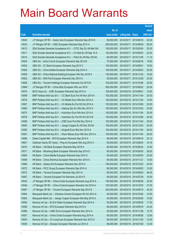|         |                                                               |               |                            |            | <b>Amount</b> |
|---------|---------------------------------------------------------------|---------------|----------------------------|------------|---------------|
|         |                                                               | No. of        |                            |            | raised        |
| Code    | <b>Derivative warrants</b>                                    | issue (units) | <b>Listing date Expiry</b> |            | (HK\$ mil.)   |
| 14540   | J P Morgan SP BV - Geely Auto European Warrants Sep 2014 B    | 80,000,000    | 2014/03/17 2014/09/16      |            | 20.00         |
| 14533   | J P Morgan SP BV - ICBC European Warrants Sep 2014 A          | 200,000,000   | 2014/03/17 2014/09/30      |            | 50.00         |
| 14513   | SGA Societe Generale Acceptance N.V. - CITIC Sec Eu Wt Mar15A | 100,000,000   | 2014/03/17                 | 2015/03/04 | 25.00         |
| 14511   | SGA Societe Generale Acceptance N.V. - Ch Mob Eu Wt Sep 14 A  | 100,000,000   | 2014/03/17 2014/09/03      |            | 22.00         |
| 14514   | SGA Societe Generale Acceptance N.V. - Petch Eu Wt Nov 2014A  | 60,000,000    | 2014/03/17 2014/11/05      |            | 11.10         |
| 14504   | UBS AG - Anhui Conch European Warrants Sep 2014 B             | 70,000,000    | 2014/03/17 2014/09/16      |            | 19.60         |
| 14503   | UBS AG - CC Bank European Warrants Aug 2014 C                 | 100,000,000   | 2014/03/17 2014/08/01      |            | 18.50         |
| 14506   | UBS AG - China Mobile European Warrants Sep 2014 A            | 100,000,000   | 2014/03/17 2014/09/24      |            | 25.00         |
| 14509   | UBS AG - China National Building European Wts Nov 2016 A      | 100,000,000   | 2014/03/17 2016/11/24      |            | 18.50         |
| 14502   | UBS AG - SHK Ppt European Warrants Dec 2014 A                 | 50,000,000    | 2014/03/17 2014/12/29      |            | 23.50         |
| 14508   | UBS AG - Tencent Holdings European Warrants Oct 2014 B        | 100,000,000   | 2014/03/17 2014/10/06      |            | 25.00         |
| 13984 # | J P Morgan SP BV - China Mob European Wts Jun 2015            | 500,000,000   | 2014/03/17 2015/06/22      |            | 20.00         |
| 14574   | BOCI Asia Ltd. - ICBC European Warrants Sep 2014 A            | 100,000,000   | 2014/03/18 2014/09/01      |            | 15.00         |
| 14599   | BNP Paribas Arbit Issu B.V. - CC Bank Euro Put Wt Nov 2014 A  | 100,000,000   | 2014/03/18 2014/11/04      |            | 25.00         |
| 14579   | BNP Paribas Arbit Issu B.V. - Ch Mobile Euro Wts Nov 2014 A   | 100,000,000   | 2014/03/18 2014/11/04      |            | 15.00         |
| 14597   | BNP Paribas Arbit Issu B.V. - Ch Mobile Eu Put Wt Oct 2014 A  | 100,000,000   | 2014/03/18 2014/10/06      |            | 25.00         |
| 14582   | BNP Paribas Arbit Issu B.V. - Haitong Sec Eu Wts Dec 2015 A   | 100,000,000   | 2014/03/18 2015/12/02      |            | 25.00         |
| 14575   | BNP Paribas Arbit Issu B.V. - Hutchison Euro Wts Nov 2014 A   | 100,000,000   | 2014/03/18 2014/11/04      |            | 25.00         |
| 14578   | BNP Paribas Arbit Issu B.V. - Hutchison Eu Put Wt Oct 2014 B  | 100,000,000   | 2014/03/18 2014/10/06      |            | 45.00         |
| 14596   | BNP Paribas Arbit Issu B.V. - ICBC Euro Put Wts Nov 2014 A    | 100,000,000   | 2014/03/18 2014/11/04      |            | 29.00         |
| 14600   | BNP Paribas Arbit Issu B.V. - Jiangxi Copper Eu Wt Dec 2015A  | 100,000,000   | 2014/03/18 2015/12/02      |            | 25.00         |
| 14595   | BNP Paribas Arbit Issu B.V. - Kingsoft Euro Wts Nov 2014 A    | 100,000,000   | 2014/03/18 2014/11/04      |            | 26.00         |
| 14581   | BNP Paribas Arbit Issu B.V. - Wynn Macau Euro Wts Nov 2014 A  | 100,000,000   | 2014/03/18 2014/11/04      |            | 25.00         |
| 14588   | Daiwa Capital Mkt - BYD European Warrants Sep 2014 A          | 68,000,000    | 2014/03/18 2014/09/18      |            | 23.12         |
| 14601   | Goldman Sachs SP (Asia) - Ping An European Wts Aug 2014 C     | 80,000,000    | 2014/03/18 2014/08/04      |            | 18.16         |
| 14570   | HK Bank - CM Bank European Warrants May 2015 A                | 80,000,000    | 2014/03/18 2015/05/22      |            | 12.00         |
| 14571   | HK Bank – Minsheng Bank European Warrants Sep 2014 D          | 60,000,000    | 2014/03/18 2014/09/30      |            | 36.00         |
| 14565   | HK Bank - China Mobile European Warrants Sep 2014 A           | 80,000,000    | 2014/03/18 2014/09/30      |            | 20.00         |
| 14569   | HK Bank - China Shenhua European Warrants Nov 2014 A          | 80,000,000    | 2014/03/18 2014/11/21      |            | 13.60         |
| 14568   | HK Bank - Galaxy Ent European Warrants Dec 2015 A             | 150,000,000   | 2014/03/18 2015/12/23      |            | 24.00         |
| 14573   | HK Bank - PICC Group European Warrants Sep 2014 A             | 80,000,000    | 2014/03/18 2014/09/25      |            | 12.00         |
| 14572   | HK Bank - Tencent European Warrants Sep 2014 A                | 80,000,000    | 2014/03/18 2014/09/30      |            | 46.40         |
| 14567   | HK Bank - Tencent European Put Warrants Jul 2014 F            | 80,000,000    | 2014/03/18 2014/07/29      |            | 16.00         |
| 14543   | J P Morgan SP BV - China Cinda European Warrants Aug 2014 A   | 150,000,000   | 2014/03/18 2014/08/28      |            | 22.50         |
| 14546   | J P Morgan SP BV - China Cinda European Warrants Oct 2014 A   | 150,000,000   | 2014/03/18 2014/10/03      |            | 37.50         |
| 14587   | J P Morgan SP BV - Tencent European Warrants Sep 2014 E       | 200,000,000   | 2014/03/18 2014/09/15      |            | 45.20         |
| 14564   | Macquarie Bank Ltd. - Chinares Cement European Wt Oct 2014 A  | 40,000,000    | 2014/03/18 2014/10/20      |            | 10.00         |
| 14563   | Macquarie Bank Ltd. - Jiangxi Copper European Wts May 2015 A  | 40,000,000    | 2014/03/18 2015/05/05      |            | 10.00         |
| 14550   | Nomura Int'l plc - BJ Ent Water European Warrants Sep 2014 A  | 50,000,000    | 2014/03/18 2014/09/29      |            | 17.25         |
| 14556   | Nomura Int'l plc - BYD European Warrants Sep 2014 A           | 80,000,000    | 2014/03/18 2014/09/18      |            | 24.40         |
| 14586   | Nomura Int'l plc - CIMC Enric European Warrants Nov 2014 A    | 50,000,000    | 2014/03/18 2014/11/28      |            | 12.75         |
| 14557   | Nomura Int'l plc - China Cinda European Warrants Aug 2014 A   | 80,000,000    | 2014/03/18 2014/08/26      |            | 12.80         |
| 14553   | Nomura Int'l plc - Ch LongYuan European Warrants Nov 2015 A   | 80,000,000    | 2014/03/18 2015/11/25      |            | 12.00         |
| 14549   | Nomura Int'l plc - Sinopec European Warrants Jul 2014 A       | 80,000,000    | 2014/03/18 2014/07/28      |            | 12.00         |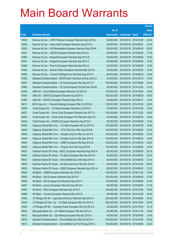|       |                                                              |               |                            |            | <b>Amount</b> |
|-------|--------------------------------------------------------------|---------------|----------------------------|------------|---------------|
|       |                                                              | No. of        |                            |            | raised        |
| Code  | <b>Derivative warrants</b>                                   | issue (units) | <b>Listing date Expiry</b> |            | (HK\$ mil.)   |
| 14555 | Nomura Int'l plc - CSPC Pharma European Warrants Dec 2015 A  | 80,000,000    | 2014/03/18 2015/12/28      |            | 20.00         |
| 14548 | Nomura Int'l plc - Geely Auto European Warrants Aug 2014 A   | 80,000,000    | 2014/03/18 2014/08/27      |            | 12.00         |
| 14554 | Nomura Int'l plc - HN Renewables European Warrants Sep 2014A | 80,000,000    | 2014/03/18 2014/09/18      |            | 20.00         |
| 14551 | Nomura Int'l plc - JNCEC European Warrants Sep 2014 A        | 50,000,000    | 2014/03/18 2014/09/29      |            | 17.40         |
| 14560 | Nomura Int'l plc - Kingsoft European Warrants Sep 2014 B     | 50,000,000    | 2014/03/18 2014/09/29      |            | 16.00         |
| 14561 | Nomura Int'l plc - Kingsoft European Warrants Sep 2014 C     | 50,000,000    | 2014/03/18 2014/09/29      |            | 12.50         |
| 14559 | Nomura Int'l plc - Ping An European Warrants Sep 2014 A      | 50,000,000    | 2014/03/18 2014/09/29      |            | 12.85         |
| 14584 | Nomura Int'l plc - Sihuan Pharm European Warrants Mar 2015 A | 50,000,000    | 2014/03/18 2015/03/30      |            | 12.50         |
| 14552 | Nomura Int'l plc - Tencent Holdings Euro Warrants Aug 2014 A | 80,000,000    | 2014/03/18 2014/08/18      |            | 12.64         |
| 14583 | Standard Chartered Bank - SPDR Gold Trust Euro Wt Dec 2014 A | 50,000,000    | 2014/03/18 2014/12/18      |            | 15.00         |
| 14591 | Standard Chartered Bank - YZ Coal European Wts Sep 2017 A    | 100,000,000   | 2014/03/18 2017/09/08      |            | 25.00         |
| 14590 | Standard Chartered Bank – YZ Coal European Put Wts Dec 2014A | 50,000,000    | 2014/03/18 2014/12/03      |            | 12.50         |
| 14593 | UBS AG - China Mobile European Warrants Oct 2014 A           | 100,000,000   | 2014/03/18 2014/10/03      |            | 15.00         |
| 14594 | UBS AG - CNOOC European Warrants Aug 2014 A                  | 100,000,000   | 2014/03/18 2014/08/29      |            | 19.00         |
| 14592 | UBS AG - CNOOC European Warrants Sep 2014 A                  | 40,000,000    | 2014/03/18 2014/09/17      |            | 10.00         |
| 14611 | BOCI Asia Ltd. – Tencent Holdings European Wts Oct 2014 B    | 100,000,000   | 2014/03/19 2014/10/20      |            | 25.00         |
| 14626 | Credit Suisse AG - CC Bank European Warrants Jul 2014 E      | 70,000,000    | 2014/03/19 2014/07/28      |            | 10.50         |
| 14627 | Credit Suisse AG - China Cinda European Warrants Dec 2017 A  | 100,000,000   | 2014/03/19 2017/12/20      |            | 16.00         |
| 14629 | Credit Suisse AG - China Cinda European Put Warrants Sep14 C | 40,000,000    | 2014/03/19                 | 2014/09/18 | 16.00         |
| 14625 | Credit Suisse AG - CNOOC European Warrants Aug 2014 C        | 80,000,000    | 2014/03/19 2014/08/29      |            | 14.40         |
| 14654 | Citigroup Global Mkt H Inc. - CC Bank European Wt Jul 2014 D | 100,000,000   | 2014/03/19 2014/07/28      |            | 15.00         |
| 14644 | Citigroup Global Mkt H Inc. - CITIC Sec Euro Wts Aug 2014 B  | 100,000,000   | 2014/03/19 2014/08/04      |            | 15.00         |
| 14648 | Citigroup Global Mkt H Inc. - Sinopec Corp Eu Wts Jun 2014 A | 100,000,000   | 2014/03/19                 | 2014/06/30 | 20.00         |
| 14649 | Citigroup Global Mkt H Inc. - Sinopec Corp Eu Wts Sep 2014 A | 100,000,000   | 2014/03/19 2014/09/23      |            | 19.00         |
| 14655 | Citigroup Global Mkt H Inc. - HSBC European Wts Sep 2014 B   | 100,000,000   | 2014/03/19 2014/09/18      |            | 25.00         |
| 14650 | Citigroup Global Mkt H Inc. - Ping An Euro Wts Aug 2014 B    | 100,000,000   | 2014/03/19 2014/08/04      |            | 34.50         |
| 14637 | Goldman Sachs SP (Asia) - BOCL European Warrants Sep 2016 A  | 80,000,000    | 2014/03/19 2016/09/30      |            | 20.16         |
| 14640 | Goldman Sachs SP (Asia) – CC Bank European Wts Sep 2014 B    | 80,000,000    | 2014/03/19 2014/09/30      |            | 20.40         |
| 14641 | Goldman Sachs SP (Asia) - China Mobile Euro Wts Sep 2014 A   | 80,000,000    | 2014/03/19 2014/09/30      |            | 12.16         |
| 14635 | Goldman Sachs SP (Asia) - Chi Res Land Euro Wts Dec 2014 A   | 80,000,000    | 2014/03/19 2014/12/30      |            | 20.00         |
| 14639 | Goldman Sachs SP (Asia) - HSBC European Warrants Sep 2014 A  | 80,000,000    | 2014/03/19 2014/09/30      |            | 12.32         |
| 14608 | HK Bank - CNBM European Warrants Nov 2016 A                  | 100,000,000   | 2014/03/19 2016/11/24      |            | 16.00         |
| 14604 | HK Bank - HSI European Warrants Sep 2014 G                   | 150,000,000   | 2014/03/19 2014/09/29      |            | 37.50         |
| 14609 | HK Bank - HSI European Put Warrants Sep 2014 H               | 150,000,000   | 2014/03/19 2014/09/29      |            | 37.50         |
| 14607 | HK Bank - Lenovo European Warrants Sep 2014 B                | 60,000,000    | 2014/03/19 2014/09/30      |            | 21.00         |
| 14605 | HK Bank - PICC European Warrants Dec 2015 A                  | 100,000,000   | 2014/03/19 2015/12/24      |            | 18.00         |
| 14606 | HK Bank - Tencent European Warrants Dec 2014 A               | 80,000,000    | 2014/03/19 2014/12/30      |            | 30.40         |
| 14603 | J P Morgan SP BV - Agricultural Bk Euro Warrants Sep 2014 A  | 200,000,000   | 2014/03/19 2014/09/05      |            | 30.00         |
| 14643 | J P Morgan Int'l Der. Ltd. - CC Bank European Wts Oct 2014 A | 200,000,000   | 2014/03/19 2014/10/03      |            | 50.00         |
| 14642 | J P Morgan SP BV - Huaneng Power European Wts Oct 2014 A     | 50,000,000    | 2014/03/19 2014/10/03      |            | 16.15         |
| 14624 | Macquarie Bank Ltd. - Ch Oilfield European Wts Nov 2014 A    | 40,000,000    | 2014/03/19 2014/11/18      |            | 10.00         |
| 14610 | Macquarie Bank Ltd. - Zijin Mining European Wts Apr 2015 A   | 40,000,000    | 2014/03/19 2015/04/08      |            | 10.00         |
| 14615 | Standard Chartered Bank - China Mobile Euro Wts Oct 2014 A   | 100,000,000   | 2014/03/19 2014/10/03      |            | 25.00         |
| 14613 | Standard Chartered Bank - China Mobile Eur Put Wt Aug 2014 C | 100,000,000   | 2014/03/19 2014/08/26      |            | 25.00         |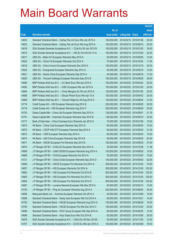|       |                                                               |               |                            |                       | <b>Amount</b> |
|-------|---------------------------------------------------------------|---------------|----------------------------|-----------------------|---------------|
|       |                                                               | No. of        |                            |                       | raised        |
| Code  | <b>Derivative warrants</b>                                    | issue (units) | <b>Listing date Expiry</b> |                       | (HK\$ mil.)   |
| 14633 | Standard Chartered Bank - Cathay Pac Air Euro Wts Jan 2015 A  | 100,000,000   | 2014/03/19 2015/01/08      |                       | 25.00         |
| 14632 | Standard Chartered Bank - Cathay Pac Air Euro Wts Aug 2015 A  | 100,000,000   |                            | 2014/03/19 2015/08/10 | 25.00         |
| 14618 | SGA Societe Generale Acceptance N.V. - CLife Eu Wt Jan 2015 B | 100,000,000   |                            | 2014/03/19 2015/01/05 | 18.50         |
| 14619 | SGA Societe Generale Acceptance N.V. - HSI Eu Put Wt Oct 14 A | 150,000,000   |                            | 2014/03/19 2014/10/30 | 22.50         |
| 14617 | UBS AG - Belle Int'l European Warrants May 2015 A             | 50,000,000    |                            | 2014/03/19 2015/05/05 | 12.50         |
| 14623 | UBS AG - China Tel European Warrants Oct 2014 A               | 70,000,000    |                            | 2014/03/19 2014/10/24 | 11.55         |
| 14616 | UBS AG - China Unicom European Warrants Dec 2016 A            | 100,000,000   | 2014/03/19 2016/12/19      |                       | 25.00         |
| 14622 | UBS AG - Evergrande European Warrants Sep 2014 A              | 50,000,000    |                            | 2014/03/19 2014/09/18 | 12.50         |
| 14621 | UBS AG - Sands China European Warrants Sep 2014 A             | 40,000,000    |                            | 2014/03/19 2014/09/18 | 17.20         |
| 14620 | UBS AG - Tencent Holdings European Warrants Sep 2014 E        | 100,000,000   |                            | 2014/03/19 2014/09/26 | 48.00         |
| 14690 | BNP Paribas Arbit Issu B.V. - CC Bank Euro Wts Apr 2015 A     | 100,000,000   |                            | 2014/03/20 2015/04/02 | 25.00         |
| 14692 | BNP Paribas Arbit Issu B.V. - ICBC European Wts Jan 2015 A    | 100,000,000   |                            | 2014/03/20 2015/01/05 | 25.00         |
| 14694 | BNP Paribas Arbit Issu B.V. - China Mengniu Eu Wt Jan 2015 A  | 100,000,000   |                            | 2014/03/20 2015/01/05 | 25.00         |
| 14688 | BNP Paribas Arbit Issu B.V. - Sihuan Pharm Euro Wts Apr 15 A  | 100,000,000   |                            | 2014/03/20 2015/04/02 | 25.00         |
| 14689 | BNP Paribas Arbit Issu B.V. - Tencent HIdgs Eu Wt Aug 2014 D  | 100,000,000   | 2014/03/20 2014/08/04      |                       | 31.00         |
| 14718 | Credit Suisse AG - HSI European Warrants Aug 2014 E           | 200,000,000   |                            | 2014/03/20 2014/08/28 | 30.00         |
| 14719 | Credit Suisse AG - HSI European Warrants Aug 2014 F           | 200,000,000   |                            | 2014/03/20 2014/08/28 | 30.00         |
| 14703 | Daiwa Capital Mkt - China Life European Warrants Sep 2014 A   | 128,000,000   | 2014/03/20 2014/09/01      |                       | 21.76         |
| 14701 | Daiwa Capital Mkt - Hutchison European Warrants Sep 2014 B    | 128,000,000   | 2014/03/20 2014/09/19      |                       | 32.00         |
| 14717 | Bank of East Asia - China Overseas Euro Warrants Jan 2015 A   | 70,000,000    |                            | 2014/03/20 2015/01/06 | 10.50         |
| 14672 | HK Bank - China Coal European Warrants Sep 2014 A             | 60,000,000    |                            | 2014/03/20 2014/09/30 | 15.00         |
| 14675 | HK Bank - CSOP A50 ETF European Warrants Sep 2014 A           | 60,000,000    |                            | 2014/03/20 2014/09/30 | 21.00         |
| 14673 | HK Bank - CSR European Warrants Sep 2014 A                    | 60,000,000    |                            | 2014/03/20 2014/09/30 | 15.00         |
| 14674 | HK Bank - A50 China European Warrants Sep 2014 B              | 60,000,000    | 2014/03/20 2014/09/30      |                       | 20.40         |
| 14671 | HK Bank - HSCEI European Put Warrants Sep 2014 B              | 150,000,000   |                            | 2014/03/20 2014/09/29 | 37.50         |
| 14670 | J P Morgan SP BV - CHALCO European Warrants Dec 2014 A        | 35,000,000    | 2014/03/20 2014/12/29      |                       | 11.38         |
| 14669 | J P Morgan SP BV - CAM CSI300 European Warrants Aug 2014 A    | 100,000,000   | 2014/03/20 2014/08/28      |                       | 15.00         |
| 14668 | J P Morgan SP BV - CGS European Warrants Oct 2014 A           | 30,000,000    | 2014/03/20 2014/10/03      |                       | 10.50         |
| 14721 | J P Morgan SP BV - China Cinda European Warrants Sep 2014 D   | 150,000,000   |                            | 2014/03/20 2014/09/30 | 52.65         |
| 14656 | J P Morgan SP BV - HSCEI European Put Warrants Oct 2014 A     | 300,000,000   |                            | 2014/03/20 2014/10/30 | 75.00         |
| 14657 | J P Morgan SP BV - HSI European Warrants Oct 2014 A           | 500,000,000   |                            | 2014/03/20 2014/10/30 | 125.00        |
| 14662 | J P Morgan SP BV - HSI European Put Warrants Oct 2014 B       | 500,000,000   |                            | 2014/03/20 2014/10/30 | 125.00        |
| 14663 | J P Morgan SP BV - HSI European Put Warrants Oct 2014 C       | 500,000,000   | 2014/03/20 2014/10/30      |                       | 129.50        |
| 14664 | J P Morgan SP BV - HSI European Put Warrants Oct 2014 D       | 500,000,000   |                            | 2014/03/20 2014/10/30 | 134.00        |
| 14667 | J P Morgan SP BV - Lumena Newmat European Wts Mar 2015 A      | 40,000,000    | 2014/03/20 2015/03/13      |                       | 10.00         |
| 14720 | J P Morgan SP BV - Ping An European Warrants Aug 2014 A       | 200,000,000   | 2014/03/20 2014/08/04      |                       | 39.40         |
| 14695 | Macquarie Bank Ltd. - Avichina European Warrants Oct 2014 A   | 40,000,000    | 2014/03/20 2014/10/06      |                       | 10.00         |
| 14698 | Standard Chartered Bank - Geely Auto European Wts Oct 2014 A  | 80,000,000    | 2014/03/20 2014/10/21      |                       | 14.40         |
| 14702 | Standard Chartered Bank - HSCEI European Warrants Aug 2014 A  | 100,000,000   | 2014/03/20 2014/08/28      |                       | 15.00         |
| 14700 | Standard Chartered Bank - HSCEI European Put Wts Dec 2014 C   | 100,000,000   |                            | 2014/03/20 2014/12/30 | 20.00         |
| 14699 | Standard Chartered Bank - PICC Group European Wts Sep 2014 A  | 80,000,000    | 2014/03/20 2014/09/25      |                       | 12.00         |
| 14696 | Standard Chartered Bank - Xinyi Glass Euro Wts Oct 2014 B     | 50,000,000    | 2014/03/20 2014/10/06      |                       | 26.00         |
| 14676 | SGA Societe Generale Acceptance N.V. - CK(H) Eu Wt Nov 2014A  | 50,000,000    | 2014/03/20 2014/11/05      |                       | 12.50         |
| 14707 | SGA Societe Generale Acceptance N.V - COVS Eu Wts Apr 2015 A  | 100,000,000   | 2014/03/20 2015/04/08      |                       | 19.00         |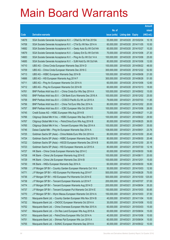|       |                                                                |               |                            |                       | <b>Amount</b> |
|-------|----------------------------------------------------------------|---------------|----------------------------|-----------------------|---------------|
|       |                                                                | No. of        |                            |                       | raised        |
| Code  | <b>Derivative warrants</b>                                     | issue (units) | <b>Listing date Expiry</b> |                       | (HK\$ mil.)   |
| 14678 | SGA Societe Generale Acceptance N.V. - CRail Eu Wt Feb 2015A   | 55,000,000    |                            | 2014/03/20 2015/02/04 | 10.18         |
| 14708 | SGA Societe Generale Acceptance N.V. - CTel Eu Wt Nov 2014 A   | 60,000,000    |                            | 2014/03/20 2014/11/05 | 10.50         |
| 14682 | SGA Societe Generale Acceptance N.V. - Geely Auto Eu Wt Oct14A | 60,000,000    |                            | 2014/03/20 2014/10/27 | 10.20         |
| 14679 | SGA Societe Generale Acceptance N.V. - Galaxy Ent Eu Wt Oct14A | 70,000,000    |                            | 2014/03/20 2014/10/06 | 27.30         |
| 14683 | SGA Societe Generale Acceptance N.V. - Ping An Eu Wt Oct 14 A  | 100,000,000   |                            | 2014/03/20 2014/10/06 | 25.00         |
| 14685 | SGA Societe Generale Acceptance N.V. - SJM Hold Eu Wt Oct14A   | 80,000,000    |                            | 2014/03/20 2014/10/06 | 12.00         |
| 14710 | UBS AG - China Cinda European Warrants Sep 2014 D              | 100,000,000   |                            | 2014/03/20 2014/09/22 | 48.00         |
| 14709 | UBS AG - China Cinda European Warrants Dec 2016 C              | 300,000,000   |                            | 2014/03/20 2016/12/22 | 52.50         |
| 14713 | UBS AG - HSBC European Warrants Sep 2014 B                     | 100,000,000   |                            | 2014/03/20 2014/09/08 | 21.00         |
| 14666 | UBS AG - HSI European Warrants Aug 2014 F                      | 300,000,000   |                            | 2014/03/20 2014/08/28 | 51.00         |
| 14711 | UBS AG - Ping An European Warrants Oct 2014 A                  | 60,000,000    |                            | 2014/03/20 2014/10/06 | 12.60         |
| 14712 | UBS AG - Ping An European Warrants Oct 2014 B                  | 60,000,000    |                            | 2014/03/20 2014/10/13 | 18.00         |
| 14761 | BNP Paribas Arbit Issu B.V. - China Cinda Eur Wts Sep 2014 A   | 100,000,000   | 2014/03/21                 | 2014/09/02            | 15.00         |
| 14763 | BNP Paribas Arbit Issu B.V. - CM Bank Euro Warrants Dec 2016 A | 100,000,000   |                            | 2014/03/21 2016/12/02 | 25.00         |
| 14758 | BNP Paribas Arbit Issu B.V. - COSCO Pacific Eu Wt Jul 2015 A   | 79,000,000    | 2014/03/21                 | 2015/07/03            | 11.85         |
| 14756 | BNP Paribas Arbit Issu B.V. - China Tel Euro Wts Dec 2014 A    | 80,000,000    |                            | 2014/03/21 2014/12/02 | 20.00         |
| 14757 | BNP Paribas Arbit Issu B.V. - ICBC European Wts Oct 2014 B     | 100,000,000   | 2014/03/21                 | 2014/10/06            | 26.00         |
| 14745 | Credit Suisse AG - HSBC European Wts Aug 2014 B                | 70,000,000    | 2014/03/21                 | 2014/08/27            | 11.20         |
| 14766 | Citigroup Global Mkt H Inc. - HSBC European Wts Sep 2014 C     | 100,000,000   | 2014/03/21                 | 2014/09/22            | 29.50         |
| 14767 | Citigroup Global Mkt H Inc. - PetroChina Euro Wts Aug 2014 B   | 80,000,000    | 2014/03/21                 | 2014/08/25            | 36.00         |
| 14765 | Citigroup Global Mkt H Inc. - Tencent European Wts Sep 2014 A  | 100,000,000   | 2014/03/21                 | 2014/09/01            | 35.00         |
| 14746 | Daiwa Capital Mkt - Ping An European Warrants Sep 2014 A       | 108,000,000   | 2014/03/21                 | 2014/09/01            | 23.76         |
| 14725 | Goldman Sachs SP (Asia) - China Mobile Euro Wts Oct 2014 A     | 80,000,000    | 2014/03/21                 | 2014/10/30            | 20.40         |
| 14724 | Goldman Sachs SP (Asia) - HSBC European Warrants Sep 2014 B    | 80,000,000    | 2014/03/21                 | 2014/09/30            | 20.48         |
| 14722 | Goldman Sachs SP (Asia) - HSCEI European Warrants Dec 2014 B   | 80,000,000    | 2014/03/21                 | 2014/12/30            | 20.16         |
| 14723 | Goldman Sachs SP (Asia) - HSI European Warrants Jul 2015 A     | 80,000,000    | 2014/03/21                 | 2015/07/30            | 12.16         |
| 14727 | HK Bank – China Cinda European Warrants Sep 2014 C             | 60,000,000    | 2014/03/21                 | 2014/09/30            | 19.80         |
| 14728 | HK Bank - China Life European Warrants Aug 2014 E              | 100,000,000   | 2014/03/21 2014/08/11      |                       | 20.00         |
| 14729 | HK Bank - China Life European Warrants Dec 2014 B              | 100,000,000   | 2014/03/21                 | 2014/12/01            | 15.00         |
| 14730 | HK Bank - HKEx European Warrants Sep 2014 A                    | 60,000,000    | 2014/03/21                 | 2014/09/30            | 16.80         |
| 14769 | J P Morgan SP BV - Country Garden European Warrants Oct 14 A   | 50,000,000    | 2014/03/21                 | 2014/10/03            | 12.50         |
| 14771 | J P Morgan SP BV - HSI European Put Warrants Aug 2014 F        | 500,000,000   | 2014/03/21                 | 2014/08/28            | 75.00         |
| 14736 | J P Morgan SP BV - HSI European Put Warrants Oct 2014 E        | 500,000,000   | 2014/03/21                 | 2014/10/30            | 125.00        |
| 14738 | J P Morgan SP BV - Tencent European Warrants Jul 2014 F        | 200,000,000   | 2014/03/21                 | 2014/07/07            | 57.00         |
| 14774 | J P Morgan SP BV - Tencent European Warrants Aug 2014 D        | 200,000,000   | 2014/03/21                 | 2014/08/04            | 35.20         |
| 14737 | J P Morgan SP BV - Tencent European Put Warrants Oct 2014 E    | 150,000,000   | 2014/03/21                 | 2014/10/03            | 50.85         |
| 14770 | J P Morgan SP BV - Wynn Macau European Warrants Oct 2014 A     | 150,000,000   | 2014/03/21                 | 2014/10/03            | 37.50         |
| 14753 | Macquarie Bank Ltd. - Country Garden European Wts Nov 2014 B   | 40,000,000    | 2014/03/21                 | 2014/11/04            | 10.00         |
| 14732 | Macquarie Bank Ltd. - CNOOC European Warrants Oct 2014 A       | 30,000,000    | 2014/03/21                 | 2014/10/06            | 10.02         |
| 14752 | Macquarie Bank Ltd. - China Overseas European Wts Mar 2015 A   | 60,000,000    | 2014/03/21                 | 2015/03/03            | 15.00         |
| 14747 | Macquarie Bank Ltd. - Chi Res Land European Wts Aug 2015 A     | 60,000,000    | 2014/03/21                 | 2015/08/04            | 15.00         |
| 14731 | Macquarie Bank Ltd. - PetroChina European Wts Oct 2014 A       | 40,000,000    | 2014/03/21                 | 2014/10/06            | 10.00         |
| 14751 | Macquarie Bank Ltd. - Shimao Ppt European Wts Jun 2015 A       | 60,000,000    | 2014/03/21                 | 2015/06/04            | 15.00         |
| 14755 | Macquarie Bank Ltd. - SUNAC European Warrants Sep 2014 A       | 40,000,000    | 2014/03/21                 | 2014/09/22            | 10.00         |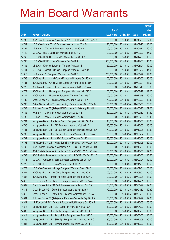|         |                                                              |               |                            |                       | <b>Amount</b> |
|---------|--------------------------------------------------------------|---------------|----------------------------|-----------------------|---------------|
|         |                                                              | No. of        |                            |                       | raised        |
| Code    | <b>Derivative warrants</b>                                   | issue (units) | <b>Listing date Expiry</b> |                       | (HK\$ mil.)   |
| 14739   | SGA Societe Generale Acceptance N.V. - Ch Cinda Eu Wt Oct14B | 100,000,000   | 2014/03/21                 | 2014/10/06            | 27.00         |
| 14742   | UBS AG - China EB Int'l European Warrants Jul 2014 B         | 25,000,000    | 2014/03/21 2014/07/16      |                       | 10.00         |
| 14734   | UBS AG - CITIC Bank European Warrants Jul 2014 A             | 50,000,000    | 2014/03/21                 | 2014/07/21            | 10.00         |
| 14740   | UBS AG - HSBC European Warrants Sep 2014 C                   | 100,000,000   |                            | 2014/03/21 2014/09/22 | 35.00         |
| 14743   | UBS AG - HSCEI European Put Warrants Dec 2014 B              | 100,000,000   | 2014/03/21                 | 2014/12/30            | 19.50         |
| 14733   | UBS AG - HSI European Warrants Dec 2014 A                    | 300,000,000   |                            | 2014/03/21 2014/12/30 | 45.00         |
| 14735   | UBS AG - Kingsoft European Warrants Aug 2014 B               | 50,000,000    | 2014/03/21                 | 2014/08/04            | 19.00         |
| 14741   | UBS AG - Tencent Holdings European Warrants Sep 2014 F       | 100,000,000   | 2014/03/21 2014/09/22      |                       | 44.00         |
| 11910 # | HK Bank - HSI European Warrants Jun 2014 F                   | 250,000,000   | 2014/03/21                 | 2014/06/27            | 14.00         |
| 14783   | BOCI Asia Ltd. - Anhui Conch European Warrants Oct 2014 A    | 100,000,000   | 2014/03/24 2014/10/06      |                       | 25.00         |
| 14781   | BOCI Asia Ltd. - China Mobile European Warrants Sep 2014 A   | 100,000,000   | 2014/03/24 2014/09/01      |                       | 17.00         |
| 14778   | BOCI Asia Ltd. - A50 China European Warrants Sep 2014 A      | 100,000,000   |                            | 2014/03/24 2014/09/15 | 25.00         |
| 14779   | BOCI Asia Ltd. - Haitong Sec European Warrants Jul 2015 A    | 100,000,000   |                            | 2014/03/24 2015/07/27 | 19.00         |
| 14784   | BOCI Asia Ltd. - Hutchison European Warrants Dec 2015 A      | 100,000,000   | 2014/03/24 2015/12/28      |                       | 19.00         |
| 14789   | Credit Suisse AG - ICBC European Warrants Sep 2014 A         | 70,000,000    |                            | 2014/03/24 2014/09/23 | 13.30         |
| 14796   | Daiwa Capital Mkt - Tencent Holdings European Wts Sep 2014 C | 138,000,000   | 2014/03/24 2014/09/01      |                       | 56.58         |
| 14787   | Goldman Sachs SP (Asia) - HSI European Put Wts Aug 2014 B    | 150,000,000   |                            | 2014/03/24 2014/08/28 | 22.65         |
| 14785   | HK Bank - Tencent European Warrants Sep 2014 B               | 80,000,000    |                            | 2014/03/24 2014/09/30 | 54.40         |
| 14786   | HK Bank - Tencent European Warrants Sep 2014 C               | 80,000,000    |                            | 2014/03/24 2014/09/30 | 38.40         |
| 14794   | Macquarie Bank Ltd. - Anhui Conch European Wts Oct 2014 A    | 40,000,000    |                            | 2014/03/24 2014/10/06 | 10.00         |
| 14795   | Macquarie Bank Ltd. - AIA European Warrants Oct 2014 A       | 40,000,000    |                            | 2014/03/24 2014/10/06 | 10.00         |
| 14791   | Macquarie Bank Ltd. - BankComm European Warrants Oct 2014 A  | 70,000,000    | 2014/03/24 2014/10/06      |                       | 10.50         |
| 14790   | Macquarie Bank Ltd. - CM Bank European Warrants Jun 2015 A   | 70,000,000    |                            | 2014/03/24 2015/06/02 | 10.50         |
| 14792   | Macquarie Bank Ltd. - HSBC European Warrants Oct 2014 A      | 80,000,000    | 2014/03/24 2014/10/06      |                       | 20.00         |
| 14793   | Macquarie Bank Ltd. - Hang Seng Bank European Wts Oct 2014 A | 80,000,000    |                            | 2014/03/24 2014/10/06 | 20.00         |
| 14798   | SGA Societe Generale Acceptance N.V. - CCB Eur Wt Oct 2014 B | 100,000,000   | 2014/03/24 2014/10/06      |                       | 18.00         |
| 14800   | SGA Societe Generale Acceptance N.V. - ICBC Eu Wt Oct 2014 A | 100,000,000   |                            | 2014/03/24 2014/10/06 | 17.00         |
| 14788   | SGA Societe Generale Acceptance N.V. - PICC Eu Wts Oct 2014A | 70,000,000    | 2014/03/24 2014/10/06      |                       | 10.50         |
| 14775   | UBS AG - Agricultural Bank European Warrants Sep 2015 A      | 50,000,000    |                            | 2014/03/24 2015/09/24 | 10.00         |
| 14776   | UBS AG - KECL European Warrants Nov 2015 A                   | 100,000,000   | 2014/03/24 2015/11/25      |                       | 19.50         |
| 14777   | UBS AG - Tencent Holdings European Warrants Sep 2014 G       | 100,000,000   | 2014/03/24 2014/09/01      |                       | 65.00         |
| 14807   | BOCI Asia Ltd. - China Cinda European Warrants Sep 2014 C    | 100,000,000   | 2014/03/25 2014/09/01      |                       | 25.00         |
| 14808   | BOCI Asia Ltd. - Tencent Holdings European Wts Sep 2014 C    | 100,000,000   | 2014/03/25 2014/09/08      |                       | 23.00         |
| 14810   | Credit Suisse AG - China Life European Warrants Dec 2014 A   | 70,000,000    | 2014/03/25 2014/12/01      |                       | 10.50         |
| 14809   | Credit Suisse AG - CM Bank European Warrants May 2015 A      | 80,000,000    |                            | 2014/03/25 2015/05/22 | 12.00         |
| 14811   | Credit Suisse AG - Gome European Warrants Jan 2015 A         | 70,000,000    |                            | 2014/03/25 2015/01/30 | 10.50         |
| 14812   | Credit Suisse AG - PetroChina European Warrants Sep 2014 A   | 60,000,000    |                            | 2014/03/25 2014/09/29 | 15.00         |
| 14801   | Goldman Sachs SP (Asia) - AIA European Warrants Sep 2014 A   | 80,000,000    | 2014/03/25 2014/09/29      |                       | 12.08         |
| 14821   | J P Morgan SP BV - Tencent European Put Warrants Oct 2014 F  | 200,000,000   |                            | 2014/03/25 2014/10/03 | 50.00         |
| 14813   | Macquarie Bank Ltd. - CLP European Warrants Apr 2015 A       | 40,000,000    |                            | 2014/03/25 2015/04/02 | 10.00         |
| 14806   | Macquarie Bank Ltd. - CNBM European Warrants Oct 2014 B      | 30,000,000    |                            | 2014/03/25 2014/10/06 | 10.05         |
| 14814   | Macquarie Bank Ltd. - Poly HK Inv European Wts Feb 2015 A    | 40,000,000    |                            | 2014/03/25 2015/02/02 | 10.00         |
| 14805   | Macquarie Bank Ltd. - SHK Ppt European Warrants Oct 2014 C   | 80,000,000    |                            | 2014/03/25 2014/10/06 | 20.00         |
| 14804   | Macquarie Bank Ltd. - Wharf European Warrants Dec 2014 A     | 40,000,000    |                            | 2014/03/25 2014/12/02 | 10.00         |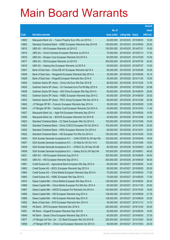|       |                                                                |               |                            |                       | <b>Amount</b> |
|-------|----------------------------------------------------------------|---------------|----------------------------|-----------------------|---------------|
|       |                                                                | No. of        |                            |                       | raised        |
| Code  | <b>Derivative warrants</b>                                     | issue (units) | <b>Listing date Expiry</b> |                       | (HK\$ mil.)   |
| 14820 | Macquarie Bank Ltd. - Yuexiu Property Euro Wts Jun 2015 A      | 40,000,000    |                            | 2014/03/25 2015/06/03 | 10.00         |
| 14802 | Standard Chartered Bank - HSBC European Warrants Sep 2014 B    | 100,000,000   |                            | 2014/03/25 2014/09/30 | 25.00         |
| 14815 | UBS AG - AIA European Warrants Jul 2014 D                      | 100,000,000   | 2014/03/25 2014/07/21      |                       | 15.00         |
| 14819 | UBS AG - China Overseas European Warrants Jul 2015 A           | 70,000,000    |                            | 2014/03/25 2015/07/13 | 17.50         |
| 14818 | UBS AG - Sinopec Corp European Warrants Oct 2014 A             | 60,000,000    |                            | 2014/03/25 2014/10/29 | 10.50         |
| 14817 | UBS AG - HSI European Warrants Jul 2014 E                      | 300,000,000   |                            | 2014/03/25 2014/07/30 | 45.00         |
| 14816 | UBS AG - Haitong Sec European Warrants Jul 2015 A              | 50,000,000    | 2014/03/25 2015/07/27      |                       | 10.50         |
| 14847 | Bank of East Asia - China EB Int'l European Warrants Apr15 A   | 60,000,000    |                            | 2014/03/26 2015/04/08 | 15.00         |
| 14848 | Bank of East Asia - Henganintl European Warrants Sep 2014 A    | 30,000,000    |                            | 2014/03/26 2014/09/26 | 16.14         |
| 14829 | Bank of East Asia - Kingsoft European Warrants Nov 2014 A      | 40,000,000    |                            | 2014/03/26 2014/11/24 | 10.00         |
| 14834 | Goldman Sachs SP (Asia) - China Life Euro Wts Dec 2014 B       | 80,000,000    | 2014/03/26 2014/12/24      |                       | 13.76         |
| 14835 | Goldman Sachs SP (Asia) - Ch Overseas Euro Put Wt May 2015 A   | 80,000,000    |                            | 2014/03/26 2015/05/28 | 20.96         |
| 14836 | Goldman Sachs SP (Asia) - A50 China European Wts Sep 2014 A    | 80,000,000    |                            | 2014/03/26 2014/09/30 | 26.80         |
| 14832 | Goldman Sachs SP (Asia) - HSBC European Warrants Sep 2014 C    | 80,000,000    |                            | 2014/03/26 2014/09/29 | 25.92         |
| 14833 | Goldman Sachs SP (Asia) - PICC Group European Wts Dec 2014 A   | 80,000,000    | 2014/03/26 2014/12/29      |                       | 20.48         |
| 14842 | J P Morgan SP BV - Foxconn European Warrants Sep 2014 A        | 35,000,000    |                            | 2014/03/26 2014/09/29 | 12.95         |
| 14843 | J P Morgan SP BV - Yanzhou Coal European Warrants Oct 2014 A   | 40,000,000    |                            | 2014/03/26 2014/10/03 | 11.40         |
| 14827 | Macquarie Bank Ltd. - Agile Ppt European Warrants Sep 2014 A   | 40,000,000    |                            | 2014/03/26 2014/09/26 | 10.00         |
| 14826 | Macquarie Bank Ltd. - BOCHK European Warrants Oct 2014 B       | 40,000,000    |                            | 2014/03/26 2014/10/06 | 10.00         |
| 14823 | Standard Chartered Bank - CC Bank European Wts Oct 2014 A      | 100,000,000   |                            | 2014/03/26 2014/10/06 | 16.00         |
| 14824 | Standard Chartered Bank - China COSCO European Wt Oct 2014 A   | 100,000,000   |                            | 2014/03/26 2014/10/06 | 25.00         |
| 14825 | Standard Chartered Bank - HKEx European Warrants Oct 2014 A    | 80,000,000    | 2014/03/26 2014/10/31      |                       | 20.00         |
| 14822 | Standard Chartered Bank - HSI European Put Wts Oct 2014 A      | 100,000,000   |                            | 2014/03/26 2014/10/30 | 15.00         |
| 14840 | SGA Societe Generale Acceptance N.V. - CAM CSI300 Eu Wt Apr15A | 120,000,000   |                            | 2014/03/26 2015/04/08 | 18.00         |
| 14837 | SGA Societe Generale Acceptance N.V. - Ch Mob Eu Wt Oct 14 A   | 100,000,000   |                            | 2014/03/26 2014/10/06 | 19.50         |
| 14839 | SGA Societe Generale Acceptance N.V. - CP&CC Eu Wt Sep 2014B   | 80,000,000    | 2014/03/26 2014/09/03      |                       | 22.80         |
| 14838 | SGA Societe Generale Acceptance N.V. - Galaxy Ent Eu Wt Sep14A | 100,000,000   | 2014/03/26 2014/09/01      |                       | 48.00         |
| 14831 | UBS AG - HSI European Warrants Aug 2014 G                      | 300,000,000   | 2014/03/26 2014/08/28      |                       | 45.00         |
| 14830 | UBS AG - HSI European Warrants Sep 2014 C                      | 300,000,000   | 2014/03/26 2014/09/29      |                       | 54.00         |
| 14861 | Credit Suisse AG - Agricultural Bank European Wts Sep 2015 A   | 80,000,000    | 2014/03/27 2015/09/25      |                       | 14.40         |
| 14862 | Credit Suisse AG - BOCL European Warrants Sep 2015 A           | 80,000,000    | 2014/03/27 2015/09/25      |                       | 20.00         |
| 14864 | Credit Suisse AG - China Mobile European Warrants Sep 2014 A   | 70,000,000    | 2014/03/27 2014/09/30      |                       | 17.50         |
| 14863 | Credit Suisse AG - HSBC European Wts Sep 2014 A                | 70,000,000    | 2014/03/27                 | 2014/09/30            | 17.50         |
| 14870 | Daiwa Capital Mkt - China Mobile European Wts Sep 2014 A       | 128,000,000   | 2014/03/27 2014/09/24      |                       | 29.44         |
| 14869 | Daiwa Capital Mkt - China Mobile European Put Wts Nov 2014 A   | 80,000,000    | 2014/03/27 2014/11/03      |                       | 20.00         |
| 14867 | Daiwa Capital Mkt - HSCEI European Put Warrants Oct 2014 A     | 100,000,000   | 2014/03/27 2014/10/30      |                       | 19.00         |
| 14865 | Daiwa Capital Mkt - HSI European Warrants Aug 2014 A           | 128,000,000   | 2014/03/27                 | 2014/08/28            | 21.76         |
| 14866 | Daiwa Capital Mkt - HSI European Warrants Sep 2014 D           | 128,000,000   | 2014/03/27 2014/09/29      |                       | 32.00         |
| 14852 | Bank of East Asia - BYD European Warrants Nov 2014 A           | 40,000,000    |                            | 2014/03/27 2014/11/12 | 13.72         |
| 14850 | HK Bank - BYD European Warrants Dec 2016 A                     | 200,000,000   | 2014/03/27 2016/12/30      |                       | 50.00         |
| 14851 | HK Bank - Kingsoft European Warrants Sep 2014 B                | 60,000,000    | 2014/03/27                 | 2014/09/30            | 18.00         |
| 14849 | HK Bank - Sands China European Warrants Sep 2014 A             | 60,000,000    | 2014/03/27 2014/09/30      |                       | 27.00         |
| 14877 | J P Morgan Int'l Der. Ltd. - CC Bank European Wts Oct 2014 B   | 200,000,000   | 2014/03/27 2014/10/03      |                       | 50.00         |
| 14858 | J P Morgan SP BV - China Coal European Warrants Oct 2014 A     | 80,000,000    | 2014/03/27 2014/10/03      |                       | 20.00         |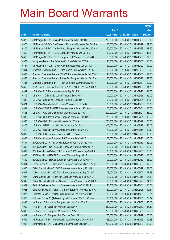|       |                                                              |               |                            |                       | <b>Amount</b> |
|-------|--------------------------------------------------------------|---------------|----------------------------|-----------------------|---------------|
|       |                                                              | No. of        |                            |                       | raised        |
| Code  | <b>Derivative warrants</b>                                   | issue (units) | <b>Listing date Expiry</b> |                       | (HK\$ mil.)   |
| 14878 | J P Morgan SP BV - China Mob European Wts Oct 2014 D         | 200,000,000   |                            | 2014/03/27 2014/10/03 | 50.00         |
| 14876 | J P Morgan SP BV - Ch Overseas European Warrants Dec 2014 A  | 150,000,000   |                            | 2014/03/27 2014/12/29 | 37.50         |
| 14875 | J P Morgan SP BV - Chi Res Land European Warrants Dec 2014 A | 150,000,000   |                            | 2014/03/27 2014/12/29 | 37.50         |
| 14860 | J P Morgan SP BV - HSBC European Warrants Oct 2014 C         | 150,000,000   |                            | 2014/03/27 2014/10/03 | 47.10         |
| 14859 | J P Morgan SP BV - HSBC European Put Warrants Oct 2014 B     | 150,000,000   |                            | 2014/03/27 2014/10/03 | 37.50         |
| 14874 | Macquarie Bank Ltd. - Brilliance Chi Euro Wts Oct 2015 A     | 40,000,000    |                            | 2014/03/27 2015/10/05 | 10.00         |
| 14854 | Macquarie Bank Ltd. - Geely Auto European Wts Dec 2014 A     | 40,000,000    |                            | 2014/03/27 2014/12/02 | 10.00         |
| 14891 | Standard Chartered Bank - China Mobile Euro Wts Sep 2014 B   | 100,000,000   |                            | 2014/03/27 2014/09/29 | 25.00         |
| 14857 | Standard Chartered Bank - CNOOC European Warrants Oct 2014 B | 40,000,000    |                            | 2014/03/27 2014/10/06 | 14.00         |
| 14856 | Standard Chartered Bank - Galaxy Ent European Wts Oct 2015 A | 150,000,000   |                            | 2014/03/27 2015/10/23 | 22.50         |
| 14855 | Standard Chartered Bank - Wharf European Warrants Oct 2014 A | 80,000,000    | 2014/03/27 2014/10/31      |                       | 20.00         |
| 14853 | SGA Societe Generale Acceptance N.V. - ZTE Eu Wt Nov 2014 A  | 60,000,000    |                            | 2014/03/27 2014/11/03 | 11.70         |
| 14882 | UBS AG - BYD European Warrants Sep 2014 B                    | 50,000,000    |                            | 2014/03/27 2014/09/26 | 21.50         |
| 14872 | UBS AG - CC Bank European Warrants Sep 2014 A                | 100,000,000   |                            | 2014/03/27 2014/09/26 | 25.00         |
| 14889 | UBS AG - China Life European Warrants Dec 2014 A             | 100,000,000   |                            | 2014/03/27 2014/12/24 | 16.50         |
| 14871 | UBS AG - China Mobile European Warrants Oct 2014 B           | 100,000,000   |                            | 2014/03/27 2014/10/03 | 25.00         |
| 14884 | UBS AG - CSOP A50 ETF European Warrants Aug 2018 A           | 100,000,000   | 2014/03/27 2018/08/01      |                       | 18.00         |
| 14883 | UBS AG - A50 China European Warrants Aug 2018 A              | 200,000,000   | 2014/03/27 2018/08/01      |                       | 36.00         |
| 14880 | UBS AG - GCL-Poly Energy European Warrants Jul 2014 A        | 70,000,000    | 2014/03/27 2014/07/21      |                       | 10.50         |
| 14885 | UBS AG - HKEx European Warrants Oct 2014 A                   | 200,000,000   |                            | 2014/03/27 2014/10/27 | 30.00         |
| 14873 | UBS AG - HSI European Put Warrants Aug 2014 H                | 300,000,000   |                            | 2014/03/27 2014/08/28 | 45.00         |
| 14879 | UBS AG - Huishan Dairy European Warrants Aug 2014 B          | 70,000,000    |                            | 2014/03/27 2014/08/14 | 10.50         |
| 14886 | UBS AG - ICBC European Warrants Sep 2014 A                   | 100,000,000   |                            | 2014/03/27 2014/09/23 | 18.00         |
| 14890 | UBS AG - Kingsoft European Put Warrants Sep 2014 C           | 50,000,000    |                            | 2014/03/27 2014/09/26 | 16.00         |
| 14894 | BOCI Asia Ltd. - China Mobile European Put Wts Oct 2014 A    | 100,000,000   |                            | 2014/03/28 2014/10/10 | 25.00         |
| 14896 | BOCI Asia Ltd. - Ch Overseas European Warrants Mar 2015 A    | 100,000,000   |                            | 2014/03/28 2015/03/26 | 15.00         |
| 14897 | BOCI Asia Ltd. - Galaxy Ent European Put Warrants Sep 2014 A | 100,000,000   | 2014/03/28 2014/09/08      |                       | 26.00         |
| 14893 | BOCI Asia Ltd. - HSCEI European Warrants Aug 2014 A          | 100,000,000   | 2014/03/28 2014/08/28      |                       | 15.00         |
| 14892 | BOCI Asia Ltd. - HSCEI European Put Warrants Dec 2014 A      | 100,000,000   |                            | 2014/03/28 2014/12/30 | 25.00         |
| 14961 | Credit Suisse AG - China Mobile European Warrants Sep 2014 B | 70,000,000    |                            | 2014/03/28 2014/09/30 | 17.50         |
| 14946 | Daiwa Capital Mkt - CNOOC European Warrants Aug 2014 B       | 128,000,000   |                            | 2014/03/28 2014/08/29 | 21.76         |
| 14942 | Daiwa Capital Mkt - A50 China European Warrants Sep 2014 C   | 108,000,000   |                            | 2014/03/28 2014/09/02 | 17.28         |
| 14945 | Daiwa Capital Mkt - Hutchison European Warrants Sep 2014 C   | 128,000,000   |                            | 2014/03/28 2014/09/15 | 25.60         |
| 14943 | Daiwa Capital Mkt - Sands China European Warrants Sep 2014 A | 98,000,000    | 2014/03/28 2014/09/29      |                       | 34.30         |
| 14902 | Bank of East Asia - Foxconn European Warrants Oct 2014 A     | 40,000,000    | 2014/03/28 2014/10/31      |                       | 10.00         |
| 14928 | Goldman Sachs SP (Asia) - CM Bank European Wts May 2015 A    | 80,000,000    |                            | 2014/03/28 2015/05/26 | 12.24         |
| 14927 | Goldman Sachs SP (Asia) - China Mobile Euro Wts Nov 2014 A   | 80,000,000    | 2014/03/28 2014/11/28      |                       | 20.24         |
| 14926 | Goldman Sachs SP (Asia) - Kingsoft European Wts Oct 2014 A   | 80,000,000    |                            | 2014/03/28 2014/10/30 | 36.32         |
| 14898 | HK Bank - China Mobile European Warrants Sep 2014 B          | 80,000,000    |                            | 2014/03/28 2014/09/30 | 20.00         |
| 14900 | HK Bank - HSI European Warrants Jul 2014 K                   | 250,000,000   |                            | 2014/03/28 2014/07/30 | 37.50         |
| 14899 | HK Bank - HSI European Warrants Sep 2014 I                   | 250,000,000   | 2014/03/28 2014/09/29      |                       | 62.50         |
| 14901 | HK Bank - HSI European Put Warrants Sep 2014 J               | 250,000,000   | 2014/03/28 2014/09/29      |                       | 65.00         |
| 14949 | J P Morgan SP BV - Agile Ppt European Warrants Dec 2014 A    | 23,000,000    | 2014/03/28 2014/12/29      |                       | 10.83         |
| 14966 | J P Morgan SP BV - China Mob European Wts Oct 2014 E         | 200,000,000   | 2014/03/28 2014/10/03      |                       | 50.00         |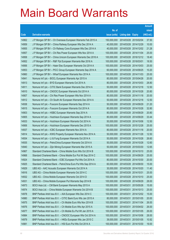|       |                                                              |               |                            |            | <b>Amount</b> |
|-------|--------------------------------------------------------------|---------------|----------------------------|------------|---------------|
|       |                                                              | No. of        |                            |            | raised        |
| Code  | <b>Derivative warrants</b>                                   | issue (units) | <b>Listing date Expiry</b> |            | (HK\$ mil.)   |
| 14962 | J P Morgan SP BV - Ch Overseas European Warrants Feb 2015 A  | 150,000,000   | 2014/03/28 2015/02/04      |            | 37.50         |
| 14959 | J P Morgan SP BV - China Railway European Wts Dec 2014 A     | 40,000,000    | 2014/03/28 2014/12/29      |            | 10.00         |
| 14955 | J P Morgan SP BV - Ch Railway Cons European Wts Dec 2014 A   | 40,000,000    | 2014/03/28 2014/12/02      |            | 21.28         |
| 14957 | J P Morgan SP BV - Chi Res Power European Wts Nov 2014 A     | 100,000,000   | 2014/03/28 2014/11/04      |            | 25.00         |
| 14958 | J P Morgan SP BV - China Unicom European Warrants Dec 2016 A | 100,000,000   | 2014/03/28 2016/12/12      |            | 18.40         |
| 14952 | J P Morgan SP BV - R&F Ppt European Warrants Mar 2016 A      | 100,000,000   | 2014/03/28 2016/03/01      |            | 18.50         |
| 14956 | J P Morgan SP BV - Haier Elec European Warrants Oct 2014 A   | 100,000,000   | 2014/03/28 2014/10/03      |            | 25.00         |
| 14953 | J P Morgan SP BV - PICC Group European Warrants Sep 2014 A   | 60,000,000    | 2014/03/28 2014/09/25      |            | 10.20         |
| 14960 | J P Morgan SP BV - Wharf European Warrants Nov 2014 A        | 100,000,000   | 2014/03/28 2014/11/03      |            | 25.00         |
| 14941 | Nomura Int'l plc - BOCL European Warrants Apr 2015 A         | 80,000,000    | 2014/03/28 2015/04/28      |            | 20.00         |
| 14913 | Nomura Int'l plc - BYD European Warrants Oct 2014 A          | 80,000,000    | 2014/03/28 2014/10/03      |            | 28.80         |
| 14911 | Nomura Int'l plc - CITIC Bank European Warrants Dec 2014 A   | 50,000,000    | 2014/03/28 2014/12/18      |            | 12.50         |
| 14910 | Nomura Int'l plc - CNOOC European Warrants Oct 2014 A        | 80,000,000    | 2014/03/28 2014/10/28      |            | 20.80         |
| 14907 | Nomura Int'l plc - Chi Res Power European Wts Nov 2014 A     | 80,000,000    | 2014/03/28 2014/11/18      |            | 20.00         |
| 14912 | Nomura Int'l plc - Ch South Air European Warrants Dec 2014 A | 50,000,000    | 2014/03/28 2014/12/18      |            | 12.50         |
| 14938 | Nomura Int'l plc - Foxconn European Warrants Sep 2014 A      | 50,000,000    | 2014/03/28 2014/09/29      |            | 21.20         |
| 14915 | Nomura Int'l plc - Foxconn European Warrants Oct 2014 A      | 80,000,000    | 2014/03/28 2014/10/28      |            | 32.80         |
| 14903 | Nomura Int'l plc - HSBC European Warrants Sep 2014 A         | 80,000,000    | 2014/03/28 2014/09/29      |            | 20.80         |
| 14905 | Nomura Int'l plc - Hutchison European Warrants Sep 2014 A    | 80,000,000    | 2014/03/28 2014/09/29      |            | 33.44         |
| 14933 | Nomura Int'l plc - Hutchison European Warrants Oct 2014 A    | 50,000,000    | 2014/03/28 2014/10/06      |            | 12.50         |
| 14906 | Nomura Int'l plc - Hutchison European Warrants Dec 2015 A    | 100,000,000   | 2014/03/28 2015/12/28      |            | 25.00         |
| 14937 | Nomura Int'l plc - ICBC European Warrants Nov 2014 A         | 80,000,000    | 2014/03/28 2014/11/18      |            | 20.00         |
| 14914 | Nomura Int'l plc - KWG Property European Warrants Nov 2014 A | 50,000,000    | 2014/03/28 2014/11/28      |            | 12.50         |
| 14934 | Nomura Int'l plc - Li & Fung European Warrants Oct 2014 A    | 50,000,000    | 2014/03/28 2014/10/28      |            | 26.60         |
| 14935 | Nomura Int'l plc - PetroChina European Warrants Oct 2014 A   | 50,000,000    | 2014/03/28 2014/10/28      |            | 12.60         |
| 14940 | Nomura Int'l plc - Zijin Mining European Warrants Mar 2015 A | 50,000,000    | 2014/03/28 2015/03/30      |            | 12.65         |
| 14967 | Standard Chartered Bank – China Mobile Euro Wts Oct 2014 B   | 100,000,000   | 2014/03/28 2014/10/10      |            | 25.00         |
| 14968 | Standard Chartered Bank - China Mobile Eur Put Wt Sep 2014 C | 100,000,000   | 2014/03/28 2014/09/29      |            | 25.00         |
| 14924 | Standard Chartered Bank - ICBC European Put Wts Oct 2014 A   | 80,000,000    | 2014/03/28 2014/10/30      |            | 20.00         |
| 14925 | Standard Chartered Bank - PetroChina Euro Put Wts Sep 2014 A | 60,000,000    | 2014/03/28 2014/09/30      |            | 15.00         |
| 14929 | UBS AG - AAC Acoustic European Warrants Oct 2014 A           | 30,000,000    | 2014/03/28 2014/10/20      |            | 11.40         |
| 14916 | UBS AG - China Mobile European Warrants Oct 2014 C           | 100,000,000   | 2014/03/28 2014/10/31      |            | 25.00         |
| 14932 | UBS AG - China Mobile European Warrants Oct 2014 D           | 100,000,000   | 2014/03/28 2014/10/10      |            | 25.00         |
| 14931 | UBS AG - China Mobile European Put Warrants Sep 2014 B       | 100,000,000   | 2014/03/28 2014/09/29      |            | 28.00         |
| 14973 | BOCI Asia Ltd. - CM Bank European Warrants May 2015 A        | 100,000,000   | 2014/03/31                 | 2015/05/26 | 15.00         |
| 14974 | BOCI Asia Ltd. - China Mobile European Warrants Oct 2014 B   | 100,000,000   | 2014/03/31 2014/10/13      |            | 25.00         |
| 14978 | BNP Paribas Arbit Issu B.V. - AIA European Wts Dec 2014 C    | 100,000,000   | 2014/03/31                 | 2014/12/02 | 15.00         |
| 14980 | BNP Paribas Arbit Issu B.V. - CITIC Bank Euro Wts Jan 2015 A | 80,000,000    | 2014/03/31 2015/01/05      |            | 20.00         |
| 14975 | BNP Paribas Arbit Issu B.V. - Ch Mobile Euro Wts Nov 2014 B  | 100,000,000   | 2014/03/31                 | 2014/11/04 | 26.00         |
| 14976 | BNP Paribas Arbit Issu B.V. - Ch Mobile Euro Wts Apr 2015 A  | 100,000,000   | 2014/03/31                 | 2015/04/02 | 26.00         |
| 14977 | BNP Paribas Arbit Issu B.V. - Ch Mobile Eu Put Wt Jan 2015 A | 100,000,000   | 2014/03/31                 | 2015/01/05 | 26.00         |
| 14984 | BNP Paribas Arbit Issu B.V. - CNOOC European Wts Oct 2014 A  | 100,000,000   | 2014/03/31 2014/10/06      |            | 28.00         |
| 14979 | BNP Paribas Arbit Issu B.V. - HKEx European Wts Jan 2015 C   | 39,000,000    | 2014/03/31                 | 2015/01/05 | 10.92         |
| 14981 | BNP Paribas Arbit Issu B.V. - HSI Euro Put Wts Oct 2014 A    | 100,000,000   | 2014/03/31                 | 2014/10/30 | 19.00         |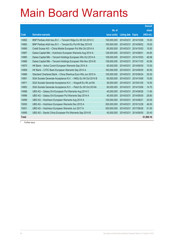|              |                                                              |               |                     |               | <b>Amount</b> |
|--------------|--------------------------------------------------------------|---------------|---------------------|---------------|---------------|
|              |                                                              | No. of        |                     |               | raised        |
| Code         | <b>Derivative warrants</b>                                   | issue (units) | <b>Listing date</b> | <b>Expiry</b> | (HK\$ mil.)   |
| 14982        | BNP Paribas Arbit Issu B.V. - Tencent HIdgs Eu Wt Oct 2014 C | 100,000,000   | 2014/03/31          | 2014/10/06    | 15.00         |
| 14983        | BNP Paribas Arbit Issu B.V. - Tencent Eu Put Wt Sep 2014 B   | 100,000,000   | 2014/03/31          | 2014/09/02    | 19.00         |
| 14990        | Credit Suisse AG - China Mobile European Put Wts Oct 2014 A  | 60,000,000    | 2014/03/31          | 2014/10/03    | 15.00         |
| 14987        | Daiwa Capital Mkt - Hutchison European Warrants Aug 2014 A   | 128,000,000   | 2014/03/31          | 2014/08/01    | 44.80         |
| 14985        | Daiwa Capital Mkt - Tencent Holdings European Wts Oct 2014 A | 158,000,000   | 2014/03/31          | 2014/10/03    | 48.98         |
| 14986        | Daiwa Capital Mkt - Tencent Holdings European Wts Nov 2014 B | 158,000,000   | 2014/03/31          | 2014/11/03    | 42.66         |
| 14970        | HK Bank - Anhui Conch European Warrants Sep 2014 A           | 60,000,000    | 2014/03/31          | 2014/09/30    | 15.00         |
| 14969        | HK Bank - CITIC Bank European Warrants Sep 2014 A            | 160.000.000   | 2014/03/31          | 2014/09/30    | 40.00         |
| 14988        | Standard Chartered Bank - China Shenhua Euro Wts Jun 2015 A  | 100,000,000   | 2014/03/31          | 2015/06/24    | 25.00         |
| 14991        | SGA Societe Generale Acceptance N.V. - HKEx Eu Wt Oct 2014 B | 60,000,000    | 2014/03/31          | 2014/10/06    | 15.00         |
| 14971        | SGA Societe Generale Acceptance N.V. - Kingsoft Eu Wt Ja15A  | 50,000,000    | 2014/03/31          | 2015/01/05    | 14.50         |
| 14993        | SGA Societe Generale Acceptance N.V. - Petch Eu Wt Oct 2014A | 60,000,000    | 2014/03/31          | 2014/10/06    | 14.70         |
| 14998        | UBS AG - Galaxy Ent European Put Warrants Aug 2014 C         | 40.000.000    | 2014/03/31          | 2014/08/26    | 11.60         |
| 14996        | UBS AG - Galaxy Ent European Put Warrants Sep 2014 A         | 40,000,000    | 2014/03/31          | 2014/09/30    | 28.80         |
| 14999        | UBS AG - Hutchison European Warrants Aug 2014 A              | 100,000,000   | 2014/03/31          | 2014/08/21    | 25.50         |
| 15000        | UBS AG - Hutchison European Warrants Dec 2015 A              | 300,000,000   | 2014/03/31          | 2015/12/28    | 46.50         |
| 15001        | UBS AG - Hutchison European Warrants Jun 2017 A              | 300,000,000   | 2014/03/31          | 2017/06/26    | 51.00         |
| 14995        | UBS AG - Sands China European Put Warrants Sep 2014 B        | 40,000,000    | 2014/03/31          | 2014/09/30    | 20.40         |
| <b>Total</b> |                                                              |               |                     |               | 51,909.16     |

# Further issue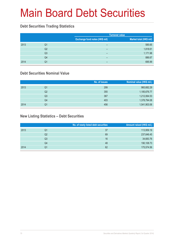# Main Board Debt Securities

#### **Debt Securities Trading Statistics**

|      |                |                                | <b>Turnover value</b>   |
|------|----------------|--------------------------------|-------------------------|
|      |                | Exchange fund notes (HK\$ mil) | Market total (HK\$ mil) |
| 2013 | Q1             | -                              | 585.65                  |
|      | Q2             | -                              | 1,818.61                |
|      | Q <sub>3</sub> | -                              | 1,171.98                |
|      | Q <sub>4</sub> | -                              | 886.67                  |
| 2014 | Q1             | -                              | 695.99                  |

#### **Debt Securities Nominal Value**

|      |    | No. of issues | Nominal value (HK\$ mil.) |
|------|----|---------------|---------------------------|
| 2013 | Q1 | 299           | 960,682.29                |
|      | Q2 | 355           | 1,185,676.77              |
|      | Q3 | 367           | 1,212,064.53              |
|      | Q4 | 403           | 1,378,794.08              |
| 2014 | Q1 | 456           | 1,541,903.06              |

#### **New Listing Statistics – Debt Securities**

|      |                | No. of newly listed debt securities | Amount raised (HK\$ mil.) |
|------|----------------|-------------------------------------|---------------------------|
| 2013 | Q1             | 37                                  | 113,959.19                |
|      | Q2             | 69                                  | 237,646.45                |
|      | Q <sub>3</sub> | 16                                  | 34,683.76                 |
|      | Q4             | 48                                  | 190,108.73                |
| 2014 | Q1             | 62                                  | 175,574.56                |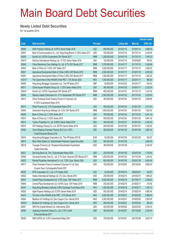## Main Board Debt Securities

#### **Newly Listed Debt Securities**

for 1st quarter 2014

|         |                                                                                                 |                  |               | <b>Amount raised</b> |                 |             |  |
|---------|-------------------------------------------------------------------------------------------------|------------------|---------------|----------------------|-----------------|-------------|--|
| Code    | <b>Debt securities</b>                                                                          | <b>Principal</b> |               | <b>Listing date</b>  | <b>Maturity</b> | (HK\$ mil.) |  |
| 06006   | KWG Property Holding Ltd. 8.975% Senior Notes 2019                                              | <b>USD</b>       | 600,000,000   | 2014/01/15           | 2019/01/14      | 4,680.00    |  |
| 06007   | Bank of Communications Co., Ltd. Hong Kong Branch 2.125% Notes 2017                             | <b>USD</b>       | 700,000,000   | 2014/01/16           | 2017/01/15      | 5,438.59    |  |
| 85939   | Kunzhi Ltd. 5.875% Guaranteed CNY Bonds 2017                                                    | <b>RMB</b>       | 1,200,000,000 | 2014/01/16           | 2017/01/15      | 1,540.20    |  |
| 05970 # | Wuzhou International Holdings Ltd. 13.75% Senior Notes 2018                                     | <b>USD</b>       | 100,000,000   | 2014/01/16           | 2018/09/26      | 780.00      |  |
| 85940   | China Electronics Corp Holdings Co. Ltd. 4.7% CNY Bonds 2017                                    | <b>RMB</b>       | 2,750,000,000 | 2014/01/17           | 2017/01/16      | 3,526.88    |  |
| 85942   | Bank of China Ltd. 3.45% CNY Notes 2017                                                         | <b>RMB</b>       | 2,500,000,000 | 2014/01/17           | 2017/01/16      | 3,206.25    |  |
| 85941   | Agricultural Development Bank of China 3.08% CNY Bonds 2016                                     | <b>RMB</b>       | 2,000,000,000 | 2014/01/17           | 2016/01/16      | 2,565.00    |  |
| 85943   | Agricultural Development Bank of China 3.28% CNY Bonds 2017                                     | <b>RMB</b>       | 1,000,000,000 | 2014/01/17           | 2017/01/16      | 1,282.50    |  |
| 04215 # | The Government of the HKSAR of the PRC 1.10% Bonds 2023                                         | <b>HKD</b>       | 1,000,000,000 | 2014/01/17           | 2023/01/17      | 866.80      |  |
| 06008   | Hong Kong Mortgage Corporation Ltd., The FR Notes 2015                                          | <b>GBP</b>       | 50,000,000    | 2014/01/20           | 2015/01/17      | 634.00      |  |
| 06011   | China Aoyuan Property Group Ltd. 11.25% Senior Notes 2019                                       | <b>USD</b>       | 300,000,000   | 2014/01/20           | 2019/01/17      | 2,322.54    |  |
| 85939#  | Kunzhi Ltd. 5.875% Guaranteed CNY Bonds 2017                                                    | <b>RMB</b>       | 800,000,000   | 2014/01/21           | 2017/01/15      | 1,037.50    |  |
| 85944   | Starway Assets Enterprises Inc. 4.1% Guaranteed CNY Bonds 2017                                  | <b>RMB</b>       | 2,500,000,000 | 2014/01/23           | 2017/01/22      | 3,205.00    |  |
| 06012   | China Overseas Grand Oceans Finance II (Cayman) Ltd.                                            | <b>USD</b>       | 400,000,000   | 2014/01/24           | 2019/01/23      | 3,089.96    |  |
|         | 5.125% Guaranteed Notes 2019                                                                    |                  |               |                      |                 |             |  |
| 06013   | Wharf Finance Ltd. 3.5% Guaranteed Notes 2019                                                   | <b>USD</b>       | 400,000,000   | 2014/01/24           | 2019/01/23      | 3,101.87    |  |
| 85945   | Greenland Hong Kong Holdings Ltd. 5.5% CNY Bonds 2018                                           | <b>RMB</b>       | 1,500,000,000 | 2014/01/24           | 2018/01/23      | 1,923.00    |  |
| 06009   | Bank of China Ltd. 2.125% Notes 2017                                                            | <b>USD</b>       | 750,000,000   | 2014/01/24           | 2017/01/23      | 5,841.05    |  |
| 06010   | Bank of China Ltd. 3.125% Notes 2019                                                            | <b>USD</b>       | 500,000,000   | 2014/01/24           | 2019/01/23      | 3,881.40    |  |
| 06014   | Yuzhou Properties Co. Ltd. 8.625% Senior Notes 2019                                             | <b>USD</b>       | 300,000,000   | 2014/01/27           | 2019/01/24      | 2,340.00    |  |
| 06016   | CIFI Holdings (Group) Co. Ltd. 8.875% Senior Notes 2019                                         | <b>USD</b>       | 200,000,000   | 2014/01/28           | 2019/01/27      | 1,552.90    |  |
| 06020   | China Shipping Overseas Finance 2013 Ltd. 4.25%<br>Credit Enhanced Bonds 2019                   | <b>USD</b>       | 500,000,000   | 2014/01/29           | 2019/01/28      | 3,882.30    |  |
| 06019   | Hong Kong Mortgage Corporation Ltd., The FR Notes 2015 B                                        | <b>EUR</b>       | 50,000,000    | 2014/01/29           | 2015/01/28      | 530.97      |  |
| 06015   | Moon Wise Global Ltd. Subordinated Perpetual Capital Securities                                 | <b>USD</b>       | 500,000,000   | 2014/01/29           | -               | 3,900.00    |  |
| 06018   | Towngas (Finance) Ltd. Perpetual Subordinated Guaranteed<br><b>Capital Securities</b>           | <b>USD</b>       | 300,000,000   | 2014/01/29           |                 | 2,340.00    |  |
| 06021   | Dah Sing Bank Ltd. Tier 2 Subordinated Notes 2024                                               | <b>USD</b>       | 225,000,000   | 2014/01/30           | 2024/01/29      | 1,740.80    |  |
| 85946   | Universal Number One Co., Ltd. 5.7% Guar. Secured CNY Bonds 2017                                | <b>RMB</b>       | 1,000,000,000 | 2014/01/30           | 2017/01/29      | 1,283.00    |  |
| 06023   | Wanda Properties International Co. Ltd. 7.25% Guar. Bonds 2024                                  | <b>USD</b>       | 600,000,000   | 2014/01/30           | 2024/01/29      | 4,634.89    |  |
| 06017   | China Overseas Finance Investment (Cayman) IV Ltd. Zero<br>Coupon Guar. Exchangeable Bonds 2021 | <b>USD</b>       | 750,000,000   | 2014/02/05           | 2021/02/04      | 5,850.00    |  |
| 06025   | MTR Corporation (C.I.) Ltd. 5.7% Notes 2029                                                     | <b>AUD</b>       | 50,000,000    | 2014/02/10           | 2029/02/07      | 343.87      |  |
| 06022   | Haitian International Holdings Ltd. 2% Conv. Bonds 2019                                         | <b>USD</b>       | 200,000,000   | 2014/02/14           | 2019/02/13      | 1,560.00    |  |
| 85947   | Central Plaza Development Ltd. 5.75% Guar. CNY Notes 2017                                       | <b>RMB</b>       | 2,000,000,000 | 2014/02/18           | 2017/02/17      | 2,556.60    |  |
| 85948   | Central Plaza Development Ltd. 6.875% Guar. CNY Notes 2019                                      | <b>RMB</b>       | 250,000,000   | 2014/02/18           | 2019/02/17      | 319.58      |  |
| 04047   | Hong Kong Monetary Authority 0.38% Exchange Fund Notes 2016                                     | <b>HKD</b>       | 1,200,000,000 | 2014/02/18           | 2016/02/17      | 1,200.12    |  |
| 06026   | Agile Property Holdings Ltd. 8.375% Senior Notes 2019                                           | <b>USD</b>       | 500,000,000   | 2014/02/19           | 2019/02/18      | 3,880.46    |  |
| 04219   | The Govt of the HKSAR of the PRC 1.47% Bonds 2019                                               | <b>HKD</b>       | 3,000,000,000 | 2014/02/21           | 2019/02/20      | 2,969.40    |  |
| 06024   | Biostime Int'l Holdings Ltd. Zero Coupon Conv. Bonds 2019                                       | <b>HKD</b>       | 2,500,000,000 | 2014/02/21           | 2019/02/20      | 2,500.00    |  |
| 06024 # | Biostime Int'l Holdings Ltd. Zero Coupon Conv. Bonds 2019                                       | <b>HKD</b>       | 600,000,000   | 2014/02/21           | 2019/02/20      | 600.00      |  |
| 06027   | SHK Ppt (Capital Market) Ltd. Instruments 2024                                                  | <b>USD</b>       | 400,000,000   | 2014/02/26           | 2024/02/25      | 3,094.20    |  |
| 06028   | Jingneng Investment Group Co., Ltd. 2.75% Credit<br>Enhanced Bonds 2017                         | <b>USD</b>       | 300,000,000   | 2014/02/27           | 2017/02/26      | 2,336.40    |  |
| 06029   | NWD (MTN) Ltd. 5.25% Guaranteed Notes 2021                                                      | <b>USD</b>       | 750,000,000   | 2014/02/27           | 2021/02/26      | 5,832.74    |  |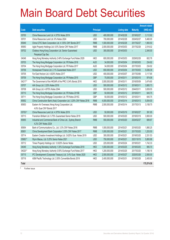# Main Board Debt Securities

|         |                                                                                    |            |               |                     |                 | <b>Amount raised</b> |
|---------|------------------------------------------------------------------------------------|------------|---------------|---------------------|-----------------|----------------------|
| Code    | <b>Debt securities</b>                                                             | Principal  |               | <b>Listing date</b> | <b>Maturity</b> | (HK\$ mil.)          |
| 05700   | China Resources Land Ltd. 4.375% Notes 2019                                        | <b>USD</b> | 400,000,000   | 2014/02/28          | 2019/02/27      | 3,112.92             |
| 05701   | China Resources Land Ltd, 6% Notes 2024                                            | <b>USD</b> | 700,000,000   | 2014/02/28          | 2024/02/27      | 5,460.00             |
| 85949   | China CITIC Bank Corporation Ltd. 4.125% CNY Bonds 2017                            | <b>RMB</b> | 1,500,000,000 | 2014/02/28          | 2017/02/27      | 1,900.50             |
| 85950   | Agile Property Holdings Ltd. 6.5% Senior CNY Notes 2017                            | <b>RMB</b> | 2,000,000,000 | 2014/03/03          | 2017/02/28      | 2,516.02             |
| 05702   | Chalieco Hong Kong Corporation Ltd. Senior Guaranteed<br>Perpetual Cap Sec         | <b>USD</b> | 300,000,000   | 2014/03/03          | ÷,              | 2,340.00             |
| 04048   | Hong Kong Monetary Authority 2.48% Exchange Fund Notes 2029                        | <b>HKD</b> | 600,000,000   | 2014/03/03          | 2029/02/28      | 602.76               |
| 05703   | The Hong Kong Mortgage Corporation Ltd. FR Notes 2016                              | <b>AUD</b> | 34,000,000    | 2014/03/04          | 2016/03/03      | 234.92               |
| 05704   | The Hong Kong Mortgage Corporation Ltd. FR Notes 2017                              | <b>AUD</b> | 34,000,000    | 2014/03/04          | 2017/03/03      | 234.92               |
| 05706   | Horsepower Finance Ltd. 2.1% Guaranteed Notes 2017                                 | <b>USD</b> | 650,000,000   | 2014/03/04          | 2017/03/03      | 5,036.39             |
| 05705   | Far East Horizon Ltd. 4.625% Notes 2017                                            | <b>USD</b> | 400,000,000   | 2014/03/07          | 2017/03/06      | 3,117.85             |
| 05709   | The Hong Kong Mortgage Corporation Ltd. FR Notes 2015                              | <b>GBP</b> | 75,000,000    | 2014/03/11          | 2015/03/10      | 974.06               |
| 04217#  | The Government of the HKSAR of the PRC 0.34% Bonds 2016                            | <b>HKD</b> | 3,500,000,000 | 2014/03/11          | 2016/05/09      | 3,474.80             |
| 05707   | AIA Group Ltd. 2.25% Notes 2019                                                    | <b>USD</b> | 500,000,000   | 2014/03/12          | 2019/03/11      | 3,885.73             |
| 05708   | AIA Group Ltd. 4.875% Notes 2044                                                   | <b>USD</b> | 500,000,000   | 2014/03/12          | 2044/03/11      | 3,839.55             |
| 05710   | The Hong Kong Mortgage Corporation Ltd. FR Notes 2015B                             | <b>GBP</b> | 50,000,000    | 2014/03/12          | 2015/03/11      | 645.75               |
| 05711   | The Hong Kong Mortgage Corporation Ltd. FR Notes 2015C                             | <b>GBP</b> | 50,000,000    | 2014/03/12          | 2015/03/11      | 645.75               |
| 85952   | China Construction Bank (Asia) Corporation Ltd. 3.25% CNY Notes 2016               | <b>RMB</b> | 4,000,000,000 | 2014/03/14          | 2016/03/13      | 5,054.00             |
| 85953   | Eastern Air Overseas (Hong Kong) Corporation Ltd.<br>4.8% Guar.CNY Bonds 2017      | <b>RMB</b> | 2,500,000,000 | 2014/03/14          | 2017/03/13      | 3,158.75             |
| 05700 # | China Resources Land Ltd. 4.375% Notes 2019                                        | <b>USD</b> | 50,000,000    | 2014/03/19          | 2019/02/27      | 391.95               |
| 05713   | Franshion Brilliant Ltd. 5.75% Guaranteed Senior Notes 2019                        | <b>USD</b> | 500,000,000   | 2014/03/20          | 2019/03/19      | 3,900.00             |
| 85955   | Industrial and Commercial Bank of China Ltd., Sydney Branch<br>4.2% CNY Notes 2024 | <b>RMB</b> | 550,000,000   | 2014/03/20          | 2024/02/27      | 689.87               |
| 85954   | Bank of Communications Co., Ltd. 3.3% CNY Notes 2016                               | <b>RMB</b> | 1,500,000,000 | 2014/03/21          | 2016/03/20      | 1,880.25             |
| 85951   | China Development Bank Corporation 3.35% CNY Notes 2017                            | <b>RMB</b> | 1,000,000,000 | 2014/03/21          | 2017/03/20      | 1,253.50             |
| 05714   | Eastern Creation Investment Holdings Ltd. 3.625% Guar. Notes 2019                  | <b>USD</b> | 300,000,000   | 2014/03/21          | 2019/03/20      | 2,331.53             |
| 05983 # | Wynn Macau, Ltd. 5.25% Senior Notes 2021                                           | <b>USD</b> | 750,000,000   | 2014/03/21          | 2021/10/15      | 5,893.88             |
| 05712   | Times Property Holdings Ltd. 12.625% Senior Notes                                  | <b>USD</b> | 225,000,000   | 2014/03/24          | 2019/03/21      | 1,742.33             |
| 04049   | Hong Kong Monetary Authority 1.35% Exchange Fund Notes 2019                        | <b>HKD</b> | 1,000,000,000 | 2014/03/25          | 2019/03/25      | 995.70               |
| 04025 # | Hong Kong Monetary Authority 0.55% Exchange Fund Notes 2017                        | <b>HKD</b> | 1,200,000,000 | 2014/03/25          | 2017/03/20      | 1,190.16             |
| 05715   | IFC Development (Corporate Treasury) Ltd. 3.4% Guar. Notes 2020                    | <b>HKD</b> | 2,500,000,000 | 2014/03/27          | 2020/03/26      | 2,500.00             |
| 05716   | ASM Pacific Technology Ltd. 2.00% Convertible Bonds 2019                           | <b>HKD</b> | 2,400,000,000 | 2014/03/31          | 2019/03/28      | 2,400.00             |
| Total   |                                                                                    |            |               |                     |                 | 175,574.56           |

# Further issue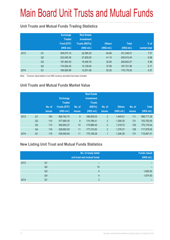# Main Board Unit Trusts and Mutual Funds

#### **Unit Trusts and Mutual Funds Trading Statistics**

|      |                | <b>Exchange</b><br><b>Traded</b><br>Fund (ETF)<br>(HK\$ mil.) | <b>Real Estate</b><br><b>Investment</b><br><b>Trusts (REITs)</b><br>(HK\$ mil.) | <b>Others</b><br>(HK\$ mil.) | <b>Total</b><br>(HK\$ mil.) | $%$ of<br>market total |
|------|----------------|---------------------------------------------------------------|---------------------------------------------------------------------------------|------------------------------|-----------------------------|------------------------|
| 2013 | Q <sub>1</sub> | 309,073.10                                                    | 22,090.25                                                                       | 84.66                        | 331,248.01                  | 7.57                   |
|      | Q <sub>2</sub> | 232,045.35                                                    | 27,829.00                                                                       | 41.10                        | 259,915.45                  | 6.98                   |
|      | Q <sub>3</sub> | 187,460.35                                                    | 19,308.78                                                                       | 32.94                        | 206,802.07                  | 5.98                   |
|      | Q4             | 174,554.43                                                    | 13,129.54                                                                       | 37.59                        | 187,721.56                  | 5.17                   |
| 2014 | Q1             | 166,595.89                                                    | 12,531.06                                                                       | 52.35                        | 179,179.30                  | 4.37                   |

Note: Turnover value traded in non-HKD currency securities have been included.

#### **Unit Trusts and Mutual Funds Market Value**

|      |                | No. of<br><b>issues</b> | <b>Exchange</b><br><b>Traded</b><br><b>Funds (ETF)</b><br>(HK\$ mil.) | No. of<br><b>issues</b> | <b>Real Estate</b><br><b>Investment</b><br><b>Trusts</b><br>(REITs)<br>(HK\$ mil.) | No. of<br><b>issues</b> | <b>Others</b><br>(HK\$ mil.) | No. of<br>issues | <b>Total</b><br>(HK\$ mil.) |
|------|----------------|-------------------------|-----------------------------------------------------------------------|-------------------------|------------------------------------------------------------------------------------|-------------------------|------------------------------|------------------|-----------------------------|
| 2013 | Q <sub>1</sub> | 100                     | 808,762.75                                                            | 9                       | 188,509.03                                                                         | 2                       | 1.445.61                     | 111              | 998,717.39                  |
|      | Q <sub>2</sub> | 110                     | 577,695.30                                                            | 9                       | 174,766.41                                                                         | $\overline{2}$          | 1,290.35                     | 121              | 753,752.05                  |
|      | Q <sub>3</sub> | 113                     | 592,893.27                                                            | 10                      | 175,966.45                                                                         | $\overline{2}$          | 1,319.72                     | 125              | 770,179.44                  |
|      | Q <sub>4</sub> | 116                     | 538,892.05                                                            | 11                      | 177,310.63                                                                         | $\overline{2}$          | 1,376.37                     | 129              | 717,579.05                  |
| 2014 | Q <sub>1</sub> | 119                     | 539,592.84                                                            | 11                      | 175,108.28                                                                         | 1                       | 1,246.28                     | 131              | 715,947.41                  |

#### **New Listing Unit Trust and Mutual Funds Statistics**

|      |                | No. of newly listed<br>unit trust and mutual funds | <b>Funds raised</b><br>(HK\$ mil.) |
|------|----------------|----------------------------------------------------|------------------------------------|
| 2013 | Q1             |                                                    |                                    |
|      | Q <sub>2</sub> | 10                                                 |                                    |
|      | Q <sub>3</sub> | 4                                                  | 1,650.50                           |
|      | Q4             | 4                                                  | 1,674.50                           |
| 2014 | Q1             | o                                                  |                                    |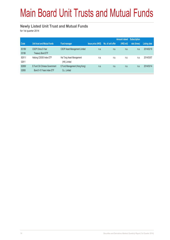# Main Board Unit Trusts and Mutual Funds

#### **Newly Listed Unit Trust and Mutual Funds**

for 1st quarter 2014

|        |                                    |                               |                           |                   | <b>Amount raised</b> | <b>Subscription</b> |                     |
|--------|------------------------------------|-------------------------------|---------------------------|-------------------|----------------------|---------------------|---------------------|
| Code   | <b>Unit trust and Mutual funds</b> | <b>Fund manager</b>           | <b>Issue price (HK\$)</b> | No. of unit offer | (HK\$ mil)           | rate (times)        | <b>Listing date</b> |
| 83199/ | CSOP China 5-Year                  | CSOP Asset Management Limited | n.a.                      | n.a.              | n.a.                 | n.a.                | 2014/02/19          |
| 03199  | <b>Treasury Bond ETF</b>           |                               |                           |                   |                      |                     |                     |
| 82811/ | Haitong CSI300 Index ETF           | Hai Tong Asset Management     | n.a.                      | n.a.              | n.a.                 | n.a.                | 2014/03/07          |
| 02811  |                                    | (HK) Limited                  |                           |                   |                      |                     |                     |
| 82808/ | E Fund Citi Chinese Government     | E Fund Management (Hong Kong) | n.a.                      | n.a.              | n.a.                 | n.a.                | 2014/03/14          |
| 02808  | Bond 5-10 Years Index ETF          | Co., Limited                  |                           |                   |                      |                     |                     |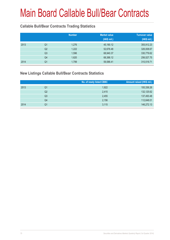#### **Callable Bull/Bear Contracts Trading Statistics**

|      |                | <b>Number</b> | <b>Market value</b><br>(HK\$ mil.) | <b>Turnover value</b><br>(HK\$ mil.) |
|------|----------------|---------------|------------------------------------|--------------------------------------|
| 2013 | Q <sub>1</sub> | 1,276         | 45,190.12                          | 355,912.23                           |
|      | Q <sub>2</sub> | 1,222         | 52,676.48                          | 326,008.67                           |
|      | Q <sub>3</sub> | 1,596         | 68,940.37                          | 330,779.62                           |
|      | Q4             | 1,620         | 68,388.12                          | 256,527.75                           |
| 2014 | Q1             | 1,799         | 59,586.41                          | 310,519.71                           |

#### **New Listings Callable Bull/Bear Contracts Statistics**

|      |    | No. of newly listed CBBC | Amount raised (HK\$ mil.) |
|------|----|--------------------------|---------------------------|
| 2013 | Q1 | 1,922                    | 100,336.26                |
|      | Q2 | 2,415                    | 132,125.62                |
|      | Q3 | 2,455                    | 137,493.48                |
|      | Q4 | 2,156                    | 112,648.01                |
| 2014 | Q1 | 3,115                    | 146,272.13                |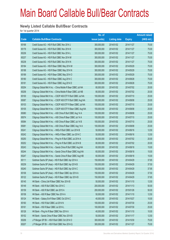#### **Newly Listed Callable Bull/Bear Contracts**

for 1st quarter 2014

|       |                                                               | No. of        |                     |               | <b>Amount raised</b> |
|-------|---------------------------------------------------------------|---------------|---------------------|---------------|----------------------|
| Code  | <b>Callable Bull/Bear Contracts</b>                           | issue (units) | <b>Listing date</b> | <b>Expiry</b> | (HK\$ mil.)          |
| 65168 | Credit Suisse AG - HSI R Bull CBBC Nov 2014 J                 | 300,000,000   | 2014/01/02          | 2014/11/27    | 75.00                |
| 65176 | Credit Suisse AG - HSI R Bull CBBC Nov 2014 K                 | 300,000,000   | 2014/01/02          | 2014/11/27    | 75.00                |
| 65236 | Credit Suisse AG - HSI R Bull CBBC Nov 2014 L                 | 300,000,000   | 2014/01/02          | 2014/11/27    | 75.00                |
| 65237 | Credit Suisse AG - HSI R Bull CBBC Nov 2014 M                 | 300,000,000   | 2014/01/02          | 2014/11/27    | 75.00                |
| 65238 | Credit Suisse AG - HSI R Bull CBBC Nov 2014 N                 | 300,000,000   | 2014/01/02          | 2014/11/27    | 75.00                |
| 65184 | Credit Suisse AG - HSI R Bear CBBC May 2014 M                 | 300,000,000   | 2014/01/02          | 2014/05/29    | 75.00                |
| 65188 | Credit Suisse AG - HSI R Bear CBBC May 2014 N                 | 300,000,000   | 2014/01/02          | 2014/05/29    | 75.00                |
| 65189 | Credit Suisse AG - HSI R Bear CBBC May 2014 O                 | 300,000,000   | 2014/01/02          | 2014/05/29    | 75.00                |
| 65180 | Credit Suisse AG - HSI R Bear CBBC Aug 2014 C                 | 300,000,000   | 2014/01/02          | 2014/08/28    | 75.00                |
| 65181 | Credit Suisse AG - HSI R Bear CBBC Aug 2014 D                 | 300,000,000   | 2014/01/02          | 2014/08/28    | 75.00                |
| 65254 | Citigroup Global Mkt H Inc. - China Mobile R Bear CBBC Jul14A | 80,000,000    | 2014/01/02          | 2014/07/02    | 20.00                |
| 65258 | Citigroup Global Mkt H Inc. - China Mobile R Bear CBBC Jul14B | 80,000,000    | 2014/01/02          | 2014/07/02    | 20.00                |
| 65100 | Citigroup Global Mkt H Inc. - CSOP A50 ETF R Bull CBBC Jul14A | 100,000,000   | 2014/01/02          | 2014/07/10    | 25.00                |
| 65087 | Citigroup Global Mkt H Inc. - CSOP A50 ETF R Bull CBBC Aug14A | 100,000,000   | 2014/01/02          | 2014/08/08    | 25.00                |
| 65103 | Citigroup Global Mkt H Inc. - CSOP A50 ETF R Bear CBBC Jul14A | 100,000,000   | 2014/01/02          | 2014/07/10    | 25.00                |
| 65105 | Citigroup Global Mkt H Inc. - CSOP A50 ETF R Bear CBBC Aug14A | 100,000,000   | 2014/01/02          | 2014/08/08    | 25.00                |
| 65080 | Citigroup Global Mkt H Inc. - A50 China R Bull CBBC Aug 14 A  | 100,000,000   | 2014/01/02          | 2014/08/08    | 25.00                |
| 65074 | Citigroup Global Mkt H Inc. - A50 China R Bear CBBC Jul 14 A  | 100,000,000   | 2014/01/02          | 2014/07/10    | 25.00                |
| 65084 | Citigroup Global Mkt H Inc. - A50 China R Bear CBBC Jul 14 B  | 100,000,000   | 2014/01/02          | 2014/07/10    | 25.00                |
| 65081 | Citigroup Global Mkt H Inc. - A50 China R Bear CBBC Aug 14 A  | 100,000,000   | 2014/01/02          | 2014/08/08    | 25.00                |
| 65241 | Citigroup Global Mkt H Inc. - HKEx R Bull CBBC Jun 2014 B     | 50,000,000    | 2014/01/02          | 2014/06/16    | 12.50                |
| 65242 | Citigroup Global Mkt H Inc. - HKEx R Bear CBBC Jun 2014 C     | 50,000,000    | 2014/01/02          | 2014/06/16    | 12.50                |
| 65250 | Citigroup Global Mkt H Inc. - Ping An R Bull CBBC Jul 2014 A  | 80,000,000    | 2014/01/02          | 2014/07/02    | 20.00                |
| 65252 | Citigroup Global Mkt H Inc. - Ping An R Bull CBBC Jul 2014 B  | 80,000,000    | 2014/01/02          | 2014/07/02    | 20.00                |
| 65243 | Citigroup Global Mkt H Inc. - Sands China R Bull CBBC Aug14A  | 60,000,000    | 2014/01/02          | 2014/08/18    | 15.00                |
| 65244 | Citigroup Global Mkt H Inc. - Sands China R Bear CBBC Aug14A  | 60,000,000    | 2014/01/02          | 2014/08/18    | 15.00                |
| 65247 | Citigroup Global Mkt H Inc. - Sands China R Bear CBBC Aug14B  | 60,000,000    | 2014/01/02          | 2014/08/18    | 15.00                |
| 65111 | Goldman Sachs SP (Asia) - HSI R Bull CBBC Apr 2014 A          | 150,000,000   | 2014/01/02          | 2014/04/29    | 37.65                |
| 65239 | Goldman Sachs SP (Asia) - HSI R Bull CBBC Apr 2014 B          | 150,000,000   | 2014/01/02          | 2014/04/29    | 37.50                |
| 65240 | Goldman Sachs SP (Asia) - HSI R Bull CBBC Apr 2014 C          | 150,000,000   | 2014/01/02          | 2014/04/29    | 37.95                |
| 65106 | Goldman Sachs SP (Asia) - HSI R Bear CBBC Apr 2014 A          | 150,000,000   | 2014/01/02          | 2014/04/29    | 37.50                |
| 65122 | Goldman Sachs SP (Asia) - HSI R Bear CBBC Apr 2014 B          | 150,000,000   | 2014/01/02          | 2014/04/29    | 37.65                |
| 65145 | HK Bank - China Life R Bear CBBC Nov 2014 B                   | 50,000,000    | 2014/01/02          | 2014/11/10    | 12.50                |
| 65149 | HK Bank - A50 R Bull CBBC Nov 2014 C                          | 200,000,000   | 2014/01/02          | 2014/11/13    | 50.00                |
| 65159 | HK Bank - A50 R Bull CBBC Jan 2015 A                          | 200,000,000   | 2014/01/02          | 2015/01/26    | 50.00                |
| 65158 | HK Bank - A50 R Bear CBBC Nov 2014 A                          | 50,000,000    | 2014/01/02          | 2014/11/10    | 12.50                |
| 65124 | HK Bank - Galaxy Ent R Bear CBBC Oct 2014 C                   | 40,000,000    | 2014/01/02          | 2014/10/27    | 10.00                |
| 65160 | HK Bank - HSI R Bull CBBC Jul 2014 N                          | 100,000,000   | 2014/01/02          | 2014/07/30    | 25.00                |
| 65161 | HK Bank - HSI R Bear CBBC Jul 2014 L                          | 100,000,000   | 2014/01/02          | 2014/07/30    | 25.00                |
| 65126 | HK Bank - Ping An R Bear CBBC Nov 2014 A                      | 40,000,000    | 2014/01/02          | 2014/11/10    | 10.00                |
| 65152 | HK Bank - Sands China R Bear CBBC Nov 2014 B                  | 50,000,000    | 2014/01/02          | 2014/11/17    | 12.50                |
| 65206 | J P Morgan SP BV - HSI R Bull CBBC Oct 2014 O                 | 300,000,000   | 2014/01/02          | 2014/10/30    | 75.00                |
| 65207 | J P Morgan SP BV - HSI R Bull CBBC Nov 2014 Q                 | 300,000,000   | 2014/01/02          | 2014/11/27    | 75.00                |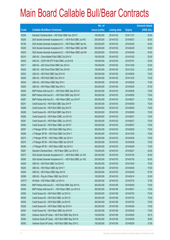|         |                                                                | No. of        |                     |               | <b>Amount raised</b> |
|---------|----------------------------------------------------------------|---------------|---------------------|---------------|----------------------|
| Code    | <b>Callable Bull/Bear Contracts</b>                            | issue (units) | <b>Listing date</b> | <b>Expiry</b> | (HK\$ mil.)          |
| 65208   | Standard Chartered Bank - HSI R Bull CBBC Nov 2014 F           | 100,000,000   | 2014/01/02          | 2014/11/27    | 25.00                |
| 65209   | SGA Societe Generale Acceptance N.V. - HSI R Bull CBBC Jun14C  | 200,000,000   | 2014/01/02          | 2014/06/27    | 50.00                |
| 65190   | SGA Societe Generale Acceptance N.V. - HSI R Bear CBBC Apr14L  | 200,000,000   | 2014/01/02          | 2014/04/29    | 50.00                |
| 65200   | SGA Societe Generale Acceptance N.V. - HSI R Bear CBBC Apr14M  | 200,000,000   | 2014/01/02          | 2014/04/29    | 50.00                |
| 65203   | SGA Societe Generale Acceptance N.V. - HSI R Bear CBBC Apr14N  | 200,000,000   | 2014/01/02          | 2014/04/29    | 50.00                |
| 65216   | UBS AG - China Mobile R Bull CBBC Oct 2014 D                   | 100,000,000   | 2014/01/02          | 2014/10/20    | 25.00                |
| 65225   | UBS AG - CSOP A50 ETF R Bull CBBC Jul 2014 B                   | 100,000,000   | 2014/01/02          | 2014/07/07    | 25.00                |
| 65217   | UBS AG - A50 China R Bull CBBC Dec 2014 A                      | 100,000,000   | 2014/01/02          | 2014/12/29    | 25.00                |
| 65220   | UBS AG - A50 China R Bull CBBC Dec 2014 B                      | 100,000,000   | 2014/01/02          | 2014/12/22    | 25.00                |
| 65233   | UBS AG - HSI R Bull CBBC Sep 2014 W                            | 300,000,000   | 2014/01/02          | 2014/09/29    | 75.00                |
| 65226   | UBS AG - HSI R Bull CBBC Dec 2014 H                            | 300,000,000   | 2014/01/02          | 2014/12/30    | 75.00                |
| 65204   | UBS AG - HSI R Bear CBBC May 2014 I                            | 300,000,000   | 2014/01/02          | 2014/05/29    | 75.00                |
| 65205   | UBS AG - HSI R Bear CBBC May 2014 J                            | 350,000,000   | 2014/01/02          | 2014/05/29    | 87.50                |
| 65293   | BNP Paribas Arbit Issu B.V. - HSI R Bull CBBC Sep 2014 Q       | 300,000,000   | 2014/01/03          | 2014/09/29    | 75.00                |
| 65294   | BNP Paribas Arbit Issu B.V. - HSI R Bull CBBC Sep 2014 R       | 300,000,000   | 2014/01/03          | 2014/09/29    | 75.00                |
| 65287   | BNP Paribas Arbit Issu B.V. - HSI R Bear CBBC Jun 2014 P       | 300,000,000   | 2014/01/03          | 2014/06/27    | 75.00                |
| 65291   | Credit Suisse AG - HSI R Bull CBBC Sep 2014 P                  | 300,000,000   | 2014/01/03          | 2014/09/29    | 75.00                |
| 65288   | Credit Suisse AG - HSI R Bull CBBC Sep 2014 R                  | 300,000,000   | 2014/01/03          | 2014/09/29    | 75.00                |
| 65289   | Credit Suisse AG - HSI R Bull CBBC Sep 2014 S                  | 300,000,000   | 2014/01/03          | 2014/09/29    | 75.00                |
| 65280   | Credit Suisse AG - HSI R Bear CBBC Jun 2014 D                  | 300,000,000   | 2014/01/03          | 2014/06/27    | 75.00                |
| 65281   | Credit Suisse AG - HSI R Bear CBBC Jun 2014 E                  | 300,000,000   | 2014/01/03          | 2014/06/27    | 75.00                |
| 65282   | Credit Suisse AG - HSI R Bear CBBC Jun 2014 F                  | 300,000,000   | 2014/01/03          | 2014/06/27    | 75.00                |
| 65297   | J P Morgan SP BV - HSI R Bull CBBC Sep 2014 J                  | 300,000,000   | 2014/01/03          | 2014/09/29    | 75.00                |
| 65298   | J P Morgan SP BV - HSI R Bull CBBC Oct 2014 Y                  | 300,000,000   | 2014/01/03          | 2014/10/30    | 75.00                |
| 65274   | J P Morgan SP BV - HSI R Bear CBBC Apr 2014 V                  | 300,000,000   | 2014/01/03          | 2014/04/29    | 75.00                |
| 65276   | J P Morgan SP BV - HSI R Bear CBBC Apr 2014 W                  | 300,000,000   | 2014/01/03          | 2014/04/29    | 75.00                |
| 65296   | J P Morgan SP BV - HSI R Bear CBBC Apr 2014 X                  | 300,000,000   | 2014/01/03          | 2014/04/29    | 75.00                |
| 65267   | Standard Chartered Bank - HSI R Bear CBBC Jun 2014 O           | 100,000,000   | 2014/01/03          | 2014/06/27    | 25.00                |
| 65273   | SGA Societe Generale Acceptance N.V. - HSI R Bull CBBC Jul 14H | 200,000,000   | 2014/01/03          | 2014/07/30    | 50.00                |
| 65295   | SGA Societe Generale Acceptance N.V. - HSI R Bull CBBC Jul 14Q | 200,000,000   | 2014/01/03          | 2014/07/30    | 50.00                |
| 65292   | UBS AG - HSI R Bull CBBC Oct 2014 E                            | 300,000,000   | 2014/01/03          | 2014/10/30    | 75.00                |
| 65283   | UBS AG - HSI R Bear CBBC Apr 2014 T                            | 300,000,000   | 2014/01/03          | 2014/04/29    | 75.00                |
| 65284   | UBS AG - HSI R Bear CBBC May 2014 K                            | 350,000,000   | 2014/01/03          | 2014/05/29    | 87.50                |
| 65286   | UBS AG - Ping An R Bear CBBC Apr 2014 E                        | 100,000,000   | 2014/01/03          | 2014/04/14    | 25.00                |
| 63373 # | HK Bank - HSI R Bear CBBC Jul 2014 A                           | 200,000,000   | 2014/01/03          | 2014/07/30    | 37.80                |
| 65349   | BNP Paribas Arbit Issu B.V. - HSI R Bull CBBC Sep 2014 S       | 300,000,000   | 2014/01/06          | 2014/09/29    | 75.00                |
| 65329   | BNP Paribas Arbit Issu B.V. - HSI R Bear CBBC Jun 2014 Q       | 300,000,000   | 2014/01/06          | 2014/06/27    | 75.00                |
| 65355   | Credit Suisse AG - HSI R Bull CBBC Jul 2014 O                  | 300,000,000   | 2014/01/06          | 2014/07/30    | 75.00                |
| 65350   | Credit Suisse AG - HSI R Bull CBBC Jul 2014 Q                  | 300,000,000   | 2014/01/06          | 2014/07/30    | 75.00                |
| 65352   | Credit Suisse AG - HSI R Bull CBBC Jul 2014 R                  | 300,000,000   | 2014/01/06          | 2014/07/30    | 75.00                |
| 65328   | Credit Suisse AG - HSI R Bear CBBC Apr 2014 H                  | 300,000,000   | 2014/01/06          | 2014/04/29    | 75.00                |
| 65324   | Credit Suisse AG - HSI R Bear CBBC Apr 2014 M                  | 300,000,000   | 2014/01/06          | 2014/04/29    | 75.00                |
| 65361   | Goldman Sachs SP (Asia) - HSI R Bull CBBC May 2014 A           | 150,000,000   | 2014/01/06          | 2014/05/29    | 39.15                |
| 65362   | Goldman Sachs SP (Asia) - HSI R Bull CBBC May 2014 B           | 150,000,000   | 2014/01/06          | 2014/05/29    | 38.85                |
| 65363   | Goldman Sachs SP (Asia) - HSI R Bull CBBC May 2014 C           | 150,000,000   | 2014/01/06          | 2014/05/29    | 37.95                |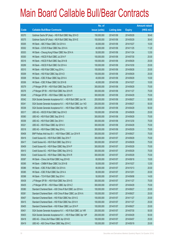|       |                                                                | No. of        |                     |               | <b>Amount raised</b> |
|-------|----------------------------------------------------------------|---------------|---------------------|---------------|----------------------|
| Code  | <b>Callable Bull/Bear Contracts</b>                            | issue (units) | <b>Listing date</b> | <b>Expiry</b> | $(HK$$ mil.)         |
| 65370 | Goldman Sachs SP (Asia) - HSI R Bull CBBC May 2014 D           | 150,000,000   | 2014/01/06          | 2014/05/29    | 38.40                |
| 65375 | Goldman Sachs SP (Asia) - HSI R Bull CBBC May 2014 E           | 150,000,000   | 2014/01/06          | 2014/05/29    | 38.40                |
| 65305 | HK Bank - ABC R Bear CBBC Oct 2014 A                           | 40,000,000    | 2014/01/06          | 2014/10/27    | 10.00                |
| 65302 | HK Bank - COVS R Bear CBBC Nov 2014 A                          | 40,000,000    | 2014/01/06          | 2014/11/25    | 11.20                |
| 65303 | HK Bank - Cheung Kong R Bear CBBC Nov 2014 A                   | 50,000,000    | 2014/01/06          | 2014/11/24    | 12.50                |
| 65300 | HK Bank - HSCEI R Bull CBBC Jul 2014 F                         | 100,000,000   | 2014/01/06          | 2014/07/30    | 25.00                |
| 65316 | HK Bank - HSCEI R Bull CBBC Sep 2014 B                         | 100,000,000   | 2014/01/06          | 2014/09/29    | 25.00                |
| 65299 | HK Bank - HSCEI R Bull CBBC Oct 2014 A                         | 100,000,000   | 2014/01/06          | 2014/10/30    | 25.00                |
| 65310 | HK Bank - HSI R Bull CBBC Aug 2014 J                           | 100,000,000   | 2014/01/06          | 2014/08/28    | 25.00                |
| 65309 | HK Bank - HSI R Bull CBBC Sep 2014 D                           | 100,000,000   | 2014/01/06          | 2014/09/29    | 25.00                |
| 65308 | HK Bank - ICBC R Bear CBBC Sep 2014 A                          | 40,000,000    | 2014/01/06          | 2014/09/29    | 10.00                |
| 65306 | HK Bank - ICBC R Bear CBBC Oct 2014 B                          | 40,000,000    | 2014/01/06          | 2014/10/27    | 10.00                |
| 65379 | J P Morgan SP BV - HSI R Bull CBBC Sep 2014 K                  | 300,000,000   | 2014/01/06          | 2014/09/29    | 75.00                |
| 65376 | J P Morgan SP BV - HSI R Bull CBBC Nov 2014 R                  | 300,000,000   | 2014/01/06          | 2014/11/27    | 75.00                |
| 65348 | J P Morgan SP BV - HSI R Bear CBBC Apr 2014 Y                  | 300,000,000   | 2014/01/06          | 2014/04/29    | 75.00                |
| 65342 | SGA Societe Generale Acceptance N.V. - HSI R Bull CBBC Jun 14I | 200,000,000   | 2014/01/06          | 2014/06/27    | 50.00                |
| 65341 | SGA Societe Generale Acceptance N.V. - HSI R Bull CBBC Jun 140 | 200,000,000   | 2014/01/06          | 2014/06/27    | 50.00                |
| 65336 | SGA Societe Generale Acceptance N.V. - HSI R Bear CBBC Apr 14O | 200,000,000   | 2014/01/06          | 2014/04/29    | 50.00                |
| 65317 | UBS AG - HSCEI R Bull CBBC Sep 2014 D                          | 100,000,000   | 2014/01/06          | 2014/09/29    | 25.00                |
| 65360 | UBS AG - HSI R Bull CBBC Sep 2014 S                            | 300,000,000   | 2014/01/06          | 2014/09/29    | 75.00                |
| 65358 | UBS AG - HSI R Bull CBBC Dec 2014 I                            | 300,000,000   | 2014/01/06          | 2014/12/30    | 75.00                |
| 65321 | UBS AG - HSI R Bear CBBC Apr 2014 X                            | 300,000,000   | 2014/01/06          | 2014/04/29    | 75.00                |
| 65318 | UBS AG - HSI R Bear CBBC May 2014 L                            | 300,000,000   | 2014/01/06          | 2014/05/29    | 75.00                |
| 65408 | BNP Paribas Arbit Issu B.V. - HSI R Bear CBBC Jun 2014 R       | 300,000,000   | 2014/01/07          | 2014/06/27    | 75.00                |
| 65416 | Credit Suisse AG - HSI R Bull CBBC Sep 2014 T                  | 300,000,000   | 2014/01/07          | 2014/09/29    | 75.00                |
| 65417 | Credit Suisse AG - HSI R Bull CBBC Sep 2014 U                  | 300,000,000   | 2014/01/07          | 2014/09/29    | 75.00                |
| 65409 | Credit Suisse AG - HSI R Bear CBBC May 2014 P                  | 300,000,000   | 2014/01/07          | 2014/05/29    | 75.00                |
| 65410 | Credit Suisse AG - HSI R Bear CBBC May 2014 Q                  | 300,000,000   | 2014/01/07          | 2014/05/29    | 75.00                |
| 65434 | Credit Suisse AG - HSI R Bear CBBC May 2014 R                  | 300,000,000   | 2014/01/07          | 2014/05/29    | 75.00                |
| 65397 | HK Bank - China Life R Bull CBBC Aug 2014 B                    | 60,000,000    | 2014/01/07          | 2014/08/18    | 15.00                |
| 65395 | HK Bank - CNBM R Bear CBBC Oct 2014 B                          | 50,000,000    | 2014/01/07          | 2014/10/27    | 12.50                |
| 65386 | HK Bank - ICBC R Bull CBBC Oct 2014 A                          | 80,000,000    | 2014/01/07          | 2014/10/13    | 20.00                |
| 65385 | HK Bank - ICBC R Bull CBBC Dec 2014 A                          | 80,000,000    | 2014/01/07          | 2014/12/01    | 20.00                |
| 65398 | HK Bank - TCH R Bull CBBC Sep 2014 I                           | 50,000,000    | 2014/01/07          | 2014/09/08    | 14.00                |
| 65438 | J P Morgan SP BV - HSI R Bull CBBC Nov 2014 S                  | 300,000,000   | 2014/01/07          | 2014/11/27    | 75.00                |
| 65435 | J P Morgan SP BV - HSI R Bear CBBC Apr 2014 Z                  | 300,000,000   | 2014/01/07          | 2014/04/29    | 75.00                |
| 65380 | Standard Chartered Bank - A50 China R Bull CBBC Jun 2014 A     | 100,000,000   | 2014/01/07          | 2014/06/27    | 25.00                |
| 65381 | Standard Chartered Bank - A50 China R Bear CBBC Jun 2014 A     | 100,000,000   | 2014/01/07          | 2014/06/27    | 25.00                |
| 65407 | Standard Chartered Bank - HSI R Bull CBBC Nov 2014 G           | 100,000,000   | 2014/01/07          | 2014/11/27    | 25.00                |
| 65415 | Standard Chartered Bank - HSI R Bull CBBC Nov 2014 H           | 100,000,000   | 2014/01/07          | 2014/11/27    | 25.00                |
| 65405 | Standard Chartered Bank - HSI R Bear CBBC Jun 2014 P           | 100,000,000   | 2014/01/07          | 2014/06/27    | 25.00                |
| 65401 | SGA Societe Generale Acceptance N.V. - HSI R Bull CBBC Jul 14R | 200,000,000   | 2014/01/07          | 2014/07/30    | 50.00                |
| 65403 | SGA Societe Generale Acceptance N.V. - HSI R Bear CBBC Apr 14P | 200,000,000   | 2014/01/07          | 2014/04/29    | 50.00                |
| 65418 | UBS AG - China Life R Bear CBBC Apr 2014 B                     | 100,000,000   | 2014/01/07          | 2014/04/07    | 25.00                |
| 65419 | UBS AG - A50 China R Bear CBBC May 2014 C                      | 100,000,000   | 2014/01/07          | 2014/05/19    | 25.00                |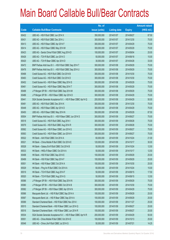|                          |                                                                | No. of        |                     |               | <b>Amount raised</b> |
|--------------------------|----------------------------------------------------------------|---------------|---------------------|---------------|----------------------|
| $\overline{\text{Code}}$ | <b>Callable Bull/Bear Contracts</b>                            | issue (units) | <b>Listing date</b> | <b>Expiry</b> | (HK\$ mil.)          |
| 65432                    | UBS AG - HSI R Bull CBBC Jun 2014 X                            | 350,000,000   | 2014/01/07          | 2014/06/27    | 87.50                |
| 65431                    | UBS AG - HSI R Bull CBBC Dec 2014 J                            | 300,000,000   | 2014/01/07          | 2014/12/30    | 75.00                |
| 65413                    | UBS AG - HSI R Bear CBBC Apr 2014 F                            | 300,000,000   | 2014/01/07          | 2014/04/29    | 75.00                |
| 65414                    | UBS AG - HSI R Bear CBBC May 2014 M                            | 300,000,000   | 2014/01/07          | 2014/05/29    | 75.00                |
| 65423                    | UBS AG - Sands China R Bull CBBC Aug 2014 D                    | 100,000,000   | 2014/01/07          | 2014/08/04    | 25.00                |
| 65426                    | UBS AG - TCH R Bull CBBC Jun 2014 O                            | 50,000,000    | 2014/01/07          | 2014/06/18    | 15.00                |
| 65420                    | UBS AG - TCH R Bear CBBC Apr 2014 D                            | 30,000,000    | 2014/01/07          | 2014/04/28    | 33.00                |
| 65472                    | BNP Paribas Arbit Issu B.V. - HSI R Bull CBBC Sep 2014 T       | 300,000,000   | 2014/01/08          | 2014/09/29    | 75.00                |
| 65476                    | BNP Paribas Arbit Issu B.V. - HSI R Bull CBBC Sep 2014 U       | 300,000,000   | 2014/01/08          | 2014/09/29    | 75.00                |
| 65468                    | Credit Suisse AG - HSI R Bull CBBC Oct 2014 B                  | 300,000,000   | 2014/01/08          | 2014/10/30    | 75.00                |
| 65463                    | Credit Suisse AG - HSI R Bull CBBC Oct 2014 D                  | 300,000,000   | 2014/01/08          | 2014/10/30    | 75.00                |
| 65452                    | Credit Suisse AG - HSI R Bear CBBC May 2014 S                  | 300,000,000   | 2014/01/08          | 2014/05/29    | 75.00                |
| 65461                    | Credit Suisse AG - HSI R Bear CBBC May 2014 T                  | 300,000,000   | 2014/01/08          | 2014/05/29    | 75.00                |
| 65488                    | J P Morgan SP BV - HSI R Bull CBBC Sep 2014 M                  | 300,000,000   | 2014/01/08          | 2014/09/29    | 75.00                |
| 65486                    | J P Morgan SP BV - HSI R Bear CBBC Apr 2014 D                  | 300,000,000   | 2014/01/08          | 2014/04/29    | 75.00                |
| 65441                    | SGA Societe Generale Acceptance N.V. - HSI R Bear CBBC Apr14 Q | 200,000,000   | 2014/01/08          | 2014/04/29    | 50.00                |
| 65481                    | UBS AG - HSI R Bull CBBC Dec 2014 K                            | 300,000,000   | 2014/01/08          | 2014/12/30    | 75.00                |
| 65448                    | UBS AG - HSI R Bear CBBC Apr 2014 D                            | 300,000,000   | 2014/01/08          | 2014/04/29    | 75.00                |
| 65450                    | UBS AG - HSI R Bear CBBC May 2014 N                            | 350,000,000   | 2014/01/08          | 2014/05/29    | 87.50                |
| 65504                    | BNP Paribas Arbit Issu B.V. - HSI R Bear CBBC Jun 2014 S       | 300,000,000   | 2014/01/09          | 2014/06/27    | 75.00                |
| 65518                    | Credit Suisse AG - HSI R Bull CBBC Aug 2014 I                  | 300,000,000   | 2014/01/09          | 2014/08/28    | 75.00                |
| 65579                    | Credit Suisse AG - HSI R Bull CBBC Aug 2014 R                  | 300,000,000   | 2014/01/09          | 2014/08/28    | 75.00                |
| 65562                    | Credit Suisse AG - HSI R Bear CBBC Jun 2014 G                  | 300,000,000   | 2014/01/09          | 2014/06/27    | 75.00                |
| 65563                    | Credit Suisse AG - HSI R Bear CBBC Jun 2014 H                  | 300,000,000   | 2014/01/09          | 2014/06/27    | 75.00                |
| 65522                    | HK Bank - AIA R Bull CBBC Oct 2014 A                           | 60,000,000    | 2014/01/09          | 2014/10/24    | 21.00                |
| 65521                    | HK Bank - China Mobile R Bull CBBC Oct 2014 E                  | 120,000,000   | 2014/01/09          | 2014/10/17    | 30.00                |
| 65528                    | HK Bank - Galaxy Ent R Bull CBBC Oct 2014 B                    | 50,000,000    | 2014/01/09          | 2014/10/24    | 12.50                |
| 65533                    | HK Bank - HKEx R Bear CBBC Oct 2014 A                          | 50,000,000    | 2014/01/09          | 2014/10/17    | 12.50                |
| 65498                    | HK Bank - HSI R Bull CBBC Sep 2014 E                           | 100,000,000   | 2014/01/09          | 2014/09/29    | 25.00                |
| 65499                    | HK Bank - HSI R Bull CBBC Sep 2014 F                           | 100,000,000   | 2014/01/09          | 2014/09/29    | 25.00                |
| 65501                    | HK Bank - HSI R Bear CBBC Oct 2014 A                           | 100,000,000   | 2014/01/09          | 2014/10/30    | 25.00                |
| 65529                    | HK Bank - Ping An R Bull CBBC Oct 2014 A                       | 60,000,000    | 2014/01/09          | 2014/10/24    | 15.00                |
| 65519                    | HK Bank - TCH R Bull CBBC Aug 2014 F                           | 50,000,000    | 2014/01/09          | 2014/08/15    | 17.50                |
| 65520                    | HK Bank - TCH R Bull CBBC Aug 2014 G                           | 50,000,000    | 2014/01/09          | 2014/08/15    | 12.50                |
| 65586                    | J P Morgan SP BV - HSI R Bull CBBC Sep 2014 N                  | 300,000,000   | 2014/01/09          | 2014/09/29    | 75.00                |
| 65580                    | J P Morgan SP BV - HSI R Bull CBBC Oct 2014 B                  | 300,000,000   | 2014/01/09          | 2014/10/30    | 75.00                |
| 65582                    | J P Morgan SP BV - HSI R Bear CBBC Apr 2014 N                  | 300,000,000   | 2014/01/09          | 2014/04/29    | 75.00                |
| 65566                    | Macquarie Bank Ltd. - HSI R Bull CBBC Sep 2014 A               | 100,000,000   | 2014/01/09          | 2014/09/29    | 25.00                |
| 65567                    | Macquarie Bank Ltd. - HSI R Bear CBBC Sep 2014 A               | 100,000,000   | 2014/01/09          | 2014/09/29    | 25.00                |
| 65589                    | Standard Chartered Bank - HSI R Bull CBBC Nov 2014 I           | 100,000,000   | 2014/01/09          | 2014/11/27    | 25.00                |
| 65515                    | Standard Chartered Bank - HSI R Bear CBBC Jun 2014 Q           | 100,000,000   | 2014/01/09          | 2014/06/27    | 25.00                |
| 65516                    | Standard Chartered Bank - HSI R Bear CBBC Jun 2014 R           | 100,000,000   | 2014/01/09          | 2014/06/27    | 25.00                |
| 65534                    | SGA Societe Generale Acceptance N.V. - HSI R Bear CBBC Apr14 R | 200,000,000   | 2014/01/09          | 2014/04/29    | 50.00                |
| 65551                    | UBS AG - China Mobile R Bull CBBC Oct 2014 E                   | 100,000,000   | 2014/01/09          | 2014/10/13    | 25.00                |
| 65548                    | UBS AG - China Life R Bull CBBC Jul 2014 G                     | 50,000,000    | 2014/01/09          | 2014/07/21    | 14.25                |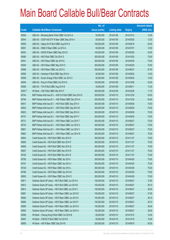|        |                                                             | No. of        |                     |               | <b>Amount raised</b> |
|--------|-------------------------------------------------------------|---------------|---------------------|---------------|----------------------|
| Code   | <b>Callable Bull/Bear Contracts</b>                         | issue (units) | <b>Listing date</b> | <b>Expiry</b> | $(HK$$ mil.)         |
| 65550  | UBS AG - Minsheng Bank R Bull CBBC Oct 2014 A               | 50,000,000    | 2014/01/09          | 2014/10/13    | 12.50                |
| 65544  | UBS AG - CSOP A50 ETF R Bear CBBC May 2014 A                | 50,000,000    | 2014/01/09          | 2014/05/26    | 12.50                |
| 65559  | UBS AG - Galaxy Ent R Bull CBBC Aug 2014 A                  | 100,000,000   | 2014/01/09          | 2014/08/18    | 25.00                |
| 65561  | UBS AG - HSBC R Bear CBBC Jul 2014 A                        | 50,000,000    | 2014/01/09          | 2014/07/07    | 12.50                |
| 65542  | UBS AG - HSCEI R Bear CBBC May 2014 E                       | 100,000,000   | 2014/01/09          | 2014/05/29    | 25.00                |
| 65569  | UBS AG - HSI R Bull CBBC Oct 2014 G                         | 300,000,000   | 2014/01/09          | 2014/10/30    | 75.00                |
| 65541  | UBS AG - HSI R Bear CBBC Apr 2014 E                         | 300,000,000   | 2014/01/09          | 2014/04/29    | 75.00                |
| 65539  | UBS AG - HSI R Bear CBBC May 2014 O                         | 300,000,000   | 2014/01/09          | 2014/05/29    | 75.00                |
| 65568  | UBS AG - HSI R Bear CBBC Jun 2014 C                         | 350,000,000   | 2014/01/09          | 2014/06/27    | 87.50                |
| 65560  | UBS AG - Hutchison R Bull CBBC Sep 2014 A                   | 50,000,000    | 2014/01/09          | 2014/09/22    | 12.50                |
| 65558  | UBS AG - Kunlun Energy R Bull CBBC Jun 2014 C               | 50,000,000    | 2014/01/09          | 2014/06/30    | 12.50                |
| 65549  | UBS AG - Ping An R Bull CBBC Oct 2014 D                     | 100,000,000   | 2014/01/09          | 2014/10/06    | 25.00                |
| 65556  | UBS AG - TCH R Bull CBBC Aug 2014 B                         | 30,000,000    | 2014/01/09          | 2014/08/11    | 13.35                |
| 62507# | HK Bank - HSI R Bull CBBC Mar 2014 F                        | 300,000,000   | 2014/01/09          | 2014/03/28    | 11.70                |
| 65744  | BNP Paribas Arbit Issu B.V. - A50 Ch R Bull CBBC Dec 2014 D | 200,000,000   | 2014/01/10          | 2014/12/30    | 50.00                |
| 65746  | BNP Paribas Arbit Issu B.V. - A50 R Bear CBBC Dec 2014 A    | 200,000,000   | 2014/01/10          | 2014/12/30    | 50.00                |
| 65631  | BNP Paribas Arbit Issu B.V. - HSI R Bull CBBC Sep 2014 V    | 300,000,000   | 2014/01/10          | 2014/09/29    | 75.00                |
| 65632  | BNP Paribas Arbit Issu B.V. - HSI R Bull CBBC Sep 2014 W    | 300,000,000   | 2014/01/10          | 2014/09/29    | 75.00                |
| 65633  | BNP Paribas Arbit Issu B.V. - HSI R Bull CBBC Sep 2014 X    | 300,000,000   | 2014/01/10          | 2014/09/29    | 75.00                |
| 65747  | BNP Paribas Arbit Issu B.V. - HSI R Bull CBBC Sep 2014 Y    | 300,000,000   | 2014/01/10          | 2014/09/29    | 75.00                |
| 65731  | BNP Paribas Arbit Issu B.V. - HSI R Bear CBBC Jun 2014 T    | 300,000,000   | 2014/01/10          | 2014/06/27    | 75.00                |
| 65733  | BNP Paribas Arbit Issu B.V. - HSI R Bear CBBC Jun 2014 U    | 300,000,000   | 2014/01/10          | 2014/06/27    | 75.00                |
| 65801  | BNP Paribas Arbit Issu B.V. - HSI R Bear CBBC Jun 2014 V    | 300,000,000   | 2014/01/10          | 2014/06/27    | 75.00                |
| 65802  | BNP Paribas Arbit Issu B.V. - HSI R Bear CBBC Jun 2014 W    | 300,000,000   | 2014/01/10          | 2014/06/27    | 75.00                |
| 65644  | Credit Suisse AG - HSI R Bull CBBC Nov 2014 O               | 300,000,000   | 2014/01/10          | 2014/11/27    | 75.00                |
| 65650  | Credit Suisse AG - HSI R Bull CBBC Nov 2014 P               | 300,000,000   | 2014/01/10          | 2014/11/27    | 75.00                |
| 65656  | Credit Suisse AG - HSI R Bull CBBC Nov 2014 Q               | 300,000,000   | 2014/01/10          | 2014/11/27    | 75.00                |
| 65657  | Credit Suisse AG - HSI R Bull CBBC Nov 2014 R               | 300,000,000   | 2014/01/10          | 2014/11/27    | 75.00                |
| 65726  | Credit Suisse AG - HSI R Bull CBBC Nov 2014 S               | 300,000,000   | 2014/01/10          | 2014/11/27    | 75.00                |
| 65790  | Credit Suisse AG - HSI R Bear CBBC Apr 2014 I               | 300,000,000   | 2014/01/10          | 2014/04/29    | 75.00                |
| 65791  | Credit Suisse AG - HSI R Bear CBBC Apr 2014 J               | 300,000,000   | 2014/01/10          | 2014/04/29    | 75.00                |
| 65728  | Credit Suisse AG - HSI R Bear CBBC Apr 2014 L               | 300,000,000   | 2014/01/10          | 2014/04/29    | 75.00                |
| 65786  | Credit Suisse AG - HSI R Bear CBBC Apr 2014 N               | 300,000,000   | 2014/01/10          | 2014/04/29    | 75.00                |
| 65800  | Credit Suisse AG - HSI R Bear CBBC Apr 2014 O               | 300,000,000   | 2014/01/10          | 2014/04/29    | 75.00                |
| 65811  | Goldman Sachs SP (Asia) - HSI R Bull CBBC Jun 2014 A        | 150,000,000   | 2014/01/10          | 2014/06/27    | 37.80                |
| 65812  | Goldman Sachs SP (Asia) - HSI R Bull CBBC Jun 2014 B        | 150,000,000   | 2014/01/10          | 2014/06/27    | 38.10                |
| 65813  | Goldman Sachs SP (Asia) - HSI R Bull CBBC Jun 2014 C        | 150,000,000   | 2014/01/10          | 2014/06/27    | 38.25                |
| 65681  | Goldman Sachs SP (Asia) - HSI R Bear CBBC Jun 2014 D        | 150,000,000   | 2014/01/10          | 2014/06/27    | 37.95                |
| 65682  | Goldman Sachs SP (Asia) - HSI R Bear CBBC Jun 2014 E        | 150,000,000   | 2014/01/10          | 2014/06/27    | 38.10                |
| 65685  | Goldman Sachs SP (Asia) - HSI R Bear CBBC Jun 2014 F        | 150,000,000   | 2014/01/10          | 2014/06/27    | 38.10                |
| 65690  | Goldman Sachs SP (Asia) - HSI R Bear CBBC Jun 2014 G        | 150,000,000   | 2014/01/10          | 2014/06/27    | 38.40                |
| 65693  | Goldman Sachs SP (Asia) - HSI R Bear CBBC Jun 2014 H        | 150,000,000   | 2014/01/10          | 2014/06/27    | 38.55                |
| 65599  | HK Bank - Cheung Kong R Bull CBBC Oct 2014 B                | 60,000,000    | 2014/01/10          | 2014/10/15    | 15.00                |
| 65597  | HK Bank - CNOOC R Bull CBBC Oct 2014 B                      | 60,000,000    | 2014/01/10          | 2014/10/15    | 15.00                |
| 65608  | HK Bank - A50 R Bear CBBC Sep 2014 B                        | 200,000,000   | 2014/01/10          | 2014/09/19    | 50.00                |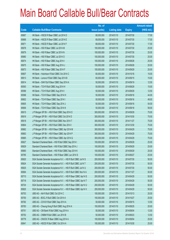|       |                                                                | No. of        |                     |               | <b>Amount raised</b> |
|-------|----------------------------------------------------------------|---------------|---------------------|---------------|----------------------|
| Code  | <b>Callable Bull/Bear Contracts</b>                            | issue (units) | <b>Listing date</b> | <b>Expiry</b> | $(HK$$ mil.)         |
| 65667 | HK Bank - HSCEI R Bear CBBC Jul 2014 D                         | 68,000,000    | 2014/01/10          | 2014/07/30    | 17.00                |
| 65668 | HK Bank - HSCEI R Bear CBBC Jul 2014 E                         | 68,000,000    | 2014/01/10          | 2014/07/30    | 17.00                |
| 65671 | HK Bank - HSCEI R Bear CBBC Jul 2014 F                         | 68,000,000    | 2014/01/10          | 2014/07/30    | 17.00                |
| 65678 | HK Bank - HSI R Bear CBBC Jul 2014 M                           | 100,000,000   | 2014/01/10          | 2014/07/30    | 25.00                |
| 65679 | HK Bank - HSI R Bear CBBC Jul 2014 N                           | 100,000,000   | 2014/01/10          | 2014/07/30    | 25.00                |
| 65680 | HK Bank - HSI R Bear CBBC Jul 2014 O                           | 100,000,000   | 2014/01/10          | 2014/07/30    | 25.00                |
| 65674 | HK Bank - HSI R Bear CBBC Aug 2014 I                           | 100,000,000   | 2014/01/10          | 2014/08/28    | 25.00                |
| 65675 | HK Bank - HSI R Bear CBBC Aug 2014 J                           | 100,000,000   | 2014/01/10          | 2014/08/28    | 25.00                |
| 65673 | HK Bank - HSI R Bear CBBC Sep 2014 F                           | 100,000,000   | 2014/01/10          | 2014/09/29    | 25.00                |
| 65607 | HK Bank - Hutchison R Bull CBBC Oct 2014 C                     | 60,000,000    | 2014/01/10          | 2014/10/16    | 15.00                |
| 65613 | HK Bank - Lenovo R Bull CBBC Sep 2014 B                        | 60,000,000    | 2014/01/10          | 2014/09/15    | 15.00                |
| 65614 | HK Bank - SHK Ppt R Bear CBBC Sep 2014 A                       | 50,000,000    | 2014/01/10          | 2014/09/19    | 12.50                |
| 65593 | HK Bank - TCH R Bull CBBC Aug 2014 H                           | 50,000,000    | 2014/01/10          | 2014/08/29    | 15.00                |
| 65596 | HK Bank - TCH R Bull CBBC Aug 2014 I                           | 50,000,000    | 2014/01/10          | 2014/08/29    | 12.50                |
| 65598 | HK Bank - TCH R Bear CBBC Sep 2014 H                           | 50,000,000    | 2014/01/10          | 2014/09/16    | 44.00                |
| 65602 | HK Bank - TCH R Bear CBBC Sep 2014 I                           | 50,000,000    | 2014/01/10          | 2014/09/16    | 49.00                |
| 65605 | HK Bank - TCH R Bear CBBC Sep 2014 J                           | 50,000,000    | 2014/01/10          | 2014/09/16    | 54.00                |
| 65606 | HK Bank - TCH R Bear CBBC Sep 2014 K                           | 50,000,000    | 2014/01/10          | 2014/09/16    | 59.00                |
| 65615 | J P Morgan SP BV - HSI R Bull CBBC Sep 2014 O                  | 300,000,000   | 2014/01/10          | 2014/09/29    | 75.00                |
| 65616 | J P Morgan SP BV - HSI R Bull CBBC Oct 2014 D                  | 300,000,000   | 2014/01/10          | 2014/10/30    | 75.00                |
| 65618 | J P Morgan SP BV - HSI R Bull CBBC Nov 2014 T                  | 300,000,000   | 2014/01/10          | 2014/11/27    | 75.00                |
| 65804 | J P Morgan SP BV - HSI R Bull CBBC Dec 2014 I                  | 300,000,000   | 2014/01/10          | 2014/12/30    | 75.00                |
| 65662 | J P Morgan SP BV - HSI R Bear CBBC Apr 2014 M                  | 300,000,000   | 2014/01/10          | 2014/04/29    | 75.00                |
| 65663 | J P Morgan SP BV - HSI R Bear CBBC Apr 2014 P                  | 300,000,000   | 2014/01/10          | 2014/04/29    | 75.00                |
| 65665 | J P Morgan SP BV - HSI R Bear CBBC Apr 2014 Q                  | 300,000,000   | 2014/01/10          | 2014/04/29    | 75.00                |
| 65627 | Standard Chartered Bank - HSI R Bull CBBC Sep 2014 I           | 100,000,000   | 2014/01/10          | 2014/09/29    | 25.00                |
| 65629 | Standard Chartered Bank - HSI R Bull CBBC Sep 2014 J           | 100,000,000   | 2014/01/10          | 2014/09/29    | 25.00                |
| 65660 | Standard Chartered Bank - HSI R Bull CBBC Sep 2014 K           | 100,000,000   | 2014/01/10          | 2014/09/29    | 25.00                |
| 65785 | Standard Chartered Bank - HSI R Bear CBBC Jun 2014 S           | 100,000,000   | 2014/01/10          | 2014/06/27    | 25.00                |
| 65620 | SGA Societe Generale Acceptance N.V. - HSI R Bull CBBC Jul14 S | 200,000,000   | 2014/01/10          | 2014/07/30    | 50.00                |
| 65624 | SGA Societe Generale Acceptance N.V. - HSI R Bull CBBC Jul14 T | 200,000,000   | 2014/01/10          | 2014/07/30    | 50.00                |
| 65625 | SGA Societe Generale Acceptance N.V. - HSI R Bull CBBC Jul14 U | 200,000,000   | 2014/01/10          | 2014/07/30    | 50.00                |
| 65694 | SGA Societe Generale Acceptance N.V. - HSI R Bull CBBC Nov14 A | 200,000,000   | 2014/01/10          | 2014/11/27    | 50.00                |
| 65710 | SGA Societe Generale Acceptance N.V. - HSI R Bear CBBC Apr14 S | 200,000,000   | 2014/01/10          | 2014/04/29    | 50.00                |
| 65718 | SGA Societe Generale Acceptance N.V. - HSI R Bear CBBC Apr14 T | 200,000,000   | 2014/01/10          | 2014/04/29    | 50.00                |
| 65724 | SGA Societe Generale Acceptance N.V. - HSI R Bear CBBC Apr14 U | 200,000,000   | 2014/01/10          | 2014/04/29    | 50.00                |
| 65825 | SGA Societe Generale Acceptance N.V. - HSI R Bear CBBC Apr14 V | 200,000,000   | 2014/01/10          | 2014/04/29    | 50.00                |
| 65753 | UBS AG - AIA R Bull CBBC Oct 2014 C                            | 100,000,000   | 2014/01/10          | 2014/10/13    | 25.00                |
| 65750 | UBS AG - BOCL R Bull CBBC Oct 2014 A                           | 100,000,000   | 2014/01/10          | 2014/10/27    | 25.00                |
| 65782 | UBS AG - COVS R Bull CBBC Sep 2014 A                           | 50,000,000    | 2014/01/10          | 2014/09/15    | 12.50                |
| 65783 | UBS AG - Cheung Kong R Bull CBBC Aug 2014 A                    | 100,000,000   | 2014/01/10          | 2014/08/25    | 25.00                |
| 65751 | UBS AG - CM Bank R Bull CBBC Aug 2014 A                        | 50,000,000    | 2014/01/10          | 2014/08/04    | 12.50                |
| 65752 | UBS AG - CNBM R Bull CBBC Jun 2014 B                           | 50,000,000    | 2014/01/10          | 2014/06/23    | 12.50                |
| 65779 | UBS AG - CNOOC R Bear CBBC Aug 2014 A                          | 100,000,000   | 2014/01/10          | 2014/08/04    | 25.00                |
| 65641 | UBS AG - HSCEI R Bull CBBC Oct 2014 A                          | 100,000,000   | 2014/01/10          | 2014/10/30    | 25.00                |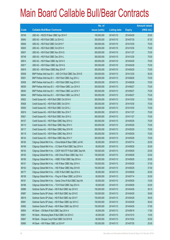|       |                                                               | No. of        |                     |               | <b>Amount raised</b> |
|-------|---------------------------------------------------------------|---------------|---------------------|---------------|----------------------|
| Code  | <b>Callable Bull/Bear Contracts</b>                           | issue (units) | <b>Listing date</b> | <b>Expiry</b> | (HK\$ mil.)          |
| 65749 | UBS AG - HSCEI R Bear CBBC Apr 2014 F                         | 100,000,000   | 2014/01/10          | 2014/04/29    | 25.00                |
| 65640 | UBS AG - HSI R Bull CBBC Jul 2014 Q                           | 350,000,000   | 2014/01/10          | 2014/07/30    | 87.50                |
| 65636 | UBS AG - HSI R Bull CBBC Oct 2014 F                           | 300,000,000   | 2014/01/10          | 2014/10/30    | 75.00                |
| 65635 | UBS AG - HSI R Bull CBBC Oct 2014 H                           | 300,000,000   | 2014/01/10          | 2014/10/30    | 75.00                |
| 65637 | UBS AG - HSI R Bull CBBC Nov 2014 G                           | 300,000,000   | 2014/01/10          | 2014/11/27    | 75.00                |
| 65748 | UBS AG - HSI R Bull CBBC Dec 2014 L                           | 300,000,000   | 2014/01/10          | 2014/12/30    | 75.00                |
| 65814 | UBS AG - HSI R Bear CBBC Apr 2014 O                           | 300,000,000   | 2014/01/10          | 2014/04/29    | 75.00                |
| 65817 | UBS AG - HSI R Bear CBBC Apr 2014 Q                           | 300,000,000   | 2014/01/10          | 2014/04/29    | 75.00                |
| 65816 | UBS AG - HSI R Bear CBBC May 2014 P                           | 300,000,000   | 2014/01/10          | 2014/05/29    | 75.00                |
| 65938 | BNP Paribas Arbit Issu B.V. - A50 Ch R Bull CBBC Dec 2014 E   | 200,000,000   | 2014/01/13          | 2014/12/30    | 50.00                |
| 65931 | BNP Paribas Arbit Issu B.V. - HSI R Bull CBBC Aug 2014 J      | 300,000,000   | 2014/01/13          | 2014/08/28    | 75.00                |
| 65936 | BNP Paribas Arbit Issu B.V. - HSI R Bull CBBC Aug 2014 O      | 300,000,000   | 2014/01/13          | 2014/08/28    | 75.00                |
| 66036 | BNP Paribas Arbit Issu B.V. - HSI R Bear CBBC Jun 2014 X      | 300,000,000   | 2014/01/13          | 2014/06/27    | 75.00                |
| 66040 | BNP Paribas Arbit Issu B.V. - HSI R Bear CBBC Jun 2014 Y      | 300,000,000   | 2014/01/13          | 2014/06/27    | 75.00                |
| 66044 | BNP Paribas Arbit Issu B.V. - HSI R Bear CBBC Jun 2014 Z      | 300,000,000   | 2014/01/13          | 2014/06/27    | 75.00                |
| 65922 | Credit Suisse AG - HSI R Bull CBBC Oct 2014 H                 | 300,000,000   | 2014/01/13          | 2014/10/30    | 75.00                |
| 65928 | Credit Suisse AG - HSI R Bull CBBC Oct 2014 I                 | 300,000,000   | 2014/01/13          | 2014/10/30    | 75.00                |
| 65930 | Credit Suisse AG - HSI R Bull CBBC Oct 2014 J                 | 300,000,000   | 2014/01/13          | 2014/10/30    | 75.00                |
| 65919 | Credit Suisse AG - HSI R Bull CBBC Nov 2014 T                 | 300,000,000   | 2014/01/13          | 2014/11/27    | 75.00                |
| 65921 | Credit Suisse AG - HSI R Bull CBBC Nov 2014 U                 | 300,000,000   | 2014/01/13          | 2014/11/27    | 75.00                |
| 66107 | Credit Suisse AG - HSI R Bear CBBC May 2014 U                 | 300,000,000   | 2014/01/13          | 2014/05/29    | 75.00                |
| 66110 | Credit Suisse AG - HSI R Bear CBBC May 2014 V                 | 300,000,000   | 2014/01/13          | 2014/05/29    | 75.00                |
| 66117 | Credit Suisse AG - HSI R Bear CBBC May 2014 W                 | 300,000,000   | 2014/01/13          | 2014/05/29    | 75.00                |
| 66118 | Credit Suisse AG - HSI R Bear CBBC May 2014 X                 | 300,000,000   | 2014/01/13          | 2014/05/29    | 75.00                |
| 66134 | Credit Suisse AG - HSI R Bear CBBC May 2014 Y                 | 300,000,000   | 2014/01/13          | 2014/05/29    | 75.00                |
| 66160 | Citigroup Global Mkt H Inc. - China Mobile R Bear CBBC Jul14C | 80,000,000    | 2014/01/13          | 2014/07/14    | 20.00                |
| 66169 | Citigroup Global Mkt H Inc. - CC Bank R Bull CBBC Sep 2014 A  | 80,000,000    | 2014/01/13          | 2014/09/29    | 20.00                |
| 66154 | Citigroup Global Mkt H Inc. - CSOP A50 ETF R Bull CBBC Sep14A | 100,000,000   | 2014/01/13          | 2014/09/29    | 25.00                |
| 66155 | Citigroup Global Mkt H Inc. - A50 China R Bear CBBC Sep 14 A  | 100,000,000   | 2014/01/13          | 2014/09/29    | 25.00                |
| 66165 | Citigroup Global Mkt H Inc. - HSBC R Bull CBBC Sep 2014 A     | 80,000,000    | 2014/01/13          | 2014/09/29    | 20.00                |
| 66151 | Citigroup Global Mkt H Inc. - HSI R Bear CBBC May 2014 A      | 150,000,000   | 2014/01/13          | 2014/05/29    | 37.50                |
| 66152 | Citigroup Global Mkt H Inc. - HSI R Bear CBBC May 2014 B      | 150,000,000   | 2014/01/13          | 2014/05/29    | 37.50                |
| 66177 | Citigroup Global Mkt H Inc. - ICBC R Bull CBBC Sep 2014 A     | 80,000,000    | 2014/01/13          | 2014/09/29    | 20.00                |
| 66156 | Citigroup Global Mkt H Inc. - Ping An R Bear CBBC Jul 2014 A  | 80,000,000    | 2014/01/13          | 2014/07/14    | 20.00                |
| 66161 | Citigroup Global Mkt H Inc. - Sands China R Bull CBBC Sep14A  | 60,000,000    | 2014/01/13          | 2014/09/29    | 15.00                |
| 66166 | Citigroup Global Mkt H Inc. - TCH R Bull CBBC Sep 2014 A      | 50,000,000    | 2014/01/13          | 2014/09/29    | 20.00                |
| 65986 | Goldman Sachs SP (Asia) - HSI R Bull CBBC Apr 2014 D          | 150,000,000   | 2014/01/13          | 2014/04/29    | 38.10                |
| 65987 | Goldman Sachs SP (Asia) - HSI R Bull CBBC Apr 2014 E          | 150,000,000   | 2014/01/13          | 2014/04/29    | 39.90                |
| 66018 | Goldman Sachs SP (Asia) - HSI R Bull CBBC Apr 2014 F          | 150,000,000   | 2014/01/13          | 2014/04/29    | 39.45                |
| 65991 | Goldman Sachs SP (Asia) - HSI R Bear CBBC Apr 2014 C          | 150,000,000   | 2014/01/13          | 2014/04/29    | 38.40                |
| 65992 | Goldman Sachs SP (Asia) - HSI R Bear CBBC Apr 2014 D          | 150,000,000   | 2014/01/13          | 2014/04/29    | 37.95                |
| 65854 | HK Bank - CM Bank R Bull CBBC Sep 2014 A                      | 40,000,000    | 2014/01/13          | 2014/09/19    | 17.60                |
| 65851 | HK Bank - Minsheng Bank R Bull CBBC Oct 2014 C                | 40,000,000    | 2014/01/13          | 2014/10/10    | 10.00                |
| 65847 | HK Bank - Sinopec Corp R Bull CBBC Oct 2014 B                 | 80,000,000    | 2014/01/13          | 2014/10/24    | 20.00                |
| 65965 | HK Bank - HSI R Bear CBBC Jul 2014 P                          | 100,000,000   | 2014/01/13          | 2014/07/30    | 25.00                |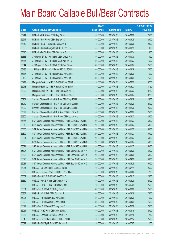|       |                                                                | No. of        |                     |               | <b>Amount raised</b> |
|-------|----------------------------------------------------------------|---------------|---------------------|---------------|----------------------|
| Code  | <b>Callable Bull/Bear Contracts</b>                            | issue (units) | <b>Listing date</b> | <b>Expiry</b> | $(HK$$ mil.)         |
| 65944 | HK Bank - HSI R Bear CBBC Aug 2014 K                           | 100,000,000   | 2014/01/13          | 2014/08/28    | 25.00                |
| 65941 | HK Bank - HSI R Bear CBBC Sep 2014 G                           | 100,000,000   | 2014/01/13          | 2014/09/29    | 25.00                |
| 65849 | HK Bank - ICBC R Bull CBBC Sep 2014 B                          | 80,000,000    | 2014/01/13          | 2014/09/26    | 20.00                |
| 65850 | HK Bank - Kunlun Energy R Bull CBBC Sep 2014 C                 | 40,000,000    | 2014/01/13          | 2014/09/19    | 10.00                |
| 65846 | HK Bank - PetCh R Bull CBBC Oct 2014 B                         | 60,000,000    | 2014/01/13          | 2014/10/24    | 15.00                |
| 65838 | J P Morgan SP BV - HSI R Bull CBBC Oct 2014 M                  | 300,000,000   | 2014/01/13          | 2014/10/30    | 75.00                |
| 65837 | J P Morgan SP BV - HSI R Bull CBBC Nov 2014 U                  | 300,000,000   | 2014/01/13          | 2014/11/27    | 75.00                |
| 65844 | J P Morgan SP BV - HSI R Bull CBBC Nov 2014 V                  | 300,000,000   | 2014/01/13          | 2014/11/27    | 75.00                |
| 66136 | J P Morgan SP BV - HSI R Bear CBBC Apr 2014 R                  | 300,000,000   | 2014/01/13          | 2014/04/29    | 75.00                |
| 66137 | JP Morgan SP BV - HSI R Bear CBBC Apr 2014 S                   | 300,000,000   | 2014/01/13          | 2014/04/29    | 75.00                |
| 66138 | J P Morgan SP BV - HSI R Bear CBBC Apr 2014 T                  | 300,000,000   | 2014/01/13          | 2014/04/29    | 75.00                |
| 65917 | Macquarie Bank Ltd. - HSI R Bull CBBC Jun 2014 B               | 150,000,000   | 2014/01/13          | 2014/06/27    | 37.50                |
| 65918 | Macquarie Bank Ltd. - HSI R Bull CBBC Jun 2014 C               | 150,000,000   | 2014/01/13          | 2014/06/27    | 37.50                |
| 65902 | Macquarie Bank Ltd. - HSI R Bear CBBC Jun 2014 B               | 150,000,000   | 2014/01/13          | 2014/06/27    | 37.50                |
| 65905 | Macquarie Bank Ltd. - HSI R Bear CBBC Jun 2014 C               | 150,000,000   | 2014/01/13          | 2014/06/27    | 37.50                |
| 65901 | Standard Chartered Bank - HSI R Bull CBBC Sep 2014 L           | 100,000,000   | 2014/01/13          | 2014/09/29    | 25.00                |
| 66019 | Standard Chartered Bank - HSI R Bull CBBC Sep 2014 M           | 100,000,000   | 2014/01/13          | 2014/09/29    | 25.00                |
| 66020 | Standard Chartered Bank - HSI R Bull CBBC Dec 2014 S           | 100,000,000   | 2014/01/13          | 2014/12/30    | 25.00                |
| 65899 | Standard Chartered Bank - HSI R Bear CBBC Jun 2014 T           | 100,000,000   | 2014/01/13          | 2014/06/27    | 25.00                |
| 65900 | Standard Chartered Bank - HSI R Bear CBBC Jun 2014 U           | 100,000,000   | 2014/01/13          | 2014/06/27    | 25.00                |
| 65877 | SGA Societe Generale Acceptance N.V. - HSI R Bull CBBC Nov14 B | 200,000,000   | 2014/01/13          | 2014/11/27    | 50.00                |
| 65878 | SGA Societe Generale Acceptance N.V. - HSI R Bull CBBC Nov14 C | 200,000,000   | 2014/01/13          | 2014/11/27    | 50.00                |
| 65888 | SGA Societe Generale Acceptance N.V. - HSI R Bull CBBC Nov14 D | 200,000,000   | 2014/01/13          | 2014/11/27    | 50.00                |
| 65890 | SGA Societe Generale Acceptance N.V. - HSI R Bull CBBC Nov14 E | 200,000,000   | 2014/01/13          | 2014/11/27    | 50.00                |
| 65891 | SGA Societe Generale Acceptance N.V. - HSI R Bull CBBC Nov14 F | 200,000,000   | 2014/01/13          | 2014/11/27    | 50.00                |
| 65896 | SGA Societe Generale Acceptance N.V. - HSI R Bull CBBC Nov14 G | 200,000,000   | 2014/01/13          | 2014/11/27    | 50.00                |
| 66024 | SGA Societe Generale Acceptance N.V. - HSI R Bull CBBC Nov14 H | 200,000,000   | 2014/01/13          | 2014/11/27    | 50.00                |
| 65897 | SGA Societe Generale Acceptance N.V. - HSI R Bear CBBC Apr14 W | 200,000,000   | 2014/01/13          | 2014/04/29    | 50.00                |
| 65898 | SGA Societe Generale Acceptance N.V. - HSI R Bear CBBC Apr14 X | 200,000,000   | 2014/01/13          | 2014/04/29    | 50.00                |
| 66028 | SGA Societe Generale Acceptance N.V. - HSI R Bear CBBC Apr14 Y | 200,000,000   | 2014/01/13          | 2014/04/29    | 50.00                |
| 66031 | SGA Societe Generale Acceptance N.V. - HSI R Bear CBBC Apr14 Z | 200,000,000   | 2014/01/13          | 2014/04/29    | 50.00                |
| 66054 | UBS AG - CC Bank R Bull CBBC Jul 2014 E                        | 100,000,000   | 2014/01/13          | 2014/07/14    | 25.00                |
| 66082 | UBS AG - Sinopec Corp R Bull CBBC Oct 2014 A                   | 50,000,000    | 2014/01/13          | 2014/10/06    | 12.50                |
| 66059 | UBS AG - HKEx R Bull CBBC Sep 2014 C                           | 100,000,000   | 2014/01/13          | 2014/09/15    | 25.00                |
| 65869 | UBS AG - HSCEI R Bear CBBC Apr 2014 G                          | 100,000,000   | 2014/01/13          | 2014/04/29    | 25.00                |
| 65863 | UBS AG - HSCEI R Bear CBBC May 2014 F                          | 100,000,000   | 2014/01/13          | 2014/05/29    | 25.00                |
| 65861 | UBS AG - HSI R Bull CBBC Aug 2014 Q                            | 300,000,000   | 2014/01/13          | 2014/08/28    | 75.00                |
| 65857 | UBS AG - HSI R Bull CBBC Aug 2014 T                            | 300,000,000   | 2014/01/13          | 2014/08/28    | 75.00                |
| 66096 | UBS AG - HSI R Bear CBBC Apr 2014 B                            | 300,000,000   | 2014/01/13          | 2014/04/29    | 75.00                |
| 66099 | UBS AG - HSI R Bear CBBC Apr 2014 N                            | 300,000,000   | 2014/01/13          | 2014/04/29    | 75.00                |
| 66097 | UBS AG - HSI R Bear CBBC May 2014 Q                            | 300,000,000   | 2014/01/13          | 2014/05/29    | 75.00                |
| 66051 | UBS AG - ICBC R Bull CBBC Aug 2014 A                           | 100,000,000   | 2014/01/13          | 2014/08/18    | 25.00                |
| 66053 | UBS AG - Lenovo R Bull CBBC Dec 2014 A                         | 50,000,000    | 2014/01/13          | 2014/12/15    | 12.50                |
| 66049 | UBS AG - Sands China R Bull CBBC Jul 2014 E                    | 100,000,000   | 2014/01/13          | 2014/07/14    | 25.00                |
| 66092 | UBS AG - SHK Ppt R Bull CBBC Jul 2014 A                        | 50,000,000    | 2014/01/13          | 2014/07/07    | 12.50                |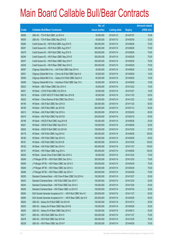|       |                                                                | No. of        |                     |               | <b>Amount raised</b> |
|-------|----------------------------------------------------------------|---------------|---------------------|---------------|----------------------|
| Code  | <b>Callable Bull/Bear Contracts</b>                            | issue (units) | <b>Listing date</b> | <b>Expiry</b> | $(HK$$ mil.)         |
| 66056 | UBS AG - TCH R Bull CBBC Jul 2014 K                            | 40,000,000    | 2014/01/13          | 2014/07/07    | 10.00                |
| 66055 | UBS AG - TCH R Bear CBBC May 2014 D                            | 40,000,000    | 2014/01/13          | 2014/05/05    | 33.20                |
| 66285 | Credit Suisse AG - HSI R Bull CBBC Aug 2014 D                  | 300,000,000   | 2014/01/14          | 2014/08/28    | 75.00                |
| 66291 | Credit Suisse AG - HSI R Bull CBBC Aug 2014 F                  | 300,000,000   | 2014/01/14          | 2014/08/28    | 75.00                |
| 66279 | Credit Suisse AG - HSI R Bull CBBC Aug 2014 S                  | 300,000,000   | 2014/01/14          | 2014/08/28    | 75.00                |
| 66246 | Credit Suisse AG - HSI R Bear CBBC May 2014 E                  | 300,000,000   | 2014/01/14          | 2014/05/29    | 75.00                |
| 66247 | Credit Suisse AG - HSI R Bear CBBC May 2014 F                  | 300,000,000   | 2014/01/14          | 2014/05/29    | 75.00                |
| 66245 | Credit Suisse AG - HSI R Bear CBBC May 2014 Z                  | 300,000,000   | 2014/01/14          | 2014/05/29    | 75.00                |
| 66297 | Citigroup Global Mkt H Inc. - AIA R Bull CBBC Sep 2014 A       | 40,000,000    | 2014/01/14          | 2014/09/29    | 10.00                |
| 66301 | Citigroup Global Mkt H Inc. - China Life R Bull CBBC Sep14 A   | 50,000,000    | 2014/01/14          | 2014/09/29    | 14.00                |
| 66300 | Citigroup Global Mkt H Inc. - Galaxy Ent R Bull CBBC Sep14 A   | 60,000,000    | 2014/01/14          | 2014/09/29    | 15.00                |
| 66299 | Citigroup Global Mkt H Inc. - Hutchison R Bull CBBC Sep 14 A   | 60,000,000    | 2014/01/14          | 2014/09/29    | 15.00                |
| 66223 | HK Bank - ABC R Bear CBBC Dec 2014 A                           | 40,000,000    | 2014/01/14          | 2014/12/22    | 10.00                |
| 66221 | HK Bank - COVS R Bull CBBC Oct 2014 A                          | 50,000,000    | 2014/01/14          | 2014/10/27    | 14.00                |
| 66219 | HK Bank - CSOP A50 ETF R Bull CBBC Nov 2014 B                  | 80,000,000    | 2014/01/14          | 2014/11/03    | 20.00                |
| 66222 | HK Bank - China Shenhua R Bull CBBC Dec 2014 A                 | 40,000,000    | 2014/01/14          | 2014/12/22    | 13.60                |
| 66195 | HK Bank - A50 R Bull CBBC Nov 2014 D                           | 200,000,000   | 2014/01/14          | 2014/11/20    | 50.00                |
| 66185 | HK Bank - A50 R Bull CBBC Jan 2015 B                           | 200,000,000   | 2014/01/14          | 2015/01/12    | 50.00                |
| 66212 | HK Bank - A50 R Bull CBBC Feb 2015 A                           | 200,000,000   | 2014/01/14          | 2015/02/02    | 50.00                |
| 66216 | HK Bank - A50 R Bull CBBC Feb 2015 B                           | 200,000,000   | 2014/01/14          | 2015/02/16    | 50.00                |
| 66196 | HK Bank - HSCEI R Bull CBBC Aug 2014 B                         | 100,000,000   | 2014/01/14          | 2014/08/28    | 25.00                |
| 66201 | HK Bank - HSCEI R Bull CBBC Sep 2014 C                         | 100,000,000   | 2014/01/14          | 2014/09/29    | 25.00                |
| 66202 | HK Bank - HSCEI R Bull CBBC Oct 2014 B                         | 100,000,000   | 2014/01/14          | 2014/10/30    | 27.00                |
| 66178 | HK Bank - HSI R Bull CBBC Aug 2014 K                           | 400,000,000   | 2014/01/14          | 2014/08/28    | 100.00               |
| 66180 | HK Bank - HSI R Bull CBBC Sep 2014 G                           | 100,000,000   | 2014/01/14          | 2014/09/29    | 25.00                |
| 66181 | HK Bank - HSI R Bull CBBC Oct 2014 B                           | 400,000,000   | 2014/01/14          | 2014/10/30    | 100.00               |
| 66182 | HK Bank - HSI R Bull CBBC Nov 2014 A                           | 400,000,000   | 2014/01/14          | 2014/11/27    | 100.00               |
| 66191 | HK Bank - HSI R Bear CBBC Aug 2014 L                           | 400,000,000   | 2014/01/14          | 2014/08/28    | 100.00               |
| 66220 | HK Bank - Sands China R Bull CBBC Dec 2014 A                   | 60,000,000    | 2014/01/14          | 2014/12/22    | 15.00                |
| 66249 | J P Morgan SP BV - HSI R Bull CBBC Dec 2014 J                  | 300,000,000   | 2014/01/14          | 2014/12/30    | 75.00                |
| 66295 | J P Morgan SP BV - HSI R Bear CBBC Apr 2014 O                  | 300,000,000   | 2014/01/14          | 2014/04/29    | 75.00                |
| 66294 | J P Morgan SP BV - HSI R Bear CBBC Apr 2014 U                  | 300,000,000   | 2014/01/14          | 2014/04/29    | 75.00                |
| 66296 | J P Morgan SP BV - HSI R Bear CBBC Apr 2014 V                  | 300,000,000   | 2014/01/14          | 2014/04/29    | 75.00                |
| 66250 | Standard Chartered Bank - A50 China R Bear CBBC Oct 2014 A     | 100,000,000   | 2014/01/14          | 2014/10/27    | 25.00                |
| 66243 | Standard Chartered Bank - HSI R Bull CBBC Dec 2014 T           | 100,000,000   | 2014/01/14          | 2014/12/30    | 25.00                |
| 66244 | Standard Chartered Bank - HSI R Bull CBBC Dec 2014 U           | 100,000,000   | 2014/01/14          | 2014/12/30    | 25.00                |
| 66293 | Standard Chartered Bank - HSI R Bear CBBC Jul 2014 D           | 100,000,000   | 2014/01/14          | 2014/07/30    | 25.00                |
| 66264 | SGA Societe Generale Acceptance N.V. - HSI R Bull CBBC Nov14 I | 200,000,000   | 2014/01/14          | 2014/11/27    | 50.00                |
| 66265 | SGA Societe Generale Acceptance N.V. - HSI R Bear CBBC Apr14 D | 200,000,000   | 2014/01/14          | 2014/04/29    | 50.00                |
| 66263 | UBS AG - Galaxy Ent R Bull CBBC Oct 2014 B                     | 100,000,000   | 2014/01/14          | 2014/10/13    | 25.00                |
| 66253 | UBS AG - Galaxy Ent R Bear CBBC May 2014 B                     | 100,000,000   | 2014/01/14          | 2014/05/26    | 25.00                |
| 66255 | UBS AG - Galaxy Ent R Bear CBBC May 2014 C                     | 100,000,000   | 2014/01/14          | 2014/05/12    | 25.00                |
| 66271 | UBS AG - HSI R Bull CBBC Nov 2014 H                            | 300,000,000   | 2014/01/14          | 2014/11/27    | 75.00                |
| 66278 | UBS AG - HSI R Bull CBBC Dec 2014 M                            | 300,000,000   | 2014/01/14          | 2014/12/30    | 75.00                |
| 66238 | UBS AG - HSI R Bear CBBC Apr 2014 P                            | 300,000,000   | 2014/01/14          | 2014/04/29    | 75.00                |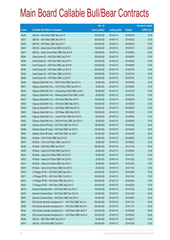|       |                                                                | No. of        |                     |               | <b>Amount raised</b> |
|-------|----------------------------------------------------------------|---------------|---------------------|---------------|----------------------|
| Code  | <b>Callable Bull/Bear Contracts</b>                            | issue (units) | <b>Listing date</b> | <b>Expiry</b> | (HK\$ mil.)          |
| 66226 | UBS AG - HSI R Bear CBBC May 2014 R                            | 300,000,000   | 2014/01/14          | 2014/05/29    | 75.00                |
| 66237 | UBS AG - HSI R Bear CBBC May 2014 S                            | 300,000,000   | 2014/01/14          | 2014/05/29    | 75.00                |
| 66239 | UBS AG - HSI R Bear CBBC May 2014 T                            | 350,000,000   | 2014/01/14          | 2014/05/29    | 87.50                |
| 66252 | UBS AG - Sands China R Bull CBBC Oct 2014 A                    | 100,000,000   | 2014/01/14          | 2014/10/13    | 25.00                |
| 66251 | UBS AG - Sands China R Bear CBBC May 2014 E                    | 100,000,000   | 2014/01/14          | 2014/05/22    | 25.00                |
| 66394 | Credit Suisse AG - HSI R Bull CBBC Sep 2014 F                  | 300,000,000   | 2014/01/15          | 2014/09/29    | 75.00                |
| 66395 | Credit Suisse AG - HSI R Bull CBBC Sep 2014 O                  | 300,000,000   | 2014/01/15          | 2014/09/29    | 75.00                |
| 66393 | Credit Suisse AG - HSI R Bull CBBC Sep 2014 W                  | 300,000,000   | 2014/01/15          | 2014/09/29    | 75.00                |
| 66346 | Credit Suisse AG - HSI R Bear CBBC Jul 2014 D                  | 300,000,000   | 2014/01/15          | 2014/07/30    | 75.00                |
| 66350 | Credit Suisse AG - HSI R Bear CBBC Jul 2014 E                  | 300,000,000   | 2014/01/15          | 2014/07/30    | 75.00                |
| 66392 | Credit Suisse AG - HSI R Bear CBBC Jul 2014 F                  | 300,000,000   | 2014/01/15          | 2014/07/30    | 75.00                |
| 66439 | Citigroup Global Mkt H Inc. - BOCL R Bull CBBC Sep 2014 A      | 40,000,000    | 2014/01/15          | 2014/09/29    | 10.00                |
| 66441 | Citigroup Global Mkt H Inc. - COVS R Bull CBBC Sep 2014 A      | 40,000,000    | 2014/01/15          | 2014/09/29    | 10.00                |
| 66445 | Citigroup Global Mkt H Inc. - Cheung Kong R Bull CBBC Jul14A   | 60,000,000    | 2014/01/15          | 2014/07/30    | 15.00                |
| 66432 | Citigroup Global Mkt H Inc. - Minsheng Bank R Bull CBBC Jul14A | 40,000,000    | 2014/01/15          | 2014/07/30    | 10.00                |
| 66427 | Citigroup Global Mkt H Inc. - HSI R Bull CBBC May 2014 F       | 150,000,000   | 2014/01/15          | 2014/05/29    | 37.50                |
| 66428 | Citigroup Global Mkt H Inc. - HSI R Bull CBBC May 2014 G       | 150,000,000   | 2014/01/15          | 2014/05/29    | 37.50                |
| 66429 | Citigroup Global Mkt H Inc. - HSI R Bear CBBC May 2014 C       | 150,000,000   | 2014/01/15          | 2014/05/29    | 37.50                |
| 66430 | Citigroup Global Mkt H Inc. - HSI R Bear CBBC May 2014 D       | 150,000,000   | 2014/01/15          | 2014/05/29    | 37.50                |
| 66440 | Citigroup Global Mkt H Inc. - Lenovo R Bull CBBC Sep 2014 A    | 40,000,000    | 2014/01/15          | 2014/09/29    | 10.00                |
| 66442 | Citigroup Global Mkt H Inc. - SHK Ppt R Bull CBBC Sep 2014 A   | 60,000,000    | 2014/01/15          | 2014/09/29    | 15.00                |
| 66396 | Goldman Sachs SP (Asia) - HSI R Bull CBBC Apr 2014 G           | 150,000,000   | 2014/01/15          | 2014/04/29    | 38.40                |
| 66398 | Goldman Sachs SP (Asia) - HSI R Bull CBBC Apr 2014 H           | 150,000,000   | 2014/01/15          | 2014/04/29    | 38.55                |
| 66405 | Goldman Sachs SP (Asia) - HSI R Bull CBBC Apr 2014 I           | 150,000,000   | 2014/01/15          | 2014/04/29    | 38.40                |
| 66306 | HK Bank - COVS R Bull CBBC Sep 2014 B                          | 50,000,000    | 2014/01/15          | 2014/09/29    | 23.00                |
| 66316 | HK Bank - China Life R Bear CBBC Aug 2014 C                    | 50,000,000    | 2014/01/15          | 2014/08/22    | 15.50                |
| 66309 | HK Bank - A50 R Bull CBBC Nov 2014 E                           | 200,000,000   | 2014/01/15          | 2014/11/28    | 50.00                |
| 66305 | HK Bank - Galaxy Ent R Bull CBBC Sep 2014 E                    | 50,000,000    | 2014/01/15          | 2014/09/29    | 12.50                |
| 66314 | HK Bank - Galaxy Ent R Bear CBBC Oct 2014 D                    | 40,000,000    | 2014/01/15          | 2014/10/27    | 10.00                |
| 66303 | HK Bank - Galaxy Ent R Bear CBBC Dec 2014 B                    | 40,000,000    | 2014/01/15          | 2014/12/22    | 10.00                |
| 66313 | HK Bank - Galaxy Ent R Bear CBBC Dec 2014 C                    | 40,000,000    | 2014/01/15          | 2014/12/22    | 10.00                |
| 66307 | HK Bank - Sands China R Bear CBBC Nov 2014 C                   | 50,000,000    | 2014/01/15          | 2014/11/03    | 12.50                |
| 66418 | J P Morgan SP BV - HSI R Bull CBBC Sep 2014 I                  | 300,000,000   | 2014/01/15          | 2014/09/29    | 75.00                |
| 66417 | J P Morgan SP BV - HSI R Bull CBBC Oct 2014 X                  | 300,000,000   | 2014/01/15          | 2014/10/30    | 75.00                |
| 66419 | J P Morgan SP BV - HSI R Bear CBBC May 2014 C                  | 300,000,000   | 2014/01/15          | 2014/05/29    | 75.00                |
| 66422 | J P Morgan SP BV - HSI R Bear CBBC May 2014 D                  | 300,000,000   | 2014/01/15          | 2014/05/29    | 75.00                |
| 66319 | Standard Chartered Bank - HSI R Bull CBBC Dec 2014 V           | 100,000,000   | 2014/01/15          | 2014/12/30    | 25.00                |
| 66378 | Standard Chartered Bank - HSI R Bull CBBC Dec 2014 W           | 100,000,000   | 2014/01/15          | 2014/12/30    | 25.00                |
| 66387 | Standard Chartered Bank - HSI R Bear CBBC Sep 2014 A           | 100,000,000   | 2014/01/15          | 2014/09/29    | 25.00                |
| 66321 | SGA Societe Generale Acceptance N.V. - HSI R Bull CBBC Nov14 J | 200,000,000   | 2014/01/15          | 2014/11/27    | 50.00                |
| 66388 | SGA Societe Generale Acceptance N.V. - HSI R Bull CBBC Nov14 K | 200,000,000   | 2014/01/15          | 2014/11/27    | 50.00                |
| 66322 | SGA Societe Generale Acceptance N.V. - HSI R Bear CBBC Apr14 F | 200,000,000   | 2014/01/15          | 2014/04/29    | 50.00                |
| 66340 | SGA Societe Generale Acceptance N.V. - HSI R Bear CBBC Apr14 G | 200,000,000   | 2014/01/15          | 2014/04/29    | 50.00                |
| 66389 | UBS AG - ABC R Bull CBBC Sep 2014 A                            | 50,000,000    | 2014/01/15          | 2014/09/15    | 12.50                |
| 66414 | UBS AG - HSI R Bull CBBC Oct 2014 I                            | 300,000,000   | 2014/01/15          | 2014/10/30    | 75.00                |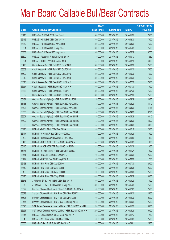|       |                                                                | No. of        |                     |               | <b>Amount raised</b> |
|-------|----------------------------------------------------------------|---------------|---------------------|---------------|----------------------|
| Code  | <b>Callable Bull/Bear Contracts</b>                            | issue (units) | <b>Listing date</b> | <b>Expiry</b> | $(HK$$ mil.)         |
| 66415 | UBS AG - HSI R Bull CBBC Nov 2014 I                            | 300,000,000   | 2014/01/15          | 2014/11/27    | 75.00                |
| 66416 | UBS AG - HSI R Bull CBBC Dec 2014 N                            | 300,000,000   | 2014/01/15          | 2014/12/30    | 75.00                |
| 66352 | UBS AG - HSI R Bear CBBC Apr 2014 R                            | 300,000,000   | 2014/01/15          | 2014/04/29    | 75.00                |
| 66351 | UBS AG - HSI R Bear CBBC May 2014 U                            | 300,000,000   | 2014/01/15          | 2014/05/29    | 75.00                |
| 66358 | UBS AG - HSI R Bear CBBC May 2014 V                            | 350,000,000   | 2014/01/15          | 2014/05/29    | 87.50                |
| 66390 | UBS AG - Petrochina R Bull CBBC Oct 2014 A                     | 50,000,000    | 2014/01/15          | 2014/10/13    | 12.50                |
| 66391 | UBS AG - TCH R Bear CBBC Aug 2014 B                            | 40,000,000    | 2014/01/15          | 2014/08/18    | 43.60                |
| 66478 | Credit Suisse AG - HSI R Bull CBBC Oct 2014 M                  | 300,000,000   | 2014/01/16          | 2014/10/30    | 75.00                |
| 66508 | Credit Suisse AG - HSI R Bull CBBC Oct 2014 O                  | 300,000,000   | 2014/01/16          | 2014/10/30    | 75.00                |
| 66509 | Credit Suisse AG - HSI R Bull CBBC Oct 2014 Q                  | 300,000,000   | 2014/01/16          | 2014/10/30    | 75.00                |
| 66512 | Credit Suisse AG - HSI R Bull CBBC Oct 2014 R                  | 300,000,000   | 2014/01/16          | 2014/10/30    | 75.00                |
| 66513 | Credit Suisse AG - HSI R Bear CBBC Jul 2014 G                  | 300,000,000   | 2014/01/16          | 2014/07/30    | 75.00                |
| 66557 | Credit Suisse AG - HSI R Bear CBBC Jul 2014 H                  | 300,000,000   | 2014/01/16          | 2014/07/30    | 75.00                |
| 66558 | Credit Suisse AG - HSI R Bear CBBC Jul 2014 I                  | 300,000,000   | 2014/01/16          | 2014/07/30    | 75.00                |
| 66562 | Credit Suisse AG - HSI R Bear CBBC Jul 2014 J                  | 300,000,000   | 2014/01/16          | 2014/07/30    | 75.00                |
| 66484 | Goldman Sachs SP (Asia) - HSI R Bull CBBC Apr 2014 J           | 150,000,000   | 2014/01/16          | 2014/04/29    | 40.65                |
| 66485 | Goldman Sachs SP (Asia) - HSI R Bull CBBC Apr 2014 K           | 150,000,000   | 2014/01/16          | 2014/04/29    | 44.10                |
| 66493 | Goldman Sachs SP (Asia) - HSI R Bull CBBC Apr 2014 L           | 150,000,000   | 2014/01/16          | 2014/04/29    | 41.85                |
| 66500 | Goldman Sachs SP (Asia) - HSI R Bear CBBC Apr 2014 E           | 150,000,000   | 2014/01/16          | 2014/04/29    | 37.95                |
| 66501 | Goldman Sachs SP (Asia) - HSI R Bear CBBC Apr 2014 F           | 150,000,000   | 2014/01/16          | 2014/04/29    | 38.10                |
| 66502 | Goldman Sachs SP (Asia) - HSI R Bear CBBC Apr 2014 G           | 150,000,000   | 2014/01/16          | 2014/04/29    | 43.20                |
| 66503 | Goldman Sachs SP (Asia) - HSI R Bear CBBC Apr 2014 H           | 150,000,000   | 2014/01/16          | 2014/04/29    | 43.50                |
| 66476 | HK Bank - BOCL R Bull CBBC Dec 2014 A                          | 80,000,000    | 2014/01/16          | 2014/12/18    | 20.00                |
| 66447 | HK Bank - CM Bank R Bear CBBC Sep 2014 A                       | 40,000,000    | 2014/01/16          | 2014/09/29    | 10.00                |
| 66450 | HK Bank - Sinopec Corp R Bear CBBC Oct 2014 A                  | 40,000,000    | 2014/01/16          | 2014/10/06    | 10.00                |
| 66473 | HK Bank - CSOP A50 ETF R Bear CBBC Nov 2014 A                  | 40,000,000    | 2014/01/16          | 2014/11/03    | 10.00                |
| 66446 | HK Bank - CSOP A50 ETF R Bear CBBC Jan 2015 A                  | 40,000,000    | 2014/01/16          | 2015/01/26    | 10.00                |
| 66474 | HK Bank - China Shenhua R Bear CBBC Nov 2014 A                 | 40,000,000    | 2014/01/16          | 2014/11/24    | 10.00                |
| 66471 | HK Bank - HSCEI R Bull CBBC Sep 2014 D                         | 100,000,000   | 2014/01/16          | 2014/09/29    | 25.00                |
| 66472 | HK Bank - HSCEI R Bear CBBC Aug 2014 D                         | 68,000,000    | 2014/01/16          | 2014/08/28    | 17.00                |
| 66468 | HK Bank - HSI R Bull CBBC Jul 2014 O                           | 100,000,000   | 2014/01/16          | 2014/07/30    | 25.00                |
| 66449 | HK Bank - HSI R Bull CBBC Aug 2014 L                           | 100,000,000   | 2014/01/16          | 2014/08/28    | 25.00                |
| 66469 | HK Bank - HSI R Bull CBBC Aug 2014 M                           | 100,000,000   | 2014/01/16          | 2014/08/28    | 25.00                |
| 66470 | HK Bank - HSI R Bull CBBC Sep 2014 H                           | 400,000,000   | 2014/01/16          | 2014/09/29    | 100.00               |
| 66575 | J P Morgan SP BV - HSI R Bull CBBC Sep 2014 R                  | 300,000,000   | 2014/01/16          | 2014/09/29    | 75.00                |
| 66576 | J P Morgan SP BV - HSI R Bear CBBC May 2014 E                  | 300,000,000   | 2014/01/16          | 2014/05/29    | 75.00                |
| 66522 | Standard Chartered Bank - A50 China R Bull CBBC Dec 2014 A     | 100,000,000   | 2014/01/16          | 2014/12/03    | 25.00                |
| 66523 | Standard Chartered Bank - HSI R Bull CBBC Dec 2014 X           | 100,000,000   | 2014/01/16          | 2014/12/30    | 25.00                |
| 66524 | Standard Chartered Bank - HSI R Bull CBBC Dec 2014 Y           | 100,000,000   | 2014/01/16          | 2014/12/30    | 25.00                |
| 66477 | Standard Chartered Bank - HSI R Bear CBBC Sep 2014 B           | 100,000,000   | 2014/01/16          | 2014/09/29    | 25.00                |
| 66520 | SGA Societe Generale Acceptance N.V. - HSI R Bull CBBC Nov14 L | 200,000,000   | 2014/01/16          | 2014/11/27    | 50.00                |
| 66521 | SGA Societe Generale Acceptance N.V. - HSI R Bear CBBC Apr14 H | 200,000,000   | 2014/01/16          | 2014/04/29    | 50.00                |
| 66547 | UBS AG - China Shenhua R Bear CBBC Nov 2014 A                  | 50,000,000    | 2014/01/16          | 2014/11/17    | 12.50                |
| 66540 | UBS AG - A50 China R Bull CBBC Nov 2014 A                      | 100,000,000   | 2014/01/16          | 2014/11/03    | 25.00                |
| 66556 | UBS AG - Galaxy Ent R Bull CBBC Sep 2014 C                     | 100,000,000   | 2014/01/16          | 2014/09/01    | 25.00                |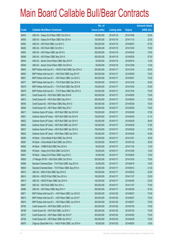|       |                                                            | No. of        |                     |               | <b>Amount raised</b> |
|-------|------------------------------------------------------------|---------------|---------------------|---------------|----------------------|
| Code  | <b>Callable Bull/Bear Contracts</b>                        | issue (units) | <b>Listing date</b> | <b>Expiry</b> | $(HK$$ mil.)         |
| 66553 | UBS AG - Galaxy Ent R Bear CBBC Oct 2014 A                 | 100,000,000   | 2014/01/16          | 2014/10/06    | 25.00                |
| 66550 | UBS AG - Galaxy Ent R Bear CBBC Nov 2014 A                 | 100,000,000   | 2014/01/16          | 2014/11/10    | 25.00                |
| 66483 | UBS AG - HSI R Bull CBBC Jun 2014 C                        | 350,000,000   | 2014/01/16          | 2014/06/27    | 87.50                |
| 66482 | UBS AG - HSI R Bull CBBC Oct 2014 J                        | 300,000,000   | 2014/01/16          | 2014/10/30    | 75.00                |
| 66563 | UBS AG - HSI R Bear CBBC Apr 2014 S                        | 300,000,000   | 2014/01/16          | 2014/04/29    | 75.00                |
| 66566 | UBS AG - HSI R Bear CBBC May 2014 X                        | 350,000,000   | 2014/01/16          | 2014/05/29    | 87.50                |
| 66544 | UBS AG - Sands China R Bear CBBC May 2014 F                | 50,000,000    | 2014/01/16          | 2014/05/19    | 12.50                |
| 66546 | UBS AG - Sands China R Bear CBBC Oct 2014 A                | 50,000,000    | 2014/01/16          | 2014/10/06    | 12.50                |
| 66603 | BNP Paribas Arbit Issu B.V. - HSCEI R Bull CBBC Dec 2014 A | 200,000,000   | 2014/01/17          | 2014/12/30    | 50.00                |
| 66605 | BNP Paribas Arbit Issu B.V. - HSI R Bull CBBC Aug 2014 P   | 300,000,000   | 2014/01/17          | 2014/08/28    | 75.00                |
| 66601 | BNP Paribas Arbit Issu B.V. - HSI R Bear CBBC Jun 2014 C   | 300,000,000   | 2014/01/17          | 2014/06/27    | 75.00                |
| 66577 | BNP Paribas Arbit Issu B.V. - TCH R Bull CBBC Dec 2014 A   | 100,000,000   | 2014/01/17          | 2014/12/30    | 25.00                |
| 66578 | BNP Paribas Arbit Issu B.V. - TCH R Bull CBBC Dec 2014 B   | 100,000,000   | 2014/01/17          | 2014/12/30    | 55.00                |
| 66579 | BNP Paribas Arbit Issu B.V. - TCH R Bear CBBC Dec 2014 A   | 100,000,000   | 2014/01/17          | 2014/12/30    | 70.00                |
| 66610 | Credit Suisse AG - HSI R Bull CBBC Sep 2014 N              | 300,000,000   | 2014/01/17          | 2014/09/29    | 75.00                |
| 66612 | Credit Suisse AG - HSI R Bull CBBC Sep 2014 V              | 300,000,000   | 2014/01/17          | 2014/09/29    | 75.00                |
| 66595 | Credit Suisse AG - HSI R Bear CBBC May 2014 G              | 300,000,000   | 2014/01/17          | 2014/05/29    | 75.00                |
| 66594 | Credit Suisse AG - HSI R Bear CBBC May 2014 I              | 300,000,000   | 2014/01/17          | 2014/05/29    | 75.00                |
| 66617 | Goldman Sachs SP (Asia) - HSI R Bull CBBC Apr 2014 M       | 150,000,000   | 2014/01/17          | 2014/04/29    | 37.95                |
| 66621 | Goldman Sachs SP (Asia) - HSI R Bull CBBC Apr 2014 N       | 150,000,000   | 2014/01/17          | 2014/04/29    | 41.10                |
| 66622 | Goldman Sachs SP (Asia) - HSI R Bull CBBC Apr 2014 O       | 150,000,000   | 2014/01/17          | 2014/04/29    | 38.40                |
| 66625 | Goldman Sachs SP (Asia) - HSI R Bull CBBC Apr 2014 P       | 150,000,000   | 2014/01/17          | 2014/04/29    | 37.80                |
| 66627 | Goldman Sachs SP (Asia) - HSI R Bull CBBC Apr 2014 Q       | 150,000,000   | 2014/01/17          | 2014/04/29    | 37.50                |
| 66620 | Goldman Sachs SP (Asia) - HSI R Bear CBBC Apr 2014 I       | 150,000,000   | 2014/01/17          | 2014/04/29    | 44.85                |
| 66585 | HK Bank - China Mobile R Bull CBBC Dec 2014 B              | 120,000,000   | 2014/01/17          | 2014/12/01    | 30.00                |
| 66587 | HK Bank - China Mobile R Bull CBBC Jan 2015 A              | 120,000,000   | 2014/01/17          | 2015/01/26    | 30.00                |
| 66582 | HK Bank - CNBM R Bull CBBC Nov 2014 A                      | 50,000,000    | 2014/01/17          | 2014/11/24    | 12.50                |
| 66588 | HK Bank - Galaxy Ent R Bull CBBC Oct 2014 C                | 50,000,000    | 2014/01/17          | 2014/10/06    | 12.50                |
| 66591 | HK Bank - Galaxy Ent R Bear CBBC Aug 2014 C                | 40,000,000    | 2014/01/17          | 2014/08/25    | 10.00                |
| 66629 | J P Morgan SP BV - HSI R Bull CBBC Oct 2014 K              | 300,000,000   | 2014/01/17          | 2014/10/30    | 75.00                |
| 66598 | Standard Chartered Bank - TCH R Bull CBBC Aug 2014 A       | 50,000,000    | 2014/01/17          | 2014/08/18    | 15.00                |
| 66600 | Standard Chartered Bank - TCH R Bear CBBC Sep 2014 A       | 50,000,000    | 2014/01/17          | 2014/09/12    | 21.50                |
| 66615 | UBS AG - HKEx R Bull CBBC Sep 2014 D                       | 100,000,000   | 2014/01/17          | 2014/09/22    | 25.00                |
| 66614 | UBS AG - HSCEI R Bull CBBC Nov 2014 A                      | 100,000,000   | 2014/01/17          | 2014/11/27    | 25.00                |
| 66613 | UBS AG - HSCEIR Bear CBBC Apr 2014 H                       | 100,000,000   | 2014/01/17          | 2014/04/29    | 25.00                |
| 66607 | UBS AG - HSI R Bull CBBC Nov 2014 J                        | 300,000,000   | 2014/01/17          | 2014/11/27    | 75.00                |
| 66580 | UBS AG - HSI R Bear CBBC May 2014 Y                        | 350,000,000   | 2014/01/17          | 2014/05/29    | 87.50                |
| 66671 | BNP Paribas Arbit Issu B.V. - HSI R Bear CBBC Jun 2014 E   | 300,000,000   | 2014/01/20          | 2014/06/27    | 75.00                |
| 66672 | BNP Paribas Arbit Issu B.V. - HSI R Bear CBBC Jun 2014 F   | 300,000,000   | 2014/01/20          | 2014/06/27    | 75.00                |
| 66674 | BNP Paribas Arbit Issu B.V. - HSI R Bear CBBC Jun 2014 H   | 300,000,000   | 2014/01/20          | 2014/06/27    | 75.00                |
| 66785 | Credit Suisse AG - HSI R Bull CBBC Jul 2014 U              | 300,000,000   | 2014/01/20          | 2014/07/30    | 75.00                |
| 66786 | Credit Suisse AG - HSI R Bull CBBC Jul 2014 V              | 300,000,000   | 2014/01/20          | 2014/07/30    | 75.00                |
| 66727 | Credit Suisse AG - HSI R Bear CBBC Apr 2014 P              | 300,000,000   | 2014/01/20          | 2014/04/29    | 75.00                |
| 66726 | Credit Suisse AG - HSI R Bear CBBC Apr 2014 Z              | 300,000,000   | 2014/01/20          | 2014/04/29    | 75.00                |
| 66676 | Citigroup Global Mkt H Inc. - PetCh R Bull CBBC Jun 2014 A | 60,000,000    | 2014/01/20          | 2014/06/30    | 15.00                |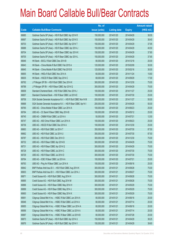|       |                                                                | No. of        |                     |               | <b>Amount raised</b> |
|-------|----------------------------------------------------------------|---------------|---------------------|---------------|----------------------|
| Code  | <b>Callable Bull/Bear Contracts</b>                            | issue (units) | <b>Listing date</b> | <b>Expiry</b> | $(HK$$ mil.)         |
| 66685 | Goldman Sachs SP (Asia) - HSI R Bull CBBC Apr 2014 R           | 150,000,000   | 2014/01/20          | 2014/04/29    | 38.55                |
| 66697 | Goldman Sachs SP (Asia) - HSI R Bull CBBC Apr 2014 S           | 150,000,000   | 2014/01/20          | 2014/04/29    | 38.40                |
| 66703 | Goldman Sachs SP (Asia) - HSI R Bull CBBC Apr 2014 T           | 150,000,000   | 2014/01/20          | 2014/04/29    | 37.95                |
| 66688 | Goldman Sachs SP (Asia) - HSI R Bear CBBC Apr 2014 J           | 150,000,000   | 2014/01/20          | 2014/04/29    | 40.50                |
| 66704 | Goldman Sachs SP (Asia) - HSI R Bear CBBC Apr 2014 K           | 150,000,000   | 2014/01/20          | 2014/04/29    | 37.80                |
| 66705 | Goldman Sachs SP (Asia) - HSI R Bear CBBC Apr 2014 L           | 150,000,000   | 2014/01/20          | 2014/04/29    | 37.65                |
| 66646 | HK Bank - BOCL R Bull CBBC Dec 2014 B                          | 80,000,000    | 2014/01/20          | 2014/12/18    | 20.00                |
| 66643 | HK Bank - China Mobile R Bull CBBC Feb 2015 A                  | 120,000,000   | 2014/01/20          | 2015/02/09    | 30.00                |
| 66645 | HK Bank - China Mobile R Bull CBBC Feb 2015 B                  | 120,000,000   | 2014/01/20          | 2015/02/16    | 30.00                |
| 66655 | HK Bank - HKEx R Bull CBBC Nov 2014 A                          | 60,000,000    | 2014/01/20          | 2014/11/24    | 15.60                |
| 66635 | HK Bank - HSCEI R Bear CBBC Sep 2014 C                         | 68,000,000    | 2014/01/20          | 2014/09/29    | 17.00                |
| 66792 | J P Morgan SP BV - HSI R Bull CBBC Dec 2014 K                  | 300,000,000   | 2014/01/20          | 2014/12/30    | 75.00                |
| 66788 | J P Morgan SP BV - HSI R Bear CBBC Apr 2014 Q                  | 300,000,000   | 2014/01/20          | 2014/04/29    | 75.00                |
| 66658 | Standard Chartered Bank - HSI R Bull CBBC Nov 2014 J           | 100,000,000   | 2014/01/20          | 2014/11/27    | 25.00                |
| 66657 | Standard Chartered Bank - HSI R Bear CBBC Jul 2014 E           | 100,000,000   | 2014/01/20          | 2014/07/30    | 25.00                |
| 66706 | SGA Societe Generale Acceptance N.V. - HSI R Bull CBBC Nov14 M | 200,000,000   | 2014/01/20          | 2014/11/27    | 50.00                |
| 66668 | SGA Societe Generale Acceptance N.V. - HSI R Bear CBBC Apr14 I | 200,000,000   | 2014/01/20          | 2014/04/29    | 50.00                |
| 66765 | UBS AG - China Mobile R Bear CBBC Jun 2014 A                   | 100,000,000   | 2014/01/20          | 2014/06/23    | 25.00                |
| 66784 | UBS AG - CC Bank R Bear CBBC May 2014 B                        | 100,000,000   | 2014/01/20          | 2014/05/12    | 25.00                |
| 66745 | UBS AG - CNBM R Bull CBBC Jul 2014 A                           | 50,000,000    | 2014/01/20          | 2014/07/21    | 12.50                |
| 66747 | UBS AG - A50 China R Bear CBBC Jun 2014 A                      | 100,000,000   | 2014/01/20          | 2014/06/23    | 25.00                |
| 66736 | UBS AG - HSCEI R Bull CBBC Dec 2014 A                          | 100,000,000   | 2014/01/20          | 2014/12/30    | 25.00                |
| 66663 | UBS AG - HSI R Bull CBBC Jul 2014 T                            | 350,000,000   | 2014/01/20          | 2014/07/30    | 87.50                |
| 66662 | UBS AG - HSI R Bull CBBC Jul 2014 U                            | 350,000,000   | 2014/01/20          | 2014/07/30    | 87.50                |
| 66787 | UBS AG - HSI R Bull CBBC Dec 2014 O                            | 300,000,000   | 2014/01/20          | 2014/12/30    | 75.00                |
| 66732 | UBS AG - HSI R Bear CBBC Apr 2014 B                            | 300,000,000   | 2014/01/20          | 2014/04/29    | 75.00                |
| 66731 | UBS AG - HSI R Bear CBBC Apr 2014 Q                            | 300,000,000   | 2014/01/20          | 2014/04/29    | 75.00                |
| 66728 | UBS AG - HSI R Bear CBBC Jul 2014 C                            | 300,000,000   | 2014/01/20          | 2014/07/30    | 75.00                |
| 66729 | UBS AG - HSI R Bear CBBC Jul 2014 D                            | 300,000,000   | 2014/01/20          | 2014/07/30    | 75.00                |
| 66764 | UBS AG - ICBC R Bear CBBC Jul 2014 A                           | 100,000,000   | 2014/01/20          | 2014/07/21    | 25.00                |
| 66763 | UBS AG - Ping An R Bear CBBC Jun 2014 A                        | 100,000,000   | 2014/01/20          | 2014/06/16    | 25.00                |
| 66842 | BNP Paribas Arbit Issu B.V. - HSI R Bull CBBC Aug 2014 K       | 300,000,000   | 2014/01/21          | 2014/08/28    | 75.00                |
| 66903 | BNP Paribas Arbit Issu B.V. - HSI R Bear CBBC Jun 2014 J       | 300,000,000   | 2014/01/21          | 2014/06/27    | 75.00                |
| 66871 | Credit Suisse AG - HSI R Bull CBBC Aug 2014 H                  | 300,000,000   | 2014/01/21          | 2014/08/28    | 75.00                |
| 66895 | Credit Suisse AG - HSI R Bull CBBC Aug 2014 M                  | 300,000,000   | 2014/01/21          | 2014/08/28    | 75.00                |
| 66896 | Credit Suisse AG - HSI R Bear CBBC May 2014 H                  | 300,000,000   | 2014/01/21          | 2014/05/29    | 75.00                |
| 66899 | Credit Suisse AG - HSI R Bear CBBC May 2014 J                  | 300,000,000   | 2014/01/21          | 2014/05/29    | 75.00                |
| 66900 | Credit Suisse AG - HSI R Bear CBBC May 2014 K                  | 300,000,000   | 2014/01/21          | 2014/05/29    | 75.00                |
| 66951 | Citigroup Global Mkt H Inc. - HSBC R Bull CBBC Jun 2014 A      | 80,000,000    | 2014/01/21          | 2014/06/16    | 20.00                |
| 66948 | Citigroup Global Mkt H Inc. - HSBC R Bull CBBC Jul 2014 A      | 80,000,000    | 2014/01/21          | 2014/07/14    | 20.00                |
| 66955 | Citigroup Global Mkt H Inc. - HSBC R Bear CBBC Jun 2014 A      | 80,000,000    | 2014/01/21          | 2014/06/16    | 20.00                |
| 66956 | Citigroup Global Mkt H Inc. - HSBC R Bear CBBC Jul 2014 A      | 80,000,000    | 2014/01/21          | 2014/07/14    | 20.00                |
| 66967 | Citigroup Global Mkt H Inc. - HSBC R Bear CBBC Jul 2014 B      | 80,000,000    | 2014/01/21          | 2014/07/28    | 20.00                |
| 66873 | Goldman Sachs SP (Asia) - HSI R Bull CBBC Apr 2014 U           | 150,000,000   | 2014/01/21          | 2014/04/29    | 38.25                |
| 66876 | Goldman Sachs SP (Asia) - HSI R Bull CBBC Apr 2014 V           | 150,000,000   | 2014/01/21          | 2014/04/29    | 39.60                |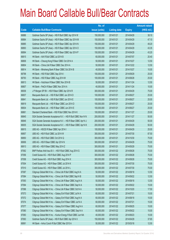|       |                                                                | No. of        |                     |               | <b>Amount raised</b> |
|-------|----------------------------------------------------------------|---------------|---------------------|---------------|----------------------|
| Code  | <b>Callable Bull/Bear Contracts</b>                            | issue (units) | <b>Listing date</b> | <b>Expiry</b> | (HK\$ mil.)          |
| 66886 | Goldman Sachs SP (Asia) - HSI R Bull CBBC Apr 2014 W           | 150,000,000   | 2014/01/21          | 2014/04/29    | 38.10                |
| 66884 | Goldman Sachs SP (Asia) - HSI R Bear CBBC Apr 2014 M           | 150,000,000   | 2014/01/21          | 2014/04/29    | 47.10                |
| 66885 | Goldman Sachs SP (Asia) - HSI R Bear CBBC Apr 2014 N           | 150,000,000   | 2014/01/21          | 2014/04/29    | 49.20                |
| 66893 | Goldman Sachs SP (Asia) - HSI R Bear CBBC Apr 2014 O           | 150,000,000   | 2014/01/21          | 2014/04/29    | 43.35                |
| 66894 | Goldman Sachs SP (Asia) - HSI R Bear CBBC Apr 2014 P           | 150,000,000   | 2014/01/21          | 2014/04/29    | 43.20                |
| 66815 | HK Bank - AIA R Bull CBBC Jul 2014 B                           | 60,000,000    | 2014/01/21          | 2014/07/07    | 20.40                |
| 66806 | HK Bank - Cheung Kong R Bear CBBC Oct 2014 A                   | 50,000,000    | 2014/01/21          | 2014/10/27    | 12.50                |
| 66804 | HK Bank - China Life R Bear CBBC Dec 2014 A                    | 50,000,000    | 2014/01/21          | 2014/12/22    | 12.50                |
| 66814 | HK Bank - Minsheng Bank R Bear CBBC Oct 2014 B                 | 40,000,000    | 2014/01/21          | 2014/10/27    | 10.00                |
| 66798 | HK Bank - HSI R Bull CBBC Sep 2014 I                           | 100,000,000   | 2014/01/21          | 2014/09/29    | 25.00                |
| 66793 | HK Bank - HSI R Bear CBBC Aug 2014 M                           | 100,000,000   | 2014/01/21          | 2014/08/28    | 25.00                |
| 66813 | HK Bank - Hutchison R Bear CBBC Nov 2014 B                     | 50,000,000    | 2014/01/21          | 2014/11/24    | 12.50                |
| 66807 | HK Bank - PetCh R Bear CBBC Nov 2014 A                         | 40,000,000    | 2014/01/21          | 2014/11/24    | 10.00                |
| 66936 | J P Morgan SP BV - HSI R Bear CBBC Apr 2014 R                  | 300,000,000   | 2014/01/21          | 2014/04/29    | 75.00                |
| 66837 | Macquarie Bank Ltd. - HSI R Bull CBBC Jun 2014 D               | 100,000,000   | 2014/01/21          | 2014/06/27    | 25.00                |
| 66841 | Macquarie Bank Ltd. - HSI R Bull CBBC Jun 2014 E               | 100,000,000   | 2014/01/21          | 2014/06/27    | 25.00                |
| 66819 | Macquarie Bank Ltd. - HSI R Bear CBBC Jun 2014 D               | 100,000,000   | 2014/01/21          | 2014/06/27    | 25.00                |
| 66834 | Macquarie Bank Ltd. - HSI R Bear CBBC Jun 2014 E               | 100,000,000   | 2014/01/21          | 2014/06/27    | 25.00                |
| 66861 | Standard Chartered Bank - HSI R Bull CBBC Nov 2014 K           | 100,000,000   | 2014/01/21          | 2014/11/27    | 25.00                |
| 66845 | SGA Societe Generale Acceptance N.V. - HSI R Bull CBBC Nov14 N | 200,000,000   | 2014/01/21          | 2014/11/27    | 50.00                |
| 66846 | SGA Societe Generale Acceptance N.V. - HSI R Bear CBBC Apr14 J | 200,000,000   | 2014/01/21          | 2014/04/29    | 50.00                |
| 66935 | SGA Societe Generale Acceptance N.V. - HSI R Bear CBBC Apr14 K | 200,000,000   | 2014/01/21          | 2014/04/29    | 50.00                |
| 66915 | UBS AG - HSCEI R Bear CBBC Apr 2014 I                          | 100,000,000   | 2014/01/21          | 2014/04/29    | 25.00                |
| 66857 | UBS AG - HSI R Bull CBBC Jul 2014 W                            | 350,000,000   | 2014/01/21          | 2014/07/30    | 87.50                |
| 66850 | UBS AG - HSI R Bull CBBC Oct 2014 Q                            | 300,000,000   | 2014/01/21          | 2014/10/30    | 75.00                |
| 66906 | UBS AG - HSI R Bear CBBC Apr 2014 N                            | 300,000,000   | 2014/01/21          | 2014/04/29    | 75.00                |
| 66913 | UBS AG - HSI R Bear CBBC May 2014 Z                            | 300,000,000   | 2014/01/21          | 2014/05/29    | 75.00                |
| 67062 | BNP Paribas Arbit Issu B.V. - HSI R Bull CBBC Aug 2014 G       | 300,000,000   | 2014/01/22          | 2014/08/28    | 75.00                |
| 67056 | Credit Suisse AG - HSI R Bull CBBC Aug 2014 P                  | 300,000,000   | 2014/01/22          | 2014/08/28    | 75.00                |
| 67058 | Credit Suisse AG - HSI R Bull CBBC Aug 2014 X                  | 300,000,000   | 2014/01/22          | 2014/08/28    | 75.00                |
| 67004 | Credit Suisse AG - HSI R Bear CBBC Jul 2014 K                  | 300,000,000   | 2014/01/22          | 2014/07/30    | 75.00                |
| 67010 | Credit Suisse AG - HSI R Bear CBBC Jul 2014 L                  | 300,000,000   | 2014/01/22          | 2014/07/30    | 75.00                |
| 67087 | Citigroup Global Mkt H Inc. - China Life R Bull CBBC Aug14 A   | 50,000,000    | 2014/01/22          | 2014/08/18    | 12.50                |
| 67084 | Citigroup Global Mkt H Inc. - China Life R Bull CBBC Sep14 B   | 50,000,000    | 2014/01/22          | 2014/09/22    | 12.50                |
| 67093 | Citigroup Global Mkt H Inc. - China Life R Bear CBBC Aug14 A   | 50,000,000    | 2014/01/22          | 2014/08/18    | 12.50                |
| 67094 | Citigroup Global Mkt H Inc. - China Life R Bear CBBC Sep14 A   | 50,000,000    | 2014/01/22          | 2014/09/22    | 15.00                |
| 67096 | Citigroup Global Mkt H Inc. - China Life R Bear CBBC Oct14 A   | 50,000,000    | 2014/01/22          | 2014/10/20    | 17.50                |
| 67073 | Citigroup Global Mkt H Inc. - Galaxy Ent R Bull CBBC Jul14 A   | 60,000,000    | 2014/01/22          | 2014/07/21    | 15.00                |
| 67072 | Citigroup Global Mkt H Inc. - Galaxy Ent R Bull CBBC Aug14 A   | 60,000,000    | 2014/01/22          | 2014/08/18    | 15.00                |
| 67074 | Citigroup Global Mkt H Inc. - Galaxy Ent R Bear CBBC Jul14 A   | 60,000,000    | 2014/01/22          | 2014/07/21    | 15.00                |
| 67077 | Citigroup Global Mkt H Inc. - Galaxy Ent R Bear CBBC Aug14 A   | 60,000,000    | 2014/01/22          | 2014/08/25    | 15.00                |
| 67080 | Citigroup Global Mkt H Inc. - Galaxy Ent R Bear CBBC Sep14 A   | 60,000,000    | 2014/01/22          | 2014/09/22    | 15.00                |
| 67083 | Citigroup Global Mkt H Inc. - Kunlun Energy R Bull CBBC Jun14A | 40,000,000    | 2014/01/22          | 2014/06/23    | 10.00                |
| 67063 | Goldman Sachs SP (Asia) - HSI R Bull CBBC Apr 2014 X           | 150,000,000   | 2014/01/22          | 2014/04/29    | 37.65                |
| 66991 | HK Bank - Anhui Conch R Bull CBBC Mar 2015 A                   | 50,000,000    | 2014/01/22          | 2015/03/18    | 12.50                |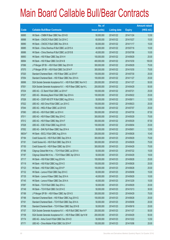|         |                                                                | No. of        |                     |               | <b>Amount raised</b> |
|---------|----------------------------------------------------------------|---------------|---------------------|---------------|----------------------|
| Code    | <b>Callable Bull/Bear Contracts</b>                            | issue (units) | <b>Listing date</b> | <b>Expiry</b> | (HK\$ mil.)          |
| 66995   | HK Bank - CNBM R Bear CBBC Nov 2014 B                          | 50,000,000    | 2014/01/22          | 2014/11/24    | 12.50                |
| 66988   | HK Bank - CNOOC R Bull CBBC Oct 2014 C                         | 60,000,000    | 2014/01/22          | 2014/10/27    | 15.00                |
| 66990   | HK Bank - CNOOC R Bull CBBC Nov 2014 A                         | 60,000,000    | 2014/01/22          | 2014/11/17    | 15.00                |
| 66985   | HK Bank - China Shenhua R Bull CBBC Jul 2015 A                 | 40,000,000    | 2014/01/22          | 2015/07/16    | 10.00                |
| 66986   | HK Bank - China Shenhua R Bull CBBC Jul 2015 B                 | 40,000,000    | 2014/01/22          | 2015/07/08    | 10.00                |
| 66993   | HK Bank - HSI R Bear CBBC Sep 2014 H                           | 100,000,000   | 2014/01/22          | 2014/09/29    | 25.00                |
| 66994   | HK Bank - HSI R Bear CBBC Oct 2014 B                           | 400,000,000   | 2014/01/22          | 2014/10/30    | 100.00               |
| 67066   | J P Morgan SP BV - HSI R Bull CBBC Sep 2014 W                  | 300,000,000   | 2014/01/22          | 2014/09/29    | 75.00                |
| 67070   | J P Morgan SP BV - HSI R Bull CBBC Oct 2014 P                  | 300,000,000   | 2014/01/22          | 2014/10/30    | 75.00                |
| 67020   | Standard Chartered Bank - HSI R Bear CBBC Jul 2014 F           | 100,000,000   | 2014/01/22          | 2014/07/30    | 25.00                |
| 67054   | Standard Chartered Bank - HSI R Bear CBBC Nov 2014 A           | 100,000,000   | 2014/01/22          | 2014/11/27    | 25.00                |
| 66996   | SGA Societe Generale Acceptance N.V. - HSI R Bull CBBC Nov14 O | 200,000,000   | 2014/01/22          | 2014/11/27    | 50.00                |
| 67001   | SGA Societe Generale Acceptance N.V. - HSI R Bear CBBC Apr14 L | 200,000,000   | 2014/01/22          | 2014/04/29    | 50.00                |
| 67034   | UBS AG - CC Bank R Bull CBBC Jul 2014 F                        | 100,000,000   | 2014/01/22          | 2014/07/21    | 25.00                |
| 67027   | UBS AG - Minsheng Bank R Bull CBBC Sep 2014 A                  | 100,000,000   | 2014/01/22          | 2014/09/22    | 25.00                |
| 67026   | UBS AG - CSOP A50 ETF R Bull CBBC Aug 2014 A                   | 50,000,000    | 2014/01/22          | 2014/08/11    | 12.50                |
| 67022   | UBS AG - A50 China R Bull CBBC Jun 2014 C                      | 100,000,000   | 2014/01/22          | 2014/06/23    | 25.00                |
| 67044   | UBS AG - HKEx R Bear CBBC Jul 2014 B                           | 100,000,000   | 2014/01/22          | 2014/07/07    | 25.00                |
| 67060   | UBS AG - HSI R Bull CBBC Jul 2014 X                            | 350,000,000   | 2014/01/22          | 2014/07/30    | 87.50                |
| 67011   | UBS AG - HSI R Bear CBBC May 2014 C                            | 300,000,000   | 2014/01/22          | 2014/05/29    | 75.00                |
| 67012   | UBS AG - HSI R Bear CBBC May 2014 F                            | 350,000,000   | 2014/01/22          | 2014/05/29    | 87.50                |
| 67028   | UBS AG - ICBC R Bull CBBC Aug 2014 B                           | 100,000,000   | 2014/01/22          | 2014/08/04    | 25.00                |
| 67052   | UBS AG - SHK Ppt R Bear CBBC Sep 2014 A                        | 50,000,000    | 2014/01/22          | 2014/09/01    | 12.50                |
| 66034 # | HK Bank - BOCL R Bull CBBC Aug 2014 A                          | 200,000,000   | 2014/01/22          | 2014/08/28    | 10.40                |
| 67184   | Credit Suisse AG - HSI R Bull CBBC Sep 2014 A                  | 300,000,000   | 2014/01/23          | 2014/09/29    | 75.00                |
| 67181   | Credit Suisse AG - HSI R Bull CBBC Sep 2014 X                  | 300,000,000   | 2014/01/23          | 2014/09/29    | 75.00                |
| 67150   | Credit Suisse AG - HSI R Bear CBBC Apr 2014 I                  | 300,000,000   | 2014/01/23          | 2014/04/29    | 75.00                |
| 67186   | Citigroup Global Mkt H Inc. - TCH R Bull CBBC Jul 2014 A       | 50,000,000    | 2014/01/23          | 2014/07/22    | 15.00                |
| 67187   | Citigroup Global Mkt H Inc. - TCH R Bear CBBC Apr 2014 A       | 50,000,000    | 2014/01/23          | 2014/04/29    | 18.00                |
| 67117   | HK Bank - HSI R Bull CBBC Aug 2014 N                           | 100,000,000   | 2014/01/23          | 2014/08/28    | 25.00                |
| 67119   | HK Bank - HSI R Bull CBBC Aug 2014 O                           | 100,000,000   | 2014/01/23          | 2014/08/28    | 25.00                |
| 67123   | HK Bank - HSI R Bull CBBC Aug 2014 P                           | 100,000,000   | 2014/01/23          | 2014/08/28    | 25.00                |
| 67132   | HK Bank - Lenovo R Bull CBBC Sep 2014 C                        | 60,000,000    | 2014/01/23          | 2014/09/08    | 15.00                |
| 67135   | HK Bank - Lenovo R Bear CBBC Sep 2014 A                        | 40,000,000    | 2014/01/23          | 2014/09/29    | 10.00                |
| 67145   | HK Bank - Lenovo R Bear CBBC Dec 2014 A                        | 40,000,000    | 2014/01/23          | 2014/12/29    | 10.00                |
| 67097   | HK Bank - TCH R Bull CBBC Sep 2014 J                           | 50,000,000    | 2014/01/23          | 2014/09/29    | 20.00                |
| 67149   | HK Bank - TCH R Bull CBBC Oct 2014 E                           | 50,000,000    | 2014/01/23          | 2014/10/13    | 30.00                |
| 67189   | J P Morgan SP BV - HSI R Bear CBBC Apr 2014 S                  | 300,000,000   | 2014/01/23          | 2014/04/29    | 75.00                |
| 67196   | Standard Chartered Bank - HSI R Bear CBBC Aug 2014 G           | 100,000,000   | 2014/01/23          | 2014/08/28    | 25.00                |
| 67161   | Standard Chartered Bank - TCH R Bull CBBC Sep 2014 A           | 50,000,000    | 2014/01/23          | 2014/09/08    | 20.00                |
| 67168   | Standard Chartered Bank - TCH R Bear CBBC Sep 2014 B           | 50,000,000    | 2014/01/23          | 2014/09/18    | 25.00                |
| 67157   | SGA Societe Generale Acceptance N.V. - HSI R Bull CBBC Nov14 P | 200,000,000   | 2014/01/23          | 2014/11/27    | 50.00                |
| 67158   | SGA Societe Generale Acceptance N.V. - HSI R Bear CBBC Apr14 M | 200,000,000   | 2014/01/23          | 2014/04/29    | 50.00                |
| 67174   | UBS AG - Anhui Conch R Bull CBBC Dec 2014 D                    | 50,000,000    | 2014/01/23          | 2014/12/22    | 12.50                |
| 67171   | UBS AG - China Mobile R Bull CBBC Oct 2014 F                   | 100,000,000   | 2014/01/23          | 2014/10/06    | 25.00                |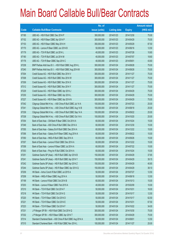|       |                                                              | No. of        |                     |               | <b>Amount raised</b> |
|-------|--------------------------------------------------------------|---------------|---------------------|---------------|----------------------|
| Code  | <b>Callable Bull/Bear Contracts</b>                          | issue (units) | <b>Listing date</b> | <b>Expiry</b> | $(HK$$ mil.)         |
| 67185 | UBS AG - HSI R Bull CBBC Dec 2014 P                          | 300,000,000   | 2014/01/23          | 2014/12/30    | 75.00                |
| 67152 | UBS AG - HSI R Bear CBBC Apr 2014 P                          | 300,000,000   | 2014/01/23          | 2014/04/29    | 75.00                |
| 67153 | UBS AG - HSI R Bear CBBC May 2014 H                          | 350,000,000   | 2014/01/23          | 2014/05/29    | 87.50                |
| 67170 | UBS AG - Lenovo R Bear CBBC Jun 2014 B                       | 50,000,000    | 2014/01/23          | 2014/06/16    | 12.50                |
| 67179 | UBS AG - TCH R Bull CBBC Jul 2014 L                          | 40,000,000    | 2014/01/23          | 2014/07/28    | 10.60                |
| 67180 | UBS AG - TCH R Bull CBBC Jul 2014 M                          | 40,000,000    | 2014/01/23          | 2014/07/07    | 18.60                |
| 67176 | UBS AG - TCH R Bear CBBC Sep 2014 C                          | 40,000,000    | 2014/01/23          | 2014/09/01    | 43.60                |
| 67238 | BNP Paribas Arbit Issu B.V. - HSI R Bull CBBC Aug 2014 L     | 300,000,000   | 2014/01/24          | 2014/08/28    | 75.00                |
| 67240 | BNP Paribas Arbit Issu B.V. - HSI R Bull CBBC Aug 2014 M     | 300,000,000   | 2014/01/24          | 2014/08/28    | 75.00                |
| 67304 | Credit Suisse AG - HSI R Bull CBBC Nov 2014 V                | 300,000,000   | 2014/01/24          | 2014/11/27    | 75.00                |
| 67308 | Credit Suisse AG - HSI R Bull CBBC Nov 2014 W                | 300,000,000   | 2014/01/24          | 2014/11/27    | 75.00                |
| 67309 | Credit Suisse AG - HSI R Bull CBBC Nov 2014 X                | 300,000,000   | 2014/01/24          | 2014/11/27    | 75.00                |
| 67312 | Credit Suisse AG - HSI R Bull CBBC Nov 2014 Y                | 300,000,000   | 2014/01/24          | 2014/11/27    | 75.00                |
| 67229 | Credit Suisse AG - HSI R Bear CBBC Apr 2014 J                | 300,000,000   | 2014/01/24          | 2014/04/29    | 75.00                |
| 67230 | Credit Suisse AG - HSI R Bear CBBC Apr 2014 L                | 300,000,000   | 2014/01/24          | 2014/04/29    | 75.00                |
| 67227 | Credit Suisse AG - HSI R Bear CBBC Apr 2014 N                | 300,000,000   | 2014/01/24          | 2014/04/29    | 75.00                |
| 67342 | Citigroup Global Mkt H Inc. - A50 China R Bull CBBC Jul 14 A | 100,000,000   | 2014/01/24          | 2014/07/23    | 25.00                |
| 67341 | Citigroup Global Mkt H Inc. - A50 China R Bull CBBC Aug 14 B | 100,000,000   | 2014/01/24          | 2014/08/18    | 25.00                |
| 67339 | Citigroup Global Mkt H Inc. - A50 China R Bull CBBC Sep 14 A | 100,000,000   | 2014/01/24          | 2014/09/22    | 25.00                |
| 67338 | Citigroup Global Mkt H Inc. - A50 China R Bull CBBC Oct 14 A | 100,000,000   | 2014/01/24          | 2014/10/20    | 25.00                |
| 67354 | Bank of East Asia - CM Bank R Bear CBBC Oct 2014 A           | 60,000,000    | 2014/01/24          | 2014/10/24    | 15.00                |
| 67349 | Bank of East Asia - A50 China R Bull CBBC Dec 2014 A         | 60,000,000    | 2014/01/24          | 2014/12/30    | 15.00                |
| 67355 | Bank of East Asia - Galaxy Ent R Bull CBBC Dec 2014 A        | 60,000,000    | 2014/01/24          | 2014/12/22    | 15.00                |
| 67356 | Bank of East Asia - Galaxy Ent R Bear CBBC Aug 2014 A        | 60,000,000    | 2014/01/24          | 2014/08/22    | 15.00                |
| 67350 | Bank of East Asia - HKEx R Bull CBBC Sep 2014 A              | 60,000,000    | 2014/01/24          | 2014/09/26    | 15.00                |
| 67357 | Bank of East Asia - Lenovo R Bull CBBC Dec 2014 A            | 60,000,000    | 2014/01/24          | 2014/12/22    | 15.00                |
| 67358 | Bank of East Asia - Lenovo R Bear CBBC Jul 2014 A            | 60,000,000    | 2014/01/24          | 2014/07/22    | 15.00                |
| 67353 | Bank of East Asia - Ping An R Bull CBBC Oct 2014 A           | 60,000,000    | 2014/01/24          | 2014/10/24    | 15.00                |
| 67251 | Goldman Sachs SP (Asia) - HSI R Bull CBBC Apr 2014 B         | 150,000,000   | 2014/01/24          | 2014/04/29    | 37.65                |
| 67241 | Goldman Sachs SP (Asia) - HSI R Bull CBBC Apr 2014 Y         | 150,000,000   | 2014/01/24          | 2014/04/29    | 39.15                |
| 67242 | Goldman Sachs SP (Asia) - HSI R Bull CBBC Apr 2014 Z         | 150,000,000   | 2014/01/24          | 2014/04/29    | 40.65                |
| 67244 | Goldman Sachs SP (Asia) - HSI R Bear CBBC Apr 2014 Q         | 150,000,000   | 2014/01/24          | 2014/04/29    | 38.10                |
| 67209 | HK Bank - Anhui Conch R Bull CBBC Jul 2015 A                 | 50,000,000    | 2014/01/24          | 2015/07/27    | 12.50                |
| 67208 | HK Bank - HKEx R Bear CBBC Aug 2014 A                        | 50,000,000    | 2014/01/24          | 2014/08/18    | 12.50                |
| 67199 | HK Bank - Lenovo R Bull CBBC Oct 2014 B                      | 60,000,000    | 2014/01/24          | 2014/10/13    | 15.00                |
| 67203 | HK Bank - Lenovo R Bear CBBC Feb 2015 A                      | 40,000,000    | 2014/01/24          | 2015/02/09    | 10.00                |
| 67210 | HK Bank - TCH R Bull CBBC Oct 2014 F                         | 50,000,000    | 2014/01/24          | 2014/10/31    | 16.00                |
| 67218 | HK Bank - TCH R Bull CBBC Oct 2014 G                         | 50,000,000    | 2014/01/24          | 2014/10/17    | 12.50                |
| 67220 | HK Bank - TCH R Bear CBBC Oct 2014 D                         | 50,000,000    | 2014/01/24          | 2014/10/17    | 62.50                |
| 67221 | HK Bank - TCH R Bear CBBC Oct 2014 E                         | 50,000,000    | 2014/01/24          | 2014/10/31    | 67.50                |
| 67223 | HK Bank - TCH R Bear CBBC Oct 2014 F                         | 50,000,000    | 2014/01/24          | 2014/10/22    | 34.00                |
| 67331 | J P Morgan SP BV - HSI R Bull CBBC Oct 2014 Q                | 300,000,000   | 2014/01/24          | 2014/10/30    | 75.00                |
| 67332 | J P Morgan SP BV - HSI R Bear CBBC Apr 2014 T                | 300,000,000   | 2014/01/24          | 2014/04/29    | 75.00                |
| 67314 | Standard Chartered Bank - A50 China R Bull CBBC Aug 2014 A   | 50,000,000    | 2014/01/24          | 2014/08/01    | 12.50                |
| 67315 | Standard Chartered Bank - HSI R Bull CBBC Nov 2014 L         | 100,000,000   | 2014/01/24          | 2014/11/27    | 25.00                |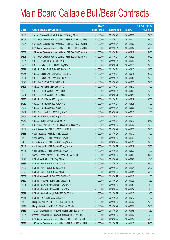|       |                                                                | No. of        |                     |               | <b>Amount raised</b> |
|-------|----------------------------------------------------------------|---------------|---------------------|---------------|----------------------|
| Code  | <b>Callable Bull/Bear Contracts</b>                            | issue (units) | <b>Listing date</b> | <b>Expiry</b> | (HK\$ mil.)          |
| 67337 | Standard Chartered Bank - HSI R Bear CBBC Aug 2014 H           | 100,000,000   | 2014/01/24          | 2014/08/28    | 25.00                |
| 67294 | SGA Societe Generale Acceptance N.V. - HSI R Bull CBBC Nov14 Q | 200,000,000   | 2014/01/24          | 2014/11/27    | 50.00                |
| 67297 | SGA Societe Generale Acceptance N.V. - HSI R Bull CBBC Nov14 R | 200,000,000   | 2014/01/24          | 2014/11/27    | 50.00                |
| 67299 | SGA Societe Generale Acceptance N.V. - HSI R Bull CBBC Nov14 S | 200,000,000   | 2014/01/24          | 2014/11/27    | 50.00                |
| 67302 | SGA Societe Generale Acceptance N.V. - HSI R Bear CBBC Apr14 N | 200,000,000   | 2014/01/24          | 2014/04/29    | 50.00                |
| 67303 | SGA Societe Generale Acceptance N.V. - HSI R Bear CBBC Apr14 V | 200,000,000   | 2014/01/24          | 2014/04/29    | 50.00                |
| 67257 | UBS AG - AIA R Bull CBBC Oct 2014 D                            | 100,000,000   | 2014/01/24          | 2014/10/20    | 25.00                |
| 67267 | UBS AG - Galaxy Ent R Bull CBBC Aug 2014 B                     | 100,000,000   | 2014/01/24          | 2014/08/18    | 25.00                |
| 67271 | UBS AG - Galaxy Ent R Bull CBBC Sep 2014 D                     | 100,000,000   | 2014/01/24          | 2014/09/22    | 25.00                |
| 67265 | UBS AG - Galaxy Ent R Bear CBBC Sep 2014 A                     | 100,000,000   | 2014/01/24          | 2014/09/15    | 25.00                |
| 67264 | UBS AG - Galaxy Ent R Bear CBBC Oct 2014 B                     | 100,000,000   | 2014/01/24          | 2014/10/06    | 25.00                |
| 67325 | UBS AG - HSI R Bull CBBC Oct 2014 S                            | 300,000,000   | 2014/01/24          | 2014/10/30    | 75.00                |
| 67326 | UBS AG - HSI R Bull CBBC Dec 2014 Q                            | 300,000,000   | 2014/01/24          | 2014/12/30    | 75.00                |
| 67225 | UBS AG - HSI R Bear CBBC Apr 2014 R                            | 300,000,000   | 2014/01/24          | 2014/04/29    | 75.00                |
| 67254 | UBS AG - HSI R Bear CBBC Apr 2014 S                            | 300,000,000   | 2014/01/24          | 2014/04/29    | 75.00                |
| 67226 | UBS AG - HSI R Bear CBBC May 2014 I                            | 350,000,000   | 2014/01/24          | 2014/05/29    | 87.50                |
| 67252 | UBS AG - HSI R Bear CBBC Aug 2014 B                            | 300,000,000   | 2014/01/24          | 2014/08/28    | 75.00                |
| 67253 | UBS AG - HSI R Bear CBBC Aug 2014 C                            | 300,000,000   | 2014/01/24          | 2014/08/28    | 75.00                |
| 67261 | UBS AG - Lenovo R Bull CBBC Aug 2014 B                         | 50,000,000    | 2014/01/24          | 2014/08/18    | 12.50                |
| 67263 | UBS AG - TCH R Bull CBBC Aug 2014 C                            | 40,000,000    | 2014/01/24          | 2014/08/11    | 14.60                |
| 67262 | UBS AG - TCH R Bear CBBC Oct 2014 A                            | 40,000,000    | 2014/01/24          | 2014/10/13    | 39.60                |
| 67452 | BNP Paribas Arbit Issu B.V. - HSI R Bear CBBC Jun 2014 K       | 300,000,000   | 2014/01/27          | 2014/06/27    | 75.00                |
| 67389 | Credit Suisse AG - HSI R Bull CBBC Oct 2014 N                  | 300,000,000   | 2014/01/27          | 2014/10/30    | 75.00                |
| 67388 | Credit Suisse AG - HSI R Bull CBBC Oct 2014 S                  | 300,000,000   | 2014/01/27          | 2014/10/30    | 75.00                |
| 67432 | Credit Suisse AG - HSI R Bear CBBC May 2014 L                  | 300,000,000   | 2014/01/27          | 2014/05/29    | 75.00                |
| 67433 | Credit Suisse AG - HSI R Bear CBBC May 2014 M                  | 300,000,000   | 2014/01/27          | 2014/05/29    | 75.00                |
| 67443 | Credit Suisse AG - HSI R Bear CBBC May 2014 N                  | 300,000,000   | 2014/01/27          | 2014/05/29    | 75.00                |
| 67444 | Credit Suisse AG - HSI R Bear CBBC May 2014 O                  | 300,000,000   | 2014/01/27          | 2014/05/29    | 75.00                |
| 67396 | Goldman Sachs SP (Asia) - HSI R Bear CBBC Apr 2014 R           | 150,000,000   | 2014/01/27          | 2014/04/29    | 38.25                |
| 67378 | HK Bank - AIA R Bull CBBC Sep 2014 A                           | 60,000,000    | 2014/01/27          | 2014/09/08    | 17.40                |
| 67381 | HK Bank - A50 R Bull CBBC Sep 2014 E                           | 200,000,000   | 2014/01/27          | 2014/09/22    | 50.00                |
| 67363 | HK Bank - A50 R Bull CBBC Dec 2014 B                           | 200,000,000   | 2014/01/27          | 2014/12/31    | 50.00                |
| 67376 | HK Bank - A50 R Bull CBBC Jan 2015 C                           | 200,000,000   | 2014/01/27          | 2015/01/21    | 50.00                |
| 67359 | HK Bank - Galaxy Ent R Bull CBBC Oct 2014 D                    | 50,000,000    | 2014/01/27          | 2014/10/22    | 12.50                |
| 67360 | HK Bank - Galaxy Ent R Bull CBBC Oct 2014 E                    | 50,000,000    | 2014/01/27          | 2014/10/29    | 12.50                |
| 67361 | HK Bank - Galaxy Ent R Bear CBBC Nov 2014 B                    | 40,000,000    | 2014/01/27          | 2014/11/03    | 10.00                |
| 67362 | HK Bank - Galaxy Ent R Bear CBBC Nov 2014 C                    | 40,000,000    | 2014/01/27          | 2014/11/24    | 10.00                |
| 67379 | HK Bank - Kunlun Energy R Bull CBBC Oct 2014 A                 | 40,000,000    | 2014/01/27          | 2014/10/27    | 10.00                |
| 67374 | HK Bank - TCH R Bull CBBC Oct 2014 H                           | 50,000,000    | 2014/01/27          | 2014/10/10    | 14.00                |
| 67405 | Macquarie Bank Ltd. - HSI R Bull CBBC Jun 2014 F               | 100,000,000   | 2014/01/27          | 2014/06/27    | 25.00                |
| 67412 | Macquarie Bank Ltd. - HSI R Bull CBBC Jun 2014 G               | 100,000,000   | 2014/01/27          | 2014/06/27    | 25.00                |
| 67385 | Standard Chartered Bank - Galaxy Ent R Bull CBBC Sep 2014 A    | 50,000,000    | 2014/01/27          | 2014/09/08    | 12.50                |
| 67387 | Standard Chartered Bank - Galaxy Ent R Bear CBBC Oct 2014 A    | 50,000,000    | 2014/01/27          | 2014/10/27    | 15.00                |
| 67382 | SGA Societe Generale Acceptance N.V. - HSI R Bull CBBC Nov14 T | 200,000,000   | 2014/01/27          | 2014/11/27    | 50.00                |
| 67397 | SGA Societe Generale Acceptance N.V. - HSI R Bull CBBC Nov14 U | 200,000,000   | 2014/01/27          | 2014/11/27    | 50.00                |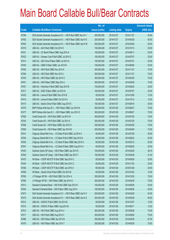|       |                                                                | No. of        |                     |               | <b>Amount raised</b> |
|-------|----------------------------------------------------------------|---------------|---------------------|---------------|----------------------|
| Code  | <b>Callable Bull/Bear Contracts</b>                            | issue (units) | <b>Listing date</b> | <b>Expiry</b> | $(HK$$ mil.)         |
| 67399 | SGA Societe Generale Acceptance N.V. - HSI R Bull CBBC Nov14 V | 200,000,000   | 2014/01/27          | 2014/11/27    | 50.00                |
| 67400 | SGA Societe Generale Acceptance N.V. - HSI R Bear CBBC Apr14 S | 200,000,000   | 2014/01/27          | 2014/04/29    | 50.00                |
| 67403 | SGA Societe Generale Acceptance N.V. - HSI R Bear CBBC Apr14 W | 200,000,000   | 2014/01/27          | 2014/04/29    | 50.00                |
| 67418 | UBS AG - AIA R Bull CBBC Oct 2014 E                            | 100,000,000   | 2014/01/27          | 2014/10/13    | 25.00                |
| 67421 | UBS AG - CC Bank R Bear CBBC Aug 2014 A                        | 100,000,000   | 2014/01/27          | 2014/08/11    | 25.00                |
| 67422 | UBS AG - Sinopec Corp R Bull CBBC Jul 2014 C                   | 100,000,000   | 2014/01/27          | 2014/07/07    | 25.00                |
| 67414 | UBS AG - A50 China R Bear CBBC Jul 2014 A                      | 100,000,000   | 2014/01/27          | 2014/07/21    | 25.00                |
| 67428 | UBS AG - HSBC R Bear CBBC Jun 2014 B                           | 100,000,000   | 2014/01/27          | 2014/06/09    | 25.00                |
| 67383 | UBS AG - HSI R Bull CBBC Nov 2014 K                            | 300,000,000   | 2014/01/27          | 2014/11/27    | 75.00                |
| 67384 | UBS AG - HSI R Bull CBBC Nov 2014 L                            | 300,000,000   | 2014/01/27          | 2014/11/27    | 75.00                |
| 67445 | UBS AG - HSI R Bear CBBC Apr 2014 O                            | 300,000,000   | 2014/01/27          | 2014/04/29    | 75.00                |
| 67451 | UBS AG - HSI R Bear CBBC May 2014 J                            | 300,000,000   | 2014/01/27          | 2014/05/29    | 75.00                |
| 67427 | UBS AG - Hutchison R Bull CBBC Sep 2014 B                      | 100,000,000   | 2014/01/27          | 2014/09/22    | 25.00                |
| 67417 | UBS AG - ICBC R Bear CBBC Jul 2014 B                           | 100,000,000   | 2014/01/27          | 2014/07/07    | 25.00                |
| 67420 | UBS AG - Lenovo R Bull CBBC Dec 2014 B                         | 50,000,000    | 2014/01/27          | 2014/12/08    | 12.50                |
| 67419 | UBS AG - Lenovo R Bear CBBC Oct 2014 A                         | 50,000,000    | 2014/01/27          | 2014/10/13    | 12.50                |
| 67415 | UBS AG - Sands China R Bull CBBC Aug 2014 E                    | 100,000,000   | 2014/01/27          | 2014/08/18    | 25.00                |
| 67476 | BNP Paribas Arbit Issu B.V. - HSI R Bear CBBC Jun 2014 N       | 300,000,000   | 2014/01/28          | 2014/06/27    | 75.00                |
| 67477 | BNP Paribas Arbit Issu B.V. - HSI R Bear CBBC Jun 2014 O       | 300,000,000   | 2014/01/28          | 2014/06/27    | 75.00                |
| 67528 | Credit Suisse AG - HSI R Bull CBBC Jul 2014 W                  | 300,000,000   | 2014/01/28          | 2014/07/30    | 75.00                |
| 67534 | Credit Suisse AG - HSI R Bull CBBC Jul 2014 X                  | 300,000,000   | 2014/01/28          | 2014/07/30    | 75.00                |
| 67508 | Credit Suisse AG - HSI R Bear CBBC Apr 2014 H                  | 300,000,000   | 2014/01/28          | 2014/04/29    | 75.00                |
| 67509 | Credit Suisse AG - HSI R Bear CBBC Apr 2014 M                  | 300,000,000   | 2014/01/28          | 2014/04/29    | 75.00                |
| 67541 | Citigroup Global Mkt H Inc. - CC Bank R Bull CBBC Jul 2014 A   | 80,000,000    | 2014/01/28          | 2014/07/28    | 20.00                |
| 67538 | Citigroup Global Mkt H Inc. - CC Bank R Bull CBBC Sep 2014 B   | 80,000,000    | 2014/01/28          | 2014/09/22    | 20.00                |
| 67545 | Citigroup Global Mkt H Inc. - CC Bank R Bear CBBC May 2014 A   | 80,000,000    | 2014/01/28          | 2014/05/12    | 20.00                |
| 67547 | Citigroup Global Mkt H Inc. - CC Bank R Bear CBBC Aug 2014 A   | 80,000,000    | 2014/01/28          | 2014/08/25    | 20.00                |
| 67453 | Goldman Sachs SP (Asia) - HSI R Bear CBBC Apr 2014 S           | 150,000,000   | 2014/01/28          | 2014/04/29    | 38.70                |
| 67549 | Goldman Sachs SP (Asia) - HSI R Bear CBBC Apr 2014 T           | 150,000,000   | 2014/01/28          | 2014/04/29    | 41.40                |
| 67470 | HK Bank - CSOP A50 ETF R Bull CBBC Sep 2014 C                  | 80,000,000    | 2014/01/28          | 2014/09/29    | 20.00                |
| 67454 | HK Bank - CSOP A50 ETF R Bull CBBC Nov 2014 C                  | 80,000,000    | 2014/01/28          | 2014/11/03    | 20.00                |
| 67456 | HK Bank - CSOP A50 ETF R Bull CBBC Jan 2015 A                  | 80,000,000    | 2014/01/28          | 2015/01/26    | 20.00                |
| 67469 | HK Bank - Sands China R Bull CBBC Oct 2014 B                   | 60,000,000    | 2014/01/28          | 2014/10/24    | 15.00                |
| 67555 | J P Morgan SP BV - HSI R Bull CBBC Oct 2014 A                  | 300,000,000   | 2014/01/28          | 2014/10/30    | 75.00                |
| 67556 | J P Morgan SP BV - HSI R Bear CBBC Apr 2014 O                  | 300,000,000   | 2014/01/28          | 2014/04/29    | 75.00                |
| 67513 | Standard Chartered Bank - HSI R Bull CBBC Sep 2014 N           | 100,000,000   | 2014/01/28          | 2014/09/29    | 25.00                |
| 67504 | Standard Chartered Bank - HSI R Bear CBBC Aug 2014 I           | 100,000,000   | 2014/01/28          | 2014/08/28    | 25.00                |
| 67473 | SGA Societe Generale Acceptance N.V. - HSI R Bear CBBC Apr14 Y | 200,000,000   | 2014/01/28          | 2014/04/29    | 50.00                |
| 67475 | SGA Societe Generale Acceptance N.V. - HSI R Bear CBBC Apr14 Z | 200,000,000   | 2014/01/28          | 2014/04/29    | 50.00                |
| 67512 | UBS AG - CNOOC R Bull CBBC Oct 2014 B                          | 50,000,000    | 2014/01/28          | 2014/10/27    | 12.50                |
| 67510 | UBS AG - CNOOC R Bear CBBC Aug 2014 B                          | 50,000,000    | 2014/01/28          | 2014/08/11    | 12.50                |
| 67515 | UBS AG - HSI R Bull CBBC Aug 2014 U                            | 300,000,000   | 2014/01/28          | 2014/08/28    | 75.00                |
| 67517 | UBS AG - HSI R Bull CBBC Aug 2014 V                            | 300,000,000   | 2014/01/28          | 2014/08/28    | 75.00                |
| 67486 | UBS AG - HSI R Bear CBBC Apr 2014 B                            | 350,000,000   | 2014/01/28          | 2014/04/29    | 87.50                |
| 67478 | UBS AG - HSI R Bear CBBC Apr 2014 T                            | 300,000,000   | 2014/01/28          | 2014/04/29    | 75.00                |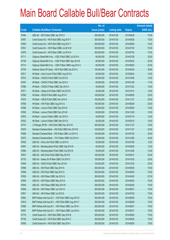|       |                                                           | No. of        |                     |               | <b>Amount raised</b> |
|-------|-----------------------------------------------------------|---------------|---------------------|---------------|----------------------|
| Code  | <b>Callable Bull/Bear Contracts</b>                       | issue (units) | <b>Listing date</b> | <b>Expiry</b> | $(HK$$ mil.)         |
| 67484 | UBS AG - HSI R Bear CBBC Apr 2014 X                       | 300,000,000   | 2014/01/28          | 2014/04/29    | 75.00                |
| 67687 | Credit Suisse AG - HSI R Bull CBBC Aug 2014 T             | 300,000,000   | 2014/01/29          | 2014/08/28    | 75.00                |
| 67693 | Credit Suisse AG - HSI R Bull CBBC Aug 2014 Y             | 300,000,000   | 2014/01/29          | 2014/08/28    | 75.00                |
| 67641 | Credit Suisse AG - HSI R Bear CBBC Jul 2014 M             | 300,000,000   | 2014/01/29          | 2014/07/30    | 75.00                |
| 67678 | Credit Suisse AG - HSI R Bear CBBC Jul 2014 N             | 300,000,000   | 2014/01/29          | 2014/07/30    | 75.00                |
| 67711 | Citigroup Global Mkt H Inc. - ICBC R Bull CBBC Jul 2014 A | 80,000,000    | 2014/01/29          | 2014/07/28    | 20.00                |
| 67708 | Citigroup Global Mkt H Inc. - ICBC R Bull CBBC Sep 2014 B | 80,000,000    | 2014/01/29          | 2014/09/22    | 20.00                |
| 67714 | Citigroup Global Mkt H Inc. - ICBC R Bear CBBC Aug 2014 A | 80,000,000    | 2014/01/29          | 2014/08/25    | 20.00                |
| 67705 | Goldman Sachs SP (Asia) - HSI R Bull CBBC Apr 2014 C      | 150,000,000   | 2014/01/29          | 2014/04/29    | 38.85                |
| 67617 | HK Bank - Anhui Conch R Bull CBBC Aug 2015 A              | 50,000,000    | 2014/01/29          | 2015/08/24    | 12.50                |
| 67572 | HK Bank - CNOOC R Bull CBBC Oct 2014 D                    | 60,000,000    | 2014/01/29          | 2014/10/06    | 15.00                |
| 67587 | HK Bank - CNOOC R Bull CBBC Jan 2015 A                    | 60,000,000    | 2014/01/29          | 2015/01/26    | 17.40                |
| 67588 | HK Bank - CNOOC R Bear CBBC Dec 2014 A                    | 40,000,000    | 2014/01/29          | 2014/12/22    | 10.00                |
| 67571 | HK Bank - Galaxy Ent R Bear CBBC Oct 2014 E               | 40,000,000    | 2014/01/29          | 2014/10/13    | 10.00                |
| 67560 | HK Bank - HSCEI R Bull CBBC Aug 2014 C                    | 100,000,000   | 2014/01/29          | 2014/08/28    | 25.00                |
| 67570 | HK Bank - HSCEI R Bull CBBC Nov 2014 A                    | 100,000,000   | 2014/01/29          | 2014/11/27    | 25.00                |
| 67558 | HK Bank - HSI R Bull CBBC Aug 2014 Q                      | 100,000,000   | 2014/01/29          | 2014/08/28    | 25.00                |
| 67596 | HK Bank - Lenovo R Bull CBBC Sep 2014 D                   | 60,000,000    | 2014/01/29          | 2014/09/29    | 15.00                |
| 67600 | HK Bank - Lenovo R Bull CBBC Dec 2014 B                   | 60,000,000    | 2014/01/29          | 2014/12/29    | 15.00                |
| 67603 | HK Bank - Lenovo R Bear CBBC Jan 2015 A                   | 40,000,000    | 2014/01/29          | 2015/01/19    | 10.00                |
| 67632 | HK Bank - Lenovo R Bear CBBC Mar 2015 A                   | 40,000,000    | 2014/01/29          | 2015/03/16    | 10.00                |
| 67707 | J P Morgan SP BV - HSI R Bull CBBC Nov 2014 W             | 300,000,000   | 2014/01/29          | 2014/11/27    | 75.00                |
| 67676 | Standard Chartered Bank - HSI R Bull CBBC Nov 2014 M      | 100,000,000   | 2014/01/29          | 2014/11/27    | 25.00                |
| 67669 | Standard Chartered Bank - HSI R Bear CBBC Jul 2014 G      | 100,000,000   | 2014/01/29          | 2014/07/30    | 25.00                |
| 67675 | Standard Chartered Bank - TCH R Bear CBBC Oct 2014 A      | 50,000,000    | 2014/01/29          | 2014/10/08    | 40.00                |
| 67663 | UBS AG - China Life R Bull CBBC Jul 2014 H                | 50,000,000    | 2014/01/29          | 2014/07/28    | 12.50                |
| 67667 | UBS AG - Minsheng Bank R Bull CBBC Sep 2014 B             | 50,000,000    | 2014/01/29          | 2014/09/29    | 12.50                |
| 67666 | UBS AG - Minsheng Bank R Bull CBBC Oct 2014 B             | 50,000,000    | 2014/01/29          | 2014/10/06    | 12.50                |
| 67657 | UBS AG - A50 China R Bull CBBC May 2014 B                 | 100,000,000   | 2014/01/29          | 2014/05/12    | 25.00                |
| 67703 | UBS AG - Galaxy Ent R Bear CBBC Oct 2014 C                | 100,000,000   | 2014/01/29          | 2014/10/20    | 25.00                |
| 67654 | UBS AG - HSCEI R Bull CBBC Dec 2014 B                     | 100,000,000   | 2014/01/29          | 2014/12/30    | 25.00                |
| 67696 | UBS AG - HSI R Bull CBBC Sep 2014 N                       | 300,000,000   | 2014/01/29          | 2014/09/29    | 75.00                |
| 67699 | UBS AG - HSI R Bull CBBC Sep 2014 O                       | 300,000,000   | 2014/01/29          | 2014/09/29    | 75.00                |
| 67638 | UBS AG - HSI R Bear CBBC Apr 2014 Q                       | 350,000,000   | 2014/01/29          | 2014/04/29    | 87.50                |
| 67646 | UBS AG - HSI R Bear CBBC May 2014 K                       | 300,000,000   | 2014/01/29          | 2014/05/29    | 75.00                |
| 67649 | UBS AG - HSI R Bear CBBC May 2014 W                       | 300,000,000   | 2014/01/29          | 2014/05/29    | 75.00                |
| 67648 | UBS AG - HSI R Bear CBBC Jun 2014 D                       | 300,000,000   | 2014/01/29          | 2014/06/27    | 75.00                |
| 67651 | UBS AG - HSI R Bear CBBC Jul 2014 E                       | 300,000,000   | 2014/01/29          | 2014/07/30    | 75.00                |
| 67802 | BNP Paribas Arbit Issu B.V. - HSI R Bull CBBC Aug 2014 D  | 300,000,000   | 2014/01/30          | 2014/08/28    | 75.00                |
| 67819 | BNP Paribas Arbit Issu B.V. - HSI R Bull CBBC Aug 2014 Y  | 300,000,000   | 2014/01/30          | 2014/08/28    | 75.00                |
| 67896 | BNP Paribas Arbit Issu B.V. - HSI R Bear CBBC Jun 2014 I  | 300,000,000   | 2014/01/30          | 2014/06/27    | 75.00                |
| 67897 | BNP Paribas Arbit Issu B.V. - HSI R Bear CBBC Jun 2014 L  | 300,000,000   | 2014/01/30          | 2014/06/27    | 75.00                |
| 67776 | Credit Suisse AG - HSI R Bull CBBC Sep 2014 B             | 300,000,000   | 2014/01/30          | 2014/09/29    | 75.00                |
| 67792 | Credit Suisse AG - HSI R Bull CBBC Sep 2014 C             | 300,000,000   | 2014/01/30          | 2014/09/29    | 75.00                |
| 67859 | Credit Suisse AG - HSI R Bull CBBC Sep 2014 I             | 300,000,000   | 2014/01/30          | 2014/09/29    | 75.00                |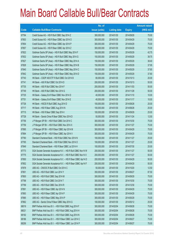|                          |                                                                | No. of        |                     |               | <b>Amount raised</b> |
|--------------------------|----------------------------------------------------------------|---------------|---------------------|---------------|----------------------|
| $\overline{\text{Code}}$ | <b>Callable Bull/Bear Contracts</b>                            | issue (units) | <b>Listing date</b> | <b>Expiry</b> | (HK\$ mil.)          |
| 67794                    | Credit Suisse AG - HSI R Bull CBBC Sep 2014 Z                  | 300,000,000   | 2014/01/30          | 2014/09/29    | 75.00                |
| 67853                    | Credit Suisse AG - HSI R Bear CBBC Apr 2014 O                  | 300,000,000   | 2014/01/30          | 2014/04/29    | 75.00                |
| 67854                    | Credit Suisse AG - HSI R Bear CBBC Apr 2014 P                  | 300,000,000   | 2014/01/30          | 2014/04/29    | 75.00                |
| 67857                    | Credit Suisse AG - HSI R Bear CBBC Apr 2014 Z                  | 300,000,000   | 2014/01/30          | 2014/04/29    | 75.00                |
| 67822                    | Goldman Sachs SP (Asia) - HSI R Bull CBBC May 2014 F           | 150,000,000   | 2014/01/30          | 2014/05/29    | 42.75                |
| 67832                    | Goldman Sachs SP (Asia) - HSI R Bull CBBC May 2014 G           | 150,000,000   | 2014/01/30          | 2014/05/29    | 39.75                |
| 67827                    | Goldman Sachs SP (Asia) - HSI R Bear CBBC May 2014 A           | 150,000,000   | 2014/01/30          | 2014/05/29    | 38.40                |
| 67828                    | Goldman Sachs SP (Asia) - HSI R Bear CBBC May 2014 B           | 150,000,000   | 2014/01/30          | 2014/05/29    | 37.95                |
| 67840                    | Goldman Sachs SP (Asia) - HSI R Bear CBBC May 2014 C           | 150,000,000   | 2014/01/30          | 2014/05/29    | 37.65                |
| 67842                    | Goldman Sachs SP (Asia) - HSI R Bear CBBC May 2014 D           | 150,000,000   | 2014/01/30          | 2014/05/29    | 37.80                |
| 67743                    | HK Bank - CSOP A50 ETF R Bull CBBC Oct 2014 B                  | 80,000,000    | 2014/01/30          | 2014/10/13    | 20.00                |
| 67741                    | HK Bank - A50 R Bull CBBC Oct 2014 D                           | 200,000,000   | 2014/01/30          | 2014/10/13    | 50.00                |
| 67735                    | HK Bank - A50 R Bull CBBC Nov 2014 F                           | 200,000,000   | 2014/01/30          | 2014/11/03    | 50.00                |
| 67749                    | HK Bank - A50 R Bull CBBC Nov 2014 G                           | 200,000,000   | 2014/01/30          | 2014/11/28    | 50.00                |
| 67725                    | HK Bank - Galaxy Ent R Bear CBBC Nov 2014 D                    | 40,000,000    | 2014/01/30          | 2014/11/10    | 10.00                |
| 67751                    | HK Bank - Galaxy Ent R Bear CBBC Nov 2014 E                    | 40,000,000    | 2014/01/30          | 2014/11/17    | 10.00                |
| 67726                    | HK Bank - HSCEI R Bull CBBC Aug 2014 D                         | 100,000,000   | 2014/01/30          | 2014/08/28    | 25.00                |
| 67717                    | HK Bank - HSI R Bear CBBC Aug 2014 N                           | 100,000,000   | 2014/01/30          | 2014/08/28    | 25.00                |
| 67715                    | HK Bank - HSI R Bear CBBC Sep 2014 I                           | 100,000,000   | 2014/01/30          | 2014/09/29    | 25.00                |
| 67728                    | HK Bank - Sands China R Bear CBBC Nov 2014 D                   | 50,000,000    | 2014/01/30          | 2014/11/24    | 12.50                |
| 67756                    | J P Morgan SP BV - HSI R Bull CBBC Oct 2014 C                  | 300,000,000   | 2014/01/30          | 2014/10/30    | 75.00                |
| 67759                    | J P Morgan SP BV - HSI R Bull CBBC Nov 2014 X                  | 300,000,000   | 2014/01/30          | 2014/11/27    | 75.00                |
| 67895                    | J P Morgan SP BV - HSI R Bear CBBC Apr 2014 M                  | 300,000,000   | 2014/01/30          | 2014/04/29    | 75.00                |
| 67894                    | J P Morgan SP BV - HSI R Bear CBBC Apr 2014 V                  | 300,000,000   | 2014/01/30          | 2014/04/29    | 75.00                |
| 67760                    | Standard Chartered Bank - HSI R Bull CBBC Nov 2014 N           | 100,000,000   | 2014/01/30          | 2014/11/27    | 25.00                |
| 67765                    | Standard Chartered Bank - HSI R Bull CBBC Nov 2014 O           | 100,000,000   | 2014/01/30          | 2014/11/27    | 25.00                |
| 67849                    | Standard Chartered Bank - HSI R Bear CBBC Jul 2014 H           | 100,000,000   | 2014/01/30          | 2014/07/30    | 25.00                |
| 67773                    | SGA Societe Generale Acceptance N.V. - HSI R Bull CBBC Nov14 W | 200,000,000   | 2014/01/30          | 2014/11/27    | 50.00                |
| 67775                    | SGA Societe Generale Acceptance N.V. - HSI R Bull CBBC Nov14 X | 200,000,000   | 2014/01/30          | 2014/11/27    | 50.00                |
| 67850                    | SGA Societe Generale Acceptance N.V. - HSI R Bear CBBC Apr14 D | 200,000,000   | 2014/01/30          | 2014/04/29    | 50.00                |
| 67852                    | SGA Societe Generale Acceptance N.V. - HSI R Bear CBBC Apr14 F | 200,000,000   | 2014/01/30          | 2014/04/29    | 50.00                |
| 67878                    | UBS AG - CNOOC R Bull CBBC Oct 2014 C                          | 50,000,000    | 2014/01/30          | 2014/10/20    | 12.50                |
| 67801                    | UBS AG - HSI R Bull CBBC Jun 2014 Y                            | 350,000,000   | 2014/01/30          | 2014/06/27    | 87.50                |
| 67800                    | UBS AG - HSI R Bull CBBC Sep 2014 M                            | 300,000,000   | 2014/01/30          | 2014/09/29    | 75.00                |
| 67798                    | UBS AG - HSI R Bull CBBC Oct 2014 T                            | 300,000,000   | 2014/01/30          | 2014/10/30    | 75.00                |
| 67799                    | UBS AG - HSI R Bull CBBC Dec 2014 R                            | 300,000,000   | 2014/01/30          | 2014/12/30    | 75.00                |
| 67891                    | UBS AG - HSI R Bear CBBC Apr 2014 N                            | 300,000,000   | 2014/01/30          | 2014/04/29    | 75.00                |
| 67893                    | UBS AG - HSI R Bear CBBC Apr 2014 P                            | 300,000,000   | 2014/01/30          | 2014/04/29    | 75.00                |
| 67885                    | UBS AG - HSI R Bear CBBC May 2014 P                            | 300,000,000   | 2014/01/30          | 2014/05/29    | 75.00                |
| 67862                    | UBS AG - Sands China R Bear CBBC May 2014 G                    | 100,000,000   | 2014/01/30          | 2014/05/12    | 25.00                |
| 68019                    | BNP Paribas Arbit Issu B.V. - HSI R Bull CBBC Aug 2014 F       | 300,000,000   | 2014/02/04          | 2014/08/28    | 75.00                |
| 68021                    | BNP Paribas Arbit Issu B.V. - HSI R Bull CBBC Aug 2014 H       | 300,000,000   | 2014/02/04          | 2014/08/28    | 75.00                |
| 68192                    | BNP Paribas Arbit Issu B.V. - HSI R Bull CBBC Aug 2014 N       | 300,000,000   | 2014/02/04          | 2014/08/28    | 75.00                |
| 68186                    | BNP Paribas Arbit Issu B.V. - HSI R Bear CBBC Jun 2014 C       | 300,000,000   | 2014/02/04          | 2014/06/27    | 75.00                |
| 68256                    | BNP Paribas Arbit Issu B.V. - HSI R Bear CBBC Jun 2014 P       | 300,000,000   | 2014/02/04          | 2014/06/27    | 75.00                |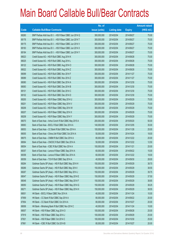|       |                                                          | No. of        |                     |               | <b>Amount raised</b> |
|-------|----------------------------------------------------------|---------------|---------------------|---------------|----------------------|
| Code  | <b>Callable Bull/Bear Contracts</b>                      | issue (units) | <b>Listing date</b> | <b>Expiry</b> | $(HK$$ mil.)         |
| 68260 | BNP Paribas Arbit Issu B.V. - HSI R Bear CBBC Jun 2014 Q | 300,000,000   | 2014/02/04          | 2014/06/27    | 75.00                |
| 68176 | BNP Paribas Arbit Issu B.V. - HSI R Bear CBBC Jun 2014 T | 300,000,000   | 2014/02/04          | 2014/06/27    | 75.00                |
| 68175 | BNP Paribas Arbit Issu B.V. - HSI R Bear CBBC Jun 2014 V | 300,000,000   | 2014/02/04          | 2014/06/27    | 75.00                |
| 68183 | BNP Paribas Arbit Issu B.V. - HSI R Bear CBBC Jun 2014 X | 300,000,000   | 2014/02/04          | 2014/06/27    | 75.00                |
| 68184 | BNP Paribas Arbit Issu B.V. - HSI R Bear CBBC Jun 2014 Y | 300,000,000   | 2014/02/04          | 2014/06/27    | 75.00                |
| 68023 | Credit Suisse AG - HSI R Bull CBBC Aug 2014 K            | 300,000,000   | 2014/02/04          | 2014/08/28    | 75.00                |
| 68025 | Credit Suisse AG - HSI R Bull CBBC Aug 2014 L            | 300,000,000   | 2014/02/04          | 2014/08/28    | 75.00                |
| 68122 | Credit Suisse AG - HSI R Bull CBBC Aug 2014 O            | 300,000,000   | 2014/02/04          | 2014/08/28    | 75.00                |
| 68022 | Credit Suisse AG - HSI R Bull CBBC Aug 2014 Z            | 300,000,000   | 2014/02/04          | 2014/08/28    | 75.00                |
| 68099 | Credit Suisse AG - HSI R Bull CBBC Nov 2014 F            | 300,000,000   | 2014/02/04          | 2014/11/27    | 75.00                |
| 68089 | Credit Suisse AG - HSI R Bull CBBC Nov 2014 Z            | 300,000,000   | 2014/02/04          | 2014/11/27    | 75.00                |
| 68080 | Credit Suisse AG - HSI R Bull CBBC Dec 2014 A            | 300,000,000   | 2014/02/04          | 2014/12/30    | 75.00                |
| 68083 | Credit Suisse AG - HSI R Bull CBBC Dec 2014 B            | 300,000,000   | 2014/02/04          | 2014/12/30    | 75.00                |
| 68101 | Credit Suisse AG - HSI R Bull CBBC Dec 2014 C            | 300,000,000   | 2014/02/04          | 2014/12/30    | 75.00                |
| 68102 | Credit Suisse AG - HSI R Bull CBBC Dec 2014 D            | 300,000,000   | 2014/02/04          | 2014/12/30    | 75.00                |
| 68200 | Credit Suisse AG - HSI R Bear CBBC May 2014 U            | 300,000,000   | 2014/02/04          | 2014/05/29    | 75.00                |
| 68201 | Credit Suisse AG - HSI R Bear CBBC May 2014 V            | 300,000,000   | 2014/02/04          | 2014/05/29    | 75.00                |
| 68206 | Credit Suisse AG - HSI R Bear CBBC May 2014 W            | 300,000,000   | 2014/02/04          | 2014/05/29    | 75.00                |
| 68207 | Credit Suisse AG - HSI R Bear CBBC May 2014 X            | 300,000,000   | 2014/02/04          | 2014/05/29    | 75.00                |
| 68208 | Credit Suisse AG - HSI R Bear CBBC May 2014 Y            | 300,000,000   | 2014/02/04          | 2014/05/29    | 75.00                |
| 68070 | Bank of East Asia - Anhui Conch R Bull CBBC May 2015 A   | 200,000,000   | 2014/02/04          | 2015/05/20    | 50.00                |
| 68063 | Bank of East Asia - BOCL R Bull CBBC Dec 2014 A          | 140,000,000   | 2014/02/04          | 2014/12/05    | 35.00                |
| 68053 | Bank of East Asia - CC Bank R Bull CBBC Nov 2014 A       | 100,000,000   | 2014/02/04          | 2014/11/28    | 25.00                |
| 68055 | Bank of East Asia - China Life R Bull CBBC Oct 2014 A    | 50,000,000    | 2014/02/04          | 2014/10/24    | 18.00                |
| 68075 | Bank of East Asia - CNBM R Bull CBBC Dec 2014 A          | 80,000,000    | 2014/02/04          | 2014/12/22    | 20.00                |
| 68064 | Bank of East Asia - CNOOC R Bull CBBC Dec 2014 A         | 50,000,000    | 2014/02/04          | 2014/12/22    | 12.50                |
| 68054 | Bank of East Asia - ICBC R Bull CBBC Nov 2014 A          | 100,000,000   | 2014/02/04          | 2014/11/21    | 25.00                |
| 68357 | Bank of East Asia - Lenovo R Bear CBBC Sep 2014 A        | 60,000,000    | 2014/02/04          | 2014/09/22    | 15.00                |
| 68358 | Bank of East Asia - Lenovo R Bear CBBC Dec 2014 A        | 60,000,000    | 2014/02/04          | 2014/12/22    | 18.00                |
| 68359 | Bank of East Asia - TCH R Bull CBBC Sep 2014 A           | 40,000,000    | 2014/02/04          | 2014/09/30    | 28.00                |
| 68264 | Goldman Sachs SP (Asia) - HSI R Bull CBBC May 2014 H     | 150,000,000   | 2014/02/04          | 2014/05/29    | 38.70                |
| 68266 | Goldman Sachs SP (Asia) - HSI R Bull CBBC May 2014 I     | 150,000,000   | 2014/02/04          | 2014/05/29    | 38.55                |
| 68267 | Goldman Sachs SP (Asia) - HSI R Bull CBBC May 2014 J     | 150,000,000   | 2014/02/04          | 2014/05/29    | 39.75                |
| 68047 | Goldman Sachs SP (Asia) - HSI R Bear CBBC May 2014 E     | 150,000,000   | 2014/02/04          | 2014/05/29    | 37.50                |
| 68048 | Goldman Sachs SP (Asia) - HSI R Bear CBBC May 2014 F     | 150,000,000   | 2014/02/04          | 2014/05/29    | 38.85                |
| 68050 | Goldman Sachs SP (Asia) - HSI R Bear CBBC May 2014 G     | 150,000,000   | 2014/02/04          | 2014/05/29    | 38.25                |
| 68271 | Goldman Sachs SP (Asia) - HSI R Bear CBBC May 2014 H     | 150,000,000   | 2014/02/04          | 2014/05/29    | 38.55                |
| 68001 | HK Bank - BOCL R Bear CBBC Nov 2014 A                    | 40,000,000    | 2014/02/04          | 2014/11/24    | 10.00                |
| 67959 | HK Bank - CC Bank R Bull CBBC Sep 2014 A                 | 80,000,000    | 2014/02/04          | 2014/09/22    | 20.00                |
| 67954 | HK Bank - CC Bank R Bull CBBC Oct 2014 A                 | 80,000,000    | 2014/02/04          | 2014/10/27    | 20.00                |
| 68006 | HK Bank - Minsheng Bank R Bull CBBC Nov 2014 C           | 40,000,000    | 2014/02/04          | 2014/11/24    | 10.00                |
| 68007 | HK Bank - HSI R Bear CBBC Aug 2014 O                     | 100,000,000   | 2014/02/04          | 2014/08/28    | 25.00                |
| 67919 | HK Bank - HSI R Bear CBBC Sep 2014 J                     | 100,000,000   | 2014/02/04          | 2014/09/29    | 25.00                |
| 67921 | HK Bank - HSI R Bear CBBC Oct 2014 C                     | 100,000,000   | 2014/02/04          | 2014/10/30    | 25.00                |
| 67961 | HK Bank - ICBC R Bull CBBC Oct 2014 B                    | 80,000,000    | 2014/02/04          | 2014/10/27    | 20.00                |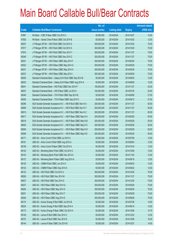|             |                                                                | No. of        |                     |               | <b>Amount raised</b> |
|-------------|----------------------------------------------------------------|---------------|---------------------|---------------|----------------------|
| <b>Code</b> | <b>Callable Bull/Bear Contracts</b>                            | issue (units) | <b>Listing date</b> | <b>Expiry</b> | (HK\$ mil.)          |
| 67967       | HK Bank - ICBC R Bear CBBC Oct 2014 C                          | 40,000,000    | 2014/02/04          | 2014/10/27    | 10.00                |
| 67926       | HK Bank - Sands China R Bear CBBC Oct 2014 B                   | 50,000,000    | 2014/02/04          | 2014/10/20    | 12.50                |
| 68347       | J P Morgan SP BV - HSI R Bull CBBC Oct 2014 G                  | 300,000,000   | 2014/02/04          | 2014/10/30    | 75.00                |
| 67917       | J P Morgan SP BV - HSI R Bull CBBC Oct 2014 S                  | 300,000,000   | 2014/02/04          | 2014/10/30    | 75.00                |
| 67916       | J P Morgan SP BV - HSI R Bull CBBC Nov 2014 Y                  | 300,000,000   | 2014/02/04          | 2014/11/27    | 75.00                |
| 68348       | J P Morgan SP BV - HSI R Bull CBBC Nov 2014 Z                  | 300,000,000   | 2014/02/04          | 2014/11/27    | 75.00                |
| 68321       | J P Morgan SP BV - HSI R Bear CBBC May 2014 F                  | 300,000,000   | 2014/02/04          | 2014/05/29    | 75.00                |
| 68322       | J P Morgan SP BV - HSI R Bear CBBC May 2014 G                  | 300,000,000   | 2014/02/04          | 2014/05/29    | 75.00                |
| 68331       | J P Morgan SP BV - HSI R Bear CBBC May 2014 H                  | 300,000,000   | 2014/02/04          | 2014/05/29    | 75.00                |
| 68337       | J P Morgan SP BV - HSI R Bear CBBC May 2014 I                  | 300,000,000   | 2014/02/04          | 2014/05/29    | 75.00                |
| 68029       | Standard Chartered Bank - Galaxy Ent R Bull CBBC Sep 2014 B    | 50,000,000    | 2014/02/04          | 2014/09/30    | 12.50                |
| 68033       | Standard Chartered Bank - Galaxy Ent R Bear CBBC Aug 2014 A    | 50,000,000    | 2014/02/04          | 2014/08/08    | 12.50                |
| 68041       | Standard Chartered Bank - HSI R Bull CBBC Nov 2014 P           | 100,000,000   | 2014/02/04          | 2014/11/27    | 25.00                |
| 68037       | Standard Chartered Bank - HSI R Bear CBBC Jul 2014 I           | 100,000,000   | 2014/02/04          | 2014/07/30    | 25.00                |
| 68349       | Standard Chartered Bank - TCH R Bull CBBC Sep 2014 B           | 50,000,000    | 2014/02/04          | 2014/09/08    | 27.50                |
| 68350       | Standard Chartered Bank - TCH R Bear CBBC Sep 2014 C           | 50,000,000    | 2014/02/04          | 2014/09/12    | 27.50                |
| 68296       | SGA Societe Generale Acceptance N.V. - HSI R Bull CBBC Nov14 A | 200,000,000   | 2014/02/04          | 2014/11/27    | 50.00                |
| 68008       | SGA Societe Generale Acceptance N.V. - HSI R Bull CBBC Nov14 Y | 200,000,000   | 2014/02/04          | 2014/11/27    | 50.00                |
| 68010       | SGA Societe Generale Acceptance N.V. - HSI R Bull CBBC Nov14 Z | 200,000,000   | 2014/02/04          | 2014/11/27    | 50.00                |
| 68017       | SGA Societe Generale Acceptance N.V. - HSI R Bear CBBC May14 A | 200,000,000   | 2014/02/04          | 2014/05/29    | 50.00                |
| 68018       | SGA Societe Generale Acceptance N.V. - HSI R Bear CBBC May14 B | 200,000,000   | 2014/02/04          | 2014/05/29    | 50.00                |
| 68045       | SGA Societe Generale Acceptance N.V. - HSI R Bear CBBC May14 C | 200,000,000   | 2014/02/04          | 2014/05/29    | 50.00                |
| 68046       | SGA Societe Generale Acceptance N.V. - HSI R Bear CBBC May14 D | 200,000,000   | 2014/02/04          | 2014/05/29    | 50.00                |
| 68308       | SGA Societe Generale Acceptance N.V. - HSI R Bear CBBC May14 E | 200,000,000   | 2014/02/04          | 2014/05/29    | 50.00                |
| 68171       | UBS AG - Anhui Conch R Bull CBBC Jul 2015 A                    | 50,000,000    | 2014/02/04          | 2015/07/06    | 12.50                |
| 68161       | UBS AG - Anhui Conch R Bull CBBC Aug 2015 A                    | 50,000,000    | 2014/02/04          | 2015/08/03    | 12.50                |
| 68159       | UBS AG - Anhui Conch R Bear CBBC Oct 2014 A                    | 50,000,000    | 2014/02/04          | 2014/10/16    | 12.50                |
| 68142       | UBS AG - Minsheng Bank R Bull CBBC Oct 2014 C                  | 50,000,000    | 2014/02/04          | 2014/10/06    | 12.50                |
| 68143       | UBS AG - Minsheng Bank R Bull CBBC Nov 2014 A                  | 50,000,000    | 2014/02/04          | 2014/11/03    | 12.50                |
| 68137       | UBS AG - Minsheng Bank R Bear CBBC Aug 2014 A                  | 50,000,000    | 2014/02/04          | 2014/08/18    | 12.50                |
| 68125       | UBS AG - CNBM R Bull CBBC Jun 2014 C                           | 50,000,000    | 2014/02/04          | 2014/06/30    | 12.50                |
| 68124       | UBS AG - CNBM R Bear CBBC Sep 2014 A                           | 50,000,000    | 2014/02/04          | 2014/09/22    | 12.50                |
| 68123       | UBS AG - HSI R Bull CBBC Oct 2014 U                            | 300,000,000   | 2014/02/04          | 2014/10/30    | 75.00                |
| 68026       | UBS AG - HSI R Bull CBBC Nov 2014 M                            | 300,000,000   | 2014/02/04          | 2014/11/27    | 75.00                |
| 68027       | UBS AG - HSI R Bull CBBC Dec 2014 S                            | 300,000,000   | 2014/02/04          | 2014/12/30    | 75.00                |
| 68237       | UBS AG - HSI R Bear CBBC May 2014 Q                            | 300,000,000   | 2014/02/04          | 2014/05/29    | 75.00                |
| 68254       | UBS AG - HSI R Bear CBBC May 2014 S                            | 300,000,000   | 2014/02/04          | 2014/05/29    | 75.00                |
| 68251       | UBS AG - HSI R Bear CBBC May 2014 T                            | 300,000,000   | 2014/02/04          | 2014/05/29    | 75.00                |
| 68236       | UBS AG - HSI R Bear CBBC Aug 2014 D                            | 300,000,000   | 2014/02/04          | 2014/08/28    | 75.00                |
| 68174       | UBS AG - Kunlun Energy R Bull CBBC Jul 2014 B                  | 50,000,000    | 2014/02/04          | 2014/07/28    | 14.50                |
| 68234       | UBS AG - Kunlun Energy R Bull CBBC Sep 2014 A                  | 50,000,000    | 2014/02/04          | 2014/09/15    | 12.50                |
| 68173       | UBS AG - Kunlun Energy R Bear CBBC Oct 2014 A                  | 50,000,000    | 2014/02/04          | 2014/10/06    | 14.75                |
| 68149       | UBS AG - Lenovo R Bull CBBC Dec 2014 C                         | 50,000,000    | 2014/02/04          | 2014/12/22    | 12.50                |
| 68157       | UBS AG - Lenovo R Bull CBBC Dec 2014 D                         | 50,000,000    | 2014/02/04          | 2014/12/08    | 16.25                |
| 68144       | UBS AG - Lenovo R Bear CBBC Oct 2014 B                         | 50,000,000    | 2014/02/04          | 2014/10/27    | 14.00                |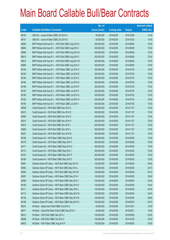|       |                                                          | No. of        |                     |               | <b>Amount raised</b> |
|-------|----------------------------------------------------------|---------------|---------------------|---------------|----------------------|
| Code  | <b>Callable Bull/Bear Contracts</b>                      | issue (units) | <b>Listing date</b> | <b>Expiry</b> | (HK\$ mil.)          |
| 68145 | UBS AG - Lenovo R Bear CBBC Oct 2014 C                   | 50,000,000    | 2014/02/04          | 2014/10/06    | 12.50                |
| 68147 | UBS AG - Lenovo R Bear CBBC Oct 2014 D                   | 50,000,000    | 2014/02/04          | 2014/10/20    | 14.00                |
| 68590 | BNP Paribas Arbit Issu B.V. - HSI R Bull CBBC Aug 2014 E | 300,000,000   | 2014/02/05          | 2014/08/28    | 75.00                |
| 68602 | BNP Paribas Arbit Issu B.V. - HSI R Bull CBBC Aug 2014 I | 300,000,000   | 2014/02/05          | 2014/08/28    | 75.00                |
| 68588 | BNP Paribas Arbit Issu B.V. - HSI R Bull CBBC Aug 2014 Q | 300,000,000   | 2014/02/05          | 2014/08/28    | 75.00                |
| 68615 | BNP Paribas Arbit Issu B.V. - HSI R Bull CBBC Aug 2014 V | 300,000,000   | 2014/02/05          | 2014/08/28    | 75.00                |
| 68616 | BNP Paribas Arbit Issu B.V. - HSI R Bull CBBC Aug 2014 W | 300,000,000   | 2014/02/05          | 2014/08/28    | 75.00                |
| 69999 | BNP Paribas Arbit Issu B.V. - HSI R Bull CBBC Aug 2014 X | 300,000,000   | 2014/02/05          | 2014/08/28    | 75.00                |
| 60182 | BNP Paribas Arbit Issu B.V. - HSI R Bear CBBC Jul 2014 A | 300,000,000   | 2014/02/05          | 2014/07/30    | 75.00                |
| 60183 | BNP Paribas Arbit Issu B.V. - HSI R Bear CBBC Jul 2014 B | 300,000,000   | 2014/02/05          | 2014/07/30    | 75.00                |
| 60184 | BNP Paribas Arbit Issu B.V. - HSI R Bear CBBC Jul 2014 C | 300,000,000   | 2014/02/05          | 2014/07/30    | 75.00                |
| 60185 | BNP Paribas Arbit Issu B.V. - HSI R Bear CBBC Jul 2014 D | 300,000,000   | 2014/02/05          | 2014/07/30    | 75.00                |
| 60186 | BNP Paribas Arbit Issu B.V. - HSI R Bear CBBC Jul 2014 E | 300,000,000   | 2014/02/05          | 2014/07/30    | 75.00                |
| 60187 | BNP Paribas Arbit Issu B.V. - HSI R Bear CBBC Jul 2014 F | 300,000,000   | 2014/02/05          | 2014/07/30    | 75.00                |
| 60189 | BNP Paribas Arbit Issu B.V. - HSI R Bear CBBC Jul 2014 G | 300,000,000   | 2014/02/05          | 2014/07/30    | 75.00                |
| 60192 | BNP Paribas Arbit Issu B.V. - HSI R Bear CBBC Jul 2014 H | 300,000,000   | 2014/02/05          | 2014/07/30    | 75.00                |
| 60195 | BNP Paribas Arbit Issu B.V. - HSI R Bear CBBC Jul 2014 I | 300,000,000   | 2014/02/05          | 2014/07/30    | 75.00                |
| 60008 | Credit Suisse AG - HSI R Bull CBBC Nov 2014 C            | 300,000,000   | 2014/02/05          | 2014/11/27    | 75.00                |
| 60012 | Credit Suisse AG - HSI R Bull CBBC Nov 2014 D            | 300,000,000   | 2014/02/05          | 2014/11/27    | 75.00                |
| 60000 | Credit Suisse AG - HSI R Bull CBBC Nov 2014 E            | 300,000,000   | 2014/02/05          | 2014/11/27    | 75.00                |
| 60014 | Credit Suisse AG - HSI R Bull CBBC Nov 2014 H            | 300,000,000   | 2014/02/05          | 2014/11/27    | 75.00                |
| 60019 | Credit Suisse AG - HSI R Bull CBBC Nov 2014 I            | 300,000,000   | 2014/02/05          | 2014/11/27    | 75.00                |
| 60026 | Credit Suisse AG - HSI R Bull CBBC Nov 2014 L            | 300,000,000   | 2014/02/05          | 2014/11/27    | 75.00                |
| 60027 | Credit Suisse AG - HSI R Bull CBBC Nov 2014 M            | 300,000,000   | 2014/02/05          | 2014/11/27    | 75.00                |
| 60168 | Credit Suisse AG - HSI R Bear CBBC May 2014 E            | 300,000,000   | 2014/02/05          | 2014/05/29    | 75.00                |
| 60170 | Credit Suisse AG - HSI R Bear CBBC May 2014 F            | 300,000,000   | 2014/02/05          | 2014/05/29    | 75.00                |
| 60171 | Credit Suisse AG - HSI R Bear CBBC May 2014 G            | 300,000,000   | 2014/02/05          | 2014/05/29    | 75.00                |
| 60173 | Credit Suisse AG - HSI R Bear CBBC May 2014 I            | 300,000,000   | 2014/02/05          | 2014/05/29    | 75.00                |
| 60181 | Credit Suisse AG - HSI R Bear CBBC May 2014 P            | 300,000,000   | 2014/02/05          | 2014/05/29    | 75.00                |
| 60169 | Credit Suisse AG - HSI R Bear CBBC May 2014 Z            | 300,000,000   | 2014/02/05          | 2014/05/29    | 75.00                |
| 60091 | Goldman Sachs SP (Asia) - HSI R Bull CBBC May 2014 K     | 150,000,000   | 2014/02/05          | 2014/05/29    | 38.40                |
| 60092 | Goldman Sachs SP (Asia) - HSI R Bull CBBC May 2014 L     | 150,000,000   | 2014/02/05          | 2014/05/29    | 38.70                |
| 60094 | Goldman Sachs SP (Asia) - HSI R Bull CBBC May 2014 M     | 150,000,000   | 2014/02/05          | 2014/05/29    | 38.10                |
| 60097 | Goldman Sachs SP (Asia) - HSI R Bear CBBC May 2014 I     | 150,000,000   | 2014/02/05          | 2014/05/29    | 38.85                |
| 60098 | Goldman Sachs SP (Asia) - HSI R Bear CBBC May 2014 J     | 150,000,000   | 2014/02/05          | 2014/05/29    | 38.40                |
| 60106 | Goldman Sachs SP (Asia) - HSI R Bear CBBC May 2014 K     | 150,000,000   | 2014/02/05          | 2014/05/29    | 39.45                |
| 60111 | Goldman Sachs SP (Asia) - HSI R Bear CBBC May 2014 L     | 150,000,000   | 2014/02/05          | 2014/05/29    | 40.05                |
| 60113 | Goldman Sachs SP (Asia) - HSI R Bear CBBC May 2014 M     | 150,000,000   | 2014/02/05          | 2014/05/29    | 38.40                |
| 60129 | Goldman Sachs SP (Asia) - HSI R Bear CBBC May 2014 N     | 150,000,000   | 2014/02/05          | 2014/05/29    | 38.85                |
| 60196 | Goldman Sachs SP (Asia) - HSI R Bear CBBC May 2014 O     | 150,000,000   | 2014/02/05          | 2014/05/29    | 38.70                |
| 68372 | HK Bank - Geely Auto R Bull CBBC Oct 2014 A              | 40,000,000    | 2014/02/05          | 2014/10/31    | 10.00                |
| 68371 | HK Bank - Great Wall Motor R Bull CBBC Sep 2015 A        | 40,000,000    | 2014/02/05          | 2015/09/21    | 10.00                |
| 68410 | HK Bank - HSI R Bull CBBC Sep 2014 J                     | 100,000,000   | 2014/02/05          | 2014/09/29    | 25.00                |
| 68398 | HK Bank - HSI R Bull CBBC Oct 2014 C                     | 100,000,000   | 2014/02/05          | 2014/10/30    | 25.00                |
| 68403 | HK Bank - HSI R Bear CBBC Aug 2014 P                     | 100,000,000   | 2014/02/05          | 2014/08/28    | 25.00                |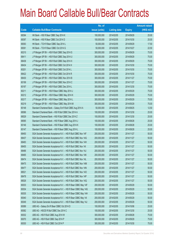|       |                                                                | No. of        |                     |               | <b>Amount raised</b> |
|-------|----------------------------------------------------------------|---------------|---------------------|---------------|----------------------|
| Code  | <b>Callable Bull/Bear Contracts</b>                            | issue (units) | <b>Listing date</b> | <b>Expiry</b> | $(HK$$ mil.)         |
| 68394 | HK Bank - HSI R Bear CBBC Sep 2014 K                           | 100,000,000   | 2014/02/05          | 2014/09/29    | 25.00                |
| 68397 | HK Bank - HSI R Bear CBBC Oct 2014 D                           | 100,000,000   | 2014/02/05          | 2014/10/30    | 25.00                |
| 68363 | HK Bank - TCH R Bear CBBC Sep 2014 L                           | 50,000,000    | 2014/02/05          | 2014/09/29    | 17.50                |
| 68361 | HK Bank - TCH R Bear CBBC Oct 2014 G                           | 50,000,000    | 2014/02/05          | 2014/10/27    | 22.50                |
| 60210 | J P Morgan SP BV - HSI R Bull CBBC Sep 2014 S                  | 300,000,000   | 2014/02/05          | 2014/09/29    | 75.00                |
| 68411 | J P Morgan SP BV - HSI R Bull CBBC Sep 2014 U                  | 300,000,000   | 2014/02/05          | 2014/09/29    | 75.00                |
| 68436 | J P Morgan SP BV - HSI R Bull CBBC Sep 2014 X                  | 300,000,000   | 2014/02/05          | 2014/09/29    | 75.00                |
| 68434 | J P Morgan SP BV - HSI R Bull CBBC Oct 2014 H                  | 300,000,000   | 2014/02/05          | 2014/10/30    | 75.00                |
| 60201 | J P Morgan SP BV - HSI R Bull CBBC Oct 2014 L                  | 300,000,000   | 2014/02/05          | 2014/10/30    | 75.00                |
| 68422 | J P Morgan SP BV - HSI R Bull CBBC Oct 2014 R                  | 300,000,000   | 2014/02/05          | 2014/10/30    | 75.00                |
| 68430 | J P Morgan SP BV - HSI R Bull CBBC Nov 2014 B                  | 300,000,000   | 2014/02/05          | 2014/11/27    | 75.00                |
| 60199 | J P Morgan SP BV - HSI R Bull CBBC Nov 2014 C                  | 300,000,000   | 2014/02/05          | 2014/11/27    | 75.00                |
| 60197 | J P Morgan SP BV - HSI R Bull CBBC Dec 2014 L                  | 300,000,000   | 2014/02/05          | 2014/12/30    | 75.00                |
| 60211 | J P Morgan SP BV - HSI R Bear CBBC May 2014 J                  | 300,000,000   | 2014/02/05          | 2014/05/29    | 75.00                |
| 60212 | J P Morgan SP BV - HSI R Bear CBBC May 2014 K                  | 300,000,000   | 2014/02/05          | 2014/05/29    | 75.00                |
| 60217 | J P Morgan SP BV - HSI R Bear CBBC May 2014 L                  | 300,000,000   | 2014/02/05          | 2014/05/29    | 75.00                |
| 60219 | J P Morgan SP BV - HSI R Bear CBBC May 2014 M                  | 300,000,000   | 2014/02/05          | 2014/05/29    | 75.00                |
| 60148 | Standard Chartered Bank - Galaxy Ent R Bull CBBC Aug 2014 A    | 50,000,000    | 2014/02/05          | 2014/08/25    | 12.50                |
| 68586 | Standard Chartered Bank - HSI R Bull CBBC Dec 2014 A           | 100,000,000   | 2014/02/05          | 2014/12/30    | 25.00                |
| 68529 | Standard Chartered Bank - HSI R Bull CBBC Dec 2014 Z           | 100,000,000   | 2014/02/05          | 2014/12/30    | 25.00                |
| 68585 | Standard Chartered Bank - HSI R Bear CBBC Aug 2014 J           | 100,000,000   | 2014/02/05          | 2014/08/28    | 25.00                |
| 60146 | Standard Chartered Bank - HSI R Bear CBBC Aug 2014 K           | 100,000,000   | 2014/02/05          | 2014/08/28    | 25.00                |
| 60147 | Standard Chartered Bank - HSI R Bear CBBC Aug 2014 L           | 100,000,000   | 2014/02/05          | 2014/08/28    | 25.00                |
| 68450 | SGA Societe Generale Acceptance N.V. - HSI R Bull CBBC Nov 14F | 200,000,000   | 2014/02/05          | 2014/11/27    | 50.00                |
| 68437 | SGA Societe Generale Acceptance N.V. - HSI R Bull CBBC Nov 14G | 200,000,000   | 2014/02/05          | 2014/11/27    | 50.00                |
| 68483 | SGA Societe Generale Acceptance N.V. - HSI R Bull CBBC Nov 14H | 200,000,000   | 2014/02/05          | 2014/11/27    | 50.00                |
| 68455 | SGA Societe Generale Acceptance N.V. - HSI R Bull CBBC Nov 141 | 200,000,000   | 2014/02/05          | 2014/11/27    | 50.00                |
| 68486 | SGA Societe Generale Acceptance N.V. - HSI R Bull CBBC Nov 14J | 200,000,000   | 2014/02/05          | 2014/11/27    | 50.00                |
| 68465 | SGA Societe Generale Acceptance N.V. - HSI R Bull CBBC Nov 14K | 200,000,000   | 2014/02/05          | 2014/11/27    | 50.00                |
| 68474 | SGA Societe Generale Acceptance N.V. - HSI R Bull CBBC Nov 14L | 200,000,000   | 2014/02/05          | 2014/11/27    | 50.00                |
| 68475 | SGA Societe Generale Acceptance N.V. - HSI R Bull CBBC Nov 14M | 200,000,000   | 2014/02/05          | 2014/11/27    | 50.00                |
| 68477 | SGA Societe Generale Acceptance N.V. - HSI R Bull CBBC Nov 14N | 200,000,000   | 2014/02/05          | 2014/11/27    | 50.00                |
| 68521 | SGA Societe Generale Acceptance N.V. - HSI R Bull CBBC Nov 14O | 200,000,000   | 2014/02/05          | 2014/11/27    | 50.00                |
| 68478 | SGA Societe Generale Acceptance N.V. - HSI R Bull CBBC Nov 14P | 200,000,000   | 2014/02/05          | 2014/11/27    | 50.00                |
| 68526 | SGA Societe Generale Acceptance N.V. - HSI R Bull CBBC Nov 14Q | 200,000,000   | 2014/02/05          | 2014/11/27    | 50.00                |
| 60033 | SGA Societe Generale Acceptance N.V. - HSI R Bear CBBC May 14F | 200,000,000   | 2014/02/05          | 2014/05/29    | 50.00                |
| 60034 | SGA Societe Generale Acceptance N.V. - HSI R Bear CBBC May 14G | 200,000,000   | 2014/02/05          | 2014/05/29    | 50.00                |
| 60035 | SGA Societe Generale Acceptance N.V. - HSI R Bear CBBC May 14H | 200,000,000   | 2014/02/05          | 2014/05/29    | 50.00                |
| 60040 | SGA Societe Generale Acceptance N.V. - HSI R Bear CBBC May 14I | 200,000,000   | 2014/02/05          | 2014/05/29    | 50.00                |
| 60049 | SGA Societe Generale Acceptance N.V. - HSI R Bear CBBC May 14J | 200,000,000   | 2014/02/05          | 2014/05/29    | 50.00                |
| 60089 | UBS AG - Galaxy Ent R Bear CBBC Oct 2014 D                     | 100,000,000   | 2014/02/05          | 2014/10/06    | 25.00                |
| 60082 | UBS AG - HSCEI R Bull CBBC Dec 2014 C                          | 100,000,000   | 2014/02/05          | 2014/12/30    | 25.00                |
| 60032 | UBS AG - HSI R Bull CBBC Aug 2014 W                            | 300,000,000   | 2014/02/05          | 2014/08/28    | 75.00                |
| 60070 | UBS AG - HSI R Bull CBBC Sep 2014 P                            | 300,000,000   | 2014/02/05          | 2014/09/29    | 75.00                |
| 60030 | UBS AG - HSI R Bull CBBC Oct 2014 P                            | 300,000,000   | 2014/02/05          | 2014/10/30    | 75.00                |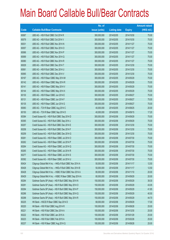|       |                                                           | No. of        |                     |               | <b>Amount raised</b> |
|-------|-----------------------------------------------------------|---------------|---------------------|---------------|----------------------|
| Code  | <b>Callable Bull/Bear Contracts</b>                       | issue (units) | <b>Listing date</b> | <b>Expiry</b> | (HK\$ mil.)          |
| 60067 | UBS AG - HSI R Bull CBBC Oct 2014 R                       | 300,000,000   | 2014/02/05          | 2014/10/30    | 75.00                |
| 60079 | UBS AG - HSI R Bull CBBC Oct 2014 V                       | 300,000,000   | 2014/02/05          | 2014/10/30    | 75.00                |
| 60031 | UBS AG - HSI R Bull CBBC Nov 2014 N                       | 300,000,000   | 2014/02/05          | 2014/11/27    | 75.00                |
| 60057 | UBS AG - HSI R Bull CBBC Nov 2014 O                       | 300,000,000   | 2014/02/05          | 2014/11/27    | 75.00                |
| 60066 | UBS AG - HSI R Bull CBBC Nov 2014 P                       | 300,000,000   | 2014/02/05          | 2014/11/27    | 75.00                |
| 60069 | UBS AG - HSI R Bull CBBC Nov 2014 Q                       | 300,000,000   | 2014/02/05          | 2014/11/27    | 75.00                |
| 60080 | UBS AG - HSI R Bull CBBC Nov 2014 R                       | 300,000,000   | 2014/02/05          | 2014/11/27    | 75.00                |
| 60029 | UBS AG - HSI R Bull CBBC Dec 2014 T                       | 300,000,000   | 2014/02/05          | 2014/12/30    | 75.00                |
| 60061 | UBS AG - HSI R Bull CBBC Dec 2014 U                       | 300,000,000   | 2014/02/05          | 2014/12/30    | 75.00                |
| 60065 | UBS AG - HSI R Bull CBBC Dec 2014 V                       | 300,000,000   | 2014/02/05          | 2014/12/30    | 75.00                |
| 60167 | UBS AG - HSI R Bear CBBC May 2014 M                       | 300,000,000   | 2014/02/05          | 2014/05/29    | 75.00                |
| 60142 | UBS AG - HSI R Bear CBBC May 2014 R                       | 300,000,000   | 2014/02/05          | 2014/05/29    | 75.00                |
| 60141 | UBS AG - HSI R Bear CBBC May 2014 V                       | 300,000,000   | 2014/02/05          | 2014/05/29    | 75.00                |
| 60144 | UBS AG - HSI R Bear CBBC May 2014 X                       | 300,000,000   | 2014/02/05          | 2014/05/29    | 75.00                |
| 60130 | UBS AG - HSI R Bear CBBC Jun 2014 E                       | 300,000,000   | 2014/02/05          | 2014/06/27    | 75.00                |
| 60131 | UBS AG - HSI R Bear CBBC Jun 2014 F                       | 300,000,000   | 2014/02/05          | 2014/06/27    | 75.00                |
| 60135 | UBS AG - HSI R Bear CBBC Jun 2014 G                       | 300,000,000   | 2014/02/05          | 2014/06/27    | 75.00                |
| 60083 | UBS AG - TCH R Bear CBBC Aug 2014 C                       | 40,000,000    | 2014/02/05          | 2014/08/25    | 20.00                |
| 60150 | UBS AG - TCH R Bear CBBC Sep 2014 D                       | 40,000,000    | 2014/02/05          | 2014/09/15    | 17.20                |
| 60384 | Credit Suisse AG - HSI R Bull CBBC Sep 2014 D             | 300,000,000   | 2014/02/06          | 2014/09/29    | 75.00                |
| 60365 | Credit Suisse AG - HSI R Bull CBBC Sep 2014 J             | 300,000,000   | 2014/02/06          | 2014/09/29    | 75.00                |
| 60257 | Credit Suisse AG - HSI R Bull CBBC Dec 2014 E             | 300,000,000   | 2014/02/06          | 2014/12/30    | 75.00                |
| 60258 | Credit Suisse AG - HSI R Bull CBBC Dec 2014 F             | 300,000,000   | 2014/02/06          | 2014/12/30    | 75.00                |
| 60259 | Credit Suisse AG - HSI R Bull CBBC Dec 2014 G             | 300,000,000   | 2014/02/06          | 2014/12/30    | 75.00                |
| 60261 | Credit Suisse AG - HSI R Bear CBBC Jul 2014 O             | 300,000,000   | 2014/02/06          | 2014/07/30    | 75.00                |
| 60262 | Credit Suisse AG - HSI R Bear CBBC Jul 2014 P             | 300,000,000   | 2014/02/06          | 2014/07/30    | 75.00                |
| 60264 | Credit Suisse AG - HSI R Bear CBBC Jul 2014 Q             | 300,000,000   | 2014/02/06          | 2014/07/30    | 75.00                |
| 60265 | Credit Suisse AG - HSI R Bear CBBC Jul 2014 R             | 300,000,000   | 2014/02/06          | 2014/07/30    | 75.00                |
| 60277 | Credit Suisse AG - HSI R Bear CBBC Jul 2014 S             | 300,000,000   | 2014/02/06          | 2014/07/30    | 75.00                |
| 60392 | Credit Suisse AG - HSI R Bear CBBC Jul 2014 U             | 300,000,000   | 2014/02/06          | 2014/07/30    | 75.00                |
| 60424 | Citigroup Global Mkt H Inc. - HKEx R Bull CBBC Nov 2014 A | 50,000,000    | 2014/02/06          | 2014/11/17    | 12.50                |
| 60426 | Citigroup Global Mkt H Inc. - HKEx R Bull CBBC Nov 2014 B | 50,000,000    | 2014/02/06          | 2014/11/17    | 12.50                |
| 60428 | Citigroup Global Mkt H Inc. - HSBC R Bull CBBC Nov 2014 A | 80,000,000    | 2014/02/06          | 2014/11/10    | 20.00                |
| 60429 | Citigroup Global Mkt H Inc. - HSBC R Bear CBBC Sep 2014 A | 80,000,000    | 2014/02/06          | 2014/09/29    | 20.00                |
| 60284 | Goldman Sachs SP (Asia) - HSI R Bull CBBC May 2014 N      | 150,000,000   | 2014/02/06          | 2014/05/29    | 39.30                |
| 60291 | Goldman Sachs SP (Asia) - HSI R Bull CBBC May 2014 O      | 150,000,000   | 2014/02/06          | 2014/05/29    | 43.05                |
| 60294 | Goldman Sachs SP (Asia) - HSI R Bull CBBC May 2014 P      | 150,000,000   | 2014/02/06          | 2014/05/29    | 41.85                |
| 60296 | Goldman Sachs SP (Asia) - HSI R Bull CBBC May 2014 Q      | 150,000,000   | 2014/02/06          | 2014/05/29    | 40.50                |
| 60298 | Goldman Sachs SP (Asia) - HSI R Bull CBBC May 2014 R      | 150,000,000   | 2014/02/06          | 2014/05/29    | 44.70                |
| 60225 | HK Bank - HSCEI R Bear CBBC Sep 2014 D                    | 68,000,000    | 2014/02/06          | 2014/09/29    | 17.00                |
| 60220 | HK Bank - HSI R Bull CBBC Aug 2014 R                      | 100,000,000   | 2014/02/06          | 2014/08/28    | 25.00                |
| 60221 | HK Bank - HSI R Bull CBBC Dec 2014 A                      | 100,000,000   | 2014/02/06          | 2014/12/30    | 25.00                |
| 60222 | HK Bank - HSI R Bull CBBC Jan 2015 A                      | 100,000,000   | 2014/02/06          | 2015/01/29    | 25.00                |
| 60223 | HK Bank - HSI R Bull CBBC Feb 2015 A                      | 100,000,000   | 2014/02/06          | 2015/02/26    | 25.00                |
| 60237 | HK Bank - HSI R Bear CBBC Aug 2014 Q                      | 100,000,000   | 2014/02/06          | 2014/08/28    | 25.00                |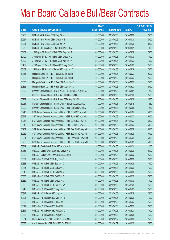|       |                                                                | No. of        |                     |               | <b>Amount raised</b> |
|-------|----------------------------------------------------------------|---------------|---------------------|---------------|----------------------|
| Code  | <b>Callable Bull/Bear Contracts</b>                            | issue (units) | <b>Listing date</b> | <b>Expiry</b> | (HK\$ mil.)          |
| 60236 | HK Bank - HSI R Bear CBBC Sep 2014 L                           | 100,000,000   | 2014/02/06          | 2014/09/29    | 25.00                |
| 60227 | HK Bank - HSI R Bear CBBC Oct 2014 E                           | 100,000,000   | 2014/02/06          | 2014/10/30    | 25.00                |
| 60224 | HK Bank - HSI R Bear CBBC Dec 2014 A                           | 400,000,000   | 2014/02/06          | 2014/12/30    | 100.00               |
| 60238 | HK Bank - Huishan Dairy R Bull CBBC Mar 2015 A                 | 40,000,000    | 2014/02/06          | 2015/03/31    | 10.00                |
| 60401 | J P Morgan SP BV - HSI R Bull CBBC Sep 2014 T                  | 300,000,000   | 2014/02/06          | 2014/09/29    | 75.00                |
| 60400 | J P Morgan SP BV - HSI R Bull CBBC Oct 2014 O                  | 300,000,000   | 2014/02/06          | 2014/10/30    | 75.00                |
| 60399 | J P Morgan SP BV - HSI R Bull CBBC Nov 2014 A                  | 300,000,000   | 2014/02/06          | 2014/11/27    | 75.00                |
| 60402 | J P Morgan SP BV - HSI R Bear CBBC May 2014 N                  | 300,000,000   | 2014/02/06          | 2014/05/29    | 75.00                |
| 60409 | J P Morgan SP BV - HSI R Bear CBBC May 2014 O                  | 300,000,000   | 2014/02/06          | 2014/05/29    | 75.00                |
| 60361 | Macquarie Bank Ltd. - HSI R Bull CBBC Jun 2014 H               | 100,000,000   | 2014/02/06          | 2014/06/27    | 25.00                |
| 60362 | Macquarie Bank Ltd. - HSI R Bull CBBC Jun 2014 I               | 100,000,000   | 2014/02/06          | 2014/06/27    | 25.00                |
| 60355 | Macquarie Bank Ltd. - HSI R Bear CBBC Jun 2014 F               | 100,000,000   | 2014/02/06          | 2014/06/27    | 25.00                |
| 60356 | Macquarie Bank Ltd. - HSI R Bear CBBC Jun 2014 G               | 100,000,000   | 2014/02/06          | 2014/06/27    | 25.00                |
| 60300 | Standard Chartered Bank - CSOP A50 ETF R Bull CBBC Aug 2014A   | 50,000,000    | 2014/02/06          | 2014/08/01    | 12.50                |
| 60396 | Standard Chartered Bank - HSI R Bull CBBC Dec 2014 B           | 100,000,000   | 2014/02/06          | 2014/12/30    | 25.00                |
| 60282 | Standard Chartered Bank - HSI R Bear CBBC Aug 2014 M           | 100,000,000   | 2014/02/06          | 2014/08/28    | 25.00                |
| 60281 | Standard Chartered Bank - Sands China R Bull CBBC Aug 2014 A   | 50,000,000    | 2014/02/06          | 2014/08/18    | 12.50                |
| 60299 | Standard Chartered Bank - Sands China R Bear CBBC May 2014 A   | 50,000,000    | 2014/02/06          | 2014/05/08    | 12.50                |
| 60245 | SGA Societe Generale Acceptance N.V. - HSI R Bull CBBC Nov 14E | 200,000,000   | 2014/02/06          | 2014/11/27    | 50.00                |
| 60242 | SGA Societe Generale Acceptance N.V. - HSI R Bull CBBC Nov 14R | 200,000,000   | 2014/02/06          | 2014/11/27    | 50.00                |
| 60243 | SGA Societe Generale Acceptance N.V. - HSI R Bull CBBC Nov 14S | 200,000,000   | 2014/02/06          | 2014/11/27    | 50.00                |
| 60246 | SGA Societe Generale Acceptance N.V. - HSI R Bull CBBC Nov 14T | 200,000,000   | 2014/02/06          | 2014/11/27    | 50.00                |
| 60251 | SGA Societe Generale Acceptance N.V. - HSI R Bear CBBC May 14K | 200,000,000   | 2014/02/06          | 2014/05/29    | 50.00                |
| 60252 | SGA Societe Generale Acceptance N.V. - HSI R Bear CBBC May 14L | 200,000,000   | 2014/02/06          | 2014/05/29    | 50.00                |
| 60254 | SGA Societe Generale Acceptance N.V. - HSI R Bear CBBC May 14M | 200,000,000   | 2014/02/06          | 2014/05/29    | 50.00                |
| 60256 | SGA Societe Generale Acceptance N.V. - HSI R Bear CBBC May 14N | 200,000,000   | 2014/02/06          | 2014/05/29    | 50.00                |
| 60349 | UBS AG - Geely Auto R Bull CBBC Nov 2014 A                     | 50,000,000    | 2014/02/06          | 2014/11/24    | 12.50                |
| 60351 | UBS AG - Galaxy Ent R Bull CBBC Sep 2014 E                     | 100,000,000   | 2014/02/06          | 2014/09/29    | 25.00                |
| 60350 | UBS AG - Galaxy Ent R Bear CBBC Sep 2014 B                     | 100,000,000   | 2014/02/06          | 2014/09/22    | 25.00                |
| 60387 | UBS AG - HSI R Bull CBBC Aug 2014 B                            | 300,000,000   | 2014/02/06          | 2014/08/28    | 75.00                |
| 60333 | UBS AG - HSI R Bull CBBC Sep 2014 Q                            | 300,000,000   | 2014/02/06          | 2014/09/29    | 75.00                |
| 60334 | UBS AG - HSI R Bull CBBC Oct 2014 L                            | 300,000,000   | 2014/02/06          | 2014/10/30    | 75.00                |
| 60340 | UBS AG - HSI R Bull CBBC Oct 2014 M                            | 300,000,000   | 2014/02/06          | 2014/10/30    | 75.00                |
| 60335 | UBS AG - HSI R Bull CBBC Oct 2014 W                            | 300,000,000   | 2014/02/06          | 2014/10/30    | 75.00                |
| 60332 | UBS AG - HSI R Bull CBBC Oct 2014 X                            | 300,000,000   | 2014/02/06          | 2014/10/30    | 75.00                |
| 60325 | UBS AG - HSI R Bull CBBC Dec 2014 W                            | 300,000,000   | 2014/02/06          | 2014/12/30    | 75.00                |
| 60240 | UBS AG - HSI R Bear CBBC May 2014 N                            | 300,000,000   | 2014/02/06          | 2014/05/29    | 75.00                |
| 60312 | UBS AG - HSI R Bear CBBC May 2014 U                            | 300,000,000   | 2014/02/06          | 2014/05/29    | 75.00                |
| 60394 | UBS AG - HSI R Bear CBBC May 2014 Y                            | 300,000,000   | 2014/02/06          | 2014/05/29    | 75.00                |
| 60302 | UBS AG - HSI R Bear CBBC Jun 2014 I                            | 300,000,000   | 2014/02/06          | 2014/06/27    | 75.00                |
| 60319 | UBS AG - HSI R Bear CBBC Jun 2014 J                            | 300,000,000   | 2014/02/06          | 2014/06/27    | 75.00                |
| 60321 | UBS AG - HSI R Bear CBBC Jun 2014 K                            | 300,000,000   | 2014/02/06          | 2014/06/27    | 75.00                |
| 60395 | UBS AG - HSI R Bear CBBC Aug 2014 E                            | 300,000,000   | 2014/02/06          | 2014/08/28    | 75.00                |
| 60584 | Credit Suisse AG - HSI R Bull CBBC Oct 2014 K                  | 300,000,000   | 2014/02/07          | 2014/10/30    | 75.00                |
| 60583 | Credit Suisse AG - HSI R Bull CBBC Oct 2014 P                  | 300,000,000   | 2014/02/07          | 2014/10/30    | 75.00                |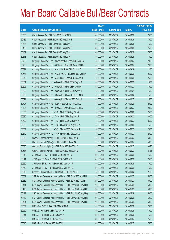|       |                                                                | No. of        |                     |               | <b>Amount raised</b> |
|-------|----------------------------------------------------------------|---------------|---------------------|---------------|----------------------|
| Code  | <b>Callable Bull/Bear Contracts</b>                            | issue (units) | <b>Listing date</b> | <b>Expiry</b> | $(HK$$ mil.)         |
| 60588 | Credit Suisse AG - HSI R Bull CBBC Oct 2014 W                  | 300,000,000   | 2014/02/07          | 2014/10/30    | 75.00                |
| 60485 | Credit Suisse AG - HSI R Bear CBBC Aug 2014 E                  | 300,000,000   | 2014/02/07          | 2014/08/28    | 75.00                |
| 60486 | Credit Suisse AG - HSI R Bear CBBC Aug 2014 F                  | 300,000,000   | 2014/02/07          | 2014/08/28    | 75.00                |
| 60488 | Credit Suisse AG - HSI R Bear CBBC Aug 2014 G                  | 300,000,000   | 2014/02/07          | 2014/08/28    | 75.00                |
| 60489 | Credit Suisse AG - HSI R Bear CBBC Aug 2014 H                  | 300,000,000   | 2014/02/07          | 2014/08/28    | 75.00                |
| 60513 | Credit Suisse AG - HSI R Bear CBBC Aug 2014 I                  | 300,000,000   | 2014/02/07          | 2014/08/28    | 75.00                |
| 60708 | Citigroup Global Mkt H Inc. - China Mobile R Bear CBBC Aug14A  | 80,000,000    | 2014/02/07          | 2014/08/27    | 20.00                |
| 60709 | Citigroup Global Mkt H Inc. - CC Bank R Bear CBBC Aug 2014 B   | 80,000,000    | 2014/02/07          | 2014/08/27    | 20.00                |
| 60691 | Citigroup Global Mkt H Inc. - China Life R Bull CBBC Sep14 C   | 50,000,000    | 2014/02/07          | 2014/09/29    | 12.50                |
| 60678 | Citigroup Global Mkt H Inc. - CSOP A50 ETF R Bear CBBC Sep14A  | 100,000,000   | 2014/02/07          | 2014/09/29    | 25.00                |
| 60672 | Citigroup Global Mkt H Inc. - A50 China R Bear CBBC Sep 14 B   | 100,000,000   | 2014/02/07          | 2014/09/29    | 25.00                |
| 60604 | Citigroup Global Mkt H Inc. - Galaxy Ent R Bull CBBC Sep14 B   | 60,000,000    | 2014/02/07          | 2014/09/22    | 15.00                |
| 60602 | Citigroup Global Mkt H Inc. - Galaxy Ent R Bull CBBC Oct14 A   | 60,000,000    | 2014/02/07          | 2014/10/27    | 15.00                |
| 60600 | Citigroup Global Mkt H Inc. - Galaxy Ent R Bull CBBC Nov14 A   | 60,000,000    | 2014/02/07          | 2014/11/24    | 15.00                |
| 60609 | Citigroup Global Mkt H Inc. - Galaxy Ent R Bear CBBC Sep14 B   | 60,000,000    | 2014/02/07          | 2014/09/22    | 15.00                |
| 60624 | Citigroup Global Mkt H Inc. - Galaxy Ent R Bear CBBC Oct14 A   | 60,000,000    | 2014/02/07          | 2014/10/27    | 15.00                |
| 60707 | Citigroup Global Mkt H Inc. - ICBC R Bear CBBC Sep 2014 A      | 80,000,000    | 2014/02/07          | 2014/09/29    | 20.00                |
| 60706 | Citigroup Global Mkt H Inc. - Ping An R Bear CBBC Aug 2014 A   | 80,000,000    | 2014/02/07          | 2014/08/27    | 20.00                |
| 60635 | Citigroup Global Mkt H Inc. - TCH R Bull CBBC Aug 2014 A       | 50,000,000    | 2014/02/07          | 2014/08/06    | 25.00                |
| 60630 | Citigroup Global Mkt H Inc. - TCH R Bull CBBC Sep 2014 B       | 50,000,000    | 2014/02/07          | 2014/09/22    | 30.00                |
| 60629 | Citigroup Global Mkt H Inc. - TCH R Bull CBBC Oct 2014 A       | 50,000,000    | 2014/02/07          | 2014/10/27    | 35.00                |
| 60636 | Citigroup Global Mkt H Inc. - TCH R Bear CBBC Aug 2014 A       | 50,000,000    | 2014/02/07          | 2014/08/06    | 15.00                |
| 60637 | Citigroup Global Mkt H Inc. - TCH R Bear CBBC Sep 2014 A       | 50,000,000    | 2014/02/07          | 2014/09/22    | 20.00                |
| 60640 | Citigroup Global Mkt H Inc. - TCH R Bear CBBC Oct 2014 A       | 50,000,000    | 2014/02/07          | 2014/10/27    | 25.00                |
| 60533 | Goldman Sachs SP (Asia) - HSI R Bull CBBC Jun 2014 D           | 150,000,000   | 2014/02/07          | 2014/06/27    | 63.00                |
| 60535 | Goldman Sachs SP (Asia) - HSI R Bull CBBC Jun 2014 E           | 150,000,000   | 2014/02/07          | 2014/06/27    | 58.50                |
| 60536 | Goldman Sachs SP (Asia) - HSI R Bull CBBC Jun 2014 F           | 150,000,000   | 2014/02/07          | 2014/06/27    | 38.70                |
| 60537 | Goldman Sachs SP (Asia) - HSI R Bull CBBC Jun 2014 G           | 150,000,000   | 2014/02/07          | 2014/06/27    | 37.65                |
| 60646 | J P Morgan SP BV - HSI R Bull CBBC Sep 2014 V                  | 300,000,000   | 2014/02/07          | 2014/09/29    | 75.00                |
| 60641 | J P Morgan SP BV - HSI R Bull CBBC Oct 2014 Y                  | 300,000,000   | 2014/02/07          | 2014/10/30    | 75.00                |
| 60660 | J P Morgan SP BV - HSI R Bear CBBC May 2014 P                  | 300,000,000   | 2014/02/07          | 2014/05/29    | 75.00                |
| 60670 | J P Morgan SP BV - HSI R Bear CBBC May 2014 Q                  | 300,000,000   | 2014/02/07          | 2014/05/29    | 75.00                |
| 60579 | Standard Chartered Bank - TCH R Bull CBBC Sep 2014 C           | 50,000,000    | 2014/02/07          | 2014/09/22    | 21.00                |
| 60531 | SGA Societe Generale Acceptance N.V. - HSI R Bull CBBC Nov14 U | 200,000,000   | 2014/02/07          | 2014/11/27    | 50.00                |
| 60532 | SGA Societe Generale Acceptance N.V. - HSI R Bull CBBC Nov14 V | 200,000,000   | 2014/02/07          | 2014/11/27    | 50.00                |
| 60471 | SGA Societe Generale Acceptance N.V. - HSI R Bear CBBC May14 O | 200,000,000   | 2014/02/07          | 2014/05/29    | 50.00                |
| 60473 | SGA Societe Generale Acceptance N.V. - HSI R Bear CBBC May14 P | 200,000,000   | 2014/02/07          | 2014/05/29    | 50.00                |
| 60479 | SGA Societe Generale Acceptance N.V. - HSI R Bear CBBC May14 Q | 200,000,000   | 2014/02/07          | 2014/05/29    | 50.00                |
| 60482 | SGA Societe Generale Acceptance N.V. - HSI R Bear CBBC May14 R | 200,000,000   | 2014/02/07          | 2014/05/29    | 50.00                |
| 60484 | SGA Societe Generale Acceptance N.V. - HSI R Bear CBBC May14 S | 200,000,000   | 2014/02/07          | 2014/05/29    | 50.00                |
| 60557 | UBS AG - HSCEI R Bear CBBC May 2014 G                          | 100,000,000   | 2014/02/07          | 2014/05/29    | 25.00                |
| 60550 | UBS AG - HSI R Bull CBBC Aug 2014 H                            | 300,000,000   | 2014/02/07          | 2014/08/28    | 75.00                |
| 60544 | UBS AG - HSI R Bull CBBC Oct 2014 Y                            | 300,000,000   | 2014/02/07          | 2014/10/30    | 75.00                |
| 60582 | UBS AG - HSI R Bull CBBC Nov 2014 S                            | 300,000,000   | 2014/02/07          | 2014/11/27    | 75.00                |
| 60515 | UBS AG - HSI R Bear CBBC Jun 2014 L                            | 300,000,000   | 2014/02/07          | 2014/06/27    | 75.00                |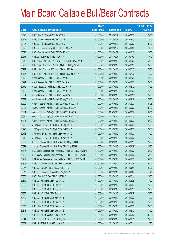|       |                                                                | No. of        |                     |               | <b>Amount raised</b> |
|-------|----------------------------------------------------------------|---------------|---------------------|---------------|----------------------|
| Code  | <b>Callable Bull/Bear Contracts</b>                            | issue (units) | <b>Listing date</b> | <b>Expiry</b> | $(HK$$ mil.)         |
| 60520 | UBS AG - HSI R Bear CBBC Jun 2014 M                            | 300,000,000   | 2014/02/07          | 2014/06/27    | 75.00                |
| 60526 | UBS AG - HSI R Bear CBBC Jun 2014 N                            | 300,000,000   | 2014/02/07          | 2014/06/27    | 75.00                |
| 60527 | UBS AG - HSI R Bear CBBC Jun 2014 O                            | 350,000,000   | 2014/02/07          | 2014/06/27    | 87.50                |
| 60572 | UBS AG - Huishan Dairy R Bull CBBC Jan 2015 A                  | 40,000,000    | 2014/02/07          | 2015/01/26    | 10.00                |
| 60578 | UBS AG - Hutchison R Bull CBBC Oct 2014 C                      | 100,000,000   | 2014/02/07          | 2014/10/13    | 25.00                |
| 60574 | UBS AG - TCH R Bull CBBC Jul 2014 N                            | 40,000,000    | 2014/02/07          | 2014/07/07    | 19.40                |
| 60745 | BNP Paribas Arbit Issu B.V. - HSCEI R Bull CBBC Dec 2014 B     | 200,000,000   | 2014/02/10          | 2014/12/30    | 50.00                |
| 60730 | BNP Paribas Arbit Issu B.V. - HSI R Bull CBBC Aug 2014 R       | 300,000,000   | 2014/02/10          | 2014/08/28    | 75.00                |
| 60732 | BNP Paribas Arbit Issu B.V. - HSI R Bear CBBC Jul 2014 J       | 300,000,000   | 2014/02/10          | 2014/07/30    | 75.00                |
| 60737 | BNP Paribas Arbit Issu B.V. - HSI R Bear CBBC Jul 2014 K       | 300,000,000   | 2014/02/10          | 2014/07/30    | 75.00                |
| 60772 | Credit Suisse AG - HSI R Bull CBBC Dec 2014 H                  | 300,000,000   | 2014/02/10          | 2014/12/30    | 75.00                |
| 60774 | Credit Suisse AG - HSI R Bull CBBC Dec 2014 I                  | 300,000,000   | 2014/02/10          | 2014/12/30    | 75.00                |
| 60779 | Credit Suisse AG - HSI R Bull CBBC Dec 2014 J                  | 300,000,000   | 2014/02/10          | 2014/12/30    | 75.00                |
| 60799 | Credit Suisse AG - HSI R Bull CBBC Dec 2014 K                  | 300,000,000   | 2014/02/10          | 2014/12/30    | 75.00                |
| 60884 | Credit Suisse AG - HSI R Bear CBBC Aug 2014 J                  | 300,000,000   | 2014/02/10          | 2014/08/28    | 75.00                |
| 60889 | Credit Suisse AG - HSI R Bear CBBC Aug 2014 K                  | 300,000,000   | 2014/02/10          | 2014/08/28    | 75.00                |
| 60892 | Goldman Sachs SP (Asia) - HSI R Bull CBBC Jun 2014 H           | 150,000,000   | 2014/02/10          | 2014/06/27    | 37.95                |
| 60893 | Goldman Sachs SP (Asia) - HSI R Bull CBBC Jun 2014 I           | 150,000,000   | 2014/02/10          | 2014/06/27    | 37.50                |
| 60894 | Goldman Sachs SP (Asia) - HSI R Bull CBBC Jun 2014 J           | 150,000,000   | 2014/02/10          | 2014/06/27    | 39.15                |
| 60895 | Goldman Sachs SP (Asia) - HSI R Bull CBBC Jun 2014 K           | 150,000,000   | 2014/02/10          | 2014/06/27    | 37.80                |
| 60896 | Goldman Sachs SP (Asia) - HSI R Bull CBBC Jun 2014 L           | 150,000,000   | 2014/02/10          | 2014/06/27    | 39.90                |
| 60723 | J P Morgan SP BV - HSI R Bull CBBC Sep 2014 Y                  | 300,000,000   | 2014/02/10          | 2014/09/29    | 75.00                |
| 60720 | J P Morgan SP BV - HSI R Bull CBBC Oct 2014 Z                  | 300,000,000   | 2014/02/10          | 2014/10/30    | 75.00                |
| 60713 | J P Morgan SP BV - HSI R Bull CBBC Nov 2014 D                  | 300,000,000   | 2014/02/10          | 2014/11/27    | 75.00                |
| 60718 | J P Morgan SP BV - HSI R Bull CBBC Nov 2014 M                  | 300,000,000   | 2014/02/10          | 2014/11/27    | 75.00                |
| 60868 | Standard Chartered Bank - HSI R Bull CBBC Sep 2014 O           | 100,000,000   | 2014/02/10          | 2014/09/29    | 25.00                |
| 60871 | Standard Chartered Bank - HSI R Bull CBBC Sep 2014 P           | 100,000,000   | 2014/02/10          | 2014/09/29    | 25.00                |
| 60746 | SGA Societe Generale Acceptance N.V. - HSI R Bull CBBC Nov14 W | 200,000,000   | 2014/02/10          | 2014/11/27    | 50.00                |
| 60760 | SGA Societe Generale Acceptance N.V. - HSI R Bull CBBC Nov14 X | 200,000,000   | 2014/02/10          | 2014/11/27    | 50.00                |
| 60762 | SGA Societe Generale Acceptance N.V. - HSI R Bull CBBC Dec14 A | 200,000,000   | 2014/02/10          | 2014/12/30    | 50.00                |
| 60845 | UBS AG - China Mobile R Bear CBBC Jul 2014 B                   | 100,000,000   | 2014/02/10          | 2014/07/28    | 25.00                |
| 60847 | UBS AG - CC Bank R Bear CBBC Aug 2014 B                        | 100,000,000   | 2014/02/10          | 2014/08/04    | 25.00                |
| 60843 | UBS AG - China Life R Bear CBBC Aug 2014 A                     | 50,000,000    | 2014/02/10          | 2014/08/04    | 17.75                |
| 60863 | UBS AG - HKEx R Bear CBBC Jul 2014 C                           | 100,000,000   | 2014/02/10          | 2014/07/14    | 25.00                |
| 60819 | UBS AG - HSI R Bull CBBC Aug 2014 C                            | 300,000,000   | 2014/02/10          | 2014/08/28    | 75.00                |
| 60826 | UBS AG - HSI R Bull CBBC Sep 2014 I                            | 300,000,000   | 2014/02/10          | 2014/09/29    | 75.00                |
| 60836 | UBS AG - HSI R Bull CBBC Sep 2014 K                            | 300,000,000   | 2014/02/10          | 2014/09/29    | 75.00                |
| 60807 | UBS AG - HSI R Bull CBBC Sep 2014 L                            | 300,000,000   | 2014/02/10          | 2014/09/29    | 75.00                |
| 60842 | UBS AG - HSI R Bull CBBC Nov 2014 T                            | 300,000,000   | 2014/02/10          | 2014/11/27    | 75.00                |
| 60800 | UBS AG - HSI R Bull CBBC Dec 2014 X                            | 300,000,000   | 2014/02/10          | 2014/12/30    | 75.00                |
| 60840 | UBS AG - HSI R Bull CBBC Dec 2014 Y                            | 300,000,000   | 2014/02/10          | 2014/12/30    | 75.00                |
| 60841 | UBS AG - HSI R Bull CBBC Dec 2014 Z                            | 300,000,000   | 2014/02/10          | 2014/12/30    | 75.00                |
| 60890 | UBS AG - HSI R Bear CBBC Jun 2014 P                            | 350,000,000   | 2014/02/10          | 2014/06/27    | 87.50                |
| 60844 | UBS AG - Ping An R Bear CBBC Aug 2014 B                        | 100,000,000   | 2014/02/10          | 2014/08/11    | 25.00                |
| 60854 | UBS AG - TCH R Bull CBBC Jul 2014 O                            | 40,000,000    | 2014/02/10          | 2014/07/21    | 17.80                |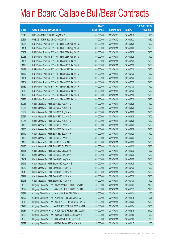|       |                                                               | No. of        |                     |               | <b>Amount raised</b> |
|-------|---------------------------------------------------------------|---------------|---------------------|---------------|----------------------|
| Code  | <b>Callable Bull/Bear Contracts</b>                           | issue (units) | <b>Listing date</b> | <b>Expiry</b> | (HK\$ mil.)          |
| 60848 | UBS AG - TCH R Bull CBBC Aug 2014 D                           | 40,000,000    | 2014/02/10          | 2014/08/18    | 13.80                |
| 60891 | UBS AG - TCH R Bear CBBC Sep 2014 E                           | 40,000,000    | 2014/02/10          | 2014/09/22    | 48.80                |
| 61236 | BNP Paribas Arbit Issu B.V. - HSI R Bull CBBC Aug 2014 G      | 300,000,000   | 2014/02/11          | 2014/08/28    | 75.00                |
| 61161 | BNP Paribas Arbit Issu B.V. - HSI R Bull CBBC Aug 2014 O      | 300,000,000   | 2014/02/11          | 2014/08/28    | 75.00                |
| 60962 | BNP Paribas Arbit Issu B.V. - HSI R Bull CBBC Aug 2014 S      | 300,000,000   | 2014/02/11          | 2014/08/28    | 75.00                |
| 60963 | BNP Paribas Arbit Issu B.V. - HSI R Bull CBBC Aug 2014 U      | 300,000,000   | 2014/02/11          | 2014/08/28    | 75.00                |
| 61167 | BNP Paribas Arbit Issu B.V. - HSI R Bear CBBC Jul 2014 L      | 300,000,000   | 2014/02/11          | 2014/07/30    | 75.00                |
| 61173 | BNP Paribas Arbit Issu B.V. - HSI R Bear CBBC Jul 2014 M      | 300,000,000   | 2014/02/11          | 2014/07/30    | 75.00                |
| 61178 | BNP Paribas Arbit Issu B.V. - HSI R Bear CBBC Jul 2014 N      | 300,000,000   | 2014/02/11          | 2014/07/30    | 75.00                |
| 61180 | BNP Paribas Arbit Issu B.V. - HSI R Bear CBBC Jul 2014 O      | 300,000,000   | 2014/02/11          | 2014/07/30    | 75.00                |
| 61181 | BNP Paribas Arbit Issu B.V. - HSI R Bear CBBC Jul 2014 P      | 300,000,000   | 2014/02/11          | 2014/07/30    | 75.00                |
| 61182 | BNP Paribas Arbit Issu B.V. - HSI R Bear CBBC Jul 2014 Q      | 300,000,000   | 2014/02/11          | 2014/07/30    | 75.00                |
| 61189 | BNP Paribas Arbit Issu B.V. - HSI R Bear CBBC Jul 2014 R      | 300,000,000   | 2014/02/11          | 2014/07/30    | 75.00                |
| 61270 | BNP Paribas Arbit Issu B.V. - HSI R Bear CBBC Jul 2014 S      | 300,000,000   | 2014/02/11          | 2014/07/30    | 75.00                |
| 61272 | BNP Paribas Arbit Issu B.V. - HSI R Bear CBBC Jul 2014 T      | 300,000,000   | 2014/02/11          | 2014/07/30    | 75.00                |
| 61275 | BNP Paribas Arbit Issu B.V. - HSI R Bear CBBC Jul 2014 U      | 300,000,000   | 2014/02/11          | 2014/07/30    | 75.00                |
| 60981 | Credit Suisse AG - HSI R Bull CBBC Aug 2014 G                 | 300,000,000   | 2014/02/11          | 2014/08/28    | 75.00                |
| 60986 | Credit Suisse AG - HSI R Bull CBBC Aug 2014 J                 | 300,000,000   | 2014/02/11          | 2014/08/28    | 75.00                |
| 60982 | Credit Suisse AG - HSI R Bull CBBC Aug 2014 N                 | 300,000,000   | 2014/02/11          | 2014/08/28    | 75.00                |
| 60987 | Credit Suisse AG - HSI R Bull CBBC Aug 2014 Q                 | 300,000,000   | 2014/02/11          | 2014/08/28    | 75.00                |
| 60976 | Credit Suisse AG - HSI R Bull CBBC Aug 2014 V                 | 300,000,000   | 2014/02/11          | 2014/08/28    | 75.00                |
| 61130 | Credit Suisse AG - HSI R Bull CBBC Sep 2014 E                 | 300,000,000   | 2014/02/11          | 2014/09/29    | 75.00                |
| 61133 | Credit Suisse AG - HSI R Bull CBBC Sep 2014 G                 | 300,000,000   | 2014/02/11          | 2014/09/29    | 75.00                |
| 61149 | Credit Suisse AG - HSI R Bull CBBC Sep 2014 H                 | 300,000,000   | 2014/02/11          | 2014/09/29    | 75.00                |
| 61193 | Credit Suisse AG - HSI R Bull CBBC Sep 2014 P                 | 300,000,000   | 2014/02/11          | 2014/09/29    | 75.00                |
| 61132 | Credit Suisse AG - HSI R Bull CBBC Oct 2014 L                 | 300,000,000   | 2014/02/11          | 2014/10/30    | 75.00                |
| 61136 | Credit Suisse AG - HSI R Bull CBBC Oct 2014 T                 | 300,000,000   | 2014/02/11          | 2014/10/30    | 75.00                |
| 61141 | Credit Suisse AG - HSI R Bull CBBC Oct 2014 U                 | 300,000,000   | 2014/02/11          | 2014/10/30    | 75.00                |
| 61150 | Credit Suisse AG - HSI R Bull CBBC Oct 2014 V                 | 300,000,000   | 2014/02/11          | 2014/10/30    | 75.00                |
| 61254 | Credit Suisse AG - HSI R Bear CBBC May 2014 H                 | 300,000,000   | 2014/02/11          | 2014/05/29    | 75.00                |
| 61245 | Credit Suisse AG - HSI R Bear CBBC May 2014 S                 | 300,000,000   | 2014/02/11          | 2014/05/29    | 75.00                |
| 61239 | Credit Suisse AG - HSI R Bear CBBC Jul 2014 V                 | 300,000,000   | 2014/02/11          | 2014/07/30    | 75.00                |
| 61240 | Credit Suisse AG - HSI R Bear CBBC Jul 2014 W                 | 300,000,000   | 2014/02/11          | 2014/07/30    | 75.00                |
| 61241 | Credit Suisse AG - HSI R Bear CBBC Jul 2014 X                 | 300,000,000   | 2014/02/11          | 2014/07/30    | 75.00                |
| 61246 | Credit Suisse AG - HSI R Bear CBBC Jul 2014 Y                 | 300,000,000   | 2014/02/11          | 2014/07/30    | 75.00                |
| 61323 | Citigroup Global Mkt H Inc. - China Mobile R Bull CBBC Nov14A | 80,000,000    | 2014/02/11          | 2014/11/24    | 20.00                |
| 61322 | Citigroup Global Mkt H Inc. - China Mobile R Bull CBBC Dec14A | 80,000,000    | 2014/02/11          | 2014/12/15    | 20.00                |
| 61321 | Citigroup Global Mkt H Inc. - China Life R Bull CBBC Nov14A   | 50,000,000    | 2014/02/11          | 2014/11/24    | 12.50                |
| 61320 | Citigroup Global Mkt H Inc. - China Life R Bull CBBC Dec14A   | 50,000,000    | 2014/02/11          | 2014/12/15    | 15.25                |
| 61316 | Citigroup Global Mkt H Inc. - CSOP A50 ETF R Bull CBBC Oct14A | 100,000,000   | 2014/02/11          | 2014/10/20    | 25.00                |
| 61293 | Citigroup Global Mkt H Inc. - CSOP A50 ETF R Bull CBBC Nov14A | 100,000,000   | 2014/02/11          | 2014/11/24    | 25.00                |
| 61287 | Citigroup Global Mkt H Inc. - CSOP A50 ETF R Bull CBBC Dec14A | 100,000,000   | 2014/02/11          | 2014/12/15    | 25.00                |
| 61328 | Citigroup Global Mkt H Inc. - Galaxy Ent R Bull CBBC Dec14 A  | 60,000,000    | 2014/02/11          | 2014/12/08    | 15.00                |
| 61326 | Citigroup Global Mkt H Inc. - HKEx R Bull CBBC Dec 2014 A     | 50,000,000    | 2014/02/11          | 2014/12/08    | 12.50                |
| 61327 | Citigroup Global Mkt H Inc. - HKEx R Bear CBBC Nov 2014 A     | 50,000,000    | 2014/02/11          | 2014/11/17    | 12.50                |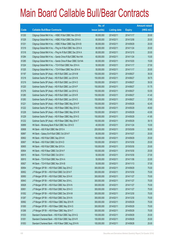|       |                                                              | No. of        |                     |               | <b>Amount raised</b> |
|-------|--------------------------------------------------------------|---------------|---------------------|---------------|----------------------|
| Code  | <b>Callable Bull/Bear Contracts</b>                          | issue (units) | <b>Listing date</b> | <b>Expiry</b> | $(HK$$ mil.)         |
| 61330 | Citigroup Global Mkt H Inc. - HSBC R Bull CBBC Nov 2014 B    | 80,000,000    | 2014/02/11          | 2014/11/17    | 20.00                |
| 61329 | Citigroup Global Mkt H Inc. - HSBC R Bull CBBC Dec 2014 A    | 80,000,000    | 2014/02/11          | 2014/12/08    | 20.00                |
| 61331 | Citigroup Global Mkt H Inc. - HSBC R Bear CBBC Sep 2014 B    | 80,000,000    | 2014/02/11          | 2014/09/29    | 20.00                |
| 61319 | Citigroup Global Mkt H Inc. - Ping An R Bull CBBC Nov 2014 A | 80,000,000    | 2014/02/11          | 2014/11/24    | 20.00                |
| 61318 | Citigroup Global Mkt H Inc. - Ping An R Bull CBBC Dec 2014 A | 80,000,000    | 2014/02/11          | 2014/12/15    | 20.00                |
| 61284 | Citigroup Global Mkt H Inc. - Sands China R Bull CBBC Nov14A | 60,000,000    | 2014/02/11          | 2014/11/24    | 15.00                |
| 61285 | Citigroup Global Mkt H Inc. - Sands China R Bear CBBC Oct14A | 60,000,000    | 2014/02/11          | 2014/10/20    | 15.00                |
| 61324 | Citigroup Global Mkt H Inc. - TCH R Bull CBBC Nov 2014 A     | 50,000,000    | 2014/02/11          | 2014/11/17    | 27.50                |
| 61325 | Citigroup Global Mkt H Inc. - TCH R Bear CBBC Nov 2014 A     | 50,000,000    | 2014/02/11          | 2014/11/17    | 20.00                |
| 61197 | Goldman Sachs SP (Asia) - HSI R Bull CBBC Jun 2014 M         | 150,000,000   | 2014/02/11          | 2014/06/27    | 39.30                |
| 61218 | Goldman Sachs SP (Asia) - HSI R Bull CBBC Jun 2014 N         | 150,000,000   | 2014/02/11          | 2014/06/27    | 39.75                |
| 61219 | Goldman Sachs SP (Asia) - HSI R Bull CBBC Jun 2014 O         | 150,000,000   | 2014/02/11          | 2014/06/27    | 39.30                |
| 61220 | Goldman Sachs SP (Asia) - HSI R Bull CBBC Jun 2014 P         | 150,000,000   | 2014/02/11          | 2014/06/27    | 51.75                |
| 61276 | Goldman Sachs SP (Asia) - HSI R Bull CBBC Jun 2014 Q         | 150,000,000   | 2014/02/11          | 2014/06/27    | 53.55                |
| 61280 | Goldman Sachs SP (Asia) - HSI R Bull CBBC Jun 2014 R         | 150,000,000   | 2014/02/11          | 2014/06/27    | 41.40                |
| 61283 | Goldman Sachs SP (Asia) - HSI R Bull CBBC Jun 2014 S         | 150,000,000   | 2014/02/11          | 2014/06/27    | 37.65                |
| 61221 | Goldman Sachs SP (Asia) - HSI R Bear CBBC May 2014 P         | 150,000,000   | 2014/02/11          | 2014/05/29    | 42.45                |
| 61222 | Goldman Sachs SP (Asia) - HSI R Bear CBBC May 2014 Q         | 150,000,000   | 2014/02/11          | 2014/05/29    | 45.60                |
| 61228 | Goldman Sachs SP (Asia) - HSI R Bear CBBC May 2014 R         | 150,000,000   | 2014/02/11          | 2014/05/29    | 43.95                |
| 61229 | Goldman Sachs SP (Asia) - HSI R Bear CBBC May 2014 S         | 150,000,000   | 2014/02/11          | 2014/05/29    | 41.85                |
| 61232 | Goldman Sachs SP (Asia) - HSI R Bear CBBC May 2014 T         | 150,000,000   | 2014/02/11          | 2014/05/29    | 39.15                |
| 60899 | HK Bank - Minsheng Bank R Bull CBBC Nov 2014 D               | 40,000,000    | 2014/02/11          | 2014/11/24    | 10.00                |
| 60908 | HK Bank - A50 R Bull CBBC Mar 2015 A                         | 200,000,000   | 2014/02/11          | 2015/03/09    | 50.00                |
| 60897 | HK Bank - Galaxy Ent R Bull CBBC Oct 2014 F                  | 80,000,000    | 2014/02/11          | 2014/10/27    | 20.00                |
| 60902 | HK Bank - HSI R Bull CBBC Sep 2014 K                         | 100,000,000   | 2014/02/11          | 2014/09/29    | 25.00                |
| 60907 | HK Bank - HSI R Bull CBBC Oct 2014 D                         | 100,000,000   | 2014/02/11          | 2014/10/30    | 25.00                |
| 60905 | HK Bank - HSI R Bull CBBC Mar 2015 A                         | 100,000,000   | 2014/02/11          | 2015/03/30    | 25.00                |
| 60904 | HK Bank - HSI R Bear CBBC Oct 2014 F                         | 100,000,000   | 2014/02/11          | 2014/10/30    | 25.00                |
| 60915 | HK Bank - TCH R Bull CBBC Oct 2014 I                         | 50,000,000    | 2014/02/11          | 2014/10/30    | 27.00                |
| 60910 | HK Bank - TCH R Bull CBBC Nov 2014 A                         | 50,000,000    | 2014/02/11          | 2014/11/06    | 22.00                |
| 60927 | HK Bank - TCH R Bull CBBC Nov 2014 B                         | 50,000,000    | 2014/02/11          | 2014/11/13    | 37.00                |
| 60954 | J P Morgan SP BV - HSI R Bull CBBC Sep 2014 Z                | 300,000,000   | 2014/02/11          | 2014/09/29    | 75.00                |
| 60952 | J P Morgan SP BV - HSI R Bull CBBC Oct 2014 F                | 300,000,000   | 2014/02/11          | 2014/10/30    | 75.00                |
| 60950 | J P Morgan SP BV - HSI R Bull CBBC Nov 2014 K                | 300,000,000   | 2014/02/11          | 2014/11/27    | 75.00                |
| 60943 | J P Morgan SP BV - HSI R Bull CBBC Nov 2014 L                | 300,000,000   | 2014/02/11          | 2014/11/27    | 75.00                |
| 60928 | J P Morgan SP BV - HSI R Bull CBBC Nov 2014 N                | 300,000,000   | 2014/02/11          | 2014/11/27    | 75.00                |
| 60951 | J P Morgan SP BV - HSI R Bull CBBC Nov 2014 O                | 300,000,000   | 2014/02/11          | 2014/11/27    | 75.00                |
| 61052 | J P Morgan SP BV - HSI R Bull CBBC Dec 2014 M                | 300,000,000   | 2014/02/11          | 2014/12/30    | 75.00                |
| 61267 | J P Morgan SP BV - HSI R Bull CBBC Dec 2014 N                | 300,000,000   | 2014/02/11          | 2014/12/30    | 75.00                |
| 60992 | J P Morgan SP BV - HSI R Bear CBBC May 2014 R                | 300,000,000   | 2014/02/11          | 2014/05/29    | 75.00                |
| 61000 | J P Morgan SP BV - HSI R Bear CBBC May 2014 S                | 300,000,000   | 2014/02/11          | 2014/05/29    | 75.00                |
| 61268 | J P Morgan SP BV - HSI R Bear CBBC May 2014 T                | 300,000,000   | 2014/02/11          | 2014/05/29    | 75.00                |
| 61033 | Standard Chartered Bank - HSI R Bull CBBC Sep 2014 Q         | 100,000,000   | 2014/02/11          | 2014/09/29    | 25.00                |
| 61051 | Standard Chartered Bank - HSI R Bull CBBC Sep 2014 R         | 100,000,000   | 2014/02/11          | 2014/09/29    | 25.00                |
| 61053 | Standard Chartered Bank - HSI R Bear CBBC Aug 2014 N         | 100,000,000   | 2014/02/11          | 2014/08/28    | 25.00                |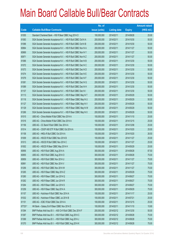|             |                                                                | No. of        |                     |               | <b>Amount raised</b> |
|-------------|----------------------------------------------------------------|---------------|---------------------|---------------|----------------------|
| <b>Code</b> | <b>Callable Bull/Bear Contracts</b>                            | issue (units) | <b>Listing date</b> | <b>Expiry</b> | $(HK$$ mil.)         |
| 61055       | Standard Chartered Bank - HSI R Bear CBBC Aug 2014 O           | 100,000,000   | 2014/02/11          | 2014/08/28    | 25.00                |
| 61083       | SGA Societe Generale Acceptance N.V. - HSI R Bull CBBC Oct14 A | 200,000,000   | 2014/02/11          | 2014/10/30    | 50.00                |
| 61096       | SGA Societe Generale Acceptance N.V. - HSI R Bull CBBC Oct14 B | 200,000,000   | 2014/02/11          | 2014/10/30    | 50.00                |
| 60964       | SGA Societe Generale Acceptance N.V. - HSI R Bull CBBC Nov14 A | 200,000,000   | 2014/02/11          | 2014/11/27    | 50.00                |
| 60969       | SGA Societe Generale Acceptance N.V. - HSI R Bull CBBC Nov14 Y | 200,000,000   | 2014/02/11          | 2014/11/27    | 50.00                |
| 60971       | SGA Societe Generale Acceptance N.V. - HSI R Bull CBBC Nov14 Z | 200,000,000   | 2014/02/11          | 2014/11/27    | 50.00                |
| 61066       | SGA Societe Generale Acceptance N.V. - HSI R Bull CBBC Dec14 B | 200,000,000   | 2014/02/11          | 2014/12/30    | 50.00                |
| 61072       | SGA Societe Generale Acceptance N.V. - HSI R Bull CBBC Dec14 C | 200,000,000   | 2014/02/11          | 2014/12/30    | 50.00                |
| 61073       | SGA Societe Generale Acceptance N.V. - HSI R Bull CBBC Dec14 D | 200,000,000   | 2014/02/11          | 2014/12/30    | 50.00                |
| 61074       | SGA Societe Generale Acceptance N.V. - HSI R Bull CBBC Dec14 E | 200,000,000   | 2014/02/11          | 2014/12/30    | 50.00                |
| 61079       | SGA Societe Generale Acceptance N.V. - HSI R Bull CBBC Dec14 F | 200,000,000   | 2014/02/11          | 2014/12/30    | 50.00                |
| 61081       | SGA Societe Generale Acceptance N.V. - HSI R Bull CBBC Dec14 G | 200,000,000   | 2014/02/11          | 2014/12/30    | 50.00                |
| 61089       | SGA Societe Generale Acceptance N.V. - HSI R Bull CBBC Dec14 H | 200,000,000   | 2014/02/11          | 2014/12/30    | 50.00                |
| 61107       | SGA Societe Generale Acceptance N.V. - HSI R Bull CBBC Dec14 I | 200,000,000   | 2014/02/11          | 2014/12/30    | 50.00                |
| 61113       | SGA Societe Generale Acceptance N.V. - HSI R Bear CBBC May14 T | 200,000,000   | 2014/02/11          | 2014/05/29    | 50.00                |
| 61116       | SGA Societe Generale Acceptance N.V. - HSI R Bear CBBC May14 U | 200,000,000   | 2014/02/11          | 2014/05/29    | 50.00                |
| 61127       | SGA Societe Generale Acceptance N.V. - HSI R Bear CBBC May14 V | 200,000,000   | 2014/02/11          | 2014/05/29    | 50.00                |
| 61129       | SGA Societe Generale Acceptance N.V. - HSI R Bear CBBC May14 W | 200,000,000   | 2014/02/11          | 2014/05/29    | 50.00                |
| 61266       | SGA Societe Generale Acceptance N.V. - HSI R Bear CBBC May14 X | 200,000,000   | 2014/02/11          | 2014/05/29    | 50.00                |
| 61015       | UBS AG - China Mobile R Bull CBBC Nov 2014 A                   | 100,000,000   | 2014/02/11          | 2014/11/10    | 25.00                |
| 61016       | UBS AG - China Mobile R Bull CBBC Dec 2014 A                   | 100,000,000   | 2014/02/11          | 2014/12/15    | 25.00                |
| 61156       | UBS AG - CC Bank R Bull CBBC Dec 2014 A                        | 100,000,000   | 2014/02/11          | 2014/12/08    | 25.00                |
| 61014       | UBS AG - CSOP A50 ETF R Bull CBBC Oct 2014 A                   | 100,000,000   | 2014/02/11          | 2014/10/20    | 25.00                |
| 61158       | UBS AG - HKEx R Bull CBBC Oct 2014 A                           | 100,000,000   | 2014/02/11          | 2014/10/20    | 26.50                |
| 61009       | UBS AG - HSCEI R Bull CBBC Nov 2014 B                          | 100,000,000   | 2014/02/11          | 2014/11/27    | 25.00                |
| 61013       | UBS AG - HSCEI R Bull CBBC Nov 2014 C                          | 100,000,000   | 2014/02/11          | 2014/11/27    | 25.00                |
| 61002       | UBS AG - HSCEI R Bear CBBC May 2014 H                          | 100,000,000   | 2014/02/11          | 2014/05/29    | 25.00                |
| 60956       | UBS AG - HSI R Bull CBBC Aug 2014 A                            | 350,000,000   | 2014/02/11          | 2014/08/28    | 87.50                |
| 60955       | UBS AG - HSI R Bull CBBC Aug 2014 O                            | 300,000,000   | 2014/02/11          | 2014/08/28    | 75.00                |
| 60959       | UBS AG - HSI R Bull CBBC Nov 2014 U                            | 300,000,000   | 2014/02/11          | 2014/11/27    | 75.00                |
| 60991       | UBS AG - HSI R Bull CBBC Nov 2014 V                            | 300,000,000   | 2014/02/11          | 2014/11/27    | 75.00                |
| 61256       | UBS AG - HSI R Bull CBBC Nov 2014 W                            | 300,000,000   | 2014/02/11          | 2014/11/27    | 75.00                |
| 61265       | UBS AG - HSI R Bear CBBC May 2014 Z                            | 300,000,000   | 2014/02/11          | 2014/05/29    | 75.00                |
| 61260       | UBS AG - HSI R Bear CBBC Jun 2014 Q                            | 300,000,000   | 2014/02/11          | 2014/06/27    | 75.00                |
| 61262       | UBS AG - HSI R Bear CBBC Jun 2014 R                            | 300,000,000   | 2014/02/11          | 2014/06/27    | 75.00                |
| 61264       | UBS AG - HSI R Bear CBBC Jun 2014 S                            | 300,000,000   | 2014/02/11          | 2014/06/27    | 75.00                |
| 61259       | UBS AG - HSI R Bear CBBC Sep 2014 A                            | 300,000,000   | 2014/02/11          | 2014/09/29    | 75.00                |
| 61157       | UBS AG - Hutchison R Bull CBBC Nov 2014 A                      | 100,000,000   | 2014/02/11          | 2014/11/17    | 25.00                |
| 61032       | UBS AG - Hutchison R Bear CBBC Jul 2014 B                      | 100,000,000   | 2014/02/11          | 2014/07/21    | 25.00                |
| 61151       | UBS AG - ICBC R Bull CBBC Dec 2014 A                           | 100,000,000   | 2014/02/11          | 2014/12/15    | 25.00                |
| 67725 #     | HK Bank - Galaxy Ent R Bear CBBC Nov 2014 D                    | 100,000,000   | 2014/02/11          | 2014/11/10    | 15.90                |
| 61394       | BNP Paribas Arbit Issu B.V. - A50 Ch R Bull CBBC Dec 2014 F    | 200,000,000   | 2014/02/12          | 2014/12/30    | 50.00                |
| 61367       | BNP Paribas Arbit Issu B.V. - HSI R Bull CBBC Aug 2014 C       | 300,000,000   | 2014/02/12          | 2014/08/28    | 75.00                |
| 61369       | BNP Paribas Arbit Issu B.V. - HSI R Bull CBBC Aug 2014 J       | 300,000,000   | 2014/02/12          | 2014/08/28    | 75.00                |
| 61370       | BNP Paribas Arbit Issu B.V. - HSI R Bull CBBC Aug 2014 K       | 300,000,000   | 2014/02/12          | 2014/08/28    | 75.00                |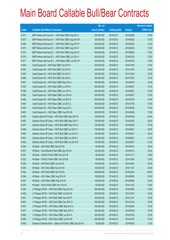|       |                                                             | No. of        |                     |               | <b>Amount raised</b> |
|-------|-------------------------------------------------------------|---------------|---------------------|---------------|----------------------|
| Code  | <b>Callable Bull/Bear Contracts</b>                         | issue (units) | <b>Listing date</b> | <b>Expiry</b> | $(HK$$ mil.)         |
| 61371 | BNP Paribas Arbit Issu B.V. - HSI R Bull CBBC Aug 2014 L    | 300,000,000   | 2014/02/12          | 2014/08/28    | 75.00                |
| 61372 | BNP Paribas Arbit Issu B.V. - HSI R Bull CBBC Aug 2014 M    | 300,000,000   | 2014/02/12          | 2014/08/28    | 75.00                |
| 61358 | BNP Paribas Arbit Issu B.V. - HSI R Bull CBBC Aug 2014 P    | 300,000,000   | 2014/02/12          | 2014/08/28    | 75.00                |
| 61373 | BNP Paribas Arbit Issu B.V. - HSI R Bull CBBC Aug 2014 T    | 300,000,000   | 2014/02/12          | 2014/08/28    | 75.00                |
| 61375 | BNP Paribas Arbit Issu B.V. - HSI R Bull CBBC Aug 2014 Z    | 300,000,000   | 2014/02/12          | 2014/08/28    | 75.00                |
| 61376 | BNP Paribas Arbit Issu B.V. - HSI R Bear CBBC Jul 2014 V    | 300,000,000   | 2014/02/12          | 2014/07/30    | 75.00                |
| 61377 | BNP Paribas Arbit Issu B.V. - HSI R Bear CBBC Jul 2014 W    | 300,000,000   | 2014/02/12          | 2014/07/30    | 75.00                |
| 61352 | Credit Suisse AG - HSI R Bull CBBC Oct 2014 A               | 300,000,000   | 2014/02/12          | 2014/10/30    | 75.00                |
| 61353 | Credit Suisse AG - HSI R Bull CBBC Oct 2014 X               | 300,000,000   | 2014/02/12          | 2014/10/30    | 75.00                |
| 61395 | Credit Suisse AG - HSI R Bull CBBC Oct 2014 Y               | 300,000,000   | 2014/02/12          | 2014/10/30    | 75.00                |
| 61396 | Credit Suisse AG - HSI R Bull CBBC Dec 2014 L               | 300,000,000   | 2014/02/12          | 2014/12/30    | 75.00                |
| 61407 | Credit Suisse AG - HSI R Bear CBBC May 2014 J               | 300,000,000   | 2014/02/12          | 2014/05/29    | 75.00                |
| 61397 | Credit Suisse AG - HSI R Bear CBBC Jun 2014 I               | 300,000,000   | 2014/02/12          | 2014/06/27    | 75.00                |
| 61398 | Credit Suisse AG - HSI R Bear CBBC Jun 2014 J               | 300,000,000   | 2014/02/12          | 2014/06/27    | 75.00                |
| 61399 | Credit Suisse AG - HSI R Bear CBBC Jun 2014 K               | 300,000,000   | 2014/02/12          | 2014/06/27    | 75.00                |
| 61406 | Credit Suisse AG - HSI R Bear CBBC Jul 2014 D               | 300,000,000   | 2014/02/12          | 2014/07/30    | 75.00                |
| 61404 | Credit Suisse AG - HSI R Bear CBBC Jul 2014 Z               | 300,000,000   | 2014/02/12          | 2014/07/30    | 75.00                |
| 61403 | Credit Suisse AG - HSI R Bear CBBC Aug 2014 L               | 300,000,000   | 2014/02/12          | 2014/08/28    | 75.00                |
| 61405 | Credit Suisse AG - HSI R Bear CBBC Aug 2014 M               | 300,000,000   | 2014/02/12          | 2014/08/28    | 75.00                |
| 61455 | Goldman Sachs SP (Asia) - HSI R Bull CBBC May 2014 S        | 150,000,000   | 2014/02/12          | 2014/05/29    | 54.45                |
| 61456 | Goldman Sachs SP (Asia) - HSI R Bull CBBC May 2014 T        | 150,000,000   | 2014/02/12          | 2014/05/29    | 38.25                |
| 61457 | Goldman Sachs SP (Asia) - HSI R Bull CBBC May 2014 U        | 150,000,000   | 2014/02/12          | 2014/05/29    | 37.80                |
| 61449 | Goldman Sachs SP (Asia) - HSI R Bull CBBC Jun 2014 T        | 150,000,000   | 2014/02/12          | 2014/06/27    | 38.55                |
| 61450 | Goldman Sachs SP (Asia) - HSI R Bull CBBC Jun 2014 U        | 150,000,000   | 2014/02/12          | 2014/06/27    | 40.20                |
| 61451 | Goldman Sachs SP (Asia) - HSI R Bull CBBC Jun 2014 V        | 150,000,000   | 2014/02/12          | 2014/06/27    | 41.25                |
| 61452 | Goldman Sachs SP (Asia) - HSI R Bull CBBC Jun 2014 W        | 150,000,000   | 2014/02/12          | 2014/06/27    | 51.90                |
| 61338 | HK Bank - AIA R Bull CBBC Sep 2014 B                        | 60,000,000    | 2014/02/12          | 2014/09/15    | 33.00                |
| 61337 | HK Bank - China Mobile R Bull CBBC Apr 2015 A               | 120,000,000   | 2014/02/12          | 2015/04/13    | 30.00                |
| 61347 | HK Bank - CNOOC R Bull CBBC Nov 2014 B                      | 60,000,000    | 2014/02/12          | 2014/11/17    | 15.00                |
| 61332 | HK Bank - CNOOC R Bull CBBC Dec 2014 B                      | 60,000,000    | 2014/02/12          | 2014/12/08    | 15.00                |
| 61339 | HK Bank - HSI R Bull CBBC Oct 2014 E                        | 100,000,000   | 2014/02/12          | 2014/10/30    | 25.00                |
| 61340 | HK Bank - HSI R Bull CBBC Nov 2014 B                        | 100,000,000   | 2014/02/12          | 2014/11/27    | 25.00                |
| 61342 | HK Bank - HSI R Bull CBBC Mar 2015 B                        | 400,000,000   | 2014/02/12          | 2015/03/30    | 100.00               |
| 61346 | HK Bank - HSI R Bear CBBC Aug 2014 R                        | 100,000,000   | 2014/02/12          | 2014/08/28    | 25.00                |
| 61341 | HK Bank - HSI R Bear CBBC Sep 2014 M                        | 100,000,000   | 2014/02/12          | 2014/09/29    | 25.00                |
| 61333 | HK Bank - PetCh R Bull CBBC Nov 2014 B                      | 60,000,000    | 2014/02/12          | 2014/11/24    | 15.00                |
| 61365 | J P Morgan SP BV - HSI R Bull CBBC Sep 2014 Q               | 300,000,000   | 2014/02/12          | 2014/09/29    | 75.00                |
| 61462 | J P Morgan SP BV - HSI R Bull CBBC Oct 2014 N               | 300,000,000   | 2014/02/12          | 2014/10/30    | 75.00                |
| 61361 | J P Morgan SP BV - HSI R Bull CBBC Nov 2014 P               | 300,000,000   | 2014/02/12          | 2014/11/27    | 75.00                |
| 61461 | J P Morgan SP BV - HSI R Bull CBBC Dec 2014 O               | 300,000,000   | 2014/02/12          | 2014/12/30    | 75.00                |
| 61467 | J P Morgan SP BV - HSI R Bear CBBC May 2014 U               | 300,000,000   | 2014/02/12          | 2014/05/29    | 75.00                |
| 61472 | J P Morgan SP BV - HSI R Bear CBBC May 2014 V               | 300,000,000   | 2014/02/12          | 2014/05/29    | 75.00                |
| 61466 | J P Morgan SP BV - HSI R Bear CBBC Jul 2014 A               | 300,000,000   | 2014/02/12          | 2014/07/30    | 75.00                |
| 61468 | J P Morgan SP BV - HSI R Bear CBBC Jul 2014 B               | 300,000,000   | 2014/02/12          | 2014/07/30    | 75.00                |
| 61459 | Standard Chartered Bank - Galaxy Ent R Bear CBBC Sep 2014 A | 50,000,000    | 2014/02/12          | 2014/09/30    | 12.50                |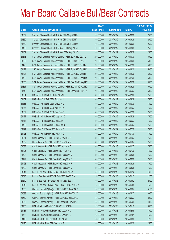|       |                                                                | No. of        |                     |               | <b>Amount raised</b> |
|-------|----------------------------------------------------------------|---------------|---------------------|---------------|----------------------|
| Code  | <b>Callable Bull/Bear Contracts</b>                            | issue (units) | <b>Listing date</b> | <b>Expiry</b> | (HK\$ mil.)          |
| 61359 | Standard Chartered Bank - HSI R Bull CBBC Sep 2014 S           | 100,000,000   | 2014/02/12          | 2014/09/29    | 25.00                |
| 61360 | Standard Chartered Bank - HSI R Bull CBBC Sep 2014 T           | 100,000,000   | 2014/02/12          | 2014/09/29    | 25.00                |
| 61460 | Standard Chartered Bank - HSI R Bull CBBC Sep 2014 U           | 100,000,000   | 2014/02/12          | 2014/09/29    | 25.00                |
| 61400 | Standard Chartered Bank - HSI R Bear CBBC Aug 2014 P           | 100,000,000   | 2014/02/12          | 2014/08/28    | 25.00                |
| 61401 | Standard Chartered Bank - HSI R Bear CBBC Aug 2014 Q           | 100,000,000   | 2014/02/12          | 2014/08/28    | 25.00                |
| 61348 | SGA Societe Generale Acceptance N.V. - HSI R Bull CBBC Oct14 C | 200,000,000   | 2014/02/12          | 2014/10/30    | 50.00                |
| 61366 | SGA Societe Generale Acceptance N.V. - HSI R Bull CBBC Oct14 D | 200,000,000   | 2014/02/12          | 2014/10/30    | 50.00                |
| 61426 | SGA Societe Generale Acceptance N.V. - HSI R Bull CBBC Dec14 J | 200,000,000   | 2014/02/12          | 2014/12/30    | 50.00                |
| 61427 | SGA Societe Generale Acceptance N.V. - HSI R Bull CBBC Dec14 K | 200,000,000   | 2014/02/12          | 2014/12/30    | 50.00                |
| 61428 | SGA Societe Generale Acceptance N.V. - HSI R Bull CBBC Dec14 L | 200,000,000   | 2014/02/12          | 2014/12/30    | 50.00                |
| 61429 | SGA Societe Generale Acceptance N.V. - HSI R Bull CBBC Dec14 M | 200,000,000   | 2014/02/12          | 2014/12/30    | 50.00                |
| 61350 | SGA Societe Generale Acceptance N.V. - HSI R Bear CBBC May14 Y | 200,000,000   | 2014/02/12          | 2014/05/29    | 50.00                |
| 61351 | SGA Societe Generale Acceptance N.V. - HSI R Bear CBBC May14 Z | 200,000,000   | 2014/02/12          | 2014/05/29    | 50.00                |
| 61448 | SGA Societe Generale Acceptance N.V. - HSI R Bear CBBC Jun14 A | 200,000,000   | 2014/02/12          | 2014/06/27    | 50.00                |
| 61354 | UBS AG - HSI R Bull CBBC Jul 2014 M                            | 300,000,000   | 2014/02/12          | 2014/07/30    | 75.00                |
| 61402 | UBS AG - HSI R Bull CBBC Aug 2014 I                            | 300,000,000   | 2014/02/12          | 2014/08/28    | 75.00                |
| 61356 | UBS AG - HSI R Bull CBBC Oct 2014 Z                            | 300,000,000   | 2014/02/12          | 2014/10/30    | 75.00                |
| 61355 | UBS AG - HSI R Bull CBBC Nov 2014 X                            | 300,000,000   | 2014/02/12          | 2014/11/27    | 75.00                |
| 61357 | UBS AG - HSI R Bull CBBC Dec 2014 C                            | 300,000,000   | 2014/02/12          | 2014/12/30    | 75.00                |
| 61422 | UBS AG - HSI R Bear CBBC May 2014 C                            | 300,000,000   | 2014/02/12          | 2014/05/29    | 75.00                |
| 61413 | UBS AG - HSI R Bear CBBC Jun 2014 T                            | 300,000,000   | 2014/02/12          | 2014/06/27    | 75.00                |
| 61425 | UBS AG - HSI R Bear CBBC Jun 2014 U                            | 300,000,000   | 2014/02/12          | 2014/06/27    | 75.00                |
| 61421 | UBS AG - HSI R Bear CBBC Jul 2014 F                            | 300,000,000   | 2014/02/12          | 2014/07/30    | 75.00                |
| 61423 | UBS AG - HSI R Bear CBBC Jul 2014 G                            | 300,000,000   | 2014/02/12          | 2014/07/30    | 75.00                |
| 61531 | Credit Suisse AG - HSI R Bull CBBC Nov 2014 B                  | 300,000,000   | 2014/02/13          | 2014/11/27    | 75.00                |
| 61532 | Credit Suisse AG - HSI R Bull CBBC Nov 2014 N                  | 300,000,000   | 2014/02/13          | 2014/11/27    | 75.00                |
| 61533 | Credit Suisse AG - HSI R Bull CBBC Nov 2014 O                  | 300,000,000   | 2014/02/13          | 2014/11/27    | 75.00                |
| 61496 | Credit Suisse AG - HSI R Bear CBBC Jul 2014 E                  | 300,000,000   | 2014/02/13          | 2014/07/30    | 75.00                |
| 61495 | Credit Suisse AG - HSI R Bear CBBC Aug 2014 N                  | 300,000,000   | 2014/02/13          | 2014/08/28    | 75.00                |
| 61497 | Credit Suisse AG - HSI R Bear CBBC Aug 2014 O                  | 300,000,000   | 2014/02/13          | 2014/08/28    | 75.00                |
| 61498 | Credit Suisse AG - HSI R Bear CBBC Aug 2014 P                  | 300,000,000   | 2014/02/13          | 2014/08/28    | 75.00                |
| 61500 | Credit Suisse AG - HSI R Bear CBBC Aug 2014 Q                  | 300,000,000   | 2014/02/13          | 2014/08/28    | 75.00                |
| 61547 | Bank of East Asia - COVS R Bull CBBC Jan 2015 A                | 40,000,000    | 2014/02/13          | 2015/01/12    | 16.00                |
| 61548 | Bank of East Asia - CNOOC R Bull CBBC Jan 2015 A               | 50,000,000    | 2014/02/13          | 2015/01/12    | 12.50                |
| 61549 | Bank of East Asia - Hutchison R Bear CBBC Sep 2014 A           | 100,000,000   | 2014/02/13          | 2014/09/02    | 25.00                |
| 61546 | Bank of East Asia - Sands China R Bear CBBC Jun 2014 A         | 60,000,000    | 2014/02/13          | 2014/06/05    | 15.00                |
| 61535 | Goldman Sachs SP (Asia) - HSI R Bull CBBC Jun 2014 X           | 150,000,000   | 2014/02/13          | 2014/06/27    | 41.85                |
| 61538 | Goldman Sachs SP (Asia) - HSI R Bull CBBC Jun 2014 Y           | 150,000,000   | 2014/02/13          | 2014/06/27    | 39.30                |
| 61539 | Goldman Sachs SP (Asia) - HSI R Bull CBBC Jun 2014 Z           | 150,000,000   | 2014/02/13          | 2014/06/27    | 39.00                |
| 61536 | Goldman Sachs SP (Asia) - HSI R Bear CBBC May 2014 U           | 150,000,000   | 2014/02/13          | 2014/05/29    | 43.50                |
| 61480 | HK Bank - China Mobile R Bull CBBC Jan 2015 B                  | 120,000,000   | 2014/02/13          | 2015/01/12    | 30.00                |
| 61481 | HK Bank - Galaxy Ent R Bear CBBC Dec 2014 D                    | 60,000,000    | 2014/02/13          | 2014/12/08    | 15.00                |
| 61483 | HK Bank - Galaxy Ent R Bear CBBC Dec 2014 E                    | 60,000,000    | 2014/02/13          | 2014/12/01    | 15.00                |
| 61478 | HK Bank - HSCEI R Bear CBBC Oct 2014 B                         | 68,000,000    | 2014/02/13          | 2014/10/30    | 17.00                |
| 61475 | HK Bank - HSI R Bull CBBC Oct 2014 F                           | 100,000,000   | 2014/02/13          | 2014/10/30    | 25.00                |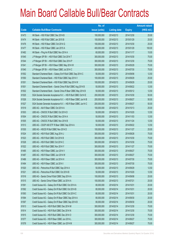|       |                                                                | No. of        |                     |               | <b>Amount raised</b> |
|-------|----------------------------------------------------------------|---------------|---------------------|---------------|----------------------|
| Code  | <b>Callable Bull/Bear Contracts</b>                            | issue (units) | <b>Listing date</b> | <b>Expiry</b> | $(HK$$ mil.)         |
| 61473 | HK Bank - HSI R Bull CBBC Dec 2014 B                           | 100,000,000   | 2014/02/13          | 2014/12/30    | 25.00                |
| 61474 | HK Bank - HSI R Bull CBBC Jan 2015 B                           | 100,000,000   | 2014/02/13          | 2015/01/29    | 25.00                |
| 61476 | HK Bank - HSI R Bear CBBC Oct 2014 G                           | 100,000,000   | 2014/02/13          | 2014/10/30    | 25.00                |
| 61477 | HK Bank - HSI R Bear CBBC Jan 2015 A                           | 400,000,000   | 2014/02/13          | 2015/01/29    | 100.00               |
| 61482 | HK Bank - Ping An R Bull CBBC Nov 2014 A                       | 60,000,000    | 2014/02/13          | 2014/11/17    | 15.00                |
| 61545 | J P Morgan SP BV - HSI R Bull CBBC Oct 2014 T                  | 300,000,000   | 2014/02/13          | 2014/10/30    | 75.00                |
| 61544 | J P Morgan SP BV - HSI R Bull CBBC Dec 2014 P                  | 300,000,000   | 2014/02/13          | 2014/12/30    | 75.00                |
| 61541 | J P Morgan SP BV - HSI R Bear CBBC May 2014 W                  | 300,000,000   | 2014/02/13          | 2014/05/29    | 75.00                |
| 61540 | J P Morgan SP BV - HSI R Bear CBBC Jul 2014 C                  | 300,000,000   | 2014/02/13          | 2014/07/30    | 75.00                |
| 61552 | Standard Chartered Bank - Galaxy Ent R Bull CBBC Sep 2014 C    | 50,000,000    | 2014/02/13          | 2014/09/08    | 12.50                |
| 61550 | Standard Chartered Bank - HSI R Bull CBBC Sep 2014 V           | 100,000,000   | 2014/02/13          | 2014/09/29    | 25.00                |
| 61551 | Standard Chartered Bank - HSI R Bull CBBC Sep 2014 W           | 100,000,000   | 2014/02/13          | 2014/09/29    | 25.00                |
| 61501 | Standard Chartered Bank - Sands China R Bull CBBC Aug 2014 B   | 50,000,000    | 2014/02/13          | 2014/08/22    | 12.50                |
| 61502 | Standard Chartered Bank - Sands China R Bear CBBC May 2014 B   | 50,000,000    | 2014/02/13          | 2014/05/12    | 12.50                |
| 61525 | SGA Societe Generale Acceptance N.V. - HSI R Bull CBBC Oct14 E | 200,000,000   | 2014/02/13          | 2014/10/30    | 50.00                |
| 61526 | SGA Societe Generale Acceptance N.V. - HSI R Bear CBBC Jun14 B | 200,000,000   | 2014/02/13          | 2014/06/27    | 50.00                |
| 61527 | SGA Societe Generale Acceptance N.V. - HSI R Bear CBBC Jun14 C | 200,000,000   | 2014/02/13          | 2014/06/27    | 50.00                |
| 61519 | UBS AG - AIA R Bear CBBC Oct 2014 A                            | 100,000,000   | 2014/02/13          | 2014/10/13    | 25.00                |
| 61503 | UBS AG - CNOOC R Bull CBBC Oct 2014 D                          | 50,000,000    | 2014/02/13          | 2014/10/20    | 12.50                |
| 61504 | UBS AG - CNOOC R Bull CBBC Nov 2014 A                          | 50,000,000    | 2014/02/13          | 2014/11/03    | 12.50                |
| 61505 | UBS AG - CNOOC R Bull CBBC Nov 2014 B                          | 50,000,000    | 2014/02/13          | 2014/11/24    | 12.50                |
| 61513 | UBS AG - CSOP A50 ETF R Bear CBBC Sep 2014 A                   | 50,000,000    | 2014/02/13          | 2014/09/22    | 12.50                |
| 61530 | UBS AG - HSCEI R Bull CBBC Nov 2014 D                          | 100,000,000   | 2014/02/13          | 2014/11/27    | 25.00                |
| 61524 | UBS AG - HSI R Bull CBBC Aug 2014 J                            | 300,000,000   | 2014/02/13          | 2014/08/28    | 75.00                |
| 61523 | UBS AG - HSI R Bull CBBC Oct 2014 B                            | 300,000,000   | 2014/02/13          | 2014/10/30    | 75.00                |
| 61528 | UBS AG - HSI R Bull CBBC Oct 2014 C                            | 300,000,000   | 2014/02/13          | 2014/10/30    | 75.00                |
| 61522 | UBS AG - HSI R Bull CBBC Nov 2014 Y                            | 300,000,000   | 2014/02/13          | 2014/11/27    | 75.00                |
| 61485 | UBS AG - HSI R Bear CBBC Jun 2014 V                            | 300,000,000   | 2014/02/13          | 2014/06/27    | 75.00                |
| 61487 | UBS AG - HSI R Bear CBBC Jun 2014 W                            | 300,000,000   | 2014/02/13          | 2014/06/27    | 75.00                |
| 61486 | UBS AG - HSI R Bear CBBC Jul 2014 H                            | 300,000,000   | 2014/02/13          | 2014/07/30    | 75.00                |
| 61494 | UBS AG - HSI R Bear CBBC Jul 2014 I                            | 300,000,000   | 2014/02/13          | 2014/07/30    | 75.00                |
| 61520 | UBS AG - Petrochina R Bull CBBC Sep 2014 A                     | 50,000,000    | 2014/02/13          | 2014/09/29    | 12.50                |
| 61521 | UBS AG - Petrochina R Bull CBBC Oct 2014 B                     | 50,000,000    | 2014/02/13          | 2014/10/20    | 12.50                |
| 61516 | UBS AG - Sands China R Bull CBBC Sep 2014 A                    | 100,000,000   | 2014/02/13          | 2014/09/08    | 25.00                |
| 61515 | UBS AG - Sands China R Bear CBBC Jul 2014 A                    | 100,000,000   | 2014/02/13          | 2014/07/21    | 25.00                |
| 61591 | Credit Suisse AG - Galaxy Ent R Bull CBBC Oct 2014 A           | 80,000,000    | 2014/02/14          | 2014/10/31    | 20.00                |
| 61592 | Credit Suisse AG - Galaxy Ent R Bull CBBC Oct 2014 B           | 80,000,000    | 2014/02/14          | 2014/10/31    | 20.00                |
| 61593 | Credit Suisse AG - Galaxy Ent R Bull CBBC Oct 2014 C           | 80,000,000    | 2014/02/14          | 2014/10/31    | 20.00                |
| 61594 | Credit Suisse AG - Galaxy Ent R Bear CBBC Sep 2014 A           | 80,000,000    | 2014/02/14          | 2014/09/30    | 20.00                |
| 61597 | Credit Suisse AG - Galaxy Ent R Bear CBBC Sep 2014 B           | 80,000,000    | 2014/02/14          | 2014/09/30    | 20.00                |
| 61613 | Credit Suisse AG - HSI R Bull CBBC Dec 2014 M                  | 300,000,000   | 2014/02/14          | 2014/12/30    | 75.00                |
| 61614 | Credit Suisse AG - HSI R Bull CBBC Dec 2014 N                  | 300,000,000   | 2014/02/14          | 2014/12/30    | 75.00                |
| 61615 | Credit Suisse AG - HSI R Bull CBBC Dec 2014 O                  | 300,000,000   | 2014/02/14          | 2014/12/30    | 75.00                |
| 61577 | Credit Suisse AG - HSI R Bear CBBC Jun 2014 L                  | 300,000,000   | 2014/02/14          | 2014/06/27    | 75.00                |
| 61578 | Credit Suisse AG - HSI R Bear CBBC Jun 2014 M                  | 300,000,000   | 2014/02/14          | 2014/06/27    | 75.00                |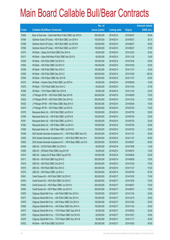|       |                                                                | No. of        |                     |               | <b>Amount raised</b> |
|-------|----------------------------------------------------------------|---------------|---------------------|---------------|----------------------|
| Code  | <b>Callable Bull/Bear Contracts</b>                            | issue (units) | <b>Listing date</b> | <b>Expiry</b> | (HK\$ mil.)          |
| 61606 | Bank of East Asia - Great Wall Motor R Bull CBBC Apr 2015 A    | 200,000,000   | 2014/02/14          | 2015/04/27    | 50.00                |
| 61584 | Goldman Sachs SP (Asia) - HSI R Bull CBBC Jun 2014 A           | 150,000,000   | 2014/02/14          | 2014/06/27    | 38.10                |
| 61589 | Goldman Sachs SP (Asia) - HSI R Bull CBBC Jun 2014 B           | 150,000,000   | 2014/02/14          | 2014/06/27    | 40.65                |
| 61590 | Goldman Sachs SP (Asia) - HSI R Bull CBBC Jun 2014 F           | 150,000,000   | 2014/02/14          | 2014/06/27    | 37.80                |
| 61574 | HK Bank - Galaxy Ent R Bull CBBC Dec 2014 A                    | 80,000,000    | 2014/02/14          | 2014/12/22    | 20.00                |
| 61571 | HK Bank - Great Wall Motor R Bull CBBC Nov 2015 A              | 40,000,000    | 2014/02/14          | 2015/11/30    | 10.00                |
| 61555 | HK Bank - HSI R Bull CBBC Oct 2014 G                           | 100,000,000   | 2014/02/14          | 2014/10/30    | 25.00                |
| 61563 | HK Bank - HSI R Bull CBBC Oct 2014 H                           | 100,000,000   | 2014/02/14          | 2014/10/30    | 25.00                |
| 61556 | HK Bank - HSI R Bull CBBC Nov 2014 C                           | 100,000,000   | 2014/02/14          | 2014/11/27    | 25.00                |
| 61565 | HK Bank - HSI R Bull CBBC Dec 2014 C                           | 400,000,000   | 2014/02/14          | 2014/12/30    | 100.00               |
| 61564 | HK Bank - HSI R Bear CBBC Nov 2014 B                           | 100,000,000   | 2014/02/14          | 2014/11/27    | 25.00                |
| 61573 | HK Bank - Huishan Dairy R Bull CBBC Jun 2015 A                 | 40,000,000    | 2014/02/14          | 2015/06/29    | 10.00                |
| 61570 | HK Bank - TCH R Bull CBBC Nov 2014 C                           | 50,000,000    | 2014/02/14          | 2014/11/24    | 27.50                |
| 61566 | HK Bank - TCH R Bear CBBC Nov 2014 B                           | 50,000,000    | 2014/02/14          | 2014/11/24    | 25.00                |
| 61623 | J P Morgan SP BV - HSI R Bull CBBC Sep 2014 B                  | 300,000,000   | 2014/02/14          | 2014/09/29    | 75.00                |
| 61622 | J P Morgan SP BV - HSI R Bull CBBC Dec 2014 Q                  | 300,000,000   | 2014/02/14          | 2014/12/30    | 75.00                |
| 61620 | J P Morgan SP BV - HSI R Bear CBBC May 2014 X                  | 300,000,000   | 2014/02/14          | 2014/05/29    | 75.00                |
| 61619 | J P Morgan SP BV - HSI R Bear CBBC Jul 2014 D                  | 300,000,000   | 2014/02/14          | 2014/07/30    | 75.00                |
| 61579 | Macquarie Bank Ltd. - HSI R Bull CBBC Jul 2014 A               | 100,000,000   | 2014/02/14          | 2014/07/30    | 25.00                |
| 61580 | Macquarie Bank Ltd. - HSI R Bull CBBC Jul 2014 B               | 100,000,000   | 2014/02/14          | 2014/07/30    | 25.00                |
| 61581 | Macquarie Bank Ltd. - HSI R Bull CBBC Jul 2014 C               | 100,000,000   | 2014/02/14          | 2014/07/30    | 25.00                |
| 61582 | Macquarie Bank Ltd. - HSI R Bear CBBC Jul 2014 A               | 100,000,000   | 2014/02/14          | 2014/07/30    | 25.00                |
| 61583 | Macquarie Bank Ltd. - HSI R Bear CBBC Jul 2014 B               | 100,000,000   | 2014/02/14          | 2014/07/30    | 25.00                |
| 61599 | SGA Societe Generale Acceptance N.V. - HSI R Bull CBBC Nov14 D | 200,000,000   | 2014/02/14          | 2014/11/27    | 50.00                |
| 61600 | SGA Societe Generale Acceptance N.V. - HSI R Bull CBBC Nov14 H | 200,000,000   | 2014/02/14          | 2014/11/27    | 50.00                |
| 61603 | SGA Societe Generale Acceptance N.V. - HSI R Bear CBBC Jun14 D | 200,000,000   | 2014/02/14          | 2014/06/27    | 50.00                |
| 61609 | UBS AG - COVS R Bull CBBC Oct 2014 A                           | 50,000,000    | 2014/02/14          | 2014/10/06    | 13.00                |
| 61608 | UBS AG - CM Bank R Bull CBBC Aug 2014 B                        | 50,000,000    | 2014/02/14          | 2014/08/18    | 12.50                |
| 61610 | UBS AG - Galaxy Ent R Bear CBBC Aug 2014 B                     | 100,000,000   | 2014/02/14          | 2014/08/25    | 25.00                |
| 61617 | UBS AG - HSI R Bull CBBC Aug 2014 Z                            | 300,000,000   | 2014/02/14          | 2014/08/28    | 75.00                |
| 61618 | UBS AG - HSI R Bull CBBC Oct 2014 D                            | 300,000,000   | 2014/02/14          | 2014/10/30    | 75.00                |
| 61616 | UBS AG - HSI R Bull CBBC Nov 2014 Z                            | 300,000,000   | 2014/02/14          | 2014/11/27    | 75.00                |
| 61575 | UBS AG - HSI R Bear CBBC Jul 2014 J                            | 350,000,000   | 2014/02/14          | 2014/07/30    | 87.50                |
| 61661 | Credit Suisse AG - HSI R Bull CBBC Oct 2014 C                  | 300,000,000   | 2014/02/17          | 2014/10/30    | 75.00                |
| 61643 | Credit Suisse AG - HSI R Bull CBBC Oct 2014 Z                  | 300,000,000   | 2014/02/17          | 2014/10/30    | 75.00                |
| 61662 | Credit Suisse AG - HSI R Bear CBBC Jun 2014 N                  | 300,000,000   | 2014/02/17          | 2014/06/27    | 75.00                |
| 61663 | Credit Suisse AG - HSI R Bear CBBC Jun 2014 O                  | 300,000,000   | 2014/02/17          | 2014/06/27    | 75.00                |
| 61678 | Citigroup Global Mkt H Inc. - AIA R Bull CBBC Nov 2014 A       | 100,000,000   | 2014/02/17          | 2014/11/24    | 25.00                |
| 61677 | Citigroup Global Mkt H Inc. - AIA R Bull CBBC Dec 2014 A       | 100,000,000   | 2014/02/17          | 2014/12/15    | 25.00                |
| 61679 | Citigroup Global Mkt H Inc. - AIA R Bear CBBC Oct 2014 A       | 100,000,000   | 2014/02/17          | 2014/10/20    | 25.00                |
| 61680 | Citigroup Global Mkt H Inc. - AIA R Bear CBBC Nov 2014 A       | 100,000,000   | 2014/02/17          | 2014/11/24    | 25.00                |
| 61673 | Citigroup Global Mkt H Inc. - TCH R Bear CBBC Sep 2014 B       | 50,000,000    | 2014/02/17          | 2014/09/22    | 30.00                |
| 61675 | Citigroup Global Mkt H Inc. - TCH R Bear CBBC Oct 2014 B       | 50,000,000    | 2014/02/17          | 2014/10/27    | 35.00                |
| 61676 | Citigroup Global Mkt H Inc. - TCH R Bear CBBC Nov 2014 B       | 50,000,000    | 2014/02/17          | 2014/11/17    | 40.00                |
| 61632 | HK Bank - A50 R Bull CBBC Oct 2014 E                           | 200,000,000   | 2014/02/17          | 2014/10/20    | 50.00                |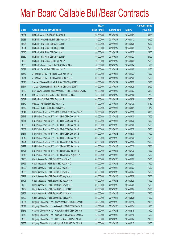|       |                                                                | No. of        |                     |               | <b>Amount raised</b> |
|-------|----------------------------------------------------------------|---------------|---------------------|---------------|----------------------|
| Code  | <b>Callable Bull/Bear Contracts</b>                            | issue (units) | <b>Listing date</b> | <b>Expiry</b> | (HK\$ mil.)          |
| 61631 | HK Bank - A50 R Bull CBBC Nov 2014 H                           | 200,000,000   | 2014/02/17          | 2014/11/03    | 50.00                |
| 61633 | HK Bank - Galaxy Ent R Bull CBBC Nov 2014 A                    | 80,000,000    | 2014/02/17          | 2014/11/12    | 20.00                |
| 61625 | HK Bank - HSI R Bull CBBC Aug 2014 S                           | 100,000,000   | 2014/02/17          | 2014/08/28    | 25.00                |
| 61624 | HK Bank - HSI R Bull CBBC Sep 2014 L                           | 100,000,000   | 2014/02/17          | 2014/09/29    | 25.00                |
| 61640 | HK Bank - HSI R Bull CBBC Oct 2014 I                           | 100,000,000   | 2014/02/17          | 2014/10/30    | 25.00                |
| 61639 | HK Bank - HSI R Bull CBBC Nov 2014 D                           | 100,000,000   | 2014/02/17          | 2014/11/27    | 25.00                |
| 61628 | HK Bank - HSI R Bear CBBC Sep 2014 N                           | 100,000,000   | 2014/02/17          | 2014/09/29    | 25.00                |
| 61636 | HK Bank - Sands China R Bull CBBC Nov 2014 A                   | 60,000,000    | 2014/02/17          | 2014/11/24    | 15.00                |
| 61637 | HK Bank - TCH R Bull CBBC Nov 2014 D                           | 50,000,000    | 2014/02/17          | 2014/11/05    | 22.50                |
| 61672 | J P Morgan SP BV - HSI R Bull CBBC Nov 2014 E                  | 300,000,000   | 2014/02/17          | 2014/11/27    | 75.00                |
| 61671 | J P Morgan SP BV - HSI R Bear CBBC Jul 2014 E                  | 300,000,000   | 2014/02/17          | 2014/07/30    | 75.00                |
| 61646 | Standard Chartered Bank - HSI R Bull CBBC Sep 2014 X           | 100,000,000   | 2014/02/17          | 2014/09/29    | 25.00                |
| 61647 | Standard Chartered Bank - HSI R Bull CBBC Sep 2014 Y           | 100,000,000   | 2014/02/17          | 2014/09/29    | 25.00                |
| 61650 | SGA Societe Generale Acceptance N.V. - HSI R Bull CBBC Nov14 J | 200,000,000   | 2014/02/17          | 2014/11/27    | 50.00                |
| 61651 | UBS AG - Great Wall Motor R Bull CBBC Dec 2014 A               | 50,000,000    | 2014/02/17          | 2014/12/22    | 12.50                |
| 61642 | UBS AG - HSI R Bull CBBC Sep 2014 T                            | 300,000,000   | 2014/02/17          | 2014/09/29    | 75.00                |
| 61670 | UBS AG - HSI R Bear CBBC Jul 2014 L                            | 350,000,000   | 2014/02/17          | 2014/07/30    | 87.50                |
| 61652 | UBS AG - TCH R Bull CBBC Aug 2014 E                            | 40,000,000    | 2014/02/17          | 2014/08/04    | 10.40                |
| 61847 | BNP Paribas Arbit Issu B.V. - A50 Ch R Bull CBBC Dec 2014 G    | 200,000,000   | 2014/02/18          | 2014/12/30    | 50.00                |
| 61818 | BNP Paribas Arbit Issu B.V. - HSI R Bull CBBC Dec 2014 A       | 300,000,000   | 2014/02/18          | 2014/12/30    | 75.00                |
| 61831 | BNP Paribas Arbit Issu B.V. - HSI R Bull CBBC Dec 2014 B       | 300,000,000   | 2014/02/18          | 2014/12/30    | 75.00                |
| 61836 | BNP Paribas Arbit Issu B.V. - HSI R Bull CBBC Dec 2014 C       | 300,000,000   | 2014/02/18          | 2014/12/30    | 75.00                |
| 61837 | BNP Paribas Arbit Issu B.V. - HSI R Bull CBBC Dec 2014 D       | 300,000,000   | 2014/02/18          | 2014/12/30    | 75.00                |
| 61841 | BNP Paribas Arbit Issu B.V. - HSI R Bull CBBC Dec 2014 E       | 300,000,000   | 2014/02/18          | 2014/12/30    | 75.00                |
| 61842 | BNP Paribas Arbit Issu B.V. - HSI R Bull CBBC Dec 2014 F       | 300,000,000   | 2014/02/18          | 2014/12/30    | 75.00                |
| 61721 | BNP Paribas Arbit Issu B.V. - HSI R Bear CBBC Jul 2014 X       | 300,000,000   | 2014/02/18          | 2014/07/30    | 75.00                |
| 61722 | BNP Paribas Arbit Issu B.V. - HSI R Bear CBBC Jul 2014 Y       | 300.000.000   | 2014/02/18          | 2014/07/30    | 75.00                |
| 61723 | BNP Paribas Arbit Issu B.V. - HSI R Bear CBBC Jul 2014 Z       | 300,000,000   | 2014/02/18          | 2014/07/30    | 75.00                |
| 61846 | BNP Paribas Arbit Issu B.V. - HSI R Bear CBBC Aug 2014 A       | 300,000,000   | 2014/02/18          | 2014/08/28    | 75.00                |
| 61758 | Credit Suisse AG - HSI R Bull CBBC Nov 2014 P                  | 300,000,000   | 2014/02/18          | 2014/11/27    | 75.00                |
| 61795 | Credit Suisse AG - HSI R Bull CBBC Nov 2014 Q                  | 300,000,000   | 2014/02/18          | 2014/11/27    | 75.00                |
| 61802 | Credit Suisse AG - HSI R Bull CBBC Nov 2014 R                  | 300,000,000   | 2014/02/18          | 2014/11/27    | 75.00                |
| 61803 | Credit Suisse AG - HSI R Bull CBBC Nov 2014 S                  | 300,000,000   | 2014/02/18          | 2014/11/27    | 75.00                |
| 61719 | Credit Suisse AG - HSI R Bear CBBC May 2014 H                  | 300,000,000   | 2014/02/18          | 2014/05/29    | 75.00                |
| 61701 | Credit Suisse AG - HSI R Bear CBBC May 2014 K                  | 300,000,000   | 2014/02/18          | 2014/05/29    | 75.00                |
| 61720 | Credit Suisse AG - HSI R Bear CBBC May 2014 S                  | 300,000,000   | 2014/02/18          | 2014/05/29    | 75.00                |
| 61702 | Credit Suisse AG - HSI R Bear CBBC Jun 2014 P                  | 300,000,000   | 2014/02/18          | 2014/06/27    | 75.00                |
| 61757 | Credit Suisse AG - HSI R Bear CBBC Jul 2014 H                  | 300,000,000   | 2014/02/18          | 2014/07/30    | 75.00                |
| 61700 | Credit Suisse AG - HSI R Bear CBBC Aug 2014 R                  | 300,000,000   | 2014/02/18          | 2014/08/28    | 75.00                |
| 61867 | Citigroup Global Mkt H Inc. - China Mobile R Bull CBBC Dec14B  | 80,000,000    | 2014/02/18          | 2014/12/15    | 20.00                |
| 61877 | Citigroup Global Mkt H Inc. - Galaxy Ent R Bull CBBC Nov14 B   | 60,000,000    | 2014/02/18          | 2014/11/24    | 15.00                |
| 61875 | Citigroup Global Mkt H Inc. - Galaxy Ent R Bull CBBC Dec14 B   | 60,000,000    | 2014/02/18          | 2014/12/15    | 15.00                |
| 61878 | Citigroup Global Mkt H Inc. - Galaxy Ent R Bear CBBC Dec14 A   | 60,000,000    | 2014/02/18          | 2014/12/15    | 15.00                |
| 61866 | Citigroup Global Mkt H Inc. - HSBC R Bear CBBC Nov 2014 A      | 80,000,000    | 2014/02/18          | 2014/11/24    | 20.00                |
| 61863 | Citigroup Global Mkt H Inc. - Ping An R Bull CBBC Dec 2014 B   | 80,000,000    | 2014/02/18          | 2014/12/15    | 20.00                |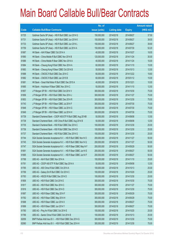|       |                                                                | No. of        |                     |               | <b>Amount raised</b> |
|-------|----------------------------------------------------------------|---------------|---------------------|---------------|----------------------|
| Code  | <b>Callable Bull/Bear Contracts</b>                            | issue (units) | <b>Listing date</b> | <b>Expiry</b> | (HK\$ mil.)          |
| 61725 | Goldman Sachs SP (Asia) - HSI R Bull CBBC Jun 2014 G           | 150,000,000   | 2014/02/18          | 2014/06/27    | 37.50                |
| 61731 | Goldman Sachs SP (Asia) - HSI R Bull CBBC Jun 2014 K           | 150,000,000   | 2014/02/18          | 2014/06/27    | 39.00                |
| 61733 | Goldman Sachs SP (Asia) - HSI R Bull CBBC Jun 2014 L           | 150,000,000   | 2014/02/18          | 2014/06/27    | 39.90                |
| 61759 | Goldman Sachs SP (Asia) - HSI R Bull CBBC Jul 2014 A           | 150,000,000   | 2014/02/18          | 2014/07/30    | 52.20                |
| 61687 | HK Bank - AIA R Bear CBBC Oct 2014 A                           | 40,000,000    | 2014/02/18          | 2014/10/27    | 18.00                |
| 61690 | HK Bank - China Mobile R Bull CBBC Nov 2014 B                  | 120,000,000   | 2014/02/18          | 2014/11/24    | 30.00                |
| 61686 | HK Bank - China Mobile R Bear CBBC Nov 2014 A                  | 40,000,000    | 2014/02/18          | 2014/11/24    | 10.00                |
| 61684 | HK Bank - Cheung Kong R Bull CBBC Nov 2014 A                   | 60,000,000    | 2014/02/18          | 2014/11/10    | 15.00                |
| 61683 | HK Bank - Cheung Kong R Bear CBBC Oct 2014 B                   | 50,000,000    | 2014/02/18          | 2014/10/13    | 12.50                |
| 61688 | HK Bank - CNOOC R Bull CBBC Dec 2014 C                         | 60,000,000    | 2014/02/18          | 2014/12/22    | 19.80                |
| 61682 | HK Bank - CNOOC R Bull CBBC Jan 2015 B                         | 60,000,000    | 2014/02/18          | 2015/01/12    | 15.00                |
| 61681 | HK Bank - Great Wall Motor R Bull CBBC Dec 2015 A              | 40,000,000    | 2014/02/18          | 2015/12/21    | 10.00                |
| 61685 | HK Bank - Hutchison R Bear CBBC Nov 2014 C                     | 50,000,000    | 2014/02/18          | 2014/11/10    | 12.50                |
| 61857 | J P Morgan SP BV - HSI R Bull CBBC Oct 2014 V                  | 300,000,000   | 2014/02/18          | 2014/10/30    | 75.00                |
| 61856 | J P Morgan SP BV - HSI R Bull CBBC Nov 2014 J                  | 300,000,000   | 2014/02/18          | 2014/11/27    | 75.00                |
| 61853 | J P Morgan SP BV - HSI R Bull CBBC Dec 2014 R                  | 300,000,000   | 2014/02/18          | 2014/12/30    | 75.00                |
| 61743 | J P Morgan SP BV - HSI R Bear CBBC Jul 2014 F                  | 300,000,000   | 2014/02/18          | 2014/07/30    | 75.00                |
| 61848 | J P Morgan SP BV - HSI R Bear CBBC Jul 2014 G                  | 300,000,000   | 2014/02/18          | 2014/07/30    | 75.00                |
| 61849 | J P Morgan SP BV - HSI R Bear CBBC Jul 2014 H                  | 300,000,000   | 2014/02/18          | 2014/07/30    | 75.00                |
| 61739 | Standard Chartered Bank - CSOP A50 ETF R Bull CBBC Aug 2014B   | 50,000,000    | 2014/02/18          | 2014/08/08    | 12.50                |
| 61738 | Standard Chartered Bank - A50 China R Bull CBBC Aug 2014 B     | 50,000,000    | 2014/02/18          | 2014/08/08    | 12.50                |
| 61735 | Standard Chartered Bank - HSI R Bull CBBC Dec 2014 C           | 100,000,000   | 2014/02/18          | 2014/12/30    | 25.00                |
| 61736 | Standard Chartered Bank - HSI R Bull CBBC Dec 2014 D           | 100,000,000   | 2014/02/18          | 2014/12/30    | 25.00                |
| 61737 | Standard Chartered Bank - HSI R Bull CBBC Dec 2014 G           | 100,000,000   | 2014/02/18          | 2014/12/30    | 25.00                |
| 61744 | SGA Societe Generale Acceptance N.V. - HSI R Bull CBBC Nov14 O | 200,000,000   | 2014/02/18          | 2014/11/27    | 50.00                |
| 61745 | SGA Societe Generale Acceptance N.V. - HSI R Bull CBBC Nov14 Q | 200,000,000   | 2014/02/18          | 2014/11/27    | 50.00                |
| 61747 | SGA Societe Generale Acceptance N.V. - HSI R Bear CBBC May14 F | 200,000,000   | 2014/02/18          | 2014/05/29    | 50.00                |
| 61691 | SGA Societe Generale Acceptance N.V. - HSI R Bear CBBC Jun14 E | 200,000,000   | 2014/02/18          | 2014/06/27    | 50.00                |
| 61695 | SGA Societe Generale Acceptance N.V. - HSI R Bear CBBC Jun14 F | 200,000,000   | 2014/02/18          | 2014/06/27    | 50.00                |
| 61768 | UBS AG - AIA R Bull CBBC Nov 2014 A                            | 100,000,000   | 2014/02/18          | 2014/11/10    | 25.00                |
| 61761 | UBS AG - CSOP A50 ETF R Bull CBBC Sep 2014 A                   | 50,000,000    | 2014/02/18          | 2014/09/08    | 12.50                |
| 61765 | UBS AG - A50 China R Bull CBBC Oct 2014 A                      | 100,000,000   | 2014/02/18          | 2014/10/13    | 25.00                |
| 61769 | UBS AG - Galaxy Ent R Bull CBBC Oct 2014 C                     | 100,000,000   | 2014/02/18          | 2014/10/20    | 25.00                |
| 61763 | UBS AG - HSCEI R Bull CBBC Dec 2014 D                          | 100,000,000   | 2014/02/18          | 2014/12/30    | 25.00                |
| 61806 | UBS AG - HSI R Bull CBBC Oct 2014 E                            | 300,000,000   | 2014/02/18          | 2014/10/30    | 75.00                |
| 61817 | UBS AG - HSI R Bull CBBC Nov 2014 C                            | 300,000,000   | 2014/02/18          | 2014/11/27    | 75.00                |
| 61816 | UBS AG - HSI R Bull CBBC Dec 2014 D                            | 300,000,000   | 2014/02/18          | 2014/12/30    | 75.00                |
| 61697 | UBS AG - HSI R Bear CBBC May 2014 F                            | 300,000,000   | 2014/02/18          | 2014/05/29    | 75.00                |
| 61762 | UBS AG - HSI R Bear CBBC May 2014 H                            | 300,000,000   | 2014/02/18          | 2014/05/29    | 75.00                |
| 61698 | UBS AG - HSI R Bear CBBC Jun 2014 X                            | 300,000,000   | 2014/02/18          | 2014/06/27    | 75.00                |
| 61699 | UBS AG - HSI R Bear CBBC Jun 2014 Y                            | 300,000,000   | 2014/02/18          | 2014/06/27    | 75.00                |
| 61760 | UBS AG - Ping An R Bull CBBC Oct 2014 E                        | 100,000,000   | 2014/02/18          | 2014/10/20    | 25.00                |
| 61766 | UBS AG - Sands China R Bull CBBC Oct 2014 B                    | 100,000,000   | 2014/02/18          | 2014/10/13    | 25.00                |
| 62059 | BNP Paribas Arbit Issu B.V. - HSI R Bull CBBC Dec 2014 G       | 300,000,000   | 2014/02/19          | 2014/12/30    | 75.00                |
| 62060 | BNP Paribas Arbit Issu B.V. - HSI R Bull CBBC Dec 2014 H       | 300,000,000   | 2014/02/19          | 2014/12/30    | 75.00                |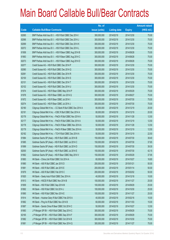|       |                                                              | No. of        |                     |               | <b>Amount raised</b> |
|-------|--------------------------------------------------------------|---------------|---------------------|---------------|----------------------|
| Code  | <b>Callable Bull/Bear Contracts</b>                          | issue (units) | <b>Listing date</b> | <b>Expiry</b> | (HK\$ mil.)          |
| 62065 | BNP Paribas Arbit Issu B.V. - HSI R Bull CBBC Dec 2014 I     | 300,000,000   | 2014/02/19          | 2014/12/30    | 75.00                |
| 62066 | BNP Paribas Arbit Issu B.V. - HSI R Bull CBBC Dec 2014 J     | 300,000,000   | 2014/02/19          | 2014/12/30    | 75.00                |
| 62069 | BNP Paribas Arbit Issu B.V. - HSI R Bull CBBC Dec 2014 K     | 300,000,000   | 2014/02/19          | 2014/12/30    | 75.00                |
| 62072 | BNP Paribas Arbit Issu B.V. - HSI R Bull CBBC Dec 2014 L     | 300,000,000   | 2014/02/19          | 2014/12/30    | 75.00                |
| 61958 | BNP Paribas Arbit Issu B.V. - HSI R Bear CBBC Aug 2014 B     | 300,000,000   | 2014/02/19          | 2014/08/28    | 75.00                |
| 61963 | BNP Paribas Arbit Issu B.V. - HSI R Bear CBBC Aug 2014 C     | 300,000,000   | 2014/02/19          | 2014/08/28    | 75.00                |
| 62073 | BNP Paribas Arbit Issu B.V. - HSI R Bear CBBC Aug 2014 D     | 300,000,000   | 2014/02/19          | 2014/08/28    | 75.00                |
| 62077 | Credit Suisse AG - HSI R Bull CBBC Dec 2014 P                | 300,000,000   | 2014/02/19          | 2014/12/30    | 75.00                |
| 62080 | Credit Suisse AG - HSI R Bull CBBC Dec 2014 Q                | 300,000,000   | 2014/02/19          | 2014/12/30    | 75.00                |
| 62081 | Credit Suisse AG - HSI R Bull CBBC Dec 2014 R                | 300,000,000   | 2014/02/19          | 2014/12/30    | 75.00                |
| 62100 | Credit Suisse AG - HSI R Bull CBBC Dec 2014 S                | 300,000,000   | 2014/02/19          | 2014/12/30    | 75.00                |
| 62101 | Credit Suisse AG - HSI R Bull CBBC Dec 2014 T                | 300,000,000   | 2014/02/19          | 2014/12/30    | 75.00                |
| 62102 | Credit Suisse AG - HSI R Bull CBBC Dec 2014 U                | 300,000,000   | 2014/02/19          | 2014/12/30    | 75.00                |
| 61974 | Credit Suisse AG - HSI R Bear CBBC May 2014 P                | 300,000,000   | 2014/02/19          | 2014/05/29    | 75.00                |
| 61978 | Credit Suisse AG - HSI R Bear CBBC Jun 2014 Q                | 300,000,000   | 2014/02/19          | 2014/06/27    | 75.00                |
| 61972 | Credit Suisse AG - HSI R Bear CBBC Jul 2014 I                | 300,000,000   | 2014/02/19          | 2014/07/30    | 75.00                |
| 62074 | Credit Suisse AG - HSI R Bear CBBC Jul 2014 J                | 300,000,000   | 2014/02/19          | 2014/07/30    | 75.00                |
| 62180 | Citigroup Global Mkt H Inc. - CC Bank R Bull CBBC Dec 2014 A | 80,000,000    | 2014/02/19          | 2014/12/19    | 20.00                |
| 62181 | Citigroup Global Mkt H Inc. - ICBC R Bull CBBC Dec 2014 A    | 80,000,000    | 2014/02/19          | 2014/12/19    | 20.00                |
| 62176 | Citigroup Global Mkt H Inc. - PetCh R Bull CBBC Nov 2014 A   | 50,000,000    | 2014/02/19          | 2014/11/28    | 12.50                |
| 62177 | Citigroup Global Mkt H Inc. - PetCh R Bull CBBC Dec 2014 A   | 50,000,000    | 2014/02/19          | 2014/12/19    | 12.50                |
| 62178 | Citigroup Global Mkt H Inc. - PetCh R Bear CBBC Nov 2014 A   | 50,000,000    | 2014/02/19          | 2014/11/28    | 12.50                |
| 62179 | Citigroup Global Mkt H Inc. - PetCh R Bear CBBC Dec 2014 A   | 50,000,000    | 2014/02/19          | 2014/12/19    | 12.50                |
| 62182 | Citigroup Global Mkt H Inc. - TCH R Bull CBBC Dec 2014 A     | 50,000,000    | 2014/02/19          | 2014/12/19    | 22.50                |
| 61984 | Goldman Sachs SP (Asia) - HSI R Bull CBBC Jul 2014 B         | 150,000,000   | 2014/02/19          | 2014/07/30    | 38.40                |
| 61985 | Goldman Sachs SP (Asia) - HSI R Bull CBBC Jul 2014 C         | 150,000,000   | 2014/02/19          | 2014/07/30    | 37.65                |
| 61999 | Goldman Sachs SP (Asia) - HSI R Bull CBBC Jul 2014 D         | 150,000,000   | 2014/02/19          | 2014/07/30    | 39.30                |
| 62000 | Goldman Sachs SP (Asia) - HSI R Bull CBBC Jul 2014 E         | 150,000,000   | 2014/02/19          | 2014/07/30    | 42.15                |
| 61962 | Goldman Sachs SP (Asia) - HSI R Bear CBBC May 2014 V         | 150,000,000   | 2014/02/19          | 2014/05/29    | 37.95                |
| 61883 | HK Bank - China Life R Bull CBBC Oct 2014 A                  | 60,000,000    | 2014/02/19          | 2014/10/27    | 16.80                |
| 61880 | HK Bank - A50 R Bull CBBC Jan 2015 D                         | 200,000,000   | 2014/02/19          | 2015/01/21    | 50.00                |
| 61881 | HK Bank - A50 R Bull CBBC Jan 2015 E                         | 200,000,000   | 2014/02/19          | 2015/01/14    | 50.00                |
| 61879 | HK Bank - A50 R Bull CBBC Feb 2015 C                         | 200,000,000   | 2014/02/19          | 2015/02/02    | 50.00                |
| 61920 | HK Bank - Geely Auto R Bull CBBC Dec 2014 A                  | 40,000,000    | 2014/02/19          | 2014/12/18    | 10.00                |
| 61913 | HK Bank - HSCEI R Bull CBBC Nov 2014 B                       | 100,000,000   | 2014/02/19          | 2014/11/27    | 25.00                |
| 61909 | HK Bank - HSI R Bull CBBC Sep 2014 M                         | 100,000,000   | 2014/02/19          | 2014/09/29    | 25.00                |
| 61892 | HK Bank - HSI R Bull CBBC Oct 2014 J                         | 100,000,000   | 2014/02/19          | 2014/10/30    | 25.00                |
| 61890 | HK Bank - HSI R Bull CBBC Nov 2014 E                         | 100,000,000   | 2014/02/19          | 2014/11/27    | 25.00                |
| 61914 | HK Bank - Huishan Dairy R Bull CBBC Feb 2015 A               | 40,000,000    | 2014/02/19          | 2015/02/16    | 10.00                |
| 61882 | HK Bank - Ping An R Bull CBBC Nov 2014 B                     | 60,000,000    | 2014/02/19          | 2014/11/03    | 15.00                |
| 61887 | HK Bank - Sands China R Bear CBBC Oct 2014 C                 | 50,000,000    | 2014/02/19          | 2014/10/27    | 12.50                |
| 61983 | J P Morgan SP BV - HSI R Bull CBBC Sep 2014 C                | 300,000,000   | 2014/02/19          | 2014/09/29    | 75.00                |
| 62165 | J P Morgan SP BV - HSI R Bull CBBC Sep 2014 F                | 300,000,000   | 2014/02/19          | 2014/09/29    | 75.00                |
| 61982 | J P Morgan SP BV - HSI R Bull CBBC Oct 2014 B                | 300,000,000   | 2014/02/19          | 2014/10/30    | 75.00                |
| 61981 | J P Morgan SP BV - HSI R Bull CBBC Nov 2014 Q                | 300,000,000   | 2014/02/19          | 2014/11/27    | 75.00                |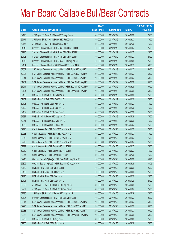|       |                                                                | No. of        |                     |               | <b>Amount raised</b> |
|-------|----------------------------------------------------------------|---------------|---------------------|---------------|----------------------|
| Code  | <b>Callable Bull/Bear Contracts</b>                            | issue (units) | <b>Listing date</b> | <b>Expiry</b> | $(HK$$ mil.)         |
| 62173 | J P Morgan SP BV - HSI R Bear CBBC May 2014 Y                  | 300,000,000   | 2014/02/19          | 2014/05/29    | 75.00                |
| 62174 | J P Morgan SP BV - HSI R Bear CBBC Jun 2014 A                  | 300,000,000   | 2014/02/19          | 2014/06/27    | 75.00                |
| 62175 | J P Morgan SP BV - HSI R Bear CBBC Jul 2014 I                  | 300,000,000   | 2014/02/19          | 2014/07/30    | 75.00                |
| 61946 | Standard Chartered Bank - HSI R Bull CBBC Nov 2014 Q           | 100,000,000   | 2014/02/19          | 2014/11/27    | 25.00                |
| 61948 | Standard Chartered Bank - HSI R Bull CBBC Nov 2014 R           | 100,000,000   | 2014/02/19          | 2014/11/27    | 25.00                |
| 62103 | Standard Chartered Bank - HSI R Bull CBBC Nov 2014 S           | 100,000,000   | 2014/02/19          | 2014/11/27    | 25.00                |
| 61979 | Standard Chartered Bank - HSI R Bear CBBC Aug 2014 R           | 100,000,000   | 2014/02/19          | 2014/08/28    | 25.00                |
| 62164 | Standard Chartered Bank - TCH R Bear CBBC Oct 2014 B           | 50,000,000    | 2014/02/19          | 2014/10/13    | 40.00                |
| 62002 | SGA Societe Generale Acceptance N.V. - HSI R Bull CBBC Nov14 T | 200,000,000   | 2014/02/19          | 2014/11/27    | 50.00                |
| 62003 | SGA Societe Generale Acceptance N.V. - HSI R Bull CBBC Nov14 U | 200,000,000   | 2014/02/19          | 2014/11/27    | 50.00                |
| 62041 | SGA Societe Generale Acceptance N.V. - HSI R Bull CBBC Nov14 V | 200,000,000   | 2014/02/19          | 2014/11/27    | 50.00                |
| 61934 | SGA Societe Generale Acceptance N.V. - HSI R Bear CBBC May14 T | 200,000,000   | 2014/02/19          | 2014/05/29    | 50.00                |
| 61944 | SGA Societe Generale Acceptance N.V. - HSI R Bear CBBC May14 U | 200,000,000   | 2014/02/19          | 2014/05/29    | 50.00                |
| 62104 | SGA Societe Generale Acceptance N.V. - HSI R Bear CBBC May14 V | 200,000,000   | 2014/02/19          | 2014/05/29    | 50.00                |
| 62108 | UBS AG - HSI R Bull CBBC Oct 2014 K                            | 300,000,000   | 2014/02/19          | 2014/10/30    | 75.00                |
| 62159 | UBS AG - HSI R Bull CBBC Oct 2014 O                            | 300,000,000   | 2014/02/19          | 2014/10/30    | 75.00                |
| 62105 | UBS AG - HSI R Bull CBBC Nov 2014 D                            | 300,000,000   | 2014/02/19          | 2014/11/27    | 75.00                |
| 62120 | UBS AG - HSI R Bull CBBC Dec 2014 E                            | 300,000,000   | 2014/02/19          | 2014/12/30    | 75.00                |
| 62162 | UBS AG - HSI R Bull CBBC Dec 2014 F                            | 300,000,000   | 2014/02/19          | 2014/12/30    | 75.00                |
| 61932 | UBS AG - HSI R Bear CBBC May 2014 D                            | 300,000,000   | 2014/02/19          | 2014/05/29    | 75.00                |
| 62071 | UBS AG - HSI R Bear CBBC May 2014 E                            | 300,000,000   | 2014/02/19          | 2014/05/29    | 75.00                |
| 61933 | UBS AG - HSI R Bear CBBC Jun 2014 Z                            | 300,000,000   | 2014/02/19          | 2014/06/27    | 75.00                |
| 62196 | Credit Suisse AG - HSI R Bull CBBC Nov 2014 A                  | 300,000,000   | 2014/02/20          | 2014/11/27    | 75.00                |
| 62258 | Credit Suisse AG - HSI R Bull CBBC Nov 2014 G                  | 300,000,000   | 2014/02/20          | 2014/11/27    | 75.00                |
| 62275 | Credit Suisse AG - HSI R Bull CBBC Nov 2014 V                  | 300,000,000   | 2014/02/20          | 2014/11/27    | 75.00                |
| 62276 | Credit Suisse AG - HSI R Bull CBBC Nov 2014 W                  | 300,000,000   | 2014/02/20          | 2014/11/27    | 75.00                |
| 62279 | Credit Suisse AG - HSI R Bear CBBC Jun 2014 R                  | 300,000,000   | 2014/02/20          | 2014/06/27    | 75.00                |
| 62280 | Credit Suisse AG - HSI R Bear CBBC Jun 2014 S                  | 300,000,000   | 2014/02/20          | 2014/06/27    | 75.00                |
| 62277 | Credit Suisse AG - HSI R Bear CBBC Jul 2014 F                  | 300,000,000   | 2014/02/20          | 2014/07/30    | 75.00                |
| 62215 | Goldman Sachs SP (Asia) - HSI R Bear CBBC May 2014 W           | 150,000,000   | 2014/02/20          | 2014/05/29    | 40.95                |
| 62309 | Goldman Sachs SP (Asia) - HSI R Bear CBBC May 2014 X           | 150,000,000   | 2014/02/20          | 2014/05/29    | 38.25                |
| 62189 | HK Bank - HSI R Bull CBBC Sep 2014 N                           | 100,000,000   | 2014/02/20          | 2014/09/29    | 25.00                |
| 62188 | HK Bank - HSI R Bull CBBC Oct 2014 K                           | 100,000,000   | 2014/02/20          | 2014/10/30    | 25.00                |
| 62190 | HK Bank - HSI R Bull CBBC Oct 2014 L                           | 100,000,000   | 2014/02/20          | 2014/10/30    | 25.00                |
| 62191 | HK Bank - HSI R Bull CBBC Jan 2015 C                           | 100,000,000   | 2014/02/20          | 2015/01/29    | 25.00                |
| 62299 | J P Morgan SP BV - HSI R Bull CBBC Sep 2014 G                  | 300,000,000   | 2014/02/20          | 2014/09/29    | 75.00                |
| 62297 | J P Morgan SP BV - HSI R Bull CBBC Nov 2014 R                  | 300,000,000   | 2014/02/20          | 2014/11/27    | 75.00                |
| 62296 | J P Morgan SP BV - HSI R Bear CBBC May 2014 Z                  | 300,000,000   | 2014/02/20          | 2014/05/29    | 75.00                |
| 62197 | Standard Chartered Bank - HSI R Bull CBBC Nov 2014 T           | 100,000,000   | 2014/02/20          | 2014/11/27    | 25.00                |
| 62217 | SGA Societe Generale Acceptance N.V. - HSI R Bull CBBC Nov14 W | 200,000,000   | 2014/02/20          | 2014/11/27    | 50.00                |
| 62225 | SGA Societe Generale Acceptance N.V. - HSI R Bull CBBC Nov14 X | 200,000,000   | 2014/02/20          | 2014/11/27    | 50.00                |
| 62233 | SGA Societe Generale Acceptance N.V. - HSI R Bull CBBC Nov14 Y | 200,000,000   | 2014/02/20          | 2014/11/27    | 50.00                |
| 62235 | SGA Societe Generale Acceptance N.V. - HSI R Bear CBBC May14 W | 200,000,000   | 2014/02/20          | 2014/05/29    | 50.00                |
| 62239 | UBS AG - HSI R Bull CBBC Aug 2014 K                            | 300,000,000   | 2014/02/20          | 2014/08/28    | 75.00                |
| 62255 | UBS AG - HSI R Bull CBBC Aug 2014 M                            | 300,000,000   | 2014/02/20          | 2014/08/28    | 75.00                |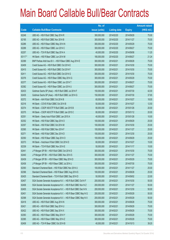|        |                                                                | No. of        |                     |               | <b>Amount raised</b> |
|--------|----------------------------------------------------------------|---------------|---------------------|---------------|----------------------|
| Code   | <b>Callable Bull/Bear Contracts</b>                            | issue (units) | <b>Listing date</b> | <b>Expiry</b> | (HK\$ mil.)          |
| 62248  | UBS AG - HSI R Bull CBBC Sep 2014 R                            | 300,000,000   | 2014/02/20          | 2014/09/29    | 75.00                |
| 62195  | UBS AG - HSI R Bull CBBC Nov 2014 B                            | 300,000,000   | 2014/02/20          | 2014/11/27    | 75.00                |
| 62286  | UBS AG - HSI R Bear CBBC May 2014 N                            | 300,000,000   | 2014/02/20          | 2014/05/29    | 75.00                |
| 62288  | UBS AG - HSI R Bear CBBC Jun 2014 C                            | 300,000,000   | 2014/02/20          | 2014/06/27    | 75.00                |
| 62257  | UBS AG - TCH R Bull CBBC Sep 2014 A                            | 40,000,000    | 2014/02/20          | 2014/09/08    | 11.20                |
| 63117# | HK Bank - HSI R Bear CBBC Jun 2014 M                           | 180,000,000   | 2014/02/20          | 2014/06/27    | 21.24                |
| 62389  | BNP Paribas Arbit Issu B.V. - HSI R Bear CBBC Aug 2014 E       | 300,000,000   | 2014/02/21          | 2014/08/28    | 75.00                |
| 62409  | Credit Suisse AG - HSI R Bull CBBC Oct 2014 E                  | 300,000,000   | 2014/02/21          | 2014/10/30    | 75.00                |
| 62410  | Credit Suisse AG - HSI R Bull CBBC Oct 2014 F                  | 300,000,000   | 2014/02/21          | 2014/10/30    | 75.00                |
| 62411  | Credit Suisse AG - HSI R Bull CBBC Oct 2014 G                  | 300,000,000   | 2014/02/21          | 2014/10/30    | 75.00                |
| 62376  | Credit Suisse AG - HSI R Bear CBBC May 2014 G                  | 300,000,000   | 2014/02/21          | 2014/05/29    | 75.00                |
| 62377  | Credit Suisse AG - HSI R Bear CBBC Jun 2014 T                  | 300,000,000   | 2014/02/21          | 2014/06/27    | 75.00                |
| 62382  | Credit Suisse AG - HSI R Bear CBBC Jun 2014 U                  | 300,000,000   | 2014/02/21          | 2014/06/27    | 75.00                |
| 62433  | Goldman Sachs SP (Asia) - HSI R Bull CBBC Jul 2014 F           | 150,000,000   | 2014/02/21          | 2014/07/30    | 42.00                |
| 62435  | Goldman Sachs SP (Asia) - HSI R Bull CBBC Jul 2014 G           | 150,000,000   | 2014/02/21          | 2014/07/30    | 37.65                |
| 62372  | HK Bank - AIA R Bull CBBC Oct 2014 B                           | 60,000,000    | 2014/02/21          | 2014/10/27    | 18.00                |
| 62316  | HK Bank - COVS R Bull CBBC Oct 2014 B                          | 50,000,000    | 2014/02/21          | 2014/10/27    | 12.50                |
| 62374  | HK Bank - CSOP A50 ETF R Bull CBBC Jan 2015 B                  | 80,000,000    | 2014/02/21          | 2015/01/26    | 20.00                |
| 62375  | HK Bank - CSOP A50 ETF R Bull CBBC Jan 2015 C                  | 80,000,000    | 2014/02/21          | 2015/01/12    | 20.00                |
| 62351  | HK Bank - Geely Auto R Bull CBBC Jan 2015 A                    | 40,000,000    | 2014/02/21          | 2015/01/28    | 10.00                |
| 62352  | HK Bank - HSI R Bull CBBC Sep 2014 O                           | 100,000,000   | 2014/02/21          | 2014/09/29    | 25.00                |
| 62357  | HK Bank - HSI R Bull CBBC Oct 2014 M                           | 100,000,000   | 2014/02/21          | 2014/10/30    | 25.00                |
| 62365  | HK Bank - HSI R Bull CBBC Nov 2014 F                           | 100,000,000   | 2014/02/21          | 2014/11/27    | 25.00                |
| 62371  | HK Bank - HSI R Bull CBBC Dec 2014 D                           | 100,000,000   | 2014/02/21          | 2014/12/30    | 25.00                |
| 62350  | HK Bank - HSI R Bear CBBC Sep 2014 O                           | 100,000,000   | 2014/02/21          | 2014/09/29    | 25.00                |
| 62373  | HK Bank - Hutchison R Bull CBBC Oct 2014 D                     | 60,000,000    | 2014/02/21          | 2014/10/27    | 15.00                |
| 62339  | HK Bank - TCH R Bull CBBC Nov 2014 E                           | 50,000,000    | 2014/02/21          | 2014/11/17    | 15.00                |
| 62441  | J P Morgan SP BV - HSI R Bull CBBC Oct 2014 D                  | 300,000,000   | 2014/02/21          | 2014/10/30    | 75.00                |
| 62440  | J P Morgan SP BV - HSI R Bull CBBC Nov 2014 S                  | 300,000,000   | 2014/02/21          | 2014/11/27    | 75.00                |
| 62439  | J P Morgan SP BV - HSI R Bear CBBC May 2014 D                  | 300,000,000   | 2014/02/21          | 2014/05/29    | 75.00                |
| 62436  | J P Morgan SP BV - HSI R Bear CBBC Jul 2014 J                  | 300,000,000   | 2014/02/21          | 2014/07/30    | 75.00                |
| 62393  | Standard Chartered Bank - HSI R Bull CBBC Nov 2014 U           | 100,000,000   | 2014/02/21          | 2014/11/27    | 25.00                |
| 62396  | Standard Chartered Bank - HSI R Bear CBBC Aug 2014 S           | 100,000,000   | 2014/02/21          | 2014/08/28    | 25.00                |
| 62425  | Standard Chartered Bank - TCH R Bull CBBC Sep 2014 D           | 50,000,000    | 2014/02/21          | 2014/09/02    | 22.00                |
| 62407  | SGA Societe Generale Acceptance N.V. - HSI R Bull CBBC Oct14 F | 200,000,000   | 2014/02/21          | 2014/10/30    | 50.00                |
| 62406  | SGA Societe Generale Acceptance N.V. - HSI R Bull CBBC Nov14 Z | 200,000,000   | 2014/02/21          | 2014/11/27    | 50.00                |
| 62405  | SGA Societe Generale Acceptance N.V. - HSI R Bull CBBC Dec14 N | 200,000,000   | 2014/02/21          | 2014/12/30    | 50.00                |
| 62401  | SGA Societe Generale Acceptance N.V. - HSI R Bear CBBC May14 G | 200,000,000   | 2014/02/21          | 2014/05/29    | 50.00                |
| 62398  | SGA Societe Generale Acceptance N.V. - HSI R Bear CBBC May14 X | 200,000,000   | 2014/02/21          | 2014/05/29    | 50.00                |
| 62418  | UBS AG - HSI R Bull CBBC Aug 2014 N                            | 300,000,000   | 2014/02/21          | 2014/08/28    | 75.00                |
| 62421  | UBS AG - HSI R Bull CBBC Sep 2014 U                            | 300,000,000   | 2014/02/21          | 2014/09/29    | 75.00                |
| 62422  | UBS AG - HSI R Bull CBBC Sep 2014 X                            | 300,000,000   | 2014/02/21          | 2014/09/29    | 75.00                |
| 62383  | UBS AG - HSI R Bear CBBC May 2014 Y                            | 300,000,000   | 2014/02/21          | 2014/05/29    | 75.00                |
| 62385  | UBS AG - HSI R Bear CBBC May 2014 Z                            | 300,000,000   | 2014/02/21          | 2014/05/29    | 75.00                |
| 62408  | UBS AG - TCH R Bear CBBC Oct 2014 B                            | 40,000,000    | 2014/02/21          | 2014/10/13    | 39.20                |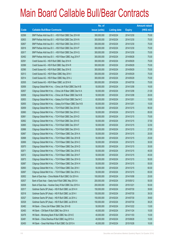|             |                                                              | No. of        |                     |               | <b>Amount raised</b> |
|-------------|--------------------------------------------------------------|---------------|---------------------|---------------|----------------------|
| <b>Code</b> | <b>Callable Bull/Bear Contracts</b>                          | issue (units) | <b>Listing date</b> | <b>Expiry</b> | $(HK$$ mil.)         |
| 62599       | BNP Paribas Arbit Issu B.V. - HSI R Bull CBBC Dec 2014 M     | 300,000,000   | 2014/02/24          | 2014/12/30    | 75.00                |
| 62603       | BNP Paribas Arbit Issu B.V. - HSI R Bull CBBC Dec 2014 N     | 300,000,000   | 2014/02/24          | 2014/12/30    | 75.00                |
| 62607       | BNP Paribas Arbit Issu B.V. - HSI R Bull CBBC Dec 2014 O     | 300,000,000   | 2014/02/24          | 2014/12/30    | 75.00                |
| 62616       | BNP Paribas Arbit Issu B.V. - HSI R Bull CBBC Dec 2014 P     | 300,000,000   | 2014/02/24          | 2014/12/30    | 75.00                |
| 62617       | BNP Paribas Arbit Issu B.V. - HSI R Bull CBBC Dec 2014 Q     | 300,000,000   | 2014/02/24          | 2014/12/30    | 75.00                |
| 62492       | BNP Paribas Arbit Issu B.V. - HSI R Bear CBBC Aug 2014 F     | 300,000,000   | 2014/02/24          | 2014/08/28    | 75.00                |
| 62591       | Credit Suisse AG - HSI R Bull CBBC Sep 2014 K                | 300,000,000   | 2014/02/24          | 2014/09/29    | 75.00                |
| 62589       | Credit Suisse AG - HSI R Bull CBBC Sep 2014 R                | 300,000,000   | 2014/02/24          | 2014/09/29    | 75.00                |
| 62590       | Credit Suisse AG - HSI R Bull CBBC Sep 2014 S                | 300,000,000   | 2014/02/24          | 2014/09/29    | 75.00                |
| 62513       | Credit Suisse AG - HSI R Bear CBBC May 2014 I                | 300,000,000   | 2014/02/24          | 2014/05/29    | 75.00                |
| 62514       | Credit Suisse AG - HSI R Bear CBBC May 2014 J                | 300,000,000   | 2014/02/24          | 2014/05/29    | 75.00                |
| 62505       | Credit Suisse AG - HSI R Bear CBBC Jul 2014 K                | 300,000,000   | 2014/02/24          | 2014/07/30    | 75.00                |
| 62656       | Citigroup Global Mkt H Inc. - China Life R Bull CBBC Dec14 B | 50,000,000    | 2014/02/24          | 2014/12/08    | 16.00                |
| 62657       | Citigroup Global Mkt H Inc. - China Life R Bear CBBC Dec14 A | 50,000,000    | 2014/02/24          | 2014/12/08    | 21.00                |
| 62658       | Citigroup Global Mkt H Inc. - China Life R Bear CBBC Dec14 B | 50,000,000    | 2014/02/24          | 2014/12/08    | 26.00                |
| 62653       | Citigroup Global Mkt H Inc. - Galaxy Ent R Bull CBBC Dec14 C | 60,000,000    | 2014/02/24          | 2014/12/01    | 15.00                |
| 62655       | Citigroup Global Mkt H Inc. - Galaxy Ent R Bear CBBC Dec14 B | 60,000,000    | 2014/02/24          | 2014/12/01    | 15.00                |
| 62659       | Citigroup Global Mkt H Inc. - TCH R Bull CBBC Dec 2014 B     | 50,000,000    | 2014/02/24          | 2014/12/15    | 95.00                |
| 62660       | Citigroup Global Mkt H Inc. - TCH R Bull CBBC Dec 2014 C     | 50,000,000    | 2014/02/24          | 2014/12/15    | 85.00                |
| 62661       | Citigroup Global Mkt H Inc. - TCH R Bull CBBC Dec 2014 D     | 50,000,000    | 2014/02/24          | 2014/12/15    | 75.00                |
| 62662       | Citigroup Global Mkt H Inc. - TCH R Bull CBBC Dec 2014 E     | 50,000,000    | 2014/02/24          | 2014/12/15    | 37.50                |
| 62665       | Citigroup Global Mkt H Inc. - TCH R Bull CBBC Dec 2014 F     | 50,000,000    | 2014/02/24          | 2014/12/15    | 32.50                |
| 62666       | Citigroup Global Mkt H Inc. - TCH R Bull CBBC Dec 2014 G     | 50,000,000    | 2014/02/24          | 2014/12/15    | 27.50                |
| 62667       | Citigroup Global Mkt H Inc. - TCH R Bear CBBC Dec 2014 A     | 50,000,000    | 2014/02/24          | 2014/12/15    | 20.00                |
| 62668       | Citigroup Global Mkt H Inc. - TCH R Bear CBBC Dec 2014 B     | 50,000,000    | 2014/02/24          | 2014/12/15    | 25.00                |
| 62669       | Citigroup Global Mkt H Inc. - TCH R Bear CBBC Dec 2014 C     | 50,000,000    | 2014/02/24          | 2014/12/15    | 30.00                |
| 62670       | Citigroup Global Mkt H Inc. - TCH R Bear CBBC Dec 2014 D     | 50,000,000    | 2014/02/24          | 2014/12/15    | 35.00                |
| 62671       | Citigroup Global Mkt H Inc. - TCH R Bear CBBC Dec 2014 E     | 50,000,000    | 2014/02/24          | 2014/12/15    | 40.00                |
| 62672       | Citigroup Global Mkt H Inc. - TCH R Bear CBBC Dec 2014 F     | 50,000,000    | 2014/02/24          | 2014/12/15    | 45.00                |
| 62673       | Citigroup Global Mkt H Inc. - TCH R Bear CBBC Dec 2014 G     | 50,000,000    | 2014/02/24          | 2014/12/15    | 50.00                |
| 62687       | Citigroup Global Mkt H Inc. - TCH R Bear CBBC Dec 2014 H     | 50,000,000    | 2014/02/24          | 2014/12/15    | 55.00                |
| 62693       | Citigroup Global Mkt H Inc. - TCH R Bear CBBC Dec 2014 I     | 50,000,000    | 2014/02/24          | 2014/12/15    | 60.00                |
| 62697       | Citigroup Global Mkt H Inc. - TCH R Bear CBBC Dec 2014 J     | 50,000,000    | 2014/02/24          | 2014/12/15    | 65.00                |
| 62652       | Bank of East Asia - China Mobile R Bull CBBC Oct 2014 A      | 100,000,000   | 2014/02/24          | 2014/10/08    | 25.00                |
| 62637       | Bank of East Asia - Geely Auto R Bull CBBC May 2015 A        | 200,000,000   | 2014/02/24          | 2015/05/12    | 50.00                |
| 62636       | Bank of East Asia - Huishan Dairy R Bull CBBC Dec 2015 A     | 200,000,000   | 2014/02/24          | 2015/12/21    | 50.00                |
| 62517       | Goldman Sachs SP (Asia) - HSI R Bull CBBC Jul 2014 H         | 150,000,000   | 2014/02/24          | 2014/07/30    | 39.90                |
| 62518       | Goldman Sachs SP (Asia) - HSI R Bull CBBC Jul 2014 I         | 150,000,000   | 2014/02/24          | 2014/07/30    | 39.30                |
| 62527       | Goldman Sachs SP (Asia) - HSI R Bull CBBC Jul 2014 J         | 150,000,000   | 2014/02/24          | 2014/07/30    | 39.60                |
| 62529       | Goldman Sachs SP (Asia) - HSI R Bull CBBC Jul 2014 K         | 150,000,000   | 2014/02/24          | 2014/07/30    | 38.25                |
| 62482       | HK Bank - China Life R Bear CBBC Dec 2014 B                  | 50,000,000    | 2014/02/24          | 2014/12/22    | 13.00                |
| 62483       | HK Bank - CM Bank R Bull CBBC Nov 2014 A                     | 40,000,000    | 2014/02/24          | 2014/11/24    | 10.00                |
| 62476       | HK Bank - Minsheng Bank R Bull CBBC Nov 2014 E               | 40,000,000    | 2014/02/24          | 2014/11/03    | 10.00                |
| 62481       | HK Bank - China Shenhua R Bull CBBC Aug 2015 A               | 40,000,000    | 2014/02/24          | 2015/08/28    | 10.00                |
| 62450       | HK Bank - Great Wall Motor R Bull CBBC Oct 2015 A            | 40,000,000    | 2014/02/24          | 2015/10/26    | 10.00                |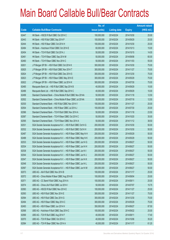|       |                                                                | No. of        |                     |               | <b>Amount raised</b> |
|-------|----------------------------------------------------------------|---------------|---------------------|---------------|----------------------|
| Code  | <b>Callable Bull/Bear Contracts</b>                            | issue (units) | <b>Listing date</b> | <b>Expiry</b> | $(HK$$ mil.)         |
| 62447 | HK Bank - HSCEI R Bull CBBC Oct 2014 C                         | 100,000,000   | 2014/02/24          | 2014/10/30    | 25.00                |
| 62443 | HK Bank - HSI R Bull CBBC Sep 2014 P                           | 100,000,000   | 2014/02/24          | 2014/09/29    | 25.00                |
| 62444 | HK Bank - HSI R Bear CBBC Oct 2014 H                           | 100,000,000   | 2014/02/24          | 2014/10/30    | 25.00                |
| 62484 | HK Bank - Hutchison R Bull CBBC Oct 2014 E                     | 60,000,000    | 2014/02/24          | 2014/10/13    | 15.00                |
| 62454 | HK Bank - TCH R Bull CBBC Oct 2014 J                           | 50,000,000    | 2014/02/24          | 2014/10/15    | 14.00                |
| 62461 | HK Bank - TCH R Bear CBBC Sep 2014 M                           | 50,000,000    | 2014/02/24          | 2014/09/08    | 60.00                |
| 62460 | HK Bank - TCH R Bear CBBC Nov 2014 C                           | 50,000,000    | 2014/02/24          | 2014/11/03    | 55.00                |
| 62631 | J P Morgan SP BV - HSI R Bull CBBC Oct 2014 K                  | 300,000,000   | 2014/02/24          | 2014/10/30    | 75.00                |
| 62625 | J P Morgan SP BV - HSI R Bull CBBC Nov 2014 T                  | 300,000,000   | 2014/02/24          | 2014/11/27    | 75.00                |
| 62624 | J P Morgan SP BV - HSI R Bull CBBC Dec 2014 S                  | 300,000,000   | 2014/02/24          | 2014/12/30    | 75.00                |
| 62623 | J P Morgan SP BV - HSI R Bear CBBC May 2014 E                  | 300,000,000   | 2014/02/24          | 2014/05/29    | 75.00                |
| 62622 | J P Morgan SP BV - HSI R Bear CBBC Jul 2014 K                  | 300,000,000   | 2014/02/24          | 2014/07/30    | 75.00                |
| 62485 | Macquarie Bank Ltd. - HSI R Bull CBBC Sep 2014 B               | 40,000,000    | 2014/02/24          | 2014/09/29    | 10.00                |
| 62486 | Macquarie Bank Ltd. - HSI R Bull CBBC Sep 2014 C               | 40,000,000    | 2014/02/24          | 2014/09/29    | 10.00                |
| 62499 | Standard Chartered Bank - China Mobile R Bull CBBC Nov 2014A   | 50,000,000    | 2014/02/24          | 2014/11/18    | 12.50                |
| 62502 | Standard Chartered Bank - China Mobile R Bear CBBC Jul 2014A   | 50,000,000    | 2014/02/24          | 2014/07/18    | 12.50                |
| 62530 | Standard Chartered Bank - HSI R Bull CBBC Nov 2014 V           | 100,000,000   | 2014/02/24          | 2014/11/27    | 25.00                |
| 62504 | Standard Chartered Bank - HSI R Bear CBBC Jul 2014 J           | 100,000,000   | 2014/02/24          | 2014/07/30    | 25.00                |
| 62586 | Standard Chartered Bank - TCH R Bull CBBC Nov 2014 A           | 50,000,000    | 2014/02/24          | 2014/11/18    | 23.50                |
| 62587 | Standard Chartered Bank - TCH R Bear CBBC Oct 2014 C           | 50,000,000    | 2014/02/24          | 2014/10/20    | 35.00                |
| 62595 | Standard Chartered Bank - TCH R Bear CBBC Nov 2014 A           | 50,000,000    | 2014/02/24          | 2014/11/12    | 38.50                |
| 62531 | SGA Societe Generale Acceptance N.V. - HSI R Bull CBBC Oct14 G | 200,000,000   | 2014/02/24          | 2014/10/30    | 50.00                |
| 62532 | SGA Societe Generale Acceptance N.V. - HSI R Bull CBBC Oct14 H | 200,000,000   | 2014/02/24          | 2014/10/30    | 50.00                |
| 62487 | SGA Societe Generale Acceptance N.V. - HSI R Bear CBBC May14 H | 200,000,000   | 2014/02/24          | 2014/05/29    | 50.00                |
| 62488 | SGA Societe Generale Acceptance N.V. - HSI R Bear CBBC May14 K | 200,000,000   | 2014/02/24          | 2014/05/29    | 50.00                |
| 62533 | SGA Societe Generale Acceptance N.V. - HSI R Bear CBBC Jun14 G | 200,000,000   | 2014/02/24          | 2014/06/27    | 50.00                |
| 62534 | SGA Societe Generale Acceptance N.V. - HSI R Bear CBBC Jun14 H | 200,000,000   | 2014/02/24          | 2014/06/27    | 50.00                |
| 62538 | SGA Societe Generale Acceptance N.V. - HSI R Bear CBBC Jun14 I | 200,000,000   | 2014/02/24          | 2014/06/27    | 50.00                |
| 62544 | SGA Societe Generale Acceptance N.V. - HSI R Bear CBBC Jun14 J | 200,000,000   | 2014/02/24          | 2014/06/27    | 50.00                |
| 62547 | SGA Societe Generale Acceptance N.V. - HSI R Bear CBBC Jun14 K | 200,000,000   | 2014/02/24          | 2014/06/27    | 50.00                |
| 62548 | SGA Societe Generale Acceptance N.V. - HSI R Bear CBBC Jun14 L | 200,000,000   | 2014/02/24          | 2014/06/27    | 50.00                |
| 62567 | SGA Societe Generale Acceptance N.V. - HSI R Bear CBBC Jun14 M | 200,000,000   | 2014/02/24          | 2014/06/27    | 50.00                |
| 62573 | UBS AG - AIA R Bull CBBC Nov 2014 B                            | 100,000,000   | 2014/02/24          | 2014/11/17    | 25.00                |
| 62572 | UBS AG - China Mobile R Bear CBBC Aug 2014 B                   | 100,000,000   | 2014/02/24          | 2014/08/04    | 25.00                |
| 62571 | UBS AG - CC Bank R Bull CBBC Aug 2014 A                        | 100,000,000   | 2014/02/24          | 2014/08/11    | 25.00                |
| 62574 | UBS AG - China Life R Bull CBBC Jul 2014 I                     | 50,000,000    | 2014/02/24          | 2014/07/07    | 15.75                |
| 62583 | UBS AG - HSCEI R Bull CBBC Nov 2014 E                          | 100,000,000   | 2014/02/24          | 2014/11/27    | 25.00                |
| 62593 | UBS AG - HSI R Bull CBBC Nov 2014 E                            | 300,000,000   | 2014/02/24          | 2014/11/27    | 75.00                |
| 62594 | UBS AG - HSI R Bull CBBC Dec 2014 G                            | 300,000,000   | 2014/02/24          | 2014/12/30    | 75.00                |
| 62494 | UBS AG - HSI R Bear CBBC May 2014 C                            | 300,000,000   | 2014/02/24          | 2014/05/29    | 75.00                |
| 62493 | UBS AG - HSI R Bear CBBC Jun 2014 H                            | 350,000,000   | 2014/02/24          | 2014/06/27    | 87.50                |
| 62568 | UBS AG - Hutchison R Bull CBBC Sep 2014 C                      | 100,000,000   | 2014/02/24          | 2014/09/22    | 25.00                |
| 62569 | UBS AG - TCH R Bull CBBC Aug 2014 F                            | 40,000,000    | 2014/02/24          | 2014/08/11    | 17.40                |
| 62570 | UBS AG - TCH R Bear CBBC Oct 2014 C                            | 40,000,000    | 2014/02/24          | 2014/10/06    | 35.20                |
| 62584 | UBS AG - TCH R Bear CBBC Nov 2014 A                            | 40,000,000    | 2014/02/24          | 2014/11/17    | 61.20                |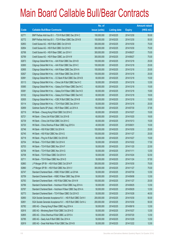|       |                                                                | No. of        |                     |               | <b>Amount raised</b> |
|-------|----------------------------------------------------------------|---------------|---------------------|---------------|----------------------|
| Code  | <b>Callable Bull/Bear Contracts</b>                            | issue (units) | <b>Listing date</b> | <b>Expiry</b> | $(HK$$ mil.)         |
| 62771 | BNP Paribas Arbit Issu B.V. - TCH R Bull CBBC Dec 2014 C       | 100,000,000   | 2014/02/25          | 2014/12/30    | 55.00                |
| 62772 | BNP Paribas Arbit Issu B.V. - TCH R Bear CBBC Dec 2014 B       | 100,000,000   | 2014/02/25          | 2014/12/30    | 50.00                |
| 62853 | Credit Suisse AG - HSI R Bull CBBC Oct 2014 B                  | 300,000,000   | 2014/02/25          | 2014/10/30    | 75.00                |
| 62854 | Credit Suisse AG - HSI R Bull CBBC Oct 2014 D                  | 300,000,000   | 2014/02/25          | 2014/10/30    | 75.00                |
| 62768 | Credit Suisse AG - HSI R Bear CBBC Jun 2014 V                  | 300,000,000   | 2014/02/25          | 2014/06/27    | 75.00                |
| 62769 | Credit Suisse AG - HSI R Bear CBBC Jun 2014 W                  | 300,000,000   | 2014/02/25          | 2014/06/27    | 75.00                |
| 62873 | Citigroup Global Mkt H Inc. - AIA R Bull CBBC Dec 2014 B       | 100,000,000   | 2014/02/25          | 2014/12/18    | 25.00                |
| 62900 | Citigroup Global Mkt H Inc. - AIA R Bull CBBC Dec 2014 C       | 100,000,000   | 2014/02/25          | 2014/12/18    | 25.00                |
| 62905 | Citigroup Global Mkt H Inc. - AIA R Bear CBBC Dec 2014 A       | 100,000,000   | 2014/02/25          | 2014/12/18    | 25.00                |
| 62927 | Citigroup Global Mkt H Inc. - AIA R Bear CBBC Dec 2014 B       | 100,000,000   | 2014/02/25          | 2014/12/18    | 25.00                |
| 62991 | Citigroup Global Mkt H Inc. - CC Bank R Bull CBBC Dec 2014 B   | 60,000,000    | 2014/02/25          | 2014/12/18    | 15.00                |
| 63113 | Citigroup Global Mkt H Inc. - China Life R Bull CBBC Dec14 C   | 50,000,000    | 2014/02/25          | 2014/12/18    | 12.50                |
| 63065 | Citigroup Global Mkt H Inc. - Galaxy Ent R Bear CBBC Dec14 C   | 60,000,000    | 2014/02/25          | 2014/12/18    | 15.00                |
| 63081 | Citigroup Global Mkt H Inc. - Galaxy Ent R Bear CBBC Dec14 D   | 60,000,000    | 2014/02/25          | 2014/12/18    | 15.60                |
| 63102 | Citigroup Global Mkt H Inc. - Galaxy Ent R Bear CBBC Dec14 E   | 60,000,000    | 2014/02/25          | 2014/12/18    | 18.00                |
| 62935 | Citigroup Global Mkt H Inc. - ICBC R Bull CBBC Dec 2014 B      | 60,000,000    | 2014/02/25          | 2014/12/18    | 15.00                |
| 63114 | Citigroup Global Mkt H Inc. - TCH R Bull CBBC Dec 2014 H       | 50,000,000    | 2014/02/25          | 2014/12/18    | 25.00                |
| 62859 | Goldman Sachs SP (Asia) - HSI R Bear CBBC Jul 2014 A           | 150,000,000   | 2014/02/25          | 2014/07/30    | 37.95                |
| 62719 | HK Bank - Cheung Kong R Bull CBBC Oct 2014 C                   | 60,000,000    | 2014/02/25          | 2014/10/27    | 15.00                |
| 62721 | HK Bank - China Life R Bull CBBC Oct 2014 B                    | 60,000,000    | 2014/02/25          | 2014/10/20    | 18.00                |
| 62739 | HK Bank - China Life R Bull CBBC Oct 2014 C                    | 60,000,000    | 2014/02/25          | 2014/10/13    | 15.00                |
| 62720 | HK Bank - China Shenhua R Bear CBBC Aug 2015 A                 | 40,000,000    | 2014/02/25          | 2015/08/31    | 10.00                |
| 62746 | HK Bank - HSI R Bull CBBC Oct 2014 N                           | 100,000,000   | 2014/02/25          | 2014/10/30    | 25.00                |
| 62745 | HK Bank - HSI R Bull CBBC Nov 2014 G                           | 100,000,000   | 2014/02/25          | 2014/11/27    | 25.00                |
| 62718 | HK Bank - Ping An R Bull CBBC Oct 2014 B                       | 60,000,000    | 2014/02/25          | 2014/10/27    | 15.00                |
| 62704 | HK Bank - TCH R Bull CBBC Oct 2014 K                           | 50,000,000    | 2014/02/25          | 2014/10/22    | 17.50                |
| 62703 | HK Bank - TCH R Bull CBBC Nov 2014 F                           | 50,000,000    | 2014/02/25          | 2014/11/20    | 22.50                |
| 62706 | HK Bank - TCH R Bull CBBC Nov 2014 G                           | 50,000,000    | 2014/02/25          | 2014/11/11    | 12.50                |
| 62708 | HK Bank - TCH R Bear CBBC Oct 2014 H                           | 50,000,000    | 2014/02/25          | 2014/10/24    | 52.50                |
| 62711 | HK Bank - TCH R Bear CBBC Nov 2014 D                           | 50,000,000    | 2014/02/25          | 2014/11/24    | 57.50                |
| 62863 | J P Morgan SP BV - HSI R Bull CBBC Oct 2014 P                  | 300,000,000   | 2014/02/25          | 2014/10/30    | 75.00                |
| 62860 | J P Morgan SP BV - HSI R Bull CBBC Nov 2014 V                  | 300,000,000   | 2014/02/25          | 2014/11/27    | 75.00                |
| 62747 | Standard Chartered Bank - HSBC R Bull CBBC Jul 2014A           | 50,000,000    | 2014/02/25          | 2014/07/30    | 12.50                |
| 62759 | Standard Chartered Bank - HSBC R Bear CBBC Sep 2014A           | 50,000,000    | 2014/02/25          | 2014/09/08    | 12.50                |
| 62763 | Standard Chartered Bank - HSI R Bull CBBC Nov 2014 W           | 100,000,000   | 2014/02/25          | 2014/11/27    | 25.00                |
| 62766 | Standard Chartered Bank - Hutchison R Bull CBBC Aug 2014 A     | 50,000,000    | 2014/02/25          | 2014/08/25    | 12.50                |
| 62767 | Standard Chartered Bank - Hutchison R Bear CBBC Sep 2014 A     | 50,000,000    | 2014/02/25          | 2014/09/29    | 12.50                |
| 62773 | Standard Chartered Bank - TCH R Bear CBBC Oct 2014 D           | 50,000,000    | 2014/02/25          | 2014/10/28    | 46.50                |
| 62850 | SGA Societe Generale Acceptance N.V. - HSI R Bull CBBC Oct14 I | 200,000,000   | 2014/02/25          | 2014/10/30    | 50.00                |
| 62851 | SGA Societe Generale Acceptance N.V. - HSI R Bull CBBC Oct14 J | 200,000,000   | 2014/02/25          | 2014/10/30    | 50.00                |
| 62782 | UBS AG - Cheung Kong R Bear CBBC Aug 2014 A                    | 50,000,000    | 2014/02/25          | 2014/08/18    | 12.50                |
| 62816 | UBS AG - Minsheng Bank R Bull CBBC Oct 2014 D                  | 50,000,000    | 2014/02/25          | 2014/10/27    | 12.50                |
| 62805 | UBS AG - China Shenhua R Bull CBBC Jul 2015 A                  | 50,000,000    | 2014/02/25          | 2015/07/20    | 12.50                |
| 62785 | UBS AG - Geely Auto R Bull CBBC Dec 2014 A                     | 50,000,000    | 2014/02/25          | 2014/12/29    | 12.50                |
| 62819 | UBS AG - Great Wall Motor R Bull CBBC Dec 2014 B               | 50,000,000    | 2014/02/25          | 2014/12/22    | 12.50                |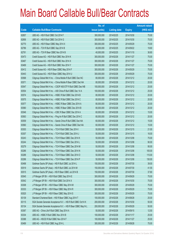|       |                                                                | No. of        |                     |               | <b>Amount raised</b> |
|-------|----------------------------------------------------------------|---------------|---------------------|---------------|----------------------|
| Code  | <b>Callable Bull/Bear Contracts</b>                            | issue (units) | <b>Listing date</b> | <b>Expiry</b> | $(HK$$ mil.)         |
| 62857 | UBS AG - HSI R Bull CBBC Oct 2014 F                            | 300,000,000   | 2014/02/25          | 2014/10/30    | 75.00                |
| 62856 | UBS AG - HSI R Bull CBBC Oct 2014 G                            | 300,000,000   | 2014/02/25          | 2014/10/30    | 75.00                |
| 62770 | UBS AG - HSI R Bear CBBC May 2014 X                            | 300,000,000   | 2014/02/25          | 2014/05/29    | 75.00                |
| 62786 | UBS AG - TCH R Bull CBBC Sep 2014 B                            | 40,000,000    | 2014/02/25          | 2014/09/22    | 19.60                |
| 62791 | UBS AG - TCH R Bear CBBC Nov 2014 B                            | 40,000,000    | 2014/02/25          | 2014/11/10    | 36.80                |
| 63473 | Credit Suisse AG - HSI R Bull CBBC Nov 2014 K                  | 300,000,000   | 2014/02/26          | 2014/11/27    | 75.00                |
| 63467 | Credit Suisse AG - HSI R Bull CBBC Nov 2014 X                  | 300,000,000   | 2014/02/26          | 2014/11/27    | 75.00                |
| 63469 | Credit Suisse AG - HSI R Bull CBBC Nov 2014 Y                  | 300,000,000   | 2014/02/26          | 2014/11/27    | 75.00                |
| 63412 | Credit Suisse AG - HSI R Bear CBBC May 2014 F                  | 300,000,000   | 2014/02/26          | 2014/05/29    | 75.00                |
| 63443 | Credit Suisse AG - HSI R Bear CBBC May 2014 U                  | 300,000,000   | 2014/02/26          | 2014/05/29    | 75.00                |
| 63568 | Citigroup Global Mkt H Inc. - China Mobile R Bull CBBC Dec14C  | 80,000,000    | 2014/02/26          | 2014/12/12    | 20.00                |
| 63571 | Citigroup Global Mkt H Inc. - China Mobile R Bear CBBC Dec14A  | 80,000,000    | 2014/02/26          | 2014/12/12    | 20.00                |
| 63547 | Citigroup Global Mkt H Inc. - CSOP A50 ETF R Bull CBBC Dec14B  | 100,000,000   | 2014/02/26          | 2014/12/12    | 25.00                |
| 63554 | Citigroup Global Mkt H Inc. - A50 China R Bull CBBC Dec 14 A   | 100,000,000   | 2014/02/26          | 2014/12/12    | 25.00                |
| 63574 | Citigroup Global Mkt H Inc. - HSBC R Bull CBBC Dec 2014 B      | 80,000,000    | 2014/02/26          | 2014/12/12    | 20.00                |
| 63575 | Citigroup Global Mkt H Inc. - HSBC R Bull CBBC Dec 2014 C      | 80,000,000    | 2014/02/26          | 2014/12/12    | 20.00                |
| 63577 | Citigroup Global Mkt H Inc. - HSBC R Bear CBBC Dec 2014 A      | 80,000,000    | 2014/02/26          | 2014/12/12    | 20.00                |
| 63580 | Citigroup Global Mkt H Inc. - HSBC R Bear CBBC Dec 2014 B      | 80,000,000    | 2014/02/26          | 2014/12/12    | 20.00                |
| 63546 | Citigroup Global Mkt H Inc. - ICBC R Bear CBBC Dec 2014 A      | 60,000,000    | 2014/02/26          | 2014/12/12    | 15.00                |
| 63563 | Citigroup Global Mkt H Inc. - Ping An R Bull CBBC Dec 2014 C   | 80,000,000    | 2014/02/26          | 2014/12/12    | 20.00                |
| 63559 | Citigroup Global Mkt H Inc. - Sands China R Bull CBBC Dec14A   | 60,000,000    | 2014/02/26          | 2014/12/12    | 15.00                |
| 63560 | Citigroup Global Mkt H Inc. - Sands China R Bear CBBC Dec14A   | 60,000,000    | 2014/02/26          | 2014/12/12    | 15.00                |
| 63303 | Citigroup Global Mkt H Inc. - TCH R Bull CBBC Dec 2014 I       | 50,000,000    | 2014/02/26          | 2014/12/15    | 21.00                |
| 63307 | Citigroup Global Mkt H Inc. - TCH R Bull CBBC Dec 2014 J       | 50,000,000    | 2014/02/26          | 2014/12/15    | 16.00                |
| 63243 | Citigroup Global Mkt H Inc. - TCH R Bear CBBC Dec 2014 K       | 50,000,000    | 2014/02/26          | 2014/12/08    | 75.00                |
| 63244 | Citigroup Global Mkt H Inc. - TCH R Bear CBBC Dec 2014 L       | 50,000,000    | 2014/02/26          | 2014/12/08    | 90.00                |
| 63279 | Citigroup Global Mkt H Inc. - TCH R Bear CBBC Dec 2014 M       | 50,000,000    | 2014/02/26          | 2014/12/08    | 95.00                |
| 63286 | Citigroup Global Mkt H Inc. - TCH R Bear CBBC Dec 2014 N       | 50,000,000    | 2014/02/26          | 2014/12/08    | 105.00               |
| 63288 | Citigroup Global Mkt H Inc. - TCH R Bear CBBC Dec 2014 O       | 50,000,000    | 2014/02/26          | 2014/12/08    | 115.00               |
| 63296 | Citigroup Global Mkt H Inc. - TCH R Bear CBBC Dec 2014 P       | 50,000,000    | 2014/02/26          | 2014/12/08    | 130.00               |
| 63498 | Goldman Sachs SP (Asia) - HSI R Bull CBBC Jul 2014 L           | 150,000,000   | 2014/02/26          | 2014/07/30    | 39.00                |
| 63519 | Goldman Sachs SP (Asia) - HSI R Bull CBBC Jul 2014 M           | 150,000,000   | 2014/02/26          | 2014/07/30    | 41.55                |
| 63515 | Goldman Sachs SP (Asia) - HSI R Bear CBBC Jul 2014 B           | 150,000,000   | 2014/02/26          | 2014/07/30    | 37.80                |
| 63545 | J P Morgan SP BV - HSI R Bull CBBC Sep 2014 E                  | 300,000,000   | 2014/02/26          | 2014/09/29    | 75.00                |
| 63542 | J P Morgan SP BV - HSI R Bull CBBC Oct 2014 X                  | 300,000,000   | 2014/02/26          | 2014/10/30    | 75.00                |
| 63308 | J P Morgan SP BV - HSI R Bear CBBC May 2014 M                  | 300,000,000   | 2014/02/26          | 2014/05/29    | 75.00                |
| 63333 | J P Morgan SP BV - HSI R Bear CBBC May 2014 R                  | 300,000,000   | 2014/02/26          | 2014/05/29    | 75.00                |
| 63525 | J P Morgan SP BV - HSI R Bear CBBC May 2014 S                  | 300,000,000   | 2014/02/26          | 2014/05/29    | 75.00                |
| 63139 | Standard Chartered Bank - HSI R Bear CBBC Aug 2014 T           | 100,000,000   | 2014/02/26          | 2014/08/28    | 25.00                |
| 63115 | SGA Societe Generale Acceptance N.V. - HSI R Bull CBBC Oct14 K | 200,000,000   | 2014/02/26          | 2014/10/30    | 50.00                |
| 63134 | SGA Societe Generale Acceptance N.V. - HSI R Bear CBBC May14 L | 200,000,000   | 2014/02/26          | 2014/05/29    | 50.00                |
| 63367 | UBS AG - China Life R Bull CBBC Sep 2014 A                     | 50,000,000    | 2014/02/26          | 2014/09/15    | 12.50                |
| 63334 | UBS AG - HSBC R Bull CBBC Nov 2014 B                           | 100,000,000   | 2014/02/26          | 2014/11/17    | 25.00                |
| 63388 | UBS AG - HSCEI R Bull CBBC Nov 2014 F                          | 100,000,000   | 2014/02/26          | 2014/11/27    | 25.00                |
| 63489 | UBS AG - HSI R Bull CBBC Aug 2014 L                            | 300,000,000   | 2014/02/26          | 2014/08/28    | 75.00                |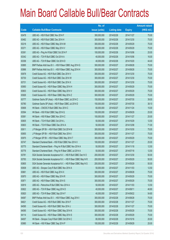|       |                                                                | No. of        |                     |               | <b>Amount raised</b> |
|-------|----------------------------------------------------------------|---------------|---------------------|---------------|----------------------|
| Code  | <b>Callable Bull/Bear Contracts</b>                            | issue (units) | <b>Listing date</b> | <b>Expiry</b> | $(HK$$ mil.)         |
| 63478 | UBS AG - HSI R Bull CBBC Nov 2014 F                            | 300,000,000   | 2014/02/26          | 2014/11/27    | 75.00                |
| 63482 | UBS AG - HSI R Bull CBBC Dec 2014 H                            | 300,000,000   | 2014/02/26          | 2014/12/30    | 75.00                |
| 63218 | UBS AG - HSI R Bear CBBC May 2014 M                            | 300,000,000   | 2014/02/26          | 2014/05/29    | 75.00                |
| 63371 | UBS AG - HSI R Bear CBBC May 2014 V                            | 300,000,000   | 2014/02/26          | 2014/05/29    | 75.00                |
| 63361 | UBS AG - Ping An R Bull CBBC Oct 2014 F                        | 100,000,000   | 2014/02/26          | 2014/10/06    | 25.00                |
| 63342 | UBS AG - TCH R Bull CBBC Oct 2014 A                            | 40,000,000    | 2014/02/26          | 2014/10/06    | 16.00                |
| 63358 | UBS AG - TCH R Bear CBBC Oct 2014 D                            | 40,000,000    | 2014/02/26          | 2014/10/20    | 44.40                |
| 63895 | BNP Paribas Arbit Issu B.V. - HSI R Bear CBBC Aug 2014 G       | 300,000,000   | 2014/02/27          | 2014/08/28    | 75.00                |
| 63896 | BNP Paribas Arbit Issu B.V. - HSI R Bear CBBC Aug 2014 H       | 300,000,000   | 2014/02/27          | 2014/08/28    | 75.00                |
| 63678 | Credit Suisse AG - HSI R Bull CBBC Dec 2014 V                  | 300,000,000   | 2014/02/27          | 2014/12/30    | 75.00                |
| 63730 | Credit Suisse AG - HSI R Bull CBBC Dec 2014 W                  | 300,000,000   | 2014/02/27          | 2014/12/30    | 75.00                |
| 63731 | Credit Suisse AG - HSI R Bull CBBC Dec 2014 X                  | 300,000,000   | 2014/02/27          | 2014/12/30    | 75.00                |
| 63950 | Credit Suisse AG - HSI R Bear CBBC May 2014 H                  | 300,000,000   | 2014/02/27          | 2014/05/29    | 75.00                |
| 63903 | Credit Suisse AG - HSI R Bear CBBC May 2014 V                  | 300,000,000   | 2014/02/27          | 2014/05/29    | 75.00                |
| 63926 | Credit Suisse AG - HSI R Bear CBBC May 2014 Z                  | 300,000,000   | 2014/02/27          | 2014/05/29    | 75.00                |
| 63777 | Goldman Sachs SP (Asia) - HSI R Bear CBBC Jul 2014 C           | 150,000,000   | 2014/02/27          | 2014/07/30    | 39.00                |
| 63780 | Goldman Sachs SP (Asia) - HSI R Bear CBBC Jul 2014 D           | 150,000,000   | 2014/02/27          | 2014/07/30    | 38.10                |
| 63606 | HK Bank - CNOOC R Bull CBBC Nov 2014 C                         | 60,000,000    | 2014/02/27          | 2014/11/24    | 15.00                |
| 63594 | HK Bank - HSI R Bull CBBC Sep 2014 Q                           | 100,000,000   | 2014/02/27          | 2014/09/29    | 25.00                |
| 63581 | HK Bank - HSI R Bear CBBC Nov 2014 C                           | 100,000,000   | 2014/02/27          | 2014/11/27    | 25.00                |
| 63605 | HK Bank - TCH R Bull CBBC Oct 2014 L                           | 50,000,000    | 2014/02/27          | 2014/10/29    | 12.50                |
| 63603 | HK Bank - TCH R Bear CBBC Dec 2014 A                           | 50,000,000    | 2014/02/27          | 2014/12/08    | 71.00                |
| 63611 | J P Morgan SP BV - HSI R Bull CBBC Oct 2014 M                  | 300,000,000   | 2014/02/27          | 2014/10/30    | 75.00                |
| 63655 | J P Morgan SP BV - HSI R Bull CBBC Nov 2014 I                  | 300,000,000   | 2014/02/27          | 2014/11/27    | 75.00                |
| 63975 | J P Morgan SP BV - HSI R Bear CBBC May 2014 T                  | 300,000,000   | 2014/02/27          | 2014/05/29    | 75.00                |
| 63747 | Standard Chartered Bank - HSI R Bull CBBC Nov 2014 X           | 100,000,000   | 2014/02/27          | 2014/11/27    | 25.00                |
| 63775 | Standard Chartered Bank - Ping An R Bull CBBC Nov 2014 A       | 50,000,000    | 2014/02/27          | 2014/11/18    | 12.50                |
| 63776 | Standard Chartered Bank - Ping An R Bear CBBC Jul 2014 A       | 50,000,000    | 2014/02/27          | 2014/07/18    | 12.50                |
| 63781 | SGA Societe Generale Acceptance N.V. - HSI R Bull CBBC Dec14 O | 200,000,000   | 2014/02/27          | 2014/12/30    | 50.00                |
| 63793 | SGA Societe Generale Acceptance N.V. - HSI R Bear CBBC May14 R | 200,000,000   | 2014/02/27          | 2014/05/29    | 50.00                |
| 63805 | SGA Societe Generale Acceptance N.V. - HSI R Bear CBBC May14 S | 200,000,000   | 2014/02/27          | 2014/05/29    | 50.00                |
| 63838 | UBS AG - Sinopec Corp R Bull CBBC Nov 2014 A                   | 50,000,000    | 2014/02/27          | 2014/11/03    | 12.50                |
| 63661 | UBS AG - HSI R Bull CBBC Aug 2014 X                            | 300,000,000   | 2014/02/27          | 2014/08/28    | 75.00                |
| 63870 | UBS AG - HSI R Bear CBBC May 2014 R                            | 300,000,000   | 2014/02/27          | 2014/05/29    | 75.00                |
| 63871 | UBS AG - HSI R Bear CBBC May 2014 S                            | 300,000,000   | 2014/02/27          | 2014/05/29    | 75.00                |
| 63819 | UBS AG - Petrochina R Bull CBBC Nov 2014 A                     | 50,000,000    | 2014/02/27          | 2014/11/03    | 12.50                |
| 63822 | UBS AG - TCH R Bear CBBC Aug 2014 D                            | 40,000,000    | 2014/02/27          | 2014/08/11    | 46.80                |
| 63820 | UBS AG - TCH R Bear CBBC Sep 2014 F                            | 40,000,000    | 2014/02/27          | 2014/09/22    | 54.80                |
| 64067 | BNP Paribas Arbit Issu B.V. - HSI R Bear CBBC Aug 2014 I       | 300,000,000   | 2014/02/28          | 2014/08/28    | 75.00                |
| 64621 | Credit Suisse AG - HSI R Bull CBBC Nov 2014 F                  | 300,000,000   | 2014/02/28          | 2014/11/27    | 75.00                |
| 64595 | Credit Suisse AG - HSI R Bull CBBC Nov 2014 J                  | 300,000,000   | 2014/02/28          | 2014/11/27    | 75.00                |
| 64095 | Credit Suisse AG - HSI R Bear CBBC May 2014 K                  | 300,000,000   | 2014/02/28          | 2014/05/29    | 75.00                |
| 64114 | Credit Suisse AG - HSI R Bear CBBC May 2014 S                  | 300,000,000   | 2014/02/28          | 2014/05/29    | 75.00                |
| 64007 | HK Bank - Sinopec Corp R Bull CBBC Oct 2014 C                  | 80,000,000    | 2014/02/28          | 2014/10/16    | 20.00                |
| 63985 | HK Bank - HSI R Bear CBBC Sep 2014 P                           | 100,000,000   | 2014/02/28          | 2014/09/29    | 25.00                |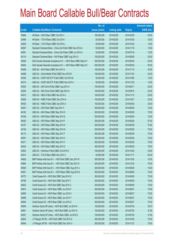|       |                                                                | No. of        |                     |               | <b>Amount raised</b> |
|-------|----------------------------------------------------------------|---------------|---------------------|---------------|----------------------|
| Code  | <b>Callable Bull/Bear Contracts</b>                            | issue (units) | <b>Listing date</b> | <b>Expiry</b> | $(HK$$ mil.)         |
| 63984 | HK Bank - HSI R Bear CBBC Oct 2014 I                           | 100,000,000   | 2014/02/28          | 2014/10/30    | 25.00                |
| 63999 | HK Bank - TCH R Bear CBBC Oct 2014 I                           | 50,000,000    | 2014/02/28          | 2014/10/30    | 18.00                |
| 64000 | HK Bank - TCH R Bear CBBC Oct 2014 J                           | 50,000,000    | 2014/02/28          | 2014/10/22    | 13.00                |
| 64587 | Standard Chartered Bank - China Life R Bull CBBC Nov 2014 A    | 50,000,000    | 2014/02/28          | 2014/11/18    | 15.00                |
| 64591 | Standard Chartered Bank - China Life R Bear CBBC Jul 2014 A    | 50,000,000    | 2014/02/28          | 2014/07/18    | 12.50                |
| 64118 | Standard Chartered Bank - HSI R Bear CBBC Aug 2014 U           | 100,000,000   | 2014/02/28          | 2014/08/28    | 25.00                |
| 64008 | SGA Societe Generale Acceptance N.V. - HSI R Bear CBBC May14 Y | 200,000,000   | 2014/02/28          | 2014/05/29    | 50.00                |
| 64054 | SGA Societe Generale Acceptance N.V. - HSI R Bear CBBC May14 Z | 200,000,000   | 2014/02/28          | 2014/05/29    | 50.00                |
| 64368 | UBS AG - AIA R Bear CBBC Nov 2014 A                            | 100,000,000   | 2014/02/28          | 2014/11/10    | 25.00                |
| 64488 | UBS AG - China Mobile R Bull CBBC Nov 2014 B                   | 100,000,000   | 2014/02/28          | 2014/11/03    | 25.00                |
| 64350 | UBS AG - CSOP A50 ETF R Bull CBBC Oct 2014 B                   | 50,000,000    | 2014/02/28          | 2014/10/06    | 12.50                |
| 64315 | UBS AG - CSOP A50 ETF R Bull CBBC Nov 2014 A                   | 50,000,000    | 2014/02/28          | 2014/11/03    | 12.50                |
| 64300 | UBS AG - A50 China R Bull CBBC Aug 2014 A                      | 100,000,000   | 2014/02/28          | 2014/08/11    | 25.00                |
| 64294 | UBS AG - A50 China R Bull CBBC Sep 2014 A                      | 100,000,000   | 2014/02/28          | 2014/09/15    | 25.00                |
| 64515 | UBS AG - HKEx R Bull CBBC Nov 2014 A                           | 100,000,000   | 2014/02/28          | 2014/11/10    | 25.00                |
| 64528 | UBS AG - HSBC R Bull CBBC Dec 2014 A                           | 100,000,000   | 2014/02/28          | 2014/12/01    | 25.00                |
| 64530 | UBS AG - HSBC R Bull CBBC Apr 2015 A                           | 100,000,000   | 2014/02/28          | 2015/04/20    | 25.00                |
| 64547 | UBS AG - HSI R Bull CBBC Sep 2014 Y                            | 300,000,000   | 2014/02/28          | 2014/09/29    | 75.00                |
| 64162 | UBS AG - HSI R Bear CBBC May 2014 D                            | 300,000,000   | 2014/02/28          | 2014/05/29    | 75.00                |
| 64169 | UBS AG - HSI R Bear CBBC May 2014 E                            | 300,000,000   | 2014/02/28          | 2014/05/29    | 75.00                |
| 64092 | UBS AG - HSI R Bear CBBC May 2014 F                            | 350,000,000   | 2014/02/28          | 2014/05/29    | 87.50                |
| 64157 | UBS AG - HSI R Bear CBBC May 2014 H                            | 300,000,000   | 2014/02/28          | 2014/05/29    | 75.00                |
| 64194 | UBS AG - HSI R Bear CBBC May 2014 N                            | 300,000,000   | 2014/02/28          | 2014/05/29    | 75.00                |
| 64173 | UBS AG - HSI R Bear CBBC May 2014 T                            | 300,000,000   | 2014/02/28          | 2014/05/29    | 75.00                |
| 64091 | UBS AG - HSI R Bear CBBC May 2014 U                            | 300,000,000   | 2014/02/28          | 2014/05/29    | 75.00                |
| 64211 | UBS AG - HSI R Bear CBBC May 2014 Y                            | 300,000,000   | 2014/02/28          | 2014/05/29    | 75.00                |
| 64242 | UBS AG - HSI R Bear CBBC May 2014 Z                            | 300,000,000   | 2014/02/28          | 2014/05/29    | 76.50                |
| 64520 | UBS AG - Hutchison R Bull CBBC Oct 2014 D                      | 100,000,000   | 2014/02/28          | 2014/10/20    | 25.00                |
| 64514 | UBS AG - TCH R Bear CBBC Nov 2014 C                            | 40,000,000    | 2014/02/28          | 2014/11/17    | 65.20                |
| 64628 | BNP Paribas Arbit Issu B.V. - HSI R Bull CBBC Dec 2014 R       | 300,000,000   | 2014/03/03          | 2014/12/30    | 75.00                |
| 64664 | BNP Paribas Arbit Issu B.V. - HSI R Bull CBBC Dec 2014 S       | 300,000,000   | 2014/03/03          | 2014/12/30    | 75.00                |
| 64926 | BNP Paribas Arbit Issu B.V. - HSI R Bear CBBC Aug 2014 J       | 300,000,000   | 2014/03/03          | 2014/08/28    | 75.00                |
| 64931 | BNP Paribas Arbit Issu B.V. - HSI R Bear CBBC Aug 2014 K       | 300,000,000   | 2014/03/03          | 2014/08/28    | 75.00                |
| 64772 | Credit Suisse AG - HSI R Bull CBBC Sep 2014 Q                  | 300,000,000   | 2014/03/03          | 2014/09/29    | 75.00                |
| 64786 | Credit Suisse AG - HSI R Bull CBBC Sep 2014 T                  | 300,000,000   | 2014/03/03          | 2014/09/29    | 75.00                |
| 64822 | Credit Suisse AG - HSI R Bull CBBC Sep 2014 U                  | 300,000,000   | 2014/03/03          | 2014/09/29    | 75.00                |
| 64915 | Credit Suisse AG - HSI R Bear CBBC Jun 2014 F                  | 300,000,000   | 2014/03/03          | 2014/06/27    | 75.00                |
| 64895 | Credit Suisse AG - HSI R Bear CBBC Jun 2014 X                  | 300,000,000   | 2014/03/03          | 2014/06/27    | 75.00                |
| 64898 | Credit Suisse AG - HSI R Bear CBBC Jun 2014 Y                  | 300,000,000   | 2014/03/03          | 2014/06/27    | 75.00                |
| 64904 | Credit Suisse AG - HSI R Bear CBBC Jun 2014 Z                  | 300,000,000   | 2014/03/03          | 2014/06/27    | 75.00                |
| 64940 | Goldman Sachs SP (Asia) - HSI R Bull CBBC Jul 2014 N           | 150,000,000   | 2014/03/03          | 2014/07/30    | 38.70                |
| 64941 | Goldman Sachs SP (Asia) - HSI R Bull CBBC Jul 2014 O           | 150,000,000   | 2014/03/03          | 2014/07/30    | 37.95                |
| 64937 | Goldman Sachs SP (Asia) - HSI R Bear CBBC Jul 2014 E           | 150,000,000   | 2014/03/03          | 2014/07/30    | 37.80                |
| 64943 | J P Morgan SP BV - HSI R Bull CBBC Oct 2014 Q                  | 300,000,000   | 2014/03/03          | 2014/10/30    | 75.00                |
| 64944 | J P Morgan SP BV - HSI R Bull CBBC Nov 2014 U                  | 300,000,000   | 2014/03/03          | 2014/11/27    | 75.00                |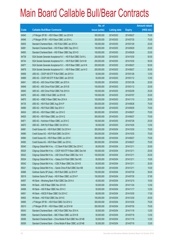|       |                                                                | No. of        |                     |               | <b>Amount raised</b> |
|-------|----------------------------------------------------------------|---------------|---------------------|---------------|----------------------|
| Code  | <b>Callable Bull/Bear Contracts</b>                            | issue (units) | <b>Listing date</b> | <b>Expiry</b> | $(HK$$ mil.)         |
| 64945 | J P Morgan SP BV - HSI R Bear CBBC Jun 2014 B                  | 300,000,000   | 2014/03/03          | 2014/06/27    | 75.00                |
| 64946 | J P Morgan SP BV - HSI R Bear CBBC Jul 2014 L                  | 300,000,000   | 2014/03/03          | 2014/07/30    | 75.00                |
| 64835 | Standard Chartered Bank - HSI R Bull CBBC Jan 2015 A           | 100,000,000   | 2014/03/03          | 2015/01/29    | 25.00                |
| 64881 | Standard Chartered Bank - HSI R Bear CBBC Sep 2014 C           | 100,000,000   | 2014/03/03          | 2014/09/29    | 25.00                |
| 64893 | Standard Chartered Bank - HSI R Bear CBBC Sep 2014 D           | 100,000,000   | 2014/03/03          | 2014/09/29    | 25.00                |
| 64738 | SGA Societe Generale Acceptance N.V. - HSI R Bull CBBC Oct14 L | 200,000,000   | 2014/03/03          | 2014/10/30    | 50.00                |
| 64744 | SGA Societe Generale Acceptance N.V. - HSI R Bull CBBC Oct14 M | 200,000,000   | 2014/03/03          | 2014/10/30    | 50.00                |
| 64877 | SGA Societe Generale Acceptance N.V. - HSI R Bear CBBC Jun14 N | 200,000,000   | 2014/03/03          | 2014/06/27    | 50.00                |
| 64878 | SGA Societe Generale Acceptance N.V. - HSI R Bear CBBC Jun14 O | 200,000,000   | 2014/03/03          | 2014/06/27    | 50.00                |
| 64858 | UBS AG - CSOP A50 ETF R Bull CBBC Jan 2015 A                   | 50,000,000    | 2014/03/03          | 2015/01/26    | 12.50                |
| 64869 | UBS AG - CSOP A50 ETF R Bull CBBC Jan 2015 B                   | 50,000,000    | 2014/03/03          | 2015/01/12    | 12.50                |
| 64841 | UBS AG - A50 China R Bull CBBC Jan 2015 A                      | 100,000,000   | 2014/03/03          | 2015/01/26    | 25.00                |
| 64848 | UBS AG - A50 China R Bull CBBC Jan 2015 B                      | 100,000,000   | 2014/03/03          | 2015/01/12    | 25.00                |
| 64840 | UBS AG - A50 China R Bull CBBC Feb 2015 A                      | 100,000,000   | 2014/03/03          | 2015/02/09    | 25.00                |
| 64876 | UBS AG - HSBC R Bull CBBC Jul 2014 B                           | 100,000,000   | 2014/03/03          | 2014/07/07    | 25.00                |
| 64875 | UBS AG - HSBC R Bear CBBC Nov 2014 A                           | 100,000,000   | 2014/03/03          | 2014/11/10    | 25.00                |
| 64735 | UBS AG - HSI R Bull CBBC Aug 2014 P                            | 300,000,000   | 2014/03/03          | 2014/08/28    | 75.00                |
| 64680 | UBS AG - HSI R Bull CBBC Sep 2014 V                            | 300,000,000   | 2014/03/03          | 2014/09/29    | 75.00                |
| 64924 | UBS AG - HSI R Bear CBBC Jun 2014 O                            | 300,000,000   | 2014/03/03          | 2014/06/27    | 75.00                |
| 64925 | UBS AG - HSI R Bear CBBC Jun 2014 Q                            | 300,000,000   | 2014/03/03          | 2014/06/27    | 75.00                |
| 64871 | UBS AG - Hutchison R Bear CBBC Jul 2014 C                      | 100,000,000   | 2014/03/03          | 2014/07/28    | 25.00                |
| 64870 | UBS AG - SHK Ppt R Bear CBBC Oct 2014 A                        | 50,000,000    | 2014/03/03          | 2014/10/20    | 12.50                |
| 64981 | Credit Suisse AG - HSI R Bull CBBC Oct 2014 H                  | 300,000,000   | 2014/03/04          | 2014/10/30    | 75.00                |
| 64985 | Credit Suisse AG - HSI R Bull CBBC Oct 2014 I                  | 300,000,000   | 2014/03/04          | 2014/10/30    | 75.00                |
| 64964 | Credit Suisse AG - HSI R Bear CBBC Jun 2014 I                  | 300,000,000   | 2014/03/04          | 2014/06/27    | 75.00                |
| 64992 | Credit Suisse AG - HSI R Bear CBBC Jun 2014 L                  | 300,000,000   | 2014/03/04          | 2014/06/27    | 75.00                |
| 65040 | Citigroup Global Mkt H Inc. - CC Bank R Bull CBBC Dec 2014 C   | 80,000,000    | 2014/03/04          | 2014/12/11    | 20.00                |
| 65025 | Citigroup Global Mkt H Inc. - CSOP A50 ETF R Bear CBBC Dec14A  | 100,000,000   | 2014/03/04          | 2014/12/11    | 25.00                |
| 65022 | Citigroup Global Mkt H Inc. - A50 China R Bear CBBC Dec 14 A   | 100,000,000   | 2014/03/04          | 2014/12/11    | 25.00                |
| 65034 | Citigroup Global Mkt H Inc. - Galaxy Ent R Bull CBBC Dec14D    | 60,000,000    | 2014/03/04          | 2014/12/11    | 15.00                |
| 65042 | Citigroup Global Mkt H Inc. - ICBC R Bear CBBC Dec 2014 B      | 80,000,000    | 2014/03/04          | 2014/12/11    | 20.00                |
| 65021 | Citigroup Global Mkt H Inc. - Sands China R Bull CBBC Dec14B   | 60,000,000    | 2014/03/04          | 2014/12/11    | 15.00                |
| 64966 | Goldman Sachs SP (Asia) - HSI R Bull CBBC Jul 2014 P           | 150,000,000   | 2014/03/04          | 2014/07/30    | 39.45                |
| 65018 | Goldman Sachs SP (Asia) - HSI R Bear CBBC Jul 2014 F           | 150,000,000   | 2014/03/04          | 2014/07/30    | 37.95                |
| 64957 | HK Bank - Minsheng Bank R Bull CBBC Dec 2014 A                 | 40,000,000    | 2014/03/04          | 2014/12/15    | 10.00                |
| 64954 | HK Bank - A50 R Bear CBBC Nov 2014 B                           | 50,000,000    | 2014/03/04          | 2014/11/24    | 12.50                |
| 64956 | HK Bank - A50 R Bear CBBC Nov 2014 C                           | 50,000,000    | 2014/03/04          | 2014/11/17    | 12.50                |
| 64951 | HK Bank - HSCEI R Bear CBBC Oct 2014 C                         | 68,000,000    | 2014/03/04          | 2014/10/30    | 17.00                |
| 64952 | HK Bank - HSI R Bull CBBC Dec 2014 E                           | 100,000,000   | 2014/03/04          | 2014/12/30    | 25.00                |
| 64965 | J P Morgan SP BV - HSI R Bull CBBC Oct 2014 U                  | 300,000,000   | 2014/03/04          | 2014/10/30    | 75.00                |
| 65010 | J P Morgan SP BV - HSI R Bear CBBC Jul 2014 M                  | 300,000,000   | 2014/03/04          | 2014/07/30    | 75.00                |
| 65043 | Standard Chartered Bank - ABC R Bull CBBC Nov 2014 A           | 50,000,000    | 2014/03/04          | 2014/11/18    | 12.50                |
| 65069 | Standard Chartered Bank - ABC R Bear CBBC Jul 2014 B           | 50,000,000    | 2014/03/04          | 2014/07/18    | 12.50                |
| 65056 | Standard Chartered Bank - China Mobile R Bull CBBC Nov 2014B   | 50,000,000    | 2014/03/04          | 2014/11/18    | 12.50                |
| 65059 | Standard Chartered Bank – China Mobile R Bear CBBC Jul 2014B   | 50,000,000    | 2014/03/04          | 2014/07/18    | 12.50                |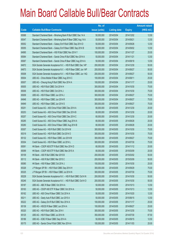|       |                                                                | No. of        |                     |               | <b>Amount raised</b> |
|-------|----------------------------------------------------------------|---------------|---------------------|---------------|----------------------|
| Code  | <b>Callable Bull/Bear Contracts</b>                            | issue (units) | <b>Listing date</b> | <b>Expiry</b> | $(HK$$ mil.)         |
| 65068 | Standard Chartered Bank - Minsheng Bank R Bull CBBC Dec 14 A   | 50,000,000    | 2014/03/04          | 2014/12/02    | 12.50                |
| 65047 | Standard Chartered Bank - Minsheng Bank R Bear CBBC Aug 14 A   | 50,000,000    | 2014/03/04          | 2014/08/21    | 12.50                |
| 65052 | Standard Chartered Bank - Galaxy Ent R Bull CBBC Sep 2014 D    | 50,000,000    | 2014/03/04          | 2014/09/26    | 12.50                |
| 65055 | Standard Chartered Bank - Galaxy Ent R Bear CBBC Sep 2014 B    | 50,000,000    | 2014/03/04          | 2014/09/02    | 12.50                |
| 64995 | Standard Chartered Bank - HSI R Bull CBBC Nov 2014 Y           | 100,000,000   | 2014/03/04          | 2014/11/27    | 25.00                |
| 65064 | Standard Chartered Bank - Sands China R Bull CBBC Nov 2014 A   | 50,000,000    | 2014/03/04          | 2014/11/21    | 12.50                |
| 65067 | Standard Chartered Bank - Sands China R Bear CBBC Aug 2014 A   | 50,000,000    | 2014/03/04          | 2014/08/18    | 12.50                |
| 64972 | SGA Societe Generale Acceptance N.V. - HSI R Bull CBBC Dec 14P | 200,000,000   | 2014/03/04          | 2014/12/30    | 50.00                |
| 64973 | SGA Societe Generale Acceptance N.V. - HSI R Bear CBBC Jun 14P | 200,000,000   | 2014/03/04          | 2014/06/27    | 50.00                |
| 65008 | SGA Societe Generale Acceptance N.V. - HSI R Bear CBBC Jun 14Q | 200,000,000   | 2014/03/04          | 2014/06/27    | 50.00                |
| 65004 | UBS AG - China Mobile R Bear CBBC Aug 2014 C                   | 100,000,000   | 2014/03/04          | 2014/08/11    | 25.00                |
| 65007 | UBS AG - Cheung Kong R Bull CBBC Nov 2014 A                    | 100,000,000   | 2014/03/04          | 2014/11/17    | 25.00                |
| 65005 | UBS AG - HSI R Bull CBBC Oct 2014 H                            | 300,000,000   | 2014/03/04          | 2014/10/30    | 75.00                |
| 65006 | UBS AG - HSI R Bull CBBC Oct 2014 J                            | 300,000,000   | 2014/03/04          | 2014/10/30    | 75.00                |
| 65009 | UBS AG - HSI R Bear CBBC Jun 2014 J                            | 300,000,000   | 2014/03/04          | 2014/06/27    | 75.00                |
| 64948 | UBS AG - HSI R Bear CBBC Jun 2014 R                            | 300,000,000   | 2014/03/04          | 2014/06/27    | 75.00                |
| 64949 | UBS AG - HSI R Bear CBBC Jun 2014 S                            | 300,000,000   | 2014/03/04          | 2014/06/27    | 75.00                |
| 65251 | Credit Suisse AG - A50 China R Bull CBBC Dec 2014 A            | 80,000,000    | 2014/03/05          | 2014/12/30    | 20.00                |
| 65253 | Credit Suisse AG - A50 China R Bull CBBC Dec 2014 B            | 80,000,000    | 2014/03/05          | 2014/12/30    | 20.00                |
| 65257 | Credit Suisse AG - A50 China R Bull CBBC Dec 2014 C            | 80,000,000    | 2014/03/05          | 2014/12/30    | 20.00                |
| 65285 | Credit Suisse AG - A50 China R Bear CBBC Aug 2014 A            | 80,000,000    | 2014/03/05          | 2014/08/28    | 20.00                |
| 65290 | Credit Suisse AG - A50 China R Bear CBBC Aug 2014 B            | 80,000,000    | 2014/03/05          | 2014/08/28    | 20.00                |
| 65307 | Credit Suisse AG - HSI R Bull CBBC Oct 2014 M                  | 300,000,000   | 2014/03/05          | 2014/10/30    | 75.00                |
| 65319 | Credit Suisse AG - HSI R Bull CBBC Oct 2014 O                  | 300,000,000   | 2014/03/05          | 2014/10/30    | 75.00                |
| 65132 | Credit Suisse AG - HSI R Bear CBBC Jun 2014 M                  | 300,000,000   | 2014/03/05          | 2014/06/27    | 75.00                |
| 65304 | Credit Suisse AG - HSI R Bear CBBC Jul 2014 L                  | 300,000,000   | 2014/03/05          | 2014/07/30    | 75.00                |
| 65091 | HK Bank - CSOP A50 ETF R Bull CBBC Nov 2014 D                  | 80,000,000    | 2014/03/05          | 2014/11/12    | 20.00                |
| 65099 | HK Bank - CSOP A50 ETF R Bull CBBC Mar 2015 A                  | 80,000,000    | 2014/03/05          | 2015/03/09    | 20.00                |
| 65109 | HK Bank - A50 R Bull CBBC Mar 2015 B                           | 200,000,000   | 2014/03/05          | 2015/03/02    | 50.00                |
| 65112 | HK Bank - A50 R Bull CBBC Mar 2015 C                           | 200,000,000   | 2014/03/05          | 2015/03/09    | 50.00                |
| 65090 | HK Bank - HSI R Bear CBBC Oct 2014 J                           | 100,000,000   | 2014/03/05          | 2014/10/30    | 25.00                |
| 65326 | J P Morgan SP BV - HSI R Bull CBBC Sep 2014 H                  | 300,000,000   | 2014/03/05          | 2014/09/29    | 75.00                |
| 65325 | J P Morgan SP BV - HSI R Bear CBBC Jul 2014 N                  | 300,000,000   | 2014/03/05          | 2014/07/30    | 75.00                |
| 65228 | SGA Societe Generale Acceptance N.V. - HSI R Bull CBBC Oct14 N | 200,000,000   | 2014/03/05          | 2014/10/30    | 50.00                |
| 65246 | SGA Societe Generale Acceptance N.V. - HSI R Bull CBBC Oct14 O | 200,000,000   | 2014/03/05          | 2014/10/30    | 50.00                |
| 65187 | UBS AG - ABC R Bear CBBC Oct 2014 A                            | 50,000,000    | 2014/03/05          | 2014/10/13    | 12.50                |
| 65163 | UBS AG - CSOP A50 ETF R Bear CBBC Oct 2014 A                   | 50,000,000    | 2014/03/05          | 2014/10/13    | 12.50                |
| 65162 | UBS AG - A50 China R Bear CBBC Oct 2014 A                      | 50,000,000    | 2014/03/05          | 2014/10/20    | 12.50                |
| 65211 | UBS AG - Geely Auto R Bull CBBC Jun 2015 A                     | 50,000,000    | 2014/03/05          | 2015/06/15    | 12.50                |
| 65222 | UBS AG - Galaxy Ent R Bull CBBC Nov 2014 A                     | 100,000,000   | 2014/03/05          | 2014/11/17    | 25.00                |
| 65136 | UBS AG - HSCEI R Bear CBBC Jun 2014 A                          | 100,000,000   | 2014/03/05          | 2014/06/27    | 25.00                |
| 65320 | UBS AG - HSI R Bull CBBC Dec 2014 I                            | 300,000,000   | 2014/03/05          | 2014/12/30    | 75.00                |
| 65125 | UBS AG - HSI R Bear CBBC Jul 2014 N                            | 350,000,000   | 2014/03/05          | 2014/07/30    | 87.50                |
| 65186 | UBS AG - ICBC R Bear CBBC Sep 2014 A                           | 50,000,000    | 2014/03/05          | 2014/09/15    | 12.50                |
| 65175 | UBS AG - Sands China R Bull CBBC Nov 2014 A                    | 100,000,000   | 2014/03/05          | 2014/11/03    | 25.00                |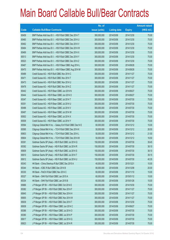|       |                                                              | No. of        |                     |               | <b>Amount raised</b> |
|-------|--------------------------------------------------------------|---------------|---------------------|---------------|----------------------|
| Code  | <b>Callable Bull/Bear Contracts</b>                          | issue (units) | <b>Listing date</b> | <b>Expiry</b> | $(HK$$ mil.)         |
| 65459 | BNP Paribas Arbit Issu B.V. - HSI R Bull CBBC Dec 2014 T     | 300,000,000   | 2014/03/06          | 2014/12/30    | 75.00                |
| 65460 | BNP Paribas Arbit Issu B.V. - HSI R Bull CBBC Dec 2014 U     | 300,000,000   | 2014/03/06          | 2014/12/30    | 75.00                |
| 65462 | BNP Paribas Arbit Issu B.V. - HSI R Bull CBBC Dec 2014 V     | 300,000,000   | 2014/03/06          | 2014/12/30    | 75.00                |
| 65464 | BNP Paribas Arbit Issu B.V. - HSI R Bull CBBC Dec 2014 W     | 300,000,000   | 2014/03/06          | 2014/12/30    | 75.00                |
| 65469 | BNP Paribas Arbit Issu B.V. - HSI R Bull CBBC Dec 2014 X     | 300,000,000   | 2014/03/06          | 2014/12/30    | 75.00                |
| 65513 | BNP Paribas Arbit Issu B.V. - HSI R Bull CBBC Dec 2014 Y     | 300,000,000   | 2014/03/06          | 2014/12/30    | 75.00                |
| 65523 | BNP Paribas Arbit Issu B.V. - HSI R Bull CBBC Dec 2014 Z     | 300,000,000   | 2014/03/06          | 2014/12/30    | 75.00                |
| 65467 | BNP Paribas Arbit Issu B.V. - HSI R Bear CBBC Aug 2014 L     | 300,000,000   | 2014/03/06          | 2014/08/28    | 75.00                |
| 65470 | BNP Paribas Arbit Issu B.V. - HSI R Bear CBBC Aug 2014 M     | 300,000,000   | 2014/03/06          | 2014/08/28    | 75.00                |
| 65489 | Credit Suisse AG - HSI R Bull CBBC Nov 2014 C                | 300,000,000   | 2014/03/06          | 2014/11/27    | 75.00                |
| 65471 | Credit Suisse AG - HSI R Bull CBBC Nov 2014 T                | 300,000,000   | 2014/03/06          | 2014/11/27    | 75.00                |
| 65473 | Credit Suisse AG - HSI R Bull CBBC Nov 2014 U                | 300,000,000   | 2014/03/06          | 2014/11/27    | 75.00                |
| 65478 | Credit Suisse AG - HSI R Bull CBBC Nov 2014 Z                | 300,000,000   | 2014/03/06          | 2014/11/27    | 75.00                |
| 65442 | Credit Suisse AG - HSI R Bear CBBC Jun 2014 N                | 300,000,000   | 2014/03/06          | 2014/06/27    | 75.00                |
| 65444 | Credit Suisse AG - HSI R Bear CBBC Jun 2014 O                | 300,000,000   | 2014/03/06          | 2014/06/27    | 75.00                |
| 65347 | Credit Suisse AG - HSI R Bear CBBC Jul 2014 T                | 300,000,000   | 2014/03/06          | 2014/07/30    | 75.00                |
| 65351 | Credit Suisse AG - HSI R Bear CBBC Jul 2014 U                | 300,000,000   | 2014/03/06          | 2014/07/30    | 75.00                |
| 65496 | Credit Suisse AG - HSI R Bear CBBC Jul 2014 V                | 300,000,000   | 2014/03/06          | 2014/07/30    | 75.00                |
| 65497 | Credit Suisse AG - HSI R Bear CBBC Jul 2014 W                | 300,000,000   | 2014/03/06          | 2014/07/30    | 75.00                |
| 65502 | Credit Suisse AG - HSI R Bear CBBC Jul 2014 X                | 300,000,000   | 2014/03/06          | 2014/07/30    | 75.00                |
| 65509 | Credit Suisse AG - HSI R Bear CBBC Jul 2014 Y                | 300,000,000   | 2014/03/06          | 2014/07/30    | 75.00                |
| 65594 | Citigroup Global Mkt H Inc. - Galaxy Ent R Bull CBBC Dec14 E | 60,000,000    | 2014/03/06          | 2014/12/12    | 15.00                |
| 65595 | Citigroup Global Mkt H Inc. - TCH R Bull CBBC Dec 2014 K     | 50,000,000    | 2014/03/06          | 2014/12/12    | 26.50                |
| 65603 | Citigroup Global Mkt H Inc. - TCH R Bull CBBC Dec 2014 L     | 50,000,000    | 2014/03/06          | 2014/12/12    | 21.50                |
| 65604 | Citigroup Global Mkt H Inc. - TCH R Bull CBBC Dec 2014 M     | 50,000,000    | 2014/03/06          | 2014/12/12    | 16.50                |
| 65391 | Goldman Sachs SP (Asia) - HSI R Bull CBBC Jul 2014 Q         | 150,000,000   | 2014/03/06          | 2014/07/30    | 39.45                |
| 65392 | Goldman Sachs SP (Asia) - HSI R Bull CBBC Jul 2014 R         | 150,000,000   | 2014/03/06          | 2014/07/30    | 38.10                |
| 65609 | Goldman Sachs SP (Asia) - HSI R Bull CBBC Jul 2014 S         | 150,000,000   | 2014/03/06          | 2014/07/30    | 38.10                |
| 65610 | Goldman Sachs SP (Asia) - HSI R Bull CBBC Jul 2014 T         | 150,000,000   | 2014/03/06          | 2014/07/30    | 39.15                |
| 65612 | Goldman Sachs SP (Asia) - HSI R Bull CBBC Jul 2014 U         | 150,000,000   | 2014/03/06          | 2014/07/30    | 40.35                |
| 65343 | HK Bank - China Shenhua R Bull CBBC Dec 2015 A               | 40,000,000    | 2014/03/06          | 2015/12/21    | 10.00                |
| 65344 | HK Bank - ICBC R Bull CBBC Dec 2014 B                        | 80,000,000    | 2014/03/06          | 2014/12/08    | 20.00                |
| 65330 | HK Bank - PetCh R Bull CBBC Nov 2014 C                       | 60,000,000    | 2014/03/06          | 2014/11/10    | 15.00                |
| 65327 | HK Bank - SHK Ppt R Bull CBBC Jan 2015 A                     | 60,000,000    | 2014/03/06          | 2015/01/12    | 15.00                |
| 65334 | HK Bank - SHK Ppt R Bull CBBC Jan 2015 B                     | 60,000,000    | 2014/03/06          | 2015/01/26    | 15.00                |
| 65666 | J P Morgan SP BV - HSI R Bull CBBC Oct 2014 E                | 300,000,000   | 2014/03/06          | 2014/10/30    | 75.00                |
| 65382 | J P Morgan SP BV - HSI R Bull CBBC Nov 2014 F                | 300,000,000   | 2014/03/06          | 2014/11/27    | 75.00                |
| 65645 | J P Morgan SP BV - HSI R Bull CBBC Nov 2014 H                | 300,000,000   | 2014/03/06          | 2014/11/27    | 75.00                |
| 65655 | J P Morgan SP BV - HSI R Bull CBBC Nov 2014 W                | 300,000,000   | 2014/03/06          | 2014/11/27    | 75.00                |
| 65639 | J P Morgan SP BV - HSI R Bull CBBC Dec 2014 T                | 300,000,000   | 2014/03/06          | 2014/12/30    | 75.00                |
| 65638 | J P Morgan SP BV - HSI R Bear CBBC Jun 2014 C                | 300,000,000   | 2014/03/06          | 2014/06/27    | 75.00                |
| 65388 | J P Morgan SP BV - HSI R Bear CBBC Jul 2014 O                | 300,000,000   | 2014/03/06          | 2014/07/30    | 75.00                |
| 65390 | J P Morgan SP BV - HSI R Bear CBBC Jul 2014 P                | 300,000,000   | 2014/03/06          | 2014/07/30    | 75.00                |
| 65617 | J P Morgan SP BV - HSI R Bear CBBC Jul 2014 Q                | 300,000,000   | 2014/03/06          | 2014/07/30    | 75.00                |
| 65623 | J P Morgan SP BV - HSI R Bear CBBC Jul 2014 R                | 300,000,000   | 2014/03/06          | 2014/07/30    | 75.00                |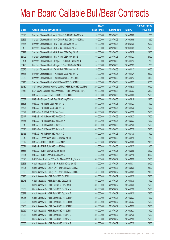|       |                                                                | No. of        |                     |               | <b>Amount raised</b> |
|-------|----------------------------------------------------------------|---------------|---------------------|---------------|----------------------|
| Code  | <b>Callable Bull/Bear Contracts</b>                            | issue (units) | <b>Listing date</b> | <b>Expiry</b> | $(HK$$ mil.)         |
| 65393 | Standard Chartered Bank - A50 China R Bull CBBC Sep 2014 A     | 50,000,000    | 2014/03/06          | 2014/09/08    | 12.50                |
| 65396 | Standard Chartered Bank - A50 China R Bear CBBC Sep 2014 A     | 50,000,000    | 2014/03/06          | 2014/09/08    | 12.50                |
| 65457 | Standard Chartered Bank - HSI R Bull CBBC Jan 2015 B           | 100,000,000   | 2014/03/06          | 2015/01/29    | 25.00                |
| 65458 | Standard Chartered Bank - HSI R Bull CBBC Jan 2015 C           | 100,000,000   | 2014/03/06          | 2015/01/29    | 25.00                |
| 65727 | Standard Chartered Bank - HSI R Bear CBBC Sep 2014 E           | 100,000,000   | 2014/03/06          | 2014/09/29    | 25.00                |
| 65402 | Standard Chartered Bank - HSI R Bear CBBC Nov 2014 B           | 100,000,000   | 2014/03/06          | 2014/11/27    | 25.00                |
| 65404 | Standard Chartered Bank - Ping An R Bull CBBC Nov 2014 B       | 50,000,000    | 2014/03/06          | 2014/11/13    | 12.50                |
| 65425 | Standard Chartered Bank - Ping An R Bear CBBC Jul 2014 B       | 50,000,000    | 2014/03/06          | 2014/07/23    | 12.50                |
| 65676 | Standard Chartered Bank - TCH R Bull CBBC Nov 2014 B           | 50,000,000    | 2014/03/06          | 2014/11/13    | 38.00                |
| 65684 | Standard Chartered Bank - TCH R Bull CBBC Nov 2014 C           | 50,000,000    | 2014/03/06          | 2014/11/24    | 28.00                |
| 65686 | Standard Chartered Bank - TCH R Bear CBBC Oct 2014 E           | 50,000,000    | 2014/03/06          | 2014/10/13    | 40.50                |
| 65715 | Standard Chartered Bank - TCH R Bear CBBC Oct 2014 F           | 50,000,000    | 2014/03/06          | 2014/10/23    | 52.50                |
| 65430 | SGA Societe Generale Acceptance N.V. - HSI R Bull CBBC Dec14 Q | 200,000,000   | 2014/03/06          | 2014/12/30    | 50.00                |
| 65446 | SGA Societe Generale Acceptance N.V. - HSI R Bear CBBC Jun14 R | 200,000,000   | 2014/03/06          | 2014/06/27    | 50.00                |
| 65590 | UBS AG - Sinopec Corp R Bull CBBC Oct 2014 B                   | 100,000,000   | 2014/03/06          | 2014/10/20    | 25.00                |
| 65587 | UBS AG - Sinopec Corp R Bear CBBC Aug 2014 A                   | 100,000,000   | 2014/03/06          | 2014/08/18    | 25.00                |
| 65525 | UBS AG - HSI R Bull CBBC Nov 2014 J                            | 300,000,000   | 2014/03/06          | 2014/11/27    | 75.00                |
| 65526 | UBS AG - HSI R Bull CBBC Dec 2014 J                            | 300,000,000   | 2014/03/06          | 2014/12/30    | 75.00                |
| 65527 | UBS AG - HSI R Bull CBBC Dec 2014 K                            | 300,000,000   | 2014/03/06          | 2014/12/30    | 75.00                |
| 65447 | UBS AG - HSI R Bear CBBC Jun 2014 K                            | 300,000,000   | 2014/03/06          | 2014/06/27    | 75.00                |
| 65454 | UBS AG - HSI R Bear CBBC Jun 2014 M                            | 300,000,000   | 2014/03/06          | 2014/06/27    | 75.00                |
| 65345 | UBS AG - HSI R Bear CBBC Jul 2014 O                            | 300,000,000   | 2014/03/06          | 2014/07/30    | 75.00                |
| 65346 | UBS AG - HSI R Bear CBBC Jul 2014 P                            | 300,000,000   | 2014/03/06          | 2014/07/30    | 75.00                |
| 65455 | UBS AG - HSI R Bear CBBC Jul 2014 Q                            | 300,000,000   | 2014/03/06          | 2014/07/30    | 75.00                |
| 65540 | UBS AG - Sands China R Bull CBBC Aug 2014 F                    | 50,000,000    | 2014/03/06          | 2014/08/18    | 12.50                |
| 65572 | UBS AG - TCH R Bull CBBC Jun 2014 P                            | 40,000,000    | 2014/03/06          | 2014/06/06    | 20.80                |
| 65574 | UBS AG - TCH R Bull CBBC Jun 2014 Q                            | 40,000,000    | 2014/03/06          | 2014/06/25    | 10.00                |
| 65564 | UBS AG - TCH R Bear CBBC Jun 2014 H                            | 40,000,000    | 2014/03/06          | 2014/06/06    | 68.00                |
| 65554 | UBS AG - TCH R Bear CBBC Jul 2014 C                            | 40,000,000    | 2014/03/06          | 2014/07/15    | 84.00                |
| 65828 | BNP Paribas Arbit Issu B.V. - HSI R Bear CBBC Aug 2014 N       | 300,000,000   | 2014/03/07          | 2014/08/28    | 75.00                |
| 65893 | Credit Suisse AG - Galaxy Ent R Bull CBBC Oct 2014 D           | 80,000,000    | 2014/03/07          | 2014/10/31    | 20.00                |
| 65894 | Credit Suisse AG - Galaxy Ent R Bear CBBC Aug 2014 A           | 80,000,000    | 2014/03/07          | 2014/08/29    | 20.00                |
| 65895 | Credit Suisse AG - Galaxy Ent R Bear CBBC Aug 2014 B           | 80,000,000    | 2014/03/07          | 2014/08/29    | 20.00                |
| 65975 | Credit Suisse AG - HSI R Bull CBBC Oct 2014 J                  | 300,000,000   | 2014/03/07          | 2014/10/30    | 75.00                |
| 65976 | Credit Suisse AG - HSI R Bull CBBC Oct 2014 N                  | 300,000,000   | 2014/03/07          | 2014/10/30    | 75.00                |
| 66069 | Credit Suisse AG - HSI R Bull CBBC Oct 2014 R                  | 300,000,000   | 2014/03/07          | 2014/10/30    | 75.00                |
| 65909 | Credit Suisse AG - HSI R Bull CBBC Dec 2014 Y                  | 300,000,000   | 2014/03/07          | 2014/12/30    | 75.00                |
| 65929 | Credit Suisse AG - HSI R Bull CBBC Dec 2014 Z                  | 300,000,000   | 2014/03/07          | 2014/12/30    | 75.00                |
| 65945 | Credit Suisse AG - HSI R Bear CBBC Jun 2014 P                  | 300,000,000   | 2014/03/07          | 2014/06/27    | 75.00                |
| 65953 | Credit Suisse AG - HSI R Bear CBBC Jun 2014 Q                  | 300,000,000   | 2014/03/07          | 2014/06/27    | 75.00                |
| 65955 | Credit Suisse AG - HSI R Bear CBBC Jun 2014 R                  | 300,000,000   | 2014/03/07          | 2014/06/27    | 75.00                |
| 65959 | Credit Suisse AG - HSI R Bear CBBC Jun 2014 S                  | 300,000,000   | 2014/03/07          | 2014/06/27    | 75.00                |
| 66058 | Credit Suisse AG - HSI R Bear CBBC Jul 2014 D                  | 300,000,000   | 2014/03/07          | 2014/07/30    | 75.00                |
| 66060 | Credit Suisse AG - HSI R Bear CBBC Jul 2014 R                  | 300,000,000   | 2014/03/07          | 2014/07/30    | 75.00                |
| 66066 | Credit Suisse AG - HSI R Bear CBBC Jul 2014 S                  | 300,000,000   | 2014/03/07          | 2014/07/30    | 75.00                |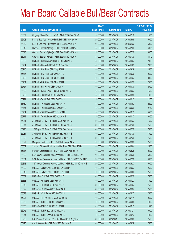|       |                                                                | No. of        |                     |               | <b>Amount raised</b> |
|-------|----------------------------------------------------------------|---------------|---------------------|---------------|----------------------|
| Code  | <b>Callable Bull/Bear Contracts</b>                            | issue (units) | <b>Listing date</b> | <b>Expiry</b> | (HK\$ mil.)          |
| 66087 | Citigroup Global Mkt H Inc. - TCH R Bull CBBC Dec 2014 N       | 50,000,000    | 2014/03/07          | 2014/12/12    | 14.00                |
| 66108 | Bank of East Asia - Galaxy Ent R Bull CBBC May 2015 A          | 200,000,000   | 2014/03/07          | 2015/05/05    | 50.00                |
| 66089 | Bank of East Asia - Hutchison R Bull CBBC Jan 2015 A           | 200,000,000   | 2014/03/07          | 2015/01/22    | 50.00                |
| 66012 | Goldman Sachs SP (Asia) - HSI R Bear CBBC Jul 2014 G           | 150,000,000   | 2014/03/07          | 2014/07/30    | 40.05                |
| 66013 | Goldman Sachs SP (Asia) - HSI R Bear CBBC Jul 2014 H           | 150,000,000   | 2014/03/07          | 2014/07/30    | 38.55                |
| 66014 | Goldman Sachs SP (Asia) - HSI R Bear CBBC Jul 2014 I           | 150,000,000   | 2014/03/07          | 2014/07/30    | 38.10                |
| 65822 | HK Bank - Sinopec Corp R Bull CBBC Oct 2014 D                  | 80,000,000    | 2014/03/07          | 2014/10/27    | 20.00                |
| 65794 | HK Bank - Galaxy Ent R Bull CBBC Nov 2014 B                    | 80,000,000    | 2014/03/07          | 2014/11/03    | 20.00                |
| 65740 | HK Bank - HSI R Bull CBBC Sep 2014 R                           | 100,000,000   | 2014/03/07          | 2014/09/29    | 25.00                |
| 65737 | HK Bank - HSI R Bull CBBC Oct 2014 O                           | 100,000,000   | 2014/03/07          | 2014/10/30    | 25.00                |
| 65758 | HK Bank - HSI R Bull CBBC Nov 2014 H                           | 400,000,000   | 2014/03/07          | 2014/11/27    | 100.00               |
| 65781 | HK Bank - HSI R Bull CBBC Nov 2014 I                           | 100,000,000   | 2014/03/07          | 2014/11/27    | 25.00                |
| 65757 | HK Bank - HSI R Bear CBBC Oct 2014 K                           | 100,000,000   | 2014/03/07          | 2014/10/30    | 25.00                |
| 65820 | HK Bank - Sands China R Bull CBBC Oct 2014 C                   | 60,000,000    | 2014/03/07          | 2014/10/27    | 15.00                |
| 65760 | HK Bank - TCH R Bull CBBC Oct 2014 M                           | 50,000,000    | 2014/03/07          | 2014/10/30    | 16.00                |
| 65771 | HK Bank - TCH R Bull CBBC Oct 2014 N                           | 50,000,000    | 2014/03/07          | 2014/10/13    | 12.50                |
| 65759 | HK Bank - TCH R Bull CBBC Nov 2014 H                           | 50,000,000    | 2014/03/07          | 2014/11/07    | 22.00                |
| 65774 | HK Bank - TCH R Bear CBBC Sep 2014 N                           | 50,000,000    | 2014/03/07          | 2014/09/29    | 27.50                |
| 65784 | HK Bank – TCH R Bear CBBC Oct 2014 K                           | 50,000,000    | 2014/03/07          | 2014/10/13    | 44.00                |
| 65772 | HK Bank - TCH R Bear CBBC Nov 2014 E                           | 50,000,000    | 2014/03/07          | 2014/11/17    | 63.00                |
| 65981 | J P Morgan SP BV - HSI R Bull CBBC Nov 2014 G                  | 300,000,000   | 2014/03/07          | 2014/11/27    | 75.00                |
| 65977 | J P Morgan SP BV - HSI R Bull CBBC Dec 2014 U                  | 300,000,000   | 2014/03/07          | 2014/12/30    | 75.00                |
| 65978 | J P Morgan SP BV - HSI R Bull CBBC Dec 2014 V                  | 300,000,000   | 2014/03/07          | 2014/12/30    | 75.00                |
| 65984 | J P Morgan SP BV - HSI R Bear CBBC Jul 2014 S                  | 300,000,000   | 2014/03/07          | 2014/07/30    | 75.00                |
| 65995 | J P Morgan SP BV - HSI R Bear CBBC Jul 2014 T                  | 300,000,000   | 2014/03/07          | 2014/07/30    | 75.00                |
| 65827 | Macquarie Bank Ltd. - HSI R Bull CBBC Aug 2014 A               | 100,000,000   | 2014/03/07          | 2014/08/28    | 25.00                |
| 66052 | Standard Chartered Bank - China Life R Bull CBBC Dec 2014 A    | 100,000,000   | 2014/03/07          | 2014/12/04    | 25.00                |
| 65887 | Standard Chartered Bank - HSI R Bear CBBC Aug 2014 V           | 100,000,000   | 2014/03/07          | 2014/08/28    | 25.00                |
| 65829 | SGA Societe Generale Acceptance N.V. - HSI R Bull CBBC Oct14 P | 200,000,000   | 2014/03/07          | 2014/10/30    | 50.00                |
| 65831 | SGA Societe Generale Acceptance N.V. - HSI R Bull CBBC Dec14 R | 200,000,000   | 2014/03/07          | 2014/12/30    | 50.00                |
| 65848 | SGA Societe Generale Acceptance N.V. - HSI R Bear CBBC Jun14 S | 200,000,000   | 2014/03/07          | 2014/06/27    | 50.00                |
| 66009 | UBS AG - Galaxy Ent R Bull CBBC Oct 2014 D                     | 100,000,000   | 2014/03/07          | 2014/10/27    | 25.00                |
| 66010 | UBS AG - Galaxy Ent R Bull CBBC Oct 2014 E                     | 100,000,000   | 2014/03/07          | 2014/10/06    | 25.00                |
| 65881 | UBS AG - HSI R Bull CBBC Oct 2014 Q                            | 300,000,000   | 2014/03/07          | 2014/10/30    | 75.00                |
| 65858 | UBS AG - HSI R Bull CBBC Nov 2014 I                            | 300,000,000   | 2014/03/07          | 2014/11/27    | 75.00                |
| 66073 | UBS AG - HSI R Bull CBBC Nov 2014 K                            | 300,000,000   | 2014/03/07          | 2014/11/27    | 75.00                |
| 66022 | UBS AG - HSI R Bear CBBC Jun 2014 N                            | 300,000,000   | 2014/03/07          | 2014/06/27    | 75.00                |
| 66023 | UBS AG - HSI R Bear CBBC Jun 2014 P                            | 300,000,000   | 2014/03/07          | 2014/06/27    | 75.00                |
| 65998 | UBS AG - Ping An R Bear CBBC Jul 2014 B                        | 100,000,000   | 2014/03/07          | 2014/07/14    | 25.00                |
| 66083 | UBS AG - TCH R Bull CBBC Sep 2014 C                            | 40,000,000    | 2014/03/07          | 2014/09/08    | 10.00                |
| 66086 | UBS AG - TCH R Bull CBBC Oct 2014 B                            | 40,000,000    | 2014/03/07          | 2014/10/13    | 15.20                |
| 66075 | UBS AG - TCH R Bear CBBC Jul 2014 D                            | 40,000,000    | 2014/03/07          | 2014/07/21    | 55.20                |
| 66074 | UBS AG - TCH R Bear CBBC Oct 2014 E                            | 40,000,000    | 2014/03/07          | 2014/10/13    | 10.00                |
| 66233 | BNP Paribas Arbit Issu B.V. - HSI R Bear CBBC Aug 2014 O       | 300,000,000   | 2014/03/10          | 2014/08/28    | 75.00                |
| 66120 | Credit Suisse AG - HSI R Bull CBBC Sep 2014 F                  | 300,000,000   | 2014/03/10          | 2014/09/29    | 75.00                |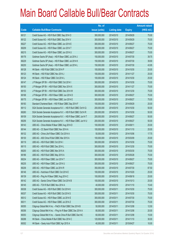|       |                                                                | No. of        |                     |               | <b>Amount raised</b> |
|-------|----------------------------------------------------------------|---------------|---------------------|---------------|----------------------|
| Code  | <b>Callable Bull/Bear Contracts</b>                            | issue (units) | <b>Listing date</b> | <b>Expiry</b> | $(HK$$ mil.)         |
| 66121 | Credit Suisse AG - HSI R Bull CBBC Sep 2014 O                  | 300,000,000   | 2014/03/10          | 2014/09/29    | 75.00                |
| 66122 | Credit Suisse AG - HSI R Bull CBBC Sep 2014 V                  | 300,000,000   | 2014/03/10          | 2014/09/29    | 75.00                |
| 66227 | Credit Suisse AG - HSI R Bear CBBC Jun 2014 E                  | 300,000,000   | 2014/03/10          | 2014/06/27    | 75.00                |
| 66209 | Credit Suisse AG - HSI R Bear CBBC Jun 2014 T                  | 300,000,000   | 2014/03/10          | 2014/06/27    | 75.00                |
| 66215 | Credit Suisse AG - HSI R Bear CBBC Jun 2014 U                  | 300,000,000   | 2014/03/10          | 2014/06/27    | 75.00                |
| 66176 | Goldman Sachs SP (Asia) - HSI R Bear CBBC Jul 2014 J           | 150,000,000   | 2014/03/10          | 2014/07/30    | 39.75                |
| 66229 | Goldman Sachs SP (Asia) - HSI R Bear CBBC Jul 2014 K           | 150,000,000   | 2014/03/10          | 2014/07/30    | 39.90                |
| 66230 | Goldman Sachs SP (Asia) - HSI R Bear CBBC Jul 2014 L           | 150,000,000   | 2014/03/10          | 2014/07/30    | 43.95                |
| 66128 | HK Bank - HSI R Bull CBBC Oct 2014 P                           | 100,000,000   | 2014/03/10          | 2014/10/30    | 25.00                |
| 66123 | HK Bank - HSI R Bull CBBC Nov 2014 J                           | 100,000,000   | 2014/03/10          | 2014/11/27    | 25.00                |
| 66124 | HK Bank - HSI R Bear CBBC Oct 2014 L                           | 100,000,000   | 2014/03/10          | 2014/10/30    | 25.00                |
| 66147 | J P Morgan SP BV - HSI R Bull CBBC Oct 2014 I                  | 300,000,000   | 2014/03/10          | 2014/10/30    | 75.00                |
| 66150 | J P Morgan SP BV - HSI R Bull CBBC Nov 2014 X                  | 300,000,000   | 2014/03/10          | 2014/11/27    | 75.00                |
| 66153 | J P Morgan SP BV - HSI R Bull CBBC Dec 2014 W                  | 300,000,000   | 2014/03/10          | 2014/12/30    | 75.00                |
| 66168 | J P Morgan SP BV - HSI R Bear CBBC Jun 2014 D                  | 300,000,000   | 2014/03/10          | 2014/06/27    | 75.00                |
| 66175 | J P Morgan SP BV - HSI R Bear CBBC Jun 2014 E                  | 300,000,000   | 2014/03/10          | 2014/06/27    | 75.00                |
| 66183 | Standard Chartered Bank - HSI R Bear CBBC Sep 2014 F           | 100,000,000   | 2014/03/10          | 2014/09/29    | 25.00                |
| 66112 | SGA Societe Generale Acceptance N.V. - HSI R Bull CBBC Oct14 Q | 200,000,000   | 2014/03/10          | 2014/10/30    | 50.00                |
| 66260 | SGA Societe Generale Acceptance N.V. - HSI R Bull CBBC Oct14 R | 200,000,000   | 2014/03/10          | 2014/10/30    | 50.00                |
| 66109 | SGA Societe Generale Acceptance N.V. - HSI R Bear CBBC Jun14 T | 200,000,000   | 2014/03/10          | 2014/06/27    | 50.00                |
| 66256 | SGA Societe Generale Acceptance N.V. - HSI R Bear CBBC Jun14 U | 200,000,000   | 2014/03/10          | 2014/06/27    | 50.00                |
| 66143 | UBS AG - China Mobile R Bear CBBC Aug 2014 D                   | 100,000,000   | 2014/03/10          | 2014/08/11    | 25.00                |
| 66144 | UBS AG - CC Bank R Bull CBBC Nov 2014 A                        | 100,000,000   | 2014/03/10          | 2014/11/10    | 25.00                |
| 66132 | UBS AG - China Life R Bear CBBC Oct 2014 A                     | 50,000,000    | 2014/03/10          | 2014/10/06    | 17.75                |
| 66130 | UBS AG - A50 China R Bull CBBC Mar 2015 A                      | 100,000,000   | 2014/03/10          | 2015/03/09    | 25.00                |
| 66119 | UBS AG - HSI R Bull CBBC Oct 2014 I                            | 300,000,000   | 2014/03/10          | 2014/10/30    | 75.00                |
| 66115 | UBS AG - HSI R Bull CBBC Dec 2014 L                            | 300,000,000   | 2014/03/10          | 2014/12/30    | 75.00                |
| 66200 | UBS AG - HSI R Bull CBBC Mar 2015 A                            | 300,000,000   | 2014/03/10          | 2015/03/30    | 75.00                |
| 66186 | UBS AG - HSI R Bull CBBC May 2015 A                            | 300,000,000   | 2014/03/10          | 2015/05/28    | 75.00                |
| 66234 | UBS AG - HSI R Bear CBBC Jun 2014 T                            | 300,000,000   | 2014/03/10          | 2014/06/27    | 75.00                |
| 66235 | UBS AG - HSI R Bear CBBC Jun 2014 U                            | 300,000,000   | 2014/03/10          | 2014/06/27    | 75.00                |
| 66236 | UBS AG - HSI R Bear CBBC Jul 2014 R                            | 350,000,000   | 2014/03/10          | 2014/07/30    | 87.50                |
| 66146 | UBS AG - Hutchison R Bull CBBC Oct 2014 E                      | 100,000,000   | 2014/03/10          | 2014/10/20    | 25.00                |
| 66139 | UBS AG - Ping An R Bear CBBC Aug 2014 C                        | 100,000,000   | 2014/03/10          | 2014/08/18    | 25.00                |
| 66142 | UBS AG - Sands China R Bear CBBC Oct 2014 B                    | 100,000,000   | 2014/03/10          | 2014/10/13    | 25.00                |
| 66145 | UBS AG - TCH R Bull CBBC Nov 2014 A                            | 40,000,000    | 2014/03/10          | 2014/11/10    | 15.40                |
| 66338 | Credit Suisse AG - HSI R Bull CBBC Oct 2014 K                  | 300,000,000   | 2014/03/11          | 2014/10/30    | 75.00                |
| 66337 | Credit Suisse AG - HSI R Bull CBBC Oct 2014 S                  | 300,000,000   | 2014/03/11          | 2014/10/30    | 75.00                |
| 66312 | Credit Suisse AG - HSI R Bear CBBC Jul 2014 E                  | 300,000,000   | 2014/03/11          | 2014/07/30    | 75.00                |
| 66311 | Credit Suisse AG - HSI R Bear CBBC Jul 2014 Z                  | 300,000,000   | 2014/03/11          | 2014/07/30    | 75.00                |
| 66355 | Citigroup Global Mkt H Inc. - PetCh R Bull CBBC Dec 2014 B     | 50,000,000    | 2014/03/11          | 2014/12/08    | 12.50                |
| 66356 | Citigroup Global Mkt H Inc. - Ping An R Bear CBBC Dec 2014 A   | 80,000,000    | 2014/03/11          | 2014/12/08    | 20.00                |
| 66353 | Citigroup Global Mkt H Inc. - Sands China R Bull CBBC Dec14C   | 60,000,000    | 2014/03/11          | 2014/12/08    | 15.00                |
| 66298 | HK Bank - China Mobile R Bull CBBC Nov 2014 C                  | 120,000,000   | 2014/03/11          | 2014/11/10    | 30.00                |
| 66302 | HK Bank - Geely Auto R Bull CBBC Apr 2015 A                    | 40,000,000    | 2014/03/11          | 2015/04/27    | 10.00                |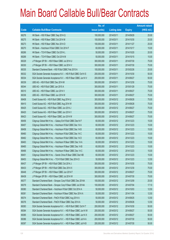|       |                                                                | No. of        |                     |               | <b>Amount raised</b> |
|-------|----------------------------------------------------------------|---------------|---------------------|---------------|----------------------|
| Code  | <b>Callable Bull/Bear Contracts</b>                            | issue (units) | <b>Listing date</b> | <b>Expiry</b> | $(HK$$ mil.)         |
| 66276 | HK Bank - HSI R Bear CBBC Sep 2014 Q                           | 100,000,000   | 2014/03/11          | 2014/09/29    | 25.00                |
| 66275 | HK Bank - HSI R Bear CBBC Oct 2014 M                           | 100,000,000   | 2014/03/11          | 2014/10/30    | 25.00                |
| 66273 | HK Bank - HSI R Bear CBBC Nov 2014 D                           | 100,000,000   | 2014/03/11          | 2014/11/27    | 25.00                |
| 66270 | HK Bank - Hutchison R Bull CBBC Oct 2014 F                     | 60,000,000    | 2014/03/11          | 2014/10/17    | 15.00                |
| 66266 | HK Bank - TCH R Bear CBBC Oct 2014 L                           | 50,000,000    | 2014/03/11          | 2014/10/20    | 20.00                |
| 66268 | HK Bank - TCH R Bear CBBC Oct 2014 M                           | 50,000,000    | 2014/03/11          | 2014/10/15    | 15.00                |
| 66329 | J P Morgan SP BV - HSI R Bear CBBC Jul 2014 U                  | 300,000,000   | 2014/03/11          | 2014/07/30    | 75.00                |
| 66330 | J P Morgan SP BV - HSI R Bear CBBC Jul 2014 V                  | 300,000,000   | 2014/03/11          | 2014/07/30    | 75.00                |
| 66335 | Standard Chartered Bank - HSI R Bull CBBC Feb 2015 A           | 100,000,000   | 2014/03/11          | 2015/02/26    | 25.00                |
| 66332 | SGA Societe Generale Acceptance N.V. - HSI R Bull CBBC Oct14 S | 200,000,000   | 2014/03/11          | 2014/10/30    | 50.00                |
| 66334 | SGA Societe Generale Acceptance N.V. - HSI R Bear CBBC Jun14 V | 200,000,000   | 2014/03/11          | 2014/06/27    | 50.00                |
| 66339 | UBS AG - HSI R Bull CBBC Dec 2014 M                            | 300,000,000   | 2014/03/11          | 2014/12/30    | 75.00                |
| 66344 | UBS AG - HSI R Bull CBBC Jan 2015 A                            | 300,000,000   | 2014/03/11          | 2015/01/29    | 75.00                |
| 66310 | UBS AG - HSI R Bear CBBC Jun 2014 V                            | 300,000,000   | 2014/03/11          | 2014/06/27    | 75.00                |
| 66336 | UBS AG - HSI R Bear CBBC Jun 2014 W                            | 300,000,000   | 2014/03/11          | 2014/06/27    | 75.00                |
| 66408 | Credit Suisse AG - HSI R Bull CBBC Aug 2014 U                  | 300,000,000   | 2014/03/12          | 2014/08/28    | 75.00                |
| 66410 | Credit Suisse AG - HSI R Bull CBBC Aug 2014 W                  | 300,000,000   | 2014/03/12          | 2014/08/28    | 75.00                |
| 66425 | Credit Suisse AG - HSI R Bear CBBC Jun 2014 J                  | 300,000,000   | 2014/03/12          | 2014/06/27    | 75.00                |
| 66420 | Credit Suisse AG - HSI R Bear CBBC Jun 2014 V                  | 300,000,000   | 2014/03/12          | 2014/06/27    | 75.00                |
| 66423 | Credit Suisse AG - HSI R Bear CBBC Jun 2014 W                  | 300,000,000   | 2014/03/12          | 2014/06/27    | 75.00                |
| 66456 | Citigroup Global Mkt H Inc. - Galaxy Ent R Bull CBBC Dec14 F   | 60,000,000    | 2014/03/12          | 2014/12/23    | 15.00                |
| 66457 | Citigroup Global Mkt H Inc. - Hutchison R Bull CBBC Dec 14 A   | 60,000,000    | 2014/03/12          | 2014/12/23    | 15.00                |
| 66458 | Citigroup Global Mkt H Inc. - Hutchison R Bull CBBC Dec 14 B   | 60,000,000    | 2014/03/12          | 2014/12/23    | 15.00                |
| 66460 | Citigroup Global Mkt H Inc. - Hutchison R Bull CBBC Dec 14 C   | 60,000,000    | 2014/03/12          | 2014/12/23    | 15.00                |
| 66462 | Citigroup Global Mkt H Inc. - Hutchison R Bull CBBC Dec 14 D   | 60,000,000    | 2014/03/12          | 2014/12/23    | 15.00                |
| 66463 | Citigroup Global Mkt H Inc. - Hutchison R Bear CBBC Dec 14 A   | 60,000,000    | 2014/03/12          | 2014/12/23    | 15.00                |
| 66465 | Citigroup Global Mkt H Inc. - Hutchison R Bear CBBC Dec 14 B   | 60,000,000    | 2014/03/12          | 2014/12/23    | 15.00                |
| 66466 | Citigroup Global Mkt H Inc. - Hutchison R Bear CBBC Dec 14 C   | 60,000,000    | 2014/03/12          | 2014/12/23    | 15.00                |
| 66451 | Citigroup Global Mkt H Inc. - Sands China R Bear CBBC Dec14B   | 60,000,000    | 2014/03/12          | 2014/12/23    | 15.00                |
| 66453 | Citigroup Global Mkt H Inc. - TCH R Bull CBBC Dec 2014 O       | 50,000,000    | 2014/03/12          | 2014/12/23    | 12.50                |
| 66437 | J P Morgan SP BV - HSI R Bull CBBC Oct 2014 J                  | 300,000,000   | 2014/03/12          | 2014/10/30    | 75.00                |
| 66433 | J P Morgan SP BV - HSI R Bull CBBC Dec 2014 X                  | 300,000,000   | 2014/03/12          | 2014/12/30    | 75.00                |
| 66448 | J P Morgan SP BV - HSI R Bear CBBC Jun 2014 F                  | 300,000,000   | 2014/03/12          | 2014/06/27    | 75.00                |
| 66438 | J P Morgan SP BV - HSI R Bear CBBC Jul 2014 W                  | 300,000,000   | 2014/03/12          | 2014/07/30    | 75.00                |
| 66377 | Standard Chartered Bank - Sinopec Corp R Bull CBBC Dec 2014A   | 100,000,000   | 2014/03/12          | 2014/12/09    | 25.00                |
| 66379 | Standard Chartered Bank - Sinopec Corp R Bear CBBC Jul 2014A   | 100,000,000   | 2014/03/12          | 2014/07/04    | 17.10                |
| 66380 | Standard Chartered Bank - Hutchison R Bull CBBC Oct 2014 A     | 50,000,000    | 2014/03/12          | 2014/10/03    | 12.50                |
| 66381 | Standard Chartered Bank - Hutchison R Bear CBBC Nov 2014 A     | 50,000,000    | 2014/03/12          | 2014/11/04    | 12.50                |
| 66374 | Standard Chartered Bank - PetCh R Bull CBBC Aug 2014 A         | 50,000,000    | 2014/03/12          | 2014/08/25    | 12.50                |
| 66376 | Standard Chartered Bank - PetCh R Bear CBBC Sep 2014 A         | 50,000,000    | 2014/03/12          | 2014/09/26    | 12.50                |
| 66383 | SGA Societe Generale Acceptance N.V. - HSI R Bull CBBC Oct14 T | 200,000,000   | 2014/03/12          | 2014/10/30    | 50.00                |
| 66384 | SGA Societe Generale Acceptance N.V. - HSI R Bear CBBC Jun14 W | 200,000,000   | 2014/03/12          | 2014/06/27    | 50.00                |
| 66385 | SGA Societe Generale Acceptance N.V. - HSI R Bear CBBC Jun14 X | 200,000,000   | 2014/03/12          | 2014/06/27    | 50.00                |
| 66386 | SGA Societe Generale Acceptance N.V. - HSI R Bear CBBC Jul14 A | 200,000,000   | 2014/03/12          | 2014/07/30    | 50.00                |
| 66397 | SGA Societe Generale Acceptance N.V. - HSI R Bear CBBC Jul14 B | 200,000,000   | 2014/03/12          | 2014/07/30    | 50.00                |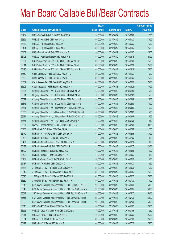|       |                                                                | No. of        |                     |               | <b>Amount raised</b> |
|-------|----------------------------------------------------------------|---------------|---------------------|---------------|----------------------|
| Code  | <b>Callable Bull/Bear Contracts</b>                            | issue (units) | <b>Listing date</b> | <b>Expiry</b> | $(HK$$ mil.)         |
| 66402 | UBS AG - Geely Auto R Bull CBBC Jun 2015 B                     | 50,000,000    | 2014/03/12          | 2015/06/08    | 12.50                |
| 66399 | UBS AG - HSI R Bull CBBC Nov 2014 L                            | 300,000,000   | 2014/03/12          | 2014/11/27    | 75.00                |
| 66369 | UBS AG - HSI R Bear CBBC Jun 2014 L                            | 300,000,000   | 2014/03/12          | 2014/06/27    | 75.00                |
| 66424 | UBS AG - HSI R Bear CBBC Jun 2014 X                            | 300,000,000   | 2014/03/12          | 2014/06/27    | 75.00                |
| 66407 | UBS AG - Hutchison R Bull CBBC Nov 2014 B                      | 100,000,000   | 2014/03/12          | 2014/11/03    | 25.00                |
| 66403 | UBS AG - Hutchison R Bear CBBC Aug 2014 B                      | 100,000,000   | 2014/03/12          | 2014/08/18    | 25.00                |
| 66597 | BNP Paribas Arbit Issu B.V. - HSI R Bull CBBC Dec 2014 O       | 300,000,000   | 2014/03/13          | 2014/12/30    | 75.00                |
| 66611 | BNP Paribas Arbit Issu B.V. - HSI R Bull CBBC Dec 2014 P       | 300,000,000   | 2014/03/13          | 2014/12/30    | 75.00                |
| 66496 | BNP Paribas Arbit Issu B.V. - HSI R Bear CBBC Aug 2014 P       | 300,000,000   | 2014/03/13          | 2014/08/28    | 75.00                |
| 66559 | Credit Suisse AG - HSI R Bull CBBC Nov 2014 D                  | 300,000,000   | 2014/03/13          | 2014/11/27    | 75.00                |
| 66560 | Credit Suisse AG - HSI R Bull CBBC Nov 2014 E                  | 300,000,000   | 2014/03/13          | 2014/11/27    | 75.00                |
| 66504 | Credit Suisse AG - HSI R Bear CBBC Aug 2014 X                  | 300,000,000   | 2014/03/13          | 2014/08/28    | 75.00                |
| 66506 | Credit Suisse AG - HSI R Bear CBBC Aug 2014 Y                  | 300,000,000   | 2014/03/13          | 2014/08/28    | 75.00                |
| 66567 | Citigroup Global Mkt H Inc. - BOCL R Bull CBBC Feb 2015 A      | 60,000,000    | 2014/03/13          | 2015/02/09    | 15.00                |
| 66571 | Citigroup Global Mkt H Inc. - BOCL R Bull CBBC Feb 2015 B      | 60,000,000    | 2014/03/13          | 2015/02/09    | 15.00                |
| 66572 | Citigroup Global Mkt H Inc. - BOCL R Bear CBBC Feb 2015 A      | 60,000,000    | 2014/03/13          | 2015/02/09    | 15.00                |
| 66573 | Citigroup Global Mkt H Inc. - BOCL R Bear CBBC Feb 2015 B      | 60,000,000    | 2014/03/13          | 2015/02/09    | 15.00                |
| 66581 | Citigroup Global Mkt H Inc. - Huishan Dairy R Bull CBBC Mar15A | 60,000,000    | 2014/03/13          | 2015/03/09    | 15.00                |
| 66583 | Citigroup Global Mkt H Inc. - Huishan Dairy R Bull CBBC Mar15B | 60,000,000    | 2014/03/13          | 2015/03/09    | 15.00                |
| 66584 | Citigroup Global Mkt H Inc. - Huishan Dairy R Bull CBBC Mar15C | 60,000,000    | 2014/03/13          | 2015/03/09    | 15.00                |
| 66574 | Citigroup Global Mkt H Inc. - TCH R Bull CBBC Jan 2015 A       | 50,000,000    | 2014/03/13          | 2015/01/26    | 12.50                |
| 66507 | Goldman Sachs SP (Asia) - HSI R Bull CBBC Jul 2014 V           | 150,000,000   | 2014/03/13          | 2014/07/30    | 38.55                |
| 66480 | HK Bank - COVS R Bear CBBC Dec 2014 A                          | 40,000,000    | 2014/03/13          | 2014/12/08    | 12.00                |
| 66479 | HK Bank - Cheung Kong R Bull CBBC Dec 2014 A                   | 60,000,000    | 2014/03/13          | 2014/12/08    | 15.00                |
| 66486 | HK Bank - CM Bank R Bull CBBC Dec 2014 A                       | 40,000,000    | 2014/03/13          | 2014/12/22    | 10.80                |
| 66467 | HK Bank - China Shenhua R Bear CBBC Oct 2014 A                 | 40,000,000    | 2014/03/13          | 2014/10/16    | 19.60                |
| 66488 | HK Bank - Galaxy Ent R Bull CBBC Oct 2014 G                    | 80,000,000    | 2014/03/13          | 2014/10/27    | 20.00                |
| 66490 | HK Bank - Ping An R Bull CBBC Dec 2014 A                       | 60,000,000    | 2014/03/13          | 2014/12/08    | 15.00                |
| 66495 | HK Bank - Ping An R Bear CBBC Oct 2014 A                       | 40,000,000    | 2014/03/13          | 2014/10/27    | 10.00                |
| 66489 | HK Bank - Sands China R Bull CBBC Oct 2014 D                   | 60,000,000    | 2014/03/13          | 2014/10/20    | 15.00                |
| 66487 | HK Bank - TCH R Bull CBBC Oct 2014 O                           | 50,000,000    | 2014/03/13          | 2014/10/23    | 12.50                |
| 66586 | J P Morgan SP BV - HSI R Bull CBBC Oct 2014 W                  | 300,000,000   | 2014/03/13          | 2014/10/30    | 75.00                |
| 66542 | J P Morgan SP BV - HSI R Bear CBBC Jun 2014 G                  | 300,000,000   | 2014/03/13          | 2014/06/27    | 75.00                |
| 66590 | J P Morgan SP BV - HSI R Bear CBBC Jun 2014 H                  | 300,000,000   | 2014/03/13          | 2014/06/27    | 75.00                |
| 66589 | J P Morgan SP BV - HSI R Bear CBBC Jul 2014 X                  | 300,000,000   | 2014/03/13          | 2014/07/30    | 75.00                |
| 66543 | SGA Societe Generale Acceptance N.V. - HSI R Bull CBBC Oct14 U | 200,000,000   | 2014/03/13          | 2014/10/30    | 50.00                |
| 66548 | SGA Societe Generale Acceptance N.V. - HSI R Bear CBBC Jun14 Y | 200,000,000   | 2014/03/13          | 2014/06/27    | 50.00                |
| 66549 | SGA Societe Generale Acceptance N.V. - HSI R Bear CBBC Jun14 Z | 200,000,000   | 2014/03/13          | 2014/06/27    | 50.00                |
| 66551 | SGA Societe Generale Acceptance N.V. - HSI R Bear CBBC Jul14 C | 200,000,000   | 2014/03/13          | 2014/07/30    | 50.00                |
| 66555 | SGA Societe Generale Acceptance N.V. - HSI R Bear CBBC Jul14 D | 200,000,000   | 2014/03/13          | 2014/07/30    | 50.00                |
| 66518 | UBS AG - A50 China R Bear CBBC Nov 2014 A                      | 100,000,000   | 2014/03/13          | 2014/11/03    | 25.00                |
| 66526 | UBS AG - Great Wall Motor R Bull CBBC Jul 2015 A               | 50,000,000    | 2014/03/13          | 2015/07/06    | 12.50                |
| 66514 | UBS AG - HSCEI R Bear CBBC Jun 2014 B                          | 100,000,000   | 2014/03/13          | 2014/06/27    | 25.00                |
| 66564 | UBS AG - HSI R Bull CBBC Dec 2014 N                            | 300,000,000   | 2014/03/13          | 2014/12/30    | 75.00                |
| 66497 | UBS AG - HSI R Bear CBBC Jul 2014 S                            | 300,000,000   | 2014/03/13          | 2014/07/30    | 75.00                |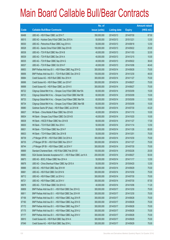|       |                                                                | No. of        |                     |               | <b>Amount raised</b> |
|-------|----------------------------------------------------------------|---------------|---------------------|---------------|----------------------|
| Code  | <b>Callable Bull/Bear Contracts</b>                            | issue (units) | <b>Listing date</b> | <b>Expiry</b> | (HK\$ mil.)          |
| 66498 | UBS AG - HSI R Bear CBBC Jul 2014 T                            | 350,000,000   | 2014/03/13          | 2014/07/30    | 87.50                |
| 66515 | UBS AG - Huishan Dairy R Bull CBBC Dec 2015 A                  | 50,000,000    | 2014/03/13          | 2015/12/21    | 12.50                |
| 66530 | UBS AG - Petrochina R Bear CBBC Aug 2014 A                     | 50,000,000    | 2014/03/13          | 2014/08/18    | 12.50                |
| 66528 | UBS AG - Sands China R Bull CBBC Sep 2014 B                    | 100,000,000   | 2014/03/13          | 2014/09/22    | 25.00                |
| 66538 | UBS AG - TCH R Bull CBBC Nov 2014 B                            | 40,000,000    | 2014/03/13          | 2014/11/03    | 32.00                |
| 66539 | UBS AG - TCH R Bull CBBC Dec 2014 A                            | 40,000,000    | 2014/03/13          | 2014/12/15    | 10.00                |
| 66535 | UBS AG - TCH R Bear CBBC Sep 2014 G                            | 40,000,000    | 2014/03/13          | 2014/09/22    | 38.40                |
| 66537 | UBS AG - TCH R Bear CBBC Oct 2014 F                            | 40,000,000    | 2014/03/13          | 2014/10/06    | 46.40                |
| 66653 | BNP Paribas Arbit Issu B.V. - HSI R Bear CBBC Aug 2014 Q       | 300,000,000   | 2014/03/14          | 2014/08/28    | 75.00                |
| 66656 | BNP Paribas Arbit Issu B.V. - TCH R Bull CBBC Dec 2014 D       | 100,000,000   | 2014/03/14          | 2014/12/30    | 48.00                |
| 66684 | Credit Suisse AG - HSI R Bull CBBC Nov 2014 H                  | 300,000,000   | 2014/03/14          | 2014/11/27    | 75.00                |
| 66696 | Credit Suisse AG - HSI R Bear CBBC Jun 2014 F                  | 300,000,000   | 2014/03/14          | 2014/06/27    | 75.00                |
| 66698 | Credit Suisse AG - HSI R Bear CBBC Jun 2014 X                  | 300,000,000   | 2014/03/14          | 2014/06/27    | 75.00                |
| 66722 | Citigroup Global Mkt H Inc. - Sinopec Corp R Bull CBBC Mar15A  | 60,000,000    | 2014/03/14          | 2015/03/09    | 15.00                |
| 66723 | Citigroup Global Mkt H Inc. - Sinopec Corp R Bull CBBC Mar15B  | 60,000,000    | 2014/03/14          | 2015/03/09    | 15.00                |
| 66733 | Citigroup Global Mkt H Inc. - Sinopec Corp R Bear CBBC Mar15A  | 60,000,000    | 2014/03/14          | 2015/03/09    | 15.00                |
| 66734 | Citigroup Global Mkt H Inc. - Sinopec Corp R Bear CBBC Mar15B  | 60,000,000    | 2014/03/14          | 2015/03/09    | 15.00                |
| 66680 | Goldman Sachs SP (Asia) - HSI R Bear CBBC Jul 2014 M           | 150,000,000   | 2014/03/14          | 2014/07/30    | 43.20                |
| 66637 | HK Bank - China Mobile R Bear CBBC Nov 2014 B                  | 40,000,000    | 2014/03/14          | 2014/11/10    | 10.00                |
| 66634 | HK Bank - Sinopec Corp R Bear CBBC Oct 2014 B                  | 40,000,000    | 2014/03/14          | 2014/10/20    | 10.00                |
| 66638 | HK Bank - HSCEI R Bear CBBC Nov 2014 B                         | 68,000,000    | 2014/03/14          | 2014/11/27    | 17.00                |
| 66630 | HK Bank - TCH R Bull CBBC Nov 2014 I                           | 50,000,000    | 2014/03/14          | 2014/11/14    | 12.50                |
| 66631 | HK Bank – TCH R Bear CBBC Nov 2014 F                           | 50,000,000    | 2014/03/14          | 2014/11/26    | 65.00                |
| 66633 | HK Bank - TCH R Bear CBBC Dec 2014 B                           | 50,000,000    | 2014/03/14          | 2014/12/01    | 75.00                |
| 66739 | J P Morgan SP BV - HSI R Bull CBBC Oct 2014 A                  | 300,000,000   | 2014/03/14          | 2014/10/30    | 75.00                |
| 66735 | J P Morgan SP BV - HSI R Bull CBBC Nov 2014 Y                  | 300,000,000   | 2014/03/14          | 2014/11/27    | 75.00                |
| 66744 | J P Morgan SP BV - HSI R Bear CBBC Jul 2014 Y                  | 300,000,000   | 2014/03/14          | 2014/07/30    | 75.00                |
| 66669 | Standard Chartered Bank - HSI R Bull CBBC Feb 2015 B           | 100,000,000   | 2014/03/14          | 2015/02/26    | 25.00                |
| 66683 | SGA Societe Generale Acceptance N.V. - HSI R Bear CBBC Jun14 A | 200,000,000   | 2014/03/14          | 2014/06/27    | 50.00                |
| 66673 | UBS AG - BOCL R Bear CBBC Nov 2014 A                           | 50,000,000    | 2014/03/14          | 2014/11/17    | 12.50                |
| 66678 | UBS AG - China Shenhua R Bear CBBC Apr 2015 A                  | 50,000,000    | 2014/03/14          | 2015/04/20    | 12.50                |
| 66666 | UBS AG - HSI R Bull CBBC Sep 2014 W                            | 300,000,000   | 2014/03/14          | 2014/09/29    | 75.00                |
| 66661 | UBS AG - HSI R Bull CBBC Oct 2014 N                            | 300,000,000   | 2014/03/14          | 2014/10/30    | 75.00                |
| 66712 | UBS AG - HSI R Bear CBBC Jul 2014 U                            | 300,000,000   | 2014/03/14          | 2014/07/30    | 75.00                |
| 66721 | UBS AG - HSI R Bear CBBC Jul 2014 V                            | 350,000,000   | 2014/03/14          | 2014/07/30    | 87.50                |
| 66679 | UBS AG - TCH R Bear CBBC Oct 2014 G                            | 40,000,000    | 2014/03/14          | 2014/10/06    | 11.20                |
| 66809 | BNP Paribas Arbit Issu B.V. - HSI R Bull CBBC Dec 2014 Q       | 300,000,000   | 2014/03/17          | 2014/12/30    | 75.00                |
| 66811 | BNP Paribas Arbit Issu B.V. - HSI R Bull CBBC Dec 2014 W       | 300,000,000   | 2014/03/17          | 2014/12/30    | 75.00                |
| 67156 | BNP Paribas Arbit Issu B.V. - HSI R Bear CBBC Aug 2014 R       | 300,000,000   | 2014/03/17          | 2014/08/28    | 75.00                |
| 67160 | BNP Paribas Arbit Issu B.V. - HSI R Bear CBBC Aug 2014 S       | 300,000,000   | 2014/03/17          | 2014/08/28    | 75.00                |
| 67172 | BNP Paribas Arbit Issu B.V. - HSI R Bear CBBC Aug 2014 T       | 300,000,000   | 2014/03/17          | 2014/08/28    | 75.00                |
| 67175 | BNP Paribas Arbit Issu B.V. - HSI R Bear CBBC Aug 2014 U       | 300,000,000   | 2014/03/17          | 2014/08/28    | 75.00                |
| 67177 | BNP Paribas Arbit Issu B.V. - HSI R Bear CBBC Aug 2014 V       | 300,000,000   | 2014/03/17          | 2014/08/28    | 75.00                |
| 66910 | Credit Suisse AG - HSI R Bull CBBC Sep 2014 A                  | 300,000,000   | 2014/03/17          | 2014/09/29    | 75.00                |
| 67049 | Credit Suisse AG - HSI R Bull CBBC Sep 2014 L                  | 300,000,000   | 2014/03/17          | 2014/09/29    | 75.00                |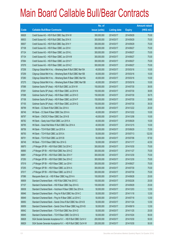|       |                                                                | No. of        |                     |               | <b>Amount raised</b> |
|-------|----------------------------------------------------------------|---------------|---------------------|---------------|----------------------|
| Code  | <b>Callable Bull/Bear Contracts</b>                            | issue (units) | <b>Listing date</b> | <b>Expiry</b> | $(HK$$ mil.)         |
| 66928 | Credit Suisse AG - HSI R Bull CBBC Sep 2014 W                  | 300,000,000   | 2014/03/17          | 2014/09/29    | 75.00                |
| 66933 | Credit Suisse AG - HSI R Bull CBBC Sep 2014 X                  | 300,000,000   | 2014/03/17          | 2014/09/29    | 75.00                |
| 66937 | Credit Suisse AG - HSI R Bull CBBC Sep 2014 Y                  | 300,000,000   | 2014/03/17          | 2014/09/29    | 75.00                |
| 67108 | Credit Suisse AG - HSI R Bear CBBC Jun 2014 I                  | 300,000,000   | 2014/03/17          | 2014/06/27    | 75.00                |
| 67124 | Credit Suisse AG - HSI R Bear CBBC Jun 2014 L                  | 300,000,000   | 2014/03/17          | 2014/06/27    | 75.00                |
| 67134 | Credit Suisse AG - HSI R Bear CBBC Jun 2014 M                  | 300,000,000   | 2014/03/17          | 2014/06/27    | 75.00                |
| 67064 | Credit Suisse AG - HSI R Bear CBBC Jun 2014 Y                  | 300,000,000   | 2014/03/17          | 2014/06/27    | 75.00                |
| 67079 | Credit Suisse AG - HSI R Bear CBBC Jun 2014 Z                  | 300,000,000   | 2014/03/17          | 2014/06/27    | 75.00                |
| 67258 | Citigroup Global Mkt H Inc. - Minsheng Bank R Bull CBBC Mar15A | 40,000,000    | 2014/03/17          | 2015/03/16    | 10.00                |
| 67259 | Citigroup Global Mkt H Inc. - Minsheng Bank R Bull CBBC Mar15B | 40,000,000    | 2014/03/17          | 2015/03/16    | 10.00                |
| 67260 | Citigroup Global Mkt H Inc. - Minsheng Bank R Bear CBBC Mar15A | 40,000,000    | 2014/03/17          | 2015/03/16    | 10.00                |
| 67275 | Citigroup Global Mkt H Inc. - Minsheng Bank R Bear CBBC Mar15B | 40,000,000    | 2014/03/17          | 2015/03/16    | 10.00                |
| 67088 | Goldman Sachs SP (Asia) - HSI R Bull CBBC Jul 2014 W           | 150,000,000   | 2014/03/17          | 2014/07/30    | 38.55                |
| 67091 | Goldman Sachs SP (Asia) - HSI R Bear CBBC Jul 2014 N           | 150,000,000   | 2014/03/17          | 2014/07/30    | 38.85                |
| 67098 | Goldman Sachs SP (Asia) - HSI R Bear CBBC Jul 2014 O           | 150,000,000   | 2014/03/17          | 2014/07/30    | 39.75                |
| 67106 | Goldman Sachs SP (Asia) - HSI R Bear CBBC Jul 2014 P           | 150,000,000   | 2014/03/17          | 2014/07/30    | 39.90                |
| 67155 | Goldman Sachs SP (Asia) - HSI R Bear CBBC Jul 2014 Q           | 150,000,000   | 2014/03/17          | 2014/07/30    | 39.30                |
| 66799 | HK Bank - CC Bank R Bull CBBC Dec 2014 A                       | 80,000,000    | 2014/03/17          | 2014/12/22    | 20.00                |
| 66746 | HK Bank - CC Bank R Bear CBBC Dec 2014 A                       | 40,000,000    | 2014/03/17          | 2014/12/22    | 10.00                |
| 66797 | HK Bank - CNOOC R Bear CBBC Dec 2014 B                         | 40,000,000    | 2014/03/17          | 2014/12/08    | 10.00                |
| 66782 | HK Bank - Geely Auto R Bull CBBC Jun 2015 A                    | 40,000,000    | 2014/03/17          | 2015/06/29    | 10.00                |
| 66795 | HK Bank - Great Wall Motor R Bull CBBC Dec 2014 A              | 40,000,000    | 2014/03/17          | 2014/12/15    | 10.00                |
| 66756 | HK Bank - TCH R Bull CBBC Jun 2015 A                           | 50,000,000    | 2014/03/17          | 2015/06/29    | 72.50                |
| 66750 | HK Bank - TCH R Bull CBBC Jul 2015 A                           | 50,000,000    | 2014/03/17          | 2015/07/13    | 122.50               |
| 66751 | HK Bank - TCH R Bull CBBC Jul 2015 B                           | 50,000,000    | 2014/03/17          | 2015/07/06    | 97.50                |
| 66748 | HK Bank - TCH R Bear CBBC Nov 2014 G                           | 50,000,000    | 2014/03/17          | 2014/11/17    | 42.50                |
| 66870 | J P Morgan SP BV - HSI R Bull CBBC Oct 2014 C                  | 300,000,000   | 2014/03/17          | 2014/10/30    | 75.00                |
| 66890 | J P Morgan SP BV - HSI R Bull CBBC Nov 2014 Z                  | 300,000,000   | 2014/03/17          | 2014/11/27    | 75.00                |
| 66891 | J P Morgan SP BV - HSI R Bull CBBC Dec 2014 Y                  | 300,000,000   | 2014/03/17          | 2014/12/30    | 75.00                |
| 67250 | J P Morgan SP BV - HSI R Bull CBBC Dec 2014 Z                  | 300,000,000   | 2014/03/17          | 2014/12/30    | 75.00                |
| 67019 | J P Morgan SP BV - HSI R Bear CBBC Jun 2014 I                  | 300,000,000   | 2014/03/17          | 2014/06/27    | 75.00                |
| 67255 | J P Morgan SP BV - HSI R Bear CBBC Jul 2014 A                  | 300,000,000   | 2014/03/17          | 2014/07/30    | 75.00                |
| 67017 | J P Morgan SP BV - HSI R Bear CBBC Jul 2014 Z                  | 300,000,000   | 2014/03/17          | 2014/07/30    | 75.00                |
| 67086 | Macquarie Bank Ltd. - HSI R Bear CBBC Aug 2014 A               | 100,000,000   | 2014/03/17          | 2014/08/28    | 25.00                |
| 66909 | Standard Chartered Bank - HSI R Bull CBBC Feb 2015 C           | 100,000,000   | 2014/03/17          | 2015/02/26    | 25.00                |
| 67107 | Standard Chartered Bank - HSI R Bear CBBC Sep 2014 G           | 100,000,000   | 2014/03/17          | 2014/09/29    | 25.00                |
| 66938 | Standard Chartered Bank - Hutchison R Bear CBBC Dec 2014 A     | 50,000,000    | 2014/03/17          | 2014/12/03    | 12.50                |
| 66946 | Standard Chartered Bank - Ping An R Bull CBBC Nov 2014 C       | 50,000,000    | 2014/03/17          | 2014/11/18    | 12.50                |
| 66949 | Standard Chartered Bank - Ping An R Bear CBBC Jul 2014 C       | 50,000,000    | 2014/03/17          | 2014/07/18    | 12.50                |
| 66950 | Standard Chartered Bank - Sands China R Bull CBBC Nov 2014 B   | 50,000,000    | 2014/03/17          | 2014/11/24    | 12.50                |
| 66959 | Standard Chartered Bank - Sands China R Bear CBBC Aug 2014 B   | 50,000,000    | 2014/03/17          | 2014/08/19    | 12.50                |
| 66942 | Standard Chartered Bank - TCH R Bull CBBC Nov 2014 D           | 50,000,000    | 2014/03/17          | 2014/11/25    | 25.00                |
| 66945 | Standard Chartered Bank - TCH R Bear CBBC Oct 2014 G           | 50,000,000    | 2014/03/17          | 2014/10/24    | 56.00                |
| 66828 | SGA Societe Generale Acceptance N.V. - HSI R Bull CBBC Oct14 V | 200,000,000   | 2014/03/17          | 2014/10/30    | 50.00                |
| 66829 | SGA Societe Generale Acceptance N.V. - HSI R Bull CBBC Oct14 W | 200,000,000   | 2014/03/17          | 2014/10/30    | 50.00                |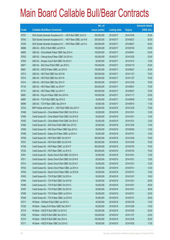|       |                                                                | No. of        |                     |               | <b>Amount raised</b> |
|-------|----------------------------------------------------------------|---------------|---------------------|---------------|----------------------|
| Code  | <b>Callable Bull/Bear Contracts</b>                            | issue (units) | <b>Listing date</b> | <b>Expiry</b> | $(HK$$ mil.)         |
| 67037 | SGA Societe Generale Acceptance N.V. - HSI R Bull CBBC Oct14 X | 200,000,000   | 2014/03/17          | 2014/10/30    | 50.00                |
| 67042 | SGA Societe Generale Acceptance N.V. - HSI R Bear CBBC Jun14 B | 200,000,000   | 2014/03/17          | 2014/06/27    | 50.00                |
| 67045 | SGA Societe Generale Acceptance N.V. - HSI R Bear CBBC Jun14 C | 200,000,000   | 2014/03/17          | 2014/06/27    | 50.00                |
| 66966 | UBS AG - BOCL R Bull CBBC Jul 2015 A                           | 100,000,000   | 2014/03/17          | 2015/07/20    | 25.00                |
| 66983 | UBS AG - China Mobile R Bear CBBC Sep 2014 A                   | 100,000,000   | 2014/03/17          | 2014/09/01    | 25.00                |
| 67003 | UBS AG - Cheung Kong R Bear CBBC Oct 2014 A                    | 100,000,000   | 2014/03/17          | 2014/10/20    | 25.00                |
| 67002 | UBS AG - Sinopec Corp R Bull CBBC Oct 2014 C                   | 50,000,000    | 2014/03/17          | 2014/10/13    | 12.50                |
| 66977 | UBS AG - A50 China R Bull CBBC Jan 2015 C                      | 100,000,000   | 2014/03/17          | 2015/01/19    | 25.00                |
| 66961 | UBS AG - HSCEI R Bear CBBC Jun 2014 C                          | 100,000,000   | 2014/03/17          | 2014/06/27    | 25.00                |
| 67013 | UBS AG - HSI R Bull CBBC Nov 2014 M                            | 300,000,000   | 2014/03/17          | 2014/11/27    | 75.00                |
| 67015 | UBS AG - HSI R Bull CBBC Nov 2014 N                            | 300,000,000   | 2014/03/17          | 2014/11/27    | 75.00                |
| 67014 | UBS AG - HSI R Bull CBBC Dec 2014 O                            | 300,000,000   | 2014/03/17          | 2014/12/30    | 75.00                |
| 67154 | UBS AG - HSI R Bear CBBC Jun 2014 F                            | 300,000,000   | 2014/03/17          | 2014/06/27    | 75.00                |
| 67151 | UBS AG - HSI R Bear CBBC Jun 2014 Y                            | 300,000,000   | 2014/03/17          | 2014/06/27    | 75.00                |
| 66981 | UBS AG - Ping An R Bear CBBC Nov 2014 A                        | 100,000,000   | 2014/03/17          | 2014/11/17    | 25.00                |
| 66987 | UBS AG - TCH R Bull CBBC Sep 2014 D                            | 40,000,000    | 2014/03/17          | 2014/09/08    | 10.00                |
| 66999 | UBS AG - TCH R Bear CBBC Sep 2014 H                            | 40,000,000    | 2014/03/17          | 2014/09/15    | 11.00                |
| 67323 | BNP Paribas Arbit Issu B.V. - HSI R Bull CBBC Dec 2014 Y       | 300,000,000   | 2014/03/18          | 2014/12/30    | 75.00                |
| 67468 | Credit Suisse AG - China Mobile R Bull CBBC Oct 2014 A         | 50,000,000    | 2014/03/18          | 2014/10/31    | 12.50                |
| 67480 | Credit Suisse AG - China Mobile R Bull CBBC Oct 2014 B         | 50,000,000    | 2014/03/18          | 2014/10/31    | 12.50                |
| 67492 | Credit Suisse AG - China Mobile R Bull CBBC Oct 2014 C         | 50,000,000    | 2014/03/18          | 2014/10/31    | 12.50                |
| 67464 | Credit Suisse AG - A50 China R Bull CBBC Dec 2014 D            | 50,000,000    | 2014/03/18          | 2014/12/30    | 12.50                |
| 67465 | Credit Suisse AG - A50 China R Bear CBBC Sep 2014 A            | 50,000,000    | 2014/03/18          | 2014/09/30    | 12.50                |
| 67466 | Credit Suisse AG - Galaxy Ent R Bear CBBC Jul 2014 A           | 50,000,000    | 2014/03/18          | 2014/07/31    | 12.50                |
| 67536 | Credit Suisse AG - HSI R Bull CBBC Oct 2014 P                  | 300,000,000   | 2014/03/18          | 2014/10/30    | 75.00                |
| 67537 | Credit Suisse AG - HSI R Bull CBBC Oct 2014 W                  | 300,000,000   | 2014/03/18          | 2014/10/30    | 75.00                |
| 67336 | Credit Suisse AG - HSI R Bear CBBC Jul 2014 P                  | 300,000,000   | 2014/03/18          | 2014/07/30    | 75.00                |
| 67335 | Credit Suisse AG - HSI R Bear CBBC Jul 2014 Q                  | 300,000,000   | 2014/03/18          | 2014/07/30    | 75.00                |
| 67501 | Credit Suisse AG - Sands China R Bull CBBC Oct 2014 A          | 50,000,000    | 2014/03/18          | 2014/10/31    | 12.50                |
| 67511 | Credit Suisse AG - Sands China R Bull CBBC Oct 2014 B          | 50,000,000    | 2014/03/18          | 2014/10/31    | 12.50                |
| 67514 | Credit Suisse AG - Sands China R Bull CBBC Oct 2014 C          | 50,000,000    | 2014/03/18          | 2014/10/31    | 12.50                |
| 67532 | Credit Suisse AG - Sands China R Bear CBBC Jul 2014 A          | 50,000,000    | 2014/03/18          | 2014/07/31    | 12.50                |
| 67535 | Credit Suisse AG - Sands China R Bear CBBC Jul 2014 B          | 50,000,000    | 2014/03/18          | 2014/07/31    | 12.50                |
| 67493 | Credit Suisse AG - TCH R Bull CBBC Oct 2014 A                  | 50,000,000    | 2014/03/18          | 2014/10/31    | 18.50                |
| 67494 | Credit Suisse AG - TCH R Bull CBBC Oct 2014 B                  | 50,000,000    | 2014/03/18          | 2014/10/31    | 28.50                |
| 67496 | Credit Suisse AG - TCH R Bull CBBC Oct 2014 C                  | 50,000,000    | 2014/03/18          | 2014/10/31    | 38.50                |
| 67497 | Credit Suisse AG - TCH R Bull CBBC Oct 2014 D                  | 50,000,000    | 2014/03/18          | 2014/10/31    | 48.50                |
| 67498 | Credit Suisse AG - TCH R Bear CBBC Jul 2014 A                  | 50,000,000    | 2014/03/18          | 2014/07/31    | 23.00                |
| 67499 | Credit Suisse AG - TCH R Bear CBBC Jul 2014 B                  | 50,000,000    | 2014/03/18          | 2014/07/31    | 38.00                |
| 67317 | HK Bank - CM Bank R Bull CBBC Jan 2015 A                       | 40,000,000    | 2014/03/18          | 2015/01/26    | 13.20                |
| 67320 | HK Bank - Galaxy Ent R Bear CBBC Dec 2014 F                    | 60,000,000    | 2014/03/18          | 2014/12/08    | 15.00                |
| 67316 | HK Bank - HSCEI R Bull CBBC Oct 2014 D                         | 100,000,000   | 2014/03/18          | 2014/10/30    | 25.00                |
| 67292 | HK Bank - HSCEI R Bull CBBC Nov 2014 C                         | 100,000,000   | 2014/03/18          | 2014/11/27    | 25.00                |
| 67310 | HK Bank - HSCEI R Bull CBBC Dec 2014 A                         | 100,000,000   | 2014/03/18          | 2014/12/30    | 25.00                |
| 67311 | HK Bank - HSCEI R Bear CBBC Oct 2014 D                         | 68,000,000    | 2014/03/18          | 2014/10/30    | 17.00                |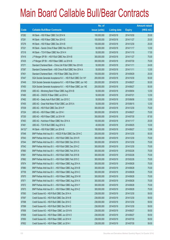|             |                                                                | No. of        |                     |               | <b>Amount raised</b> |
|-------------|----------------------------------------------------------------|---------------|---------------------|---------------|----------------------|
| <b>Code</b> | <b>Callable Bull/Bear Contracts</b>                            | issue (units) | <b>Listing date</b> | <b>Expiry</b> | $(HK$$ mil.)         |
| 67282       | HK Bank - HSI R Bear CBBC Oct 2014 N                           | 100,000,000   | 2014/03/18          | 2014/10/30    | 25.00                |
| 67281       | HK Bank - HSI R Bear CBBC Nov 2014 E                           | 100,000,000   | 2014/03/18          | 2014/11/27    | 25.00                |
| 67276       | HK Bank - HSI R Bear CBBC Dec 2014 B                           | 100,000,000   | 2014/03/18          | 2014/12/30    | 25.00                |
| 67321       | HK Bank - Sands China R Bear CBBC Nov 2014 E                   | 50,000,000    | 2014/03/18          | 2014/11/17    | 12.50                |
| 67318       | HK Bank - TCH R Bear CBBC Nov 2014 H                           | 50,000,000    | 2014/03/18          | 2014/11/10    | 17.50                |
| 67416       | J P Morgan SP BV - HSI R Bull CBBC Nov 2014 B                  | 300,000,000   | 2014/03/18          | 2014/11/27    | 75.00                |
| 67435       | J P Morgan SP BV - HSI R Bear CBBC Jul 2014 B                  | 300,000,000   | 2014/03/18          | 2014/07/30    | 75.00                |
| 67371       | Standard Chartered Bank - China Life R Bull CBBC Nov 2014 B    | 50,000,000    | 2014/03/18          | 2014/11/11    | 24.00                |
| 67367       | Standard Chartered Bank - A50 China R Bull CBBC Nov 2014 A     | 50,000,000    | 2014/03/18          | 2014/11/11    | 12.50                |
| 67401       | Standard Chartered Bank - HSI R Bear CBBC Sep 2014 H           | 100,000,000   | 2014/03/18          | 2014/09/29    | 25.00                |
| 67447       | SGA Societe Generale Acceptance N.V. - HSI R Bull CBBC Oct 14Y | 200,000,000   | 2014/03/18          | 2014/10/30    | 50.00                |
| 67449       | SGA Societe Generale Acceptance N.V. - HSI R Bear CBBC Jun 14D | 200,000,000   | 2014/03/18          | 2014/06/27    | 50.00                |
| 67450       | SGA Societe Generale Acceptance N.V. - HSI R Bear CBBC Jun 14E | 200,000,000   | 2014/03/18          | 2014/06/27    | 50.00                |
| 67459       | UBS AG - Minsheng Bank R Bear CBBC Aug 2014 B                  | 50,000,000    | 2014/03/18          | 2014/08/04    | 12.50                |
| 67460       | UBS AG - CNOOC R Bear CBBC Jul 2014 A                          | 50,000,000    | 2014/03/18          | 2014/07/21    | 12.50                |
| 67462       | UBS AG - Geely Auto R Bull CBBC Jun 2015 C                     | 50,000,000    | 2014/03/18          | 2015/06/08    | 12.50                |
| 67455       | UBS AG - Great Wall Motor R Bull CBBC Jun 2015 A               | 50,000,000    | 2014/03/18          | 2015/06/15    | 12.50                |
| 67539       | UBS AG - HSI R Bull CBBC Dec 2014 P                            | 300,000,000   | 2014/03/18          | 2014/12/30    | 75.00                |
| 67324       | UBS AG - HSI R Bear CBBC Jun 2014 I                            | 300,000,000   | 2014/03/18          | 2014/06/27    | 75.00                |
| 67330       | UBS AG - HSI R Bear CBBC Jul 2014 W                            | 350,000,000   | 2014/03/18          | 2014/07/30    | 87.50                |
| 67463       | UBS AG - Hutchison R Bear CBBC Nov 2014 A                      | 100,000,000   | 2014/03/18          | 2014/11/17    | 25.00                |
| 67461       | UBS AG - TCH R Bull CBBC Aug 2014 G                            | 40,000,000    | 2014/03/18          | 2014/08/25    | 10.00                |
| 64132#      | HK Bank - HSI R Bull CBBC Jun 2014 B                           | 180,000,000   | 2014/03/18          | 2014/06/27    | 12.96                |
| 67548       | BNP Paribas Arbit Issu B.V. - HSCEI R Bull CBBC Dec 2014 C     | 200,000,000   | 2014/03/19          | 2014/12/30    | 50.00                |
| 67543       | BNP Paribas Arbit Issu B.V. - HSI R Bull CBBC Dec 2014 R       | 300,000,000   | 2014/03/19          | 2014/12/30    | 75.00                |
| 67544       | BNP Paribas Arbit Issu B.V. - HSI R Bull CBBC Dec 2014 S       | 300,000,000   | 2014/03/19          | 2014/12/30    | 75.00                |
| 67542       | BNP Paribas Arbit Issu B.V. - HSI R Bull CBBC Dec 2014 Z       | 300,000,000   | 2014/03/19          | 2014/12/30    | 75.00                |
| 67660       | BNP Paribas Arbit Issu B.V. - HSI R Bull CBBC Feb 2015 A       | 300,000,000   | 2014/03/19          | 2015/02/26    | 75.00                |
| 67661       | BNP Paribas Arbit Issu B.V. - HSI R Bull CBBC Feb 2015 B       | 300,000,000   | 2014/03/19          | 2015/02/26    | 75.00                |
| 67662       | BNP Paribas Arbit Issu B.V. - HSI R Bull CBBC Feb 2015 C       | 300,000,000   | 2014/03/19          | 2015/02/26    | 75.00                |
| 67674       | BNP Paribas Arbit Issu B.V. - HSI R Bear CBBC Aug 2014 A       | 300,000,000   | 2014/03/19          | 2014/08/28    | 75.00                |
| 67680       | BNP Paribas Arbit Issu B.V. - HSI R Bear CBBC Aug 2014 B       | 300,000,000   | 2014/03/19          | 2014/08/28    | 75.00                |
| 67709       | BNP Paribas Arbit Issu B.V. - HSI R Bear CBBC Aug 2014 C       | 300,000,000   | 2014/03/19          | 2014/08/28    | 75.00                |
| 67670       | BNP Paribas Arbit Issu B.V. - HSI R Bear CBBC Aug 2014 W       | 300,000,000   | 2014/03/19          | 2014/08/28    | 75.00                |
| 67671       | BNP Paribas Arbit Issu B.V. - HSI R Bear CBBC Aug 2014 X       | 300,000,000   | 2014/03/19          | 2014/08/28    | 75.00                |
| 67672       | BNP Paribas Arbit Issu B.V. - HSI R Bear CBBC Aug 2014 Y       | 300,000,000   | 2014/03/19          | 2014/08/28    | 75.00                |
| 67673       | BNP Paribas Arbit Issu B.V. - HSI R Bear CBBC Aug 2014 Z       | 300,000,000   | 2014/03/19          | 2014/08/28    | 75.00                |
| 67593       | Credit Suisse AG - HSI R Bull CBBC Dec 2014 A                  | 238,000,000   | 2014/03/19          | 2014/12/30    | 59.50                |
| 67597       | Credit Suisse AG - HSI R Bull CBBC Dec 2014 B                  | 238,000,000   | 2014/03/19          | 2014/12/30    | 59.50                |
| 67598       | Credit Suisse AG - HSI R Bull CBBC Dec 2014 C                  | 238,000,000   | 2014/03/19          | 2014/12/30    | 59.50                |
| 67599       | Credit Suisse AG - HSI R Bull CBBC Dec 2014 D                  | 238,000,000   | 2014/03/19          | 2014/12/30    | 59.50                |
| 67656       | Credit Suisse AG - HSI R Bear CBBC Jun 2014 N                  | 238,000,000   | 2014/03/19          | 2014/06/27    | 59.50                |
| 67658       | Credit Suisse AG - HSI R Bear CBBC Jun 2014 O                  | 238,000,000   | 2014/03/19          | 2014/06/27    | 59.50                |
| 67650       | Credit Suisse AG - HSI R Bear CBBC Jul 2014 H                  | 238,000,000   | 2014/03/19          | 2014/07/30    | 59.50                |
| 67652       | Credit Suisse AG - HSI R Bear CBBC Jul 2014 I                  | 238,000,000   | 2014/03/19          | 2014/07/30    | 59.50                |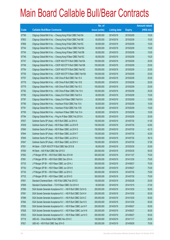|             |                                                                | No. of        |                     |               | <b>Amount raised</b> |
|-------------|----------------------------------------------------------------|---------------|---------------------|---------------|----------------------|
| <b>Code</b> | <b>Callable Bull/Bear Contracts</b>                            | issue (units) | <b>Listing date</b> | <b>Expiry</b> | (HK\$ mil.)          |
| 67796       | Citigroup Global Mkt H Inc. - Cheung Kong R Bull CBBC Feb15A   | 60,000,000    | 2014/03/19          | 2015/02/09    | 19.20                |
| 67803       | Citigroup Global Mkt H Inc. - Cheung Kong R Bull CBBC Feb15B   | 60,000,000    | 2014/03/19          | 2015/02/09    | 15.00                |
| 67806       | Citigroup Global Mkt H Inc. - Cheung Kong R Bull CBBC Feb15C   | 60,000,000    | 2014/03/19          | 2015/02/09    | 15.00                |
| 67744       | Citigroup Global Mkt H Inc. - Cheung Kong R Bear CBBC Feb15A   | 60,000,000    | 2014/03/19          | 2015/02/09    | 15.00                |
| 67745       | Citigroup Global Mkt H Inc. - Cheung Kong R Bear CBBC Feb15B   | 60,000,000    | 2014/03/19          | 2015/02/09    | 15.00                |
| 67746       | Citigroup Global Mkt H Inc. - Cheung Kong R Bear CBBC Feb15C   | 60,000,000    | 2014/03/19          | 2015/02/09    | 19.20                |
| 67747       | Citigroup Global Mkt H Inc. - CSOP A50 ETF R Bull CBBC Feb15A  | 100,000,000   | 2014/03/19          | 2015/02/09    | 25.00                |
| 67748       | Citigroup Global Mkt H Inc. - CSOP A50 ETF R Bull CBBC Feb15B  | 100,000,000   | 2014/03/19          | 2015/02/09    | 25.00                |
| 67754       | Citigroup Global Mkt H Inc. - CSOP A50 ETF R Bull CBBC Feb15C  | 100,000,000   | 2014/03/19          | 2015/02/09    | 25.00                |
| 67755       | Citigroup Global Mkt H Inc. - CSOP A50 ETF R Bear CBBC Feb15A  | 100,000,000   | 2014/03/19          | 2015/02/09    | 25.00                |
| 67757       | Citigroup Global Mkt H Inc. - A50 China R Bull CBBC Feb 15 A   | 100,000,000   | 2014/03/19          | 2015/02/09    | 25.00                |
| 67778       | Citigroup Global Mkt H Inc. - A50 China R Bull CBBC Feb 15 B   | 100,000,000   | 2014/03/19          | 2015/02/09    | 25.00                |
| 67779       | Citigroup Global Mkt H Inc. - A50 China R Bull CBBC Feb 15 C   | 100,000,000   | 2014/03/19          | 2015/02/09    | 25.00                |
| 67782       | Citigroup Global Mkt H Inc. - A50 China R Bear CBBC Feb 15 A   | 100,000,000   | 2014/03/19          | 2015/02/09    | 25.00                |
| 67785       | Citigroup Global Mkt H Inc. - Galaxy Ent R Bull CBBC Feb15 A   | 60,000,000    | 2014/03/19          | 2015/02/09    | 15.00                |
| 67787       | Citigroup Global Mkt H Inc. - Galaxy Ent R Bear CBBC Feb15 A   | 60,000,000    | 2014/03/19          | 2015/02/09    | 15.00                |
| 67790       | Citigroup Global Mkt H Inc. - Hutchison R Bull CBBC Feb 15 A   | 60,000,000    | 2014/03/19          | 2015/02/09    | 15.00                |
| 67791       | Citigroup Global Mkt H Inc. - Hutchison R Bull CBBC Feb 15 B   | 60,000,000    | 2014/03/19          | 2015/02/09    | 15.00                |
| 67795       | Citigroup Global Mkt H Inc. - Hutchison R Bear CBBC Feb 15 A   | 60,000,000    | 2014/03/19          | 2015/02/09    | 15.00                |
| 67784       | Citigroup Global Mkt H Inc. - Ping An R Bear CBBC Feb 2015 A   | 80,000,000    | 2014/03/19          | 2015/02/09    | 20.00                |
| 67637       | Goldman Sachs SP (Asia) - HSI R Bull CBBC Jul 2014 X           | 150,000,000   | 2014/03/19          | 2014/07/30    | 41.55                |
| 67639       | Goldman Sachs SP (Asia) - HSI R Bear CBBC Jul 2014 R           | 150,000,000   | 2014/03/19          | 2014/07/30    | 42.60                |
| 67640       | Goldman Sachs SP (Asia) - HSI R Bear CBBC Jul 2014 S           | 150,000,000   | 2014/03/19          | 2014/07/30    | 42.15                |
| 67644       | Goldman Sachs SP (Asia) - HSI R Bear CBBC Jul 2014 T           | 150,000,000   | 2014/03/19          | 2014/07/30    | 42.00                |
| 67645       | Goldman Sachs SP (Asia) - HSI R Bear CBBC Jul 2014 U           | 150,000,000   | 2014/03/19          | 2014/07/30    | 38.10                |
| 67647       | Goldman Sachs SP (Asia) - HSI R Bear CBBC Jul 2014 V           | 150,000,000   | 2014/03/19          | 2014/07/30    | 37.95                |
| 67551       | HK Bank - CSOP A50 ETF R Bull CBBC Mar 2015 B                  | 80,000,000    | 2014/03/19          | 2015/03/30    | 20.00                |
| 67550       | HK Bank - A50 R Bull CBBC Mar 2015 D                           | 200,000,000   | 2014/03/19          | 2015/03/30    | 50.00                |
| 67563       | J P Morgan SP BV - HSI R Bull CBBC Nov 2014 M                  | 300,000,000   | 2014/03/19          | 2014/11/27    | 75.00                |
| 67561       | J P Morgan SP BV - HSI R Bull CBBC Dec 2014 A                  | 300,000,000   | 2014/03/19          | 2014/12/30    | 75.00                |
| 67733       | J P Morgan SP BV - HSI R Bear CBBC Jun 2014 J                  | 300,000,000   | 2014/03/19          | 2014/06/27    | 75.00                |
| 67742       | J P Morgan SP BV - HSI R Bear CBBC Jun 2014 K                  | 300,000,000   | 2014/03/19          | 2014/06/27    | 75.00                |
| 67730       | J P Morgan SP BV - HSI R Bear CBBC Jul 2014 C                  | 300,000,000   | 2014/03/19          | 2014/07/30    | 75.00                |
| 67732       | J P Morgan SP BV - HSI R Bear CBBC Jul 2014 D                  | 300,000,000   | 2014/03/19          | 2014/07/30    | 75.00                |
| 67601       | Standard Chartered Bank - HSI R Bull CBBC Feb 2015 D           | 100,000,000   | 2014/03/19          | 2015/02/26    | 25.00                |
| 67659       | Standard Chartered Bank - TCH R Bear CBBC Oct 2014 H           | 50,000,000    | 2014/03/19          | 2014/10/15    | 27.00                |
| 67590       | SGA Societe Generale Acceptance N.V. - HSI R Bull CBBC Oct14 G | 200,000,000   | 2014/03/19          | 2014/10/30    | 50.00                |
| 67591       | SGA Societe Generale Acceptance N.V. - HSI R Bull CBBC Oct14 H | 200,000,000   | 2014/03/19          | 2014/10/30    | 50.00                |
| 67589       | SGA Societe Generale Acceptance N.V. - HSI R Bull CBBC Oct14 Z | 200,000,000   | 2014/03/19          | 2014/10/30    | 50.00                |
| 67564       | SGA Societe Generale Acceptance N.V. - HSI R Bull CBBC Dec14 S | 200,000,000   | 2014/03/19          | 2014/12/30    | 50.00                |
| 67592       | SGA Societe Generale Acceptance N.V. - HSI R Bear CBBC Jun14 F | 200,000,000   | 2014/03/19          | 2014/06/27    | 50.00                |
| 67628       | SGA Societe Generale Acceptance N.V. - HSI R Bear CBBC Jun14 N | 200,000,000   | 2014/03/19          | 2014/06/27    | 50.00                |
| 67633       | SGA Societe Generale Acceptance N.V. - HSI R Bear CBBC Jun14 O | 200,000,000   | 2014/03/19          | 2014/06/27    | 50.00                |
| 67716       | UBS AG - China Mobile R Bull CBBC Nov 2014 C                   | 100,000,000   | 2014/03/19          | 2014/11/17    | 25.00                |
| 67621       | UBS AG - HSI R Bull CBBC Sep 2014 S                            | 300,000,000   | 2014/03/19          | 2014/09/29    | 75.00                |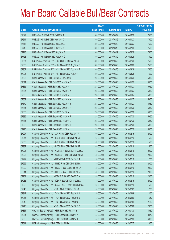|       |                                                              | No. of        |                     |               | <b>Amount raised</b> |
|-------|--------------------------------------------------------------|---------------|---------------------|---------------|----------------------|
| Code  | <b>Callable Bull/Bear Contracts</b>                          | issue (units) | <b>Listing date</b> | <b>Expiry</b> | (HK\$ mil.)          |
| 67627 | UBS AG - HSI R Bull CBBC Oct 2014 S                          | 300,000,000   | 2014/03/19          | 2014/10/30    | 75.00                |
| 67614 | UBS AG - HSI R Bull CBBC Nov 2014 O                          | 300,000,000   | 2014/03/19          | 2014/11/27    | 75.00                |
| 67713 | UBS AG - HSI R Bear CBBC Jun 2014 Z                          | 300,000,000   | 2014/03/19          | 2014/06/27    | 75.00                |
| 67719 | UBS AG - HSI R Bear CBBC Jul 2014 X                          | 300,000,000   | 2014/03/19          | 2014/07/30    | 75.00                |
| 67718 | UBS AG - HSI R Bear CBBC Aug 2014 F                          | 300,000,000   | 2014/03/19          | 2014/08/28    | 75.00                |
| 67723 | UBS AG - HSI R Bear CBBC Aug 2014 G                          | 300,000,000   | 2014/03/19          | 2014/08/28    | 75.00                |
| 67887 | BNP Paribas Arbit Issu B.V. - HSI R Bull CBBC Dec 2014 V     | 300,000,000   | 2014/03/20          | 2014/12/30    | 75.00                |
| 67888 | BNP Paribas Arbit Issu B.V. - HSI R Bear CBBC Aug 2014 D     | 300,000,000   | 2014/03/20          | 2014/08/28    | 75.00                |
| 67902 | BNP Paribas Arbit Issu B.V. - HSI R Bear CBBC Aug 2014 E     | 300,000,000   | 2014/03/20          | 2014/08/28    | 75.00                |
| 67904 | BNP Paribas Arbit Issu B.V. - HSI R Bear CBBC Aug 2014 F     | 300,000,000   | 2014/03/20          | 2014/08/28    | 75.00                |
| 67863 | Credit Suisse AG - HSI R Bull CBBC Oct 2014 G                | 238,000,000   | 2014/03/20          | 2014/10/30    | 59.50                |
| 67871 | Credit Suisse AG - HSI R Bull CBBC Nov 2014 F                | 238,000,000   | 2014/03/20          | 2014/11/27    | 59.50                |
| 67865 | Credit Suisse AG - HSI R Bull CBBC Nov 2014 I                | 238,000,000   | 2014/03/20          | 2014/11/27    | 59.50                |
| 67867 | Credit Suisse AG - HSI R Bull CBBC Nov 2014 K                | 238,000,000   | 2014/03/20          | 2014/11/27    | 59.50                |
| 67866 | Credit Suisse AG - HSI R Bull CBBC Nov 2014 L                | 238,000,000   | 2014/03/20          | 2014/11/27    | 59.50                |
| 67869 | Credit Suisse AG - HSI R Bull CBBC Nov 2014 X                | 238,000,000   | 2014/03/20          | 2014/11/27    | 59.50                |
| 67870 | Credit Suisse AG - HSI R Bull CBBC Nov 2014 Y                | 238,000,000   | 2014/03/20          | 2014/11/27    | 59.50                |
| 67864 | Credit Suisse AG - HSI R Bull CBBC Dec 2014 H                | 238,000,000   | 2014/03/20          | 2014/12/30    | 59.50                |
| 67868 | Credit Suisse AG - HSI R Bull CBBC Dec 2014 I                | 238,000,000   | 2014/03/20          | 2014/12/30    | 59.50                |
| 67835 | Credit Suisse AG - HSI R Bear CBBC Jul 2014 F                | 238,000,000   | 2014/03/20          | 2014/07/30    | 59.50                |
| 67834 | Credit Suisse AG - HSI R Bear CBBC Jul 2014 O                | 238,000,000   | 2014/03/20          | 2014/07/30    | 59.50                |
| 67928 | Credit Suisse AG - HSI R Bear CBBC Jul 2014 T                | 238,000,000   | 2014/03/20          | 2014/07/30    | 59.50                |
| 67940 | Credit Suisse AG - HSI R Bear CBBC Jul 2014 U                | 238,000,000   | 2014/03/20          | 2014/07/30    | 59.50                |
| 67997 | Citigroup Global Mkt H Inc. - AIA R Bear CBBC Feb 2015 A     | 100,000,000   | 2014/03/20          | 2015/02/16    | 25.00                |
| 67977 | Citigroup Global Mkt H Inc. - BOCL R Bull CBBC Feb 2015 C    | 60,000,000    | 2014/03/20          | 2015/02/16    | 15.00                |
| 67980 | Citigroup Global Mkt H Inc. - BOCL R Bull CBBC Feb 2015 D    | 60,000,000    | 2014/03/20          | 2015/02/16    | 15.00                |
| 67982 | Citigroup Global Mkt H Inc. - BOCL R Bull CBBC Feb 2015 E    | 60,000,000    | 2014/03/20          | 2015/02/16    | 15.00                |
| 67994 | Citigroup Global Mkt H Inc. - CC Bank R Bull CBBC Feb 2015 A | 80,000,000    | 2014/03/20          | 2015/02/16    | 20.00                |
| 67995 | Citigroup Global Mkt H Inc. - CC Bank R Bear CBBC Feb 2015 A | 80,000,000    | 2014/03/20          | 2015/02/16    | 20.00                |
| 67992 | Citigroup Global Mkt H Inc. - HKEx R Bull CBBC Feb 2015 A    | 50,000,000    | 2014/03/20          | 2015/02/16    | 12.50                |
| 67999 | Citigroup Global Mkt H Inc. - HSBC R Bull CBBC Feb 2015 A    | 80,000,000    | 2014/03/20          | 2015/02/16    | 20.00                |
| 68009 | Citigroup Global Mkt H Inc. - HSBC R Bear CBBC Feb 2015 A    | 80,000,000    | 2014/03/20          | 2015/02/16    | 20.00                |
| 68011 | Citigroup Global Mkt H Inc. - HSBC R Bear CBBC Feb 2015 B    | 80,000,000    | 2014/03/20          | 2015/02/16    | 20.00                |
| 67984 | Citigroup Global Mkt H Inc. - ICBC R Bull CBBC Feb 2015 A    | 80,000,000    | 2014/03/20          | 2015/02/16    | 20.00                |
| 67985 | Citigroup Global Mkt H Inc. - ICBC R Bear CBBC Feb 2015 A    | 80,000,000    | 2014/03/20          | 2015/02/16    | 20.00                |
| 67996 | Citigroup Global Mkt H Inc. - Sands China R Bear CBBC Feb15A | 60,000,000    | 2014/03/20          | 2015/02/16    | 15.00                |
| 67943 | Citigroup Global Mkt H Inc. - TCH R Bull CBBC Feb 2015 A     | 50,000,000    | 2014/03/20          | 2015/02/09    | 12.50                |
| 67942 | Citigroup Global Mkt H Inc. - TCH R Bear CBBC Feb 2015 A     | 50,000,000    | 2014/03/20          | 2015/02/09    | 12.50                |
| 67944 | Citigroup Global Mkt H Inc. - TCH R Bear CBBC Feb 2015 B     | 50,000,000    | 2014/03/20          | 2015/02/09    | 16.50                |
| 67945 | Citigroup Global Mkt H Inc. - TCH R Bear CBBC Feb 2015 C     | 50,000,000    | 2014/03/20          | 2015/02/09    | 21.50                |
| 67946 | Citigroup Global Mkt H Inc. - TCH R Bear CBBC Feb 2015 D     | 50,000,000    | 2014/03/20          | 2015/02/09    | 26.50                |
| 67861 | Goldman Sachs SP (Asia) - HSI R Bull CBBC Jul 2014 Y         | 150,000,000   | 2014/03/20          | 2014/07/30    | 45.60                |
| 67964 | Goldman Sachs SP (Asia) - HSI R Bear CBBC Jul 2014 W         | 150,000,000   | 2014/03/20          | 2014/07/30    | 38.40                |
| 67965 | Goldman Sachs SP (Asia) - HSI R Bear CBBC Jul 2014 X         | 150,000,000   | 2014/03/20          | 2014/07/30    | 40.80                |
| 67811 | HK Bank - Geely Auto R Bull CBBC Jul 2015 A                  | 40,000,000    | 2014/03/20          | 2015/07/27    | 10.00                |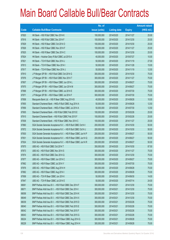|       |                                                                | No. of        |                     |               | <b>Amount raised</b> |
|-------|----------------------------------------------------------------|---------------|---------------------|---------------|----------------------|
| Code  | <b>Callable Bull/Bear Contracts</b>                            | issue (units) | <b>Listing date</b> | <b>Expiry</b> | (HK\$ mil.)          |
| 67820 | HK Bank - HSI R Bull CBBC Nov 2014 K                           | 100,000,000   | 2014/03/20          | 2014/11/27    | 25.00                |
| 67816 | HK Bank - HSI R Bull CBBC Dec 2014 F                           | 100,000,000   | 2014/03/20          | 2014/12/30    | 25.00                |
| 67829 | HK Bank - HSI R Bear CBBC Oct 2014 O                           | 100,000,000   | 2014/03/20          | 2014/10/30    | 25.00                |
| 67826 | HK Bank - HSI R Bear CBBC Nov 2014 F                           | 100,000,000   | 2014/03/20          | 2014/11/27    | 25.00                |
| 67825 | HK Bank - HSI R Bear CBBC Dec 2014 C                           | 100,000,000   | 2014/03/20          | 2014/12/30    | 25.00                |
| 67824 | HK Bank - Huishan Dairy R Bull CBBC Jul 2015 A                 | 40,000,000    | 2014/03/20          | 2015/07/27    | 10.00                |
| 67821 | HK Bank - TCH R Bull CBBC Nov 2014 J                           | 50,000,000    | 2014/03/20          | 2014/11/19    | 27.00                |
| 67813 | HK Bank - TCH R Bear CBBC Nov 2014 I                           | 50,000,000    | 2014/03/20          | 2014/11/28    | 15.00                |
| 67817 | HK Bank - TCH R Bear CBBC Nov 2014 J                           | 50,000,000    | 2014/03/20          | 2014/11/19    | 12.50                |
| 67810 | J P Morgan SP BV - HSI R Bull CBBC Oct 2014 G                  | 300,000,000   | 2014/03/20          | 2014/10/30    | 75.00                |
| 67976 | J P Morgan SP BV - HSI R Bull CBBC Nov 2014 T                  | 300,000,000   | 2014/03/20          | 2014/11/27    | 75.00                |
| 67807 | J P Morgan SP BV - HSI R Bear CBBC Jun 2014 L                  | 300,000,000   | 2014/03/20          | 2014/06/27    | 75.00                |
| 67975 | J P Morgan SP BV - HSI R Bear CBBC Jun 2014 M                  | 300,000,000   | 2014/03/20          | 2014/06/27    | 75.00                |
| 67968 | J P Morgan SP BV - HSI R Bear CBBC Jul 2014 E                  | 300,000,000   | 2014/03/20          | 2014/07/30    | 75.00                |
| 67971 | J P Morgan SP BV - HSI R Bear CBBC Jul 2014 F                  | 300,000,000   | 2014/03/20          | 2014/07/30    | 75.00                |
| 67858 | Macquarie Bank Ltd. - HSI R Bear CBBC Aug 2014 B               | 40,000,000    | 2014/03/20          | 2014/08/28    | 10.00                |
| 67855 | Standard Chartered Bank - HKEx R Bull CBBC Aug 2014 A          | 50,000,000    | 2014/03/20          | 2014/08/28    | 12.50                |
| 67856 | Standard Chartered Bank - HKEx R Bear CBBC Jul 2014 A          | 50,000,000    | 2014/03/20          | 2014/07/30    | 12.50                |
| 67905 | Standard Chartered Bank - HSI R Bull CBBC Feb 2015 E           | 100,000,000   | 2014/03/20          | 2015/02/26    | 25.00                |
| 67915 | Standard Chartered Bank - HSI R Bull CBBC Feb 2015 F           | 100,000,000   | 2014/03/20          | 2015/02/26    | 25.00                |
| 67836 | Standard Chartered Bank - HSI R Bear CBBC Nov 2014 C           | 100,000,000   | 2014/03/20          | 2014/11/27    | 25.00                |
| 67860 | SGA Societe Generale Acceptance N.V. - HSI R Bull CBBC Oct14 I | 200,000,000   | 2014/03/20          | 2014/10/30    | 50.00                |
| 67872 | SGA Societe Generale Acceptance N.V. - HSI R Bull CBBC Oct14 J | 200,000,000   | 2014/03/20          | 2014/10/30    | 50.00                |
| 67830 | SGA Societe Generale Acceptance N.V. - HSI R Bear CBBC Jun14 P | 200,000,000   | 2014/03/20          | 2014/06/27    | 50.00                |
| 67831 | SGA Societe Generale Acceptance N.V. - HSI R Bear CBBC Jun14 Q | 200,000,000   | 2014/03/20          | 2014/06/27    | 50.00                |
| 67924 | SGA Societe Generale Acceptance N.V. - HSI R Bear CBBC Jun14 R | 200,000,000   | 2014/03/20          | 2014/06/27    | 50.00                |
| 67875 | UBS AG - HSI R Bull CBBC Oct 2014 T                            | 350,000,000   | 2014/03/20          | 2014/10/30    | 87.50                |
| 67873 | UBS AG - HSI R Bull CBBC Nov 2014 S                            | 300,000,000   | 2014/03/20          | 2014/11/27    | 75.00                |
| 67874 | UBS AG - HSI R Bull CBBC Dec 2014 Q                            | 300,000,000   | 2014/03/20          | 2014/12/30    | 75.00                |
| 67877 | UBS AG - HSI R Bear CBBC Jun 2014 C                            | 300,000,000   | 2014/03/20          | 2014/06/27    | 75.00                |
| 67962 | UBS AG - HSI R Bear CBBC Jul 2014 Y                            | 300,000,000   | 2014/03/20          | 2014/07/30    | 75.00                |
| 67876 | UBS AG - HSI R Bear CBBC Aug 2014 H                            | 300,000,000   | 2014/03/20          | 2014/08/28    | 75.00                |
| 67882 | UBS AG - HSI R Bear CBBC Aug 2014 I                            | 300,000,000   | 2014/03/20          | 2014/08/28    | 75.00                |
| 67958 | UBS AG - TCH R Bear CBBC Jun 2014 I                            | 50,000,000    | 2014/03/20          | 2014/06/30    | 14.00                |
| 67947 | UBS AG - TCH R Bear CBBC Jul 2014 E                            | 50,000,000    | 2014/03/20          | 2014/07/14    | 24.00                |
| 68061 | BNP Paribas Arbit Issu B.V. - HSI R Bull CBBC Dec 2014 F       | 300,000,000   | 2014/03/21          | 2014/12/30    | 75.00                |
| 68071 | BNP Paribas Arbit Issu B.V. - HSI R Bull CBBC Dec 2014 I       | 300,000,000   | 2014/03/21          | 2014/12/30    | 75.00                |
| 68058 | BNP Paribas Arbit Issu B.V. - HSI R Bull CBBC Dec 2014 K       | 300,000,000   | 2014/03/21          | 2014/12/30    | 75.00                |
| 68049 | BNP Paribas Arbit Issu B.V. - HSI R Bull CBBC Dec 2014 X       | 300,000,000   | 2014/03/21          | 2014/12/30    | 75.00                |
| 68039 | BNP Paribas Arbit Issu B.V. - HSI R Bull CBBC Feb 2015 D       | 300,000,000   | 2014/03/21          | 2015/02/26    | 75.00                |
| 68040 | BNP Paribas Arbit Issu B.V. - HSI R Bull CBBC Feb 2015 E       | 300,000,000   | 2014/03/21          | 2015/02/26    | 75.00                |
| 68042 | BNP Paribas Arbit Issu B.V. - HSI R Bull CBBC Feb 2015 F       | 300,000,000   | 2014/03/21          | 2015/02/26    | 75.00                |
| 68043 | BNP Paribas Arbit Issu B.V. - HSI R Bull CBBC Feb 2015 G       | 300,000,000   | 2014/03/21          | 2015/02/26    | 75.00                |
| 68224 | BNP Paribas Arbit Issu B.V. - HSI R Bear CBBC Aug 2014 G       | 300,000,000   | 2014/03/21          | 2014/08/28    | 75.00                |
| 68228 | BNP Paribas Arbit Issu B.V. - HSI R Bear CBBC Aug 2014 H       | 300,000,000   | 2014/03/21          | 2014/08/28    | 75.00                |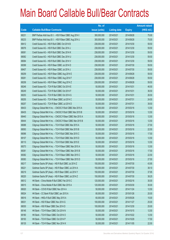|       |                                                            | No. of        |                     |               | <b>Amount raised</b> |
|-------|------------------------------------------------------------|---------------|---------------------|---------------|----------------------|
| Code  | <b>Callable Bull/Bear Contracts</b>                        | issue (units) | <b>Listing date</b> | <b>Expiry</b> | (HK\$ mil.)          |
| 68231 | BNP Paribas Arbit Issu B.V. - HSI R Bear CBBC Aug 2014 I   | 300,000,000   | 2014/03/21          | 2014/08/28    | 75.00                |
| 68233 | BNP Paribas Arbit Issu B.V. - HSI R Bear CBBC Aug 2014 J   | 300,000,000   | 2014/03/21          | 2014/08/28    | 75.00                |
| 68412 | Credit Suisse AG - HSI R Bull CBBC Oct 2014 B              | 238,000,000   | 2014/03/21          | 2014/10/30    | 59.50                |
| 68076 | Credit Suisse AG - HSI R Bull CBBC Dec 2014 J              | 238,000,000   | 2014/03/21          | 2014/12/30    | 59.50                |
| 68081 | Credit Suisse AG - HSI R Bull CBBC Dec 2014 K              | 238,000,000   | 2014/03/21          | 2014/12/30    | 59.50                |
| 68082 | Credit Suisse AG - HSI R Bull CBBC Dec 2014 U              | 238,000,000   | 2014/03/21          | 2014/12/30    | 59.50                |
| 68084 | Credit Suisse AG - HSI R Bull CBBC Dec 2014 V              | 238,000,000   | 2014/03/21          | 2014/12/30    | 59.50                |
| 68399 | Credit Suisse AG - HSI R Bear CBBC Jul 2014 D              | 238,000,000   | 2014/03/21          | 2014/07/30    | 59.50                |
| 68407 | Credit Suisse AG - HSI R Bear CBBC Jul 2014 J              | 238,000,000   | 2014/03/21          | 2014/07/30    | 59.50                |
| 68259 | Credit Suisse AG - HSI R Bear CBBC Aug 2014 E              | 238,000,000   | 2014/03/21          | 2014/08/28    | 59.50                |
| 68261 | Credit Suisse AG - HSI R Bear CBBC Aug 2014 F              | 238,000,000   | 2014/03/21          | 2014/08/28    | 59.50                |
| 68258 | Credit Suisse AG - HSI R Bear CBBC Aug 2014 Z              | 238,000,000   | 2014/03/21          | 2014/08/28    | 59.50                |
| 68246 | Credit Suisse AG - TCH R Bull CBBC Oct 2014 E              | 50,000,000    | 2014/03/21          | 2014/10/31    | 46.50                |
| 68249 | Credit Suisse AG - TCH R Bull CBBC Oct 2014 F              | 50,000,000    | 2014/03/21          | 2014/10/31    | 36.50                |
| 68253 | Credit Suisse AG - TCH R Bull CBBC Oct 2014 G              | 50,000,000    | 2014/03/21          | 2014/10/31    | 26.50                |
| 68255 | Credit Suisse AG - TCH R Bear CBBC Jul 2014 C              | 50,000,000    | 2014/03/21          | 2014/07/31    | 24.50                |
| 68257 | Credit Suisse AG - TCH R Bear CBBC Jul 2014 D              | 50,000,000    | 2014/03/21          | 2014/07/31    | 39.50                |
| 68433 | Citigroup Global Mkt H Inc. - CNOOC R Bull CBBC Mar 2015 A | 50,000,000    | 2014/03/21          | 2015/03/16    | 12.50                |
| 68435 | Citigroup Global Mkt H Inc. - CNOOC R Bull CBBC Mar 2015 B | 50,000,000    | 2014/03/21          | 2015/03/16    | 12.50                |
| 68440 | Citigroup Global Mkt H Inc. - CNOOC R Bear CBBC Mar 2015 A | 50,000,000    | 2014/03/21          | 2015/03/16    | 12.50                |
| 68444 | Citigroup Global Mkt H Inc. - CNOOC R Bear CBBC Mar 2015 B | 50,000,000    | 2014/03/21          | 2015/03/16    | 12.50                |
| 68088 | Citigroup Global Mkt H Inc. - TCH R Bull CBBC Mar 2015 A   | 50,000,000    | 2014/03/21          | 2015/03/16    | 27.50                |
| 68093 | Citigroup Global Mkt H Inc. - TCH R Bull CBBC Mar 2015 B   | 50,000,000    | 2014/03/21          | 2015/03/16    | 22.50                |
| 68096 | Citigroup Global Mkt H Inc. - TCH R Bull CBBC Mar 2015 C   | 50,000,000    | 2014/03/21          | 2015/03/16    | 17.50                |
| 68107 | Citigroup Global Mkt H Inc. - TCH R Bull CBBC Mar 2015 D   | 50,000,000    | 2014/03/21          | 2015/03/16    | 12.50                |
| 68110 | Citigroup Global Mkt H Inc. - TCH R Bull CBBC Mar 2015 E   | 50,000,000    | 2014/03/21          | 2015/03/16    | 12.50                |
| 68373 | Citigroup Global Mkt H Inc. - TCH R Bear CBBC Mar 2015 A   | 50,000,000    | 2014/03/21          | 2015/03/16    | 12.50                |
| 68381 | Citigroup Global Mkt H Inc. - TCH R Bear CBBC Mar 2015 B   | 50,000,000    | 2014/03/21          | 2015/03/16    | 17.50                |
| 68382 | Citigroup Global Mkt H Inc. - TCH R Bear CBBC Mar 2015 C   | 50,000,000    | 2014/03/21          | 2015/03/16    | 22.50                |
| 68383 | Citigroup Global Mkt H Inc. - TCH R Bear CBBC Mar 2015 D   | 50,000,000    | 2014/03/21          | 2015/03/16    | 27.50                |
| 68217 | Goldman Sachs SP (Asia) - HSI R Bull CBBC Jul 2014 Z       | 150,000,000   | 2014/03/21          | 2014/07/30    | 43.95                |
| 68221 | Goldman Sachs SP (Asia) - HSI R Bear CBBC Jul 2014 A       | 150,000,000   | 2014/03/21          | 2014/07/30    | 38.10                |
| 68219 | Goldman Sachs SP (Asia) - HSI R Bear CBBC Jul 2014 Y       | 150,000,000   | 2014/03/21          | 2014/07/30    | 37.95                |
| 68220 | Goldman Sachs SP (Asia) - HSI R Bear CBBC Jul 2014 Z       | 150,000,000   | 2014/03/21          | 2014/07/30    | 38.25                |
| 68012 | HK Bank - China Mobile R Bull CBBC Feb 2015 C              | 120,000,000   | 2014/03/21          | 2015/02/16    | 30.00                |
| 68015 | HK Bank - China Mobile R Bull CBBC Mar 2015 A              | 120,000,000   | 2014/03/21          | 2015/03/30    | 30.00                |
| 68020 | HK Bank - COVS R Bull CBBC Nov 2014 A                      | 50,000,000    | 2014/03/21          | 2014/11/24    | 12.50                |
| 68024 | HK Bank - CC Bank R Bull CBBC Jan 2015 A                   | 80,000,000    | 2014/03/21          | 2015/01/26    | 20.00                |
| 68016 | HK Bank - HKEx R Bull CBBC May 2015 A                      | 60,000,000    | 2014/03/21          | 2015/05/26    | 15.00                |
| 68031 | HK Bank - HSI R Bear CBBC Nov 2014 G                       | 100,000,000   | 2014/03/21          | 2014/11/27    | 25.00                |
| 68030 | HK Bank - HSI R Bear CBBC Dec 2014 D                       | 100,000,000   | 2014/03/21          | 2014/12/30    | 25.00                |
| 68146 | HK Bank - TCH R Bear CBBC Oct 2014 N                       | 50,000,000    | 2014/03/21          | 2014/10/15    | 12.50                |
| 68180 | HK Bank - TCH R Bear CBBC Oct 2014 O                       | 50,000,000    | 2014/03/21          | 2014/10/22    | 12.50                |
| 68193 | HK Bank - TCH R Bear CBBC Oct 2014 P                       | 50,000,000    | 2014/03/21          | 2014/10/29    | 17.50                |
| 68135 | HK Bank - TCH R Bear CBBC Nov 2014 K                       | 50,000,000    | 2014/03/21          | 2014/11/05    | 22.50                |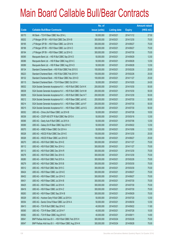|       |                                                                | No. of        |                     |               | <b>Amount raised</b> |
|-------|----------------------------------------------------------------|---------------|---------------------|---------------|----------------------|
| Code  | <b>Callable Bull/Bear Contracts</b>                            | issue (units) | <b>Listing date</b> | <b>Expiry</b> | $(HK$$ mil.)         |
| 68170 | HK Bank - TCH R Bear CBBC Nov 2014 L                           | 50,000,000    | 2014/03/21          | 2014/11/12    | 27.50                |
| 68202 | J P Morgan SP BV - HSI R Bull CBBC Dec 2014 B                  | 300,000,000   | 2014/03/21          | 2014/12/30    | 75.00                |
| 68195 | J P Morgan SP BV - HSI R Bear CBBC Jun 2014 N                  | 300,000,000   | 2014/03/21          | 2014/06/27    | 75.00                |
| 68196 | J P Morgan SP BV - HSI R Bear CBBC Jun 2014 O                  | 300,000,000   | 2014/03/21          | 2014/06/27    | 75.00                |
| 68194 | J P Morgan SP BV - HSI R Bear CBBC Jul 2014 G                  | 300,000,000   | 2014/03/21          | 2014/07/30    | 75.00                |
| 68395 | Macquarie Bank Ltd. - HSI R Bull CBBC Sep 2014 D               | 50,000,000    | 2014/03/21          | 2014/09/29    | 12.50                |
| 68386 | Macquarie Bank Ltd. - HSI R Bear CBBC Aug 2014 C               | 50,000,000    | 2014/03/21          | 2014/08/28    | 12.50                |
| 68389 | Macquarie Bank Ltd. - HSI R Bear CBBC Aug 2014 D               | 50,000,000    | 2014/03/21          | 2014/08/28    | 12.50                |
| 68134 | Standard Chartered Bank - HSI R Bull CBBC Feb 2015 G           | 100,000,000   | 2014/03/21          | 2015/02/26    | 25.00                |
| 68223 | Standard Chartered Bank - HSI R Bull CBBC Feb 2015 H           | 100,000,000   | 2014/03/21          | 2015/02/26    | 25.00                |
| 68132 | Standard Chartered Bank - HSI R Bear CBBC Nov 2014 D           | 100,000,000   | 2014/03/21          | 2014/11/27    | 25.00                |
| 68115 | Standard Chartered Bank - TCH R Bear CBBC Oct 2014 I           | 50,000,000    | 2014/03/21          | 2014/10/20    | 24.00                |
| 68032 | SGA Societe Generale Acceptance N.V. - HSI R Bull CBBC Oct14 K | 200,000,000   | 2014/03/21          | 2014/10/30    | 50.00                |
| 68038 | SGA Societe Generale Acceptance N.V. - HSI R Bull CBBC Oct14 M | 200,000,000   | 2014/03/21          | 2014/10/30    | 50.00                |
| 68209 | SGA Societe Generale Acceptance N.V. - HSI R Bull CBBC Dec14 T | 200,000,000   | 2014/03/21          | 2014/12/30    | 50.00                |
| 68212 | SGA Societe Generale Acceptance N.V. - HSI R Bear CBBC Jul14 E | 200,000,000   | 2014/03/21          | 2014/07/30    | 50.00                |
| 68214 | SGA Societe Generale Acceptance N.V. - HSI R Bear CBBC Jul14 F | 200,000,000   | 2014/03/21          | 2014/07/30    | 50.00                |
| 68215 | SGA Societe Generale Acceptance N.V. - HSI R Bear CBBC Jul14 G | 200,000,000   | 2014/03/21          | 2014/07/30    | 50.00                |
| 68352 | UBS AG - China Life R Bear CBBC Jul 2014 B                     | 50,000,000    | 2014/03/21          | 2014/07/28    | 18.50                |
| 68336 | UBS AG - CSOP A50 ETF R Bull CBBC Mar 2015 A                   | 50,000,000    | 2014/03/21          | 2015/03/16    | 12.50                |
| 68366 | UBS AG - Geely Auto R Bull CBBC Jul 2015 A                     | 50,000,000    | 2014/03/21          | 2015/07/06    | 12.50                |
| 68369 | UBS AG - Galaxy Ent R Bear CBBC Sep 2014 C                     | 50,000,000    | 2014/03/21          | 2014/09/22    | 12.50                |
| 68370 | UBS AG - HSBC R Bear CBBC Oct 2014 A                           | 50,000,000    | 2014/03/21          | 2014/10/06    | 12.50                |
| 68328 | UBS AG - HSCEI R Bull CBBC Dec 2014 E                          | 100,000,000   | 2014/03/21          | 2014/12/30    | 25.00                |
| 68326 | UBS AG - HSCEI R Bear CBBC Jun 2014 D                          | 100,000,000   | 2014/03/21          | 2014/06/27    | 25.00                |
| 68270 | UBS AG - HSI R Bull CBBC Nov 2014 E                            | 300,000,000   | 2014/03/21          | 2014/11/27    | 75.00                |
| 68112 | UBS AG - HSI R Bull CBBC Nov 2014 U                            | 300,000,000   | 2014/03/21          | 2014/11/27    | 75.00                |
| 68113 | UBS AG - HSI R Bull CBBC Dec 2014 R                            | 300,000,000   | 2014/03/21          | 2014/12/30    | 75.00                |
| 68278 | UBS AG - HSI R Bull CBBC Dec 2014 S                            | 300,000,000   | 2014/03/21          | 2014/12/30    | 75.00                |
| 68280 | UBS AG - HSI R Bull CBBC Feb 2015 A                            | 300,000,000   | 2014/03/21          | 2015/02/26    | 75.00                |
| 68279 | UBS AG - HSI R Bull CBBC Mar 2015 B                            | 300,000,000   | 2014/03/21          | 2015/03/30    | 75.00                |
| 68312 | UBS AG - HSI R Bull CBBC Mar 2015 C                            | 300,000,000   | 2014/03/21          | 2015/03/30    | 75.00                |
| 68424 | UBS AG - HSI R Bear CBBC Jun 2014 E                            | 300,000,000   | 2014/03/21          | 2014/06/27    | 75.00                |
| 68432 | UBS AG - HSI R Bear CBBC Jun 2014 O                            | 300,000,000   | 2014/03/21          | 2014/06/27    | 75.00                |
| 68431 | UBS AG - HSI R Bear CBBC Jul 2014 B                            | 300,000,000   | 2014/03/21          | 2014/07/30    | 75.00                |
| 68425 | UBS AG - HSI R Bear CBBC Jul 2014 K                            | 300,000,000   | 2014/03/21          | 2014/07/30    | 75.00                |
| 68416 | UBS AG - HSI R Bear CBBC Jul 2014 Z                            | 300,000,000   | 2014/03/21          | 2014/07/30    | 75.00                |
| 68263 | UBS AG - HSI R Bear CBBC Sep 2014 B                            | 300,000,000   | 2014/03/21          | 2014/09/29    | 75.00                |
| 68329 | UBS AG - Huishan Dairy R Bull CBBC Jul 2015 A                  | 50,000,000    | 2014/03/21          | 2015/07/20    | 12.50                |
| 68354 | UBS AG - Sands China R Bear CBBC Jun 2014 A                    | 50,000,000    | 2014/03/21          | 2014/06/30    | 12.50                |
| 68413 | UBS AG - TCH R Bull CBBC Sep 2014 E                            | 40,000,000    | 2014/03/21          | 2014/09/22    | 11.80                |
| 68365 | UBS AG - TCH R Bear CBBC Jul 2014 F                            | 40,000,000    | 2014/03/21          | 2014/07/28    | 10.00                |
| 68362 | UBS AG - TCH R Bear CBBC Aug 2014 E                            | 40,000,000    | 2014/03/21          | 2014/08/11    | 14.80                |
| 68541 | BNP Paribas Arbit Issu B.V. - HSI R Bull CBBC Feb 2015 H       | 300,000,000   | 2014/03/24          | 2015/02/26    | 75.00                |
| 68547 | BNP Paribas Arbit Issu B.V. - HSI R Bear CBBC Aug 2014 K       | 300,000,000   | 2014/03/24          | 2014/08/28    | 75.00                |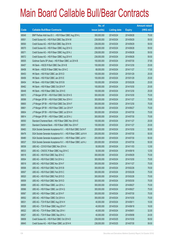|       |                                                                | No. of        |                     |               | <b>Amount raised</b> |
|-------|----------------------------------------------------------------|---------------|---------------------|---------------|----------------------|
| Code  | <b>Callable Bull/Bear Contracts</b>                            | issue (units) | <b>Listing date</b> | <b>Expiry</b> | (HK\$ mil.)          |
| 68549 | BNP Paribas Arbit Issu B.V. - HSI R Bear CBBC Aug 2014 L       | 300,000,000   | 2014/03/24          | 2014/08/28    | 75.00                |
| 68501 | Credit Suisse AG - HSI R Bull CBBC Sep 2014 M                  | 238,000,000   | 2014/03/24          | 2014/09/29    | 59.50                |
| 68500 | Credit Suisse AG - HSI R Bull CBBC Sep 2014 N                  | 238,000,000   | 2014/03/24          | 2014/09/29    | 59.50                |
| 68570 | Credit Suisse AG - HSI R Bear CBBC Aug 2014 G                  | 238,000,000   | 2014/03/24          | 2014/08/28    | 59.50                |
| 68571 | Credit Suisse AG - HSI R Bear CBBC Aug 2014 J                  | 238,000,000   | 2014/03/24          | 2014/08/28    | 59.50                |
| 68572 | Credit Suisse AG - HSI R Bear CBBC Aug 2014 K                  | 238,000,000   | 2014/03/24          | 2014/08/28    | 59.50                |
| 68505 | Goldman Sachs SP (Asia) - HSI R Bear CBBC Jul 2014 B           | 150,000,000   | 2014/03/24          | 2014/07/30    | 37.65                |
| 68457 | HK Bank - HSCEI R Bull CBBC Dec 2014 B                         | 100,000,000   | 2014/03/24          | 2014/12/30    | 25.00                |
| 68458 | HK Bank - HSCEI R Bear CBBC Nov 2014 C                         | 68,000,000    | 2014/03/24          | 2014/11/27    | 17.00                |
| 68453 | HK Bank - HSI R Bull CBBC Jan 2015 D                           | 100,000,000   | 2014/03/24          | 2015/01/29    | 25.00                |
| 68456 | HK Bank - HSI R Bull CBBC Jan 2015 E                           | 100,000,000   | 2014/03/24          | 2015/01/29    | 25.00                |
| 68454 | HK Bank - HSI R Bull CBBC Feb 2015 B                           | 100,000,000   | 2014/03/24          | 2015/02/26    | 25.00                |
| 68462 | HK Bank - HSI R Bear CBBC Oct 2014 P                           | 100,000,000   | 2014/03/24          | 2014/10/30    | 25.00                |
| 68448 | HK Bank - HSI R Bear CBBC Dec 2014 E                           | 100,000,000   | 2014/03/24          | 2014/12/30    | 25.00                |
| 68573 | J P Morgan SP BV - HSI R Bull CBBC Oct 2014 S                  | 300,000,000   | 2014/03/24          | 2014/10/30    | 75.00                |
| 68599 | J P Morgan SP BV - HSI R Bull CBBC Nov 2014 V                  | 300,000,000   | 2014/03/24          | 2014/11/27    | 75.00                |
| 68600 | J P Morgan SP BV - HSI R Bull CBBC Dec 2014 F                  | 300,000,000   | 2014/03/24          | 2014/12/30    | 75.00                |
| 68601 | J P Morgan SP BV - HSI R Bear CBBC Jun 2014 P                  | 300,000,000   | 2014/03/24          | 2014/06/27    | 75.00                |
| 68604 | J P Morgan SP BV - HSI R Bear CBBC Jul 2014 H                  | 300,000,000   | 2014/03/24          | 2014/07/30    | 75.00                |
| 68614 | J P Morgan SP BV - HSI R Bear CBBC Jul 2014 J                  | 300,000,000   | 2014/03/24          | 2014/07/30    | 75.00                |
| 68550 | Standard Chartered Bank - HSI R Bear CBBC Nov 2014 E           | 100,000,000   | 2014/03/24          | 2014/11/27    | 25.00                |
| 68551 | Standard Chartered Bank - HSI R Bear CBBC Nov 2014 F           | 100,000,000   | 2014/03/24          | 2014/11/27    | 25.00                |
| 68463 | SGA Societe Generale Acceptance N.V. - HSI R Bull CBBC Oct14 F | 200,000,000   | 2014/03/24          | 2014/10/30    | 50.00                |
| 68476 | SGA Societe Generale Acceptance N.V. - HSI R Bear CBBC Jul14 H | 200,000,000   | 2014/03/24          | 2014/07/30    | 50.00                |
| 68480 | SGA Societe Generale Acceptance N.V. - HSI R Bear CBBC Jul14 I | 200,000,000   | 2014/03/24          | 2014/07/30    | 50.00                |
| 68537 | SGA Societe Generale Acceptance N.V. - HSI R Bear CBBC Jul14 J | 200,000,000   | 2014/03/24          | 2014/07/30    | 50.00                |
| 68536 | UBS AG - COVS R Bull CBBC Nov 2014 A                           | 50,000,000    | 2014/03/24          | 2014/11/03    | 12.50                |
| 68533 | UBS AG - CNOOC R Bear CBBC Aug 2014 C                          | 50,000,000    | 2014/03/24          | 2014/08/18    | 12.50                |
| 68518 | UBS AG - HSI R Bull CBBC Sep 2014 Z                            | 300,000,000   | 2014/03/24          | 2014/09/29    | 75.00                |
| 68504 | UBS AG - HSI R Bull CBBC Oct 2014 U                            | 300,000,000   | 2014/03/24          | 2014/10/30    | 75.00                |
| 68519 | UBS AG - HSI R Bull CBBC Nov 2014 F                            | 300,000,000   | 2014/03/24          | 2014/11/27    | 75.00                |
| 68506 | UBS AG - HSI R Bull CBBC Feb 2015 B                            | 300,000,000   | 2014/03/24          | 2015/02/26    | 78.00                |
| 68507 | UBS AG - HSI R Bull CBBC Feb 2015 C                            | 300,000,000   | 2014/03/24          | 2015/02/26    | 75.00                |
| 68520 | UBS AG - HSI R Bull CBBC Feb 2015 D                            | 300,000,000   | 2014/03/24          | 2015/02/26    | 75.00                |
| 68509 | UBS AG - HSI R Bull CBBC Mar 2015 D                            | 300,000,000   | 2014/03/24          | 2015/03/30    | 75.00                |
| 68569 | UBS AG - HSI R Bear CBBC Jun 2014 J                            | 300,000,000   | 2014/03/24          | 2014/06/27    | 75.00                |
| 68566 | UBS AG - HSI R Bear CBBC Jun 2014 Q                            | 300,000,000   | 2014/03/24          | 2014/06/27    | 75.00                |
| 68567 | UBS AG - HSI R Bear CBBC Jul 2014 F                            | 300,000,000   | 2014/03/24          | 2014/07/30    | 75.00                |
| 68552 | UBS AG - HSI R Bear CBBC Oct 2014 A                            | 300,000,000   | 2014/03/24          | 2014/10/30    | 75.00                |
| 68531 | UBS AG - TCH R Bull CBBC Aug 2014 H                            | 40,000,000    | 2014/03/24          | 2014/08/11    | 10.00                |
| 68528 | UBS AG - TCH R Bear CBBC Aug 2014 F                            | 40,000,000    | 2014/03/24          | 2014/08/18    | 16.00                |
| 68522 | UBS AG - TCH R Bear CBBC Sep 2014 I                            | 40,000,000    | 2014/03/24          | 2014/09/01    | 32.00                |
| 68527 | UBS AG - TCH R Bear CBBC Sep 2014 J                            | 40,000,000    | 2014/03/24          | 2014/09/08    | 24.00                |
| 68658 | Credit Suisse AG - HSI R Bull CBBC Oct 2014 D                  | 238,000,000   | 2014/03/25          | 2014/10/30    | 59.50                |
| 68645 | Credit Suisse AG - HSI R Bear CBBC Jul 2014 K                  | 238,000,000   | 2014/03/25          | 2014/07/30    | 59.50                |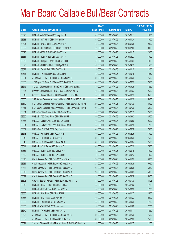|       |                                                                | No. of        |                     |               | <b>Amount raised</b> |
|-------|----------------------------------------------------------------|---------------|---------------------|---------------|----------------------|
| Code  | <b>Callable Bull/Bear Contracts</b>                            | issue (units) | <b>Listing date</b> | <b>Expiry</b> | $(HK$$ mil.)         |
| 68626 | HK Bank - ABC R Bear CBBC May 2015 A                           | 40,000,000    | 2014/03/25          | 2015/05/11    | 10.00                |
| 68638 | HK Bank - AIA R Bull CBBC Nov 2014 A                           | 60,000,000    | 2014/03/25          | 2014/11/24    | 15.00                |
| 68624 | HK Bank - BOCL R Bull CBBC Jan 2015 A                          | 80,000,000    | 2014/03/25          | 2015/01/28    | 20.00                |
| 68622 | HK Bank - China Mobile R Bull CBBC Jul 2015 A                  | 120,000,000   | 2014/03/25          | 2015/07/06    | 30.00                |
| 68623 | HK Bank - ICBC R Bull CBBC Nov 2014 A                          | 80,000,000    | 2014/03/25          | 2014/11/17    | 20.00                |
| 68631 | HK Bank - ICBC R Bear CBBC Apr 2015 A                          | 40,000,000    | 2014/03/25          | 2015/04/27    | 10.00                |
| 68639 | HK Bank - Ping An R Bear CBBC Nov 2014 B                       | 40,000,000    | 2014/03/25          | 2014/11/24    | 10.00                |
| 68625 | HK Bank - SHK Ppt R Bull CBBC Apr 2015 A                       | 60,000,000    | 2014/03/25          | 2015/04/13    | 15.00                |
| 68627 | HK Bank - TCH R Bull CBBC Oct 2014 P                           | 50,000,000    | 2014/03/25          | 2014/10/15    | 12.50                |
| 68634 | HK Bank - TCH R Bear CBBC Oct 2014 Q                           | 50,000,000    | 2014/03/25          | 2014/10/15    | 12.50                |
| 68661 | J P Morgan SP BV - HSI R Bull CBBC Oct 2014 H                  | 300,000,000   | 2014/03/25          | 2014/10/30    | 75.00                |
| 68660 | J P Morgan SP BV - HSI R Bear CBBC Jun 2014 Q                  | 300,000,000   | 2014/03/25          | 2014/06/27    | 75.00                |
| 68642 | Standard Chartered Bank - HSBC R Bull CBBC Sep 2014 A          | 50,000,000    | 2014/03/25          | 2014/09/25    | 12.50                |
| 68657 | Standard Chartered Bank - HSI R Bear CBBC Nov 2014 G           | 100,000,000   | 2014/03/25          | 2014/11/27    | 25.00                |
| 68619 | Standard Chartered Bank - TCH R Bear CBBC Oct 2014 J           | 50,000,000    | 2014/03/25          | 2014/10/13    | 35.00                |
| 68656 | SGA Societe Generale Acceptance N.V. - HSI R Bull CBBC Oct 14L | 200,000,000   | 2014/03/25          | 2014/10/30    | 50.00                |
| 68640 | SGA Societe Generale Acceptance N.V. - HSI R Bear CBBC Jul 14K | 200,000,000   | 2014/03/25          | 2014/07/30    | 50.00                |
| 68641 | SGA Societe Generale Acceptance N.V. - HSI R Bear CBBC Jul 14L | 200,000,000   | 2014/03/25          | 2014/07/30    | 50.00                |
| 68651 | UBS AG - China Mobile R Bull CBBC Jul 2015 A                   | 100,000,000   | 2014/03/25          | 2015/07/13    | 25.00                |
| 68650 | UBS AG - A50 China R Bull CBBC Mar 2015 B                      | 100,000,000   | 2014/03/25          | 2015/03/02    | 25.00                |
| 68655 | UBS AG - Galaxy Ent R Bull CBBC Oct 2014 F                     | 100,000,000   | 2014/03/25          | 2014/10/06    | 25.00                |
| 68654 | UBS AG - Galaxy Ent R Bear CBBC Sep 2014 D                     | 50,000,000    | 2014/03/25          | 2014/09/15    | 12.50                |
| 68659 | UBS AG - HSI R Bull CBBC Sep 2014 J                            | 300,000,000   | 2014/03/25          | 2014/09/29    | 75.00                |
| 68648 | UBS AG - HSI R Bull CBBC Feb 2015 E                            | 300,000,000   | 2014/03/25          | 2015/02/26    | 75.00                |
| 68646 | UBS AG - HSI R Bull CBBC Mar 2015 E                            | 300,000,000   | 2014/03/25          | 2015/03/30    | 75.00                |
| 68643 | UBS AG - HSI R Bear CBBC Jun 2014 R                            | 300,000,000   | 2014/03/25          | 2014/06/27    | 75.00                |
| 68644 | UBS AG - HSI R Bear CBBC Jul 2014 G                            | 300,000,000   | 2014/03/25          | 2014/07/30    | 75.00                |
| 68653 | UBS AG - TCH R Bull CBBC Sep 2014 F                            | 40,000,000    | 2014/03/25          | 2014/09/15    | 10.00                |
| 68652 | UBS AG - TCH R Bull CBBC Oct 2014 C                            | 40,000,000    | 2014/03/25          | 2014/10/13    | 13.20                |
| 68673 | Credit Suisse AG - HSI R Bull CBBC Nov 2014 C                  | 238,000,000   | 2014/03/26          | 2014/11/27    | 59.50                |
| 68682 | Credit Suisse AG - HSI R Bear CBBC Aug 2014 L                  | 238,000,000   | 2014/03/26          | 2014/08/28    | 59.50                |
| 68683 | Credit Suisse AG - HSI R Bear CBBC Aug 2014 M                  | 238,000,000   | 2014/03/26          | 2014/08/28    | 59.50                |
| 68678 | Credit Suisse AG - HSI R Bear CBBC Sep 2014 B                  | 238,000,000   | 2014/03/26          | 2014/09/29    | 59.50                |
| 68679 | Credit Suisse AG - HSI R Bear CBBC Sep 2014 C                  | 238,000,000   | 2014/03/26          | 2014/09/29    | 59.50                |
| 68696 | Goldman Sachs SP (Asia) - HSI R Bull CBBC Jul 2014 G           | 150,000,000   | 2014/03/26          | 2014/07/30    | 44.25                |
| 68672 | HK Bank - COVS R Bull CBBC Dec 2014 A                          | 50,000,000    | 2014/03/26          | 2014/12/22    | 17.50                |
| 68662 | HK Bank - HKEx R Bear CBBC Mar 2015 A                          | 50,000,000    | 2014/03/26          | 2015/03/30    | 12.50                |
| 68666 | HK Bank - HSI R Bull CBBC Nov 2014 L                           | 100,000,000   | 2014/03/26          | 2014/11/27    | 25.00                |
| 68667 | HK Bank - HSI R Bear CBBC Nov 2014 H                           | 400,000,000   | 2014/03/26          | 2014/11/27    | 100.00               |
| 68669 | HK Bank - TCH R Bull CBBC Oct 2014 Q                           | 50,000,000    | 2014/03/26          | 2014/10/30    | 17.50                |
| 68668 | HK Bank - TCH R Bull CBBC Nov 2014 K                           | 50,000,000    | 2014/03/26          | 2014/11/06    | 22.50                |
| 68670 | HK Bank - TCH R Bull CBBC Nov 2014 L                           | 50,000,000    | 2014/03/26          | 2014/11/11    | 12.50                |
| 68695 | J P Morgan SP BV - HSI R Bull CBBC Dec 2014 E                  | 300,000,000   | 2014/03/26          | 2014/12/30    | 75.00                |
| 68692 | J P Morgan SP BV - HSI R Bear CBBC Jul 2014 L                  | 300,000,000   | 2014/03/26          | 2014/07/30    | 75.00                |
| 68674 | Standard Chartered Bank - Minsheng Bank R Bull CBBC Nov 14 A   | 50,000,000    | 2014/03/26          | 2014/11/27    | 12.50                |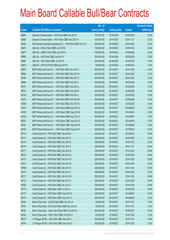|       |                                                                | No. of        |                     |               | <b>Amount raised</b> |
|-------|----------------------------------------------------------------|---------------|---------------------|---------------|----------------------|
| Code  | <b>Callable Bull/Bear Contracts</b>                            | issue (units) | <b>Listing date</b> | <b>Expiry</b> | (HK\$ mil.)          |
| 68690 | Standard Chartered Bank - HSI R Bull CBBC Feb 2015 I           | 100,000,000   | 2014/03/26          | 2015/02/26    | 25.00                |
| 68688 | Standard Chartered Bank - HSI R Bear CBBC Nov 2014 H           | 100,000,000   | 2014/03/26          | 2014/11/27    | 25.00                |
| 68684 | SGA Societe Generale Acceptance N.V. - HSI R Bull CBBC Oct14 O | 200,000,000   | 2014/03/26          | 2014/10/30    | 50.00                |
| 68675 | UBS AG - BOCL R Bull CBBC Jul 2015 B                           | 100,000,000   | 2014/03/26          | 2015/07/20    | 25.00                |
| 68677 | UBS AG - HSBC R Bull CBBC Jun 2015 A                           | 100,000,000   | 2014/03/26          | 2015/06/08    | 25.00                |
| 68686 | UBS AG - HSI R Bull CBBC Feb 2015 F                            | 300,000,000   | 2014/03/26          | 2015/02/26    | 75.00                |
| 68687 | UBS AG - HSI R Bear CBBC Jul 2014 H                            | 300,000,000   | 2014/03/26          | 2014/07/30    | 75.00                |
| 68676 | UBS AG - SHK Ppt R Bull CBBC Apr 2015 A                        | 50,000,000    | 2014/03/26          | 2015/04/10    | 12.50                |
| 68697 | BNP Paribas Arbit Issu B.V. - HSI R Bull CBBC Dec 2014 J       | 300,000,000   | 2014/03/27          | 2014/12/30    | 75.00                |
| 68699 | BNP Paribas Arbit Issu B.V. - HSI R Bull CBBC Dec 2014 N       | 300,000,000   | 2014/03/27          | 2014/12/30    | 75.00                |
| 68749 | BNP Paribas Arbit Issu B.V. - HSI R Bull CBBC Dec 2014 T       | 300,000,000   | 2014/03/27          | 2014/12/30    | 75.00                |
| 68698 | BNP Paribas Arbit Issu B.V. - HSI R Bull CBBC Feb 2015 I       | 300,000,000   | 2014/03/27          | 2015/02/26    | 75.00                |
| 68741 | BNP Paribas Arbit Issu B.V. - HSI R Bull CBBC Feb 2015 J       | 300,000,000   | 2014/03/27          | 2015/02/26    | 75.00                |
| 68747 | BNP Paribas Arbit Issu B.V. - HSI R Bull CBBC Feb 2015 K       | 300,000,000   | 2014/03/27          | 2015/02/26    | 75.00                |
| 68748 | BNP Paribas Arbit Issu B.V. - HSI R Bull CBBC Feb 2015 L       | 300,000,000   | 2014/03/27          | 2015/02/26    | 75.00                |
| 68779 | BNP Paribas Arbit Issu B.V. - HSI R Bull CBBC Feb 2015 M       | 300,000,000   | 2014/03/27          | 2015/02/26    | 75.00                |
| 68780 | BNP Paribas Arbit Issu B.V. - HSI R Bull CBBC Feb 2015 N       | 300,000,000   | 2014/03/27          | 2015/02/26    | 75.00                |
| 68751 | BNP Paribas Arbit Issu B.V. - HSI R Bear CBBC Sep 2014 A       | 300,000,000   | 2014/03/27          | 2014/09/29    | 75.00                |
| 68752 | BNP Paribas Arbit Issu B.V. - HSI R Bear CBBC Sep 2014 B       | 300,000,000   | 2014/03/27          | 2014/09/29    | 75.00                |
| 68753 | BNP Paribas Arbit Issu B.V. - HSI R Bear CBBC Sep 2014 C       | 300,000,000   | 2014/03/27          | 2014/09/29    | 75.00                |
| 68754 | BNP Paribas Arbit Issu B.V. - HSI R Bear CBBC Sep 2014 D       | 300,000,000   | 2014/03/27          | 2014/09/29    | 75.00                |
| 68781 | BNP Paribas Arbit Issu B.V. - HSI R Bear CBBC Sep 2014 E       | 300,000,000   | 2014/03/27          | 2014/09/29    | 75.00                |
| 68782 | BNP Paribas Arbit Issu B.V. - HSI R Bear CBBC Sep 2014 F       | 300,000,000   | 2014/03/27          | 2014/09/29    | 75.00                |
| 68714 | Credit Suisse AG - HSI R Bull CBBC Sep 2014 B                  | 238,000,000   | 2014/03/27          | 2014/09/29    | 59.50                |
| 68717 | Credit Suisse AG - HSI R Bull CBBC Sep 2014 C                  | 238,000,000   | 2014/03/27          | 2014/09/29    | 64.26                |
| 68716 | Credit Suisse AG - HSI R Bull CBBC Nov 2014 U                  | 238,000,000   | 2014/03/27          | 2014/11/27    | 59.50                |
| 68718 | Credit Suisse AG - HSI R Bull CBBC Nov 2014 Z                  | 238,000,000   | 2014/03/27          | 2014/11/27    | 69.02                |
| 68771 | Credit Suisse AG - HSI R Bull CBBC Dec 2014 N                  | 238,000,000   | 2014/03/27          | 2014/12/30    | 59.50                |
| 68772 | Credit Suisse AG - HSI R Bull CBBC Dec 2014 O                  | 238,000,000   | 2014/03/27          | 2014/12/30    | 59.50                |
| 68770 | Credit Suisse AG - HSI R Bull CBBC Dec 2014 Q                  | 238,000,000   | 2014/03/27          | 2014/12/30    | 59.50                |
| 68715 | Credit Suisse AG - HSI R Bull CBBC Dec 2014 R                  | 238,000,000   | 2014/03/27          | 2014/12/30    | 59.50                |
| 68768 | Credit Suisse AG - HSI R Bull CBBC Dec 2014 S                  | 238,000,000   | 2014/03/27          | 2014/12/30    | 59.50                |
| 68713 | Credit Suisse AG - HSI R Bull CBBC Dec 2014 T                  | 238,000,000   | 2014/03/27          | 2014/12/30    | 59.50                |
| 68711 | Credit Suisse AG - HSI R Bull CBBC Dec 2014 W                  | 238,000,000   | 2014/03/27          | 2014/12/30    | 59.50                |
| 68712 | Credit Suisse AG - HSI R Bull CBBC Dec 2014 X                  | 238,000,000   | 2014/03/27          | 2014/12/30    | 59.50                |
| 68769 | Credit Suisse AG - HSI R Bull CBBC Dec 2014 Z                  | 238,000,000   | 2014/03/27          | 2014/12/30    | 59.50                |
| 68775 | Credit Suisse AG - HSI R Bear CBBC Jul 2014 L                  | 238,000,000   | 2014/03/27          | 2014/07/30    | 59.50                |
| 68773 | Credit Suisse AG - HSI R Bear CBBC Aug 2014 N                  | 238,000,000   | 2014/03/27          | 2014/08/28    | 59.50                |
| 68774 | Credit Suisse AG - HSI R Bear CBBC Aug 2014 O                  | 238,000,000   | 2014/03/27          | 2014/08/28    | 59.50                |
| 68764 | Bank of East Asia - COVS R Bull CBBC Oct 2014 A                | 40,000,000    | 2014/03/27          | 2014/10/31    | 10.00                |
| 68761 | Bank of East Asia - A50 China R Bull CBBC Nov 2014 A           | 60,000,000    | 2014/03/27          | 2014/11/21    | 15.00                |
| 68765 | Bank of East Asia - Geely Auto R Bull CBBC Feb 2015 A          | 200,000,000   | 2014/03/27          | 2015/02/27    | 50.00                |
| 68760 | Bank of East Asia - HKEx R Bull CBBC Oct 2014 A                | 60,000,000    | 2014/03/27          | 2014/10/24    | 15.00                |
| 68719 | J P Morgan SP BV - HSI R Bull CBBC Nov 2014 I                  | 300,000,000   | 2014/03/27          | 2014/11/27    | 75.00                |
| 68794 | J P Morgan SP BV - HSI R Bull CBBC Dec 2014 D                  | 300,000,000   | 2014/03/27          | 2014/12/30    | 75.00                |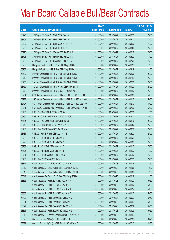|       |                                                                | No. of        |                     |               | <b>Amount raised</b> |
|-------|----------------------------------------------------------------|---------------|---------------------|---------------|----------------------|
| Code  | <b>Callable Bull/Bear Contracts</b>                            | issue (units) | <b>Listing date</b> | <b>Expiry</b> | $(HK$$ mil.)         |
| 68720 | J P Morgan SP BV - HSI R Bull CBBC Dec 2014 H                  | 300,000,000   | 2014/03/27          | 2014/12/30    | 75.00                |
| 68795 | J P Morgan SP BV - HSI R Bull CBBC Dec 2014 I                  | 300,000,000   | 2014/03/27          | 2014/12/30    | 75.00                |
| 68792 | J P Morgan SP BV - HSI R Bull CBBC Mar 2015 A                  | 300,000,000   | 2014/03/27          | 2015/03/30    | 75.00                |
| 68793 | J P Morgan SP BV - HSI R Bull CBBC Mar 2015 B                  | 300,000,000   | 2014/03/27          | 2015/03/30    | 75.00                |
| 68790 | J P Morgan SP BV - HSI R Bear CBBC Jun 2014 R                  | 300,000,000   | 2014/03/27          | 2014/06/27    | 75.00                |
| 68791 | J P Morgan SP BV - HSI R Bear CBBC Jun 2014 S                  | 300,000,000   | 2014/03/27          | 2014/06/27    | 75.00                |
| 68785 | J P Morgan SP BV - HSI R Bear CBBC Jul 2014 M                  | 300,000,000   | 2014/03/27          | 2014/07/30    | 75.00                |
| 68766 | Macquarie Bank Ltd. - HSI R Bear CBBC Sep 2014 B               | 50,000,000    | 2014/03/27          | 2014/09/29    | 12.50                |
| 68767 | Macquarie Bank Ltd. - HSI R Bear CBBC Sep 2014 C               | 50,000,000    | 2014/03/27          | 2014/09/29    | 12.50                |
| 68709 | Standard Chartered Bank - HSI R Bull CBBC Feb 2015 J           | 100,000,000   | 2014/03/27          | 2015/02/26    | 25.00                |
| 68710 | Standard Chartered Bank - HSI R Bull CBBC Feb 2015 K           | 100,000,000   | 2014/03/27          | 2015/02/26    | 25.00                |
| 68758 | Standard Chartered Bank - HSI R Bull CBBC Feb 2015 L           | 100,000,000   | 2014/03/27          | 2015/02/26    | 25.00                |
| 68759 | Standard Chartered Bank - HSI R Bear CBBC Nov 2014 I           | 100,000,000   | 2014/03/27          | 2014/11/27    | 25.00                |
| 68776 | Standard Chartered Bank - HSI R Bear CBBC Nov 2014 J           | 100,000,000   | 2014/03/27          | 2014/11/27    | 25.00                |
| 68701 | SGA Societe Generale Acceptance N.V. - HSI R Bull CBBC Oct 14P | 200,000,000   | 2014/03/27          | 2014/10/30    | 50.00                |
| 68728 | SGA Societe Generale Acceptance N.V. - HSI R Bull CBBC Nov 14Q | 200,000,000   | 2014/03/27          | 2014/11/27    | 50.00                |
| 68727 | SGA Societe Generale Acceptance N.V. - HSI R Bull CBBC Dec 14U | 200,000,000   | 2014/03/27          | 2014/12/30    | 50.00                |
| 68731 | SGA Societe Generale Acceptance N.V. - HSI R Bear CBBC Jul 14M | 200,000,000   | 2014/03/27          | 2014/07/30    | 50.00                |
| 68737 | UBS AG - COVS R Bull CBBC Jul 2015 A                           | 50,000,000    | 2014/03/27          | 2015/07/20    | 12.50                |
| 68736 | UBS AG - CSOP A50 ETF R Bull CBBC Feb 2015 A                   | 100,000,000   | 2014/03/27          | 2015/02/23    | 25.00                |
| 68735 | UBS AG - A50 China R Bull CBBC Feb 2015 B                      | 100,000,000   | 2014/03/27          | 2015/02/16    | 25.00                |
| 68740 | UBS AG - HSBC R Bull CBBC Sep 2015 A                           | 100,000,000   | 2014/03/27          | 2015/09/07    | 25.00                |
| 68738 | UBS AG - HSBC R Bear CBBC Sep 2014 A                           | 100,000,000   | 2014/03/27          | 2014/09/22    | 25.00                |
| 68734 | UBS AG - HSCEI R Bear CBBC Jun 2014 E                          | 100,000,000   | 2014/03/27          | 2014/06/27    | 25.00                |
| 68732 | UBS AG - HSI R Bull CBBC Oct 2014 M                            | 300,000,000   | 2014/03/27          | 2014/10/30    | 75.00                |
| 68725 | UBS AG - HSI R Bull CBBC Oct 2014 P                            | 300,000,000   | 2014/03/27          | 2014/10/30    | 75.00                |
| 68733 | UBS AG - HSI R Bull CBBC Nov 2014 G                            | 300,000,000   | 2014/03/27          | 2014/11/27    | 75.00                |
| 68726 | UBS AG - HSI R Bull CBBC Dec 2014 T                            | 300,000,000   | 2014/03/27          | 2014/12/30    | 75.00                |
| 68784 | UBS AG - HSI R Bear CBBC Jun 2014 S                            | 300,000,000   | 2014/03/27          | 2014/06/27    | 75.00                |
| 68783 | UBS AG - HSI R Bear CBBC Jul 2014 I                            | 300,000,000   | 2014/03/27          | 2014/07/30    | 75.00                |
| 68817 | Credit Suisse AG - AIA R Bull CBBC Nov 2014 A                  | 50,000,000    | 2014/03/28          | 2014/11/28    | 12.50                |
| 68815 | Credit Suisse AG - China Mobile R Bull CBBC Nov 2014 A         | 50,000,000    | 2014/03/28          | 2014/11/28    | 12.50                |
| 68816 | Credit Suisse AG - China Mobile R Bull CBBC Nov 2014 B         | 50,000,000    | 2014/03/28          | 2014/11/28    | 12.50                |
| 68819 | Credit Suisse AG - Galaxy Ent R Bear CBBC Aug 2014 C           | 50,000,000    | 2014/03/28          | 2014/08/29    | 12.50                |
| 68855 | Credit Suisse AG - HSI R Bull CBBC Nov 2014 A                  | 238,000,000   | 2014/03/28          | 2014/11/27    | 59.50                |
| 68858 | Credit Suisse AG - HSI R Bull CBBC Nov 2014 G                  | 238,000,000   | 2014/03/28          | 2014/11/27    | 59.50                |
| 68856 | Credit Suisse AG - HSI R Bull CBBC Nov 2014 J                  | 238,000,000   | 2014/03/28          | 2014/11/27    | 59.50                |
| 68857 | Credit Suisse AG - HSI R Bull CBBC Nov 2014 T                  | 238,000,000   | 2014/03/28          | 2014/11/27    | 59.50                |
| 68820 | Credit Suisse AG - HSI R Bear CBBC Sep 2014 D                  | 238,000,000   | 2014/03/28          | 2014/09/29    | 59.50                |
| 68821 | Credit Suisse AG - HSI R Bear CBBC Sep 2014 E                  | 238,000,000   | 2014/03/28          | 2014/09/29    | 59.50                |
| 68822 | Credit Suisse AG - HSI R Bear CBBC Sep 2014 F                  | 238,000,000   | 2014/03/28          | 2014/09/29    | 59.50                |
| 68854 | Credit Suisse AG - HSI R Bear CBBC Sep 2014 G                  | 238,000,000   | 2014/03/28          | 2014/09/29    | 59.50                |
| 68818 | Credit Suisse AG - Sands China R Bear CBBC Aug 2014 A          | 50,000,000    | 2014/03/28          | 2014/08/29    | 12.50                |
| 68823 | Goldman Sachs SP (Asia) - HSI R Bull CBBC Jul 2014 H           | 150,000,000   | 2014/03/28          | 2014/07/30    | 38.25                |
| 68824 | Goldman Sachs SP (Asia) - HSI R Bear CBBC Jul 2014 C           | 150,000,000   | 2014/03/28          | 2014/07/30    | 43.35                |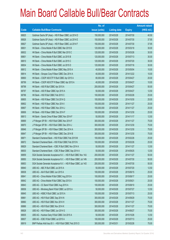|       |                                                                | No. of        |                     |               | <b>Amount raised</b> |
|-------|----------------------------------------------------------------|---------------|---------------------|---------------|----------------------|
| Code  | <b>Callable Bull/Bear Contracts</b>                            | issue (units) | <b>Listing date</b> | <b>Expiry</b> | (HK\$ mil.)          |
| 68825 | Goldman Sachs SP (Asia) - HSI R Bear CBBC Jul 2014 D           | 150,000,000   | 2014/03/28          | 2014/07/30    | 40.50                |
| 68826 | Goldman Sachs SP (Asia) - HSI R Bear CBBC Jul 2014 E           | 150,000,000   | 2014/03/28          | 2014/07/30    | 37.95                |
| 68827 | Goldman Sachs SP (Asia) - HSI R Bear CBBC Jul 2014 F           | 150,000,000   | 2014/03/28          | 2014/07/30    | 37.95                |
| 68831 | HK Bank - China Mobile R Bull CBBC Mar 2015 B                  | 120,000,000   | 2014/03/28          | 2015/03/18    | 30.00                |
| 68832 | HK Bank - China Mobile R Bull CBBC Mar 2015 C                  | 120,000,000   | 2014/03/28          | 2015/03/26    | 30.00                |
| 68801 | HK Bank - China Mobile R Bull CBBC Jul 2015 B                  | 120,000,000   | 2014/03/28          | 2015/07/13    | 30.00                |
| 68810 | HK Bank - China Mobile R Bull CBBC Jul 2015 C                  | 120,000,000   | 2014/03/28          | 2015/07/20    | 30.00                |
| 68834 | HK Bank - China Mobile R Bull CBBC Jul 2015 D                  | 120,000,000   | 2014/03/28          | 2015/07/16    | 30.00                |
| 68812 | HK Bank - China Mobile R Bear CBBC May 2015 A                  | 40,000,000    | 2014/03/28          | 2015/05/04    | 10.00                |
| 68814 | HK Bank - Sinopec Corp R Bear CBBC Dec 2014 A                  | 40,000,000    | 2014/03/28          | 2014/12/22    | 10.00                |
| 68800 | HK Bank - CSOP A50 ETF R Bull CBBC Apr 2015 A                  | 80,000,000    | 2014/03/28          | 2015/04/27    | 20.00                |
| 68799 | HK Bank - CSOP A50 ETF R Bear CBBC Apr 2015 A                  | 40,000,000    | 2014/03/28          | 2015/04/27    | 10.00                |
| 68798 | HK Bank - A50 R Bull CBBC Apr 2015 A                           | 200,000,000   | 2014/03/28          | 2015/04/27    | 50.00                |
| 68797 | HK Bank - A50 R Bear CBBC Apr 2015 A                           | 50,000,000    | 2014/03/28          | 2015/04/27    | 12.50                |
| 68796 | HK Bank - HSI R Bull CBBC Feb 2015 C                           | 100,000,000   | 2014/03/28          | 2015/02/26    | 25.00                |
| 68805 | HK Bank - HSI R Bear CBBC Oct 2014 Q                           | 100,000,000   | 2014/03/28          | 2014/10/30    | 25.00                |
| 68802 | HK Bank - HSI R Bear CBBC Nov 2014 I                           | 100,000,000   | 2014/03/28          | 2014/11/27    | 25.00                |
| 68807 | HK Bank - HSI R Bear CBBC Nov 2014 J                           | 100,000,000   | 2014/03/28          | 2014/11/27    | 25.00                |
| 68806 | HK Bank - HSI R Bear CBBC Dec 2014 F                           | 100,000,000   | 2014/03/28          | 2014/12/30    | 25.00                |
| 68813 | HK Bank - Sands China R Bear CBBC Nov 2014 F                   | 50,000,000    | 2014/03/28          | 2014/11/17    | 12.50                |
| 68869 | J P Morgan SP BV - HSI R Bull CBBC Nov 2014 F                  | 300,000,000   | 2014/03/28          | 2014/11/27    | 75.00                |
| 68870 | J P Morgan SP BV - HSI R Bull CBBC Dec 2014 J                  | 300,000,000   | 2014/03/28          | 2014/12/30    | 75.00                |
| 68846 | J P Morgan SP BV - HSI R Bear CBBC Dec 2014 A                  | 300,000,000   | 2014/03/28          | 2014/12/30    | 75.00                |
| 68847 | J P Morgan SP BV - HSI R Bear CBBC Dec 2014 B                  | 300,000,000   | 2014/03/28          | 2014/12/30    | 75.00                |
| 68871 | Standard Chartered Bank - HSI R Bull CBBC Feb 2015 M           | 100,000,000   | 2014/03/28          | 2015/02/26    | 25.00                |
| 68872 | Standard Chartered Bank - HSI R Bull CBBC Feb 2015 N           | 100,000,000   | 2014/03/28          | 2015/02/26    | 25.00                |
| 68829 | Standard Chartered Bank - ICBC R Bull CBBC Nov 2014 A          | 50,000,000    | 2014/03/28          | 2014/11/27    | 12.50                |
| 68830 | Standard Chartered Bank - ICBC R Bear CBBC Sep 2014 A          | 50,000,000    | 2014/03/28          | 2014/09/25    | 12.50                |
| 68859 | SGA Societe Generale Acceptance N.V. - HSI R Bull CBBC Nov 14U | 200,000,000   | 2014/03/28          | 2014/11/27    | 50.00                |
| 68850 | SGA Societe Generale Acceptance N.V. - HSI R Bear CBBC Jul 14N | 200,000,000   | 2014/03/28          | 2014/07/30    | 50.00                |
| 68853 | SGA Societe Generale Acceptance N.V. - HSI R Bear CBBC Jul 14O | 200,000,000   | 2014/03/28          | 2014/07/30    | 50.00                |
| 68840 | UBS AG - ABC R Bull CBBC Jul 2015 A                            | 50,000,000    | 2014/03/28          | 2015/07/20    | 12.50                |
| 68838 | UBS AG - AIA R Bull CBBC Jun 2015 A                            | 100,000,000   | 2014/03/28          | 2015/06/15    | 25.00                |
| 68841 | UBS AG - China Mobile R Bull CBBC Aug 2015 A                   | 100,000,000   | 2014/03/28          | 2015/08/17    | 25.00                |
| 68842 | UBS AG - China Mobile R Bull CBBC Sep 2015 A                   | 100,000,000   | 2014/03/28          | 2015/09/21    | 25.00                |
| 68843 | UBS AG - CC Bank R Bull CBBC Aug 2015 A                        | 100,000,000   | 2014/03/28          | 2015/08/10    | 25.00                |
| 68836 | UBS AG - Minsheng Bank R Bull CBBC Jul 2015 A                  | 50,000,000    | 2014/03/28          | 2015/07/27    | 12.50                |
| 68845 | UBS AG - HSBC R Bull CBBC Jul 2015 A                           | 100,000,000   | 2014/03/28          | 2015/07/13    | 25.00                |
| 68861 | UBS AG - HSI R Bull CBBC Sep 2014 N                            | 300,000,000   | 2014/03/28          | 2014/09/29    | 75.00                |
| 68860 | UBS AG - HSI R Bull CBBC Nov 2014 H                            | 300,000,000   | 2014/03/28          | 2014/11/27    | 75.00                |
| 68866 | UBS AG - HSI R Bull CBBC Nov 2014 K                            | 300,000,000   | 2014/03/28          | 2014/11/27    | 75.00                |
| 68828 | UBS AG - HSI R Bear CBBC Jun 2014 G                            | 300,000,000   | 2014/03/28          | 2014/06/27    | 75.00                |
| 68835 | UBS AG - Huishan Dairy R Bull CBBC Oct 2015 A                  | 50,000,000    | 2014/03/28          | 2015/10/26    | 12.50                |
| 68837 | UBS AG - ICBC R Bull CBBC Jul 2015 A                           | 100,000,000   | 2014/03/28          | 2015/07/13    | 25.00                |
| 68919 | BNP Paribas Arbit Issu B.V. - HSI R Bull CBBC Feb 2015 O       | 300,000,000   | 2014/03/31          | 2015/02/26    | 75.00                |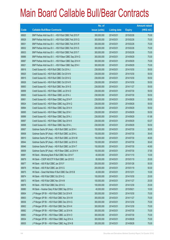## Main Board Callable Bull/Bear Contracts

|       |                                                          | No. of        |                     |               | <b>Amount raised</b> |
|-------|----------------------------------------------------------|---------------|---------------------|---------------|----------------------|
| Code  | <b>Callable Bull/Bear Contracts</b>                      | issue (units) | <b>Listing date</b> | <b>Expiry</b> | (HK\$ mil.)          |
| 68920 | BNP Paribas Arbit Issu B.V. - HSI R Bull CBBC Feb 2015 P | 300,000,000   | 2014/03/31          | 2015/02/26    | 75.00                |
| 68929 | BNP Paribas Arbit Issu B.V. - HSI R Bull CBBC Feb 2015 Q | 300,000,000   | 2014/03/31          | 2015/02/26    | 75.00                |
| 68931 | BNP Paribas Arbit Issu B.V. - HSI R Bull CBBC Feb 2015 R | 300,000,000   | 2014/03/31          | 2015/02/26    | 75.00                |
| 68932 | BNP Paribas Arbit Issu B.V. - HSI R Bull CBBC Feb 2015 S | 300,000,000   | 2014/03/31          | 2015/02/26    | 75.00                |
| 68933 | BNP Paribas Arbit Issu B.V. - HSI R Bull CBBC Feb 2015 T | 300,000,000   | 2014/03/31          | 2015/02/26    | 75.00                |
| 68886 | BNP Paribas Arbit Issu B.V. - HSI R Bear CBBC Sep 2014 G | 300,000,000   | 2014/03/31          | 2014/09/29    | 75.00                |
| 68887 | BNP Paribas Arbit Issu B.V. - HSI R Bear CBBC Sep 2014 H | 300,000,000   | 2014/03/31          | 2014/09/29    | 75.00                |
| 68921 | BNP Paribas Arbit Issu B.V. - HSI R Bear CBBC Sep 2014 I | 300,000,000   | 2014/03/31          | 2014/09/29    | 75.00                |
| 68916 | Credit Suisse AG - HSI R Bull CBBC Oct 2014 J            | 238,000,000   | 2014/03/31          | 2014/10/30    | 59.50                |
| 68925 | Credit Suisse AG - HSI R Bull CBBC Oct 2014 N            | 238,000,000   | 2014/03/31          | 2014/10/30    | 59.50                |
| 68915 | Credit Suisse AG - HSI R Bull CBBC Oct 2014 Q            | 238,000,000   | 2014/03/31          | 2014/10/30    | 59.50                |
| 68926 | Credit Suisse AG - HSI R Bull CBBC Oct 2014 R            | 238,000,000   | 2014/03/31          | 2014/10/30    | 59.50                |
| 68893 | Credit Suisse AG - HSI R Bull CBBC Nov 2014 S            | 238,000,000   | 2014/03/31          | 2014/11/27    | 59.50                |
| 68899 | Credit Suisse AG - HSI R Bear CBBC Jul 2014 D            | 238,000,000   | 2014/03/31          | 2014/07/30    | 59.50                |
| 68900 | Credit Suisse AG - HSI R Bear CBBC Jul 2014 J            | 238,000,000   | 2014/03/31          | 2014/07/30    | 59.50                |
| 68901 | Credit Suisse AG - HSI R Bear CBBC Aug 2014 P            | 238,000,000   | 2014/03/31          | 2014/08/28    | 59.50                |
| 68924 | Credit Suisse AG - HSI R Bear CBBC Aug 2014 Q            | 238,000,000   | 2014/03/31          | 2014/08/28    | 59.50                |
| 68894 | Credit Suisse AG - HSI R Bear CBBC Sep 2014 H            | 238,000,000   | 2014/03/31          | 2014/09/29    | 59.50                |
| 68895 | Credit Suisse AG - HSI R Bear CBBC Sep 2014 I            | 238,000,000   | 2014/03/31          | 2014/09/29    | 59.50                |
| 68896 | Credit Suisse AG - HSI R Bear CBBC Sep 2014 J            | 238,000,000   | 2014/03/31          | 2014/09/29    | 61.88                |
| 68897 | Credit Suisse AG - HSI R Bear CBBC Sep 2014 K            | 238,000,000   | 2014/03/31          | 2014/09/29    | 63.07                |
| 68898 | Credit Suisse AG - HSI R Bear CBBC Sep 2014 L            | 238,000,000   | 2014/03/31          | 2014/09/29    | 59.50                |
| 68907 | Goldman Sachs SP (Asia) - HSI R Bull CBBC Jul 2014 I     | 150,000,000   | 2014/03/31          | 2014/07/30    | 38.55                |
| 68908 | Goldman Sachs SP (Asia) - HSI R Bull CBBC Jul 2014 L     | 150,000,000   | 2014/03/31          | 2014/07/30    | 39.45                |
| 68910 | Goldman Sachs SP (Asia) - HSI R Bull CBBC Jul 2014 M     | 150,000,000   | 2014/03/31          | 2014/07/30    | 46.65                |
| 68944 | Goldman Sachs SP (Asia) - HSI R Bull CBBC Jul 2014 S     | 150,000,000   | 2014/03/31          | 2014/07/30    | 38.40                |
| 68946 | Goldman Sachs SP (Asia) - HSI R Bull CBBC Jul 2014 T     | 150,000,000   | 2014/03/31          | 2014/07/30    | 40.80                |
| 68909 | Goldman Sachs SP (Asia) - HSI R Bear CBBC Jul 2014 H     | 150,000,000   | 2014/03/31          | 2014/07/30    | 37.65                |
| 68881 | HK Bank - Minsheng Bank R Bull CBBC Nov 2014 F           | 40,000,000    | 2014/03/31          | 2014/11/10    | 10.00                |
| 68879 | HK Bank - CSOP A50 ETF R Bull CBBC Jan 2015 D            | 80,000,000    | 2014/03/31          | 2015/01/19    | 20.00                |
| 68877 | HK Bank - A50 R Bull CBBC Jan 2015 F                     | 200,000,000   | 2014/03/31          | 2015/01/26    | 50.00                |
| 68878 | HK Bank - A50 R Bull CBBC Jan 2015 G                     | 200,000,000   | 2014/03/31          | 2015/01/19    | 50.00                |
| 68875 | HK Bank - Great Wall Motor R Bull CBBC Dec 2015 B        | 40,000,000    | 2014/03/31          | 2015/12/31    | 10.00                |
| 68874 | HK Bank - HSI R Bull CBBC Oct 2014 Q                     | 100,000,000   | 2014/03/31          | 2014/10/30    | 25.00                |
| 68873 | HK Bank - HSI R Bull CBBC Nov 2014 M                     | 100,000,000   | 2014/03/31          | 2014/11/27    | 25.00                |
| 68876 | HK Bank - HSI R Bull CBBC Dec 2014 G                     | 100,000,000   | 2014/03/31          | 2014/12/30    | 25.00                |
| 68880 | HK Bank - Huishan Dairy R Bull CBBC Sep 2015 A           | 40,000,000    | 2014/03/31          | 2015/09/21    | 10.00                |
| 68904 | J P Morgan SP BV - HSI R Bull CBBC Oct 2014 R            | 300,000,000   | 2014/03/31          | 2014/10/30    | 75.00                |
| 68903 | J P Morgan SP BV - HSI R Bull CBBC Nov 2014 W            | 300,000,000   | 2014/03/31          | 2014/11/27    | 75.00                |
| 68936 | J P Morgan SP BV - HSI R Bull CBBC Dec 2014 G            | 300,000,000   | 2014/03/31          | 2014/12/30    | 75.00                |
| 68902 | J P Morgan SP BV - HSI R Bull CBBC Dec 2014 K            | 300,000,000   | 2014/03/31          | 2014/12/30    | 75.00                |
| 68882 | J P Morgan SP BV - HSI R Bear CBBC Jul 2014 N            | 300,000,000   | 2014/03/31          | 2014/07/30    | 75.00                |
| 68883 | J P Morgan SP BV - HSI R Bear CBBC Jul 2014 O            | 300,000,000   | 2014/03/31          | 2014/07/30    | 75.00                |
| 68934 | J P Morgan SP BV - HSI R Bear CBBC Aug 2014 A            | 300,000,000   | 2014/03/31          | 2014/08/28    | 75.00                |
| 68935 | J P Morgan SP BV - HSI R Bear CBBC Aug 2014 B            | 300,000,000   | 2014/03/31          | 2014/08/28    | 75.00                |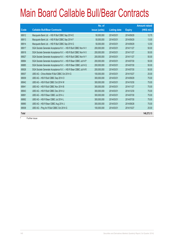# Main Board Callable Bull/Bear Contracts

|       |                                                                | No. of        |                     |               | <b>Amount raised</b> |
|-------|----------------------------------------------------------------|---------------|---------------------|---------------|----------------------|
| Code  | <b>Callable Bull/Bear Contracts</b>                            | issue (units) | <b>Listing date</b> | <b>Expiry</b> | (HK\$ mil.)          |
| 68912 | Macquarie Bank Ltd. - HSI R Bull CBBC Sep 2014 E               | 50,000,000    | 2014/03/31          | 2014/09/29    | 12.75                |
| 68913 | Macquarie Bank Ltd. - HSI R Bull CBBC Sep 2014 F               | 50,000,000    | 2014/03/31          | 2014/09/29    | 13.00                |
| 68914 | Macquarie Bank Ltd. - HSI R Bull CBBC Sep 2014 G               | 50,000,000    | 2014/03/31          | 2014/09/29    | 12.50                |
| 68917 | SGA Societe Generale Acceptance N.V. - HSI R Bull CBBC Nov14 V | 200,000,000   | 2014/03/31          | 2014/11/27    | 50.00                |
| 68918 | SGA Societe Generale Acceptance N.V. - HSI R Bull CBBC Nov14 X | 200,000,000   | 2014/03/31          | 2014/11/27    | 50.00                |
| 68927 | SGA Societe Generale Acceptance N.V. - HSI R Bull CBBC Nov14 Y | 200,000,000   | 2014/03/31          | 2014/11/27    | 50.00                |
| 68884 | SGA Societe Generale Acceptance N.V. - HSI R Bear CBBC Jul14 P | 200,000,000   | 2014/03/31          | 2014/07/30    | 50.00                |
| 68885 | SGA Societe Generale Acceptance N.V. - HSI R Bear CBBC Jul14 Q | 200,000,000   | 2014/03/31          | 2014/07/30    | 50.00                |
| 68928 | SGA Societe Generale Acceptance N.V. - HSI R Bear CBBC Jul14 R | 200,000,000   | 2014/03/31          | 2014/07/30    | 50.00                |
| 68937 | UBS AG - China Mobile R Bull CBBC Oct 2014 G                   | 100,000,000   | 2014/03/31          | 2014/10/27    | 25.00                |
| 68939 | UBS AG - HSI R Bull CBBC Sep 2014 O                            | 300,000,000   | 2014/03/31          | 2014/09/29    | 75.00                |
| 68942 | UBS AG - HSI R Bull CBBC Oct 2014 W                            | 300,000,000   | 2014/03/31          | 2014/10/30    | 75.00                |
| 68941 | UBS AG - HSI R Bull CBBC Nov 2014 B                            | 300,000,000   | 2014/03/31          | 2014/11/27    | 75.00                |
| 68943 | UBS AG - HSI R Bull CBBC Dec 2014 U                            | 300,000,000   | 2014/03/31          | 2014/12/30    | 75.00                |
| 68891 | UBS AG - HSI R Bear CBBC Jul 2014 J                            | 300,000,000   | 2014/03/31          | 2014/07/30    | 75.00                |
| 68892 | UBS AG - HSI R Bear CBBC Jul 2014 L                            | 300,000,000   | 2014/03/31          | 2014/07/30    | 75.00                |
| 68890 | UBS AG - HSI R Bear CBBC Aug 2014 J                            | 300,000,000   | 2014/03/31          | 2014/08/28    | 75.00                |
| 68938 | UBS AG - Ping An R Bull CBBC Oct 2014 G                        | 100,000,000   | 2014/03/31          | 2014/10/27    | 25.00                |
| Total |                                                                |               |                     |               | 146,272.13           |
|       | Further issue                                                  |               |                     |               |                      |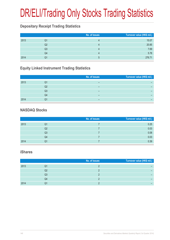# DR/ELI/Trading Only Stocks Trading Statistics

### **Depositary Receipt Trading Statistics**

|      |    | No. of issues | Turnover value (HK\$ mil.) |
|------|----|---------------|----------------------------|
| 2013 | Q1 |               | 15.07                      |
|      | Q2 |               | 20.85                      |
|      | Q3 |               | 7.69                       |
|      | Q4 |               | 5.78                       |
| 2014 | Q1 | ხ             | 276.71                     |

### **Equity Linked Instrument Trading Statistics**

|      |    | No. of issues | Turnover value (HK\$ mil.) |
|------|----|---------------|----------------------------|
| 2013 | Q1 | –             |                            |
|      | Q2 | –             |                            |
|      | Q3 |               |                            |
|      | Q4 | –             |                            |
| 2014 | Q1 |               |                            |

### **NASDAQ Stocks**

|      |                | No. of issues | Turnover value (HK\$ mil.) |
|------|----------------|---------------|----------------------------|
| 2013 | Q1             |               | 0.25                       |
|      | Q2             |               | 0.03                       |
|      | Q <sub>3</sub> |               | 0.08                       |
|      | Q4             |               | 0.03                       |
| 2014 | Q1             |               | 0.39                       |

#### **iShares**

|      |    | No. of issues | Turnover value (HK\$ mil.) |
|------|----|---------------|----------------------------|
| 2013 | Q1 |               |                            |
|      | Q2 |               |                            |
|      | Q3 |               |                            |
|      | Q4 |               |                            |
| 2014 |    |               |                            |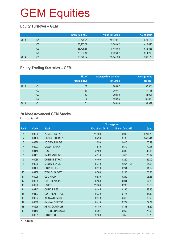### **Equity Turnover – GEM**

|      |    | Share (Mil. shs) | Value (HK\$ mil.) | No. of deals |
|------|----|------------------|-------------------|--------------|
| 2013 | Q1 | 55,775.21        | 12,379.11         | 371,122      |
|      | Q2 | 38.483.69        | 15.384.62         | 413,646      |
|      | Q3 | 56,706.88        | 18.446.55         | 542,526      |
|      | Q4 | 78,234.46        | 32,626.67         | 914,205      |
| 2014 | Q1 | 108,376.84       | 63,841.30         | 1,599,170    |

### **Equity Trading Statistics – GEM**

|      |                | No. of<br>trading days | <b>Average daily turnover</b><br>(HK\$ mil.) | Average value<br>per deal |
|------|----------------|------------------------|----------------------------------------------|---------------------------|
| 2013 | Q1             | 59                     | 209.82                                       | 33,356                    |
|      | Q <sub>2</sub> | 60                     | 256.41                                       | 37,193                    |
|      | Q <sub>3</sub> | 63                     | 292.80                                       | 34,001                    |
|      | Q4             | 62                     | 526.24                                       | 35,689                    |
| 2014 | Q <sub>1</sub> | 61                     | 1,046.58                                     | 39,922                    |

#### **20 Most Advanced GEM Stocks**

for 1st quarter 2014

|                |       |                        |                 | <b>Closing price</b>    |          |
|----------------|-------|------------------------|-----------------|-------------------------|----------|
| Rank           | Code  | <b>Stock</b>           | End of Mar 2014 | End of Dec 2013         | $%$ up   |
| $\mathbf{1}$   | 08050 | YUNBO DIGITAL          | 11.860          | 0.900                   | 1,217.78 |
| $\overline{2}$ | 08192 | <b>GLOBAL ENERGY</b>   | 0.490           | 0.109                   | 349.541  |
| 3              | 08326 | <b>JC GROUP HLDG</b>   | 1.650           | 0.610                   | 170.49   |
| 4              | 08207 | <b>CREDIT CHINA</b>    | 1.810           | 0.670                   | 170.15   |
| 5              | 08145 | <b>TSO</b>             | 2.190           | 0.880                   | 148.86   |
| 6              | 08101 | <b>JIA MENG HLDG</b>   | 4.310           | 1.810                   | 138.12   |
| $\overline{7}$ | 08089 | <b>CHINESE STRAT</b>   | 0.495           | 0.220                   | 125.00   |
| 8              | 08006 | <b>SINO SPLENDID</b>   | 5.070           | 2.257<br>$\overline{A}$ | 124.63   |
| 9              | 08193 | <b>GC PRO SER</b>      | 0.510           | 0.241                   | 111.62   |
| 10             | 08269 | <b>WEALTH GLORY</b>    | 0.300           | 0.145                   | 106.90   |
| 11             | 08098 | <b>CL GROUP</b>        | 0.530           | 0.260                   | 103.85   |
| 12             | 08055 | <b>CHI E-LEARNING</b>  | 0.180           | 0.091                   | 97.80    |
| 13             | 08292 | <b>HC INTL</b>         | 19.900          | 10.280                  | 93.58    |
| 14             | 08117 | <b>CHINA P RES</b>     | 0.445           | 0.235                   | 89.36    |
| 15             | 08197 | <b>NORTHEAST TIGER</b> | 0.330           | 0.176                   | 87.50    |
| 16             | 08083 | <b>INNOVATIONPAY</b>   | 0.570           | 0.315                   | 80.95    |
| 17             | 08310 | <b>GAMMALOGISTIC</b>   | 0.410           | 0.229                   | 79.04    |
| 18             | 08295 | <b>ASIAN CAPITAL H</b> | 0.180           | 0.101                   | 78.22    |
| 19             | 08119 | THIZ TECHNOLOGY        | 0.091           | 0.052                   | 75.00    |
| 20             | 08031 | <b>ETS GROUP</b>       | 2.800           | 1.650                   | 69.70    |
|                |       |                        |                 |                         |          |

A Adjusted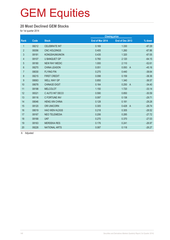#### **20 Most Declined GEM Stocks**

for 1st quarter 2014

|                |       |                       |                 | <b>Closing price</b>    |          |
|----------------|-------|-----------------------|-----------------|-------------------------|----------|
| Rank           | Code  | <b>Stock</b>          | End of Mar 2014 | End of Dec 2013         | $%$ down |
| $\mathbf{1}$   | 08212 | <b>CELEBRATE INT</b>  | 0.169           | 1.330                   | $-87.29$ |
| $\overline{2}$ | 08356 | <b>CNC HOLDINGS</b>   | 0.405           | 1.260                   | $-67.86$ |
| 3              | 08181 | <b>KONGSHUMUNION</b>  | 0.435           | 1.320                   | $-67.05$ |
| 4              | 08107 | <b>U BANQUET GP</b>   | 0.760           | 2.120                   | $-64.15$ |
| $\overline{5}$ | 08180 | <b>NEW RAY MEDIC</b>  | 1.000           | 2.110                   | $-52.61$ |
| $6\phantom{.}$ | 08270 | <b>CHINA LEASON</b>   | 0.051           | 0.093<br>$\overline{A}$ | $-45.16$ |
| $\overline{7}$ | 08030 | <b>FLYING FIN</b>     | 0.270           | 0.440                   | $-38.64$ |
| $\,8\,$        | 08215 | <b>FIRST CREDIT</b>   | 0.098           | 0.159                   | $-38.36$ |
| 9              | 08063 | <b>WELL WAY GP</b>    | 0.850           | 1.340                   | $-36.57$ |
| 10             | 08078 | <b>CHINA3D DIGIT</b>  | 0.164           | 0.250<br>$\overline{A}$ | $-34.40$ |
| 11             | 08198 | <b>MELCOLOT</b>       | 1.150           | 1.720                   | $-33.14$ |
| 12             | 08321 | C AUTO INT DECO       | 0.590           | 0.850                   | $-30.59$ |
| 13             | 08116 | C FORTUNE INV         | 0.097           | 0.138                   | $-29.71$ |
| 14             | 08046 | <b>HENG XIN CHINA</b> | 0.128           | 0.181                   | $-29.28$ |
| 15             | 08120 | <b>ORI UNICORN</b>    | 0.305           | 0.428<br>$\overline{A}$ | $-28.74$ |
| 16             | 08019 | <b>HAO WEN HLDGS</b>  | 0.218           | 0.305                   | $-28.52$ |
| 17             | 08167 | <b>NEO TELEMEDIA</b>  | 0.206           | 0.285                   | $-27.72$ |
| 18             | 08168 | <b>UKF</b>            | 0.270           | 0.370                   | $-27.03$ |
| 19             | 08163 | <b>MERDEKA RES</b>    | 0.176           | 0.241                   | $-26.97$ |
| 20             | 08228 | <b>NATIONAL ARTS</b>  | 0.087           | 0.118                   | $-26.27$ |

A Adjusted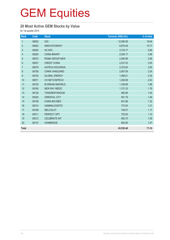### **20 Most Active GEM Stocks by Value**

for 1st quarter 2014

| Rank           | Code  | <b>Stock</b>           | Turnover (HK\$ mil.) | % of total |
|----------------|-------|------------------------|----------------------|------------|
| $\mathbf{1}$   | 08002 | <b>IGG</b>             | 12,090.59            | 18.94      |
| $\overline{2}$ | 08083 | <b>INNOVATIONPAY</b>   | 6,878.48             | 10.77      |
| $\mathbf{3}$   | 08292 | <b>HC INTL</b>         | 3,733.77             | 5.85       |
| 4              | 08255 | <b>CHINA BINARY</b>    | 2,529.17             | 3.96       |
| $\overline{5}$ | 08072 | <b>ROMA GROUP-NEW</b>  | 2,285.98             | 3.58       |
| $\,6\,$        | 08207 | <b>CREDIT CHINA</b>    | 2,237.02             | 3.50       |
| $\overline{7}$ | 08279 | <b>AGTECH HOLDINGS</b> | 2,233.92             | 3.50       |
| 8              | 08156 | <b>CHINA VANGUARD</b>  | 2,067.09             | 3.24       |
| 9              | 08192 | <b>GLOBAL ENERGY</b>   | 1,499.21             | 2.35       |
| 10             | 08071 | CH NETCOMTECH          | 1,292.89             | 2.03       |
| 11             | 08100 | <b>M DREAM INWORLD</b> | 1,189.99             | 1.86       |
| 12             | 08180 | <b>NEW RAY MEDIC</b>   | 1,121.33             | 1.76       |
| 13             | 08138 | <b>TONGRENTANGCM</b>   | 982.86               | 1.54       |
| 14             | 08325 | <b>ORIENTAL CITY</b>   | 951.79               | 1.49       |
| 15             | 08158 | <b>CHINA BIO-MED</b>   | 841.68               | 1.32       |
| 16             | 08310 | <b>GAMMALOGISTIC</b>   | 772.93               | 1.21       |
| 17             | 08198 | <b>MELCOLOT</b>        | 748.57               | 1.17       |
| 18             | 08311 | PERFECT OPT            | 703.83               | 1.10       |
| 19             | 08212 | <b>CELEBRATE INT</b>   | 693.70               | 1.09       |
| 20             | 08137 | <b>HONBRIDGE</b>       | 683.66               | 1.07       |
| <b>Total</b>   |       |                        | 45,538.46            | 71.33      |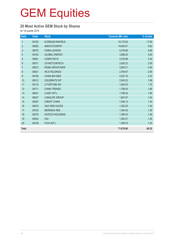### **20 Most Active GEM Stock by Shares**

for 1st quarter 2014

| Rank           | Code  | <b>Stock</b>           | <b>Turnover (Mil. shs)</b> | % of total |
|----------------|-------|------------------------|----------------------------|------------|
| $\mathbf{1}$   | 08100 | <b>M DREAM INWORLD</b> | 19,175.62                  | 17.69      |
| $\overline{2}$ | 08083 | <b>INNOVATIONPAY</b>   | 10,645.01                  | 9.82       |
| 3              | 08270 | <b>CHINA LEASON</b>    | 5,078.66                   | 4.69       |
| 4              | 08192 | <b>GLOBAL ENERGY</b>   | 3,898.20                   | 3.60       |
| 5              | 08081 | <b>COMPUTECH</b>       | 3,578.98                   | 3.30       |
| $6\,$          | 08071 | CH NETCOMTECH          | 3,562.22                   | 3.29       |
| $\overline{7}$ | 08072 | <b>ROMA GROUP-NEW</b>  | 2,863.21                   | 2.64       |
| $\bf 8$        | 08021 | <b>WLS HOLDINGS</b>    | 2,794.67                   | 2.58       |
| 9              | 08158 | <b>CHINA BIO-MED</b>   | 2,527.16                   | 2.33       |
| 10             | 08212 | <b>CELEBRATE INT</b>   | 2,040.22                   | 1.88       |
| 11             | 08116 | C FORTUNE INV          | 1,940.53                   | 1.79       |
| 12             | 08171 | <b>CHINA TRENDS</b>    | 1,798.30                   | 1.66       |
| 13             | 08041 | LUXEY INT'L            | 1,790.02                   | 1.65       |
| 14             | 08037 | <b>LONGLIFE GROUP</b>  | 1,667.87                   | 1.54       |
| 15             | 08207 | <b>CREDIT CHINA</b>    | 1,559.12                   | 1.44       |
| 16             | 08019 | HAO WEN HLDGS          | 1,452.25                   | 1.34       |
| 17             | 08163 | <b>MERDEKA RES</b>     | 1,394.42                   | 1.29       |
| 18             | 08279 | <b>AGTECH HOLDINGS</b> | 1,390.43                   | 1.28       |
| 19             | 08002 | <b>IGG</b>             | 1,364.27                   | 1.26       |
| 20             | 08108 | <b>FAVA INT'L</b>      | 1,358.76                   | 1.25       |
| <b>Total</b>   |       |                        | 71,879.90                  | 66.32      |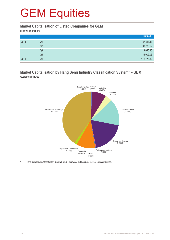#### **Market Capitalisation of Listed Companies for GEM**

as at the quarter end

|      |                | HK\$ mil.  |
|------|----------------|------------|
| 2013 | Q1             | 87,318.43  |
|      | Q <sub>2</sub> | 98,730.52  |
|      | Q3             | 119,020.80 |
|      | Q4             | 134,002.06 |
| 2014 | Q1             | 172,776.82 |

#### **Market Capitalisation by Hang Seng Industry Classification System\* – GEM** Quarter-end figures



Hang Seng Industry Classification System (HSICS) is provided by Hang Seng Indexes Company Limited.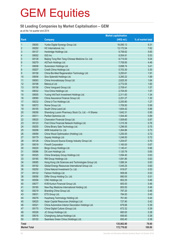#### **50 Leading Companies by Market Capitalisation – GEM**

as at the 1st quarter end 2014

|                     |       |                                                     | <b>Market capitalisation</b> |                   |
|---------------------|-------|-----------------------------------------------------|------------------------------|-------------------|
| Rank                |       | <b>Company</b>                                      | (HK\$ mil.)                  | % of market total |
| $\mathbf{1}$        | 08050 | Yunbo Digital Synergy Group Ltd.                    | 16,085.13                    | 9.31              |
| $\overline{2}$      | 08292 | HC International, Inc.                              | 13,172.54                    | 7.62              |
| $\sqrt{3}$          | 08137 | Honbridge Holdings Ltd.                             | 9,758.62                     | 5.65              |
| 4                   | 08002 | <b>IGG Inc</b>                                      | 9,554.91                     | 5.53              |
| 5                   | 08138 | Beijing Tong Ren Tang Chinese Medicine Co. Ltd.     | 8,715.00                     | 5.04              |
| $6\,$               | 08279 | AGTech Holdings Ltd.                                | 7,708.85                     | 4.46              |
| $\overline{7}$      | 08008 | Sunevision Holdings Ltd.                            | 5,898.74                     | 3.41              |
| 8                   | 08207 | Credit China Holdings Ltd.                          | 5,703.30                     | 3.30              |
| 9                   | 08158 | China Bio-Med Regeneration Technology Ltd.          | 3,293.61                     | 1.91              |
| 10                  | 08006 | Sino Splendid Holdings Ltd.                         | 3,260.22                     | 1.89              |
| 11                  | 08083 | China Innovationpay Group Ltd.                      | 2,825.30                     | 1.64              |
| 12                  | 08198 | MelcoLot Ltd.                                       | 2,772.05                     | 1.60              |
| 13                  | 08156 | China Vanguard Group Ltd.                           | 2,709.41                     | 1.57              |
| 14                  | 08032 | Viva China Holdings Ltd.                            | 2,704.00                     | 1.57              |
| 15                  | 08005 | Yuxing InfoTech Investment Holdings Ltd.            | 2,311.83                     | 1.34              |
| 16                  | 08090 | China Assurance Finance Group Ltd.                  | 2,251.27                     | 1.30              |
| 17                  | 08232 | China U-Ton Holdings Ltd.                           | 2,200.80                     | 1.27              |
| 18                  | 08072 | Roma Group Ltd.                                     | 1,709.50                     | 0.99              |
| 19                  | 08155 | South China Land Ltd.                               | 1,654.42                     | 0.96              |
| 20                  | 08058 | Shandong Luoxin Pharmacy Stock Co. Ltd. - H Shares  | 1,642.31                     | 0.95              |
| 21                  | 08311 | Perfect Optronics Ltd.                              | 1,544.40                     | 0.89              |
| 22                  | 08020 | Chanceton Financial Group Ltd.                      | 1,509.60                     | 0.87              |
| 23                  | 08123 | First China Financial Network Holdings Ltd.         | 1,315.39                     | 0.76              |
| 24                  | 08255 | China Binary Sale Technology Ltd.                   | 1,296.00                     | 0.75              |
| 25                  | 08298 | AKM Industrial Co. Ltd.                             | 1,264.86                     | 0.73              |
| 26                  | 08099 | China Wood Optimization (Holding) Ltd.              | 1,250.00                     | 0.72              |
| 27                  | 08179 | Gayety Holdings Ltd.                                | 1,248.00                     | 0.72              |
| 28                  | 08128 | China Ground Source Energy Industry Group Ltd.      | 1,204.67                     | 0.70              |
| 29                  | 08018 | <b>Finsoft Corporation</b>                          | 1,160.00                     | 0.67              |
| 30                  | 08220 | Bingo Group Holdings Ltd.                           | 1,140.41                     | 0.66              |
| 31                  | 08086 | DX.com Holdings Ltd.                                | 1,120.79                     | 0.65              |
| 32                  | 08325 | China Smartpay Group Holdings Ltd.                  | 1,094.40                     | 0.63              |
| 33                  | 08185 | RM Group Holdings Ltd.                              | 1,091.80                     | 0.63              |
| 34                  | 08085 | Hong Kong Life Sciences and Technologies Group Ltd. | 1,086.34                     | 0.63              |
| 35                  | 08192 | Global Energy Resources International Group Ltd.    | 1,045.25                     | 0.60              |
| 36                  | 08250 | China Natural Investment Co. Ltd.                   | 919.07                       | 0.53              |
| 37                  | 08132 | Fairson Holdings Ltd.                               | 908.06                       | 0.53              |
| 38                  | 08056 | Differ Group Holding Co. Ltd.                       | 880.00                       | 0.51              |
| 39                  | 08356 | CNC Holdings Ltd.                                   | 802.25                       | 0.46              |
| 40                  | 08077 | KVB Kunlun Financial Group Ltd.                     | 800.00                       | 0.46              |
| 41                  | 08180 | New Ray Medicine International Holding Ltd.         | 800.00                       | 0.46              |
| 42                  | 08219 | Branding China Group Ltd.                           | 797.20                       | 0.46              |
| 43                  | 08031 | ETS Group Ltd.                                      | 784.00                       | 0.45              |
| 44                  | 08276 | Huazhang Technology Holding Ltd.                    | 761.60                       | 0.44              |
| 45                  | 08025 | Asian Capital Resources (Holdings) Ltd.             | 727.90                       | 0.42              |
| 46                  | 08321 | China Automotive Interior Decoration Holdings Ltd.  | 679.68                       | 0.39              |
| 47                  | 08175 | China Digital Culture (Group) Ltd.                  | 672.32                       | 0.39              |
| 48                  | 08326 | JC Group Holdings Ltd.                              | 660.00                       | 0.38              |
| 49                  | 08016 | Changhong Jiahua Holdings Ltd.                      | 656.60                       | 0.38              |
| 50                  | 08150 | Seamless Green China (Holdings) Ltd.                | 650.40                       | 0.38              |
| <b>Total</b>        |       |                                                     | 135,802.80                   | 78.60             |
| <b>Market Total</b> |       |                                                     | 172,776.82                   | 100.00            |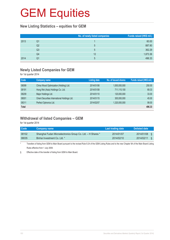### **New Listing Statistics – equities for GEM**

|      |    | No. of newly listed companies | Funds raised (HK\$ mil.) |
|------|----|-------------------------------|--------------------------|
| 2013 | Q1 |                               | 60.00                    |
|      | Q2 | 5                             | 887.80                   |
|      | Q3 | 5                             | 362.29                   |
|      | Q4 | 12                            | 1,873.36                 |
| 2014 | Q1 | 5                             | 496.33                   |

#### **Newly Listed Companies for GEM**

for 1st quarter 2014

| Code         | <b>Company name</b>                           | <b>Listing date</b> | No. of issued shares | Funds raised (HK\$ mil.) |
|--------------|-----------------------------------------------|---------------------|----------------------|--------------------------|
| 08099        | China Wood Optimization (Holding) Ltd.        | 2014/01/06          | 1,000,000,000        | 250.00                   |
| 08191        | Hong Wei (Asia) Holdings Co. Ltd.             | 2014/01/08          | 711,115,100          | 69.33                    |
| 08209        | Major Holdings Ltd.                           | 2014/01/10          | 120,000,000          | 33.00                    |
| 08001        | Orient Securities International Holdings Ltd. | 2014/01/15          | 300,000,000          | 45.00                    |
| 08311        | Perfect Optronics Ltd.                        | 2014/02/07          | 1,320,000,000        | 99.00                    |
| <b>Total</b> |                                               |                     |                      | 496.33                   |

### **Withdrawal of listed Companies – GEM**

for 1st quarter 2014

| <b>Code</b> | <b>Company name</b>                                         | Last trading date <b>\</b> | Delisted date |    |
|-------------|-------------------------------------------------------------|----------------------------|---------------|----|
| 08102       | Shanghai Fudan Microelectronics Group Co. Ltd. - H Shares * | 2014/01/07                 | 2014/01/08    | 8  |
| 08035       | Binhai Investment Co. Ltd. *                                | 2014/02/10                 | 2014/02/11    | ι. |

\* Transfers of listing from GEM to Main Board pursuant to the revised Rule 9.24 of the GEM Listing Rules and to the new Chapter 9A of the Main Board Listing Rules effective from 1 July 2008.

§ Effective date of the transfer of listing from GEM to Main Board.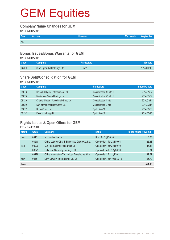#### **Company Name Changes for GEM**

for 1st quarter 2014

| Code       | Old name | New name | Effective date | <b>Adoption date</b> |
|------------|----------|----------|----------------|----------------------|
| <b>NIL</b> |          |          |                |                      |

#### **Bonus Issues/Bonus Warrants for GEM**

for 1st quarter 2014

| Code <sup>1</sup> | Company                     | <b>Particulars</b> |            |
|-------------------|-----------------------------|--------------------|------------|
| 08006             | Sino Splendid Holdings Ltd. | $5$ for $\gamma$   | 2014/01/06 |

### **Share Split/Consolidation for GEM**

for 1st quarter 2014

| Code  | <b>Company</b>                           | <b>Particulars</b>      | <b>Effective date</b> |
|-------|------------------------------------------|-------------------------|-----------------------|
| 08078 | China 3D Digital Entertainment Ltd.      | Consolidation 10 into 1 | 2014/01/07            |
| 08075 | Media Asia Group Holdings Ltd.           | Consolidation 20 into 1 | 2014/01/09            |
| 08120 | Oriental Unicorn Agricultural Group Ltd. | Consolidation 4 into 1  | 2014/01/14            |
| 08029 | Sun International Resources Ltd.         | Consolidation 2 into 1  | 2014/02/14            |
| 08072 | Roma Group Ltd.                          | Split 1 into 10         | 2014/03/06            |
| 08132 | Fairson Holdings Ltd.                    | Split 1 into 10         | 2014/03/25            |

### **Rights Issues & Open Offers for GEM**

for 1st quarter 2014

| <b>Month</b> | Code  | Company                                       | <b>Ratio</b>                | Funds raised (HK\$ mil.) |
|--------------|-------|-----------------------------------------------|-----------------------------|--------------------------|
| Jan          | 08131 | abc Multiactive Ltd.                          | Rts 1 for 2 @\$0.10         | 8.03                     |
|              | 08270 | China Leason CBM & Shale Gas Group Co. Ltd.   | Open offer 1 for 2 @\$0.04  | 126.83                   |
| Feb          | 08029 | Sun International Resources Ltd.              | Open offer 1 for 2 @\$0.10  | 46.38                    |
|              | 08079 | Unlimited Creativity Holdings Ltd.            | Open offer 4 for 1 @\$0.10  | 50.34                    |
|              | 08178 | China Information Technology Development Ltd. | Open offer 2 for 1 @\$0.11  | 197.67                   |
| Mar          | 08351 | Larry Jewelry International Co. Ltd.          | Open offer 7 for 10 @\$0.12 | 125.70                   |
| <b>Total</b> |       |                                               |                             | 554.95                   |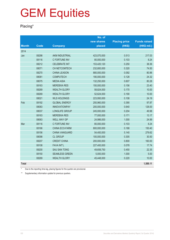### **Placing\***

|              |             |                       | No. of      |                      |                     |
|--------------|-------------|-----------------------|-------------|----------------------|---------------------|
|              |             |                       | new shares  | <b>Placing price</b> | <b>Funds raised</b> |
| <b>Month</b> | <b>Code</b> | <b>Company</b>        | placed      | (HK\$)               | (HK\$ mil.)         |
| 2014         |             |                       |             |                      |                     |
| Jan          | 08298       | <b>AKM INDUSTRIAL</b> | 423,070,000 | 0.513                | 217.03              |
|              | 08116       | C FORTUNE INV         | 80,000,000  | 0.103                | 8.24                |
|              | 08212       | <b>CELEBRATE INT</b>  | 153,420,120 | 0.250                | 38.36               |
|              | 08071       | CH NETCOMTECH         | 232,800,000 | 0.320                | 74.50               |
|              | 08270       | <b>CHINA LEASON</b>   | 880,000,000 | 0.092                | 80.96               |
|              | 08081       | <b>COMPUTECH</b>      | 190,000,000 | 0.128                | 24.32               |
|              | 08075       | <b>MEDIA ASIA</b>     | 132,250,000 | 0.607                | 80.28               |
|              | 08163       | <b>MERDEKA RES</b>    | 150,000,000 | 0.156                | 23.40               |
|              | 08269       | <b>WEALTH GLORY</b>   | 58,824,000  | 0.170                | 10.00               |
|              | 08269       | <b>WEALTH GLORY</b>   | 52,624,000  | 0.190                | 10.00               |
|              | 08021       | <b>WLS HOLDINGS</b>   | 223,950,000 | 0.108                | 24.19               |
| Feb          | 08192       | <b>GLOBAL ENERGY</b>  | 250,960,000 | 0.390                | 97.87               |
|              | 08083       | <b>INNOVATIONPAY</b>  | 200,000,000 | 0.640                | 128.00              |
|              | 08037       | LONGLIFE GROUP        | 245,000,000 | 0.204                | 49.98               |
|              | 08163       | <b>MERDEKA RES</b>    | 77,000,000  | 0.171                | 13.17               |
|              | 08063       | <b>WELL WAY GP</b>    | 24,986,000  | 1.000                | 24.99               |
| Mar          | 08116       | C FORTUNE INV         | 80,000,000  | 0.103                | 8.24                |
|              | 08166       | CHINA ECO-FARM        | 800,000,000 | 0.188                | 150.40              |
|              | 08156       | CHINA VANGUARD        | 54,400,000  | 5.140                | 279.62              |
|              | 08098       | <b>CL GROUP</b>       | 100,000,000 | 0.305                | 30.50               |
|              | 08207       | <b>CREDIT CHINA</b>   | 200,000,000 | 0.800                | 160.00              |
|              | 08108       | <b>FAVA INT'L</b>     | 227,400,000 | 0.078                | 17.74               |
|              | 08200       | <b>SAU SAN TONG</b>   | 49,658,750  | 0.450                | 22.35               |
|              | 08150       | <b>SEAMLESS GREEN</b> | 5,000,000   | 1.000                | 5.00                |
|              | 08269       | <b>WEALTH GLORY</b>   | 45,448,000  | 0.220                | 10.00               |
| <b>Total</b> |             |                       |             |                      | 1,589.11            |

\* Due to the reporting time-lag, placing figures for the quarter are provisional.

\*\* Supplementary information update for previous quarters.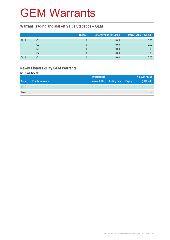## GEM Warrants

### **Warrant Trading and Market Value Statistics – GEM**

|      |                | <b>Number</b> | Turnover value (HK\$ mil.) | Market value (HK\$ mil.) |
|------|----------------|---------------|----------------------------|--------------------------|
| 2013 | Q1             |               | 0.85                       | 0.00                     |
|      | Q <sub>2</sub> |               | 0.00                       | 0.00                     |
|      | Q3             |               | 0.00                       | 0.00                     |
|      | Q4             |               | 0.00                       | 0.00                     |
| 2014 | Q1             |               | 0.00                       | 0.00                     |

### **Newly Listed Equity GEM Warrants**

for 1st quarter 2014

|              |                        | Initial issued |                     |               | <b>Amount raised</b> |
|--------------|------------------------|----------------|---------------------|---------------|----------------------|
| <b>Code</b>  | <b>Equity warrants</b> | amount (HK)    | <b>Listing date</b> | <b>Expiry</b> | (HK\$ mil.)          |
| Nil          |                        |                |                     |               |                      |
| <b>Total</b> |                        |                |                     |               | $\equiv$             |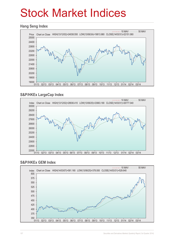# Stock Market Indices

#### **Hang Seng Index**



### **S&P/HKEx LargeCap Index**



### **S&P/HKEx GEM Index**

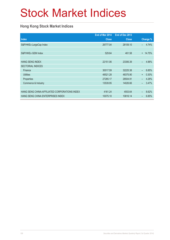# Stock Market Indices

### **Hong Kong Stock Market Indices**

|                                               | End of Mar 2014 | End of Dec 2013 |                                   |
|-----------------------------------------------|-----------------|-----------------|-----------------------------------|
| <b>Index</b>                                  | <b>Close</b>    | <b>Close</b>    | Change %                          |
| S&P/HKEx LargeCap Index                       | 26777.04        | 28109.10        | 4.74%<br>$\overline{\phantom{0}}$ |
|                                               |                 |                 |                                   |
| S&P/HKEx GEM Index                            | 529.64          | 461.58          | 14.75%<br>$+$                     |
|                                               |                 |                 |                                   |
| <b>HANG SENG INDEX</b>                        | 22151.06        | 23306.39        | 4.96%                             |
| <b>SECTORIAL INDICES</b>                      |                 |                 |                                   |
| Finance                                       | 30017.59        | 32225.38        | 6.85%<br>$\equiv$                 |
| <b>Utilities</b>                              | 48521.28        | 48375.90        | 0.30%<br>$\ddot{}$                |
| Properties                                    | 27285.17        | 28504.91        | 4.28%                             |
| Commerce & Industry                           | 13539.95        | 14026.66        | 3.47%<br>$\overline{\phantom{0}}$ |
|                                               |                 |                 |                                   |
| HANG SENG CHINA-AFFILIATED CORPORATIONS INDEX | 4161.24         | 4553.64         | 8.62%<br>÷,                       |
| HANG SENG CHINA ENTERPRISES INDEX             | 10075.10        | 10816.14        | 6.85%<br>$\overline{\phantom{0}}$ |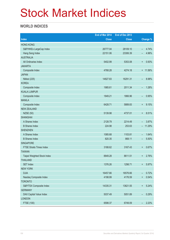# Stock Market Indices

### **WORLD INDICES**

|                                 | End of Mar 2014 | End of Dec 2013 |                                   |
|---------------------------------|-----------------|-----------------|-----------------------------------|
| <b>Index</b>                    | <b>Close</b>    | <b>Close</b>    | Change %                          |
| <b>HONG KONG</b>                |                 |                 |                                   |
| S&P/HKEx LargeCap Index         | 26777.04        | 28109.10        | 4.74%<br>$\overline{\phantom{0}}$ |
| Hang Seng Index                 | 22151.06        | 23306.39        | 4.96%<br>-                        |
| <b>AUSTRALIA</b>                |                 |                 |                                   |
| All Ordinaries Index            | 5402.99         | 5353.08         | 0.93%<br>$\ddot{}$                |
| <b>JAKARTA</b>                  |                 |                 |                                   |
| Composite Index                 | 4768.28         | 4274.18         | $+ 11.56\%$                       |
| <b>JAPAN</b>                    |                 |                 |                                   |
| Nikkei (225)                    | 14827.83        | 16291.31        | 8.98%<br>-                        |
| <b>KOREA</b>                    |                 |                 |                                   |
| Composite Index                 | 1985.61         | 2011.34         | 1.28%<br>-                        |
| <b>KUALA LUMPUR</b>             |                 |                 |                                   |
| Composite Index                 | 1849.21         | 1866.96         | 0.95%<br>-                        |
| <b>MANILA</b>                   |                 |                 |                                   |
| Composite Index                 | 6428.71         | 5889.83         | 9.15%<br>$\ddot{}$                |
| <b>NEW ZEALAND</b>              |                 |                 |                                   |
| <b>NZSE (50)</b>                | 5139.98         | 4737.01         | 8.51%<br>$\ddot{}$                |
| <b>SHANGHAI</b>                 |                 |                 |                                   |
| A Shares Index                  | 2128.79         | 2214.49         | 3.87%<br>$\overline{\phantom{0}}$ |
| <b>B</b> Shares Index           | 224.98          | 253.63          | $-11.29%$                         |
| <b>SHENZHEN</b>                 |                 |                 |                                   |
| A Shares Index                  | 1085.68         | 1103.81         | 1.64%<br>$\overline{\phantom{m}}$ |
| <b>B</b> Shares Index           | 820.35          | 868.11          | 5.50%<br>-                        |
| <b>SINGAPORE</b>                |                 |                 |                                   |
| <b>FTSE Straits Times Index</b> | 3188.62         | 3167.43         | 0.67%<br>$\ddot{}$                |
| <b>TAIWAN</b>                   |                 |                 |                                   |
| Taipei Weighted Stock Index     | 8849.28         | 8611.51         | 2.76%<br>$\ddot{}$                |
| <b>THAILAND</b>                 |                 |                 |                                   |
| <b>SET Index</b>                | 1376.26         | 1298.71         | 5.97%<br>$\ddot{}$                |
| <b>NEW YORK</b>                 |                 |                 |                                   |
| <b>DJIA</b>                     | 16457.66        | 16576.66        | 0.72%<br>-                        |
| Nasdaq Composite Index          | 4198.99         | 4176.59         | 0.54%<br>$\ddot{}$                |
| <b>TORONTO</b>                  |                 |                 |                                   |
| S&P/TSX Composite Index         | 14335.31        | 13621.55        | 5.24%<br>$\boldsymbol{+}$         |
| <b>GERMANY</b>                  |                 |                 |                                   |
| DAX Capital Value Index         | 5037.49         | 5051.89         | 0.29%<br>$\overline{\phantom{0}}$ |
| <b>LONDON</b>                   |                 |                 |                                   |
| <b>FTSE (100)</b>               | 6598.37         | 6749.09         | 2.23%<br>$\qquad \qquad -$        |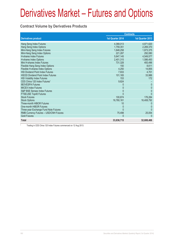### **Contract Volume by Derivatives Products**

|                                           | <b>Contracts</b> |                  |  |
|-------------------------------------------|------------------|------------------|--|
| <b>Derivatives product</b>                | 1st Quarter 2014 | 1st Quarter 2013 |  |
| Hang Seng Index Futures                   | 4,368,013        | 4,871,620        |  |
| Hang Seng Index Options                   | 1,759,351        | 2,269,370        |  |
| Mini-Hang Seng Index Futures              | 1,648,258        | 1,873,375        |  |
| Mini-Hang Seng Index Options              | 221.287          | 292,080          |  |
| <b>H-shares Index Futures</b>             | 5,647,145        | 4,549,577        |  |
| H-shares Index Options                    | 2,401,315        | 1,586,493        |  |
| Mini H-shares Index Futures               | 731,328          | 493,496          |  |
| Flexible Hang Seng Index Options          | 150              | 8,611            |  |
| Flexible H-shares Index Options           | 4.250            | 14,855           |  |
| <b>HSI Dividend Point Index Futures</b>   | 7.933            | 4,701            |  |
| <b>HSCEI Dividend Point Index Futures</b> | 101,165          | 33,986           |  |
| <b>HSI Volatility Index Futures</b>       | 153              | 172              |  |
| CES China 120 Index Futures <sup>1</sup>  | 9,824            |                  |  |
| <b>IBOVESPA Futures</b>                   | 0                | $\Omega$         |  |
| <b>MICEX Index Futures</b>                | 0                | $\mathbf{0}$     |  |
| <b>S&amp;P BSE Sensex Index Futures</b>   | 0                | 0                |  |
| FTSE/JSE Top40 Futures                    |                  |                  |  |
| <b>Stock Futures</b>                      | 100,874          | 176,284          |  |
| <b>Stock Options</b>                      | 16,760,161       | 16,408,792       |  |
| Three-month HIBOR Futures                 | 10               | $\Omega$         |  |
| One-month HIBOR Futures                   | $\Omega$         | 0                |  |
| Three-year Exchange Fund Note Futures     | 0                |                  |  |
| RMB Currency Futures - USD/CNH Futures    | 75,498           | 25,054           |  |
| <b>Gold Futures</b>                       |                  |                  |  |
| <b>Total</b>                              | 33,836,715       | 32,608,466       |  |

Trading in CES China 120 Index Futures commenced on 12 Aug 2013.

1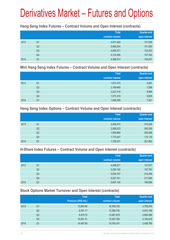### **Hang Seng Index Futures – Contract Volume and Open Interest (contracts)**

|      |                | <b>Total</b><br>contract volume | <b>Quarter-end</b><br>open interest |
|------|----------------|---------------------------------|-------------------------------------|
| 2013 | Q <sub>1</sub> | 4,871,620                       | 107,939                             |
|      | Q <sub>2</sub> | 5,468,244                       | 101,093                             |
|      | Q <sub>3</sub> | 4,926,071                       | 123,253                             |
|      | Q4             | 4,314,395                       | 107,304                             |
| 2014 | Q <sub>1</sub> | 4,368,013                       | 104,527                             |

#### **Mini Hang Seng Index Futures – Contract Volume and Open Interest (contracts)**

|      |                | <b>Total</b><br>contract volume | <b>Quarter-end</b><br>open interest |
|------|----------------|---------------------------------|-------------------------------------|
| 2013 | Q <sub>1</sub> | 1,873,375                       | 6,897                               |
|      | Q <sub>2</sub> | 2,169,689                       | 7,096                               |
|      | Q <sub>3</sub> | 2,237,418                       | 8,969                               |
|      | Q4             | 1,573,318                       | 5,835                               |
| 2014 | Q <sub>1</sub> | 1,648,258                       | 7,441                               |

#### **Hang Seng Index Options – Contract Volume and Open Interest (contracts)**

|      |                | <b>Total</b>    | Quarter-end   |
|------|----------------|-----------------|---------------|
|      |                | contract volume | open interest |
| 2013 | Q <sub>1</sub> | 2,269,370       | 316,226       |
|      | Q <sub>2</sub> | 2,598,223       | 282,528       |
|      | Q <sub>3</sub> | 1,959,869       | 293,948       |
|      | Q4             | 1,774,047       | 173,176       |
| 2014 | Q1             | 1,759,351       | 201,802       |

### **H-Share Index Futures – Contract Volume and Open Interest (contracts)**

|      |                | <b>Total</b>    | <b>Quarter-end</b> |
|------|----------------|-----------------|--------------------|
|      |                | contract volume | open interest      |
| 2013 | Q1             | 4,549,577       | 147,677            |
|      | Q <sub>2</sub> | 5,259,192       | 197,763            |
|      | Q3             | 5,534,747       | 214,299            |
|      | Q4             | 5,527,741       | 217,646            |
| 2014 | Q1             | 5,647,145       | 199,566            |

### **Stock Options Market Turnover and Open Interest (contracts)**

|      |    | <b>Total</b>        | <b>Total</b>    | <b>Quarter-end</b> |
|------|----|---------------------|-----------------|--------------------|
|      |    | Premium (HK\$ mil.) | contract volume | open interest      |
| 2013 | Q1 | 10,840.90           | 16,408,792      | 4,758,454          |
|      | Q2 | 9,361.17            | 15,369,742      | 4,810,169          |
|      | Q3 | 8,479.72            | 13,681,676      | 4,882,089          |
|      | Q4 | 10,051.31           | 15,367,765      | 4,740,818          |
| 2014 | Q1 | 14,497.65           | 16,760,161      | 5,458,789          |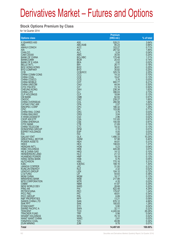### **Stock Options Premium by Class**

for 1st Quarter 2014

| <b>Options class</b>        |                 | <b>Premium</b><br>(HK\$ mil.) | % of total        |
|-----------------------------|-----------------|-------------------------------|-------------------|
| X ISHARES A50               | A <sub>50</sub> | 528.21                        | 3.64%             |
| <b>ABC</b>                  | ABC/XAB         | 95.23                         | 0.66%             |
| <b>ANHUI CONCH</b>          | <b>ACC</b>      | 103.27                        | 0.71%             |
| AIA                         | <b>AIA</b>      | 267.52                        | 1.85%             |
| <b>CHALCO</b>               | <b>ALC</b>      | 5.24                          | 0.04%             |
| CAM CSI300                  | <b>AMC</b>      | 35.55                         | 0.25%<br>1.21%    |
| <b>BANK OF CHINA</b>        | <b>BCL/XBC</b>  | 175.48                        | 0.14%             |
| <b>BANKCOMM</b>             | <b>BCM</b>      | 20.43                         |                   |
| <b>BANK OF E ASIA</b>       | <b>BEA</b>      | 2.92                          | 0.02%             |
| <b>BELLE INT'L</b>          | <b>BIH</b>      | 26.11                         | 0.18%             |
| <b>BOC HONG KONG</b>        | <b>BOC</b>      | 36.81                         | 0.25%             |
| <b>BYD COMPANY</b>          | <b>BYD</b>      | 35.82                         | 0.25%             |
| <b>CCB</b>                  | CCB/XCC         | 325.74                        | 2.25%             |
| <b>CHINA COMM CONS</b>      | CCC             | 14.33                         | 0.10%             |
| <b>CHINA COAL</b>           | <b>CCE</b>      | 19.47                         | 0.13%             |
| CHINA COSCO<br>CHINA MOBILE | CCS             | 3.76                          | 0.03%             |
|                             | <b>CHT</b>      | 900.77                        | 6.21%             |
| <b>CHINA UNICOM</b>         | <b>CHU</b>      | 44.04                         | 0.30%             |
| <b>CITIC PACIFIC</b>        | <b>CIT</b>      | 72.16                         | 0.50%             |
| <b>CHEUNG KONG</b>          | <b>CKH</b>      | 236.34                        | 1.63%             |
| <b>CHINA LIFE</b>           | <b>CLI</b>      | 396.03                        | 0.13%             |
| <b>CLP HOLDINGS</b>         | <b>CLP</b>      | 18.84                         |                   |
| <b>CM BANK</b>              | <b>CMB</b>      | 82.93                         | 0.57%             |
| <b>CNOOC</b>                | <b>CNC</b>      | 239.27                        | 1.65%             |
| <b>CHINA OVERSEAS</b>       | COL             | 266.58                        | 1.84%             |
| <b>CATHAY PAC AIR</b>       | <b>CPA</b>      | 2.57                          | $0.02\%$<br>1.29% |
| SINOPEC CORP                | <b>CPC</b>      | 186.32                        |                   |
| <b>CPIC</b>                 | <b>CPI</b>      | 103.06                        | 0.71%             |
| <b>CHINA RAIL CONS</b>      | <b>CRC</b>      | 3.76                          | 0.03%             |
| <b>CHINA RAILWAY</b>        | <b>CRG</b>      | 3.04                          | 0.02%             |
| X WISECSI300ETF             | CS <sub>3</sub> | 2.96                          | 0.02%             |
| CSOP A50 ETF                | <b>CSA</b>      | 131.65                        | 0.91%             |
| <b>CHINA SHENHUA</b>        | <b>CSE</b>      | 140.59                        | 0.97%             |
| <b>CITIC BANK</b>           | <b>CTB</b>      | 21.69                         | 0.15%             |
| <b>CHINA TELECOM</b>        | <b>CTC</b>      | 19.32                         | 0.13%             |
| DONGFENG GROUP              | <b>DFM</b>      | 2.15                          | 0.01%             |
| <b>ESPRIT HOLDINGS</b>      | <b>ESP</b>      | 4.05                          | 0.03%             |
| <b>FIH</b>                  | <b>FIH</b>      | 1.88                          | 0.01%             |
| <b>GALAXY ENT</b>           | <b>GLX</b>      | 1,486.33                      | 10.25%            |
| <b>GREATWALL MOTOR</b>      | <b>GWM</b>      | 57.98                         | 0.40%             |
| <b>POWER ASSETS</b>         | <b>HEH</b>      | 44.81                         | 0.31%             |
| <b>HKEX</b>                 | <b>HEX</b>      | 198.83                        | 1.37%             |
| <b>HENGAN INT'L</b>         | <b>HGN</b>      | 5.23                          | 0.04%             |
| <b>HSBC HOLDINGS</b>        | <b>HKB</b>      | 445.08                        | 3.07%             |
| <b>HK &amp; CHINA GAS</b>   | <b>HKG</b>      | 14.12                         | 0.10%             |
| <b>HENDERSON LAND</b>       | <b>HLD</b>      | 21.12                         | 0.15%             |
| <b>HUANENG POWER</b>        | <b>HNP</b>      | 18.19                         | 0.13%             |
| <b>HANG SENG BANK</b>       | <b>HSB</b>      | 6.76                          | 0.05%             |
| <b>HUTCHISON</b>            | <b>HWL</b>      | 770.16                        | 5.31%             |
| <b>ICBC</b>                 | <b>ICB/XIC</b>  | 188.16                        | 1.30%             |
| <b>JIANGXI COPPER</b>       | <b>JXC</b>      | 31.00                         | 0.21%             |
| <b>KUNLUN ENERGY</b>        | <b>KLE</b>      | 2.32                          | 0.02%             |
| LENOVO GROUP                | LEN             | 104.10                        | 0.72%             |
| LI & FUNG                   | <b>LIF</b>      | 54.83                         | 0.38%             |
| <b>MGM CHINA</b>            | <b>MGM</b>      | 18.17                         | 0.13%             |
| <b>MINSHENG BANK</b>        | <b>MSB</b>      | 217.88                        | 1.50%             |
| <b>MTR CORPORATION</b>      | <b>MTR</b>      | 4.35                          | 0.03%             |
| <b>CNBM</b>                 | <b>NBM</b>      | 41.87                         | 0.29%<br>0.20%    |
| <b>NEW WORLD DEV</b>        | <b>NWD</b>      | 28.68                         | 4.29%             |
| <b>PING AN</b>              | PAI             | 622.48                        |                   |
| <b>PETROCHINA</b>           | PEC             | 179.97                        | 1.24%             |
| PICC P&C                    | <b>PIC</b>      | 49.81                         | 0.34%             |
| <b>PICC GROUP</b>           | <b>PIN</b>      | 6.89                          | 0.05%             |
| <b>R&amp;F PROPERTIES</b>   | <b>RFP</b>      | 13.21                         | 0.09%             |
| <b>SANDS CHINA LTD</b>      | <b>SAN</b>      | 676.12                        | 4.66%             |
| <b>SHK PPT</b>              | <b>SHK</b>      | 185.83                        | 1.28%             |
| <b>STANCHART</b>            | <b>STC</b>      | 5.90                          | 0.04%             |
| <b>SWIRE PACIFIC A</b>      | <b>SWA</b>      | 32.11                         | 0.22%             |
| <b>TENCENT</b>              | <b>TCH</b>      | 4,245.04                      | 29.28%            |
| <b>TRACKER FUND</b>         | <b>TRF</b>      | 5.98                          | 0.04%             |
| <b>WHARF HOLDINGS</b>       | <b>WHL</b>      | 76.10                         | 0.52%             |
| <b>WANT WANT CHINA</b>      | <b>WWC</b>      | 2.61                          | 0.02%             |
| YANZHOU COAL                | <b>YZC</b>      | 49.99                         | 0.34%             |
| <b>ZIJIN MINING</b>         | <b>ZJM</b>      | 9.78                          | 0.07%             |
| <b>Total</b>                |                 | 14,497.65                     | 100.00%           |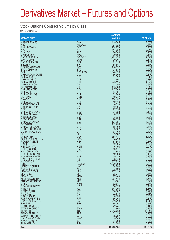#### **Stock Options Contract Volume by Class**

for 1st Quarter 2014

| <b>Options class</b>      |                 | <b>Contract</b><br>volume | % of total                    |
|---------------------------|-----------------|---------------------------|-------------------------------|
| X ISHARES A50             | A50             | 419,245                   | 2.50%                         |
| <b>ABC</b>                | ABC/XAB         | 77,935                    | 0.47%                         |
| <b>ANHUI CONCH</b>        | <b>ACC</b>      | 158,878                   | 0.95%                         |
| AIA                       | AIA             | 344,082                   | 2.05%                         |
| <b>CHALCO</b>             | <b>ALC</b>      | 26,346                    | 0.16%                         |
| CAM CSI300                | <b>AMC</b>      | 30,660                    | 0.18%                         |
| <b>BANK OF CHINA</b>      | <b>BCL/XBC</b>  | 1,271,424                 | 7.59%                         |
| <b>BANKCOMM</b>           | <b>BCM</b>      | 90,007                    | 0.54%                         |
| <b>BANK OF E ASIA</b>     | <b>BEA</b>      | 21,313                    | 0.13%                         |
| <b>BELLE INT'L</b>        | <b>BIH</b>      | 84,641                    | 0.51%                         |
| <b>BOC HONG KONG</b>      | <b>BOC</b>      | 110,637                   | 0.66%                         |
| <b>BYD COMPANY</b>        | <b>BYD</b>      | 33,686                    | 0.20%                         |
| <b>CCB</b>                | <b>CCB/XCC</b>  | 1,640,193                 | 9.79%                         |
| CHINA COMM CONS           | CCC             | 56,306                    | 0.34%                         |
| <b>CHINA COAL</b>         | <b>CCE</b>      | 91,092                    | 0.54%                         |
| CHINA COSCO               | <b>CCS</b>      | 22,597                    | 0.13%                         |
| <b>CHINA MOBILE</b>       | <b>CHT</b>      | 775,125                   | 4.62%                         |
| <b>CHINA UNICOM</b>       | <b>CHU</b>      | 51,590                    | 0.31%                         |
| <b>CITIC PACIFIC</b>      | <b>CIT</b>      | 135,680                   | 0.81%                         |
| <b>CHEUNG KONG</b>        | <b>CKH</b>      | 117,669                   | 0.70%                         |
| <b>CHINA LIFE</b>         | CLI             | 504,801                   | 3.01%                         |
| <b>CLP HOLDINGS</b>       | <b>CLP</b>      | 31.748                    | 0.19%                         |
| <b>CM BANK</b>            | <b>CMB</b>      | 280,742                   | 1.68%                         |
| <b>CNOOC</b>              | <b>CNC</b>      | 354,157                   | 2.11%                         |
| <b>CHINA OVERSEAS</b>     | COL             | 210,519                   | 1.26%                         |
| <b>CATHAY PAC AIR</b>     | <b>CPA</b>      | 6,633                     | 0.04%                         |
| <b>SINOPEC CORP</b>       | <b>CPC</b>      | 382,806                   | 2.28%                         |
| <b>CPIC</b>               | <b>CPI</b>      | 97,553                    | 0.58%                         |
| <b>CHINA RAIL CONS</b>    | <b>CRC</b>      | 21,028                    | 0.13%                         |
| <b>CHINA RAILWAY</b>      | <b>CRG</b>      | 8,332                     | 0.05%                         |
| X WISECSI300ETF           | CS <sub>3</sub> | 3,336                     | 0.02%                         |
| CSOP A50 ETF              | <b>CSA</b>      | 90,633                    | 0.54%                         |
| <b>CHINA SHENHUA</b>      | <b>CSE</b>      | 174,051                   | $1.04\%$<br>$0.67\%$          |
| <b>CITIC BANK</b>         | <b>CTB</b>      | 112,759                   | 0.33%                         |
| <b>CHINA TELECOM</b>      | <b>CTC</b>      | 55,102                    |                               |
| <b>DONGFENG GROUP</b>     | <b>DFM</b>      | 3,507                     | 0.02%                         |
| <b>ESPRIT HOLDINGS</b>    | <b>ESP</b>      | 67,169                    | 0.40%                         |
| <b>FIH</b>                | <b>FIH</b>      | 9,162                     | 0.05%                         |
| <b>GALAXY ENT</b>         | <b>GLX</b>      | 584,417                   | 3.49%                         |
| <b>GREATWALL MOTOR</b>    | <b>GWM</b>      | 94,228                    | 0.56%                         |
| <b>POWER ASSETS</b>       | <b>HEH</b>      | 61,848                    | 0.37%                         |
| <b>HKEX</b>               | <b>HEX</b>      | 682,895                   | 4.07%                         |
| <b>HENGAN INT'L</b>       | <b>HGN</b>      | 6,198                     | 0.04%                         |
| <b>HSBC HOLDINGS</b>      | <b>HKB</b>      | 656,471                   | 3.92%<br>0.23%                |
| HK & CHINA GAS            | <b>HKG</b>      | 37,848                    | 0.12%                         |
| <b>HENDERSON LAND</b>     | <b>HLD</b>      | 19,669                    |                               |
| <b>HUANENG POWER</b>      | <b>HNP</b>      | 39.223                    | 0.23%                         |
| <b>HANG SENG BANK</b>     | <b>HSB</b>      | 38,549                    | 0.23%                         |
| <b>HUTCHISON</b>          | <b>HWL</b>      | 337,833                   | 2.02%                         |
| <b>ICBC</b>               | <b>ICB/XIC</b>  | 1,070,098                 | 6.38%                         |
| <b>JIANGXI COPPER</b>     | <b>JXC</b>      | 54,790                    |                               |
| <b>KUNLUN ENERGY</b>      | KLE             | 3,890                     | $0.33\%$<br>$0.02\%$<br>1.06% |
| <b>LENOVO GROUP</b>       | LEN             | 177,123                   | 0.47%                         |
| LI & FUNG                 | <b>LIF</b>      | 78,777                    |                               |
| <b>MGM CHINA</b>          | <b>MGM</b>      | 27,463                    | 0.16%                         |
| <b>MINSHENG BANK</b>      | <b>MSB</b>      | 264,414                   | 1.58%                         |
| <b>MTR CORPORATION</b>    | <b>MTR</b>      | 15,601                    | 0.09%                         |
| <b>CNBM</b>               | <b>NBM</b>      | 62,611                    | 0.37%                         |
| <b>NEW WORLD DEV</b>      | <b>NWD</b>      | 66,370                    | 0.40%                         |
| <b>PING AN</b>            | PAI             | 648,294                   | 3.87%                         |
| <b>PETROCHINA</b>         | PEC             | 330,007                   | 1.97%                         |
| PICC P&C                  | <b>PIC</b>      | 72,670                    | 0.43%                         |
| <b>PICC GROUP</b>         | <b>PIN</b>      | 10,333                    | 0.06%                         |
| <b>R&amp;F PROPERTIES</b> | <b>RFP</b>      | 56,764                    | 0.34%                         |
| <b>SANDS CHINA LTD</b>    | <b>SAN</b>      | 709,796                   | 4.24%                         |
| <b>SHK PPT</b>            | <b>SHK</b>      | 85,067                    | 0.51%                         |
| <b>STANCHART</b>          | <b>STC</b>      | 22,741                    | 0.14%                         |
| <b>SWIRE PACIFIC A</b>    | <b>SWA</b>      | 37,902                    | 0.23%                         |
| <b>TENCENT</b>            | <b>TCH</b>      | 2,264,459                 | 13.51%                        |
| <b>TRACKER FUND</b>       | <b>TRF</b>      | 21,436                    | 0.13%                         |
| <b>WHARF HOLDINGS</b>     | <b>WHL</b>      | 43,707                    | 0.26%                         |
| <b>WANT WANT CHINA</b>    | <b>WWC</b>      | 9,543                     | 0.06%                         |
| YANZHOU COAL              | <b>YZC</b>      | 61,290                    | 0.37%                         |
| <b>ZIJIN MINING</b>       | <b>ZJM</b>      | 32,692                    | 0.20%                         |
| <b>Total</b>              |                 | 16,760,161                | 100.00%                       |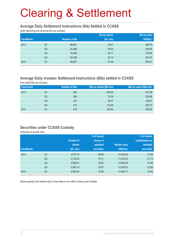#### **Average Daily Settlement Instructions (SIs) Settled in CCASS**

(both delivering and receiving SIs are counted)

|            |                | Sis by value<br>Sis by shares |            |            |
|------------|----------------|-------------------------------|------------|------------|
| Year/Month |                | <b>Number of SIs</b>          | (bil. shs) | (HK\$bil.) |
| 2013       | Q1             | 89,261                        | 59.01      | 268.79     |
|            | Q <sub>2</sub> | 81,848                        | 58.43      | 218.85     |
|            | Q <sub>3</sub> | 76,390                        | 49.11      | 176.60     |
|            | Q4             | 84,326                        | 52.14      | 201.87     |
| 2014       | Q1             | 89,857                        | 51.46      | 200.37     |

### **Average Daily Investor Settlement Instructions (ISIs) settled in CCASS**

(one sided ISIs are counted)

| Year/month |    | <b>Number of ISIs</b> | ISIs by shares (Mil shs) | ISIs by value (HK\$ mil.) |
|------------|----|-----------------------|--------------------------|---------------------------|
| 2013       | Q1 | 463                   | 240.85                   | 251.98                    |
|            | Q2 | 386                   | 70.50                    | 229.88                    |
|            | Q3 | 347                   | 46.57                    | 139.57                    |
|            | Q4 | 412                   | 143.96                   | 203.73                    |
| 2014       | Q1 | 418                   | 195.82                   | 302.92                    |

#### **Securities under CCASS Custody**

(balances at quarter end)

|            |                |                  | % of issued       |                     | % of market       |
|------------|----------------|------------------|-------------------|---------------------|-------------------|
|            |                | <b>Number of</b> | shares of         |                     | capitalisation of |
|            |                | shares           | admitted          | <b>Market value</b> | admitted          |
| Year/Month |                | (bil. shs)       | <b>securities</b> | (HK\$ bil.)         | <b>securities</b> |
| 2013       | Q <sub>1</sub> | 3,673.74         | 69.58             | 12,345.00           | 51.66             |
|            | Q <sub>2</sub> | 3,726.30         | 70.11             | 11,616.39           | 51.72             |
|            | Q <sub>3</sub> | 3,839.01         | 70.64             | 12,905.25           | 51.98             |
|            | Q <sub>4</sub> | 3,955.16         | 70.87             | 13,878.91           | 52.68             |
| 2014       | Q <sub>1</sub> | 4,058.32         | 70.36             | 13,423.17           | 52.82             |

Share quantity and market value of securities in non-HKD currency are included.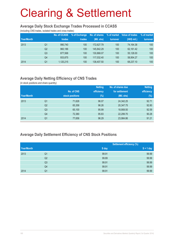#### **Average Daily Stock Exchange Trades Processed in CCASS**

(including CNS trades, isolated trades and cross trades)

| Year/Month |                | No. of CCASS<br>trades | % of Exchange<br>trades | No. of shares<br>(Mil. shs) | % of market<br>turnover | Value of trades<br>(HK\$ mil.) | % of market<br>turnover |
|------------|----------------|------------------------|-------------------------|-----------------------------|-------------------------|--------------------------------|-------------------------|
| 2013       | Q1             | 990.740                | 100                     | 172,627.79                  | 100                     | 74.164.38                      | 100                     |
|            | Q <sub>2</sub> | 960.186                | 100                     | 145.842.29                  | 100                     | 62.161.42                      | 100                     |
|            | Q <sub>3</sub> | 877.568                | 100                     | 130.868.07                  | 100                     | 55,128.00                      | 100                     |
|            | Q4             | 933,875                | 100                     | 117.032.40                  | 100                     | 58.954.27                      | 100                     |
| 2014       | Q1             | 1,120,215              | 100                     | 138.407.50                  | 100                     | 68,237.10                      | 100                     |

### **Average Daily Netting Efficiency of CNS Trades**

(in stock positions and share quantity)

|            |                |                 | <b>Netting</b> | No. of shares due | <b>Netting</b> |
|------------|----------------|-----------------|----------------|-------------------|----------------|
|            |                | No. of CNS      | efficiency     | for settlement    | efficiency     |
| Year/Month |                | stock positions | $(\%)$         | (Mil. shs)        | $(\%)$         |
| 2013       | Q1             | 71,626          | 96.07          | 24,342.25         | 92.71          |
|            | Q <sub>2</sub> | 65,358          | 96.26          | 20,347.75         | 92.80          |
|            | Q <sub>3</sub> | 65,100          | 95.99          | 18,908.50         | 92.59          |
|            | Q4             | 72,380          | 95.83          | 22,299.70         | 90.28          |
| 2014       | Q <sub>1</sub> | 77,656          | 96.29          | 23,984.86         | 91.21          |

### **Average Daily Settlement Efficiency of CNS Stock Positions**

|            |                |       | <b>Settlement efficiency (%)</b> |
|------------|----------------|-------|----------------------------------|
| Year/Month |                | S day | $S + 1$ day                      |
| 2013       | Q1             | 99.91 | 99.99                            |
|            | Q2             | 99.89 | 99.99                            |
|            | Q <sub>3</sub> | 99.91 | 99.99                            |
|            | Q4             | 99.91 | 99.99                            |
| 2014       | Q1             | 99.91 | 99.99                            |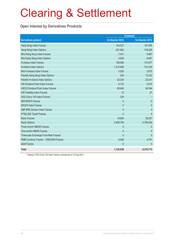### **Open Interest by Derivatives Products**

|                                           | <b>Contracts</b> |                  |  |
|-------------------------------------------|------------------|------------------|--|
| <b>Derivatives product</b>                | 1st Quarter 2014 | 1st Quarter 2013 |  |
| Hang Seng Index Futures                   | 104,527          | 107,939          |  |
| Hang Seng Index Options                   | 201,802          | 316,226          |  |
| Mini-Hang Seng Index Futures              | 7,441            | 6,897            |  |
| Mini-Hang Seng Index Options              | 5,938            | 6,481            |  |
| <b>H-shares Index Futures</b>             | 199,566          | 147,677          |  |
| H-shares Index Options                    | 1,014,569        | 741,018          |  |
| Mini H-shares Index Futures               | 4,200            | 3,070            |  |
| Flexible Hang Seng Index Options          | 200              | 13,232           |  |
| Flexible H-shares Index Options           | 20,334           | 20,331           |  |
| <b>HSI Dividend Point Index Futures</b>   | 6,733            | 5,919            |  |
| <b>HSCEI Dividend Point Index Futures</b> | 88,404           | 48,394           |  |
| <b>HSI Volatility Index Futures</b>       | 12               | 27               |  |
| CES China 120 Index Futures <sup>1</sup>  | 334              |                  |  |
| <b>IBOVESPA Futures</b>                   | $\mathbf{0}$     | $\mathbf{0}$     |  |
| <b>MICEX Index Futures</b>                | $\overline{0}$   | $\mathbf{0}$     |  |
| S&P BSE Sensex Index Futures              | $\mathbf{0}$     | $\mathbf{0}$     |  |
| FTSE/JSE Top40 Futures                    | $\overline{0}$   | $\mathbf{0}$     |  |
| <b>Stock Futures</b>                      | 19,695           | 39,257           |  |
| <b>Stock Options</b>                      | 5,458,789        | 4,758,454        |  |
| Three-month HIBOR Futures                 | $\mathbf{0}$     | $\theta$         |  |
| One-month HIBOR Futures                   | $\mathbf{0}$     | $\theta$         |  |
| Three-year Exchange Fund Note Futures     | $\mathbf{0}$     | $\mathbf{0}$     |  |
| RMB Currency Futures - USD/CNH Futures    | 9,495            | 4,791            |  |
| <b>Gold Futures</b>                       | $\mathbf{0}$     | $\theta$         |  |
| <b>Total</b>                              | 7,142,039        | 6,219,713        |  |

Trading in CES China 120 Index Futures commenced on 12 Aug 2013.

1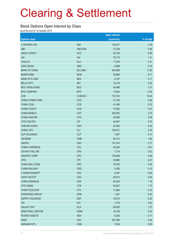#### **Stock Options Open Interest by Class**

as at the end of 1st Quarter 2014

|                        |                 | <b>Open interest</b> |              |
|------------------------|-----------------|----------------------|--------------|
| <b>Options class</b>   |                 | (contracts)          | $%$ of total |
| X ISHARES A50          | A50             | 130,241              | 2.39         |
| <b>ABC</b>             | ABC/XAB         | 31,529               | 0.58         |
| <b>ANHUI CONCH</b>     | <b>ACC</b>      | 45,155               | 0.83         |
| AIA                    | <b>AIA</b>      | 76,715               | 1.41         |
| <b>CHALCO</b>          | <b>ALC</b>      | 11,576               | 0.21         |
| CAM CSI300             | <b>AMC</b>      | 9,699                | 0.18         |
| <b>BANK OF CHINA</b>   | <b>BCL/XBC</b>  | 644,996              | 11.82        |
| <b>BANKCOMM</b>        | <b>BCM</b>      | 38,686               | 0.71         |
| <b>BANK OF E ASIA</b>  | <b>BEA</b>      | 6,197                | 0.11         |
| <b>BELLE INT'L</b>     | <b>BIH</b>      | 12,219               | 0.22         |
| <b>BOC HONG KONG</b>   | <b>BOC</b>      | 54,988               | 1.01         |
| <b>BYD COMPANY</b>     | <b>BYD</b>      | 12,944               | 0.24         |
| <b>CCB</b>             | CCB/XCC         | 733,704              | 13.44        |
| CHINA COMM CONS        | CCC             | 31,794               | 0.58         |
| CHINA COAL             | <b>CCE</b>      | 41,495               | 0.76         |
| CHINA COSCO            | <b>CCS</b>      | 14,520               | 0.27         |
| <b>CHINA MOBILE</b>    | <b>CHT</b>      | 203,563              | 3.73         |
| <b>CHINA UNICOM</b>    | <b>CHU</b>      | 20,608               | 0.38         |
| <b>CITIC PACIFIC</b>   | <b>CIT</b>      | 40,997               | 0.75         |
| <b>CHEUNG KONG</b>     | <b>CKH</b>      | 24,483               | 0.45         |
| <b>CHINA LIFE</b>      | <b>CLI</b>      | 128,431              | 2.35         |
| <b>CLP HOLDINGS</b>    | <b>CLP</b>      | 7,907                | 0.14         |
| <b>CM BANK</b>         | <b>CMB</b>      | 90,313               | 1.65         |
| <b>CNOOC</b>           | <b>CNC</b>      | 151,374              | 2.77         |
| <b>CHINA OVERSEAS</b>  | COL             | 44,020               | 0.81         |
| <b>CATHAY PAC AIR</b>  | <b>CPA</b>      | 1,774                | 0.03         |
| SINOPEC CORP           | <b>CPC</b>      | 135,666              | 2.49         |
| <b>CPIC</b>            | <b>CPI</b>      | 25,885               | 0.47         |
| <b>CHINA RAIL CONS</b> | <b>CRC</b>      | 18,720               | 0.34         |
| <b>CHINA RAILWAY</b>   | <b>CRG</b>      | 5,385                | 0.10         |
| X WISECSI300ETF        | CS <sub>3</sub> | 2,097                | 0.04         |
| CSOP A50 ETF           | <b>CSA</b>      | 24,612               | 0.45         |
| <b>CHINA SHENHUA</b>   | <b>CSE</b>      | 64,304               | 1.18         |
| <b>CITIC BANK</b>      | <b>CTB</b>      | 93,627               | 1.72         |
| CHINA TELECOM          | <b>CTC</b>      | 17,883               | 0.33         |
| DONGFENG GROUP         | <b>DFM</b>      | 1,281                | 0.02         |
| <b>ESPRIT HOLDINGS</b> | <b>ESP</b>      | 10,814               | 0.20         |
| <b>FIH</b>             | <b>FIH</b>      | 1,779                | 0.03         |
| <b>GALAXY ENT</b>      | <b>GLX</b>      | 85,920               | 1.57         |
| <b>GREATWALL MOTOR</b> | <b>GWM</b>      | 18,158               | 0.33         |
| <b>POWER ASSETS</b>    | <b>HEH</b>      | 6,205                | 0.11         |
| <b>HKEX</b>            | <b>HEX</b>      | 297,386              | 5.45         |
| <b>HENGAN INT'L</b>    | <b>HGN</b>      | 1,634                | 0.03         |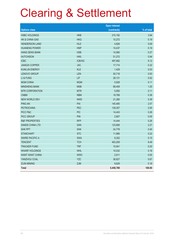|                           |                | <b>Open interest</b> |            |
|---------------------------|----------------|----------------------|------------|
| <b>Options class</b>      |                | (contracts)          | % of total |
| <b>HSBC HOLDINGS</b>      | <b>HKB</b>     | 215,192              | 3.94       |
| <b>HK &amp; CHINA GAS</b> | <b>HKG</b>     | 10,272               | 0.19       |
| <b>HENDERSON LAND</b>     | <b>HLD</b>     | 4,826                | 0.09       |
| <b>HUANENG POWER</b>      | <b>HNP</b>     | 10,437               | 0.19       |
| <b>HANG SENG BANK</b>     | <b>HSB</b>     | 14,560               | 0.27       |
| <b>HUTCHISON</b>          | <b>HWL</b>     | 51,272               | 0.94       |
| <b>ICBC</b>               | <b>ICB/XIC</b> | 497,682              | 9.12       |
| <b>JIANGXI COPPER</b>     | <b>JXC</b>     | 17,714               | 0.32       |
| <b>KUNLUN ENERGY</b>      | <b>KLE</b>     | 1,429                | 0.03       |
| LENOVO GROUP              | LEN            | 50,718               | 0.93       |
| LI & FUNG                 | LIF            | 28,131               | 0.52       |
| <b>MGM CHINA</b>          | <b>MGM</b>     | 5,928                | 0.11       |
| <b>MINSHENG BANK</b>      | <b>MSB</b>     | 68,459               | 1.25       |
| <b>MTR CORPORATION</b>    | <b>MTR</b>     | 5,950                | 0.11       |
| <b>CNBM</b>               | <b>NBM</b>     | 19,768               | 0.36       |
| <b>NEW WORLD DEV</b>      | <b>NWD</b>     | 21,280               | 0.39       |
| <b>PING AN</b>            | PAI            | 140,485              | 2.57       |
| <b>PETROCHINA</b>         | PEC            | 139,307              | 2.55       |
| PICC P&C                  | <b>PIC</b>     | 14,443               | 0.26       |
| PICC GROUP                | <b>PIN</b>     | 2,807                | 0.05       |
| <b>R&amp;F PROPERTIES</b> | <b>RFP</b>     | 14,444               | 0.26       |
| <b>SANDS CHINA LTD</b>    | <b>SAN</b>     | 123,806              | 2.27       |
| <b>SHK PPT</b>            | <b>SHK</b>     | 24,778               | 0.45       |
| <b>STANCHART</b>          | <b>STC</b>     | 11,966               | 0.22       |
| <b>SWIRE PACIFIC A</b>    | <b>SWA</b>     | 8,302                | 0.15       |
| <b>TENCENT</b>            | <b>TCH</b>     | 463,209              | 8.49       |
| <b>TRACKER FUND</b>       | <b>TRF</b>     | 10,941               | 0.20       |
| <b>WHARF HOLDINGS</b>     | <b>WHL</b>     | 10,032               | 0.18       |
| <b>WANT WANT CHINA</b>    | <b>WWC</b>     | 2,911                | 0.05       |
| YANZHOU COAL              | <b>YZC</b>     | 36,827               | 0.67       |
| <b>ZIJIN MINING</b>       | ZJM            | 9,629                | 0.18       |
| <b>Total</b>              |                | 5,458,789            | 100.00     |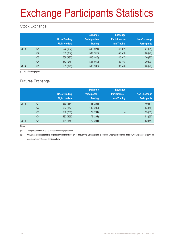# Exchange Participants Statistics

### **Stock Exchange**

|      |                | No. of Trading<br><b>Right Holders</b> | <b>Exchange</b><br><b>Participants -</b><br><b>Trading</b> | <b>Exchange</b><br>Participants-<br>Non-Trading | Non-Exchange<br><b>Participants</b> |
|------|----------------|----------------------------------------|------------------------------------------------------------|-------------------------------------------------|-------------------------------------|
| 2013 | Q <sub>1</sub> | 572 (997)                              | 509 (924)                                                  | 42 (52)                                         | 21(21)                              |
|      | Q <sub>2</sub> | 569 (987)                              | 507 (918)                                                  | 42 (49)                                         | 20(20)                              |
|      | Q3             | 566 (982)                              | 506 (915)                                                  | 40 (47)                                         | 20(20)                              |
|      | Q4             | 563 (978)                              | 504 (912)                                                  | 39(46)                                          | 20(20)                              |
| 2014 | Q1             | 561 (975)                              | 503 (909)                                                  | 38 (46)                                         | 20(20)                              |

( ) No. of trading rights

### **Futures Exchange**

|      |                | No. of Trading<br><b>Right Holders</b> | <b>Exchange</b><br><b>Participants-</b><br><b>Trading</b> | <b>Exchange</b><br><b>Participants -</b><br><b>Non-Trading</b> | Non-Exchange<br><b>Participants</b> |
|------|----------------|----------------------------------------|-----------------------------------------------------------|----------------------------------------------------------------|-------------------------------------|
| 2013 | Q <sub>1</sub> | 230 (254)                              | 181 (203)                                                 | -                                                              | 49 (51)                             |
|      | Q <sub>2</sub> | 233 (257)                              | 180 (202)                                                 | $\overline{\phantom{0}}$                                       | 53(55)                              |
|      | Q <sub>3</sub> | 232 (256)                              | 179 (201)                                                 | $\qquad \qquad$                                                | 53(55)                              |
|      | Q4             | 232 (256)                              | 179 (201)                                                 | $\overline{\phantom{0}}$                                       | 53(55)                              |
| 2014 | Q <sub>1</sub> | 231 (255)                              | 179 (201)                                                 | -                                                              | 52(54)                              |

Notes:

(1) The figures in blanket is the number of trading rights held.

(2) An Exchange Participant is a corporation who may trade on or through the Exchange and is licensed under the Securities and Futures Ordinance to carry on securities/ futures/options dealing activity.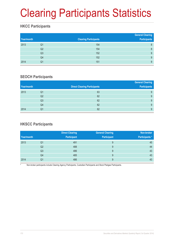# Clearing Participants Statistics

### **HKCC Participants**

| Year/month |                | <b>Clearing Participants</b> | <b>General Clearing</b><br><b>Participants</b> |
|------------|----------------|------------------------------|------------------------------------------------|
| 2013       | Q1             | 154                          | 8                                              |
|            | Q <sub>2</sub> | 154                          | 8                                              |
|            | Q <sub>3</sub> | 152                          | 9                                              |
|            | Q4             | 152                          | 9                                              |
| 2014       | Q1             | 151                          | 9                                              |

### **SEOCH Participants**

|            |    |                                     | <b>General Clearing</b> |
|------------|----|-------------------------------------|-------------------------|
| Year/month |    | <b>Direct Clearing Participants</b> | <b>Participants</b>     |
| 2013       | Q1 | 63                                  | 9                       |
|            | Q2 | 62                                  | 9                       |
|            | Q3 | 62                                  | 9                       |
|            | Q4 | 62                                  | 9                       |
| 2014       | Q1 | 62                                  | 9                       |

### **HKSCC Participants**

| Year/month |                | <b>Direct Clearing</b><br><b>Participant</b> | <b>General Clearing</b><br><b>Participant</b> | Non-broker<br><b>Participants</b> * |
|------------|----------------|----------------------------------------------|-----------------------------------------------|-------------------------------------|
| 2013       | Q1             | 491                                          | 9                                             | 45                                  |
|            | Q2             | 488                                          | 9                                             | 44                                  |
|            | Q <sub>3</sub> | 486                                          | 9                                             | 43                                  |
|            | Q4             | 485                                          | 9                                             | 43                                  |
| 2014       | Q1             | 486                                          | 9                                             | 43                                  |

Non-broker participants include Clearing Agency Participants, Custodian Participants and Stock Pledgee Participants.